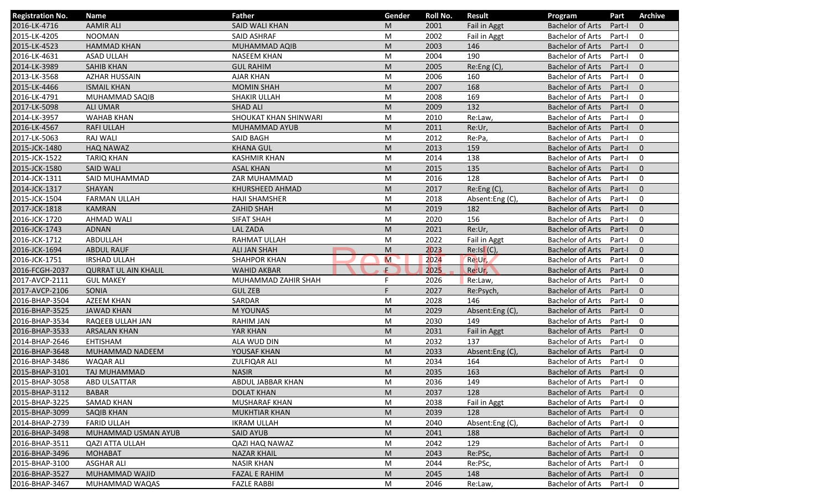| <b>Registration No.</b> | <b>Name</b>                 | <b>Father</b>         | Gender    | Roll No. | <b>Result</b>   | Program                   | Part   | <b>Archive</b> |
|-------------------------|-----------------------------|-----------------------|-----------|----------|-----------------|---------------------------|--------|----------------|
| 2016-LK-4716            | <b>AAMIR ALI</b>            | <b>SAID WALI KHAN</b> | M         | 2001     | Fail in Aggt    | <b>Bachelor of Arts</b>   | Part-I | $\mathbf{0}$   |
| 2015-LK-4205            | <b>NOOMAN</b>               | <b>SAID ASHRAF</b>    | M         | 2002     | Fail in Aggt    | <b>Bachelor of Arts</b>   | Part-I | 0              |
| 2015-LK-4523            | <b>HAMMAD KHAN</b>          | MUHAMMAD AQIB         | M         | 2003     | 146             | <b>Bachelor of Arts</b>   | Part-I | $\mathbf{0}$   |
| 2016-LK-4631            | <b>ASAD ULLAH</b>           | <b>NASEEM KHAN</b>    | M         | 2004     | 190             | <b>Bachelor of Arts</b>   | Part-I | $\mathbf 0$    |
| 2014-LK-3989            | <b>SAHIB KHAN</b>           | <b>GUL RAHIM</b>      | M         | 2005     | Re: Eng(C)      | <b>Bachelor of Arts</b>   | Part-I | $\overline{0}$ |
| 2013-LK-3568            | <b>AZHAR HUSSAIN</b>        | <b>AJAR KHAN</b>      | M         | 2006     | 160             | <b>Bachelor of Arts</b>   | Part-I | $\mathbf 0$    |
| 2015-LK-4466            | <b>ISMAIL KHAN</b>          | <b>MOMIN SHAH</b>     | M         | 2007     | 168             | <b>Bachelor of Arts</b>   | Part-I | $\mathbf{0}$   |
| 2016-LK-4791            | MUHAMMAD SAQIB              | <b>SHAKIR ULLAH</b>   | M         | 2008     | 169             | <b>Bachelor of Arts</b>   | Part-I | $\mathbf 0$    |
| 2017-LK-5098            | <b>ALI UMAR</b>             | <b>SHAD ALI</b>       | M         | 2009     | 132             | <b>Bachelor of Arts</b>   | Part-I | $\mathbf{0}$   |
| 2014-LK-3957            | <b>WAHAB KHAN</b>           | SHOUKAT KHAN SHINWARI | M         | 2010     | Re:Law,         | <b>Bachelor of Arts</b>   | Part-I | $\mathbf 0$    |
| 2016-LK-4567            | <b>RAFI ULLAH</b>           | MUHAMMAD AYUB         | M         | 2011     | Re:Ur,          | <b>Bachelor of Arts</b>   | Part-I | $\mathbf{0}$   |
| 2017-LK-5063            | <b>RAJ WALI</b>             | SAID BAGH             | M         | 2012     | Re:Pa,          | <b>Bachelor of Arts</b>   | Part-I | $\mathbf 0$    |
| 2015-JCK-1480           | <b>HAQ NAWAZ</b>            | <b>KHANA GUL</b>      | M         | 2013     | 159             | <b>Bachelor of Arts</b>   | Part-I | $\mathbf{0}$   |
| 2015-JCK-1522           | <b>TARIQ KHAN</b>           | <b>KASHMIR KHAN</b>   | M         | 2014     | 138             | <b>Bachelor of Arts</b>   | Part-I | $\mathbf 0$    |
| 2015-JCK-1580           | <b>SAID WALI</b>            | <b>ASAL KHAN</b>      | M         | 2015     | 135             | <b>Bachelor of Arts</b>   | Part-I | $\Omega$       |
| 2014-JCK-1311           | SAID MUHAMMAD               | ZAR MUHAMMAD          | M         | 2016     | 128             | <b>Bachelor of Arts</b>   | Part-I | $\mathbf 0$    |
| 2014-JCK-1317           | SHAYAN                      | KHURSHEED AHMAD       | M         | 2017     | Re:Eng (C),     | <b>Bachelor of Arts</b>   | Part-I | $\mathbf{0}$   |
| 2015-JCK-1504           | <b>FARMAN ULLAH</b>         | <b>HAJI SHAMSHER</b>  | M         | 2018     | Absent:Eng (C), | <b>Bachelor of Arts</b>   | Part-I | 0              |
| 2017-JCK-1818           | <b>KAMRAN</b>               | ZAHID SHAH            | M         | 2019     | 182             | <b>Bachelor of Arts</b>   | Part-I | $\mathbf{0}$   |
| 2016-JCK-1720           | <b>AHMAD WALI</b>           | <b>SIFAT SHAH</b>     | M         | 2020     | 156             | <b>Bachelor of Arts</b>   | Part-I | $\mathbf 0$    |
| 2016-JCK-1743           | <b>ADNAN</b>                | <b>LAL ZADA</b>       | M         | 2021     | Re:Ur,          | <b>Bachelor of Arts</b>   | Part-I | $\mathbf{0}$   |
| 2016-JCK-1712           | ABDULLAH                    | RAHMAT ULLAH          | M         | 2022     | Fail in Aggt    | <b>Bachelor of Arts</b>   | Part-I | $\mathbf 0$    |
| 2016-JCK-1694           | <b>ABDUL RAUF</b>           | <b>ALI JAN SHAH</b>   | M         | 2023     | Re:IsI(C),      | <b>Bachelor of Arts</b>   | Part-I | $\mathbf{0}$   |
| 2016-JCK-1751           | <b>IRSHAD ULLAH</b>         | <b>SHAHPOR KHAN</b>   | M         | 2024     | Re:Ur,          | <b>Bachelor of Arts</b>   | Part-I | $\mathbf 0$    |
| 2016-FCGH-2037          | <b>QURRAT UL AIN KHALIL</b> | <b>WAHID AKBAR</b>    | Ŵ.        | 2025     | Re:Ur,          | <b>Bachelor of Arts</b>   | Part-I | $\mathbf{0}$   |
| 2017-AVCP-2111          | <b>GUL MAKEY</b>            | MUHAMMAD ZAHIR SHAH   | F         | 2026     | Re:Law,         | <b>Bachelor of Arts</b>   | Part-I | $\mathbf 0$    |
| 2017-AVCP-2106          | SONIA                       | <b>GUL ZEB</b>        | F         | 2027     | Re:Psych,       | <b>Bachelor of Arts</b>   | Part-I | $\mathbf{0}$   |
| 2016-BHAP-3504          | <b>AZEEM KHAN</b>           | SARDAR                | M         | 2028     | 146             | <b>Bachelor of Arts</b>   | Part-I | $\mathbf 0$    |
| 2016-BHAP-3525          | <b>JAWAD KHAN</b>           | <b>M YOUNAS</b>       | M         | 2029     | Absent:Eng(C),  | <b>Bachelor of Arts</b>   | Part-I | $\mathbf{0}$   |
| 2016-BHAP-3534          | RAQEEB ULLAH JAN            | <b>RAHIM JAN</b>      | M         | 2030     | 149             | <b>Bachelor of Arts</b>   | Part-I | 0              |
| 2016-BHAP-3533          | <b>ARSALAN KHAN</b>         | YAR KHAN              | M         | 2031     | Fail in Aggt    | <b>Bachelor of Arts</b>   | Part-I | $\Omega$       |
| 2014-BHAP-2646          | <b>EHTISHAM</b>             | ALA WUD DIN           | M         | 2032     | 137             | <b>Bachelor of Arts</b>   | Part-I | 0              |
| 2016-BHAP-3648          | MUHAMMAD NADEEM             | YOUSAF KHAN           | M         | 2033     | Absent:Eng (C), | <b>Bachelor of Arts</b>   | Part-I | $\mathbf{0}$   |
| 2016-BHAP-3486          | <b>WAQAR ALI</b>            | ZULFIQAR ALI          | M         | 2034     | 164             | <b>Bachelor of Arts</b>   | Part-I | 0              |
| 2015-BHAP-3101          | TAJ MUHAMMAD                | <b>NASIR</b>          | ${\sf M}$ | 2035     | 163             | Bachelor of Arts Part-I 0 |        |                |
| 2015-BHAP-3058          | ABD ULSATTAR                | ABDUL JABBAR KHAN     | M         | 2036     | 149             | Bachelor of Arts Part-I   |        | 0              |
| 2015-BHAP-3112          | <b>BABAR</b>                | <b>DOLAT KHAN</b>     | M         | 2037     | 128             | Bachelor of Arts          | Part-I | $\mathbf{0}$   |
| 2015-BHAP-3225          | SAMAD KHAN                  | MUSHARAF KHAN         | M         | 2038     | Fail in Aggt    | Bachelor of Arts          | Part-I | 0              |
| 2015-BHAP-3099          | SAQIB KHAN                  | <b>MUKHTIAR KHAN</b>  | M         | 2039     | 128             | Bachelor of Arts          | Part-I | $\mathbf{0}$   |
| 2014-BHAP-2739          | <b>FARID ULLAH</b>          | <b>IKRAM ULLAH</b>    | M         | 2040     | Absent:Eng (C), | <b>Bachelor of Arts</b>   | Part-I | 0              |
| 2016-BHAP-3498          | MUHAMMAD USMAN AYUB         | SAID AYUB             | M         | 2041     | 188             | <b>Bachelor of Arts</b>   | Part-I | $\mathbf 0$    |
| 2016-BHAP-3511          | <b>QAZI ATTA ULLAH</b>      | QAZI HAQ NAWAZ        | M         | 2042     | 129             | Bachelor of Arts          | Part-I | 0              |
| 2016-BHAP-3496          | <b>MOHABAT</b>              | <b>NAZAR KHAIL</b>    | M         | 2043     | Re:PSc,         | <b>Bachelor of Arts</b>   | Part-I | $\mathbf 0$    |
| 2015-BHAP-3100          | <b>ASGHAR ALI</b>           | <b>NASIR KHAN</b>     | M         | 2044     | Re:PSc,         | <b>Bachelor of Arts</b>   | Part-I | 0              |
| 2016-BHAP-3527          | MUHAMMAD WAJID              | <b>FAZAL E RAHIM</b>  | M         | 2045     | 148             | <b>Bachelor of Arts</b>   | Part-I | $\mathbf 0$    |
| 2016-BHAP-3467          | MUHAMMAD WAQAS              | <b>FAZLE RABBI</b>    | M         | 2046     | Re:Law,         | Bachelor of Arts          | Part-I | 0              |
|                         |                             |                       |           |          |                 |                           |        |                |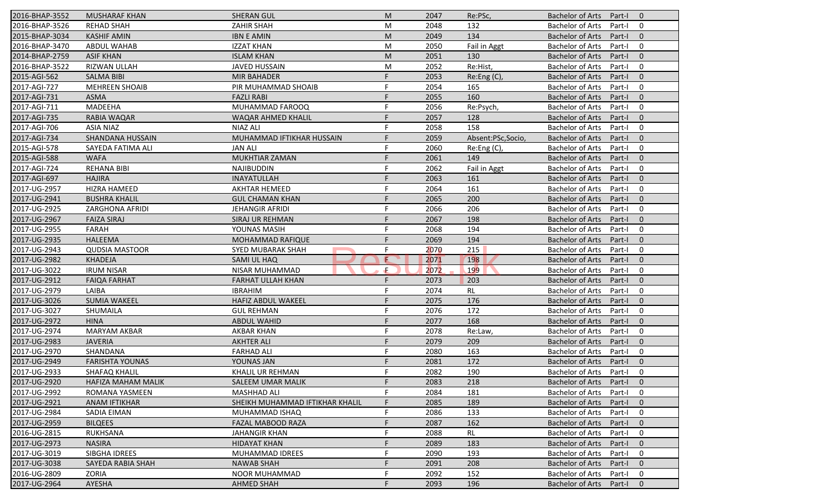| 2016-BHAP-3552 | <b>MUSHARAF KHAN</b>   | <b>SHERAN GUL</b>               | M  | 2047 | Re:PSc,           | Bachelor of Arts        | Part-I 0 |                          |
|----------------|------------------------|---------------------------------|----|------|-------------------|-------------------------|----------|--------------------------|
| 2016-BHAP-3526 | <b>REHAD SHAH</b>      | ZAHIR SHAH                      | М  | 2048 | 132               | <b>Bachelor of Arts</b> | Part-I 0 |                          |
| 2015-BHAP-3034 | <b>KASHIF AMIN</b>     | <b>IBN E AMIN</b>               | M  | 2049 | 134               | Bachelor of Arts        | Part-I   | $\overline{\phantom{0}}$ |
| 2016-BHAP-3470 | <b>ABDUL WAHAB</b>     | <b>IZZAT KHAN</b>               | M  | 2050 | Fail in Aggt      | <b>Bachelor of Arts</b> | Part-I   | $\overline{\mathbf{0}}$  |
| 2014-BHAP-2759 | <b>ASIF KHAN</b>       | <b>ISLAM KHAN</b>               | M  | 2051 | 130               | <b>Bachelor of Arts</b> | Part-I   | $\overline{0}$           |
| 2016-BHAP-3522 | RIZWAN ULLAH           | <b>JAVED HUSSAIN</b>            | M  | 2052 | Re:Hist,          | <b>Bachelor of Arts</b> | Part-I   | $\mathbf 0$              |
| 2015-AGI-562   | <b>SALMA BIBI</b>      | <b>MIR BAHADER</b>              | F. | 2053 | Re:Eng(C),        | <b>Bachelor of Arts</b> | Part-I   | $\mathbf 0$              |
| 2017-AGI-727   | <b>MEHREEN SHOAIB</b>  | PIR MUHAMMAD SHOAIB             | F  | 2054 | 165               | <b>Bachelor of Arts</b> | Part-I   | $\overline{0}$           |
| 2017-AGI-731   | ASMA                   | <b>FAZLI RABI</b>               | F  | 2055 | 160               | <b>Bachelor of Arts</b> | Part-I   | $\overline{0}$           |
| 2017-AGI-711   | MADEEHA                | MUHAMMAD FAROOQ                 | F  | 2056 | Re:Psych,         | <b>Bachelor of Arts</b> | Part-I   | $\overline{\mathbf{0}}$  |
| 2017-AGI-735   | RABIA WAQAR            | WAQAR AHMED KHALIL              | F  | 2057 | 128               | Bachelor of Arts        | Part-I   | $\overline{\mathbf{0}}$  |
| 2017-AGI-706   | <b>ASIA NIAZ</b>       | NIAZ ALI                        | F  | 2058 | 158               | <b>Bachelor of Arts</b> | Part-I   | $\overline{\mathbf{0}}$  |
| 2017-AGI-734   | SHANDANA HUSSAIN       | MUHAMMAD IFTIKHAR HUSSAIN       | F. | 2059 | Absent:PSc,Socio, | <b>Bachelor of Arts</b> | Part-I   | $\overline{\phantom{0}}$ |
| 2015-AGI-578   | SAYEDA FATIMA ALI      | <b>JAN ALI</b>                  | F  | 2060 | Re:Eng (C),       | <b>Bachelor of Arts</b> | Part-I   | $\overline{0}$           |
| 2015-AGI-588   | <b>WAFA</b>            | <b>MUKHTIAR ZAMAN</b>           | F  | 2061 | 149               | <b>Bachelor of Arts</b> | Part-I   | $\overline{0}$           |
| 2017-AGI-724   | <b>REHANA BIBI</b>     | <b>NAJIBUDDIN</b>               |    | 2062 | Fail in Aggt      | <b>Bachelor of Arts</b> | Part-I   | $\overline{0}$           |
| 2017-AGI-697   | <b>HAJIRA</b>          | INAYATULLAH                     | F  | 2063 | 161               | <b>Bachelor of Arts</b> | Part-I   | $\overline{0}$           |
| 2017-UG-2957   | <b>HIZRA HAMEED</b>    | <b>AKHTAR HEMEED</b>            | F  | 2064 | 161               | <b>Bachelor of Arts</b> | Part-I   | $\overline{0}$           |
| 2017-UG-2941   | <b>BUSHRA KHALIL</b>   | <b>GUL CHAMAN KHAN</b>          | F  | 2065 | 200               | <b>Bachelor of Arts</b> | Part-I   | $\overline{0}$           |
| 2017-UG-2925   | ZARGHONA AFRIDI        | <b>JEHANGIR AFRIDI</b>          | F. | 2066 | 206               | <b>Bachelor of Arts</b> | Part-I   | $\overline{0}$           |
| 2017-UG-2967   | <b>FAIZA SIRAJ</b>     | SIRAJ UR REHMAN                 | F  | 2067 | 198               | <b>Bachelor of Arts</b> | Part-I   | $\overline{0}$           |
| 2017-UG-2955   | <b>FARAH</b>           | YOUNAS MASIH                    | F  | 2068 | 194               | <b>Bachelor of Arts</b> | Part-I   | $\mathbf 0$              |
| 2017-UG-2935   | <b>HALEEMA</b>         | MOHAMMAD RAFIQUE                | F  | 2069 | 194               | <b>Bachelor of Arts</b> | Part-I   | $\mathbf 0$              |
| 2017-UG-2943   | <b>QUDSIA MASTOOR</b>  | SYED MUBARAK SHAH               | F  | 2070 | 215               | <b>Bachelor of Arts</b> | Part-I   | $\overline{0}$           |
| 2017-UG-2982   | <b>KHADEJA</b>         | SAMI UL HAQ                     | E  | 2071 | 198               | <b>Bachelor of Arts</b> | Part-I   | $\overline{0}$           |
| 2017-UG-3022   | <b>IRUM NISAR</b>      | <b>NISAR MUHAMMAD</b>           | £. | 2072 | 199               | <b>Bachelor of Arts</b> | Part-I   | $\overline{\mathbf{0}}$  |
| 2017-UG-2912   | <b>FAIQA FARHAT</b>    | FARHAT ULLAH KHAN               | F  | 2073 | 203               | <b>Bachelor of Arts</b> | Part-I   | $\overline{\mathbf{0}}$  |
| 2017-UG-2979   | LAIBA                  | <b>IBRAHIM</b>                  | F  | 2074 | RL                | <b>Bachelor of Arts</b> | Part-I   | $\overline{\mathbf{0}}$  |
| 2017-UG-3026   | <b>SUMIA WAKEEL</b>    | <b>HAFIZ ABDUL WAKEEL</b>       | F  | 2075 | 176               | <b>Bachelor of Arts</b> | Part-I   | $\overline{0}$           |
| 2017-UG-3027   | SHUMAILA               | <b>GUL REHMAN</b>               | F  | 2076 | 172               | <b>Bachelor of Arts</b> | Part-I   | $\overline{\mathbf{0}}$  |
| 2017-UG-2972   | <b>HINA</b>            | <b>ABDUL WAHID</b>              | F  | 2077 | 168               | <b>Bachelor of Arts</b> | Part-I   | $\overline{0}$           |
| 2017-UG-2974   | <b>MARYAM AKBAR</b>    | <b>AKBAR KHAN</b>               | F  | 2078 | Re:Law,           | <b>Bachelor of Arts</b> | Part-I   | $\overline{0}$           |
| 2017-UG-2983   | <b>JAVERIA</b>         | <b>AKHTER ALI</b>               | F  | 2079 | 209               | <b>Bachelor of Arts</b> | Part-I   | $\overline{0}$           |
| 2017-UG-2970   | SHANDANA               | <b>FARHAD ALI</b>               | F  | 2080 | 163               | <b>Bachelor of Arts</b> | Part-I   | $\overline{0}$           |
| 2017-UG-2949   | <b>FARISHTA YOUNAS</b> | YOUNAS JAN                      |    | 2081 | 172               | Bachelor of Arts        | Part-I   | $\overline{\phantom{0}}$ |
| 2017-UG-2933   | SHAFAQ KHALIL          | KHALIL UR REHMAN                | F. | 2082 | 190               | <b>Bachelor of Arts</b> | Part-I 0 |                          |
| 2017-UG-2920   | HAFIZA MAHAM MALIK     | SALEEM UMAR MALIK               |    | 2083 | 218               | <b>Bachelor of Arts</b> | Part-I   | $\overline{0}$           |
| 2017-UG-2992   | ROMANA YASMEEN         | <b>MASHHAD ALI</b>              | F. | 2084 | 181               | <b>Bachelor of Arts</b> | Part-I   | $\mathbf 0$              |
| 2017-UG-2921   | <b>ANAM IFTIKHAR</b>   | SHEIKH MUHAMMAD IFTIKHAR KHALIL | F  | 2085 | 189               | <b>Bachelor of Arts</b> | Part-I   | $\mathbf 0$              |
| 2017-UG-2984   | SADIA EIMAN            | MUHAMMAD ISHAQ                  | F  | 2086 | 133               | <b>Bachelor of Arts</b> | Part-I   | 0                        |
| 2017-UG-2959   | <b>BILQEES</b>         | FAZAL MABOOD RAZA               | F  | 2087 | 162               | <b>Bachelor of Arts</b> | Part-I   | $\overline{0}$           |
| 2016-UG-2815   | RUKHSANA               | <b>JAHANGIR KHAN</b>            | F  | 2088 | RL                | <b>Bachelor of Arts</b> | Part-I   | $\mathbf{0}$             |
| 2017-UG-2973   | <b>NASIRA</b>          | <b>HIDAYAT KHAN</b>             | F  | 2089 | 183               | <b>Bachelor of Arts</b> | Part-I   | $\overline{0}$           |
| 2017-UG-3019   | SIBGHA IDREES          | MUHAMMAD IDREES                 | F  | 2090 | 193               | <b>Bachelor of Arts</b> | Part-I   | - 0                      |
| 2017-UG-3038   | SAYEDA RABIA SHAH      | <b>NAWAB SHAH</b>               | F  | 2091 | 208               | <b>Bachelor of Arts</b> | Part-I   | $\overline{\phantom{0}}$ |
| 2016-UG-2809   | ZORIA                  | NOOR MUHAMMAD                   | F  | 2092 | 152               | <b>Bachelor of Arts</b> | Part-I   | $\overline{0}$           |
| 2017-UG-2964   | AYESHA                 | <b>AHMED SHAH</b>               | F  | 2093 | 196               | <b>Bachelor of Arts</b> | Part-I 0 |                          |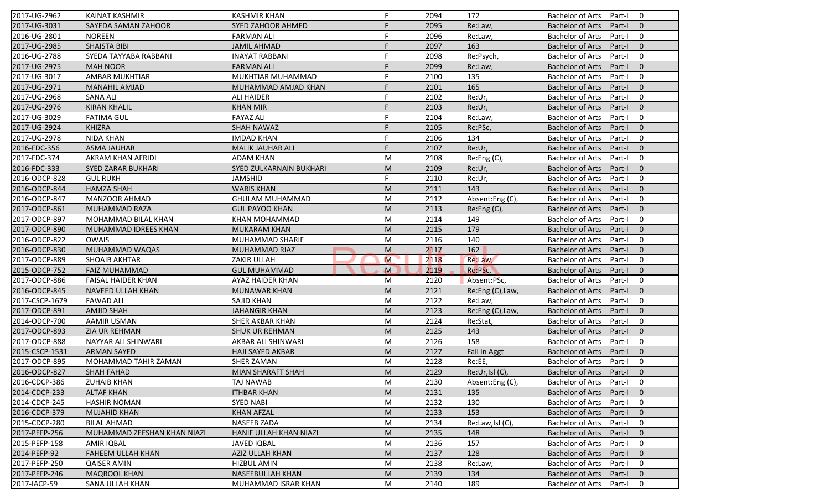| 2017-UG-2962   | <b>KAINAT KASHMIR</b>       | <b>KASHMIR KHAN</b>            | F. | 2094         | 172              | <b>Bachelor of Arts</b><br>$\Omega$<br>Part-I       |
|----------------|-----------------------------|--------------------------------|----|--------------|------------------|-----------------------------------------------------|
| 2017-UG-3031   | SAYEDA SAMAN ZAHOOR         | <b>SYED ZAHOOR AHMED</b>       | F  | 2095         | Re:Law,          | <b>Bachelor of Arts</b><br>Part-I<br>$\mathbf{0}$   |
| 2016-UG-2801   | <b>NOREEN</b>               | <b>FARMAN ALI</b>              | F  | 2096         | Re:Law,          | <b>Bachelor of Arts</b><br>Part-I<br>0              |
| 2017-UG-2985   | <b>SHAISTA BIBI</b>         | <b>JAMIL AHMAD</b>             | F  | 2097         | 163              | $\mathbf{0}$<br><b>Bachelor of Arts</b><br>Part-I   |
| 2016-UG-2788   | SYEDA TAYYABA RABBANI       | <b>INAYAT RABBANI</b>          | F  | 2098         | Re:Psych,        | 0<br><b>Bachelor of Arts</b><br>Part-I              |
| 2017-UG-2975   | <b>MAH NOOR</b>             | <b>FARMAN ALI</b>              |    | 2099         | Re:Law,          | $\overline{0}$<br><b>Bachelor of Arts</b><br>Part-I |
| 2017-UG-3017   | <b>AMBAR MUKHTIAR</b>       | MUKHTIAR MUHAMMAD              | F  | 2100         | 135              | 0<br><b>Bachelor of Arts</b><br>Part-I              |
| 2017-UG-2971   | <b>MANAHIL AMJAD</b>        | MUHAMMAD AMJAD KHAN            | F  | 2101         | 165              | $\mathbf{0}$<br><b>Bachelor of Arts</b><br>Part-I   |
| 2017-UG-2968   | <b>SANA ALI</b>             | <b>ALI HAIDER</b>              | F  | 2102         | Re:Ur,           | <b>Bachelor of Arts</b><br>Part-I<br>$\mathbf 0$    |
| 2017-UG-2976   | <b>KIRAN KHALIL</b>         | <b>KHAN MIR</b>                | F  | 2103         | Re:Ur,           | <b>Bachelor of Arts</b><br>Part-I<br>$\Omega$       |
| 2017-UG-3029   | <b>FATIMA GUL</b>           | <b>FAYAZ ALI</b>               | F  | 2104         | Re:Law,          | <b>Bachelor of Arts</b><br>Part-I<br>$\mathbf 0$    |
| 2017-UG-2924   | <b>KHIZRA</b>               | <b>SHAH NAWAZ</b>              | F  | 2105         | Re:PSc,          | <b>Bachelor of Arts</b><br>Part-I<br>$\Omega$       |
| 2017-UG-2978   | <b>NIDA KHAN</b>            | <b>IMDAD KHAN</b>              | F  | 2106         | 134              | <b>Bachelor of Arts</b><br>$\mathbf 0$<br>Part-I    |
| 2016-FDC-356   | <b>ASMA JAUHAR</b>          | <b>MALIK JAUHAR ALI</b>        | F. | 2107         | Re:Ur,           | $\Omega$<br><b>Bachelor of Arts</b><br>Part-I       |
| 2017-FDC-374   | AKRAM KHAN AFRIDI           | ADAM KHAN                      | M  | 2108         | Re:Eng(C),       | $\mathbf 0$<br><b>Bachelor of Arts</b><br>Part-I    |
| 2016-FDC-333   | <b>SYED ZARAR BUKHARI</b>   | <b>SYED ZULKARNAIN BUKHARI</b> | M  |              |                  | <b>Bachelor of Arts</b><br>Part-I<br>$\Omega$       |
| 2016-ODCP-828  | <b>GUL RUKH</b>             | <b>JAMSHID</b>                 | F. | 2109<br>2110 | Re:Ur,<br>Re:Ur, | <b>Bachelor of Arts</b><br>$\mathbf 0$<br>Part-I    |
| 2016-ODCP-844  | <b>HAMZA SHAH</b>           | <b>WARIS KHAN</b>              |    |              |                  |                                                     |
|                |                             |                                | M  | 2111         | 143              | <b>Bachelor of Arts</b><br>$\mathbf{0}$<br>Part-I   |
| 2016-ODCP-847  | <b>MANZOOR AHMAD</b>        | GHULAM MUHAMMAD                | M  | 2112         | Absent:Eng (C),  | <b>Bachelor of Arts</b><br>$\mathbf 0$<br>Part-I    |
| 2017-ODCP-861  | MUHAMMAD RAZA               | <b>GUL PAYOO KHAN</b>          | M  | 2113         | Re:Eng(C),       | <b>Bachelor of Arts</b><br>$\mathbf{0}$<br>Part-I   |
| 2017-ODCP-897  | MOHAMMAD BILAL KHAN         | <b>KHAN MOHAMMAD</b>           | M  | 2114         | 149              | <b>Bachelor of Arts</b><br>$\mathbf 0$<br>Part-I    |
| 2017-ODCP-890  | <b>MUHAMMAD IDREES KHAN</b> | <b>MUKARAM KHAN</b>            | M  | 2115         | 179              | $\mathbf{0}$<br><b>Bachelor of Arts</b><br>Part-I   |
| 2016-ODCP-822  | <b>OWAIS</b>                | MUHAMMAD SHARIF                | M  | 2116         | 140              | <b>Bachelor of Arts</b><br>Part-I<br>0              |
| 2016-ODCP-830  | MUHAMMAD WAQAS              | <b>MUHAMMAD RIAZ</b>           | M  | 2117         | 162              | $\mathbf{0}$<br><b>Bachelor of Arts</b><br>Part-I   |
| 2017-ODCP-889  | <b>SHOAIB AKHTAR</b>        | ZAKIR ULLAH                    | M  | 2118         | Re:Law,          | <b>Bachelor of Arts</b><br>$\mathbf 0$<br>Part-I    |
| 2015-ODCP-752  | <b>FAIZ MUHAMMAD</b>        | <b>GUL MUHAMMAD</b>            | M  | 2119         | Re:PSc,          | <b>Bachelor of Arts</b><br>$\mathbf{0}$<br>Part-I   |
| 2017-ODCP-886  | FAISAL HAIDER KHAN          | AYAZ HAIDER KHAN               | M  | 2120         | Absent:PSc,      | <b>Bachelor of Arts</b><br>Part-I<br>0              |
| 2016-ODCP-845  | NAVEED ULLAH KHAN           | <b>MUNAWAR KHAN</b>            | M  | 2121         | Re:Eng (C), Law, | <b>Bachelor of Arts</b><br>Part-I<br>$\Omega$       |
| 2017-CSCP-1679 | <b>FAWAD ALI</b>            | <b>SAJID KHAN</b>              | M  | 2122         | Re:Law,          | <b>Bachelor of Arts</b><br>$\mathbf 0$<br>Part-I    |
| 2017-ODCP-891  | <b>AMJID SHAH</b>           | <b>JAHANGIR KHAN</b>           | M  | 2123         | Re:Eng (C), Law, | $\mathbf{0}$<br><b>Bachelor of Arts</b><br>Part-I   |
| 2014-ODCP-700  | AAMIR USMAN                 | SHER AKBAR KHAN                | M  | 2124         | Re:Stat,         | <b>Bachelor of Arts</b><br>Part-I<br>0              |
| 2017-ODCP-893  | ZIA UR REHMAN               | <b>SHUK UR REHMAN</b>          | M  | 2125         | 143              | $\Omega$<br><b>Bachelor of Arts</b><br>Part-I       |
| 2017-ODCP-888  | NAYYAR ALI SHINWARI         | AKBAR ALI SHINWARI             | M  | 2126         | 158              | <b>Bachelor of Arts</b><br>$\mathbf 0$<br>Part-I    |
| 2015-CSCP-1531 | <b>ARMAN SAYED</b>          | <b>HAJI SAYED AKBAR</b>        | M  | 2127         | Fail in Aggt     | <b>Bachelor of Arts</b><br>$\mathbf{0}$<br>Part-I   |
| 2017-ODCP-895  | MOHAMMAD TAHIR ZAMAN        | <b>SHER ZAMAN</b>              | M  | 2128         | Re:EE,           | <b>Bachelor of Arts</b><br>Part-I<br>0              |
| 2016-ODCP-827  | <b>SHAH FAHAD</b>           | MIAN SHARAFT SHAH              | M  | 2129         | Re:Ur,Isl (C),   | Bachelor of Arts Part-I 0                           |
| 2016-CDCP-386  | <b>ZUHAIB KHAN</b>          | TAJ NAWAB                      | M  | 2130         | Absent:Eng(C),   | Bachelor of Arts Part-I<br>$\mathbf 0$              |
| 2014-CDCP-233  | <b>ALTAF KHAN</b>           | <b>ITHBAR KHAN</b>             | M  | 2131         | 135              | <b>Bachelor of Arts</b><br>Part-I<br>$\mathbf{0}$   |
| 2014-CDCP-245  | <b>HASHIR NOMAN</b>         | <b>SYED NABI</b>               | M  | 2132         | 130              | <b>Bachelor of Arts</b><br>Part-I<br>0              |
| 2016-CDCP-379  | <b>MUJAHID KHAN</b>         | <b>KHAN AFZAL</b>              | M  | 2133         | 153              | <b>Bachelor of Arts</b><br>Part-I<br>$\mathbf{0}$   |
| 2015-CDCP-280  | <b>BILAL AHMAD</b>          | <b>NASEEB ZADA</b>             | M  | 2134         | Re:Law,Isl (C)   | <b>Bachelor of Arts</b><br>0<br>Part-I              |
| 2017-PEFP-256  | MUHAMMAD ZEESHAN KHAN NIAZI | HANIF ULLAH KHAN NIAZI         | M  | 2135         | 148              | <b>Bachelor of Arts</b><br>Part-I<br>$\mathbf{0}$   |
| 2015-PEFP-158  | <b>AMIR IQBAL</b>           | <b>JAVED IQBAL</b>             | M  | 2136         | 157              | <b>Bachelor of Arts</b><br>0<br>Part-I              |
| 2014-PEFP-92   | FAHEEM ULLAH KHAN           | AZIZ ULLAH KHAN                | M  | 2137         | 128              | <b>Bachelor of Arts</b><br>Part-I<br>$\mathbf 0$    |
| 2017-PEFP-250  | <b>QAISER AMIN</b>          | <b>HIZBUL AMIN</b>             | M  | 2138         | Re:Law,          | <b>Bachelor of Arts</b><br>Part-I<br>0              |
|                |                             |                                |    |              |                  |                                                     |
| 2017-PEFP-246  | MAQBOOL KHAN                | NASEEBULLAH KHAN               | M  | 2139         | 134              | <b>Bachelor of Arts</b><br>Part-I<br>$\mathbf{0}$   |
| 2017-IACP-59   | SANA ULLAH KHAN             | MUHAMMAD ISRAR KHAN            | M  | 2140         | 189              | Bachelor of Arts<br>0<br>Part-I                     |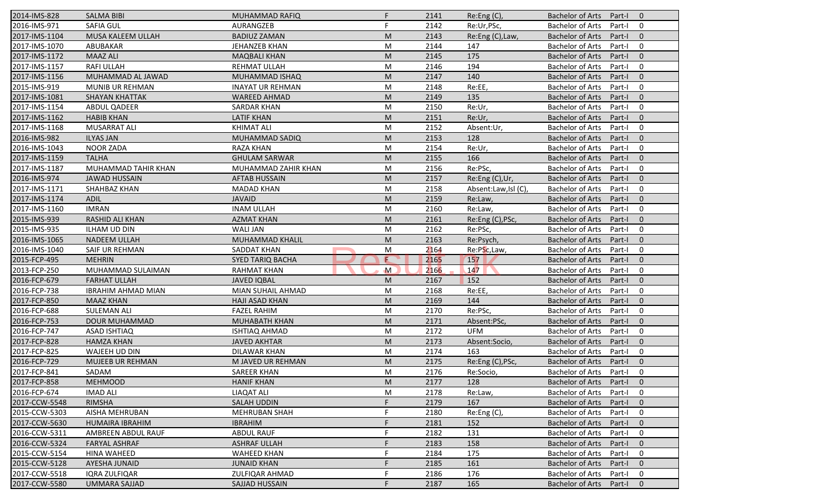| 2014-IMS-828  | <b>SALMA BIBI</b>         | <b>MUHAMMAD RAFIQ</b>   | F.           | 2141 | Re: Eng(C)          | <b>Bachelor of Arts</b><br>Part-I<br>$\overline{0}$ |
|---------------|---------------------------|-------------------------|--------------|------|---------------------|-----------------------------------------------------|
| 2016-IMS-971  | <b>SAFIA GUL</b>          | AURANGZEB               | F.           | 2142 | Re:Ur,PSc,          | <b>Bachelor of Arts</b><br>Part-I<br>0              |
| 2017-IMS-1104 | MUSA KALEEM ULLAH         | <b>BADIUZ ZAMAN</b>     | M            | 2143 | Re:Eng (C), Law,    | <b>Bachelor of Arts</b><br>Part-I<br>$\mathbf{0}$   |
| 2017-IMS-1070 | ABUBAKAR                  | JEHANZEB KHAN           | M            | 2144 | 147                 | <b>Bachelor of Arts</b><br>$\mathbf 0$<br>Part-I    |
| 2017-IMS-1172 | <b>MAAZ ALI</b>           | <b>MAQBALI KHAN</b>     | M            | 2145 | 175                 | $\mathbf{0}$<br><b>Bachelor of Arts</b><br>Part-I   |
| 2017-IMS-1157 | <b>RAFI ULLAH</b>         | REHMAT ULLAH            | M            | 2146 | 194                 | <b>Bachelor of Arts</b><br>Part-I<br>0              |
| 2017-IMS-1156 | MUHAMMAD AL JAWAD         | <b>MUHAMMAD ISHAQ</b>   | M            | 2147 | 140                 | $\mathbf{0}$<br><b>Bachelor of Arts</b><br>Part-I   |
| 2015-IMS-919  | MUNIB UR REHMAN           | <b>INAYAT UR REHMAN</b> | M            | 2148 | Re:EE,              | <b>Bachelor of Arts</b><br>$\mathbf 0$<br>Part-I    |
| 2017-IMS-1081 | <b>SHAYAN KHATTAK</b>     | <b>WAREED AHMAD</b>     | M            | 2149 | 135                 | <b>Bachelor of Arts</b><br>$\mathbf{0}$<br>Part-I   |
| 2017-IMS-1154 | <b>ABDUL QADEER</b>       | <b>SARDAR KHAN</b>      | M            | 2150 | Re:Ur,              | <b>Bachelor of Arts</b><br>Part-I<br>$\mathbf 0$    |
| 2017-IMS-1162 | <b>HABIB KHAN</b>         | <b>LATIF KHAN</b>       | M            | 2151 | Re:Ur,              | <b>Bachelor of Arts</b><br>Part-I<br>$\mathbf{0}$   |
| 2017-IMS-1168 | <b>MUSARRAT ALI</b>       | <b>KHIMAT ALI</b>       | M            | 2152 | Absent:Ur,          | <b>Bachelor of Arts</b><br>Part-I<br>0              |
| 2016-IMS-982  | <b>ILYAS JAN</b>          | MUHAMMAD SADIQ          | M            | 2153 | 128                 | <b>Bachelor of Arts</b><br>$\mathbf{0}$<br>Part-I   |
| 2016-IMS-1043 | <b>NOOR ZADA</b>          | RAZA KHAN               | M            | 2154 | Re:Ur,              | <b>Bachelor of Arts</b><br>0<br>Part-I              |
| 2017-IMS-1159 | <b>TALHA</b>              | <b>GHULAM SARWAR</b>    | M            | 2155 | 166                 | <b>Bachelor of Arts</b><br>Part-I<br>$\overline{0}$ |
| 2017-IMS-1187 | MUHAMMAD TAHIR KHAN       | MUHAMMAD ZAHIR KHAN     | M            | 2156 | Re:PSc,             | <b>Bachelor of Arts</b><br>0<br>Part-I              |
| 2016-IMS-974  | <b>JAWAD HUSSAIN</b>      | <b>AFTAB HUSSAIN</b>    | M            | 2157 | Re:Eng (C),Ur,      | <b>Bachelor of Arts</b><br>$\mathbf{0}$<br>Part-I   |
| 2017-IMS-1171 | SHAHBAZ KHAN              | <b>MADAD KHAN</b>       | M            | 2158 | Absent:Law,Isl (C), | <b>Bachelor of Arts</b><br>0<br>Part-I              |
| 2017-IMS-1174 | <b>ADIL</b>               | <b>JAVAID</b>           | M            | 2159 | Re:Law,             | <b>Bachelor of Arts</b><br>$\mathbf{0}$<br>Part-I   |
| 2017-IMS-1160 | <b>IMRAN</b>              | <b>INAM ULLAH</b>       | M            | 2160 | Re:Law,             | <b>Bachelor of Arts</b><br>0<br>Part-I              |
| 2015-IMS-939  | RASHID ALI KHAN           | <b>AZMAT KHAN</b>       | M            | 2161 | Re:Eng (C), PSc,    | <b>Bachelor of Arts</b><br>$\mathbf{0}$<br>Part-I   |
| 2015-IMS-935  | <b>ILHAM UD DIN</b>       | <b>WALI JAN</b>         | M            | 2162 | Re:PSc,             | <b>Bachelor of Arts</b><br>0<br>Part-I              |
| 2016-IMS-1065 | <b>NADEEM ULLAH</b>       | <b>MUHAMMAD KHALIL</b>  | M            | 2163 | Re:Psych,           | <b>Bachelor of Arts</b><br>$\overline{0}$<br>Part-I |
| 2016-IMS-1040 | SAIF UR REHMAN            | SADDAT KHAN             | M            | 2164 | Re:PSc,Law,         | <b>Bachelor of Arts</b><br>0<br>Part-I              |
| 2015-FCP-495  | <b>MEHRIN</b>             | <b>SYED TARIQ BACHA</b> | E            | 2165 | 157                 | $\mathbf{0}$<br><b>Bachelor of Arts</b><br>Part-I   |
| 2013-FCP-250  | MUHAMMAD SULAIMAN         | <b>RAHMAT KHAN</b>      | $\mathsf{M}$ | 2166 | 147                 | <b>Bachelor of Arts</b><br>0<br>Part-I              |
| 2016-FCP-679  | <b>FARHAT ULLAH</b>       | <b>JAVED IQBAL</b>      | M            | 2167 | 152                 | <b>Bachelor of Arts</b><br>Part-I<br>$\overline{0}$ |
| 2016-FCP-738  | <b>IBRAHIM AHMAD MIAN</b> | MIAN SUHAIL AHMAD       | M            | 2168 | Re:EE,              | <b>Bachelor of Arts</b><br>Part-I<br>0              |
| 2017-FCP-850  | <b>MAAZ KHAN</b>          | HAJI ASAD KHAN          | M            | 2169 | 144                 | <b>Bachelor of Arts</b><br>$\mathbf{0}$<br>Part-I   |
| 2016-FCP-688  | <b>SULEMAN ALI</b>        | <b>FAZEL RAHIM</b>      | M            | 2170 | Re:PSc,             | <b>Bachelor of Arts</b><br>0<br>Part-I              |
| 2016-FCP-753  | <b>DOUR MUHAMMAD</b>      | MUHABATH KHAN           | M            | 2171 | Absent:PSc,         | <b>Bachelor of Arts</b><br>$\overline{0}$<br>Part-I |
| 2016-FCP-747  | <b>ASAD ISHTIAQ</b>       | <b>ISHTIAQ AHMAD</b>    | M            | 2172 | <b>UFM</b>          | <b>Bachelor of Arts</b><br>0<br>Part-I              |
| 2017-FCP-828  | <b>HAMZA KHAN</b>         | <b>JAVED AKHTAR</b>     | M            | 2173 | Absent:Socio,       | <b>Bachelor of Arts</b><br>Part-I<br>$\overline{0}$ |
| 2017-FCP-825  | WAJEEH UD DIN             | <b>DILAWAR KHAN</b>     | M            | 2174 | 163                 | <b>Bachelor of Arts</b><br>Part-I<br>$\mathbf 0$    |
| 2016-FCP-729  | <b>MUJEEB UR REHMAN</b>   | M JAVED UR REHMAN       | M            | 2175 | Re:Eng (C), PSc,    | <b>Bachelor of Arts</b><br>Part-I<br>$\mathbf 0$    |
| 2017-FCP-841  | SADAM                     | <b>SAREER KHAN</b>      | M            | 2176 | Re:Socio,           | Bachelor of Arts Part-I<br>$\mathbf 0$              |
| 2017-FCP-858  | <b>MEHMOOD</b>            | <b>HANIF KHAN</b>       | M            | 2177 | 128                 | Bachelor of Arts Part-I<br>$\overline{0}$           |
| 2016-FCP-674  | <b>IMAD ALI</b>           | LIAQAT ALI              | M            | 2178 | Re:Law,             | <b>Bachelor of Arts</b><br>Part-I<br>0              |
| 2017-CCW-5548 | <b>RIMSHA</b>             | <b>SALAH UDDIN</b>      | F            | 2179 | 167                 | <b>Bachelor of Arts</b><br>Part-I<br>$\mathbf{0}$   |
| 2015-CCW-5303 | AISHA MEHRUBAN            | <b>MEHRUBAN SHAH</b>    |              | 2180 | Re:Eng (C),         | <b>Bachelor of Arts</b><br>0<br>Part-I              |
| 2017-CCW-5630 | HUMAIRA IBRAHIM           | <b>IBRAHIM</b>          |              | 2181 | 152                 | <b>Bachelor of Arts</b><br>$\mathbf 0$<br>Part-I    |
| 2016-CCW-5311 | AMBREEN ABDUL RAUF        | <b>ABDUL RAUF</b>       | F            | 2182 | 131                 | <b>Bachelor of Arts</b><br>0<br>Part-I              |
| 2016-CCW-5324 | <b>FARYAL ASHRAF</b>      | <b>ASHRAF ULLAH</b>     |              | 2183 | 158                 | <b>Bachelor of Arts</b><br>$\mathbf 0$<br>Part-I    |
| 2015-CCW-5154 | <b>HINA WAHEED</b>        | <b>WAHEED KHAN</b>      |              | 2184 | 175                 | <b>Bachelor of Arts</b><br>0<br>Part-I              |
| 2015-CCW-5128 | AYESHA JUNAID             | <b>JUNAID KHAN</b>      |              | 2185 | 161                 | <b>Bachelor of Arts</b><br>$\mathbf 0$<br>Part-I    |
| 2017-CCW-5518 | <b>IQRA ZULFIQAR</b>      | <b>ZULFIQAR AHMAD</b>   |              | 2186 | 176                 | <b>Bachelor of Arts</b><br>0<br>Part-I              |
| 2017-CCW-5580 | <b>UMMARA SAJJAD</b>      | SAJJAD HUSSAIN          |              | 2187 | 165                 | Bachelor of Arts<br>$\mathbf 0$<br>Part-I           |
|               |                           |                         |              |      |                     |                                                     |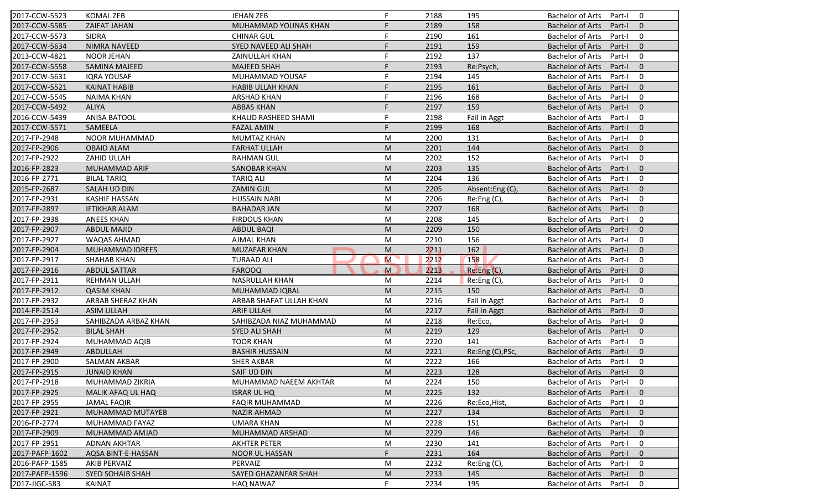| 2017-CCW-5523  | <b>KOMAL ZEB</b>        | <b>JEHAN ZEB</b>        | F. | 2188 | 195              | <b>Bachelor of Arts</b><br>$\mathbf 0$<br>Part-I    |
|----------------|-------------------------|-------------------------|----|------|------------------|-----------------------------------------------------|
| 2017-CCW-5585  | ZAIFAT JAHAN            | MUHAMMAD YOUNAS KHAN    | F. | 2189 | 158              | <b>Bachelor of Arts</b><br>Part-I<br>$\mathbf{0}$   |
| 2017-CCW-5573  | <b>SIDRA</b>            | <b>CHINAR GUL</b>       | F  | 2190 | 161              | <b>Bachelor of Arts</b><br>Part-I<br>$\mathbf 0$    |
| 2017-CCW-5634  | <b>NIMRA NAVEED</b>     | SYED NAVEED ALI SHAH    | F. | 2191 | 159              | <b>Bachelor of Arts</b><br>$\mathbf{0}$<br>Part-I   |
| 2013-CCW-4821  | <b>NOOR JEHAN</b>       | <b>ZAINULLAH KHAN</b>   | F  | 2192 | 137              | <b>Bachelor of Arts</b><br>$\mathbf 0$<br>Part-I    |
| 2017-CCW-5558  | <b>SAMINA MAJEED</b>    | <b>MAJEED SHAH</b>      | F. | 2193 | Re:Psych,        | <b>Bachelor of Arts</b><br>Part-I<br>$\overline{0}$ |
| 2017-CCW-5631  | <b>IQRA YOUSAF</b>      | MUHAMMAD YOUSAF         | F  | 2194 | 145              | $\mathbf 0$<br><b>Bachelor of Arts</b><br>Part-I    |
| 2017-CCW-5521  | <b>KAINAT HABIB</b>     | <b>HABIB ULLAH KHAN</b> | F  | 2195 | 161              | <b>Bachelor of Arts</b><br>$\mathbf{0}$<br>Part-I   |
| 2017-CCW-5545  | <b>NAIMA KHAN</b>       | <b>ARSHAD KHAN</b>      | F  | 2196 | 168              | <b>Bachelor of Arts</b><br>Part-I<br>$\mathbf 0$    |
| 2017-CCW-5492  | <b>ALIYA</b>            | <b>ABBAS KHAN</b>       | F  | 2197 | 159              | <b>Bachelor of Arts</b><br>Part-I<br>$\mathbf{0}$   |
| 2016-CCW-5439  | <b>ANISA BATOOL</b>     | KHALID RASHEED SHAMI    | F  | 2198 | Fail in Aggt     | <b>Bachelor of Arts</b><br>Part-I<br>$\mathbf 0$    |
| 2017-CCW-5571  | SAMEELA                 | <b>FAZAL AMIN</b>       | F. | 2199 | 168              | <b>Bachelor of Arts</b><br>Part-I<br>$\mathbf{0}$   |
| 2017-FP-2948   | NOOR MUHAMMAD           | <b>MUMTAZ KHAN</b>      | M  | 2200 | 131              | <b>Bachelor of Arts</b><br>$\mathbf 0$<br>Part-I    |
| 2017-FP-2906   | <b>OBAID ALAM</b>       | <b>FARHAT ULLAH</b>     | M  | 2201 | 144              | <b>Bachelor of Arts</b><br>$\mathbf{0}$<br>Part-I   |
| 2017-FP-2922   | ZAHID ULLAH             | <b>RAHMAN GUL</b>       | M  | 2202 | 152              | $\mathbf 0$<br><b>Bachelor of Arts</b><br>Part-I    |
| 2016-FP-2823   | MUHAMMAD ARIF           | <b>SANOBAR KHAN</b>     | M  | 2203 | 135              | $\Omega$<br><b>Bachelor of Arts</b><br>Part-I       |
| 2016-FP-2771   | <b>BILAL TARIQ</b>      | <b>TARIQ ALI</b>        | M  | 2204 | 136              | <b>Bachelor of Arts</b><br>$\mathbf 0$<br>Part-I    |
| 2015-FP-2687   | <b>SALAH UD DIN</b>     | <b>ZAMIN GUL</b>        | M  | 2205 | Absent:Eng(C),   | <b>Bachelor of Arts</b><br>$\mathbf{0}$<br>Part-I   |
| 2017-FP-2931   | <b>KASHIF HASSAN</b>    | <b>HUSSAIN NABI</b>     | M  | 2206 | Re:Eng(C),       | <b>Bachelor of Arts</b><br>Part-I<br>$\mathbf 0$    |
| 2017-FP-2897   | <b>IFTIKHAR ALAM</b>    | <b>BAHADAR JAN</b>      | M  | 2207 | 168              | <b>Bachelor of Arts</b><br>$\mathbf{0}$<br>Part-I   |
| 2017-FP-2938   | <b>ANEES KHAN</b>       | <b>FIRDOUS KHAN</b>     | M  | 2208 | 145              | <b>Bachelor of Arts</b><br>0<br>Part-I              |
| 2017-FP-2907   | <b>ABDUL MAJID</b>      | <b>ABDUL BAQI</b>       | M  | 2209 | 150              | $\mathbf{0}$<br><b>Bachelor of Arts</b><br>Part-I   |
| 2017-FP-2927   | <b>WAQAS AHMAD</b>      | <b>AJMAL KHAN</b>       | M  | 2210 | 156              | <b>Bachelor of Arts</b><br>Part-I<br>0              |
| 2017-FP-2904   | MUHAMMAD IDREES         | <b>MUZAFAR KHAN</b>     | M  | 2211 | 162              | $\mathbf{0}$<br><b>Bachelor of Arts</b><br>Part-I   |
| 2017-FP-2917   | <b>SHAHAB KHAN</b>      | <b>TURAAD ALI</b>       | M  | 2212 | 158              | <b>Bachelor of Arts</b><br>0<br>Part-I              |
| 2017-FP-2916   | <b>ABDUL SATTAR</b>     | <b>FAROOQ</b>           | M  | 2213 | Re:Eng (C),      | <b>Bachelor of Arts</b><br>$\mathbf{0}$<br>Part-I   |
| 2017-FP-2911   | <b>REHMAN ULLAH</b>     | NASRULLAH KHAN          | M  | 2214 | Re:Eng (C),      | <b>Bachelor of Arts</b><br>Part-I<br>0              |
| 2017-FP-2912   | <b>QASIM KHAN</b>       | MUHAMMAD IQBAL          | M  | 2215 | 150              | <b>Bachelor of Arts</b><br>Part-I<br>$\mathbf{0}$   |
| 2017-FP-2932   | ARBAB SHERAZ KHAN       | ARBAB SHAFAT ULLAH KHAN | M  | 2216 | Fail in Aggt     | <b>Bachelor of Arts</b><br>0<br>Part-I              |
| 2014-FP-2514   | <b>ASIM ULLAH</b>       | <b>ARIF ULLAH</b>       | M  | 2217 | Fail in Aggt     | <b>Bachelor of Arts</b><br>$\mathbf{0}$<br>Part-I   |
| 2017-FP-2953   | SAHIBZADA ARBAZ KHAN    | SAHIBZADA NIAZ MUHAMMAD | M  | 2218 | Re:Eco,          | <b>Bachelor of Arts</b><br>Part-I<br>0              |
| 2017-FP-2952   | <b>BILAL SHAH</b>       | SYED ALI SHAH           | M  | 2219 | 129              | $\Omega$<br><b>Bachelor of Arts</b><br>Part-I       |
| 2017-FP-2924   | MUHAMMAD AQIB           | <b>TOOR KHAN</b>        | M  | 2220 | 141              | <b>Bachelor of Arts</b><br>0<br>Part-I              |
| 2017-FP-2949   | ABDULLAH                | <b>BASHIR HUSSAIN</b>   | M  | 2221 | Re:Eng (C), PSc, | <b>Bachelor of Arts</b><br>$\mathbf{0}$<br>Part-I   |
| 2017-FP-2900   | <b>SALMAN AKBAR</b>     | <b>SHER AKBAR</b>       | M  | 2222 | 166              | <b>Bachelor of Arts</b><br>Part-I<br>0              |
| 2017-FP-2915   | <b>JUNAID KHAN</b>      | SAIF UD DIN             | M  | 2223 | 128              | Bachelor of Arts Part-I 0                           |
| 2017-FP-2918   | MUHAMMAD ZIKRIA         | MUHAMMAD NAEEM AKHTAR   | M  | 2224 | 150              | Bachelor of Arts Part-I<br>$\mathbf 0$              |
| 2017-FP-2925   | MALIK AFAQ UL HAQ       | <b>ISRAR UL HQ</b>      | M  | 2225 | 132              | <b>Bachelor of Arts</b><br>Part-I<br>$\mathbf{0}$   |
| 2017-FP-2955   | <b>JAMAL FAQIR</b>      | <b>FAQIR MUHAMMAD</b>   | M  | 2226 | Re:Eco, Hist,    | <b>Bachelor of Arts</b><br>Part-I<br>0              |
| 2017-FP-2921   | MUHAMMAD MUTAYEB        | <b>NAZIR AHMAD</b>      | M  | 2227 | 134              | Bachelor of Arts<br>Part-I<br>$\mathbf{0}$          |
| 2016-FP-2774   | MUHAMMAD FAYAZ          | <b>UMARA KHAN</b>       | M  | 2228 | 151              | <b>Bachelor of Arts</b><br>0<br>Part-I              |
| 2017-FP-2909   | MUHAMMAD AMJAD          | MUHAMMAD ARSHAD         | M  | 2229 | 146              | <b>Bachelor of Arts</b><br>Part-I<br>$\mathbf{0}$   |
| 2017-FP-2951   | <b>ADNAN AKHTAR</b>     | <b>AKHTER PETER</b>     | M  | 2230 | 141              | <b>Bachelor of Arts</b><br>0<br>Part-I              |
| 2017-PAFP-1602 | AQSA BINT-E-HASSAN      | <b>NOOR UL HASSAN</b>   | F  | 2231 | 164              | <b>Bachelor of Arts</b><br>Part-I<br>$\mathbf 0$    |
| 2016-PAFP-1585 | <b>AKIB PERVAIZ</b>     | PERVAIZ                 | M  | 2232 | Re:Eng (C),      | <b>Bachelor of Arts</b><br>Part-I<br>0              |
| 2017-PAFP-1596 | <b>SYED SOHAIB SHAH</b> | SAYED GHAZANFAR SHAH    | M  | 2233 | 145              | <b>Bachelor of Arts</b><br>Part-I<br>$\mathbf{0}$   |
| 2017-JIGC-583  |                         |                         |    |      |                  |                                                     |
|                | <b>KAINAT</b>           | <b>HAQ NAWAZ</b>        |    | 2234 | 195              | Bachelor of Arts<br>Part-I<br>0                     |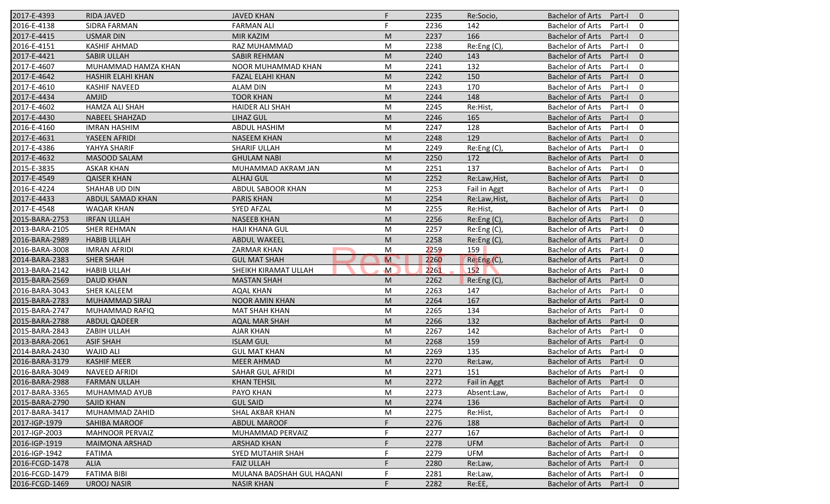| 2017-E-4393    | <b>RIDA JAVED</b>      | <b>JAVED KHAN</b>         | F.             | 2235 | Re:Socio,     | <b>Bachelor of Arts</b><br>Part-I<br>$\overline{0}$ |
|----------------|------------------------|---------------------------|----------------|------|---------------|-----------------------------------------------------|
| 2016-E-4138    | SIDRA FARMAN           | <b>FARMAN ALI</b>         | F              | 2236 | 142           | <b>Bachelor of Arts</b><br>Part-I<br>0              |
| 2017-E-4415    | <b>USMAR DIN</b>       | <b>MIR KAZIM</b>          | M              | 2237 | 166           | <b>Bachelor of Arts</b><br>$\mathbf{0}$<br>Part-I   |
| 2016-E-4151    | <b>KASHIF AHMAD</b>    | RAZ MUHAMMAD              | M              | 2238 | Re:Eng (C),   | <b>Bachelor of Arts</b><br>0<br>Part-I              |
| 2017-E-4421    | <b>SABIR ULLAH</b>     | <b>SABIR REHMAN</b>       | M              | 2240 | 143           | $\mathbf{0}$<br><b>Bachelor of Arts</b><br>Part-I   |
| 2017-E-4607    | MUHAMMAD HAMZA KHAN    | NOOR MUHAMMAD KHAN        | M              | 2241 | 132           | <b>Bachelor of Arts</b><br>Part-I<br>0              |
| 2017-E-4642    | HASHIR ELAHI KHAN      | <b>FAZAL ELAHI KHAN</b>   | M              | 2242 | 150           | $\mathbf{0}$<br><b>Bachelor of Arts</b><br>Part-I   |
| 2017-E-4610    | <b>KASHIF NAVEED</b>   | <b>ALAM DIN</b>           | M              | 2243 | 170           | <b>Bachelor of Arts</b><br>0<br>Part-I              |
| 2017-E-4434    | AMJID                  | <b>TOOR KHAN</b>          | M              | 2244 | 148           | <b>Bachelor of Arts</b><br>$\mathbf{0}$<br>Part-I   |
| 2017-E-4602    | <b>HAMZA ALI SHAH</b>  | <b>HAIDER ALI SHAH</b>    | M              | 2245 | Re:Hist,      | <b>Bachelor of Arts</b><br>Part-I<br>0              |
| 2017-E-4430    | <b>NABEEL SHAHZAD</b>  | <b>LIHAZ GUL</b>          | M              | 2246 | 165           | <b>Bachelor of Arts</b><br>$\mathbf{0}$<br>Part-I   |
| 2016-E-4160    | <b>IMRAN HASHIM</b>    | <b>ABDUL HASHIM</b>       | M              | 2247 | 128           | <b>Bachelor of Arts</b><br>Part-I<br>0              |
| 2017-E-4631    | YASEEN AFRIDI          | <b>NASEEM KHAN</b>        | M              | 2248 | 129           | <b>Bachelor of Arts</b><br>$\mathbf{0}$<br>Part-I   |
| 2017-E-4386    | YAHYA SHARIF           | <b>SHARIF ULLAH</b>       | M              | 2249 | Re:Eng (C),   | <b>Bachelor of Arts</b><br>0<br>Part-I              |
| 2017-E-4632    | <b>MASOOD SALAM</b>    | <b>GHULAM NABI</b>        | M              | 2250 | 172           | <b>Bachelor of Arts</b><br>$\overline{0}$<br>Part-I |
| 2015-E-3835    | <b>ASKAR KHAN</b>      | MUHAMMAD AKRAM JAN        | M              | 2251 | 137           | 0<br><b>Bachelor of Arts</b><br>Part-I              |
| 2017-E-4549    | <b>QAISER KHAN</b>     | <b>ALHAJ GUL</b>          | M              | 2252 | Re:Law, Hist, | <b>Bachelor of Arts</b><br>$\mathbf{0}$<br>Part-I   |
| 2016-E-4224    | SHAHAB UD DIN          | ABDUL SABOOR KHAN         | M              | 2253 | Fail in Aggt  | <b>Bachelor of Arts</b><br>0<br>Part-I              |
| 2017-E-4433    | ABDUL SAMAD KHAN       | <b>PARIS KHAN</b>         | M              | 2254 | Re:Law, Hist, | <b>Bachelor of Arts</b><br>$\mathbf{0}$<br>Part-I   |
| 2017-E-4548    | <b>WAQAR KHAN</b>      | <b>SYED AFZAL</b>         | M              | 2255 | Re:Hist,      | <b>Bachelor of Arts</b><br>0<br>Part-I              |
| 2015-BARA-2753 | <b>IRFAN ULLAH</b>     | <b>NASEEB KHAN</b>        | M              | 2256 | Re:Eng (C),   | $\mathbf{0}$<br><b>Bachelor of Arts</b><br>Part-I   |
| 2013-BARA-2105 | <b>SHER REHMAN</b>     | <b>HAJI KHANA GUL</b>     | M              | 2257 | Re:Eng (C),   | 0<br><b>Bachelor of Arts</b><br>Part-I              |
| 2016-BARA-2989 | <b>HABIB ULLAH</b>     | <b>ABDUL WAKEEL</b>       | M              | 2258 | Re: Eng(C)    | <b>Bachelor of Arts</b><br>$\overline{0}$<br>Part-I |
| 2016-BARA-3008 | <b>IMRAN AFRIDI</b>    | <b>ZARMAR KHAN</b>        | M              | 2259 | 159           | 0<br><b>Bachelor of Arts</b><br>Part-I              |
| 2014-BARA-2383 | SHER SHAH              | <b>GUL MAT SHAH</b>       | $\overline{M}$ | 2260 | Re:Eng(C),    | $\mathbf{0}$<br><b>Bachelor of Arts</b><br>Part-I   |
| 2013-BARA-2142 | <b>HABIB ULLAH</b>     | SHEIKH KIRAMAT ULLAH      | $\mathsf{M}$   | 2261 | 152           | <b>Bachelor of Arts</b><br>0<br>Part-I              |
| 2015-BARA-2569 | <b>DAUD KHAN</b>       | <b>MASTAN SHAH</b>        | M              | 2262 | Re:Eng (C),   | <b>Bachelor of Arts</b><br>Part-I<br>$\overline{0}$ |
| 2016-BARA-3043 | <b>SHER KALEEM</b>     | <b>AQAL KHAN</b>          | M              | 2263 | 147           | <b>Bachelor of Arts</b><br>Part-I<br>0              |
| 2015-BARA-2783 | MUHAMMAD SIRAJ         | <b>NOOR AMIN KHAN</b>     | M              | 2264 | 167           | $\mathbf{0}$<br><b>Bachelor of Arts</b><br>Part-I   |
| 2015-BARA-2747 | MUHAMMAD RAFIQ         | <b>MAT SHAH KHAN</b>      | M              | 2265 | 134           | <b>Bachelor of Arts</b><br>0<br>Part-I              |
| 2015-BARA-2788 | <b>ABDUL QADEER</b>    | AQAL MAR SHAH             | M              | 2266 | 132           | <b>Bachelor of Arts</b><br>$\overline{0}$<br>Part-I |
| 2015-BARA-2843 | ZABIH ULLAH            | <b>AJAR KHAN</b>          | M              | 2267 | 142           | <b>Bachelor of Arts</b><br>0<br>Part-I              |
| 2013-BARA-2061 | <b>ASIF SHAH</b>       | <b>ISLAM GUL</b>          | M              | 2268 | 159           | <b>Bachelor of Arts</b><br>Part-I<br>$\overline{0}$ |
| 2014-BARA-2430 | <b>WAJID ALI</b>       | <b>GUL MAT KHAN</b>       | M              | 2269 | 135           | <b>Bachelor of Arts</b><br>0<br>Part-I              |
| 2016-BARA-3179 | <b>KASHIF MEER</b>     | <b>MEER AHMAD</b>         | M              | 2270 | Re:Law,       | <b>Bachelor of Arts</b><br>Part-I<br>$\mathbf 0$    |
| 2016-BARA-3049 | NAVEED AFRIDI          | SAHAR GUL AFRIDI          | M              | 2271 | 151           | Bachelor of Arts Part-I<br>$\mathbf 0$              |
| 2016-BARA-2988 | <b>FARMAN ULLAH</b>    | <b>KHAN TEHSIL</b>        | M              | 2272 | Fail in Aggt  | Bachelor of Arts Part-I<br>$\overline{0}$           |
| 2017-BARA-3365 | MUHAMMAD AYUB          | PAYO KHAN                 | M              | 2273 | Absent:Law,   | <b>Bachelor of Arts</b><br>Part-I<br>0              |
| 2015-BARA-2790 | <b>SAJID KHAN</b>      | <b>GUL SAID</b>           | M              | 2274 | 136           | Bachelor of Arts<br>Part-I<br>$\mathbf{0}$          |
| 2017-BARA-3417 | MUHAMMAD ZAHID         | SHAL AKBAR KHAN           | M              | 2275 | Re:Hist,      | <b>Bachelor of Arts</b><br>Part-I<br>0              |
| 2017-IGP-1979  | SAHIBA MAROOF          | <b>ABDUL MAROOF</b>       | F              | 2276 | 188           | $\mathbf 0$<br>Bachelor of Arts<br>Part-I           |
| 2017-IGP-2003  | <b>MAHNOOR PERVAIZ</b> | MUHAMMAD PERVAIZ          | F              | 2277 | 167           | <b>Bachelor of Arts</b><br>0<br>Part-I              |
| 2016-IGP-1919  | <b>MAIMONA ARSHAD</b>  | <b>ARSHAD KHAN</b>        |                | 2278 | <b>UFM</b>    | <b>Bachelor of Arts</b><br>Part-I<br>$\mathbf 0$    |
| 2016-IGP-1942  | <b>FATIMA</b>          | SYED MUTAHIR SHAH         |                | 2279 | <b>UFM</b>    | <b>Bachelor of Arts</b><br>Part-I<br>0              |
| 2016-FCGD-1478 | <b>ALIA</b>            | <b>FAIZ ULLAH</b>         |                | 2280 | Re:Law,       | <b>Bachelor of Arts</b><br>$\mathbf 0$<br>Part-I    |
| 2016-FCGD-1479 | <b>FATIMA BIBI</b>     | MULANA BADSHAH GUL HAQANI |                | 2281 | Re:Law,       | Bachelor of Arts<br>Part-I<br>0                     |
| 2016-FCGD-1469 | <b>UROOJ NASIR</b>     | <b>NASIR KHAN</b>         |                | 2282 | Re:EE,        | Bachelor of Arts<br>Part-I<br>$\mathbf{0}$          |
|                |                        |                           |                |      |               |                                                     |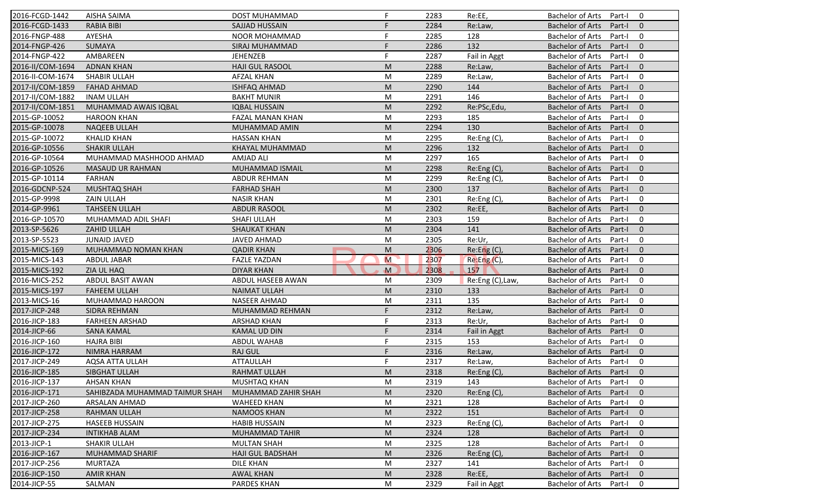| 2016-FCGD-1442   | <b>AISHA SAIMA</b>             | DOST MUHAMMAD           | F           | 2283 | Re:EE,             | <b>Bachelor of Arts</b><br>Part-I<br>0            |
|------------------|--------------------------------|-------------------------|-------------|------|--------------------|---------------------------------------------------|
| 2016-FCGD-1433   | <b>RABIA BIBI</b>              | SAJJAD HUSSAIN          |             | 2284 | Re:Law,            | <b>Bachelor of Arts</b><br>$\mathbf{0}$<br>Part-I |
| 2016-FNGP-488    | AYESHA                         | <b>NOOR MOHAMMAD</b>    | F           | 2285 | 128                | $\mathbf 0$<br><b>Bachelor of Arts</b><br>Part-I  |
| 2014-FNGP-426    | <b>SUMAYA</b>                  | SIRAJ MUHAMMAD          |             | 2286 | 132                | $\mathbf{0}$<br><b>Bachelor of Arts</b><br>Part-I |
| 2014-FNGP-422    | AMBAREEN                       | <b>JEHENZEB</b>         | F           | 2287 | Fail in Aggt       | 0<br><b>Bachelor of Arts</b><br>Part-I            |
| 2016-II/COM-1694 | <b>ADNAN KHAN</b>              | <b>HAJI GUL RASOOL</b>  | M           | 2288 | Re:Law,            | <b>Bachelor of Arts</b><br>Part-I<br>$\mathbf 0$  |
| 2016-II-COM-1674 | SHABIR ULLAH                   | <b>AFZAL KHAN</b>       | M           | 2289 | Re:Law,            | Part-I<br>0<br><b>Bachelor of Arts</b>            |
| 2017-II/COM-1859 | <b>FAHAD AHMAD</b>             | <b>ISHFAQ AHMAD</b>     | M           | 2290 | 144                | $\mathbf{0}$<br><b>Bachelor of Arts</b><br>Part-I |
| 2017-II/COM-1882 | <b>INAM ULLAH</b>              | <b>BAKHT MUNIR</b>      | M           | 2291 | 146                | $\mathbf 0$<br><b>Bachelor of Arts</b><br>Part-I  |
| 2017-II/COM-1851 | MUHAMMAD AWAIS IQBAL           | <b>IQBAL HUSSAIN</b>    | M           | 2292 | Re:PSc,Edu,        | <b>Bachelor of Arts</b><br>Part-I<br>$\mathbf{0}$ |
| 2015-GP-10052    | <b>HAROON KHAN</b>             | FAZAL MANAN KHAN        | M           | 2293 | 185                | <b>Bachelor of Arts</b><br>Part-I<br>0            |
| 2015-GP-10078    | <b>NAQEEB ULLAH</b>            | MUHAMMAD AMIN           | M           | 2294 | 130                | $\mathbf{0}$<br><b>Bachelor of Arts</b><br>Part-I |
| 2015-GP-10072    | <b>KHALID KHAN</b>             | <b>HASSAN KHAN</b>      | M           | 2295 | Re:Eng(C),         | $\mathbf 0$<br><b>Bachelor of Arts</b><br>Part-I  |
| 2016-GP-10556    | <b>SHAKIR ULLAH</b>            | KHAYAL MUHAMMAD         | M           | 2296 | 132                | $\mathbf{0}$<br><b>Bachelor of Arts</b><br>Part-I |
| 2016-GP-10564    | MUHAMMAD MASHHOOD AHMAD        | <b>AMJAD ALI</b>        | M           | 2297 | 165                | 0<br><b>Bachelor of Arts</b><br>Part-I            |
| 2016-GP-10526    | <b>MASAUD UR RAHMAN</b>        | MUHAMMAD ISMAIL         | M           | 2298 | Re:Eng(C),         | $\mathbf{0}$<br><b>Bachelor of Arts</b><br>Part-I |
| 2015-GP-10114    | FARHAN                         | <b>ABDUR REHMAN</b>     | M           | 2299 | Re:Eng(C),         | <b>Bachelor of Arts</b><br>Part-I<br>0            |
| 2016-GDCNP-524   | MUSHTAQ SHAH                   | <b>FARHAD SHAH</b>      | M           | 2300 | 137                | <b>Bachelor of Arts</b><br>Part-I<br>$\mathbf{0}$ |
| 2015-GP-9998     | ZAIN ULLAH                     | <b>NASIR KHAN</b>       | M           | 2301 | Re:Eng (C),        | <b>Bachelor of Arts</b><br>Part-I<br>0            |
| 2014-GP-9961     | <b>TAHSEEN ULLAH</b>           | <b>ABDUR RASOOL</b>     | M           | 2302 | Re:EE              | $\mathbf{0}$<br><b>Bachelor of Arts</b><br>Part-I |
| 2016-GP-10570    | MUHAMMAD ADIL SHAFI            | <b>SHAFI ULLAH</b>      | M           | 2303 | 159                | <b>Bachelor of Arts</b><br>0<br>Part-I            |
| 2013-SP-5626     | ZAHID ULLAH                    | <b>SHAUKAT KHAN</b>     | M           | 2304 | 141                | $\mathbf{0}$<br><b>Bachelor of Arts</b><br>Part-I |
| 2013-SP-5523     | <b>JUNAID JAVED</b>            | JAVED AHMAD             | M           | 2305 | Re:Ur,             | $\mathbf 0$<br><b>Bachelor of Arts</b><br>Part-I  |
| 2015-MICS-169    | MUHAMMAD NOMAN KHAN            | <b>QADIR KHAN</b>       | M           | 2306 | Re: Eng(C),        | $\mathbf{0}$<br><b>Bachelor of Arts</b><br>Part-I |
| 2015-MICS-143    | <b>ABDUL JABAR</b>             | <b>FAZLE YAZDAN</b>     | M           | 2307 | Re:Eng(C),         | <b>Bachelor of Arts</b><br>Part-I<br>$\mathbf 0$  |
| 2015-MICS-192    | ZIA UL HAQ                     | <b>DIYAR KHAN</b>       | $\mathbf M$ | 2308 | 157                | <b>Bachelor of Arts</b><br>$\mathbf{0}$<br>Part-I |
| 2016-MICS-252    | <b>ABDUL BASIT AWAN</b>        | ABDUL HASEEB AWAN       | M           | 2309 | Re:Eng (C), Law,   | <b>Bachelor of Arts</b><br>Part-I<br>0            |
| 2015-MICS-197    | <b>FAHEEM ULLAH</b>            | <b>NAIMAT ULLAH</b>     | M           | 2310 | 133                | <b>Bachelor of Arts</b><br>Part-I<br>$\mathbf{0}$ |
| 2013-MICS-16     | MUHAMMAD HAROON                | <b>NASEER AHMAD</b>     | M           | 2311 | 135                | <b>Bachelor of Arts</b><br>Part-I<br>0            |
| 2017-JICP-248    | <b>SIDRA REHMAN</b>            | MUHAMMAD REHMAN         | F           | 2312 | Re:Law,            | $\mathbf{0}$<br><b>Bachelor of Arts</b><br>Part-I |
| 2016-JICP-183    | <b>FARHEEN ARSHAD</b>          | <b>ARSHAD KHAN</b>      | F           | 2313 | Re:Ur,             | 0<br><b>Bachelor of Arts</b><br>Part-I            |
| 2014-JICP-66     | <b>SANA KAMAL</b>              | <b>KAMAL UD DIN</b>     | F           | 2314 | Fail in Aggt       | $\mathbf{0}$<br><b>Bachelor of Arts</b><br>Part-I |
| 2016-JICP-160    | <b>HAJRA BIBI</b>              | <b>ABDUL WAHAB</b>      | F           | 2315 | 153                | <b>Bachelor of Arts</b><br>Part-I<br>0            |
| 2016-JICP-172    | NIMRA HARRAM                   | <b>RAJ GUL</b>          |             | 2316 | Re:Law,            | <b>Bachelor of Arts</b><br>Part-I<br>$\mathbf{0}$ |
| 2017-JICP-249    | <b>AQSA ATTA ULLAH</b>         | <b>ATTAULLAH</b>        | F           | 2317 | Re:Law,            | <b>Bachelor of Arts</b><br>Part-I<br>0            |
| 2016-JICP-185    | SIBGHAT ULLAH                  | RAHMAT ULLAH            | ${\sf M}$   | 2318 | Re:Eng(C),         | Bachelor of Arts Part-I 0                         |
| 2016-JICP-137    | AHSAN KHAN                     | MUSHTAQ KHAN            | M           | 2319 | 143                | Bachelor of Arts Part-I<br>$\overline{0}$         |
| 2016-JICP-171    | SAHIBZADA MUHAMMAD TAIMUR SHAH | MUHAMMAD ZAHIR SHAH     | M           | 2320 | Re:Eng (C),        | <b>Bachelor of Arts</b><br>Part-I<br>$\mathbf{0}$ |
| 2017-JICP-260    |                                |                         | M           |      | 128                | $\mathbf 0$                                       |
|                  | ARSALAN AHMAD                  | WAHEED KHAN             |             | 2321 |                    | Bachelor of Arts<br>Part-I                        |
| 2017-JICP-258    | <b>RAHMAN ULLAH</b>            | <b>NAMOOS KHAN</b>      | M           | 2322 | 151<br>Re:Eng (C), | <b>Bachelor of Arts</b><br>$\mathbf 0$<br>Part-I  |
| 2017-JICP-275    | <b>HASEEB HUSSAIN</b>          | <b>HABIB HUSSAIN</b>    | M           | 2323 |                    | <b>Bachelor of Arts</b><br>Part-I<br>$\mathbf 0$  |
| 2017-JICP-234    | <b>INTIKHAB ALAM</b>           | MUHAMMAD TAHIR          | M           | 2324 | 128                | <b>Bachelor of Arts</b><br>$\mathbf 0$<br>Part-I  |
| 2013-JICP-1      | SHAKIR ULLAH                   | <b>MULTAN SHAH</b>      | M           | 2325 | 128                | Bachelor of Arts<br>0<br>Part-I                   |
| 2016-JICP-167    | MUHAMMAD SHARIF                | <b>HAJI GUL BADSHAH</b> | M           | 2326 | Re:Eng(C),         | <b>Bachelor of Arts</b><br>$\mathbf 0$<br>Part-I  |
| 2017-JICP-256    | <b>MURTAZA</b>                 | <b>DILE KHAN</b>        | M           | 2327 | 141                | <b>Bachelor of Arts</b><br>0<br>Part-I            |
| 2016-JICP-150    | <b>AMIR KHAN</b>               | <b>AWAL KHAN</b>        | M           | 2328 | Re:EE,             | <b>Bachelor of Arts</b><br>$\mathbf 0$<br>Part-I  |
| 2014-JICP-55     | SALMAN                         | PARDES KHAN             | M           | 2329 | Fail in Aggt       | Bachelor of Arts<br>$\mathbf 0$<br>Part-I         |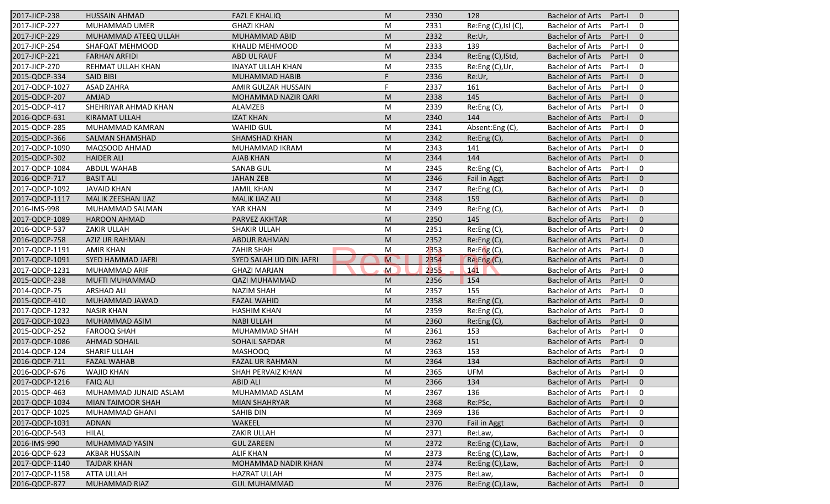| 2017-JICP-238  | <b>HUSSAIN AHMAD</b>     | <b>FAZL E KHALIQ</b>     | M              | 2330 | 128                  | <b>Bachelor of Arts</b><br>Part-I<br>$\overline{0}$ |
|----------------|--------------------------|--------------------------|----------------|------|----------------------|-----------------------------------------------------|
| 2017-JICP-227  | MUHAMMAD UMER            | <b>GHAZI KHAN</b>        | M              | 2331 | Re:Eng (C), Isl (C), | <b>Bachelor of Arts</b><br>Part-I<br>0              |
| 2017-JICP-229  | MUHAMMAD ATEEQ ULLAH     | MUHAMMAD ABID            | M              | 2332 | Re:Ur,               | <b>Bachelor of Arts</b><br>Part-I<br>$\mathbf{0}$   |
| 2017-JICP-254  | SHAFQAT MEHMOOD          | <b>KHALID MEHMOOD</b>    | M              | 2333 | 139                  | <b>Bachelor of Arts</b><br>0<br>Part-I              |
| 2017-JICP-221  | <b>FARHAN ARFIDI</b>     | ABD UL RAUF              | M              | 2334 | Re:Eng (C), IStd,    | $\mathbf{0}$<br><b>Bachelor of Arts</b><br>Part-I   |
| 2017-JICP-270  | REHMAT ULLAH KHAN        | <b>INAYAT ULLAH KHAN</b> | M              | 2335 | Re:Eng (C),Ur,       | <b>Bachelor of Arts</b><br>Part-I<br>0              |
| 2015-QDCP-334  | <b>SAID BIBI</b>         | MUHAMMAD HABIB           | F.             | 2336 | Re:Ur,               | $\mathbf{0}$<br><b>Bachelor of Arts</b><br>Part-I   |
| 2017-QDCP-1027 | <b>ASAD ZAHRA</b>        | AMIR GULZAR HUSSAIN      | F.             | 2337 | 161                  | <b>Bachelor of Arts</b><br>0<br>Part-I              |
| 2015-QDCP-207  | AMJAD                    | MOHAMMAD NAZIR QARI      | M              | 2338 | 145                  | <b>Bachelor of Arts</b><br>$\mathbf{0}$<br>Part-I   |
| 2015-QDCP-417  | SHEHRIYAR AHMAD KHAN     | ALAMZEB                  | M              | 2339 | Re:Eng (C),          | <b>Bachelor of Arts</b><br>Part-I<br>0              |
| 2016-QDCP-631  | <b>KIRAMAT ULLAH</b>     | <b>IZAT KHAN</b>         | M              | 2340 | 144                  | <b>Bachelor of Arts</b><br>Part-I<br>$\mathbf{0}$   |
| 2015-QDCP-285  | MUHAMMAD KAMRAN          | <b>WAHID GUL</b>         | M              | 2341 | Absent:Eng(C),       | <b>Bachelor of Arts</b><br>Part-I<br>0              |
| 2015-QDCP-366  | <b>SALMAN SHAMSHAD</b>   | SHAMSHAD KHAN            | M              | 2342 | Re:Eng(C),           | <b>Bachelor of Arts</b><br>$\mathbf{0}$<br>Part-I   |
| 2017-QDCP-1090 | MAQSOOD AHMAD            | MUHAMMAD IKRAM           | M              | 2343 | 141                  | <b>Bachelor of Arts</b><br>0<br>Part-I              |
| 2015-QDCP-302  | <b>HAIDER ALI</b>        | <b>AJAB KHAN</b>         | M              | 2344 | 144                  | <b>Bachelor of Arts</b><br>Part-I<br>$\overline{0}$ |
| 2017-QDCP-1084 | ABDUL WAHAB              | <b>SANAB GUL</b>         | M              | 2345 | Re:Eng(C),           | <b>Bachelor of Arts</b><br>0<br>Part-I              |
| 2016-QDCP-717  | <b>BASIT ALI</b>         | <b>JAHAN ZEB</b>         | M              | 2346 | Fail in Aggt         | <b>Bachelor of Arts</b><br>$\mathbf{0}$<br>Part-I   |
| 2017-QDCP-1092 | <b>JAVAID KHAN</b>       | <b>JAMIL KHAN</b>        | M              | 2347 | Re:Eng (C),          | <b>Bachelor of Arts</b><br>0<br>Part-I              |
| 2017-QDCP-1117 | MALIK ZEESHAN IJAZ       | <b>MALIK IJAZ ALI</b>    | M              | 2348 | 159                  | <b>Bachelor of Arts</b><br>$\mathbf{0}$<br>Part-I   |
| 2016-IMS-998   | MUHAMMAD SALMAN          | YAR KHAN                 | M              | 2349 | Re:Eng (C),          | <b>Bachelor of Arts</b><br>Part-I<br>0              |
| 2017-QDCP-1089 | <b>HAROON AHMAD</b>      | PARVEZ AKHTAR            | M              | 2350 | 145                  | <b>Bachelor of Arts</b><br>$\mathbf{0}$<br>Part-I   |
| 2016-QDCP-537  | <b>ZAKIR ULLAH</b>       | SHAKIR ULLAH             | M              | 2351 | Re:Eng (C),          | <b>Bachelor of Arts</b><br>0<br>Part-I              |
| 2016-QDCP-758  | <b>AZIZ UR RAHMAN</b>    | ABDUR RAHMAN             | M              | 2352 | Re:Eng (C),          | <b>Bachelor of Arts</b><br>Part-I<br>$\overline{0}$ |
| 2017-QDCP-1191 | <b>AMIR KHAN</b>         | <b>ZAHIR SHAH</b>        | M              | 2353 | Re: Eng(C),          | <b>Bachelor of Arts</b><br>0<br>Part-I              |
| 2017-QDCP-1091 | <b>SYED HAMMAD JAFRI</b> | SYED SALAH UD DIN JAFRI  | $\overline{M}$ | 2354 | Re:Eng(C),           | $\mathbf{0}$<br><b>Bachelor of Arts</b><br>Part-I   |
| 2017-QDCP-1231 | MUHAMMAD ARIF            | <b>GHAZI MARJAN</b>      | $\mathsf{M}$   | 2355 | 141                  | <b>Bachelor of Arts</b><br>0<br>Part-I              |
| 2015-QDCP-238  | <b>MUFTI MUHAMMAD</b>    | <b>QAZI MUHAMMAD</b>     | M              | 2356 | 154                  | <b>Bachelor of Arts</b><br>$\mathbf{0}$<br>Part-I   |
| 2014-QDCP-75   | <b>ARSHAD ALI</b>        | <b>NAZIM SHAH</b>        | M              | 2357 | 155                  | <b>Bachelor of Arts</b><br>Part-I<br>0              |
| 2015-QDCP-410  | MUHAMMAD JAWAD           | <b>FAZAL WAHID</b>       | M              | 2358 | Re: Eng(C)           | <b>Bachelor of Arts</b><br>$\mathbf{0}$<br>Part-I   |
| 2017-QDCP-1232 | <b>NASIR KHAN</b>        | <b>HASHIM KHAN</b>       | M              | 2359 | Re:Eng (C),          | <b>Bachelor of Arts</b><br>0<br>Part-I              |
| 2017-QDCP-1023 | MUHAMMAD ASIM            | <b>NABI ULLAH</b>        | M              | 2360 | Re:Eng(C)            | <b>Bachelor of Arts</b><br>$\overline{0}$<br>Part-I |
| 2015-QDCP-252  | <b>FAROOQ SHAH</b>       | MUHAMMAD SHAH            | M              | 2361 | 153                  | <b>Bachelor of Arts</b><br>0<br>Part-I              |
| 2017-QDCP-1086 | <b>AHMAD SOHAIL</b>      | SOHAIL SAFDAR            | M              | 2362 | 151                  | <b>Bachelor of Arts</b><br>$\mathbf{0}$<br>Part-I   |
| 2014-QDCP-124  | <b>SHARIF ULLAH</b>      | <b>MASHOOQ</b>           | M              | 2363 | 153                  | <b>Bachelor of Arts</b><br>Part-I<br>0              |
| 2016-QDCP-711  | <b>FAZAL WAHAB</b>       | <b>FAZAL UR RAHMAN</b>   | M              | 2364 | 134                  | <b>Bachelor of Arts</b><br>$\mathbf 0$              |
| 2016-QDCP-676  | <b>WAJID KHAN</b>        |                          | M              | 2365 | <b>UFM</b>           | Part-I<br>Bachelor of Arts Part-I<br>$\mathbf 0$    |
|                |                          | SHAH PERVAIZ KHAN        |                |      |                      |                                                     |
| 2017-QDCP-1216 | <b>FAIQ ALI</b>          | <b>ABID ALI</b>          | M              | 2366 | 134                  | Bachelor of Arts Part-I<br>$\overline{0}$           |
| 2015-QDCP-463  | MUHAMMAD JUNAID ASLAM    | MUHAMMAD ASLAM           | M              | 2367 | 136                  | <b>Bachelor of Arts</b><br>Part-I<br>0              |
| 2017-QDCP-1034 | MIAN TAIMOOR SHAH        | <b>MIAN SHAHRYAR</b>     | M              | 2368 | Re:PSc,              | <b>Bachelor of Arts</b><br>Part-I<br>$\mathbf{0}$   |
| 2017-QDCP-1025 | MUHAMMAD GHANI           | SAHIB DIN                | M              | 2369 | 136                  | <b>Bachelor of Arts</b><br>0<br>Part-I              |
| 2017-QDCP-1031 | <b>ADNAN</b>             | WAKEEL                   | M              | 2370 | <b>Fail in Aggt</b>  | <b>Bachelor of Arts</b><br>$\mathbf 0$<br>Part-I    |
| 2016-QDCP-543  | <b>HILAL</b>             | ZAKIR ULLAH              | M              | 2371 | Re:Law,              | <b>Bachelor of Arts</b><br>0<br>Part-I              |
| 2016-IMS-990   | MUHAMMAD YASIN           | <b>GUL ZAREEN</b>        | M              | 2372 | Re:Eng (C), Law,     | <b>Bachelor of Arts</b><br>$\mathbf 0$<br>Part-I    |
| 2016-QDCP-623  | AKBAR HUSSAIN            | <b>ALIF KHAN</b>         | M              | 2373 | Re:Eng (C), Law,     | <b>Bachelor of Arts</b><br>Part-I<br>0              |
| 2017-QDCP-1140 | <b>TAJDAR KHAN</b>       | MOHAMMAD NADIR KHAN      | M              | 2374 | Re:Eng (C), Law,     | <b>Bachelor of Arts</b><br>$\mathbf 0$<br>Part-I    |
| 2017-QDCP-1158 | <b>ATTA ULLAH</b>        | <b>HAZRAT ULLAH</b>      | M              | 2375 | Re:Law,              | <b>Bachelor of Arts</b><br>0<br>Part-I              |
| 2016-QDCP-877  | <b>MUHAMMAD RIAZ</b>     | <b>GUL MUHAMMAD</b>      | M              | 2376 | Re:Eng (C), Law,     | <b>Bachelor of Arts</b><br>$\mathbf 0$<br>Part-I    |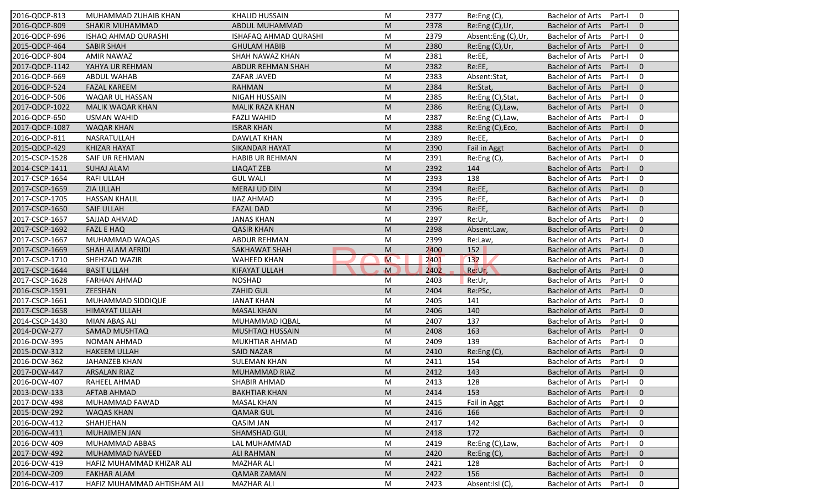| 2016-QDCP-813  | MUHAMMAD ZUHAIB KHAN        | <b>KHALID HUSSAIN</b>  | M                                                                                                          | 2377 | Re:Eng (C),        | <b>Bachelor of Arts</b>   | Part-I | $\mathbf 0$    |
|----------------|-----------------------------|------------------------|------------------------------------------------------------------------------------------------------------|------|--------------------|---------------------------|--------|----------------|
| 2016-QDCP-809  | SHAKIR MUHAMMAD             | ABDUL MUHAMMAD         | M                                                                                                          | 2378 | Re:Eng (C),Ur,     | <b>Bachelor of Arts</b>   | Part-I | $\mathbf{0}$   |
| 2016-QDCP-696  | ISHAQ AHMAD QURASHI         | ISHAFAQ AHMAD QURASHI  | M                                                                                                          | 2379 | Absent:Eng (C),Ur, | <b>Bachelor of Arts</b>   | Part-I | $\mathbf 0$    |
| 2015-QDCP-464  | <b>SABIR SHAH</b>           | <b>GHULAM HABIB</b>    | M                                                                                                          | 2380 | Re:Eng (C),Ur,     | <b>Bachelor of Arts</b>   | Part-I | $\mathbf{0}$   |
| 2016-QDCP-804  | <b>AMIR NAWAZ</b>           | SHAH NAWAZ KHAN        | M                                                                                                          | 2381 | Re:EE,             | <b>Bachelor of Arts</b>   | Part-I | $\mathbf 0$    |
| 2017-QDCP-1142 | YAHYA UR REHMAN             | ABDUR REHMAN SHAH      | M                                                                                                          | 2382 | Re:EE,             | <b>Bachelor of Arts</b>   | Part-I | $\overline{0}$ |
| 2016-QDCP-669  | <b>ABDUL WAHAB</b>          | ZAFAR JAVED            | M                                                                                                          | 2383 | Absent:Stat,       | <b>Bachelor of Arts</b>   | Part-I | $\overline{0}$ |
| 2016-QDCP-524  | <b>FAZAL KAREEM</b>         | <b>RAHMAN</b>          | M                                                                                                          | 2384 | Re:Stat,           | <b>Bachelor of Arts</b>   | Part-I | $\Omega$       |
| 2016-QDCP-506  | WAQAR UL HASSAN             | <b>NIGAH HUSSAIN</b>   | M                                                                                                          | 2385 | Re:Eng (C), Stat,  | <b>Bachelor of Arts</b>   | Part-I | $\mathbf 0$    |
| 2017-QDCP-1022 | <b>MALIK WAQAR KHAN</b>     | <b>MALIK RAZA KHAN</b> | M                                                                                                          | 2386 | Re:Eng (C), Law,   | <b>Bachelor of Arts</b>   | Part-I | $\mathbf{0}$   |
| 2016-QDCP-650  | <b>USMAN WAHID</b>          | <b>FAZLI WAHID</b>     | M                                                                                                          | 2387 | Re:Eng (C), Law,   | <b>Bachelor of Arts</b>   | Part-I | $\mathbf 0$    |
| 2017-QDCP-1087 | <b>WAQAR KHAN</b>           | <b>ISRAR KHAN</b>      | M                                                                                                          | 2388 | Re:Eng (C), Eco,   | <b>Bachelor of Arts</b>   | Part-I | $\mathbf{0}$   |
| 2016-QDCP-811  | NASRATULLAH                 | <b>DAWLAT KHAN</b>     | M                                                                                                          | 2389 | Re:EE,             | <b>Bachelor of Arts</b>   | Part-I | $\mathbf 0$    |
| 2015-QDCP-429  | <b>KHIZAR HAYAT</b>         | <b>SIKANDAR HAYAT</b>  | M                                                                                                          | 2390 | Fail in Aggt       | <b>Bachelor of Arts</b>   | Part-I | $\mathbf{0}$   |
| 2015-CSCP-1528 | SAIF UR REHMAN              | <b>HABIB UR REHMAN</b> | M                                                                                                          | 2391 | Re:Eng (C),        | <b>Bachelor of Arts</b>   | Part-I | $\mathbf 0$    |
| 2014-CSCP-1411 | <b>SUHAJ ALAM</b>           | <b>LIAQAT ZEB</b>      | M                                                                                                          | 2392 | 144                | <b>Bachelor of Arts</b>   | Part-I | $\mathbf{0}$   |
| 2017-CSCP-1654 | <b>RAFI ULLAH</b>           | <b>GUL WALI</b>        | M                                                                                                          | 2393 | 138                | <b>Bachelor of Arts</b>   | Part-I | 0              |
| 2017-CSCP-1659 | <b>ZIA ULLAH</b>            | <b>MERAJ UD DIN</b>    | M                                                                                                          | 2394 | Re:EE,             | <b>Bachelor of Arts</b>   | Part-I | $\mathbf{0}$   |
| 2017-CSCP-1705 | <b>HASSAN KHALIL</b>        | <b>IJAZ AHMAD</b>      | M                                                                                                          | 2395 | Re:EE,             | <b>Bachelor of Arts</b>   | Part-I | $\mathbf 0$    |
| 2017-CSCP-1650 | <b>SAIF ULLAH</b>           | <b>FAZAL DAD</b>       | M                                                                                                          | 2396 | Re:EE,             | <b>Bachelor of Arts</b>   | Part-I | $\mathbf{0}$   |
| 2017-CSCP-1657 | SAJJAD AHMAD                | <b>JANAS KHAN</b>      | M                                                                                                          | 2397 | Re:Ur,             | <b>Bachelor of Arts</b>   | Part-I | 0              |
| 2017-CSCP-1692 | <b>FAZL E HAQ</b>           | <b>QASIR KHAN</b>      | M                                                                                                          | 2398 | Absent:Law,        | <b>Bachelor of Arts</b>   | Part-I | $\mathbf{0}$   |
| 2017-CSCP-1667 | MUHAMMAD WAQAS              | <b>ABDUR REHMAN</b>    | M                                                                                                          | 2399 | Re:Law,            | <b>Bachelor of Arts</b>   | Part-I | $\mathbf 0$    |
| 2017-CSCP-1669 | <b>SHAH ALAM AFRIDI</b>     | <b>SAKHAWAT SHAH</b>   | M                                                                                                          | 2400 | 152                | <b>Bachelor of Arts</b>   | Part-I | $\overline{0}$ |
| 2017-CSCP-1710 | SHEHZAD WAZIR               | <b>WAHEED KHAN</b>     | M                                                                                                          | 2401 | 132                | <b>Bachelor of Arts</b>   | Part-I | $\overline{0}$ |
| 2017-CSCP-1644 | <b>BASIT ULLAH</b>          | <b>KIFAYAT ULLAH</b>   | M                                                                                                          | 2402 | Re:Ur,             | <b>Bachelor of Arts</b>   | Part-I | $\overline{0}$ |
| 2017-CSCP-1628 | <b>FARHAN AHMAD</b>         | <b>NOSHAD</b>          | M                                                                                                          | 2403 | Re:Ur,             | <b>Bachelor of Arts</b>   | Part-I | $\mathbf 0$    |
| 2016-CSCP-1591 | ZEESHAN                     | <b>ZAHID GUL</b>       | M                                                                                                          | 2404 | Re:PSc,            | <b>Bachelor of Arts</b>   | Part-I | $\overline{0}$ |
| 2017-CSCP-1661 | MUHAMMAD SIDDIQUE           | <b>JANAT KHAN</b>      | M                                                                                                          | 2405 | 141                | <b>Bachelor of Arts</b>   | Part-I | $\mathbf 0$    |
| 2017-CSCP-1658 | <b>HIMAYAT ULLAH</b>        | <b>MASAL KHAN</b>      | M                                                                                                          | 2406 | 140                | <b>Bachelor of Arts</b>   | Part-I | $\mathbf{0}$   |
| 2014-CSCP-1430 | MIAN ABAS ALI               | MUHAMMAD IQBAL         | M                                                                                                          | 2407 | 137                | <b>Bachelor of Arts</b>   | Part-I | $\mathbf 0$    |
| 2014-DCW-277   | <b>SAMAD MUSHTAQ</b>        | MUSHTAQ HUSSAIN        | M                                                                                                          | 2408 | 163                | <b>Bachelor of Arts</b>   | Part-I | $\overline{0}$ |
| 2016-DCW-395   | NOMAN AHMAD                 | MUKHTIAR AHMAD         | M                                                                                                          | 2409 | 139                | <b>Bachelor of Arts</b>   | Part-I | $\mathbf 0$    |
| 2015-DCW-312   | <b>HAKEEM ULLAH</b>         | <b>SAID NAZAR</b>      | M                                                                                                          | 2410 | Re:Eng (C),        | <b>Bachelor of Arts</b>   | Part-I | $\mathbf{0}$   |
| 2016-DCW-362   | <b>JAHANZEB KHAN</b>        | <b>SULEMAN KHAN</b>    | M                                                                                                          | 2411 | 154                | <b>Bachelor of Arts</b>   | Part-I | 0              |
| 2017-DCW-447   | <b>ARSALAN RIAZ</b>         | MUHAMMAD RIAZ          | $\mathsf{M}% _{T}=\mathsf{M}_{T}\!\left( a,b\right) ,\ \mathsf{M}_{T}=\mathsf{M}_{T}\!\left( a,b\right) ,$ | 2412 | 143                | Bachelor of Arts Part-I 0 |        |                |
| 2016-DCW-407   | RAHEEL AHMAD                | SHABIR AHMAD           | M                                                                                                          | 2413 | 128                | Bachelor of Arts Part-I   |        | 0              |
| 2013-DCW-133   | <b>AFTAB AHMAD</b>          | <b>BAKHTIAR KHAN</b>   | M                                                                                                          | 2414 | 153                | Bachelor of Arts          | Part-I | $\overline{0}$ |
| 2017-DCW-498   | MUHAMMAD FAWAD              | <b>MASAL KHAN</b>      | M                                                                                                          | 2415 | Fail in Aggt       | Bachelor of Arts          | Part-I | $\mathbf 0$    |
| 2015-DCW-292   | WAQAS KHAN                  | <b>QAMAR GUL</b>       | M                                                                                                          | 2416 | 166                | Bachelor of Arts          | Part-I | $\mathbf{0}$   |
| 2016-DCW-412   | SHAHJEHAN                   | <b>QASIM JAN</b>       | M                                                                                                          | 2417 | 142                | Bachelor of Arts          | Part-I | $\mathbf 0$    |
| 2016-DCW-411   | <b>MUHAIMEN JAN</b>         | SHAMSHAD GUL           | M                                                                                                          | 2418 | 172                | Bachelor of Arts          | Part-I | $\mathbf{0}$   |
| 2016-DCW-409   | MUHAMMAD ABBAS              | LAL MUHAMMAD           | M                                                                                                          | 2419 | Re:Eng (C), Law,   | <b>Bachelor of Arts</b>   | Part-I | $\mathbf 0$    |
| 2017-DCW-492   | MUHAMMAD NAVEED             | <b>ALI RAHMAN</b>      | M                                                                                                          | 2420 | Re: Eng(C)         | <b>Bachelor of Arts</b>   | Part-I | $\mathbf 0$    |
| 2016-DCW-419   | HAFIZ MUHAMMAD KHIZAR ALI   | <b>MAZHAR ALI</b>      | M                                                                                                          | 2421 | 128                | <b>Bachelor of Arts</b>   | Part-I | 0              |
| 2014-DCW-209   | <b>FAKHAR ALAM</b>          | <b>QAMAR ZAMAN</b>     | M                                                                                                          | 2422 | 156                | <b>Bachelor of Arts</b>   | Part-I | $\mathbf{0}$   |
| 2016-DCW-417   | HAFIZ MUHAMMAD AHTISHAM ALI | <b>MAZHAR ALI</b>      | M                                                                                                          | 2423 | Absent:Isl (C)     | Bachelor of Arts          | Part-I | 0              |
|                |                             |                        |                                                                                                            |      |                    |                           |        |                |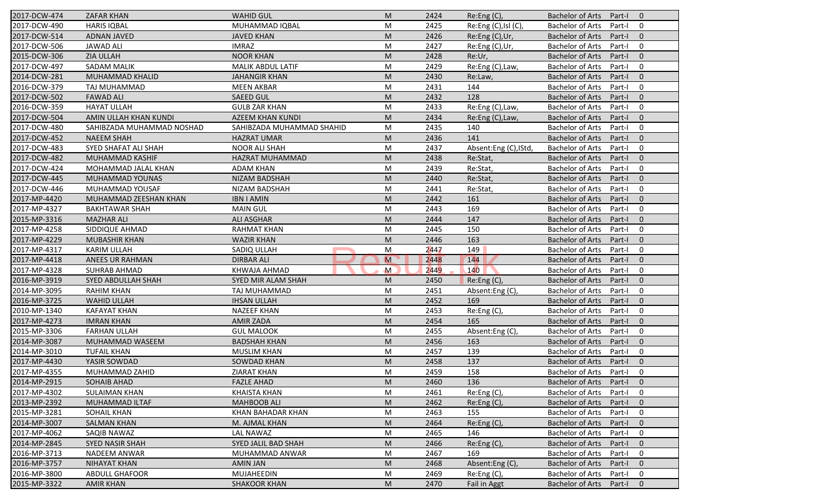| 2017-DCW-474 | <b>ZAFAR KHAN</b>         | <b>WAHID GUL</b>          | M                                                                                                          | 2424 | Re:Eng(C),            | Bachelor of Arts Part-I |        | $\overline{0}$ |
|--------------|---------------------------|---------------------------|------------------------------------------------------------------------------------------------------------|------|-----------------------|-------------------------|--------|----------------|
| 2017-DCW-490 | <b>HARIS IQBAL</b>        | MUHAMMAD IQBAL            | M                                                                                                          | 2425 | Re:Eng (C), Isl (C),  | <b>Bachelor of Arts</b> | Part-I | 0              |
| 2017-DCW-514 | <b>ADNAN JAVED</b>        | <b>JAVED KHAN</b>         | M                                                                                                          | 2426 | Re:Eng (C), Ur,       | <b>Bachelor of Arts</b> | Part-I | $\mathbf{0}$   |
| 2017-DCW-506 | <b>JAWAD ALI</b>          | <b>IMRAZ</b>              | M                                                                                                          | 2427 | Re:Eng (C),Ur,        | <b>Bachelor of Arts</b> | Part-I | $\mathbf 0$    |
| 2015-DCW-306 | <b>ZIA ULLAH</b>          | <b>NOOR KHAN</b>          | M                                                                                                          | 2428 | Re:Ur,                | <b>Bachelor of Arts</b> | Part-I | $\mathbf 0$    |
| 2017-DCW-497 | <b>SADAM MALIK</b>        | MALIK ABDUL LATIF         | M                                                                                                          | 2429 | Re:Eng (C), Law,      | <b>Bachelor of Arts</b> | Part-I | $\mathbf 0$    |
| 2014-DCW-281 | MUHAMMAD KHALID           | <b>JAHANGIR KHAN</b>      | M                                                                                                          | 2430 | Re:Law,               | <b>Bachelor of Arts</b> | Part-I | $\overline{0}$ |
| 2016-DCW-379 | TAJ MUHAMMAD              | <b>MEEN AKBAR</b>         | M                                                                                                          | 2431 | 144                   | <b>Bachelor of Arts</b> | Part-I | $\mathbf 0$    |
| 2017-DCW-502 | <b>FAWAD ALI</b>          | <b>SAEED GUL</b>          | M                                                                                                          | 2432 | 128                   | <b>Bachelor of Arts</b> | Part-I | $\overline{0}$ |
| 2016-DCW-359 | <b>HAYAT ULLAH</b>        | <b>GULB ZAR KHAN</b>      | M                                                                                                          | 2433 | Re:Eng (C), Law,      | <b>Bachelor of Arts</b> | Part-I | $\mathbf 0$    |
| 2017-DCW-504 | AMIN ULLAH KHAN KUNDI     | AZEEM KHAN KUNDI          | M                                                                                                          | 2434 | Re:Eng (C), Law,      | <b>Bachelor of Arts</b> | Part-I | $\overline{0}$ |
| 2017-DCW-480 | SAHIBZADA MUHAMMAD NOSHAD | SAHIBZADA MUHAMMAD SHAHID | M                                                                                                          | 2435 | 140                   | <b>Bachelor of Arts</b> | Part-I | $\mathbf 0$    |
| 2017-DCW-452 | <b>NAEEM SHAH</b>         | <b>HAZRAT UMAR</b>        | M                                                                                                          | 2436 | 141                   | <b>Bachelor of Arts</b> | Part-I | $\overline{0}$ |
| 2017-DCW-483 | SYED SHAFAT ALI SHAH      | <b>NOOR ALI SHAH</b>      | M                                                                                                          | 2437 | Absent:Eng (C), IStd, | <b>Bachelor of Arts</b> | Part-I | $\mathbf 0$    |
| 2017-DCW-482 | MUHAMMAD KASHIF           | HAZRAT MUHAMMAD           | M                                                                                                          | 2438 | Re:Stat,              | <b>Bachelor of Arts</b> | Part-I | $\overline{0}$ |
| 2017-DCW-424 | MOHAMMAD JALAL KHAN       | <b>ADAM KHAN</b>          | M                                                                                                          | 2439 | Re:Stat,              | <b>Bachelor of Arts</b> | Part-I | $\mathbf 0$    |
| 2017-DCW-445 | MUHAMMAD YOUNAS           | <b>NIZAM BADSHAH</b>      | M                                                                                                          | 2440 | Re:Stat,              | <b>Bachelor of Arts</b> | Part-I | $\overline{0}$ |
| 2017-DCW-446 | MUHAMMAD YOUSAF           | NIZAM BADSHAH             | М                                                                                                          | 2441 | Re:Stat,              | <b>Bachelor of Arts</b> | Part-I | $\overline{0}$ |
| 2017-MP-4420 | MUHAMMAD ZEESHAN KHAN     | <b>IBN I AMIN</b>         | M                                                                                                          | 2442 | 161                   | <b>Bachelor of Arts</b> | Part-I | $\mathbf{0}$   |
| 2017-MP-4327 | <b>BAKHTAWAR SHAH</b>     | <b>MAIN GUL</b>           | M                                                                                                          | 2443 | 169                   | <b>Bachelor of Arts</b> | Part-I | $\mathbf 0$    |
| 2015-MP-3316 | <b>MAZHAR ALI</b>         | <b>ALI ASGHAR</b>         | M                                                                                                          | 2444 | 147                   | <b>Bachelor of Arts</b> | Part-I | $\overline{0}$ |
| 2017-MP-4258 | SIDDIQUE AHMAD            | <b>RAHMAT KHAN</b>        | M                                                                                                          | 2445 | 150                   | <b>Bachelor of Arts</b> | Part-I | 0              |
| 2017-MP-4229 | <b>MUBASHIR KHAN</b>      | <b>WAZIR KHAN</b>         | $\mathsf{M}% _{T}=\mathsf{M}_{T}\!\left( a,b\right) ,\ \mathsf{M}_{T}=\mathsf{M}_{T}\!\left( a,b\right) ,$ | 2446 | 163                   | <b>Bachelor of Arts</b> | Part-I | $\overline{0}$ |
| 2017-MP-4317 | <b>KARIM ULLAH</b>        | SADIQ ULLAH               | M                                                                                                          | 2447 | 149                   | <b>Bachelor of Arts</b> | Part-I | $\mathbf 0$    |
| 2017-MP-4418 | ANEES UR RAHMAN           | <b>DIRBAR ALI</b>         | M                                                                                                          | 2448 | 144                   | <b>Bachelor of Arts</b> | Part-I | $\overline{0}$ |
| 2017-MP-4328 | <b>SUHRAB AHMAD</b>       | KHWAJA AHMAD              | M                                                                                                          | 2449 | 140                   | <b>Bachelor of Arts</b> | Part-I | 0              |
| 2016-MP-3919 | SYED ABDULLAH SHAH        | SYED MIR ALAM SHAH        | M                                                                                                          | 2450 | Re:Eng (C),           | <b>Bachelor of Arts</b> | Part-I | $\overline{0}$ |
| 2014-MP-3095 | <b>RAHIM KHAN</b>         | TAJ MUHAMMAD              | M                                                                                                          | 2451 | Absent:Eng(C),        | <b>Bachelor of Arts</b> | Part-I | $\overline{0}$ |
| 2016-MP-3725 | <b>WAHID ULLAH</b>        | <b>IHSAN ULLAH</b>        | M                                                                                                          | 2452 | 169                   | <b>Bachelor of Arts</b> | Part-I | $\overline{0}$ |
| 2010-MP-1340 | <b>KAFAYAT KHAN</b>       | <b>NAZEEF KHAN</b>        | M                                                                                                          | 2453 | Re:Eng (C),           | <b>Bachelor of Arts</b> | Part-I | $\mathbf 0$    |
| 2017-MP-4273 | <b>IMRAN KHAN</b>         | <b>AMIR ZADA</b>          | $\mathsf{M}% _{T}=\mathsf{M}_{T}\!\left( a,b\right) ,\ \mathsf{M}_{T}=\mathsf{M}_{T}\!\left( a,b\right) ,$ | 2454 | 165                   | <b>Bachelor of Arts</b> | Part-I | $\overline{0}$ |
| 2015-MP-3306 | <b>FARHAN ULLAH</b>       | <b>GUL MALOOK</b>         | M                                                                                                          | 2455 | Absent:Eng(C),        | <b>Bachelor of Arts</b> | Part-I | $\mathbf 0$    |
| 2014-MP-3087 | MUHAMMAD WASEEM           | <b>BADSHAH KHAN</b>       | M                                                                                                          | 2456 | 163                   | <b>Bachelor of Arts</b> | Part-I | $\mathbf{0}$   |
| 2014-MP-3010 | <b>TUFAIL KHAN</b>        | <b>MUSLIM KHAN</b>        | M                                                                                                          | 2457 | 139                   | <b>Bachelor of Arts</b> | Part-I | 0              |
| 2017-MP-4430 | YASIR SOWDAD              | SOWDAD KHAN               | M                                                                                                          | 2458 | 137                   | <b>Bachelor of Arts</b> | Part-I | $\mathbf{0}$   |
| 2017-MP-4355 | MUHAMMAD ZAHID            | <b>ZIARAT KHAN</b>        | M                                                                                                          | 2459 | 158                   | <b>Bachelor of Arts</b> | Part-I | 0              |
| 2014-MP-2915 | <b>SOHAIB AHAD</b>        | <b>FAZLE AHAD</b>         | M                                                                                                          | 2460 | 136                   | <b>Bachelor of Arts</b> | Part-I | $\mathbf{0}$   |
| 2017-MP-4302 | <b>SULAIMAN KHAN</b>      | <b>KHAISTA KHAN</b>       | M                                                                                                          | 2461 | Re:Eng (C),           | <b>Bachelor of Arts</b> | Part-I | 0              |
| 2013-MP-2392 | MUHAMMAD ILTAF            | <b>MAHBOOB ALI</b>        | M                                                                                                          | 2462 | Re:Eng (C),           | <b>Bachelor of Arts</b> | Part-I | $\mathbf 0$    |
| 2015-MP-3281 | <b>SOHAIL KHAN</b>        | KHAN BAHADAR KHAN         | M                                                                                                          | 2463 | 155                   | <b>Bachelor of Arts</b> | Part-I | 0              |
| 2014-MP-3007 | <b>SALMAN KHAN</b>        | M. AJMAL KHAN             | M                                                                                                          | 2464 | Re:Eng (C),           | <b>Bachelor of Arts</b> | Part-I | $\overline{0}$ |
| 2017-MP-4062 | SAQIB NAWAZ               | LAL NAWAZ                 | M                                                                                                          | 2465 | 146                   | <b>Bachelor of Arts</b> | Part-I | 0              |
| 2014-MP-2845 | <b>SYED NASIR SHAH</b>    | SYED JALIL BAD SHAH       | M                                                                                                          | 2466 | Re:Eng (C),           | <b>Bachelor of Arts</b> | Part-I | $\overline{0}$ |
| 2016-MP-3713 | NADEEM ANWAR              | MUHAMMAD ANWAR            | M                                                                                                          | 2467 | 169                   | <b>Bachelor of Arts</b> | Part-I | 0              |
| 2016-MP-3757 | <b>NIHAYAT KHAN</b>       | <b>AMIN JAN</b>           | M                                                                                                          | 2468 | Absent:Eng(C),        | <b>Bachelor of Arts</b> | Part-I | $\overline{0}$ |
| 2016-MP-3800 | <b>ABDULL GHAFOOR</b>     | MUJAHEEDIN                | M                                                                                                          | 2469 | Re:Eng(C),            | <b>Bachelor of Arts</b> | Part-I | 0              |
| 2015-MP-3322 | <b>AMIR KHAN</b>          | <b>SHAKOOR KHAN</b>       | M                                                                                                          | 2470 | Fail in Aggt          | <b>Bachelor of Arts</b> | Part-I | $\overline{0}$ |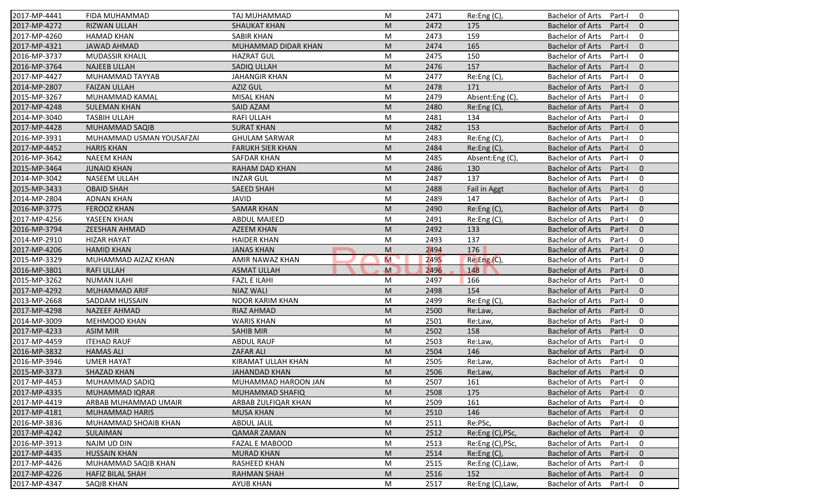| 2017-MP-4441 | FIDA MUHAMMAD            | TAJ MUHAMMAD            | M                                                                                                          | 2471 | Re:Eng (C),      | <b>Bachelor of Arts</b><br>0<br>Part-I              |
|--------------|--------------------------|-------------------------|------------------------------------------------------------------------------------------------------------|------|------------------|-----------------------------------------------------|
| 2017-MP-4272 | <b>RIZWAN ULLAH</b>      | <b>SHAUKAT KHAN</b>     | M                                                                                                          | 2472 | 175              | <b>Bachelor of Arts</b><br>Part-I<br>$\mathbf{0}$   |
| 2017-MP-4260 | <b>HAMAD KHAN</b>        | <b>SABIR KHAN</b>       | M                                                                                                          | 2473 | 159              | <b>Bachelor of Arts</b><br>0<br>Part-I              |
| 2017-MP-4321 | <b>JAWAD AHMAD</b>       | MUHAMMAD DIDAR KHAN     | M                                                                                                          | 2474 | 165              | $\mathbf{0}$<br><b>Bachelor of Arts</b><br>Part-I   |
| 2016-MP-3737 | <b>MUDASSIR KHALIL</b>   | <b>HAZRAT GUL</b>       | M                                                                                                          | 2475 | 150              | 0<br><b>Bachelor of Arts</b><br>Part-I              |
| 2016-MP-3764 | <b>NAJEEB ULLAH</b>      | SADIQ ULLAH             | M                                                                                                          | 2476 | 157              | $\overline{0}$<br><b>Bachelor of Arts</b><br>Part-I |
| 2017-MP-4427 | MUHAMMAD TAYYAB          | <b>JAHANGIR KHAN</b>    | M                                                                                                          | 2477 | Re:Eng (C),      | 0<br><b>Bachelor of Arts</b><br>Part-I              |
| 2014-MP-2807 | <b>FAIZAN ULLAH</b>      | <b>AZIZ GUL</b>         | M                                                                                                          | 2478 | 171              | $\mathbf{0}$<br><b>Bachelor of Arts</b><br>Part-I   |
| 2015-MP-3267 | MUHAMMAD KAMAL           | <b>MISAL KHAN</b>       | M                                                                                                          | 2479 | Absent:Eng (C),  | <b>Bachelor of Arts</b><br>0<br>Part-I              |
| 2017-MP-4248 | <b>SULEMAN KHAN</b>      | SAID AZAM               | M                                                                                                          | 2480 | Re: Eng(C),      | <b>Bachelor of Arts</b><br>$\mathbf{0}$<br>Part-I   |
| 2014-MP-3040 | <b>TASBIH ULLAH</b>      | <b>RAFI ULLAH</b>       | M                                                                                                          | 2481 | 134              | <b>Bachelor of Arts</b><br>Part-I<br>0              |
| 2017-MP-4428 | <b>MUHAMMAD SAQIB</b>    | <b>SURAT KHAN</b>       | M                                                                                                          | 2482 | 153              | <b>Bachelor of Arts</b><br>Part-I<br>$\mathbf{0}$   |
| 2016-MP-3931 | MUHAMMAD USMAN YOUSAFZAI | <b>GHULAM SARWAR</b>    | M                                                                                                          | 2483 | Re:Eng (C),      | <b>Bachelor of Arts</b><br>$\mathbf 0$<br>Part-I    |
| 2017-MP-4452 | <b>HARIS KHAN</b>        | <b>FARUKH SIER KHAN</b> | M                                                                                                          | 2484 | Re:Eng (C),      | $\mathbf{0}$<br><b>Bachelor of Arts</b><br>Part-I   |
| 2016-MP-3642 | <b>NAEEM KHAN</b>        | <b>SAFDAR KHAN</b>      | M                                                                                                          | 2485 | Absent:Eng(C),   | <b>Bachelor of Arts</b><br>Part-I<br>0              |
| 2015-MP-3464 | <b>JUNAID KHAN</b>       | <b>RAHAM DAD KHAN</b>   | M                                                                                                          | 2486 | 130              | $\Omega$<br><b>Bachelor of Arts</b><br>Part-I       |
| 2014-MP-3042 | <b>NASEEM ULLAH</b>      | <b>INZAR GUL</b>        | M                                                                                                          | 2487 | 137              | <b>Bachelor of Arts</b><br>$\mathbf 0$<br>Part-I    |
| 2015-MP-3433 | <b>OBAID SHAH</b>        | <b>SAEED SHAH</b>       | M                                                                                                          | 2488 | Fail in Aggt     | <b>Bachelor of Arts</b><br>$\mathbf{0}$<br>Part-I   |
| 2014-MP-2804 | <b>ADNAN KHAN</b>        | <b>JAVID</b>            | M                                                                                                          | 2489 | 147              | <b>Bachelor of Arts</b><br>0<br>Part-I              |
| 2016-MP-3775 | <b>FEROOZ KHAN</b>       | <b>SAMAR KHAN</b>       | M                                                                                                          | 2490 | Re:Eng (C),      | <b>Bachelor of Arts</b><br>$\mathbf{0}$<br>Part-I   |
| 2017-MP-4256 | YASEEN KHAN              | <b>ABDUL MAJEED</b>     | M                                                                                                          | 2491 | Re:Eng (C),      | $\mathbf 0$<br><b>Bachelor of Arts</b><br>Part-I    |
| 2016-MP-3794 | <b>ZEESHAN AHMAD</b>     | <b>AZEEM KHAN</b>       | M                                                                                                          | 2492 | 133              | $\mathbf{0}$<br><b>Bachelor of Arts</b><br>Part-I   |
| 2014-MP-2910 | <b>HIZAR HAYAT</b>       | <b>HAIDER KHAN</b>      | M                                                                                                          | 2493 | 137              | <b>Bachelor of Arts</b><br>0<br>Part-I              |
| 2017-MP-4206 | <b>HAMID KHAN</b>        | <b>JANAS KHAN</b>       | M                                                                                                          | 2494 | 176              | $\mathbf{0}$<br><b>Bachelor of Arts</b><br>Part-I   |
| 2015-MP-3329 | MUHAMMAD AIZAZ KHAN      | AMIR NAWAZ KHAN         | M                                                                                                          | 2495 | Re: Eng(C)       | <b>Bachelor of Arts</b><br>$\mathbf 0$<br>Part-I    |
| 2016-MP-3801 | <b>RAFI ULLAH</b>        | <b>ASMAT ULLAH</b>      | $\mathbf M$                                                                                                | 2496 | 148              | <b>Bachelor of Arts</b><br>$\mathbf{0}$<br>Part-I   |
| 2015-MP-3262 | <b>NUMAN ILAHI</b>       | <b>FAZL E ILAHI</b>     | M                                                                                                          | 2497 | 166              | <b>Bachelor of Arts</b><br>$\mathbf 0$<br>Part-I    |
| 2017-MP-4292 | MUHAMMAD ARIF            | <b>NIAZ WALI</b>        | M                                                                                                          | 2498 | 154              | <b>Bachelor of Arts</b><br>$\mathbf{0}$<br>Part-I   |
| 2013-MP-2668 | SADDAM HUSSAIN           | <b>NOOR KARIM KHAN</b>  | M                                                                                                          | 2499 | Re:Eng (C),      | <b>Bachelor of Arts</b><br>0<br>Part-I              |
| 2017-MP-4298 | <b>NAZEEF AHMAD</b>      | RIAZ AHMAD              | M                                                                                                          | 2500 | Re:Law,          | $\mathbf{0}$<br><b>Bachelor of Arts</b><br>Part-I   |
| 2014-MP-3009 | <b>MEHMOOD KHAN</b>      |                         |                                                                                                            |      |                  | 0                                                   |
|              |                          | <b>WARIS KHAN</b>       | M                                                                                                          | 2501 | Re:Law,          | <b>Bachelor of Arts</b><br>Part-I                   |
| 2017-MP-4233 | <b>ASIM MIR</b>          | <b>SAHIB MIR</b>        | M                                                                                                          | 2502 | 158              | <b>Bachelor of Arts</b><br>Part-I<br>$\Omega$       |
| 2017-MP-4459 | <b>ITEHAD RAUF</b>       | <b>ABDUL RAUF</b>       | M                                                                                                          | 2503 | Re:Law,          | <b>Bachelor of Arts</b><br>0<br>Part-I              |
| 2016-MP-3832 | <b>HAMAS ALI</b>         | <b>ZAFAR ALI</b>        | M                                                                                                          | 2504 | 146              | <b>Bachelor of Arts</b><br>$\mathbf{0}$<br>Part-I   |
| 2016-MP-3946 | <b>UMER HAYAT</b>        | KIRAMAT ULLAH KHAN      | M                                                                                                          | 2505 | Re:Law,          | <b>Bachelor of Arts</b><br>Part-I<br>0              |
| 2015-MP-3373 | SHAZAD KHAN              | <b>JAHANDAD KHAN</b>    | $\mathsf{M}% _{T}=\mathsf{M}_{T}\!\left( a,b\right) ,\ \mathsf{M}_{T}=\mathsf{M}_{T}\!\left( a,b\right) ,$ | 2506 | Re:Law,          | Bachelor of Arts Part-I 0                           |
| 2017-MP-4453 | MUHAMMAD SADIQ           | MUHAMMAD HAROON JAN     | M                                                                                                          | 2507 | 161              | Bachelor of Arts Part-I<br>$\bf{0}$                 |
| 2017-MP-4335 | MUHAMMAD IQRAR           | MUHAMMAD SHAFIQ         | M                                                                                                          | 2508 | 175              | Bachelor of Arts<br>$\mathbf{0}$<br>Part-I          |
| 2017-MP-4419 | ARBAB MUHAMMAD UMAIR     | ARBAB ZULFIQAR KHAN     | M                                                                                                          | 2509 | 161              | Bachelor of Arts<br>Part-I<br>0                     |
| 2017-MP-4181 | <b>MUHAMMAD HARIS</b>    | <b>MUSA KHAN</b>        | M                                                                                                          | 2510 | 146              | Bachelor of Arts<br>$\mathbf{0}$<br>Part-I          |
| 2016-MP-3836 | MUHAMMAD SHOAIB KHAN     | <b>ABDUL JALIL</b>      | M                                                                                                          | 2511 | Re:PSc,          | <b>Bachelor of Arts</b><br>0<br>Part-I              |
| 2017-MP-4242 | SULAIMAN                 | <b>QAMAR ZAMAN</b>      | M                                                                                                          | 2512 | Re:Eng (C), PSc, | <b>Bachelor of Arts</b><br>$\mathbf{0}$<br>Part-I   |
| 2016-MP-3913 | NAJM UD DIN              | <b>FAZAL E MABOOD</b>   | M                                                                                                          | 2513 | Re:Eng (C), PSc, | Bachelor of Arts<br>0<br>Part-I                     |
| 2017-MP-4435 | <b>HUSSAIN KHAN</b>      | <b>MURAD KHAN</b>       | M                                                                                                          | 2514 | Re:Eng (C),      | <b>Bachelor of Arts</b><br>Part-I<br>$\mathbf 0$    |
| 2017-MP-4426 | MUHAMMAD SAQIB KHAN      | RASHEED KHAN            | M                                                                                                          | 2515 | Re:Eng (C), Law, | <b>Bachelor of Arts</b><br>0<br>Part-I              |
| 2017-MP-4226 | <b>HAFIZ BILAL SHAH</b>  | <b>RAHMAN SHAH</b>      | M                                                                                                          | 2516 | 152              | <b>Bachelor of Arts</b><br>Part-I<br>$\mathbf{0}$   |
| 2017-MP-4347 | SAQIB KHAN               | <b>AYUB KHAN</b>        | M                                                                                                          | 2517 | Re:Eng (C), Law, | Bachelor of Arts<br>Part-I<br>0                     |
|              |                          |                         |                                                                                                            |      |                  |                                                     |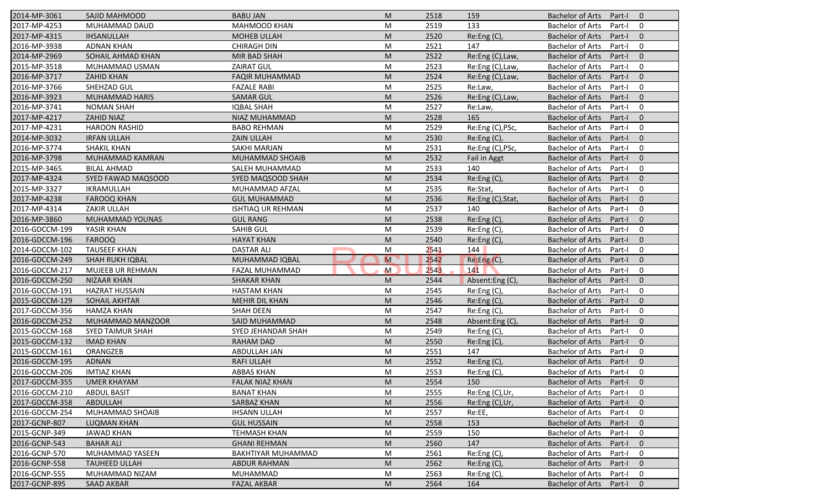| 2014-MP-3061   | <b>SAJID MAHMOOD</b>    | <b>BABU JAN</b>          | M              | 2518 | 159               | <b>Bachelor of Arts</b><br>Part-I<br>$\overline{0}$ |
|----------------|-------------------------|--------------------------|----------------|------|-------------------|-----------------------------------------------------|
| 2017-MP-4253   | MUHAMMAD DAUD           | <b>MAHMOOD KHAN</b>      | M              | 2519 | 133               | <b>Bachelor of Arts</b><br>Part-I<br>$\mathbf 0$    |
| 2017-MP-4315   | <b>IHSANULLAH</b>       | <b>MOHEB ULLAH</b>       | M              | 2520 | Re:Eng (C),       | <b>Bachelor of Arts</b><br>Part-I<br>$\mathbf{0}$   |
| 2016-MP-3938   | <b>ADNAN KHAN</b>       | <b>CHIRAGH DIN</b>       | M              | 2521 | 147               | <b>Bachelor of Arts</b><br>$\mathbf 0$<br>Part-I    |
| 2014-MP-2969   | SOHAIL AHMAD KHAN       | MIR BAD SHAH             | M              | 2522 | Re:Eng (C), Law,  | $\mathbf{0}$<br><b>Bachelor of Arts</b><br>Part-I   |
| 2015-MP-3518   | MUHAMMAD USMAN          | <b>ZAIRAT GUL</b>        | M              | 2523 | Re:Eng (C), Law,  | <b>Bachelor of Arts</b><br>Part-I<br>0              |
| 2016-MP-3717   | <b>ZAHID KHAN</b>       | <b>FAQIR MUHAMMAD</b>    | M              | 2524 | Re:Eng (C), Law,  | $\mathbf{0}$<br><b>Bachelor of Arts</b><br>Part-I   |
| 2016-MP-3766   | SHEHZAD GUL             | <b>FAZALE RABI</b>       | M              | 2525 | Re:Law,           | <b>Bachelor of Arts</b><br>$\mathbf 0$<br>Part-I    |
| 2016-MP-3923   | <b>MUHAMMAD HARIS</b>   | <b>SAMAR GUL</b>         | M              | 2526 | Re:Eng (C), Law,  | <b>Bachelor of Arts</b><br>$\mathbf{0}$<br>Part-I   |
| 2016-MP-3741   | <b>NOMAN SHAH</b>       | <b>IQBAL SHAH</b>        | M              | 2527 | Re:Law,           | <b>Bachelor of Arts</b><br>Part-I<br>$\mathbf 0$    |
| 2017-MP-4217   | ZAHID NIAZ              | NIAZ MUHAMMAD            | M              | 2528 | 165               | <b>Bachelor of Arts</b><br>Part-I<br>$\mathbf{0}$   |
| 2017-MP-4231   | <b>HAROON RASHID</b>    | <b>BABO REHMAN</b>       | M              | 2529 | Re:Eng (C), PSc,  | $\mathbf 0$<br><b>Bachelor of Arts</b><br>Part-I    |
| 2014-MP-3032   | <b>IRFAN ULLAH</b>      | <b>ZAIN ULLAH</b>        | M              | 2530 | Re: Eng(C),       | <b>Bachelor of Arts</b><br>$\mathbf{0}$<br>Part-I   |
| 2016-MP-3774   | <b>SHAKIL KHAN</b>      | SAKHI MARJAN             | M              | 2531 | Re:Eng (C), PSc,  | <b>Bachelor of Arts</b><br>$\mathbf 0$<br>Part-I    |
| 2016-MP-3798   | MUHAMMAD KAMRAN         | MUHAMMAD SHOAIB          | M              | 2532 | Fail in Aggt      | <b>Bachelor of Arts</b><br>Part-I<br>$\overline{0}$ |
| 2015-MP-3465   | <b>BILAL AHMAD</b>      | SALEH MUHAMMAD           | M              | 2533 | 140               | <b>Bachelor of Arts</b><br>$\mathbf 0$<br>Part-I    |
| 2017-MP-4324   | SYED FAWAD MAQSOOD      | SYED MAQSOOD SHAH        | M              | 2534 | Re:Eng (C),       | <b>Bachelor of Arts</b><br>$\mathbf{0}$<br>Part-I   |
| 2015-MP-3327   | IKRAMULLAH              | MUHAMMAD AFZAL           | M              | 2535 | Re:Stat,          | <b>Bachelor of Arts</b><br>Part-I<br>$\mathbf 0$    |
| 2017-MP-4238   | <b>FAROOQ KHAN</b>      | <b>GUL MUHAMMAD</b>      | M              | 2536 | Re:Eng (C), Stat, | <b>Bachelor of Arts</b><br>$\mathbf{0}$<br>Part-I   |
| 2017-MP-4314   | <b>ZAKIR ULLAH</b>      | <b>ISHTIAQ UR REHMAN</b> | M              | 2537 | 140               | <b>Bachelor of Arts</b><br>Part-I<br>$\mathbf 0$    |
| 2016-MP-3860   | MUHAMMAD YOUNAS         | <b>GUL RANG</b>          | M              | 2538 | Re:Eng (C),       | <b>Bachelor of Arts</b><br>$\mathbf{0}$<br>Part-I   |
| 2016-GDCCM-199 | YASIR KHAN              | <b>SAHIB GUL</b>         | M              | 2539 | Re:Eng (C),       | <b>Bachelor of Arts</b><br>$\mathbf 0$<br>Part-I    |
| 2016-GDCCM-196 | <b>FAROOQ</b>           | <b>HAYAT KHAN</b>        | M              | 2540 | Re: Eng(C)        | <b>Bachelor of Arts</b><br>Part-I<br>$\overline{0}$ |
| 2014-GDCCM-102 | <b>TAUSEEF KHAN</b>     | <b>DASTAR ALI</b>        | M              | 2541 | 144               | <b>Bachelor of Arts</b><br>$\mathbf 0$<br>Part-I    |
| 2016-GDCCM-249 | <b>SHAH RUKH IQBAL</b>  | MUHAMMAD IQBAL           | $\overline{M}$ | 2542 | Re:Eng(C),        | $\mathbf{0}$<br><b>Bachelor of Arts</b><br>Part-I   |
| 2016-GDCCM-217 | MUJEEB UR REHMAN        | FAZAL MUHAMMAD           | $\mathsf{M}$   | 2543 | 141               | <b>Bachelor of Arts</b><br>$\mathbf 0$<br>Part-I    |
| 2016-GDCCM-250 | <b>NIZAAR KHAN</b>      | <b>SHAKAR KHAN</b>       | M              | 2544 | Absent:Eng(C),    | <b>Bachelor of Arts</b><br>$\mathbf{0}$<br>Part-I   |
| 2016-GDCCM-191 | <b>HAZRAT HUSSAIN</b>   | <b>HASTAM KHAN</b>       | M              | 2545 | Re:Eng (C),       | <b>Bachelor of Arts</b><br>Part-I<br>$\mathbf 0$    |
| 2015-GDCCM-129 | <b>SOHAIL AKHTAR</b>    | MEHIR DIL KHAN           | M              | 2546 | Re:Eng (C),       | <b>Bachelor of Arts</b><br>$\mathbf{0}$<br>Part-I   |
| 2017-GDCCM-356 | <b>HAMZA KHAN</b>       | <b>SHAH DEEN</b>         | M              | 2547 | Re:Eng (C),       | <b>Bachelor of Arts</b><br>$\mathbf 0$<br>Part-I    |
| 2016-GDCCM-252 | MUHAMMAD MANZOOR        | SAID MUHAMMAD            | M              | 2548 | Absent:Eng(C),    | <b>Bachelor of Arts</b><br>Part-I<br>$\overline{0}$ |
| 2015-GDCCM-168 | <b>SYED TAIMUR SHAH</b> | SYED JEHANDAR SHAH       | M              | 2549 | Re:Eng (C),       | <b>Bachelor of Arts</b><br>0<br>Part-I              |
| 2015-GDCCM-132 | <b>IMAD KHAN</b>        | <b>RAHAM DAD</b>         | M              | 2550 | Re:Eng (C),       | <b>Bachelor of Arts</b><br>Part-I<br>$\overline{0}$ |
| 2015-GDCCM-161 | ORANGZEB                | <b>ABDULLAH JAN</b>      | M              | 2551 | 147               | <b>Bachelor of Arts</b><br>Part-I<br>0              |
| 2016-GDCCM-195 | <b>ADNAN</b>            | <b>RAFI ULLAH</b>        | M              | 2552 | Re:Eng(C),        | <b>Bachelor of Arts</b><br>Part-I<br>$\mathbf 0$    |
| 2016-GDCCM-206 | <b>IMTIAZ KHAN</b>      | <b>ABBAS KHAN</b>        | M              | 2553 | Re:Eng(C),        | Bachelor of Arts Part-I<br>$\mathbf 0$              |
| 2017-GDCCM-355 | <b>UMER KHAYAM</b>      | <b>FALAK NIAZ KHAN</b>   | M              | 2554 | 150               | Bachelor of Arts Part-I<br>$\overline{0}$           |
| 2016-GDCCM-210 | <b>ABDUL BASIT</b>      | <b>BANAT KHAN</b>        | M              | 2555 | Re:Eng (C),Ur,    | <b>Bachelor of Arts</b><br>Part-I<br>0              |
| 2017-GDCCM-358 | ABDULLAH                | SARBAZ KHAN              | M              | 2556 | Re:Eng (C), Ur,   | <b>Bachelor of Arts</b><br>Part-I<br>$\mathbf{0}$   |
| 2016-GDCCM-254 | MUHAMMAD SHOAIB         | <b>IHSANN ULLAH</b>      | M              | 2557 | Re:EE,            | <b>Bachelor of Arts</b><br>Part-I<br>0              |
| 2017-GCNP-807  | <b>LUQMAN KHAN</b>      | <b>GUL HUSSAIN</b>       | M              | 2558 | 153               | <b>Bachelor of Arts</b><br>$\mathbf 0$<br>Part-I    |
| 2015-GCNP-349  | JAWAD KHAN              | <b>TEHMASH KHAN</b>      | M              | 2559 | 150               | <b>Bachelor of Arts</b><br>0<br>Part-I              |
| 2016-GCNP-543  | <b>BAHAR ALI</b>        | <b>GHANI REHMAN</b>      | M              | 2560 | 147               | <b>Bachelor of Arts</b><br>Part-I<br>$\mathbf 0$    |
| 2016-GCNP-570  | MUHAMMAD YASEEN         | BAKHTIYAR MUHAMMAD       | M              | 2561 | Re:Eng (C),       | <b>Bachelor of Arts</b><br>0<br>Part-I              |
| 2016-GCNP-558  | <b>TAUHEED ULLAH</b>    | <b>ABDUR RAHMAN</b>      | M              | 2562 | Re:Eng (C),       | <b>Bachelor of Arts</b><br>$\mathbf 0$<br>Part-I    |
| 2016-GCNP-555  | MUHAMMAD NIZAM          | <b>MUHAMMAD</b>          | M              | 2563 | Re:Eng (C),       | <b>Bachelor of Arts</b><br>0<br>Part-I              |
| 2017-GCNP-895  | <b>SAAD AKBAR</b>       | <b>FAZAL AKBAR</b>       | M              | 2564 | 164               | Bachelor of Arts<br>Part-I<br>$\mathbf{0}$          |
|                |                         |                          |                |      |                   |                                                     |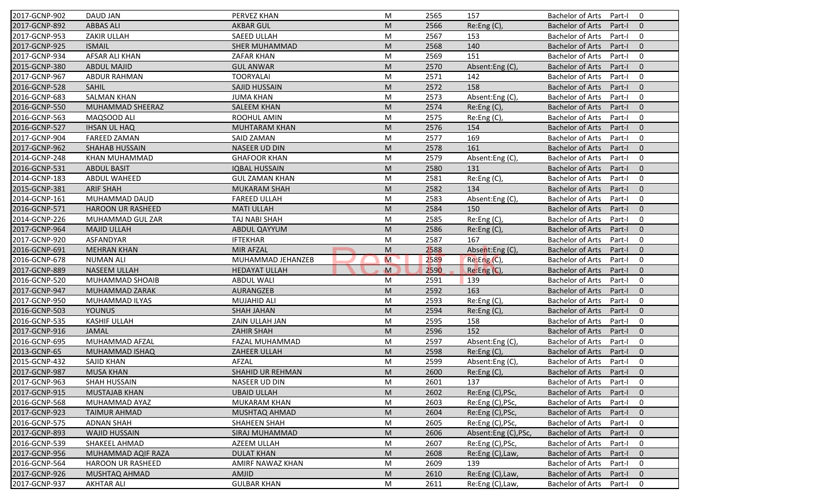| 2017-GCNP-902                                                                                                                                                                           | DAUD JAN                            | PERVEZ KHAN                 | M                                                                                                          | 2565         | 157                                  | Bachelor of Arts Part-I                            |                  | 0                   |
|-----------------------------------------------------------------------------------------------------------------------------------------------------------------------------------------|-------------------------------------|-----------------------------|------------------------------------------------------------------------------------------------------------|--------------|--------------------------------------|----------------------------------------------------|------------------|---------------------|
| 2017-GCNP-892                                                                                                                                                                           | <b>ABBAS ALI</b>                    | <b>AKBAR GUL</b>            | M                                                                                                          | 2566         | Re:Eng(C),                           | <b>Bachelor of Arts</b>                            | Part-I           | $\overline{0}$      |
| 2017-GCNP-953                                                                                                                                                                           | ZAKIR ULLAH                         | SAEED ULLAH                 | M                                                                                                          | 2567         | 153                                  | <b>Bachelor of Arts</b>                            | Part-I           | $\overline{0}$      |
| 2017-GCNP-925                                                                                                                                                                           | <b>ISMAIL</b>                       | <b>SHER MUHAMMAD</b>        | M                                                                                                          | 2568         | 140                                  | <b>Bachelor of Arts</b>                            | Part-I           | $\mathbf 0$         |
| 2017-GCNP-934                                                                                                                                                                           | AFSAR ALI KHAN                      | ZAFAR KHAN                  | M                                                                                                          | 2569         | 151                                  | <b>Bachelor of Arts</b>                            | Part-I           | $\mathbf 0$         |
| 2015-GCNP-380                                                                                                                                                                           | <b>ABDUL MAJID</b>                  | <b>GUL ANWAR</b>            | M                                                                                                          | 2570         | Absent:Eng(C),                       | <b>Bachelor of Arts</b>                            | Part-I           | $\overline{0}$      |
| 2017-GCNP-967                                                                                                                                                                           | <b>ABDUR RAHMAN</b>                 | <b>TOORYALAI</b>            | M                                                                                                          | 2571         | 142                                  | <b>Bachelor of Arts</b>                            | Part-I           | $\mathbf 0$         |
| 2016-GCNP-528                                                                                                                                                                           | <b>SAHIL</b>                        | SAJID HUSSAIN               | M                                                                                                          | 2572         | 158                                  | <b>Bachelor of Arts</b>                            | Part-I           | $\mathbf 0$         |
| 2016-GCNP-683                                                                                                                                                                           | <b>SALMAN KHAN</b>                  | <b>JUMA KHAN</b>            | M                                                                                                          | 2573         | Absent:Eng(C),                       | <b>Bachelor of Arts</b>                            | Part-I           | $\mathbf 0$         |
| 2016-GCNP-550                                                                                                                                                                           | MUHAMMAD SHEERAZ                    | <b>SALEEM KHAN</b>          | M                                                                                                          | 2574         | Re: Eng(C),                          | <b>Bachelor of Arts</b>                            | Part-I           | $\overline{0}$      |
| 2016-GCNP-563                                                                                                                                                                           | MAQSOOD ALI                         | ROOHUL AMIN                 | M                                                                                                          | 2575         | Re:Eng (C),                          | <b>Bachelor of Arts</b>                            | Part-I           | $\mathbf 0$         |
| 2016-GCNP-527                                                                                                                                                                           | <b>IHSAN UL HAQ</b>                 | MUHTARAM KHAN               | M                                                                                                          | 2576         | 154                                  | <b>Bachelor of Arts</b>                            | Part-I           | $\overline{0}$      |
| 2017-GCNP-904                                                                                                                                                                           | <b>FAREED ZAMAN</b>                 | SAID ZAMAN                  | M                                                                                                          | 2577         | 169                                  | <b>Bachelor of Arts</b>                            | Part-I           | $\mathbf 0$         |
| 2017-GCNP-962                                                                                                                                                                           | SHAHAB HUSSAIN                      | NASEER UD DIN               | ${\sf M}$                                                                                                  | 2578         | 161                                  | <b>Bachelor of Arts</b>                            | Part-I           | $\overline{0}$      |
| 2014-GCNP-248                                                                                                                                                                           | KHAN MUHAMMAD                       | <b>GHAFOOR KHAN</b>         | ${\sf M}$                                                                                                  | 2579         | Absent:Eng(C),                       | <b>Bachelor of Arts</b>                            | Part-I           | $\mathbf 0$         |
| 2016-GCNP-531                                                                                                                                                                           | <b>ABDUL BASIT</b>                  | <b>IQBAL HUSSAIN</b>        | M                                                                                                          | 2580         | 131                                  | <b>Bachelor of Arts</b>                            | Part-I           | $\overline{0}$      |
| 2014-GCNP-183                                                                                                                                                                           | <b>ABDUL WAHEED</b>                 | <b>GUL ZAMAN KHAN</b>       | M                                                                                                          | 2581         | Re:Eng(C),                           | <b>Bachelor of Arts</b>                            | Part-I           | $\mathbf 0$         |
| 2015-GCNP-381                                                                                                                                                                           | <b>ARIF SHAH</b>                    | <b>MUKARAM SHAH</b>         | M                                                                                                          | 2582         | 134                                  | <b>Bachelor of Arts</b>                            | Part-I           | $\overline{0}$      |
| 2014-GCNP-161                                                                                                                                                                           | MUHAMMAD DAUD                       | <b>FAREED ULLAH</b>         | M                                                                                                          | 2583         | Absent:Eng(C),                       | <b>Bachelor of Arts</b>                            | Part-I           | $\mathbf 0$         |
| 2016-GCNP-571                                                                                                                                                                           | HAROON UR RASHEED                   | <b>MATI ULLAH</b>           | M                                                                                                          | 2584         | 150                                  | <b>Bachelor of Arts</b>                            | Part-I           | $\overline{0}$      |
| 2014-GCNP-226                                                                                                                                                                           | MUHAMMAD GUL ZAR                    | TAJ NABI SHAH               | M                                                                                                          | 2585         | Re:Eng (C),                          | <b>Bachelor of Arts</b>                            | Part-I           | $\mathbf 0$         |
| 2017-GCNP-964                                                                                                                                                                           | <b>MAJID ULLAH</b>                  | ABDUL QAYYUM                | M                                                                                                          | 2586         | Re: Eng(C),                          | <b>Bachelor of Arts</b>                            | Part-I           | $\mathbf 0$         |
| 2017-GCNP-920                                                                                                                                                                           | ASFANDYAR                           | <b>IFTEKHAR</b>             | M                                                                                                          | 2587         | 167                                  | <b>Bachelor of Arts</b>                            | Part-I           | $\mathbf 0$         |
| 2016-GCNP-691                                                                                                                                                                           | <b>MEHRAN KHAN</b>                  | <b>MIR AFZAL</b>            | M                                                                                                          | 2588         | Absent:Eng (C),                      | <b>Bachelor of Arts</b>                            | Part-I           | $\overline{0}$      |
| 2016-GCNP-678                                                                                                                                                                           | <b>NUMAN ALI</b>                    | MUHAMMAD JEHANZEB           | M                                                                                                          | 2589         | Re:Eng (C),                          | <b>Bachelor of Arts</b>                            | Part-I           | $\mathbf 0$         |
| 2017-GCNP-889                                                                                                                                                                           | <b>NASEEM ULLAH</b>                 | <b>HEDAYAT ULLAH</b>        |                                                                                                            | 2590         | Re: Eng(C),                          | <b>Bachelor of Arts</b>                            |                  | $\overline{0}$      |
|                                                                                                                                                                                         |                                     |                             |                                                                                                            |              |                                      |                                                    |                  |                     |
|                                                                                                                                                                                         | MUHAMMAD SHOAIB                     | <b>ABDUL WALI</b>           | M<br>M                                                                                                     | 2591         | 139                                  |                                                    | Part-I           | $\overline{0}$      |
| 2016-GCNP-520                                                                                                                                                                           |                                     |                             | M                                                                                                          | 2592         | 163                                  | <b>Bachelor of Arts</b>                            | Part-I           | $\overline{0}$      |
|                                                                                                                                                                                         | MUHAMMAD ZARAK                      | AURANGZEB                   |                                                                                                            |              |                                      | <b>Bachelor of Arts</b>                            | Part-I           | $\mathbf 0$         |
|                                                                                                                                                                                         | MUHAMMAD ILYAS                      | MUJAHID ALI                 | M                                                                                                          | 2593         | Re:Eng (C),                          | <b>Bachelor of Arts</b>                            | Part-I           | $\overline{0}$      |
| 2017-GCNP-947<br>2017-GCNP-950<br>2016-GCNP-503                                                                                                                                         | <b>YOUNUS</b>                       | SHAH JAHAN                  | $\mathsf{M}% _{T}=\mathsf{M}_{T}\!\left( a,b\right) ,\ \mathsf{M}_{T}=\mathsf{M}_{T}\!\left( a,b\right) ,$ | 2594         | Re:Eng (C),                          | <b>Bachelor of Arts</b>                            | Part-I           | $\mathbf 0$         |
|                                                                                                                                                                                         | <b>KASHIF ULLAH</b><br><b>JAMAL</b> | ZAIN ULLAH JAN              | M                                                                                                          | 2595         | 158                                  | <b>Bachelor of Arts</b>                            | Part-I           | $\overline{0}$      |
| 2016-GCNP-535<br>2017-GCNP-916                                                                                                                                                          |                                     | ZAHIR SHAH                  | M                                                                                                          | 2596         | 152                                  | <b>Bachelor of Arts</b>                            | Part-I           |                     |
| 2016-GCNP-695                                                                                                                                                                           | MUHAMMAD AFZAL                      | FAZAL MUHAMMAD              | M                                                                                                          | 2597         | Absent:Eng(C),                       | <b>Bachelor of Arts</b>                            | Part-I           | $\mathbf 0$         |
| 2013-GCNP-65                                                                                                                                                                            | MUHAMMAD ISHAQ                      | ZAHEER ULLAH                | M                                                                                                          | 2598         | Re: Eng(C),                          | <b>Bachelor of Arts</b>                            | Part-I           | $\overline{0}$      |
|                                                                                                                                                                                         | SAJID KHAN                          | AFZAL                       | M                                                                                                          | 2599         | Absent:Eng(C),                       | <b>Bachelor of Arts</b>                            | Part-I           | $\mathbf 0$         |
|                                                                                                                                                                                         | <b>MUSA KHAN</b>                    | <b>SHAHID UR REHMAN</b>     | M                                                                                                          | 2600         | Re:Eng (C),                          | <b>Bachelor of Arts</b>                            | Part-I           | $\overline{0}$      |
|                                                                                                                                                                                         | SHAH HUSSAIN                        | NASEER UD DIN               | M                                                                                                          | 2601         | 137                                  | <b>Bachelor of Arts</b>                            | Part-I           | 0                   |
|                                                                                                                                                                                         | <b>MUSTAJAB KHAN</b>                | <b>UBAID ULLAH</b>          | M                                                                                                          | 2602         | Re:Eng (C), PSc,                     | <b>Bachelor of Arts</b>                            | Part-I           | $\mathbf 0$         |
|                                                                                                                                                                                         | MUHAMMAD AYAZ                       | MUKARAM KHAN                | M                                                                                                          | 2603         | Re:Eng (C), PSc,                     | <b>Bachelor of Arts</b>                            | Part-I           | 0                   |
|                                                                                                                                                                                         | <b>TAIMUR AHMAD</b>                 | MUSHTAQ AHMAD               | M                                                                                                          | 2604         | Re:Eng (C), PSc,                     | <b>Bachelor of Arts</b>                            | Part-I           | $\mathbf 0$         |
|                                                                                                                                                                                         | <b>ADNAN SHAH</b>                   | SHAHEEN SHAH                | M                                                                                                          | 2605         | Re:Eng (C), PSc,                     | <b>Bachelor of Arts</b>                            | Part-I           | 0                   |
|                                                                                                                                                                                         | <b>WAJID HUSSAIN</b>                | SIRAJ MUHAMMAD              | M                                                                                                          | 2606         | Absent:Eng (C), PSc,                 | <b>Bachelor of Arts</b>                            | Part-I           | $\overline{0}$      |
|                                                                                                                                                                                         | SHAKEEL AHMAD                       | AZEEM ULLAH                 | M                                                                                                          | 2607         | Re:Eng (C), PSc,                     | <b>Bachelor of Arts</b>                            | Part-I           | 0                   |
|                                                                                                                                                                                         | MUHAMMAD AQIF RAZA                  | <b>DULAT KHAN</b>           | M                                                                                                          | 2608         | Re:Eng (C), Law,                     | <b>Bachelor of Arts</b>                            | Part-I           | $\overline{0}$      |
| 2015-GCNP-432<br>2017-GCNP-987<br>2017-GCNP-963<br>2017-GCNP-915<br>2016-GCNP-568<br>2017-GCNP-923<br>2016-GCNP-575<br>2017-GCNP-893<br>2016-GCNP-539<br>2017-GCNP-956<br>2016-GCNP-564 | HAROON UR RASHEED                   | AMIRF NAWAZ KHAN            | M                                                                                                          | 2609         | 139                                  | <b>Bachelor of Arts</b>                            | Part-I           | 0                   |
| 2017-GCNP-926<br>2017-GCNP-937                                                                                                                                                          | MUSHTAQ AHMAD<br><b>AKHTAR ALI</b>  | AMJID<br><b>GULBAR KHAN</b> | M<br>M                                                                                                     | 2610<br>2611 | Re:Eng (C), Law,<br>Re:Eng (C), Law, | <b>Bachelor of Arts</b><br><b>Bachelor of Arts</b> | Part-I<br>Part-I | $\overline{0}$<br>0 |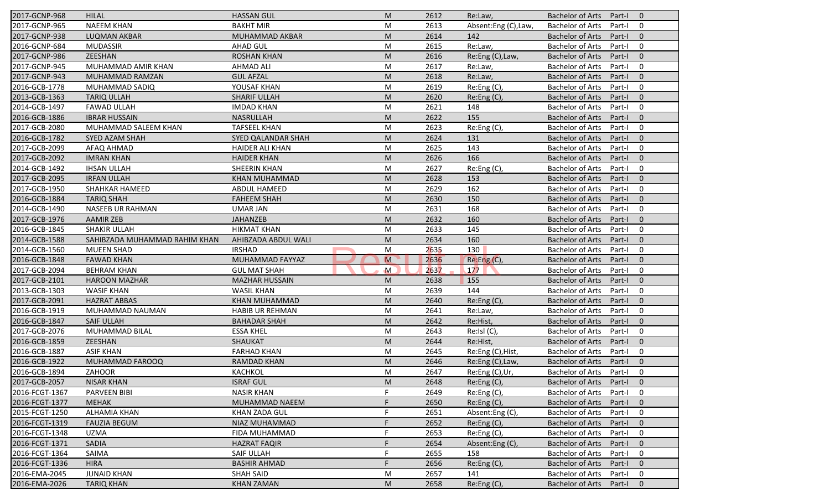| 2017-GCNP-968  | <b>HILAL</b>                  | <b>HASSAN GUL</b>      | M            | 2612 | Re:Law,             | <b>Bachelor of Arts</b><br>$\mathbf{0}$<br>Part-I   |
|----------------|-------------------------------|------------------------|--------------|------|---------------------|-----------------------------------------------------|
| 2017-GCNP-965  | <b>NAEEM KHAN</b>             | <b>BAKHT MIR</b>       | M            | 2613 | Absent:Eng (C),Law, | <b>Bachelor of Arts</b><br>Part-I<br>0              |
| 2017-GCNP-938  | <b>LUQMAN AKBAR</b>           | MUHAMMAD AKBAR         | M            | 2614 | 142                 | $\mathbf{0}$<br><b>Bachelor of Arts</b><br>Part-I   |
| 2016-GCNP-684  | <b>MUDASSIR</b>               | <b>AHAD GUL</b>        | M            | 2615 | Re:Law,             | <b>Bachelor of Arts</b><br>Part-I<br>0              |
| 2017-GCNP-986  | ZEESHAN                       | <b>ROSHAN KHAN</b>     | M            | 2616 | Re:Eng (C), Law,    | $\mathbf{0}$<br><b>Bachelor of Arts</b><br>Part-I   |
| 2017-GCNP-945  | MUHAMMAD AMIR KHAN            | <b>AHMAD ALI</b>       | M            | 2617 | Re:Law,             | 0<br><b>Bachelor of Arts</b><br>Part-I              |
| 2017-GCNP-943  | MUHAMMAD RAMZAN               | <b>GUL AFZAL</b>       | M            | 2618 | Re:Law,             | $\mathbf{0}$<br><b>Bachelor of Arts</b><br>Part-I   |
| 2016-GCB-1778  | MUHAMMAD SADIQ                | YOUSAF KHAN            | M            | 2619 | Re:Eng (C),         | $\mathbf 0$<br><b>Bachelor of Arts</b><br>Part-I    |
| 2013-GCB-1363  | <b>TARIQ ULLAH</b>            | <b>SHARIF ULLAH</b>    | M            | 2620 | Re:Eng (C),         | $\mathbf{0}$<br><b>Bachelor of Arts</b><br>Part-I   |
| 2014-GCB-1497  | <b>FAWAD ULLAH</b>            | <b>IMDAD KHAN</b>      | M            | 2621 | 148                 | <b>Bachelor of Arts</b><br>$\mathbf 0$<br>Part-I    |
| 2016-GCB-1886  | <b>IBRAR HUSSAIN</b>          | NASRULLAH              | M            | 2622 | 155                 | <b>Bachelor of Arts</b><br>Part-I<br>$\mathbf{0}$   |
| 2017-GCB-2080  | MUHAMMAD SALEEM KHAN          | <b>TAFSEEL KHAN</b>    | M            | 2623 | Re:Eng (C),         | $\mathbf 0$<br><b>Bachelor of Arts</b><br>Part-I    |
| 2016-GCB-1782  | SYED AZAM SHAH                | SYED QALANDAR SHAH     | M            | 2624 | 131                 | $\mathbf{0}$<br><b>Bachelor of Arts</b><br>Part-I   |
| 2017-GCB-2099  | AFAQ AHMAD                    | <b>HAIDER ALI KHAN</b> | M            | 2625 | 143                 | $\mathbf 0$<br><b>Bachelor of Arts</b><br>Part-I    |
| 2017-GCB-2092  | <b>IMRAN KHAN</b>             | <b>HAIDER KHAN</b>     | M            | 2626 | 166                 | $\mathbf{0}$<br><b>Bachelor of Arts</b><br>Part-I   |
| 2014-GCB-1492  | <b>IHSAN ULLAH</b>            | <b>SHEERIN KHAN</b>    | M            | 2627 | Re:Eng (C),         | <b>Bachelor of Arts</b><br>0<br>Part-I              |
| 2017-GCB-2095  | <b>IRFAN ULLAH</b>            | <b>KHAN MUHAMMAD</b>   | M            | 2628 | 153                 | <b>Bachelor of Arts</b><br>$\mathbf{0}$<br>Part-I   |
| 2017-GCB-1950  | <b>SHAHKAR HAMEED</b>         | <b>ABDUL HAMEED</b>    | M            | 2629 | 162                 | <b>Bachelor of Arts</b><br>Part-I<br>0              |
| 2016-GCB-1884  | <b>TARIQ SHAH</b>             | <b>FAHEEM SHAH</b>     | M            | 2630 | 150                 | <b>Bachelor of Arts</b><br>$\mathbf{0}$<br>Part-I   |
| 2014-GCB-1490  | <b>NASEEB UR RAHMAN</b>       | <b>UMAR JAN</b>        | M            | 2631 | 168                 | <b>Bachelor of Arts</b><br>$\mathbf 0$<br>Part-I    |
| 2017-GCB-1976  | <b>AAMIR ZEB</b>              | <b>JAHANZEB</b>        | M            | 2632 | 160                 | <b>Bachelor of Arts</b><br>$\mathbf{0}$<br>Part-I   |
| 2016-GCB-1845  | <b>SHAKIR ULLAH</b>           | <b>HIKMAT KHAN</b>     | M            | 2633 | 145                 | <b>Bachelor of Arts</b><br>$\mathbf 0$<br>Part-I    |
| 2014-GCB-1588  | SAHIBZADA MUHAMMAD RAHIM KHAN | AHIBZADA ABDUL WALI    | M            | 2634 | 160                 | $\mathbf{0}$<br><b>Bachelor of Arts</b><br>Part-I   |
| 2014-GCB-1560  | <b>MUEEN SHAD</b>             | <b>IRSHAD</b>          | M            | 2635 | 130                 | <b>Bachelor of Arts</b><br>$\mathbf 0$<br>Part-I    |
| 2016-GCB-1848  | <b>FAWAD KHAN</b>             | MUHAMMAD FAYYAZ        | M            | 2636 | Re:Eng(C),          | <b>Bachelor of Arts</b><br>$\mathbf{0}$<br>Part-I   |
| 2017-GCB-2094  | <b>BEHRAM KHAN</b>            | <b>GUL MAT SHAH</b>    | $\mathsf{M}$ | 2637 | 177                 | $\mathbf 0$<br><b>Bachelor of Arts</b><br>Part-I    |
| 2017-GCB-2101  | <b>HAROON MAZHAR</b>          | <b>MAZHAR HUSSAIN</b>  | M            | 2638 | 155                 | <b>Bachelor of Arts</b><br>Part-I<br>$\mathbf{0}$   |
| 2013-GCB-1303  | <b>WASIF KHAN</b>             | <b>WASIL KHAN</b>      | M            | 2639 | 144                 | <b>Bachelor of Arts</b><br>$\mathbf 0$<br>Part-I    |
| 2017-GCB-2091  | <b>HAZRAT ABBAS</b>           | <b>KHAN MUHAMMAD</b>   | M            | 2640 | Re:Eng (C),         | <b>Bachelor of Arts</b><br>Part-I<br>$\mathbf{0}$   |
| 2016-GCB-1919  | MUHAMMAD NAUMAN               | <b>HABIB UR REHMAN</b> | M            | 2641 | Re:Law,             | $\mathbf 0$<br><b>Bachelor of Arts</b><br>Part-I    |
| 2016-GCB-1847  | <b>SAIF ULLAH</b>             | <b>BAHADAR SHAH</b>    | M            | 2642 | Re:Hist,            | <b>Bachelor of Arts</b><br>Part-I<br>$\overline{0}$ |
| 2017-GCB-2076  | MUHAMMAD BILAL                | <b>ESSA KHEL</b>       | M            | 2643 | Re:Isl (C),         | <b>Bachelor of Arts</b><br>Part-I<br>0              |
| 2016-GCB-1859  | ZEESHAN                       | SHAUKAT                | M            | 2644 | Re:Hist             | <b>Bachelor of Arts</b><br>$\mathbf{0}$<br>Part-I   |
| 2016-GCB-1887  | <b>ASIF KHAN</b>              | <b>FARHAD KHAN</b>     | M            | 2645 | Re:Eng (C), Hist,   | <b>Bachelor of Arts</b><br>Part-I<br>0              |
| 2016-GCB-1922  | MUHAMMAD FAROOQ               | RAMDAD KHAN            | M            | 2646 | Re:Eng (C), Law,    | <b>Bachelor of Arts</b><br>Part-I<br>$\mathbf 0$    |
| 2016-GCB-1894  | ZAHOOR                        | KACHKOL                | M            | 2647 | Re:Eng (C), Ur,     | Bachelor of Arts Part-I<br>$\mathbf 0$              |
| 2017-GCB-2057  | <b>NISAR KHAN</b>             | <b>ISRAF GUL</b>       | M            | 2648 | $Re: Eng(C)$ ,      | Bachelor of Arts Part-I<br>$\overline{0}$           |
| 2016-FCGT-1367 | PARVEEN BIBI                  | <b>NASIR KHAN</b>      | F.           | 2649 | Re: Eng(C),         | Bachelor of Arts<br>Part-I<br>$\mathbf 0$           |
| 2016-FCGT-1377 | <b>MEHAK</b>                  | MUHAMMAD NAEEM         |              | 2650 | Re:Eng (C),         | Bachelor of Arts<br>$\mathbf{0}$<br>Part-I          |
| 2015-FCGT-1250 | <b>ALHAMIA KHAN</b>           | KHAN ZADA GUL          |              | 2651 | Absent:Eng (C),     | Bachelor of Arts<br>$\mathbf 0$<br>Part-I           |
| 2016-FCGT-1319 | <b>FAUZIA BEGUM</b>           | NIAZ MUHAMMAD          |              | 2652 | Re:Eng (C),         | <b>Bachelor of Arts</b><br>$\mathbf 0$<br>Part-I    |
| 2016-FCGT-1348 | UZMA                          | FIDA MUHAMMAD          |              | 2653 | Re:Eng(C),          | Bachelor of Arts<br>$\mathbf 0$<br>Part-I           |
| 2016-FCGT-1371 | <b>SADIA</b>                  | <b>HAZRAT FAQIR</b>    |              | 2654 | Absent:Eng (C),     | Bachelor of Arts<br>$\mathbf 0$<br>Part-I           |
| 2016-FCGT-1364 | SAIMA                         | SAIF ULLAH             |              | 2655 | 158                 | Bachelor of Arts<br>Part-I<br>0                     |
| 2016-FCGT-1336 | <b>HIRA</b>                   | <b>BASHIR AHMAD</b>    |              | 2656 | Re:Eng (C),         | <b>Bachelor of Arts</b><br>Part-I<br>$\mathbf 0$    |
| 2016-EMA-2045  | <b>JUNAID KHAN</b>            | <b>SHAH SAID</b>       | M            | 2657 | 141                 | <b>Bachelor of Arts</b><br>$\mathbf 0$<br>Part-I    |
| 2016-EMA-2026  | <b>TARIQ KHAN</b>             | KHAN ZAMAN             | M            | 2658 | Re:Eng(C),          | Bachelor of Arts Part-I<br>$\mathbf{0}$             |
|                |                               |                        |              |      |                     |                                                     |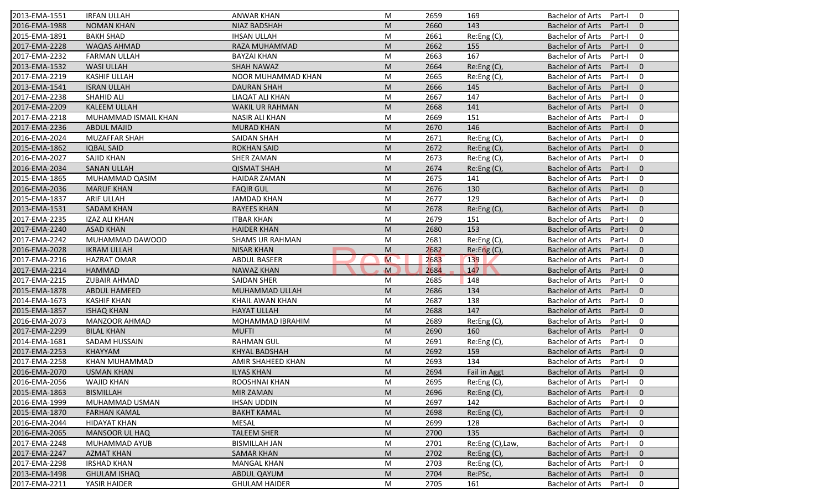| 2013-EMA-1551 | <b>IRFAN ULLAH</b>    | <b>ANWAR KHAN</b>      | M                                                                                                          | 2659 | 169              | <b>Bachelor of Arts</b><br>0<br>Part-I            |
|---------------|-----------------------|------------------------|------------------------------------------------------------------------------------------------------------|------|------------------|---------------------------------------------------|
| 2016-EMA-1988 | <b>NOMAN KHAN</b>     | <b>NIAZ BADSHAH</b>    | M                                                                                                          | 2660 | 143              | <b>Bachelor of Arts</b><br>Part-I<br>$\mathbf{0}$ |
| 2015-EMA-1891 | <b>BAKH SHAD</b>      | <b>IHSAN ULLAH</b>     | M                                                                                                          | 2661 | Re:Eng (C),      | <b>Bachelor of Arts</b><br>Part-I<br>0            |
| 2017-EMA-2228 | <b>WAQAS AHMAD</b>    | RAZA MUHAMMAD          | M                                                                                                          | 2662 | 155              | $\mathbf{0}$<br><b>Bachelor of Arts</b><br>Part-I |
| 2017-EMA-2232 | <b>FARMAN ULLAH</b>   | <b>BAYZAI KHAN</b>     | M                                                                                                          | 2663 | 167              | <b>Bachelor of Arts</b><br>0<br>Part-I            |
| 2013-EMA-1532 | <b>WASI ULLAH</b>     | <b>SHAH NAWAZ</b>      | M                                                                                                          | 2664 | Re: Eng(C)       | <b>Bachelor of Arts</b><br>Part-I<br>$\mathbf 0$  |
| 2017-EMA-2219 | <b>KASHIF ULLAH</b>   | NOOR MUHAMMAD KHAN     | M                                                                                                          | 2665 | Re:Eng (C),      | 0<br><b>Bachelor of Arts</b><br>Part-I            |
| 2013-EMA-1541 | <b>ISRAN ULLAH</b>    | <b>DAURAN SHAH</b>     | M                                                                                                          | 2666 | 145              | $\mathbf{0}$<br><b>Bachelor of Arts</b><br>Part-I |
| 2017-EMA-2238 | SHAHID ALI            | LIAQAT ALI KHAN        | M                                                                                                          | 2667 | 147              | $\mathbf 0$<br><b>Bachelor of Arts</b><br>Part-I  |
| 2017-EMA-2209 | <b>KALEEM ULLAH</b>   | <b>WAKIL UR RAHMAN</b> | M                                                                                                          | 2668 | 141              | <b>Bachelor of Arts</b><br>Part-I<br>$\mathbf{0}$ |
| 2017-EMA-2218 | MUHAMMAD ISMAIL KHAN  | <b>NASIR ALI KHAN</b>  | M                                                                                                          | 2669 | 151              | <b>Bachelor of Arts</b><br>Part-I<br>0            |
| 2017-EMA-2236 | <b>ABDUL MAJID</b>    | <b>MURAD KHAN</b>      | M                                                                                                          | 2670 | 146              | <b>Bachelor of Arts</b><br>Part-I<br>$\mathbf{0}$ |
| 2016-EMA-2024 | MUZAFFAR SHAH         | <b>SAIDAN SHAH</b>     | M                                                                                                          | 2671 | Re:Eng (C),      | <b>Bachelor of Arts</b><br>$\mathbf 0$<br>Part-I  |
| 2015-EMA-1862 | <b>IQBAL SAID</b>     | <b>ROKHAN SAID</b>     | M                                                                                                          | 2672 | Re: Eng(C)       | $\mathbf{0}$<br><b>Bachelor of Arts</b><br>Part-I |
| 2016-EMA-2027 | SAJID KHAN            | <b>SHER ZAMAN</b>      | M                                                                                                          | 2673 | Re:Eng (C),      | 0<br><b>Bachelor of Arts</b><br>Part-I            |
| 2016-EMA-2034 | <b>SANAN ULLAH</b>    | <b>QISMAT SHAH</b>     | M                                                                                                          | 2674 | Re: Eng(C)       | $\mathbf{0}$<br><b>Bachelor of Arts</b><br>Part-I |
| 2015-EMA-1865 | MUHAMMAD QASIM        | <b>HAIDAR ZAMAN</b>    | M                                                                                                          | 2675 | 141              | <b>Bachelor of Arts</b><br>$\mathbf 0$<br>Part-I  |
| 2016-EMA-2036 | <b>MARUF KHAN</b>     | <b>FAQIR GUL</b>       | M                                                                                                          | 2676 | 130              | <b>Bachelor of Arts</b><br>$\mathbf{0}$<br>Part-I |
| 2015-EMA-1837 | <b>ARIF ULLAH</b>     | <b>JAMDAD KHAN</b>     | M                                                                                                          | 2677 | 129              | <b>Bachelor of Arts</b><br>Part-I<br>0            |
| 2013-EMA-1531 | <b>SADAM KHAN</b>     | <b>RAYEES KHAN</b>     | M                                                                                                          | 2678 | Re:Eng (C),      | $\mathbf{0}$<br><b>Bachelor of Arts</b><br>Part-I |
| 2017-EMA-2235 | <b>IZAZ ALI KHAN</b>  | <b>ITBAR KHAN</b>      | M                                                                                                          | 2679 | 151              | <b>Bachelor of Arts</b><br>$\mathbf 0$<br>Part-I  |
| 2017-EMA-2240 | <b>ASAD KHAN</b>      | <b>HAIDER KHAN</b>     | M                                                                                                          | 2680 | 153              | $\mathbf{0}$<br><b>Bachelor of Arts</b><br>Part-I |
| 2017-EMA-2242 | MUHAMMAD DAWOOD       | <b>SHAMS UR RAHMAN</b> | M                                                                                                          | 2681 | Re:Eng (C),      | 0<br><b>Bachelor of Arts</b><br>Part-I            |
| 2016-EMA-2028 | <b>IKRAM ULLAH</b>    | <b>NISAR KHAN</b>      | M                                                                                                          | 2682 | $Re:$ Eng $(C)$  | $\mathbf{0}$<br><b>Bachelor of Arts</b><br>Part-I |
| 2017-EMA-2216 | <b>HAZRAT OMAR</b>    | <b>ABDUL BASEER</b>    | M                                                                                                          | 2683 | 139              | <b>Bachelor of Arts</b><br>$\mathbf 0$<br>Part-I  |
| 2017-EMA-2214 | <b>HAMMAD</b>         | <b>NAWAZ KHAN</b>      | $\mathbf M$                                                                                                | 2684 | 147              | <b>Bachelor of Arts</b><br>$\mathbf{0}$<br>Part-I |
| 2017-EMA-2215 | <b>ZUBAIR AHMAD</b>   | <b>SAIDAN SHER</b>     | M                                                                                                          | 2685 | 148              | <b>Bachelor of Arts</b><br>Part-I<br>0            |
| 2015-EMA-1878 | <b>ABDUL HAMEED</b>   | MUHAMMAD ULLAH         | M                                                                                                          | 2686 | 134              | <b>Bachelor of Arts</b><br>Part-I<br>$\mathbf{0}$ |
| 2014-EMA-1673 | <b>KASHIF KHAN</b>    | KHAIL AWAN KHAN        | M                                                                                                          | 2687 | 138              | <b>Bachelor of Arts</b><br>$\mathbf 0$<br>Part-I  |
| 2015-EMA-1857 | <b>ISHAQ KHAN</b>     | <b>HAYAT ULLAH</b>     | M                                                                                                          | 2688 | 147              | $\mathbf{0}$<br><b>Bachelor of Arts</b><br>Part-I |
| 2016-EMA-2073 | <b>MANZOOR AHMAD</b>  | MOHAMMAD IBRAHIM       | M                                                                                                          | 2689 | Re:Eng (C),      | <b>Bachelor of Arts</b><br>Part-I<br>0            |
| 2017-EMA-2299 | <b>BILAL KHAN</b>     | <b>MUFTI</b>           | M                                                                                                          | 2690 | 160              | $\mathbf{0}$<br><b>Bachelor of Arts</b><br>Part-I |
| 2014-EMA-1681 | SADAM HUSSAIN         | <b>RAHMAN GUL</b>      | M                                                                                                          | 2691 | Re:Eng (C),      | <b>Bachelor of Arts</b><br>$\mathbf 0$<br>Part-I  |
| 2017-EMA-2253 | <b>KHAYYAM</b>        | <b>KHYAL BADSHAH</b>   | M                                                                                                          | 2692 | 159              | <b>Bachelor of Arts</b><br>$\mathbf{0}$<br>Part-I |
| 2017-EMA-2258 | <b>KHAN MUHAMMAD</b>  | AMIR SHAHEED KHAN      | M                                                                                                          | 2693 | 134              | <b>Bachelor of Arts</b><br>Part-I<br>0            |
| 2016-EMA-2070 | <b>USMAN KHAN</b>     | <b>ILYAS KHAN</b>      | $\mathsf{M}% _{T}=\mathsf{M}_{T}\!\left( a,b\right) ,\ \mathsf{M}_{T}=\mathsf{M}_{T}\!\left( a,b\right) ,$ | 2694 | Fail in Aggt     | Bachelor of Arts Part-I 0                         |
| 2016-EMA-2056 | <b>WAJID KHAN</b>     | ROOSHNAI KHAN          | M                                                                                                          | 2695 | Re:Eng (C),      | Bachelor of Arts Part-I<br>$\overline{0}$         |
| 2015-EMA-1863 | <b>BISMILLAH</b>      | MIR ZAMAN              | M                                                                                                          | 2696 | Re:Eng (C),      | <b>Bachelor of Arts</b><br>Part-I<br>$\mathbf{0}$ |
| 2016-EMA-1999 | MUHAMMAD USMAN        | <b>IHSAN UDDIN</b>     | M                                                                                                          | 2697 | 142              | Bachelor of Arts<br>Part-I<br>$\mathbf 0$         |
| 2015-EMA-1870 | <b>FARHAN KAMAL</b>   | <b>BAKHT KAMAL</b>     | M                                                                                                          | 2698 | Re:Eng (C)       | <b>Bachelor of Arts</b><br>Part-I<br>$\mathbf{0}$ |
| 2016-EMA-2044 | <b>HIDAYAT KHAN</b>   | MESAL                  | M                                                                                                          | 2699 | 128              | <b>Bachelor of Arts</b><br>0<br>Part-I            |
| 2016-EMA-2065 | <b>MANSOOR UL HAQ</b> | <b>TALEEM SHER</b>     | M                                                                                                          | 2700 | 135              | <b>Bachelor of Arts</b><br>Part-I<br>$\mathbf{0}$ |
| 2017-EMA-2248 | MUHAMMAD AYUB         | <b>BISMILLAH JAN</b>   | M                                                                                                          | 2701 | Re:Eng (C), Law, | Bachelor of Arts<br>0<br>Part-I                   |
| 2017-EMA-2247 | <b>AZMAT KHAN</b>     | <b>SAMAR KHAN</b>      | M                                                                                                          | 2702 | Re:Eng(C),       | <b>Bachelor of Arts</b><br>Part-I<br>$\mathbf{0}$ |
| 2017-EMA-2298 | <b>IRSHAD KHAN</b>    | <b>MANGAL KHAN</b>     | M                                                                                                          | 2703 | Re:Eng (C),      | <b>Bachelor of Arts</b><br>Part-I<br>0            |
| 2013-EMA-1498 | <b>GHULAM ISHAQ</b>   | ABDUL QAYUM            | M                                                                                                          | 2704 | Re:PSc,          | <b>Bachelor of Arts</b><br>Part-I<br>$\mathbf{0}$ |
| 2017-EMA-2211 | YASIR HAIDER          | <b>GHULAM HAIDER</b>   | M                                                                                                          | 2705 | 161              | Bachelor of Arts<br>0<br>Part-I                   |
|               |                       |                        |                                                                                                            |      |                  |                                                   |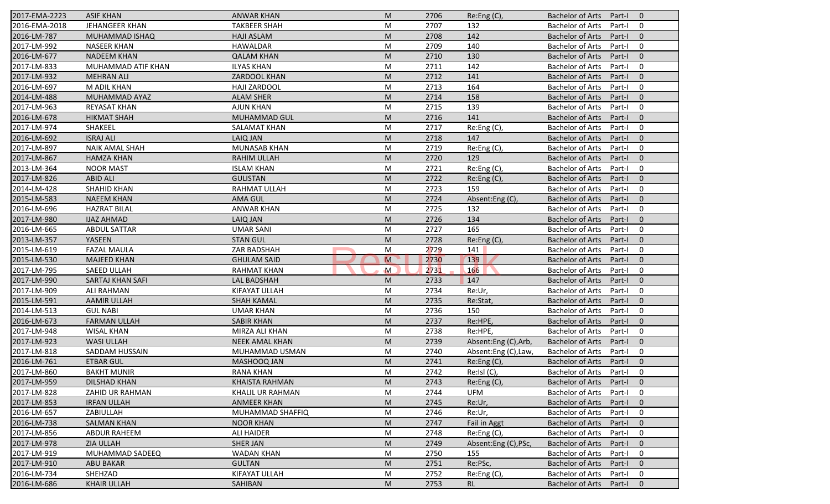| 2017-EMA-2223 | <b>ASIF KHAN</b>      | <b>ANWAR KHAN</b>     | M                       | 2706 | Re: Eng(C)           | <b>Bachelor of Arts</b><br>Part-I<br>$\overline{0}$ |
|---------------|-----------------------|-----------------------|-------------------------|------|----------------------|-----------------------------------------------------|
| 2016-EMA-2018 | <b>JEHANGEER KHAN</b> | <b>TAKBEER SHAH</b>   | M                       | 2707 | 132                  | <b>Bachelor of Arts</b><br>Part-I<br>0              |
| 2016-LM-787   | MUHAMMAD ISHAQ        | <b>HAJI ASLAM</b>     | M                       | 2708 | 142                  | <b>Bachelor of Arts</b><br>$\mathbf{0}$<br>Part-I   |
| 2017-LM-992   | <b>NASEER KHAN</b>    | HAWALDAR              | M                       | 2709 | 140                  | <b>Bachelor of Arts</b><br>0<br>Part-I              |
| 2016-LM-677   | <b>NADEEM KHAN</b>    | <b>QALAM KHAN</b>     | M                       | 2710 | 130                  | $\mathbf{0}$<br><b>Bachelor of Arts</b><br>Part-I   |
| 2017-LM-833   | MUHAMMAD ATIF KHAN    | <b>ILYAS KHAN</b>     | M                       | 2711 | 142                  | <b>Bachelor of Arts</b><br>0<br>Part-I              |
| 2017-LM-932   | <b>MEHRAN ALI</b>     | <b>ZARDOOL KHAN</b>   | M                       | 2712 | 141                  | $\mathbf{0}$<br><b>Bachelor of Arts</b><br>Part-I   |
| 2016-LM-697   | M ADIL KHAN           | <b>HAJI ZARDOOL</b>   | M                       | 2713 | 164                  | 0<br><b>Bachelor of Arts</b><br>Part-I              |
| 2014-LM-488   | MUHAMMAD AYAZ         | <b>ALAM SHER</b>      | M                       | 2714 | 158                  | <b>Bachelor of Arts</b><br>$\mathbf{0}$<br>Part-I   |
| 2017-LM-963   | REYASAT KHAN          | <b>AJUN KHAN</b>      | M                       | 2715 | 139                  | <b>Bachelor of Arts</b><br>Part-I<br>0              |
| 2016-LM-678   | <b>HIKMAT SHAH</b>    | MUHAMMAD GUL          | M                       | 2716 | 141                  | <b>Bachelor of Arts</b><br>$\mathbf{0}$<br>Part-I   |
| 2017-LM-974   | SHAKEEL               | <b>SALAMAT KHAN</b>   | M                       | 2717 | Re:Eng (C),          | <b>Bachelor of Arts</b><br>0<br>Part-I              |
| 2016-LM-692   | <b>ISRAJ ALI</b>      | LAIQ JAN              | M                       | 2718 | 147                  | <b>Bachelor of Arts</b><br>$\mathbf{0}$<br>Part-I   |
| 2017-LM-897   | <b>NAIK AMAL SHAH</b> | <b>MUNASAB KHAN</b>   | M                       | 2719 | Re: Eng(C)           | <b>Bachelor of Arts</b><br>0<br>Part-I              |
| 2017-LM-867   | <b>HAMZA KHAN</b>     | <b>RAHIM ULLAH</b>    | M                       | 2720 | 129                  | <b>Bachelor of Arts</b><br>$\overline{0}$<br>Part-I |
| 2013-LM-364   | <b>NOOR MAST</b>      | <b>ISLAM KHAN</b>     | M                       | 2721 | Re:Eng (C)           | <b>Bachelor of Arts</b><br>0<br>Part-I              |
| 2017-LM-826   | <b>ABID ALI</b>       | <b>GULISTAN</b>       | M                       | 2722 | Re:Eng (C),          | <b>Bachelor of Arts</b><br>$\mathbf{0}$<br>Part-I   |
| 2014-LM-428   | <b>SHAHID KHAN</b>    | <b>RAHMAT ULLAH</b>   | M                       | 2723 | 159                  | <b>Bachelor of Arts</b><br>0<br>Part-I              |
| 2015-LM-583   | <b>NAEEM KHAN</b>     | <b>AMA GUL</b>        | M                       | 2724 | Absent:Eng (C)       | <b>Bachelor of Arts</b><br>$\mathbf{0}$<br>Part-I   |
| 2016-LM-696   | <b>HAZRAT BILAL</b>   | <b>ANWAR KHAN</b>     | M                       | 2725 | 132                  | <b>Bachelor of Arts</b><br>0<br>Part-I              |
| 2017-LM-980   | <b>IJAZ AHMAD</b>     | LAIQ JAN              | M                       | 2726 | 134                  | $\mathbf{0}$<br><b>Bachelor of Arts</b><br>Part-I   |
| 2016-LM-665   | <b>ABDUL SATTAR</b>   | <b>UMAR SANI</b>      | M                       | 2727 | 165                  | 0<br><b>Bachelor of Arts</b><br>Part-I              |
| 2013-LM-357   | YASEEN                | <b>STAN GUL</b>       | M                       | 2728 | Re: Eng(C)           | <b>Bachelor of Arts</b><br>$\overline{0}$<br>Part-I |
| 2015-LM-619   | <b>FAZAL MAULA</b>    | ZAR BADSHAH           | M                       | 2729 | 141                  | <b>Bachelor of Arts</b><br>0<br>Part-I              |
| 2015-LM-530   | <b>MAJEED KHAN</b>    | <b>GHULAM SAID</b>    | $\overline{\mathsf{M}}$ | 2730 | 139                  | $\mathbf{0}$<br><b>Bachelor of Arts</b><br>Part-I   |
| 2017-LM-795   | SAEED ULLAH           | <b>RAHMAT KHAN</b>    | $\mathsf{M}$            | 2731 | 166                  | <b>Bachelor of Arts</b><br>0<br>Part-I              |
| 2017-LM-990   | SARTAJ KHAN SAFI      | LAL BADSHAH           | M                       | 2733 | 147                  | <b>Bachelor of Arts</b><br>Part-I<br>$\overline{0}$ |
| 2017-LM-909   | <b>ALI RAHMAN</b>     | KIFAYAT ULLAH         | M                       | 2734 | Re:Ur,               | $\mathbf 0$<br><b>Bachelor of Arts</b><br>Part-I    |
| 2015-LM-591   | <b>AAMIR ULLAH</b>    | <b>SHAH KAMAL</b>     | M                       | 2735 | Re:Stat,             | <b>Bachelor of Arts</b><br>$\mathbf{0}$<br>Part-I   |
| 2014-LM-513   | <b>GUL NABI</b>       | <b>UMAR KHAN</b>      | M                       | 2736 | 150                  | <b>Bachelor of Arts</b><br>0<br>Part-I              |
| 2016-LM-673   | <b>FARMAN ULLAH</b>   | <b>SABIR KHAN</b>     | M                       | 2737 | Re:HPE,              | <b>Bachelor of Arts</b><br>$\overline{0}$<br>Part-I |
| 2017-LM-948   | <b>WISAL KHAN</b>     | MIRZA ALI KHAN        | M                       | 2738 | Re:HPE,              | <b>Bachelor of Arts</b><br>0<br>Part-I              |
| 2017-LM-923   | <b>WASI ULLAH</b>     | <b>NEEK AMAL KHAN</b> | M                       | 2739 | Absent:Eng (C),Arb,  | <b>Bachelor of Arts</b><br>Part-I<br>$\overline{0}$ |
| 2017-LM-818   | SADDAM HUSSAIN        | MUHAMMAD USMAN        | M                       | 2740 | Absent:Eng (C),Law,  | <b>Bachelor of Arts</b><br>0<br>Part-I              |
| 2016-LM-761   | <b>ETBAR GUL</b>      | MASHOOQ JAN           | M                       | 2741 | Re:Eng (C),          | <b>Bachelor of Arts</b><br>Part-I<br>$\mathbf 0$    |
| 2017-LM-860   | <b>BAKHT MUNIR</b>    | <b>RANA KHAN</b>      | M                       | 2742 | Re:IsI(C),           | Bachelor of Arts Part-I<br>$\mathbf 0$              |
| 2017-LM-959   | DILSHAD KHAN          | <b>KHAISTA RAHMAN</b> | M                       | 2743 | Re:Eng(C)            | Bachelor of Arts Part-I<br>$\overline{0}$           |
| 2017-LM-828   | ZAHID UR RAHMAN       | KHALIL UR RAHMAN      | M                       | 2744 | UFM                  | Bachelor of Arts<br>Part-I<br>0                     |
| 2017-LM-853   | <b>IRFAN ULLAH</b>    | <b>ANMEER KHAN</b>    | M                       | 2745 | Re:Ur,               | Bachelor of Arts<br>Part-I<br>$\mathbf{0}$          |
| 2016-LM-657   | ZABIULLAH             | MUHAMMAD SHAFFIQ      | M                       | 2746 | Re:Ur,               | Bachelor of Arts<br>Part-I<br>0                     |
| 2016-LM-738   | <b>SALMAN KHAN</b>    | <b>NOOR KHAN</b>      | M                       | 2747 | Fail in Aggt         | <b>Bachelor of Arts</b><br>$\mathbf 0$<br>Part-I    |
| 2017-LM-856   | <b>ABDUR RAHEEM</b>   | <b>ALI HAIDER</b>     | M                       | 2748 | Re:Eng (C),          | Bachelor of Arts<br>0<br>Part-I                     |
| 2017-LM-978   | <b>ZIA ULLAH</b>      | <b>SHER JAN</b>       | M                       | 2749 | Absent:Eng (C), PSc, | Bachelor of Arts<br>Part-I<br>$\mathbf{0}$          |
| 2017-LM-919   | MUHAMMAD SADEEQ       | <b>WADAN KHAN</b>     | M                       | 2750 | 155                  | Bachelor of Arts<br>Part-I<br>0                     |
| 2017-LM-910   | <b>ABU BAKAR</b>      | <b>GULTAN</b>         | M                       | 2751 | Re:PSc,              | <b>Bachelor of Arts</b><br>$\mathbf{0}$<br>Part-I   |
| 2016-LM-734   | SHEHZAD               | KIFAYAT ULLAH         | M                       | 2752 | Re:Eng (C),          | <b>Bachelor of Arts</b><br>Part-I<br>0              |
| 2016-LM-686   | <b>KHAIR ULLAH</b>    | SAHIBAN               | M                       | 2753 | RL.                  | Bachelor of Arts Part-I<br>$\mathbf{0}$             |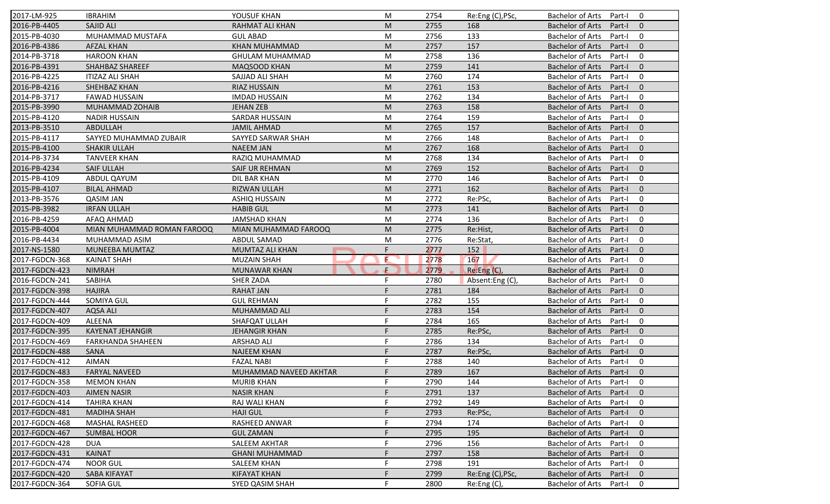| 2017-LM-925                      | <b>IBRAHIM</b>                   | YOUSUF KHAN                            | M  | 2754         | Re:Eng (C), PSc,                | <b>Bachelor of Arts</b><br>Part-I<br>$\mathbf 0$                                    |
|----------------------------------|----------------------------------|----------------------------------------|----|--------------|---------------------------------|-------------------------------------------------------------------------------------|
| 2016-PB-4405                     | <b>SAJID ALI</b>                 | RAHMAT ALI KHAN                        | M  | 2755         | 168                             | <b>Bachelor of Arts</b><br>Part-I<br>$\mathbf{0}$                                   |
| 2015-PB-4030                     | MUHAMMAD MUSTAFA                 | <b>GUL ABAD</b>                        | M  | 2756         | 133                             | $\mathbf 0$<br><b>Bachelor of Arts</b><br>Part-I                                    |
| 2016-PB-4386                     | <b>AFZAL KHAN</b>                | <b>KHAN MUHAMMAD</b>                   | M  | 2757         | 157                             | <b>Bachelor of Arts</b><br>$\mathbf{0}$<br>Part-I                                   |
| 2014-PB-3718                     | <b>HAROON KHAN</b>               | GHULAM MUHAMMAD                        | M  | 2758         | 136                             | $\mathbf 0$<br><b>Bachelor of Arts</b><br>Part-I                                    |
| 2016-PB-4391                     | SHAHBAZ SHAREEF                  | MAQSOOD KHAN                           | M  | 2759         | 141                             | <b>Bachelor of Arts</b><br>Part-I<br>$\overline{0}$                                 |
| 2016-PB-4225                     | <b>ITIZAZ ALI SHAH</b>           | SAJJAD ALI SHAH                        | M  | 2760         | 174                             | $\mathbf 0$<br><b>Bachelor of Arts</b><br>Part-I                                    |
| 2016-PB-4216                     | SHEHBAZ KHAN                     | <b>RIAZ HUSSAIN</b>                    | M  | 2761         | 153                             | <b>Bachelor of Arts</b><br>$\mathbf{0}$<br>Part-I                                   |
| 2014-PB-3717                     | <b>FAWAD HUSSAIN</b>             | <b>IMDAD HUSSAIN</b>                   | M  | 2762         | 134                             | $\mathbf 0$<br><b>Bachelor of Arts</b><br>Part-I                                    |
| 2015-PB-3990                     | MUHAMMAD ZOHAIB                  | <b>JEHAN ZEB</b>                       | M  | 2763         | 158                             | <b>Bachelor of Arts</b><br>Part-I<br>$\Omega$                                       |
| 2015-PB-4120                     | <b>NADIR HUSSAIN</b>             | SARDAR HUSSAIN                         | M  | 2764         | 159                             | $\mathbf 0$<br><b>Bachelor of Arts</b><br>Part-I                                    |
| 2013-PB-3510                     | ABDULLAH                         | <b>JAMIL AHMAD</b>                     | M  | 2765         | 157                             | $\mathbf{0}$<br><b>Bachelor of Arts</b><br>Part-I                                   |
| 2015-PB-4117                     | SAYYED MUHAMMAD ZUBAIR           | SAYYED SARWAR SHAH                     | M  | 2766         | 148                             | $\mathbf 0$<br><b>Bachelor of Arts</b><br>Part-I                                    |
| 2015-PB-4100                     | <b>SHAKIR ULLAH</b>              | <b>NAEEM JAN</b>                       | M  | 2767         | 168                             | <b>Bachelor of Arts</b><br>$\mathbf{0}$<br>Part-I                                   |
| 2014-PB-3734                     | <b>TANVEER KHAN</b>              | RAZIQ MUHAMMAD                         | M  | 2768         | 134                             | $\mathbf 0$<br><b>Bachelor of Arts</b><br>Part-I                                    |
| 2016-PB-4234                     | <b>SAIF ULLAH</b>                | SAIF UR REHMAN                         | M  | 2769         | 152                             | $\Omega$<br><b>Bachelor of Arts</b><br>Part-I                                       |
| 2015-PB-4109                     | ABDUL QAYUM                      | DIL BAR KHAN                           | M  | 2770         | 146                             | <b>Bachelor of Arts</b><br>$\mathbf 0$<br>Part-I                                    |
| 2015-PB-4107                     | <b>BILAL AHMAD</b>               | RIZWAN ULLAH                           | M  | 2771         | 162                             | <b>Bachelor of Arts</b><br>Part-I<br>$\mathbf{0}$                                   |
| 2013-PB-3576                     | <b>QASIM JAN</b>                 | <b>ASHIQ HUSSAIN</b>                   | M  | 2772         | Re:PSc,                         | <b>Bachelor of Arts</b><br>Part-I<br>$\mathbf 0$                                    |
| 2015-PB-3982                     | <b>IRFAN ULLAH</b>               | <b>HABIB GUL</b>                       | M  | 2773         | 141                             | $\mathbf{0}$<br><b>Bachelor of Arts</b><br>Part-I                                   |
| 2016-PB-4259                     | AFAQ AHMAD                       | <b>JAMSHAD KHAN</b>                    | M  | 2774         | 136                             | <b>Bachelor of Arts</b><br>$\mathbf 0$<br>Part-I                                    |
| 2015-PB-4004                     | MIAN MUHAMMAD ROMAN FAROOQ       | MIAN MUHAMMAD FAROOQ                   | M  | 2775         | Re:Hist,                        | $\mathbf{0}$<br><b>Bachelor of Arts</b><br>Part-I                                   |
| 2016-PB-4434                     | MUHAMMAD ASIM                    | ABDUL SAMAD                            | M  | 2776         | Re:Stat,                        | 0<br><b>Bachelor of Arts</b><br>Part-I                                              |
| 2017-NS-1580                     | MUNEEBA MUMTAZ                   | MUMTAZ ALI KHAN                        | F  | 2777         | 152                             | $\mathbf{0}$<br><b>Bachelor of Arts</b><br>Part-I                                   |
| 2017-FGDCN-368                   | <b>KAINAT SHAH</b>               | <b>MUZAIN SHAH</b>                     | E  | 2778         | 167                             | $\mathbf 0$<br><b>Bachelor of Arts</b><br>Part-I                                    |
| 2017-FGDCN-423                   | <b>NIMRAH</b>                    | <b>MUNAWAR KHAN</b>                    | ÷. | 2779         | Re:Eng (C),                     | <b>Bachelor of Arts</b><br>Part-I<br>$\mathbf{0}$                                   |
| 2016-FGDCN-241                   | SABIHA                           | <b>SHER ZADA</b>                       | F  | 2780         | Absent:Eng (C),                 | <b>Bachelor of Arts</b><br>Part-I<br>$\mathbf 0$                                    |
| 2017-FGDCN-398                   | <b>HAJIRA</b>                    | <b>RAHAT JAN</b>                       | E  | 2781         | 184                             | $\Omega$<br><b>Bachelor of Arts</b><br>Part-I                                       |
| 2017-FGDCN-444                   | SOMIYA GUL                       | <b>GUL REHMAN</b>                      | F  | 2782         | 155                             | $\mathbf 0$<br><b>Bachelor of Arts</b><br>Part-I                                    |
| 2017-FGDCN-407                   | AQSA ALI                         | <b>MUHAMMAD ALI</b>                    | F  | 2783         | 154                             | $\mathbf{0}$<br><b>Bachelor of Arts</b><br>Part-I                                   |
| 2017-FGDCN-409                   | <b>ALEENA</b>                    |                                        | F  |              | 165                             | $\mathbf 0$<br><b>Bachelor of Arts</b><br>Part-I                                    |
| 2017-FGDCN-395                   | <b>KAYENAT JEHANGIR</b>          | SHAFQAT ULLAH<br><b>JEHANGIR KHAN</b>  | F  | 2784         |                                 | $\mathbf{0}$<br>Part-I                                                              |
| 2017-FGDCN-469                   | <b>FARKHANDA SHAHEEN</b>         | <b>ARSHAD ALI</b>                      | F  | 2785<br>2786 | Re:PSc,<br>134                  | <b>Bachelor of Arts</b><br><b>Bachelor of Arts</b><br>Part-I<br>$\mathbf 0$         |
|                                  |                                  | <b>NAJEEM KHAN</b>                     | F  |              |                                 | $\mathbf{0}$                                                                        |
| 2017-FGDCN-488                   | <b>SANA</b><br><b>AIMAN</b>      | <b>FAZAL NABI</b>                      | F  | 2787         | Re:PSc,<br>140                  | <b>Bachelor of Arts</b><br>Part-I                                                   |
| 2017-FGDCN-412                   |                                  |                                        |    | 2788         |                                 | <b>Bachelor of Arts</b><br>Part-I<br>0                                              |
| 2017-FGDCN-483                   | <b>FARYAL NAVEED</b>             | MUHAMMAD NAVEED AKHTAR                 |    | 2789         | 167                             | Bachelor of Arts Part-I 0                                                           |
| 2017-FGDCN-358                   | <b>MEMON KHAN</b>                | <b>MURIB KHAN</b>                      | F. | 2790         | 144                             | Bachelor of Arts Part-I<br>$\mathbf 0$                                              |
| 2017-FGDCN-403                   | <b>AIMEN NASIR</b>               | <b>NASIR KHAN</b>                      |    | 2791         | 137                             | <b>Bachelor of Arts</b><br>Part-I<br>$\mathbf{0}$                                   |
| 2017-FGDCN-414                   | TAHIRA KHAN                      | RAJ WALI KHAN                          | F  | 2792         | 149                             | <b>Bachelor of Arts</b><br>Part-I<br>$\mathbf 0$                                    |
| 2017-FGDCN-481                   | <b>MADIHA SHAH</b>               | <b>HAJI GUL</b>                        |    | 2793         | Re:PSc,                         | <b>Bachelor of Arts</b><br>$\mathbf 0$<br>Part-I                                    |
| 2017-FGDCN-468                   |                                  | RASHEED ANWAR                          |    | 2794         | 174                             | <b>Bachelor of Arts</b><br>0<br>Part-I                                              |
|                                  | MASHAL RASHEED                   |                                        |    |              |                                 |                                                                                     |
| 2017-FGDCN-467                   | <b>SUMBAL HOOR</b>               | <b>GUL ZAMAN</b>                       |    | 2795         | 195                             | <b>Bachelor of Arts</b><br>$\mathbf 0$<br>Part-I                                    |
|                                  | <b>DUA</b>                       | SALEEM AKHTAR                          |    | 2796         | 156                             | <b>Bachelor of Arts</b><br>0<br>Part-I                                              |
| 2017-FGDCN-428<br>2017-FGDCN-431 | <b>KAINAT</b>                    | <b>GHANI MUHAMMAD</b>                  |    | 2797         | 158                             | <b>Bachelor of Arts</b><br>$\mathbf 0$<br>Part-I                                    |
| 2017-FGDCN-474                   | <b>NOOR GUL</b>                  | <b>SALEEM KHAN</b>                     |    | 2798         | 191                             | 0<br><b>Bachelor of Arts</b><br>Part-I                                              |
| 2017-FGDCN-420<br>2017-FGDCN-364 | <b>SABA KIFAYAT</b><br>SOFIA GUL | <b>KIFAYAT KHAN</b><br>SYED QASIM SHAH |    | 2799<br>2800 | Re:Eng (C), PSc,<br>Re:Eng (C), | <b>Bachelor of Arts</b><br>$\mathbf 0$<br>Part-I<br>Bachelor of Arts<br>0<br>Part-I |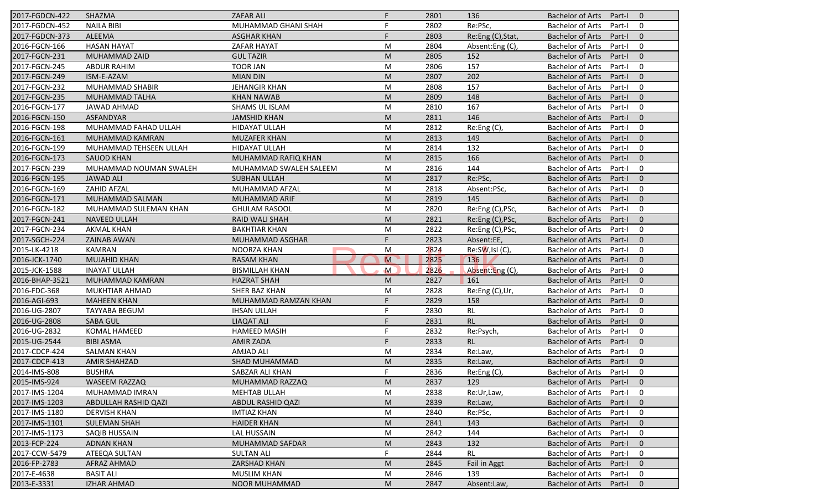| 2017-FGDCN-422 | SHAZMA                 | <b>ZAFAR ALI</b>       | F.           | 2801 | 136               | Bachelor of Arts Part-I<br>$\overline{0}$           |
|----------------|------------------------|------------------------|--------------|------|-------------------|-----------------------------------------------------|
| 2017-FGDCN-452 | <b>NAILA BIBI</b>      | MUHAMMAD GHANI SHAH    | F.           | 2802 | Re:PSc,           | <b>Bachelor of Arts</b><br>Part-I<br>0              |
| 2017-FGDCN-373 | <b>ALEEMA</b>          | <b>ASGHAR KHAN</b>     | F.           | 2803 | Re:Eng (C), Stat, | <b>Bachelor of Arts</b><br>Part-I<br>$\overline{0}$ |
| 2016-FGCN-166  | <b>HASAN HAYAT</b>     | ZAFAR HAYAT            | M            | 2804 | Absent:Eng(C),    | <b>Bachelor of Arts</b><br>$\mathbf 0$<br>Part-I    |
| 2017-FGCN-231  | MUHAMMAD ZAID          | <b>GUL TAZIR</b>       | M            | 2805 | 152               | <b>Bachelor of Arts</b><br>$\mathbf 0$<br>Part-I    |
| 2017-FGCN-245  | <b>ABDUR RAHIM</b>     | <b>TOOR JAN</b>        | ${\sf M}$    | 2806 | 157               | <b>Bachelor of Arts</b><br>Part-I<br>$\mathbf 0$    |
| 2017-FGCN-249  | ISM-E-AZAM             | <b>MIAN DIN</b>        | M            | 2807 | 202               | <b>Bachelor of Arts</b><br>$\overline{0}$<br>Part-I |
| 2017-FGCN-232  | MUHAMMAD SHABIR        | JEHANGIR KHAN          | M            | 2808 | 157               | $\mathbf 0$<br>Bachelor of Arts<br>Part-I           |
| 2017-FGCN-235  | MUHAMMAD TALHA         | <b>KHAN NAWAB</b>      | M            | 2809 | 148               | $\overline{0}$<br><b>Bachelor of Arts</b><br>Part-I |
| 2016-FGCN-177  | JAWAD AHMAD            | SHAMS UL ISLAM         | M            | 2810 | 167               | $\mathbf 0$<br><b>Bachelor of Arts</b><br>Part-I    |
| 2016-FGCN-150  | <b>ASFANDYAR</b>       | <b>JAMSHID KHAN</b>    | M            | 2811 | 146               | $\overline{0}$<br><b>Bachelor of Arts</b><br>Part-I |
| 2016-FGCN-198  | MUHAMMAD FAHAD ULLAH   | <b>HIDAYAT ULLAH</b>   | M            | 2812 | Re:Eng (C),       | $\mathbf 0$<br><b>Bachelor of Arts</b><br>Part-I    |
| 2016-FGCN-161  | MUHAMMAD KAMRAN        | <b>MUZAFER KHAN</b>    | M            | 2813 | 149               | <b>Bachelor of Arts</b><br>$\overline{0}$<br>Part-I |
| 2016-FGCN-199  | MUHAMMAD TEHSEEN ULLAH | <b>HIDAYAT ULLAH</b>   | M            | 2814 | 132               | <b>Bachelor of Arts</b><br>Part-I<br>0              |
| 2016-FGCN-173  | <b>SAUOD KHAN</b>      | MUHAMMAD RAFIQ KHAN    | M            | 2815 | 166               | <b>Bachelor of Arts</b><br>Part-I<br>$\overline{0}$ |
| 2017-FGCN-239  | MUHAMMAD NOUMAN SWALEH | MUHAMMAD SWALEH SALEEM | M            | 2816 | 144               | <b>Bachelor of Arts</b><br>Part-I<br>$\mathbf 0$    |
| 2016-FGCN-195  | <b>JAWAD ALI</b>       | <b>SUBHAN ULLAH</b>    | M            | 2817 | Re:PSc,           | $\overline{0}$<br><b>Bachelor of Arts</b><br>Part-I |
| 2016-FGCN-169  | <b>ZAHID AFZAL</b>     | MUHAMMAD AFZAL         | M            | 2818 | Absent:PSc,       | $\mathbf 0$<br><b>Bachelor of Arts</b><br>Part-I    |
| 2016-FGCN-171  | MUHAMMAD SALMAN        | MUHAMMAD ARIF          | M            | 2819 | 145               | $\overline{0}$<br><b>Bachelor of Arts</b><br>Part-I |
| 2016-FGCN-182  | MUHAMMAD SULEMAN KHAN  | <b>GHULAM RASOOL</b>   | M            | 2820 | Re:Eng (C), PSc,  | <b>Bachelor of Arts</b><br>$\mathbf 0$<br>Part-I    |
| 2017-FGCN-241  | <b>NAVEED ULLAH</b>    | <b>RAID WALI SHAH</b>  | M            | 2821 | Re:Eng (C), PSc,  | <b>Bachelor of Arts</b><br>$\overline{0}$<br>Part-I |
| 2017-FGCN-234  | <b>AKMAL KHAN</b>      | <b>BAKHTIAR KHAN</b>   | M            | 2822 | Re:Eng (C), PSc,  | <b>Bachelor of Arts</b><br>0<br>Part-I              |
| 2017-SGCH-224  | <b>ZAINAB AWAN</b>     | MUHAMMAD ASGHAR        | F.           | 2823 | Absent:EE,        | <b>Bachelor of Arts</b><br>$\overline{0}$<br>Part-I |
| 2015-LK-4218   | <b>KAMRAN</b>          | NOORZA KHAN            | M            | 2824 | Re:SW,Isl (C),    | <b>Bachelor of Arts</b><br>$\mathbf 0$<br>Part-I    |
| 2016-JCK-1740  | <b>MUJAHID KHAN</b>    | <b>RASAM KHAN</b>      | M            | 2825 | 136               | $\mathbf 0$<br><b>Bachelor of Arts</b><br>Part-I    |
| 2015-JCK-1588  | <b>INAYAT ULLAH</b>    | <b>BISMILLAH KHAN</b>  | $\mathsf{M}$ | 2826 | Absent:Eng (C),   | $\mathbf 0$<br><b>Bachelor of Arts</b><br>Part-I    |
| 2016-BHAP-3521 | MUHAMMAD KAMRAN        | <b>HAZRAT SHAH</b>     | M            | 2827 | 161               | $\overline{0}$<br><b>Bachelor of Arts</b><br>Part-I |
| 2016-FDC-368   | MUKHTIAR AHMAD         | SHER BAZ KHAN          | M            | 2828 | Re:Eng (C),Ur,    | <b>Bachelor of Arts</b><br>$\overline{0}$<br>Part-I |
| 2016-AGI-693   | <b>MAHEEN KHAN</b>     | MUHAMMAD RAMZAN KHAN   | F.           | 2829 | 158               | $\overline{0}$<br><b>Bachelor of Arts</b><br>Part-I |
| 2016-UG-2807   | <b>TAYYABA BEGUM</b>   | <b>IHSAN ULLAH</b>     | F.           | 2830 | <b>RL</b>         | <b>Bachelor of Arts</b><br>Part-I<br>$\mathbf 0$    |
| 2016-UG-2808   | <b>SABA GUL</b>        | <b>LIAQAT ALI</b>      | F.           | 2831 | RL                | <b>Bachelor of Arts</b><br>Part-I<br>$\overline{0}$ |
| 2016-UG-2832   | KOMAL HAMEED           | <b>HAMEED MASIH</b>    | F.           | 2832 | Re:Psych,         | <b>Bachelor of Arts</b><br>$\mathbf 0$<br>Part-I    |
| 2015-UG-2544   | <b>BIBI ASMA</b>       | <b>AMIR ZADA</b>       | F.           | 2833 | <b>RL</b>         | $\overline{0}$<br><b>Bachelor of Arts</b><br>Part-I |
| 2017-CDCP-424  | <b>SALMAN KHAN</b>     | AMJAD ALI              | M            | 2834 | Re:Law,           | <b>Bachelor of Arts</b><br>Part-I<br>0              |
| 2017-CDCP-413  | <b>AMIR SHAHZAD</b>    | SHAD MUHAMMAD          | M            | 2835 | Re:Law,           | <b>Bachelor of Arts</b><br>Part-I<br>$\overline{0}$ |
| 2014-IMS-808   | <b>BUSHRA</b>          | SABZAR ALI KHAN        | F.           | 2836 | Re: Eng(C),       | <b>Bachelor of Arts</b><br>Part-I<br>0              |
| 2015-IMS-924   | WASEEM RAZZAQ          | MUHAMMAD RAZZAQ        | M            | 2837 | 129               | <b>Bachelor of Arts</b><br>Part-I<br>$\mathbf{0}$   |
| 2017-IMS-1204  | MUHAMMAD IMRAN         | <b>MEHTAB ULLAH</b>    | M            | 2838 | Re:Ur,Law,        | <b>Bachelor of Arts</b><br>Part-I<br>0              |
| 2017-IMS-1203  | ABDULLAH RASHID QAZI   | ABDUL RASHID QAZI      | M            | 2839 | Re:Law,           | <b>Bachelor of Arts</b><br>Part-I<br>$\mathbf 0$    |
| 2017-IMS-1180  | <b>DERVISH KHAN</b>    | <b>IMTIAZ KHAN</b>     | M            | 2840 | Re:PSc,           | <b>Bachelor of Arts</b><br>$\mathbf 0$<br>Part-I    |
| 2017-IMS-1101  | <b>SULEMAN SHAH</b>    | <b>HAIDER KHAN</b>     | M            | 2841 | 143               | <b>Bachelor of Arts</b><br>$\overline{0}$<br>Part-I |
| 2017-IMS-1173  | SAQIB HUSSAIN          | LAL HUSSAIN            | M            | 2842 | 144               | <b>Bachelor of Arts</b><br>Part-I<br>0              |
| 2013-FCP-224   | <b>ADNAN KHAN</b>      | <b>MUHAMMAD SAFDAR</b> | M            | 2843 | 132               | <b>Bachelor of Arts</b><br>$\overline{0}$<br>Part-I |
| 2017-CCW-5479  | ATEEQA SULTAN          | <b>SULTAN ALI</b>      | F.           | 2844 | <b>RL</b>         | <b>Bachelor of Arts</b><br>Part-I<br>0              |
| 2016-FP-2783   | AFRAZ AHMAD            | ZARSHAD KHAN           | M            | 2845 | Fail in Aggt      | <b>Bachelor of Arts</b><br>$\overline{0}$<br>Part-I |
| 2017-E-4638    | <b>BASIT ALI</b>       | <b>MUSLIM KHAN</b>     | M            | 2846 | 139               | <b>Bachelor of Arts</b><br>Part-I<br>0              |
| 2013-E-3331    | <b>IZHAR AHMAD</b>     | NOOR MUHAMMAD          | M            | 2847 | Absent:Law,       | <b>Bachelor of Arts</b><br>Part-I<br>$\overline{0}$ |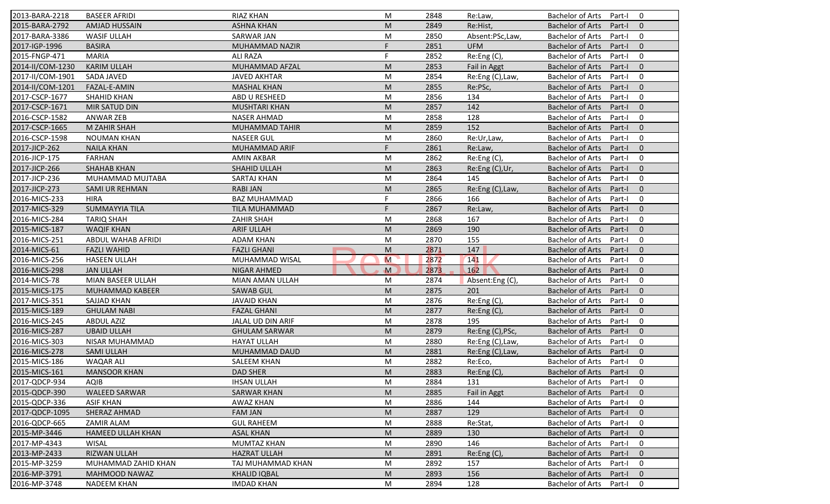| 2013-BARA-2218   | <b>BASEER AFRIDI</b>     | <b>RIAZ KHAN</b>     | M           | 2848 | Re:Law           | <b>Bachelor of Arts</b><br>Part-I<br>$\mathbf 0$  |
|------------------|--------------------------|----------------------|-------------|------|------------------|---------------------------------------------------|
| 2015-BARA-2792   | AMJAD HUSSAIN            | <b>ASHNA KHAN</b>    | M           | 2849 | Re:Hist,         | <b>Bachelor of Arts</b><br>Part-I<br>$\mathbf{0}$ |
| 2017-BARA-3386   | <b>WASIF ULLAH</b>       | <b>SARWAR JAN</b>    | M           | 2850 | Absent:PSc,Law,  | <b>Bachelor of Arts</b><br>$\mathbf 0$<br>Part-I  |
| 2017-IGP-1996    | <b>BASIRA</b>            | MUHAMMAD NAZIR       | F           | 2851 | <b>UFM</b>       | <b>Bachelor of Arts</b><br>$\mathbf{0}$<br>Part-I |
| 2015-FNGP-471    | <b>MARIA</b>             | <b>ALI RAZA</b>      | F           | 2852 | Re:Eng (C),      | $\mathbf 0$<br><b>Bachelor of Arts</b><br>Part-I  |
| 2014-II/COM-1230 | <b>KARIM ULLAH</b>       | MUHAMMAD AFZAL       | M           | 2853 | Fail in Aggt     | $\mathbf{0}$<br><b>Bachelor of Arts</b><br>Part-I |
| 2017-II/COM-1901 | <b>SADA JAVED</b>        | <b>JAVED AKHTAR</b>  | M           | 2854 | Re:Eng (C), Law, | $\mathbf 0$<br><b>Bachelor of Arts</b><br>Part-I  |
| 2014-II/COM-1201 | FAZAL-E-AMIN             | <b>MASHAL KHAN</b>   | M           | 2855 | Re:PSc,          | <b>Bachelor of Arts</b><br>$\mathbf{0}$<br>Part-I |
| 2017-CSCP-1677   | <b>SHAHID KHAN</b>       | ABD U RESHEED        | M           | 2856 | 134              | $\mathbf 0$<br><b>Bachelor of Arts</b><br>Part-I  |
| 2017-CSCP-1671   | MIR SATUD DIN            | <b>MUSHTARI KHAN</b> | M           | 2857 | 142              | $\mathbf{0}$<br><b>Bachelor of Arts</b><br>Part-I |
| 2016-CSCP-1582   | <b>ANWAR ZEB</b>         | <b>NASER AHMAD</b>   | M           | 2858 | 128              | <b>Bachelor of Arts</b><br>$\mathbf 0$<br>Part-I  |
| 2017-CSCP-1665   | M ZAHIR SHAH             | MUHAMMAD TAHIR       | M           | 2859 | 152              | $\mathbf{0}$<br><b>Bachelor of Arts</b><br>Part-I |
| 2016-CSCP-1598   | <b>NOUMAN KHAN</b>       | <b>NASEER GUL</b>    | M           | 2860 | Re:Ur,Law,       | $\mathbf 0$<br><b>Bachelor of Arts</b><br>Part-I  |
| 2017-JICP-262    | <b>NAILA KHAN</b>        | MUHAMMAD ARIF        | F           | 2861 | Re:Law,          | $\mathbf{0}$<br><b>Bachelor of Arts</b><br>Part-I |
| 2016-JICP-175    | <b>FARHAN</b>            | <b>AMIN AKBAR</b>    | M           | 2862 | Re: Eng(C),      | <b>Bachelor of Arts</b><br>$\mathbf 0$<br>Part-I  |
| 2017-JICP-266    | <b>SHAHAB KHAN</b>       | SHAHID ULLAH         | M           | 2863 | Re:Eng (C),Ur,   | <b>Bachelor of Arts</b><br>$\mathbf{0}$<br>Part-I |
| 2017-JICP-236    | MUHAMMAD MUJTABA         | SARTAJ KHAN          | M           | 2864 | 145              | <b>Bachelor of Arts</b><br>Part-I<br>$\mathbf 0$  |
| 2017-JICP-273    | <b>SAMI UR REHMAN</b>    | <b>RABI JAN</b>      | M           | 2865 | Re:Eng (C), Law, | <b>Bachelor of Arts</b><br>Part-I<br>$\mathbf{0}$ |
| 2016-MICS-233    | <b>HIRA</b>              | <b>BAZ MUHAMMAD</b>  | F           | 2866 | 166              | <b>Bachelor of Arts</b><br>$\mathbf 0$<br>Part-I  |
| 2017-MICS-329    | <b>SUMMAYYIA TILA</b>    | TILA MUHAMMAD        | F           | 2867 | Re:Law,          | <b>Bachelor of Arts</b><br>$\mathbf{0}$<br>Part-I |
| 2016-MICS-284    | <b>TARIQ SHAH</b>        | <b>ZAHIR SHAH</b>    | M           | 2868 | 167              | <b>Bachelor of Arts</b><br>Part-I<br>$\mathbf 0$  |
| 2015-MICS-187    | <b>WAQIF KHAN</b>        | <b>ARIF ULLAH</b>    | M           | 2869 | 190              | $\mathbf{0}$<br><b>Bachelor of Arts</b><br>Part-I |
| 2016-MICS-251    | ABDUL WAHAB AFRIDI       | <b>ADAM KHAN</b>     | M           | 2870 | 155              | 0<br><b>Bachelor of Arts</b><br>Part-I            |
| 2014-MICS-61     | <b>FAZLI WAHID</b>       | <b>FAZLI GHANI</b>   | M           | 2871 | 147              | $\mathbf{0}$<br><b>Bachelor of Arts</b><br>Part-I |
| 2016-MICS-256    | <b>HASEEN ULLAH</b>      | MUHAMMAD WISAL       | M           | 2872 | 141              | $\mathbf 0$<br><b>Bachelor of Arts</b><br>Part-I  |
| 2016-MICS-298    | <b>JAN ULLAH</b>         | NIGAR AHMED          | $\mathbf M$ | 2873 | 162              | $\mathbf{0}$<br><b>Bachelor of Arts</b><br>Part-I |
| 2014-MICS-78     | MIAN BASEER ULLAH        | MIAN AMAN ULLAH      | M           | 2874 | Absent:Eng (C),  | <b>Bachelor of Arts</b><br>Part-I<br>0            |
| 2015-MICS-175    | MUHAMMAD KABEER          | <b>SAWAB GUL</b>     | M           | 2875 | 201              | $\mathbf{0}$<br><b>Bachelor of Arts</b><br>Part-I |
| 2017-MICS-351    | SAJJAD KHAN              | <b>JAVAID KHAN</b>   | M           | 2876 | Re:Eng (C),      | $\mathbf 0$<br><b>Bachelor of Arts</b><br>Part-I  |
| 2015-MICS-189    | <b>GHULAM NABI</b>       | <b>FAZAL GHANI</b>   | M           | 2877 | Re:Eng(C),       | <b>Bachelor of Arts</b><br>$\mathbf{0}$<br>Part-I |
| 2016-MICS-245    | <b>ABDUL AZIZ</b>        | JALAL UD DIN ARIF    | M           | 2878 | 195              | 0<br><b>Bachelor of Arts</b><br>Part-I            |
| 2016-MICS-287    | <b>UBAID ULLAH</b>       | <b>GHULAM SARWAR</b> | M           | 2879 | Re:Eng (C), PSc, | <b>Bachelor of Arts</b><br>$\mathbf{0}$<br>Part-I |
| 2016-MICS-303    | NISAR MUHAMMAD           | <b>HAYAT ULLAH</b>   | M           | 2880 | Re:Eng (C), Law, | <b>Bachelor of Arts</b><br>Part-I<br>0            |
| 2016-MICS-278    | <b>SAMI ULLAH</b>        | MUHAMMAD DAUD        | M           | 2881 | Re:Eng (C), Law, | <b>Bachelor of Arts</b><br>Part-I<br>$\mathbf{0}$ |
| 2015-MICS-186    | <b>WAQAR ALI</b>         | <b>SALEEM KHAN</b>   | M           | 2882 | Re:Eco,          | <b>Bachelor of Arts</b><br>Part-I<br>0            |
| 2015-MICS-161    | <b>MANSOOR KHAN</b>      | <b>DAD SHER</b>      | ${\sf M}$   | 2883 | Re:Eng(C),       | Bachelor of Arts Part-I 0                         |
| 2017-QDCP-934    | AQIB                     | <b>IHSAN ULLAH</b>   | M           | 2884 | 131              | Bachelor of Arts Part-I<br>$\mathbf 0$            |
| 2015-QDCP-390    | <b>WALEED SARWAR</b>     | <b>SARWAR KHAN</b>   | M           | 2885 | Fail in Aggt     | <b>Bachelor of Arts</b><br>Part-I<br>$\mathbf{0}$ |
| 2015-QDCP-336    | <b>ASIF KHAN</b>         | AWAZ KHAN            | M           | 2886 | 144              | <b>Bachelor of Arts</b><br>Part-I<br>$\mathbf 0$  |
| 2017-QDCP-1095   | SHERAZ AHMAD             | <b>FAM JAN</b>       | M           | 2887 | 129              | <b>Bachelor of Arts</b><br>Part-I<br>$\mathbf{0}$ |
| 2016-QDCP-665    | ZAMIR ALAM               | <b>GUL RAHEEM</b>    | M           | 2888 | Re:Stat,         | <b>Bachelor of Arts</b><br>0<br>Part-I            |
| 2015-MP-3446     | <b>HAMEED ULLAH KHAN</b> | <b>ASAL KHAN</b>     | M           | 2889 | 130              | <b>Bachelor of Arts</b><br>Part-I<br>$\mathbf{0}$ |
| 2017-MP-4343     | <b>WISAL</b>             | <b>MUMTAZ KHAN</b>   | M           | 2890 | 146              | Bachelor of Arts<br>0<br>Part-I                   |
| 2013-MP-2433     | RIZWAN ULLAH             | <b>HAZRAT ULLAH</b>  | M           | 2891 | Re:Eng (C),      | <b>Bachelor of Arts</b><br>Part-I<br>$\mathbf{0}$ |
| 2015-MP-3259     | MUHAMMAD ZAHID KHAN      | TAJ MUHAMMAD KHAN    | M           | 2892 | 157              | <b>Bachelor of Arts</b><br>Part-I<br>0            |
| 2016-MP-3791     | MAHMOOD NAWAZ            | <b>KHALID IQBAL</b>  | M           | 2893 | 156              | <b>Bachelor of Arts</b><br>$\mathbf 0$<br>Part-I  |
| 2016-MP-3748     | <b>NADEEM KHAN</b>       |                      |             |      | 128              |                                                   |
|                  |                          | <b>IMDAD KHAN</b>    | M           | 2894 |                  | Bachelor of Arts<br>0<br>Part-I                   |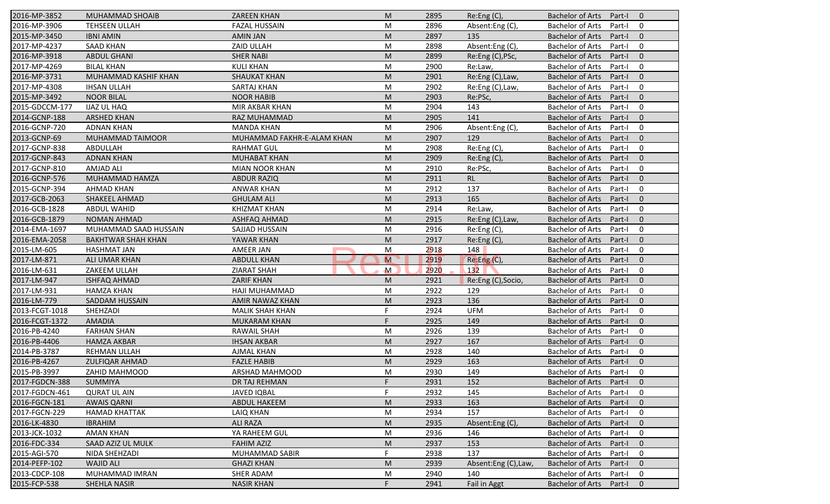| 2016-MP-3852   | MUHAMMAD SHOAIB           | <b>ZAREEN KHAN</b>         | M              | 2895 | Re:Eng (C),         | <b>Bachelor of Arts</b><br>Part-I<br>$\overline{0}$          |
|----------------|---------------------------|----------------------------|----------------|------|---------------------|--------------------------------------------------------------|
| 2016-MP-3906   | <b>TEHSEEN ULLAH</b>      | <b>FAZAL HUSSAIN</b>       | M              | 2896 | Absent:Eng (C),     | <b>Bachelor of Arts</b><br>Part-I<br>$\mathbf 0$             |
| 2015-MP-3450   | <b>IBNI AMIN</b>          | <b>AMIN JAN</b>            | M              | 2897 | 135                 | <b>Bachelor of Arts</b><br>Part-I<br>$\mathbf{0}$            |
| 2017-MP-4237   | <b>SAAD KHAN</b>          | ZAID ULLAH                 | M              | 2898 | Absent:Eng (C),     | <b>Bachelor of Arts</b><br>$\mathbf 0$<br>Part-I             |
| 2016-MP-3918   | <b>ABDUL GHANI</b>        | <b>SHER NABI</b>           | M              | 2899 | Re:Eng (C), PSc,    | $\mathbf{0}$<br><b>Bachelor of Arts</b><br>Part-I            |
| 2017-MP-4269   | <b>BILAL KHAN</b>         | <b>KULI KHAN</b>           | M              | 2900 | Re:Law,             | <b>Bachelor of Arts</b><br>Part-I<br>0                       |
| 2016-MP-3731   | MUHAMMAD KASHIF KHAN      | <b>SHAUKAT KHAN</b>        | M              | 2901 | Re:Eng (C), Law,    | $\mathbf{0}$<br><b>Bachelor of Arts</b><br>Part-I            |
| 2017-MP-4308   | <b>IHSAN ULLAH</b>        | SARTAJ KHAN                | M              | 2902 | Re:Eng (C), Law,    | <b>Bachelor of Arts</b><br>$\mathbf 0$<br>Part-I             |
| 2015-MP-3492   | <b>NOOR BILAL</b>         | <b>NOOR HABIB</b>          | M              | 2903 | Re:PSc,             | <b>Bachelor of Arts</b><br>$\mathbf{0}$<br>Part-I            |
| 2015-GDCCM-177 | <b>IJAZ UL HAQ</b>        | MIR AKBAR KHAN             | M              | 2904 | 143                 | <b>Bachelor of Arts</b><br>Part-I<br>$\mathbf 0$             |
| 2014-GCNP-188  | <b>ARSHED KHAN</b>        | RAZ MUHAMMAD               | M              | 2905 | 141                 | <b>Bachelor of Arts</b><br>Part-I<br>$\mathbf{0}$            |
| 2016-GCNP-720  | <b>ADNAN KHAN</b>         | <b>MANDA KHAN</b>          | M              | 2906 | Absent:Eng (C),     | $\mathbf 0$<br><b>Bachelor of Arts</b><br>Part-I             |
| 2013-GCNP-69   | MUHAMMAD TAIMOOR          | MUHAMMAD FAKHR-E-ALAM KHAN | M              | 2907 | 129                 | <b>Bachelor of Arts</b><br>$\mathbf{0}$<br>Part-I            |
| 2017-GCNP-838  | ABDULLAH                  | <b>RAHMAT GUL</b>          | M              | 2908 | Re:Eng (C),         | <b>Bachelor of Arts</b><br>$\mathbf 0$<br>Part-I             |
| 2017-GCNP-843  | <b>ADNAN KHAN</b>         | <b>MUHABAT KHAN</b>        | M              | 2909 | Re: Eng(C),         | <b>Bachelor of Arts</b><br>Part-I<br>$\overline{0}$          |
| 2017-GCNP-810  | <b>AMJAD ALI</b>          | MIAN NOOR KHAN             | M              | 2910 | Re:PSc,             | <b>Bachelor of Arts</b><br>$\mathbf 0$<br>Part-I             |
| 2016-GCNP-576  | MUHAMMAD HAMZA            | <b>ABDUR RAZIQ</b>         | M              | 2911 | <b>RL</b>           | <b>Bachelor of Arts</b><br>$\mathbf{0}$<br>Part-I            |
| 2015-GCNP-394  | <b>AHMAD KHAN</b>         | <b>ANWAR KHAN</b>          | M              | 2912 | 137                 | <b>Bachelor of Arts</b><br>$\mathbf 0$<br>Part-I             |
| 2017-GCB-2063  | SHAKEEL AHMAD             | <b>GHULAM ALI</b>          | M              | 2913 | 165                 | <b>Bachelor of Arts</b><br>$\mathbf{0}$<br>Part-I            |
| 2016-GCB-1828  | <b>ABDUL WAHID</b>        | <b>KHIZMAT KHAN</b>        | M              | 2914 | Re:Law,             | <b>Bachelor of Arts</b><br>Part-I<br>$\mathbf 0$             |
| 2016-GCB-1879  | <b>NOMAN AHMAD</b>        | ASHFAQ AHMAD               | M              | 2915 | Re:Eng (C), Law,    | <b>Bachelor of Arts</b><br>$\mathbf{0}$<br>Part-I            |
| 2014-EMA-1697  | MUHAMMAD SAAD HUSSAIN     | SAJJAD HUSSAIN             | M              | 2916 | Re:Eng (C),         | <b>Bachelor of Arts</b><br>$\mathbf 0$<br>Part-I             |
| 2016-EMA-2058  | <b>BAKHTWAR SHAH KHAN</b> | YAWAR KHAN                 | M              | 2917 | Re:Eng (C),         | <b>Bachelor of Arts</b><br>Part-I<br>$\overline{0}$          |
| 2015-LM-605    | <b>HASHMAT JAN</b>        | AMEER JAN                  | M              | 2918 | 148                 | <b>Bachelor of Arts</b><br>$\mathbf 0$<br>Part-I             |
| 2017-LM-871    | ALI UMAR KHAN             | <b>ABDULL KHAN</b>         | $\overline{M}$ | 2919 | Re:Eng(C),          | $\mathbf{0}$<br><b>Bachelor of Arts</b><br>Part-I            |
| 2016-LM-631    | ZAKEEM ULLAH              | <b>ZIARAT SHAH</b>         | $\mathsf{M}$   | 2920 | 132                 | <b>Bachelor of Arts</b><br>$\mathbf 0$<br>Part-I             |
| 2017-LM-947    | <b>ISHFAQ AHMAD</b>       | <b>ZARIF KHAN</b>          | M              | 2921 | Re:Eng (C), Socio,  | <b>Bachelor of Arts</b><br>$\mathbf{0}$<br>Part-I            |
| 2017-LM-931    | <b>HAMZA KHAN</b>         | HAJI MUHAMMAD              | M              | 2922 | 129                 | <b>Bachelor of Arts</b><br>$\mathbf 0$<br>Part-I             |
| 2016-LM-779    | <b>SADDAM HUSSAIN</b>     | AMIR NAWAZ KHAN            | M              | 2923 | 136                 | <b>Bachelor of Arts</b><br>$\mathbf{0}$<br>Part-I            |
| 2013-FCGT-1018 | SHEHZADI                  | <b>MALIK SHAH KHAN</b>     | F.             | 2924 | <b>UFM</b>          | <b>Bachelor of Arts</b><br>$\mathbf 0$<br>Part-I             |
| 2016-FCGT-1372 | <b>AMADIA</b>             | <b>MUKARAM KHAN</b>        | F.             | 2925 | 149                 | <b>Bachelor of Arts</b><br>$\overline{0}$<br>Part-I          |
| 2016-PB-4240   | <b>FARHAN SHAN</b>        | <b>RAWAIL SHAH</b>         | M              | 2926 | 139                 | <b>Bachelor of Arts</b><br>$\mathbf 0$<br>Part-I             |
| 2016-PB-4406   | <b>HAMZA AKBAR</b>        | <b>IHSAN AKBAR</b>         | M              | 2927 | 167                 | <b>Bachelor of Arts</b><br>$\mathbf{0}$<br>Part-I            |
| 2014-PB-3787   | <b>REHMAN ULLAH</b>       | <b>AJMAL KHAN</b>          | M              | 2928 | 140                 | <b>Bachelor of Arts</b><br>Part-I<br>$\mathbf 0$             |
| 2016-PB-4267   | <b>ZULFIQAR AHMAD</b>     | <b>FAZLE HABIB</b>         | M              | 2929 | 163                 | <b>Bachelor of Arts</b><br>$\mathbf 0$<br>Part-I             |
| 2015-PB-3997   | ZAHID MAHMOOD             | ARSHAD MAHMOOD             | M              | 2930 | 149                 | Bachelor of Arts Part-I<br>$\mathbf 0$                       |
| 2017-FGDCN-388 | <b>SUMMIYA</b>            | DR TAJ REHMAN              | F.             | 2931 | 152                 | Bachelor of Arts Part-I<br>$\overline{0}$                    |
| 2017-FGDCN-461 | <b>QURAT UL AIN</b>       | <b>JAVED IQBAL</b>         | F.             | 2932 | 145                 | <b>Bachelor of Arts</b><br>Part-I<br>0                       |
| 2016-FGCN-181  | <b>AWAIS QARNI</b>        | <b>ABDUL HAKEEM</b>        | M              | 2933 | 163                 | <b>Bachelor of Arts</b><br>Part-I<br>$\mathbf{0}$            |
| 2017-FGCN-229  | <b>HAMAD KHATTAK</b>      | LAIQ KHAN                  | M              | 2934 | 157                 | <b>Bachelor of Arts</b><br>0<br>Part-I                       |
| 2016-LK-4830   | <b>IBRAHIM</b>            | <b>ALI RAZA</b>            | M              | 2935 | Absent:Eng (C),     | <b>Bachelor of Arts</b><br>$\mathbf 0$<br>Part-I             |
| 2013-JCK-1032  | <b>AMAN KHAN</b>          | YA RAHEEM GUL              | M              | 2936 | 146                 | <b>Bachelor of Arts</b><br>0<br>Part-I                       |
| 2016-FDC-334   | SAAD AZIZ UL MULK         | <b>FAHIM AZIZ</b>          | M              | 2937 | 153                 | <b>Bachelor of Arts</b><br>$\mathbf 0$<br>Part-I             |
| 2015-AGI-570   | NIDA SHEHZADI             | MUHAMMAD SABIR             | F              | 2938 | 137                 | <b>Bachelor of Arts</b><br>Part-I<br>0                       |
| 2014-PEFP-102  | <b>WAJID ALI</b>          | <b>GHAZI KHAN</b>          | M              | 2939 | Absent:Eng (C),Law, | $\mathbf 0$                                                  |
| 2013-CDCP-108  | MUHAMMAD IMRAN            | SHER ADAM                  |                |      | 140                 | <b>Bachelor of Arts</b><br>Part-I<br><b>Bachelor of Arts</b> |
|                |                           |                            | M              | 2940 |                     | 0<br>Part-I                                                  |
| 2015-FCP-538   | SHEHLA NASIR              | <b>NASIR KHAN</b>          | F.             | 2941 | Fail in Aggt        | Bachelor of Arts<br>$\mathbf 0$<br>Part-I                    |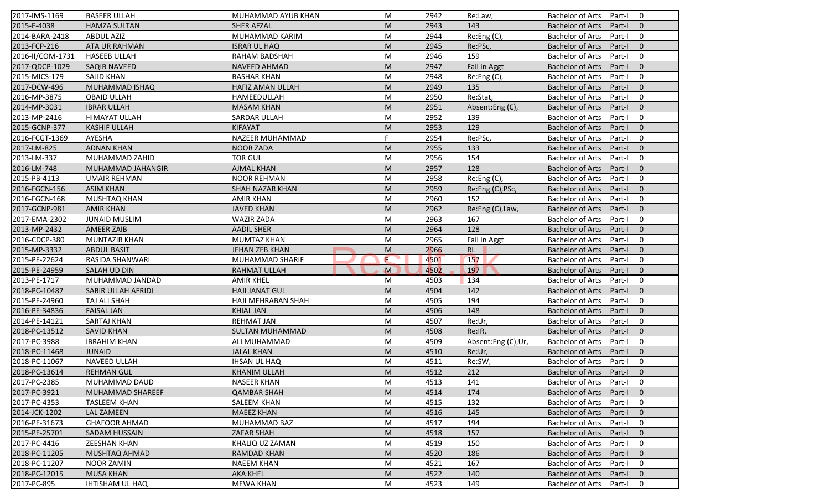| 2017-IMS-1169    | <b>BASEER ULLAH</b>     | MUHAMMAD AYUB KHAN     | M           | 2942 | Re:Law,             | <b>Bachelor of Arts</b><br>$\mathbf 0$<br>Part-I  |
|------------------|-------------------------|------------------------|-------------|------|---------------------|---------------------------------------------------|
| 2015-E-4038      | <b>HAMZA SULTAN</b>     | <b>SHER AFZAL</b>      | M           | 2943 | 143                 | <b>Bachelor of Arts</b><br>Part-I<br>$\mathbf{0}$ |
| 2014-BARA-2418   | <b>ABDUL AZIZ</b>       | MUHAMMAD KARIM         | M           | 2944 | Re:Eng (C),         | <b>Bachelor of Arts</b><br>Part-I<br>$\mathbf 0$  |
| 2013-FCP-216     | ATA UR RAHMAN           | <b>ISRAR UL HAQ</b>    | M           | 2945 | Re:PSc,             | $\mathbf{0}$<br><b>Bachelor of Arts</b><br>Part-I |
| 2016-II/COM-1731 | <b>HASEEB ULLAH</b>     | RAHAM BADSHAH          | M           | 2946 | 159                 | $\mathbf 0$<br><b>Bachelor of Arts</b><br>Part-I  |
| 2017-QDCP-1029   | <b>SAQIB NAVEED</b>     | <b>NAVEED AHMAD</b>    | M           | 2947 | <b>Fail in Aggt</b> | $\overline{0}$<br>Bachelor of Arts<br>Part-I      |
| 2015-MICS-179    | <b>SAJID KHAN</b>       | <b>BASHAR KHAN</b>     | M           | 2948 | Re:Eng (C),         | $\mathbf 0$<br><b>Bachelor of Arts</b><br>Part-I  |
| 2017-DCW-496     | MUHAMMAD ISHAQ          | HAFIZ AMAN ULLAH       | M           | 2949 | 135                 | $\mathbf{0}$<br><b>Bachelor of Arts</b><br>Part-I |
| 2016-MP-3875     | <b>OBAID ULLAH</b>      | HAMEEDULLAH            | M           | 2950 | Re:Stat,            | <b>Bachelor of Arts</b><br>$\mathbf 0$<br>Part-I  |
| 2014-MP-3031     | <b>IBRAR ULLAH</b>      | <b>MASAM KHAN</b>      | M           | 2951 | Absent:Eng (C),     | <b>Bachelor of Arts</b><br>Part-I<br>$\mathbf{0}$ |
| 2013-MP-2416     | <b>HIMAYAT ULLAH</b>    | <b>SARDAR ULLAH</b>    | M           | 2952 | 139                 | <b>Bachelor of Arts</b><br>Part-I<br>$\mathbf 0$  |
| 2015-GCNP-377    | <b>KASHIF ULLAH</b>     | <b>KIFAYAT</b>         | M           | 2953 | 129                 | <b>Bachelor of Arts</b><br>Part-I<br>$\mathbf{0}$ |
| 2016-FCGT-1369   | AYESHA                  | NAZEER MUHAMMAD        | F.          | 2954 | Re:PSc,             | <b>Bachelor of Arts</b><br>$\mathbf 0$<br>Part-I  |
| 2017-LM-825      | <b>ADNAN KHAN</b>       | <b>NOOR ZADA</b>       | M           | 2955 | 133                 | $\mathbf{0}$<br><b>Bachelor of Arts</b><br>Part-I |
| 2013-LM-337      | MUHAMMAD ZAHID          | <b>TOR GUL</b>         | M           | 2956 | 154                 | $\mathbf 0$<br><b>Bachelor of Arts</b><br>Part-I  |
| 2016-LM-748      | MUHAMMAD JAHANGIR       | <b>AJMAL KHAN</b>      | M           | 2957 | 128                 | $\Omega$<br><b>Bachelor of Arts</b><br>Part-I     |
| 2015-PB-4113     | <b>UMAIR REHMAN</b>     | <b>NOOR REHMAN</b>     | M           | 2958 | Re:Eng (C),         | <b>Bachelor of Arts</b><br>$\mathbf 0$<br>Part-I  |
| 2016-FGCN-156    | <b>ASIM KHAN</b>        | <b>SHAH NAZAR KHAN</b> | M           | 2959 | Re:Eng (C), PSc,    | <b>Bachelor of Arts</b><br>$\mathbf{0}$<br>Part-I |
| 2016-FGCN-168    | MUSHTAQ KHAN            | <b>AMIR KHAN</b>       | M           | 2960 | 152                 | <b>Bachelor of Arts</b><br>0<br>Part-I            |
| 2017-GCNP-981    | <b>AMIR KHAN</b>        | <b>JAVED KHAN</b>      | M           | 2962 | Re:Eng (C), Law,    | <b>Bachelor of Arts</b><br>$\mathbf{0}$<br>Part-I |
| 2017-EMA-2302    | <b>JUNAID MUSLIM</b>    | <b>WAZIR ZADA</b>      | M           | 2963 | 167                 | $\mathbf 0$<br><b>Bachelor of Arts</b><br>Part-I  |
| 2013-MP-2432     | <b>AMEER ZAIB</b>       | <b>AADIL SHER</b>      | M           | 2964 | 128                 | $\mathbf{0}$<br><b>Bachelor of Arts</b><br>Part-I |
| 2016-CDCP-380    | MUNTAZIR KHAN           | <b>MUMTAZ KHAN</b>     | M           | 2965 | Fail in Aggt        | <b>Bachelor of Arts</b><br>0<br>Part-I            |
| 2015-MP-3332     | <b>ABDUL BASIT</b>      | JEHAN ZEB KHAN         | M           | 2966 | <b>RL</b>           | $\mathbf{0}$<br><b>Bachelor of Arts</b><br>Part-I |
| 2015-PE-22624    | <b>RASIDA SHANWARI</b>  | MUHAMMAD SHARIF        | E           | 4501 | 157                 | <b>Bachelor of Arts</b><br>$\mathbf 0$<br>Part-I  |
| 2015-PE-24959    | SALAH UD DIN            | <b>RAHMAT ULLAH</b>    | $\mathbf M$ | 4502 | 197                 | <b>Bachelor of Arts</b><br>$\mathbf{0}$<br>Part-I |
| 2013-PE-1717     | MUHAMMAD JANDAD         | <b>AMIR KHEL</b>       | M           | 4503 | 134                 | <b>Bachelor of Arts</b><br>$\mathbf 0$<br>Part-I  |
| 2018-PC-10487    | SABIR ULLAH AFRIDI      | <b>HAJI JANAT GUL</b>  | M           | 4504 | 142                 | <b>Bachelor of Arts</b><br>Part-I<br>$\mathbf{0}$ |
| 2015-PE-24960    | TAJ ALI SHAH            | HAJI MEHRABAN SHAH     | M           | 4505 | 194                 | <b>Bachelor of Arts</b><br>$\mathbf 0$<br>Part-I  |
| 2016-PE-34836    | <b>FAISAL JAN</b>       | <b>KHIAL JAN</b>       | M           | 4506 | 148                 | <b>Bachelor of Arts</b><br>$\mathbf{0}$<br>Part-I |
| 2014-PE-14121    | SARTAJ KHAN             | <b>REHMAT JAN</b>      | M           | 4507 | Re:Ur,              | <b>Bachelor of Arts</b><br>Part-I<br>0            |
| 2018-PC-13512    | <b>SAVID KHAN</b>       | <b>SULTAN MUHAMMAD</b> | M           | 4508 | Re:IR,              | <b>Bachelor of Arts</b><br>Part-I<br>$\Omega$     |
| 2017-PC-3988     | <b>IBRAHIM KHAN</b>     | ALI MUHAMMAD           | M           | 4509 | Absent:Eng (C),Ur,  | <b>Bachelor of Arts</b><br>$\mathbf 0$<br>Part-I  |
| 2018-PC-11468    | <b>JUNAID</b>           | <b>JALAL KHAN</b>      | M           | 4510 | Re:Ur,              | <b>Bachelor of Arts</b><br>$\mathbf{0}$<br>Part-I |
| 2018-PC-11067    | NAVEED ULLAH            | <b>IHSAN UL HAQ</b>    | M           | 4511 | Re:SW,              | <b>Bachelor of Arts</b><br>Part-I<br>0            |
| 2018-PC-13614    | <b>REHMAN GUL</b>       | KHANIM ULLAH           | ${\sf M}$   | 4512 | 212                 | Bachelor of Arts Part-I 0                         |
| 2017-PC-2385     | MUHAMMAD DAUD           | <b>NASEER KHAN</b>     | M           | 4513 | 141                 | Bachelor of Arts Part-I<br>$\mathbf 0$            |
| 2017-PC-3921     | <b>MUHAMMAD SHAREEF</b> | <b>QAMBAR SHAH</b>     | M           | 4514 | 174                 | Bachelor of Arts<br>$\mathbf{0}$<br>Part-I        |
| 2017-PC-4353     | <b>TASLEEM KHAN</b>     | <b>SALEEM KHAN</b>     | M           | 4515 | 132                 | Bachelor of Arts<br>Part-I<br>0                   |
| 2014-JCK-1202    | LAL ZAMEEN              | <b>MAEEZ KHAN</b>      | M           | 4516 | 145                 | Bachelor of Arts<br>Part-I<br>$\mathbf{0}$        |
| 2016-PE-31673    | <b>GHAFOOR AHMAD</b>    | MUHAMMAD BAZ           | M           | 4517 | 194                 | <b>Bachelor of Arts</b><br>0<br>Part-I            |
| 2015-PE-25701    | SADAM HUSSAIN           | <b>ZAFAR SHAH</b>      | M           | 4518 | 157                 | <b>Bachelor of Arts</b><br>Part-I<br>$\mathbf{0}$ |
| 2017-PC-4416     | <b>ZEESHAN KHAN</b>     | KHALIQ UZ ZAMAN        | M           | 4519 | 150                 | Bachelor of Arts<br>0<br>Part-I                   |
| 2018-PC-11205    | MUSHTAQ AHMAD           | RAMDAD KHAN            | M           | 4520 | 186                 | <b>Bachelor of Arts</b><br>Part-I<br>$\mathbf 0$  |
| 2018-PC-11207    | <b>NOOR ZAMIN</b>       | <b>NAEEM KHAN</b>      | M           | 4521 | 167                 | <b>Bachelor of Arts</b><br>Part-I<br>0            |
| 2018-PC-12015    | <b>MUSA KHAN</b>        | <b>AKA KHEL</b>        | M           | 4522 | 140                 | <b>Bachelor of Arts</b><br>Part-I<br>$\mathbf{0}$ |
| 2017-PC-895      | <b>IHTISHAM UL HAQ</b>  | <b>MEWA KHAN</b>       | M           | 4523 | 149                 | Bachelor of Arts<br>Part-I<br>0                   |
|                  |                         |                        |             |      |                     |                                                   |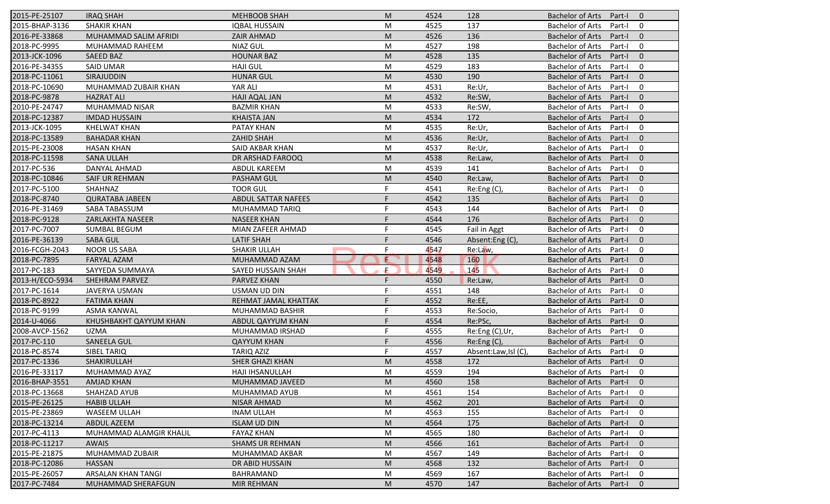| 2015-PE-25107   | <b>IRAQ SHAH</b>          | <b>MEHBOOB SHAH</b>        | M | 4524 | 128                 | <b>Bachelor of Arts</b><br>Part-I<br>$\overline{0}$ |
|-----------------|---------------------------|----------------------------|---|------|---------------------|-----------------------------------------------------|
| 2015-BHAP-3136  | <b>SHAKIR KHAN</b>        | <b>IQBAL HUSSAIN</b>       | M | 4525 | 137                 | <b>Bachelor of Arts</b><br>Part-I<br>0              |
| 2016-PE-33868   | MUHAMMAD SALIM AFRIDI     | <b>ZAIR AHMAD</b>          | M | 4526 | 136                 | <b>Bachelor of Arts</b><br>$\mathbf{0}$<br>Part-I   |
| 2018-PC-9995    | MUHAMMAD RAHEEM           | <b>NIAZ GUL</b>            | M | 4527 | 198                 | <b>Bachelor of Arts</b><br>$\mathbf 0$<br>Part-I    |
| 2013-JCK-1096   | <b>SAEED BAZ</b>          | <b>HOUNAR BAZ</b>          | M | 4528 | 135                 | $\mathbf{0}$<br><b>Bachelor of Arts</b><br>Part-I   |
| 2016-PE-34355   | <b>SAID UMAR</b>          | <b>HAJI GUL</b>            | M | 4529 | 183                 | <b>Bachelor of Arts</b><br>Part-I<br>0              |
| 2018-PC-11061   | <b>SIRAJUDDIN</b>         | <b>HUNAR GUL</b>           | M | 4530 | 190                 | $\mathbf{0}$<br><b>Bachelor of Arts</b><br>Part-I   |
| 2018-PC-10690   | MUHAMMAD ZUBAIR KHAN      | YAR ALI                    | M | 4531 | Re:Ur,              | <b>Bachelor of Arts</b><br>0<br>Part-I              |
| 2018-PC-9878    | <b>HAZRAT ALI</b>         | <b>HAJI AQAL JAN</b>       | M | 4532 | Re:SW               | <b>Bachelor of Arts</b><br>$\mathbf{0}$<br>Part-I   |
| 2010-PE-24747   | MUHAMMAD NISAR            | <b>BAZMIR KHAN</b>         | M | 4533 | Re:SW               | <b>Bachelor of Arts</b><br>Part-I<br>0              |
| 2018-PC-12387   | <b>IMDAD HUSSAIN</b>      | <b>KHAISTA JAN</b>         | M | 4534 | 172                 | <b>Bachelor of Arts</b><br>Part-I<br>$\mathbf{0}$   |
| 2013-JCK-1095   | <b>KHELWAT KHAN</b>       | PATAY KHAN                 | M | 4535 | Re:Ur,              | <b>Bachelor of Arts</b><br>Part-I<br>0              |
| 2018-PC-13589   | <b>BAHADAR KHAN</b>       | <b>ZAHID SHAH</b>          | M | 4536 | Re:Ur,              | <b>Bachelor of Arts</b><br>$\mathbf{0}$<br>Part-I   |
| 2015-PE-23008   | <b>HASAN KHAN</b>         | SAID AKBAR KHAN            | M | 4537 | Re:Ur,              | <b>Bachelor of Arts</b><br>0<br>Part-I              |
| 2018-PC-11598   | <b>SANA ULLAH</b>         | DR ARSHAD FAROOQ           | M | 4538 | Re:Law,             | <b>Bachelor of Arts</b><br>Part-I<br>$\overline{0}$ |
| 2017-PC-536     | DANYAL AHMAD              | <b>ABDUL KAREEM</b>        | M | 4539 | 141                 | 0<br><b>Bachelor of Arts</b><br>Part-I              |
| 2018-PC-10846   | SAIF UR REHMAN            | <b>PASHAM GUL</b>          | M | 4540 | Re:Law,             | <b>Bachelor of Arts</b><br>$\mathbf{0}$<br>Part-I   |
| 2017-PC-5100    | SHAHNAZ                   | <b>TOOR GUL</b>            | F | 4541 | Re:Eng (C),         | <b>Bachelor of Arts</b><br>0<br>Part-I              |
| 2018-PC-8740    | <b>QURATABA JABEEN</b>    | <b>ABDUL SATTAR NAFEES</b> |   | 4542 | 135                 | <b>Bachelor of Arts</b><br>$\mathbf{0}$<br>Part-I   |
| 2016-PE-31469   | SABA TABASSUM             | MUHAMMAD TARIQ             | F | 4543 | 144                 | <b>Bachelor of Arts</b><br>0<br>Part-I              |
| 2018-PC-9128    | ZARLAKHTA NASEER          | <b>NASEER KHAN</b>         | F | 4544 | 176                 | <b>Bachelor of Arts</b><br>$\mathbf{0}$<br>Part-I   |
| 2017-PC-7007    | <b>SUMBAL BEGUM</b>       | MIAN ZAFEER AHMAD          | F | 4545 | Fail in Aggt        | 0<br><b>Bachelor of Arts</b><br>Part-I              |
| 2016-PE-36139   | <b>SABA GUL</b>           | <b>LATIF SHAH</b>          |   | 4546 | Absent:Eng (C)      | <b>Bachelor of Arts</b><br>$\overline{0}$<br>Part-I |
| 2016-FCGH-2043  | <b>NOOR US SABA</b>       | SHAKIR ULLAH               | F | 4547 | Re:Law,             | <b>Bachelor of Arts</b><br>0<br>Part-I              |
| 2018-PC-7895    | <b>FARYAL AZAM</b>        | MUHAMMAD AZAM              | E | 4548 | 160                 | $\mathbf{0}$<br><b>Bachelor of Arts</b><br>Part-I   |
| 2017-PC-183     | SAYYEDA SUMMAYA           | SAYED HUSSAIN SHAH         | Æ | 4549 | 145                 | <b>Bachelor of Arts</b><br>0<br>Part-I              |
| 2013-H/ECO-5934 | SHEHRAM PARVEZ            | PARVEZ KHAN                | F | 4550 | Re:Law,             | <b>Bachelor of Arts</b><br>Part-I<br>$\overline{0}$ |
| 2017-PC-1614    | JAVERYA USMAN             | <b>USMAN UD DIN</b>        | F | 4551 | 148                 | <b>Bachelor of Arts</b><br>Part-I<br>0              |
| 2018-PC-8922    | <b>FATIMA KHAN</b>        | REHMAT JAMAL KHATTAK       | F | 4552 | Re:EE,              | <b>Bachelor of Arts</b><br>$\mathbf{0}$<br>Part-I   |
| 2018-PC-9199    | ASMA KANWAL               | MUHAMMAD BASHIR            | F | 4553 | Re:Socio,           | <b>Bachelor of Arts</b><br>0<br>Part-I              |
| 2014-U-4066     | KHUSHBAKHT QAYYUM KHAN    | ABDUL QAYYUM KHAN          |   | 4554 | Re:PSc,             | <b>Bachelor of Arts</b><br>$\overline{0}$<br>Part-I |
| 2008-AVCP-1562  | <b>UZMA</b>               | MUHAMMAD IRSHAD            | F | 4555 | Re:Eng (C),Ur,      | <b>Bachelor of Arts</b><br>0<br>Part-I              |
| 2017-PC-110     | <b>SANEELA GUL</b>        | <b>QAYYUM KHAN</b>         | F | 4556 | Re:Eng (C),         | <b>Bachelor of Arts</b><br>Part-I<br>$\Omega$       |
| 2018-PC-8574    | <b>SIBEL TARIQ</b>        | <b>TARIQ AZIZ</b>          | F | 4557 | Absent:Law,Isl (C), | <b>Bachelor of Arts</b><br>Part-I<br>0              |
| 2017-PC-1336    | SHAKIRULLAH               | SHER GHAZI KHAN            | M | 4558 | 172                 | <b>Bachelor of Arts</b><br>Part-I<br>$\mathbf 0$    |
| 2016-PE-33117   | MUHAMMAD AYAZ             | HAJI IHSANULLAH            | M | 4559 | 194                 | Bachelor of Arts Part-I<br>$\mathbf 0$              |
| 2016-BHAP-3551  | <b>AMJAD KHAN</b>         | MUHAMMAD JAVEED            | M | 4560 | 158                 | Bachelor of Arts Part-I<br>$\overline{0}$           |
| 2018-PC-13668   | SHAHZAD AYUB              | MUHAMMAD AYUB              | M | 4561 | 154                 | <b>Bachelor of Arts</b><br>Part-I<br>0              |
| 2015-PE-26125   | <b>HABIB ULLAH</b>        | NISAR AHMAD                | M | 4562 | 201                 | <b>Bachelor of Arts</b><br>Part-I<br>$\mathbf{0}$   |
| 2015-PE-23869   | WASEEM ULLAH              | <b>INAM ULLAH</b>          | M | 4563 | 155                 | <b>Bachelor of Arts</b><br>Part-I<br>0              |
| 2018-PC-13214   | ABDUL AZEEM               | <b>ISLAM UD DIN</b>        | M | 4564 | 175                 | <b>Bachelor of Arts</b><br>$\mathbf 0$<br>Part-I    |
| 2017-PC-4113    | MUHAMMAD ALAMGIR KHALIL   | <b>FAYAZ KHAN</b>          | M | 4565 | 180                 | <b>Bachelor of Arts</b><br>0<br>Part-I              |
| 2018-PC-11217   | <b>AWAIS</b>              | <b>SHAMS UR REHMAN</b>     | M | 4566 | 161                 | <b>Bachelor of Arts</b><br>Part-I<br>$\mathbf 0$    |
| 2015-PE-21875   | MUHAMMAD ZUBAIR           | MUHAMMAD AKBAR             | M | 4567 | 149                 | <b>Bachelor of Arts</b><br>0<br>Part-I              |
| 2018-PC-12086   | <b>HASSAN</b>             | DR ABID HUSSAIN            | M | 4568 | 132                 | <b>Bachelor of Arts</b><br>$\mathbf 0$<br>Part-I    |
| 2015-PE-26057   | ARSALAN KHAN TANGI        | BAHRAMAND                  | M | 4569 | 167                 | <b>Bachelor of Arts</b><br>0<br>Part-I              |
| 2017-PC-7484    | <b>MUHAMMAD SHERAFGUN</b> | <b>MIR REHMAN</b>          | M | 4570 | 147                 | <b>Bachelor of Arts</b><br>Part-I<br>$\mathbf{0}$   |
|                 |                           |                            |   |      |                     |                                                     |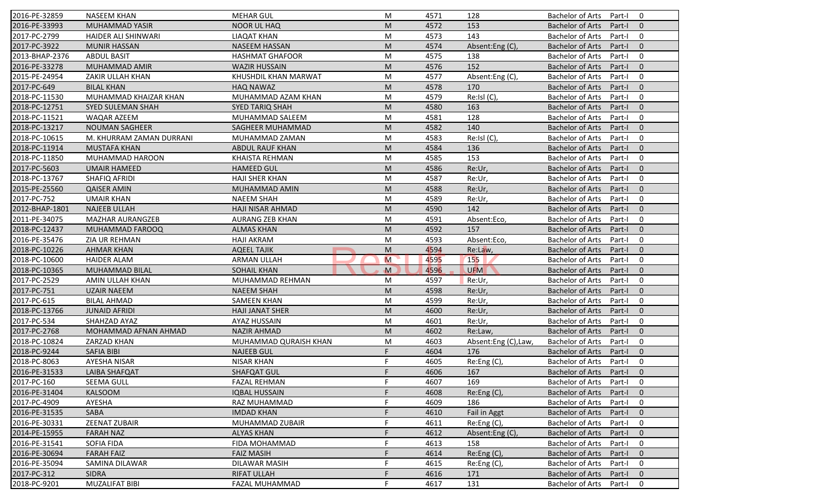| 2016-PE-32859  | <b>NASEEM KHAN</b>       | <b>MEHAR GUL</b>        | M           | 4571 | 128                 | <b>Bachelor of Arts</b><br>0<br>Part-I              |
|----------------|--------------------------|-------------------------|-------------|------|---------------------|-----------------------------------------------------|
| 2016-PE-33993  | <b>MUHAMMAD YASIR</b>    | <b>NOOR UL HAQ</b>      | M           | 4572 | 153                 | <b>Bachelor of Arts</b><br>Part-I<br>$\mathbf{0}$   |
| 2017-PC-2799   | HAIDER ALI SHINWARI      | <b>LIAQAT KHAN</b>      | M           | 4573 | 143                 | <b>Bachelor of Arts</b><br>Part-I<br>0              |
| 2017-PC-3922   | <b>MUNIR HASSAN</b>      | <b>NASEEM HASSAN</b>    | M           | 4574 | Absent:Eng (C)      | $\mathbf{0}$<br><b>Bachelor of Arts</b><br>Part-I   |
| 2013-BHAP-2376 | <b>ABDUL BASIT</b>       | <b>HASHMAT GHAFOOR</b>  | M           | 4575 | 138                 | 0<br><b>Bachelor of Arts</b><br>Part-I              |
| 2016-PE-33278  | MUHAMMAD AMIR            | <b>WAZIR HUSSAIN</b>    | M           | 4576 | 152                 | <b>Bachelor of Arts</b><br>$\overline{0}$<br>Part-I |
| 2015-PE-24954  | ZAKIR ULLAH KHAN         | KHUSHDIL KHAN MARWAT    | M           | 4577 | Absent:Eng (C),     | 0<br><b>Bachelor of Arts</b><br>Part-I              |
| 2017-PC-649    | <b>BILAL KHAN</b>        | <b>HAQ NAWAZ</b>        | M           | 4578 | 170                 | $\mathbf{0}$<br><b>Bachelor of Arts</b><br>Part-I   |
| 2018-PC-11530  | MUHAMMAD KHAIZAR KHAN    | MUHAMMAD AZAM KHAN      | M           | 4579 | Re:Isl (C),         | $\mathbf 0$<br><b>Bachelor of Arts</b><br>Part-I    |
| 2018-PC-12751  | <b>SYED SULEMAN SHAH</b> | <b>SYED TARIQ SHAH</b>  | M           | 4580 | 163                 | <b>Bachelor of Arts</b><br>Part-I<br>$\mathbf{0}$   |
| 2018-PC-11521  | WAQAR AZEEM              | MUHAMMAD SALEEM         | M           | 4581 | 128                 | <b>Bachelor of Arts</b><br>Part-I<br>0              |
| 2018-PC-13217  | <b>NOUMAN SAGHEER</b>    | SAGHEER MUHAMMAD        | M           | 4582 | 140                 | <b>Bachelor of Arts</b><br>Part-I<br>$\mathbf{0}$   |
| 2018-PC-10615  | M. KHURRAM ZAMAN DURRANI | MUHAMMAD ZAMAN          | M           | 4583 | Re:Isl (C),         | <b>Bachelor of Arts</b><br>0<br>Part-I              |
| 2018-PC-11914  | <b>MUSTAFA KHAN</b>      | <b>ABDUL RAUF KHAN</b>  | M           | 4584 | 136                 | $\mathbf{0}$<br><b>Bachelor of Arts</b><br>Part-I   |
| 2018-PC-11850  | MUHAMMAD HAROON          | KHAISTA REHMAN          | M           | 4585 | 153                 | 0<br><b>Bachelor of Arts</b><br>Part-I              |
| 2017-PC-5603   | <b>UMAIR HAMEED</b>      | <b>HAMEED GUL</b>       | M           | 4586 | Re:Ur,              | $\Omega$<br><b>Bachelor of Arts</b><br>Part-I       |
| 2018-PC-13767  | SHAFIQ AFRIDI            | <b>HAJI SHER KHAN</b>   | M           | 4587 | Re:Ur,              | <b>Bachelor of Arts</b><br>0<br>Part-I              |
| 2015-PE-25560  | <b>QAISER AMIN</b>       | MUHAMMAD AMIN           | M           | 4588 | Re:Ur,              | <b>Bachelor of Arts</b><br>$\mathbf{0}$<br>Part-I   |
| 2017-PC-752    | <b>UMAIR KHAN</b>        | <b>NAEEM SHAH</b>       | M           | 4589 | Re:Ur,              | <b>Bachelor of Arts</b><br>0<br>Part-I              |
| 2012-BHAP-1801 | <b>NAJEEB ULLAH</b>      | <b>HAJI NISAR AHMAD</b> | M           | 4590 | 142                 | <b>Bachelor of Arts</b><br>$\mathbf{0}$<br>Part-I   |
| 2011-PE-34075  | <b>MAZHAR AURANGZEB</b>  | <b>AURANG ZEB KHAN</b>  | M           | 4591 | Absent:Eco,         | 0<br><b>Bachelor of Arts</b><br>Part-I              |
| 2018-PC-12437  | MUHAMMAD FAROOQ          | <b>ALMAS KHAN</b>       | M           | 4592 | 157                 | $\mathbf{0}$<br><b>Bachelor of Arts</b><br>Part-I   |
| 2016-PE-35476  | ZIA UR REHMAN            | <b>HAJI AKRAM</b>       | M           | 4593 | Absent:Eco,         | <b>Bachelor of Arts</b><br>0<br>Part-I              |
| 2018-PC-10226  | <b>AHMAR KHAN</b>        | <b>AQEEL TAJIK</b>      | M           | 4594 | Re:Law,             | $\mathbf{0}$<br><b>Bachelor of Arts</b><br>Part-I   |
| 2018-PC-10600  | <b>HAIDER ALAM</b>       | <b>ARMAN ULLAH</b>      | M           | 4595 | 155                 | <b>Bachelor of Arts</b><br>0<br>Part-I              |
| 2018-PC-10365  | MUHAMMAD BILAL           | <b>SOHAIL KHAN</b>      | $\mathbf M$ | 4596 | <b>UFM</b>          | <b>Bachelor of Arts</b><br>$\mathbf{0}$<br>Part-I   |
| 2017-PC-2529   | AMIN ULLAH KHAN          | MUHAMMAD REHMAN         | M           | 4597 | Re:Ur,              | <b>Bachelor of Arts</b><br>Part-I<br>0              |
| 2017-PC-751    | <b>UZAIR NAEEM</b>       | <b>NAEEM SHAH</b>       | M           | 4598 | Re:Ur,              | <b>Bachelor of Arts</b><br>Part-I<br>$\mathbf{0}$   |
| 2017-PC-615    | <b>BILAL AHMAD</b>       | <b>SAMEEN KHAN</b>      | M           | 4599 | Re:Ur,              | $\mathbf 0$<br><b>Bachelor of Arts</b><br>Part-I    |
| 2018-PC-13766  | <b>JUNAID AFRIDI</b>     | <b>HAJI JANAT SHER</b>  | M           | 4600 | Re:Ur,              | <b>Bachelor of Arts</b><br>$\mathbf{0}$<br>Part-I   |
| 2017-PC-534    | SHAHZAD AYAZ             | AYAZ HUSSAIN            | M           | 4601 | Re:Ur,              | 0<br><b>Bachelor of Arts</b><br>Part-I              |
| 2017-PC-2768   | MOHAMMAD AFNAN AHMAD     | <b>NAZIR AHMAD</b>      | M           | 4602 | Re:Law,             | $\Omega$<br><b>Bachelor of Arts</b><br>Part-I       |
| 2018-PC-10824  | ZARZAD KHAN              | MUHAMMAD QURAISH KHAN   | M           | 4603 | Absent:Eng (C),Law, | <b>Bachelor of Arts</b><br>0<br>Part-I              |
| 2018-PC-9244   | <b>SAFIA BIBI</b>        | <b>NAJEEB GUL</b>       | F.          | 4604 | 176                 | <b>Bachelor of Arts</b><br>$\mathbf{0}$<br>Part-I   |
| 2018-PC-8063   | <b>AYESHA NISAR</b>      | <b>NISAR KHAN</b>       | F           | 4605 | Re:Eng (C),         | <b>Bachelor of Arts</b><br>Part-I<br>0              |
| 2016-PE-31533  | LAIBA SHAFQAT            | SHAFQAT GUL             |             | 4606 | 167                 | Bachelor of Arts Part-I 0                           |
| 2017-PC-160    | SEEMA GULL               | <b>FAZAL REHMAN</b>     | F.          | 4607 | 169                 | Bachelor of Arts Part-I<br>$\mathbf 0$              |
| 2016-PE-31404  | <b>KALSOOM</b>           | <b>IQBAL HUSSAIN</b>    | F           | 4608 | Re: Eng(C)          | Bachelor of Arts<br>Part-I<br>$\mathbf{0}$          |
| 2017-PC-4909   | AYESHA                   | RAZ MUHAMMAD            |             | 4609 | 186                 | Bachelor of Arts<br>Part-I<br>0                     |
| 2016-PE-31535  | SABA                     | <b>IMDAD KHAN</b>       |             | 4610 | Fail in Aggt        | Bachelor of Arts<br>Part-I<br>$\mathbf{0}$          |
| 2016-PE-30331  | <b>ZEENAT ZUBAIR</b>     | MUHAMMAD ZUBAIR         |             | 4611 | Re:Eng (C),         | Bachelor of Arts<br>0<br>Part-I                     |
| 2014-PE-15955  | <b>FARAH NAZ</b>         | <b>ALYAS KHAN</b>       | F           | 4612 | Absent:Eng (C),     | <b>Bachelor of Arts</b><br>$\mathbf 0$<br>Part-I    |
| 2016-PE-31541  | <b>SOFIA FIDA</b>        | FIDA MOHAMMAD           |             | 4613 | 158                 | Bachelor of Arts<br>0<br>Part-I                     |
| 2016-PE-30694  | <b>FARAH FAIZ</b>        | <b>FAIZ MASIH</b>       |             | 4614 | Re:Eng (C),         | <b>Bachelor of Arts</b><br>Part-I<br>$\mathbf 0$    |
| 2016-PE-35094  | SAMINA DILAWAR           | DILAWAR MASIH           |             | 4615 | Re:Eng (C),         | <b>Bachelor of Arts</b><br>Part-I<br>0              |
| 2017-PC-312    | <b>SIDRA</b>             | <b>RIFAT ULLAH</b>      |             | 4616 | 171                 | <b>Bachelor of Arts</b><br>$\mathbf 0$<br>Part-I    |
| 2018-PC-9201   | <b>MUZALIFAT BIBI</b>    | FAZAL MUHAMMAD          | F           | 4617 | 131                 | Bachelor of Arts<br>0<br>Part-I                     |
|                |                          |                         |             |      |                     |                                                     |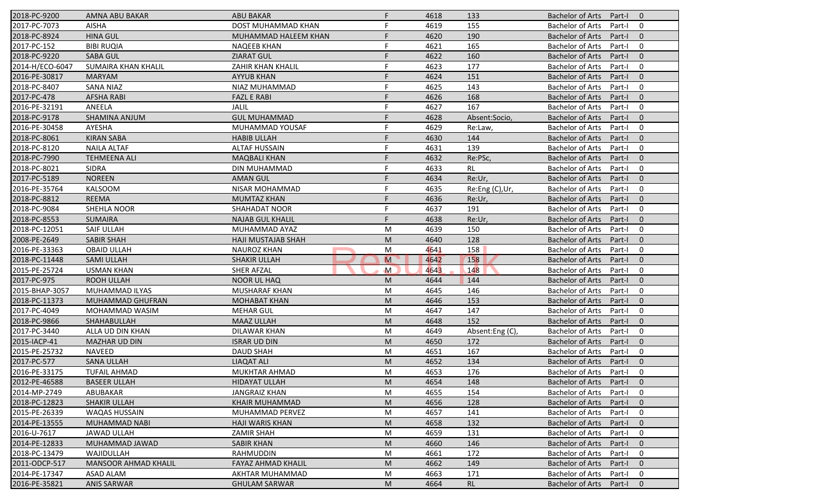| 2018-PC-9200    | AMNA ABU BAKAR              | <b>ABU BAKAR</b>          | F.           | 4618 | 133            | <b>Bachelor of Arts</b><br>Part-I<br>$\mathbf{0}$   |
|-----------------|-----------------------------|---------------------------|--------------|------|----------------|-----------------------------------------------------|
| 2017-PC-7073    | <b>AISHA</b>                | DOST MUHAMMAD KHAN        | F            | 4619 | 155            | <b>Bachelor of Arts</b><br>Part-I<br>0              |
| 2018-PC-8924    | <b>HINA GUL</b>             | MUHAMMAD HALEEM KHAN      |              | 4620 | 190            | <b>Bachelor of Arts</b><br>$\mathbf{0}$<br>Part-I   |
| 2017-PC-152     | <b>BIBI RUQIA</b>           | <b>NAQEEB KHAN</b>        |              | 4621 | 165            | <b>Bachelor of Arts</b><br>0<br>Part-I              |
| 2018-PC-9220    | <b>SABA GUL</b>             | <b>ZIARAT GUL</b>         |              | 4622 | 160            | $\mathbf{0}$<br><b>Bachelor of Arts</b><br>Part-I   |
| 2014-H/ECO-6047 | SUMAIRA KHAN KHALIL         | <b>ZAHIR KHAN KHALIL</b>  |              | 4623 | 177            | <b>Bachelor of Arts</b><br>0<br>Part-I              |
| 2016-PE-30817   | <b>MARYAM</b>               | <b>AYYUB KHAN</b>         | F            | 4624 | 151            | $\mathbf{0}$<br><b>Bachelor of Arts</b><br>Part-I   |
| 2018-PC-8407    | <b>SANA NIAZ</b>            | NIAZ MUHAMMAD             | F            | 4625 | 143            | 0<br><b>Bachelor of Arts</b><br>Part-I              |
| 2017-PC-478     | <b>AFSHA RABI</b>           | <b>FAZL E RABI</b>        | F            | 4626 | 168            | <b>Bachelor of Arts</b><br>$\mathbf{0}$<br>Part-I   |
| 2016-PE-32191   | ANEELA                      | JALIL                     | F            | 4627 | 167            | <b>Bachelor of Arts</b><br>Part-I<br>0              |
| 2018-PC-9178    | <b>SHAMINA ANJUM</b>        | <b>GUL MUHAMMAD</b>       |              | 4628 | Absent:Socio,  | <b>Bachelor of Arts</b><br>$\mathbf{0}$<br>Part-I   |
| 2016-PE-30458   | AYESHA                      | MUHAMMAD YOUSAF           |              | 4629 | Re:Law         | <b>Bachelor of Arts</b><br>0<br>Part-I              |
| 2018-PC-8061    | <b>KIRAN SABA</b>           | <b>HABIB ULLAH</b>        |              | 4630 | 144            | $\mathbf{0}$<br><b>Bachelor of Arts</b><br>Part-I   |
| 2018-PC-8120    | <b>NAILA ALTAF</b>          | <b>ALTAF HUSSAIN</b>      |              | 4631 | 139            | <b>Bachelor of Arts</b><br>0<br>Part-I              |
| 2018-PC-7990    | <b>TEHMEENA ALI</b>         | <b>MAQBALI KHAN</b>       |              | 4632 | Re:PSc,        | <b>Bachelor of Arts</b><br>$\overline{0}$<br>Part-I |
| 2018-PC-8021    | <b>SIDRA</b>                | DIN MUHAMMAD              |              | 4633 | RL             | 0<br><b>Bachelor of Arts</b><br>Part-I              |
| 2017-PC-5189    | <b>NOREEN</b>               | <b>AMAN GUL</b>           |              | 4634 | Re:Ur,         | <b>Bachelor of Arts</b><br>$\mathbf{0}$<br>Part-I   |
| 2016-PE-35764   | <b>KALSOOM</b>              | NISAR MOHAMMAD            |              | 4635 | Re:Eng (C),Ur, | <b>Bachelor of Arts</b><br>0<br>Part-I              |
| 2018-PC-8812    | <b>REEMA</b>                | <b>MUMTAZ KHAN</b>        |              | 4636 | Re:Ur,         | <b>Bachelor of Arts</b><br>$\mathbf{0}$<br>Part-    |
| 2018-PC-9084    | SHEHLA NOOR                 | <b>SHAHADAT NOOR</b>      |              | 4637 | 191            | <b>Bachelor of Arts</b><br>0<br>Part-I              |
| 2018-PC-8553    | <b>SUMAIRA</b>              | <b>NAJAB GUL KHALIL</b>   | F            | 4638 | Re:Ur,         | $\mathbf{0}$<br><b>Bachelor of Arts</b><br>Part-I   |
| 2018-PC-12051   | <b>SAIF ULLAH</b>           | MUHAMMAD AYAZ             | M            | 4639 | 150            | 0<br><b>Bachelor of Arts</b><br>Part-I              |
| 2008-PE-2649    | <b>SABIR SHAH</b>           | <b>HAJI MUSTAJAB SHAH</b> | M            | 4640 | 128            | $\overline{0}$<br><b>Bachelor of Arts</b><br>Part-I |
| 2016-PE-33363   | <b>OBAID ULLAH</b>          | <b>NAUROZ KHAN</b>        | M            | 4641 | 158            | 0<br><b>Bachelor of Arts</b><br>Part-I              |
| 2018-PC-11448   | <b>SAMI ULLAH</b>           | <b>SHAKIR ULLAH</b>       | $\mathsf{M}$ | 4642 | 158            | $\mathbf{0}$<br><b>Bachelor of Arts</b><br>Part-I   |
| 2015-PE-25724   | <b>USMAN KHAN</b>           | <b>SHER AFZAL</b>         | $\mathsf{M}$ | 4643 | 148            | <b>Bachelor of Arts</b><br>0<br>Part-I              |
| 2017-PC-975     | ROOH ULLAH                  | <b>NOOR UL HAQ</b>        | M            | 4644 | 144            | <b>Bachelor of Arts</b><br>Part-I<br>$\overline{0}$ |
| 2015-BHAP-3057  | MUHAMMAD ILYAS              | MUSHARAF KHAN             | M            | 4645 | 146            | <b>Bachelor of Arts</b><br>Part-I<br>0              |
| 2018-PC-11373   | MUHAMMAD GHUFRAN            | <b>MOHABAT KHAN</b>       | M            | 4646 | 153            | <b>Bachelor of Arts</b><br>$\mathbf{0}$<br>Part-I   |
| 2017-PC-4049    | MOHAMMAD WASIM              | <b>MEHAR GUL</b>          | M            | 4647 | 147            | <b>Bachelor of Arts</b><br>0<br>Part-I              |
| 2018-PC-9866    | SHAHABULLAH                 | <b>MAAZ ULLAH</b>         | M            | 4648 | 152            | <b>Bachelor of Arts</b><br>$\overline{0}$<br>Part-I |
| 2017-PC-3440    | ALLA UD DIN KHAN            | <b>DILAWAR KHAN</b>       | M            | 4649 | Absent:Eng (C) | 0<br><b>Bachelor of Arts</b><br>Part-I              |
| 2015-IACP-41    | <b>MAZHAR UD DIN</b>        | <b>ISRAR UD DIN</b>       | M            | 4650 | 172            | <b>Bachelor of Arts</b><br>Part-I<br>$\overline{0}$ |
| 2015-PE-25732   | <b>NAVEED</b>               | <b>DAUD SHAH</b>          | M            | 4651 | 167            | <b>Bachelor of Arts</b><br>0<br>Part-I              |
| 2017-PC-577     | <b>SANA ULLAH</b>           | <b>LIAQAT ALI</b>         | M            | 4652 | 134            | <b>Bachelor of Arts</b><br>Part-I<br>$\mathbf 0$    |
| 2016-PE-33175   | <b>TUFAIL AHMAD</b>         | MUKHTAR AHMAD             | M            | 4653 | 176            | Bachelor of Arts Part-I<br>$\mathbf 0$              |
| 2012-PE-46588   | <b>BASEER ULLAH</b>         | <b>HIDAYAT ULLAH</b>      | M            | 4654 | 148            | Bachelor of Arts Part-I<br>$\overline{0}$           |
| 2014-MP-2749    | ABUBAKAR                    | <b>JANGRAIZ KHAN</b>      | М            | 4655 | 154            | <b>Bachelor of Arts</b><br>Part-I<br>0              |
| 2018-PC-12823   | <b>SHAKIR ULLAH</b>         | <b>KHAIR MUHAMMAD</b>     | M            | 4656 | 128            | <b>Bachelor of Arts</b><br>Part-I<br>$\mathbf{0}$   |
| 2015-PE-26339   | WAQAS HUSSAIN               | MUHAMMAD PERVEZ           | М            | 4657 | 141            | <b>Bachelor of Arts</b><br>0<br>Part-I              |
| 2014-PE-13555   | MUHAMMAD NABI               | <b>HAJI WARIS KHAN</b>    | M            | 4658 | 132            | <b>Bachelor of Arts</b><br>$\mathbf 0$<br>Part-I    |
| 2016-U-7617     | <b>JAWAD ULLAH</b>          | <b>ZAMIR SHAH</b>         | M            | 4659 | 131            | <b>Bachelor of Arts</b><br>0<br>Part-I              |
| 2014-PE-12833   | MUHAMMAD JAWAD              | <b>SABIR KHAN</b>         | M            | 4660 | 146            | <b>Bachelor of Arts</b><br>$\mathbf 0$<br>Part-I    |
| 2018-PC-13479   | WAJIDULLAH                  | RAHMUDDIN                 | M            | 4661 | 172            | <b>Bachelor of Arts</b><br>0<br>Part-I              |
| 2011-ODCP-517   | <b>MANSOOR AHMAD KHALIL</b> | FAYAZ AHMAD KHALIL        | M            | 4662 | 149            | <b>Bachelor of Arts</b><br>$\mathbf{0}$<br>Part-I   |
| 2014-PE-17347   | ASAD ALAM                   | AKHTAR MUHAMMAD           | M            | 4663 | 171            | <b>Bachelor of Arts</b><br>0<br>Part-I              |
| 2016-PE-35821   | <b>ANIS SARWAR</b>          | <b>GHULAM SARWAR</b>      | M            | 4664 | <b>RL</b>      | <b>Bachelor of Arts</b><br>Part-I<br>$\mathbf{0}$   |
|                 |                             |                           |              |      |                |                                                     |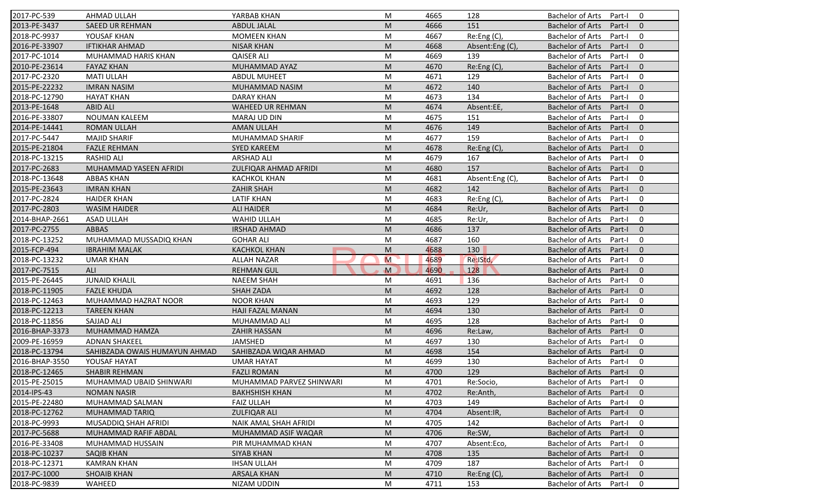| 2017-PC-539    | <b>AHMAD ULLAH</b>            | YARBAB KHAN              | M                                                                                                          | 4665 | 128             | <b>Bachelor of Arts</b><br>0<br>Part-I              |
|----------------|-------------------------------|--------------------------|------------------------------------------------------------------------------------------------------------|------|-----------------|-----------------------------------------------------|
| 2013-PE-3437   | <b>SAEED UR REHMAN</b>        | <b>ABDUL JALAL</b>       | M                                                                                                          | 4666 | 151             | <b>Bachelor of Arts</b><br>Part-I<br>$\mathbf{0}$   |
| 2018-PC-9937   | YOUSAF KHAN                   | <b>MOMEEN KHAN</b>       | M                                                                                                          | 4667 | Re:Eng (C),     | <b>Bachelor of Arts</b><br>Part-I<br>0              |
| 2016-PE-33907  | <b>IFTIKHAR AHMAD</b>         | <b>NISAR KHAN</b>        | M                                                                                                          | 4668 | Absent:Eng (C), | <b>Bachelor of Arts</b><br>$\mathbf{0}$<br>Part-I   |
| 2017-PC-1014   | MUHAMMAD HARIS KHAN           | <b>QAISER ALI</b>        | M                                                                                                          | 4669 | 139             | <b>Bachelor of Arts</b><br>0<br>Part-I              |
| 2010-PE-23614  | <b>FAYAZ KHAN</b>             | MUHAMMAD AYAZ            | M                                                                                                          | 4670 | Re:Eng (C),     | <b>Bachelor of Arts</b><br>Part-I<br>$\overline{0}$ |
| 2017-PC-2320   | <b>MATI ULLAH</b>             | <b>ABDUL MUHEET</b>      | M                                                                                                          | 4671 | 129             | <b>Bachelor of Arts</b><br>0<br>Part-I              |
| 2015-PE-22232  | <b>IMRAN NASIM</b>            | MUHAMMAD NASIM           | M                                                                                                          | 4672 | 140             | <b>Bachelor of Arts</b><br>$\mathbf{0}$<br>Part-I   |
| 2018-PC-12790  | <b>HAYAT KHAN</b>             | <b>DARAY KHAN</b>        | M                                                                                                          | 4673 | 134             | $\mathbf 0$<br><b>Bachelor of Arts</b><br>Part-I    |
| 2013-PE-1648   | <b>ABID ALI</b>               | <b>WAHEED UR REHMAN</b>  | M                                                                                                          | 4674 | Absent:EE,      | <b>Bachelor of Arts</b><br>Part-I<br>$\Omega$       |
| 2016-PE-33807  | <b>NOUMAN KALEEM</b>          | MARAJ UD DIN             | M                                                                                                          | 4675 | 151             | <b>Bachelor of Arts</b><br>Part-I<br>0              |
| 2014-PE-14441  | <b>ROMAN ULLAH</b>            | <b>AMAN ULLAH</b>        | M                                                                                                          | 4676 | 149             | <b>Bachelor of Arts</b><br>Part-I<br>$\mathbf{0}$   |
| 2017-PC-5447   | <b>MAJID SHARIF</b>           | MUHAMMAD SHARIF          | M                                                                                                          | 4677 | 159             | <b>Bachelor of Arts</b><br>0<br>Part-I              |
| 2015-PE-21804  | <b>FAZLE REHMAN</b>           | <b>SYED KAREEM</b>       | M                                                                                                          | 4678 | Re:Eng (C),     | <b>Bachelor of Arts</b><br>$\Omega$<br>Part-I       |
| 2018-PC-13215  | RASHID ALI                    | ARSHAD ALI               | M                                                                                                          | 4679 | 167             | 0<br><b>Bachelor of Arts</b><br>Part-I              |
| 2017-PC-2683   | MUHAMMAD YASEEN AFRIDI        | ZULFIQAR AHMAD AFRIDI    | M                                                                                                          | 4680 | 157             | $\Omega$<br><b>Bachelor of Arts</b><br>Part-I       |
| 2018-PC-13648  | <b>ABBAS KHAN</b>             | <b>KACHKOL KHAN</b>      | M                                                                                                          | 4681 | Absent:Eng(C),  | <b>Bachelor of Arts</b><br>0<br>Part-I              |
| 2015-PE-23643  | <b>IMRAN KHAN</b>             | <b>ZAHIR SHAH</b>        | M                                                                                                          | 4682 | 142             | <b>Bachelor of Arts</b><br>$\mathbf{0}$<br>Part-I   |
| 2017-PC-2824   | <b>HAIDER KHAN</b>            | <b>LATIF KHAN</b>        | M                                                                                                          | 4683 | Re:Eng(C),      | <b>Bachelor of Arts</b><br>Part-I<br>0              |
| 2017-PC-2803   | <b>WASIM HAIDER</b>           | <b>ALI HAIDER</b>        | M                                                                                                          | 4684 | Re:Ur,          | <b>Bachelor of Arts</b><br>Part-I<br>$\mathbf{0}$   |
| 2014-BHAP-2661 | <b>ASAD ULLAH</b>             | <b>WAHID ULLAH</b>       | M                                                                                                          | 4685 | Re:Ur,          | <b>Bachelor of Arts</b><br>0<br>Part-I              |
| 2017-PC-2755   | <b>ABBAS</b>                  | <b>IRSHAD AHMAD</b>      | M                                                                                                          | 4686 | 137             | $\mathbf{0}$<br><b>Bachelor of Arts</b><br>Part-I   |
| 2018-PC-13252  | MUHAMMAD MUSSADIQ KHAN        | <b>GOHAR ALI</b>         | M                                                                                                          | 4687 | 160             | <b>Bachelor of Arts</b><br>Part-I<br>0              |
| 2015-FCP-494   | <b>IBRAHIM MALAK</b>          | <b>KACHKOL KHAN</b>      | M                                                                                                          | 4688 | 130             | $\mathbf{0}$<br><b>Bachelor of Arts</b><br>Part-I   |
| 2018-PC-13232  | <b>UMAR KHAN</b>              | <b>ALLAH NAZAR</b>       | M                                                                                                          | 4689 | Re:IStd         | <b>Bachelor of Arts</b><br>0<br>Part-I              |
| 2017-PC-7515   | ALI                           | <b>REHMAN GUL</b>        | M                                                                                                          | 4690 | 128             | <b>Bachelor of Arts</b><br>$\mathbf{0}$<br>Part-I   |
| 2015-PE-26445  | <b>JUNAID KHALIL</b>          | <b>NAEEM SHAH</b>        | M                                                                                                          | 4691 | 136             | <b>Bachelor of Arts</b><br>Part-I<br>0              |
| 2018-PC-11905  | <b>FAZLE KHUDA</b>            | <b>SHAH ZADA</b>         | M                                                                                                          | 4692 | 128             | <b>Bachelor of Arts</b><br>Part-I<br>$\Omega$       |
| 2018-PC-12463  | MUHAMMAD HAZRAT NOOR          | <b>NOOR KHAN</b>         | M                                                                                                          | 4693 | 129             | <b>Bachelor of Arts</b><br>0<br>Part-I              |
| 2018-PC-12213  | <b>TAREEN KHAN</b>            | <b>HAJI FAZAL MANAN</b>  | M                                                                                                          | 4694 | 130             | <b>Bachelor of Arts</b><br>$\mathbf{0}$<br>Part-I   |
| 2018-PC-11856  | SAJJAD ALI                    | MUHAMMAD ALI             | M                                                                                                          | 4695 | 128             | <b>Bachelor of Arts</b><br>Part-I<br>0              |
| 2016-BHAP-3373 | MUHAMMAD HAMZA                | ZAHIR HASSAN             | M                                                                                                          | 4696 | Re:Law,         | $\Omega$<br><b>Bachelor of Arts</b><br>Part-I       |
| 2009-PE-16959  | <b>ADNAN SHAKEEL</b>          | JAMSHED                  | M                                                                                                          | 4697 | 130             | <b>Bachelor of Arts</b><br>0<br>Part-I              |
| 2018-PC-13794  | SAHIBZADA OWAIS HUMAYUN AHMAD | SAHIBZADA WIQAR AHMAD    | M                                                                                                          | 4698 | 154             | <b>Bachelor of Arts</b><br>$\mathbf{0}$<br>Part-I   |
| 2016-BHAP-3550 | YOUSAF HAYAT                  | <b>UMAR HAYAT</b>        | M                                                                                                          | 4699 | 130             | <b>Bachelor of Arts</b><br>Part-I<br>0              |
| 2018-PC-12465  | SHABIR REHMAN                 | <b>FAZLI ROMAN</b>       | $\mathsf{M}% _{T}=\mathsf{M}_{T}\!\left( a,b\right) ,\ \mathsf{M}_{T}=\mathsf{M}_{T}\!\left( a,b\right) ,$ | 4700 | 129             | Bachelor of Arts Part-I 0                           |
| 2015-PE-25015  | MUHAMMAD UBAID SHINWARI       | MUHAMMAD PARVEZ SHINWARI | M                                                                                                          | 4701 | Re:Socio,       | Bachelor of Arts Part-I<br>$\bf{0}$                 |
| 2014-IPS-43    | <b>NOMAN NASIR</b>            | <b>BAKHSHISH KHAN</b>    | M                                                                                                          | 4702 | Re:Anth,        | Bachelor of Arts<br>Part-I<br>$\mathbf{0}$          |
| 2015-PE-22480  | MUHAMMAD SALMAN               | <b>FAIZ ULLAH</b>        | M                                                                                                          | 4703 | 149             | <b>Bachelor of Arts</b><br>Part-I<br>$\mathbf 0$    |
| 2018-PC-12762  | MUHAMMAD TARIQ                | <b>ZULFIQAR ALI</b>      | M                                                                                                          | 4704 | Absent:IR,      | Bachelor of Arts<br>Part-I<br>$\mathbf{0}$          |
| 2018-PC-9993   | MUSADDIQ SHAH AFRIDI          | NAIK AMAL SHAH AFRIDI    | M                                                                                                          | 4705 | 142             | <b>Bachelor of Arts</b><br>0<br>Part-I              |
| 2017-PC-5688   | MUHAMMAD RAFIF ABDAL          | MUHAMMAD ASIF WAQAR      | M                                                                                                          | 4706 | Re:SW,          | <b>Bachelor of Arts</b><br>$\mathbf{0}$<br>Part-I   |
| 2016-PE-33408  | MUHAMMAD HUSSAIN              | PIR MUHAMMAD KHAN        | M                                                                                                          | 4707 | Absent:Eco,     | Bachelor of Arts<br>Part-I<br>0                     |
| 2018-PC-10237  | SAQIB KHAN                    | <b>SIYAB KHAN</b>        | M                                                                                                          | 4708 | 135             | <b>Bachelor of Arts</b><br>Part-I<br>$\mathbf 0$    |
| 2018-PC-12371  | <b>KAMRAN KHAN</b>            | <b>IHSAN ULLAH</b>       | M                                                                                                          | 4709 | 187             | <b>Bachelor of Arts</b><br>0<br>Part-I              |
| 2017-PC-1000   | <b>SHOAIB KHAN</b>            |                          |                                                                                                            |      |                 |                                                     |
| 2018-PC-9839   |                               | ARSALA KHAN              | M                                                                                                          | 4710 | Re: Eng(C),     | <b>Bachelor of Arts</b><br>Part-I<br>$\mathbf{0}$   |
|                | WAHEED                        | NIZAM UDDIN              | M                                                                                                          | 4711 | 153             | Bachelor of Arts<br>Part-I<br>0                     |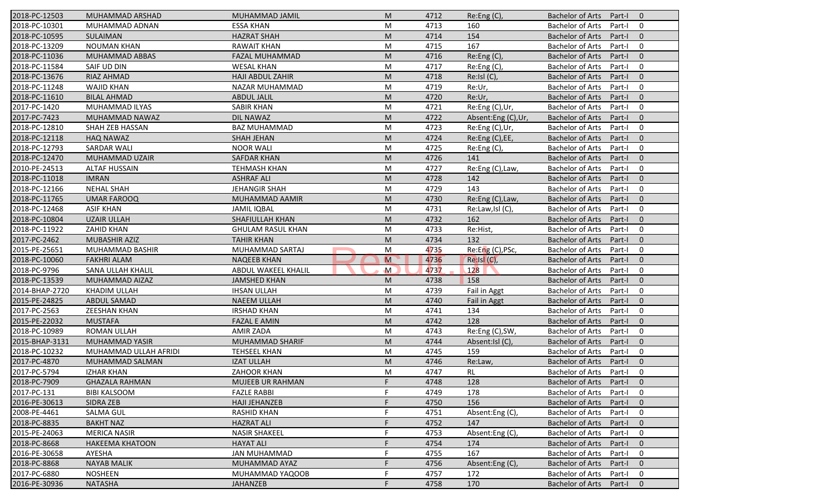| 2018-PC-12503  | MUHAMMAD ARSHAD        | MUHAMMAD JAMIL           | M              | 4712 | Re:Eng (C),        | <b>Bachelor of Arts</b><br>Part-I<br>$\overline{0}$ |
|----------------|------------------------|--------------------------|----------------|------|--------------------|-----------------------------------------------------|
| 2018-PC-10301  | MUHAMMAD ADNAN         | <b>ESSA KHAN</b>         | M              | 4713 | 160                | <b>Bachelor of Arts</b><br>Part-I<br>0              |
| 2018-PC-10595  | SULAIMAN               | <b>HAZRAT SHAH</b>       | M              | 4714 | 154                | <b>Bachelor of Arts</b><br>Part-I<br>$\mathbf{0}$   |
| 2018-PC-13209  | <b>NOUMAN KHAN</b>     | <b>RAWAIT KHAN</b>       | M              | 4715 | 167                | <b>Bachelor of Arts</b><br>Part-I<br>0              |
| 2018-PC-11036  | MUHAMMAD ABBAS         | FAZAL MUHAMMAD           | M              | 4716 | Re:Eng (C),        | $\mathbf{0}$<br><b>Bachelor of Arts</b><br>Part-I   |
| 2018-PC-11584  | SAIF UD DIN            | <b>WESAL KHAN</b>        | M              | 4717 | Re:Eng (C),        | <b>Bachelor of Arts</b><br>Part-I<br>0              |
| 2018-PC-13676  | RIAZ AHMAD             | <b>HAJI ABDUL ZAHIR</b>  | M              | 4718 | Re:Isl (C),        | $\mathbf{0}$<br><b>Bachelor of Arts</b><br>Part-I   |
| 2018-PC-11248  | <b>WAJID KHAN</b>      | NAZAR MUHAMMAD           | M              | 4719 | Re:Ur,             | <b>Bachelor of Arts</b><br>0<br>Part-I              |
| 2018-PC-11610  | <b>BILAL AHMAD</b>     | <b>ABDUL JALIL</b>       | M              | 4720 | Re:Ur,             | <b>Bachelor of Arts</b><br>Part-I<br>$\mathbf{0}$   |
| 2017-PC-1420   | MUHAMMAD ILYAS         | <b>SABIR KHAN</b>        | M              | 4721 | Re:Eng (C),Ur,     | <b>Bachelor of Arts</b><br>Part-I<br>0              |
| 2017-PC-7423   | MUHAMMAD NAWAZ         | <b>DIL NAWAZ</b>         | M              | 4722 | Absent:Eng (C),Ur, | <b>Bachelor of Arts</b><br>Part-I<br>$\mathbf{0}$   |
| 2018-PC-12810  | SHAH ZEB HASSAN        | <b>BAZ MUHAMMAD</b>      | M              | 4723 | Re:Eng (C),Ur,     | <b>Bachelor of Arts</b><br>$\mathbf 0$<br>Part-I    |
| 2018-PC-12118  | <b>HAQ NAWAZ</b>       | <b>SHAH JEHAN</b>        | M              | 4724 | Re:Eng (C),EE,     | <b>Bachelor of Arts</b><br>$\mathbf{0}$<br>Part-I   |
| 2018-PC-12793  | <b>SARDAR WALI</b>     | <b>NOOR WALI</b>         | M              | 4725 | Re:Eng(C),         | $\mathbf 0$<br><b>Bachelor of Arts</b><br>Part-I    |
| 2018-PC-12470  | MUHAMMAD UZAIR         | <b>SAFDAR KHAN</b>       | M              | 4726 | 141                | $\mathbf{0}$<br><b>Bachelor of Arts</b><br>Part-I   |
| 2010-PE-24513  | <b>ALTAF HUSSAIN</b>   | <b>TEHMASH KHAN</b>      | M              | 4727 | Re:Eng (C), Law,   | <b>Bachelor of Arts</b><br>0<br>Part-I              |
| 2018-PC-11018  | <b>IMRAN</b>           | <b>ASHRAF ALI</b>        | M              | 4728 | 142                | <b>Bachelor of Arts</b><br>$\mathbf{0}$<br>Part-I   |
| 2018-PC-12166  | <b>NEHAL SHAH</b>      | <b>JEHANGIR SHAH</b>     | M              | 4729 | 143                | <b>Bachelor of Arts</b><br>Part-I<br>0              |
| 2018-PC-11765  | <b>UMAR FAROOQ</b>     | MUHAMMAD AAMIR           | M              | 4730 | Re:Eng (C), Law,   | <b>Bachelor of Arts</b><br>$\mathbf{0}$<br>Part-I   |
| 2018-PC-12468  | <b>ASIF KHAN</b>       | <b>JAMIL IQBAL</b>       | M              | 4731 | Re:Law,Isl (C),    | <b>Bachelor of Arts</b><br>$\mathbf 0$<br>Part-I    |
| 2018-PC-10804  | <b>UZAIR ULLAH</b>     | <b>SHAFIULLAH KHAN</b>   | M              | 4732 | 162                | <b>Bachelor of Arts</b><br>$\mathbf{0}$<br>Part-I   |
| 2018-PC-11922  | <b>ZAHID KHAN</b>      | <b>GHULAM RASUL KHAN</b> | M              | 4733 | Re:Hist,           | <b>Bachelor of Arts</b><br>0<br>Part-I              |
| 2017-PC-2462   | <b>MUBASHIR AZIZ</b>   | <b>TAHIR KHAN</b>        | M              | 4734 | 132                | <b>Bachelor of Arts</b><br>Part-I<br>$\overline{0}$ |
| 2015-PE-25651  | MUHAMMAD BASHIR        | MUHAMMAD SARTAJ          | M              | 4735 | Re:Eng (C), PSc,   | <b>Bachelor of Arts</b><br>0<br>Part-I              |
| 2018-PC-10060  | <b>FAKHRI ALAM</b>     | <b>NAQEEB KHAN</b>       | $\overline{M}$ | 4736 | $Re:  S $ $(C)$ ,  | <b>Bachelor of Arts</b><br>$\mathbf{0}$<br>Part-I   |
| 2018-PC-9796   | SANA ULLAH KHALIL      | ABDUL WAKEEL KHALIL      | $\mathsf{M}$   | 4737 | 128                | $\mathbf 0$<br><b>Bachelor of Arts</b><br>Part-I    |
| 2018-PC-13539  | MUHAMMAD AIZAZ         | <b>JAMSHED KHAN</b>      | M              | 4738 | 158                | <b>Bachelor of Arts</b><br>Part-I<br>$\mathbf{0}$   |
| 2014-BHAP-2720 | <b>KHADIM ULLAH</b>    | <b>IHSAN ULLAH</b>       | M              | 4739 | Fail in Aggt       | <b>Bachelor of Arts</b><br>$\mathbf 0$<br>Part-I    |
| 2015-PE-24825  | ABDUL SAMAD            | <b>NAEEM ULLAH</b>       | M              | 4740 | Fail in Aggt       | <b>Bachelor of Arts</b><br>$\mathbf{0}$<br>Part-I   |
| 2017-PC-2563   | <b>ZEESHAN KHAN</b>    | <b>IRSHAD KHAN</b>       | M              | 4741 | 134                | <b>Bachelor of Arts</b><br>0<br>Part-I              |
| 2015-PE-22032  | <b>MUSTAFA</b>         | <b>FAZAL E AMIN</b>      | M              | 4742 | 128                | <b>Bachelor of Arts</b><br>Part-I<br>$\overline{0}$ |
| 2018-PC-10989  | <b>ROMAN ULLAH</b>     | AMIR ZADA                | M              | 4743 | Re:Eng (C), SW,    | <b>Bachelor of Arts</b><br>0<br>Part-I              |
| 2015-BHAP-3131 | <b>MUHAMMAD YASIR</b>  | <b>MUHAMMAD SHARIF</b>   | M              | 4744 | Absent:Isl (C),    | <b>Bachelor of Arts</b><br>$\mathbf{0}$<br>Part-I   |
| 2018-PC-10232  | MUHAMMAD ULLAH AFRIDI  | <b>TEHSEEL KHAN</b>      | M              | 4745 | 159                | <b>Bachelor of Arts</b><br>Part-I<br>0              |
| 2017-PC-4870   | MUHAMMAD SALMAN        | <b>IZAT ULLAH</b>        | M              | 4746 | Re:Law,            | <b>Bachelor of Arts</b><br>$\mathbf 0$<br>Part-I    |
| 2017-PC-5794   | <b>IZHAR KHAN</b>      | ZAHOOR KHAN              | M              | 4747 | RL                 | Bachelor of Arts Part-I<br>$\mathbf 0$              |
| 2018-PC-7909   | <b>GHAZALA RAHMAN</b>  | MUJEEB UR RAHMAN         | F.             | 4748 | 128                | Bachelor of Arts Part-I<br>$\overline{0}$           |
| 2017-PC-131    | <b>BIBI KALSOOM</b>    | <b>FAZLE RABBI</b>       | F              | 4749 | 178                | Bachelor of Arts<br>Part-I<br>0                     |
| 2016-PE-30613  | SIDRA ZEB              | <b>HAJI JEHANZEB</b>     |                | 4750 | 156                | <b>Bachelor of Arts</b><br>Part-I<br>$\mathbf{0}$   |
| 2008-PE-4461   | <b>SALMA GUL</b>       | <b>RASHID KHAN</b>       |                | 4751 | Absent:Eng (C)     | <b>Bachelor of Arts</b><br>Part-I<br>0              |
| 2018-PC-8835   | <b>BAKHT NAZ</b>       | <b>HAZRAT ALI</b>        |                | 4752 | 147                | <b>Bachelor of Arts</b><br>$\mathbf 0$<br>Part-I    |
| 2015-PE-24063  | <b>MERICA NASIR</b>    | <b>NASIR SHAKEEL</b>     | F              | 4753 | Absent:Eng (C),    | <b>Bachelor of Arts</b><br>0<br>Part-I              |
| 2018-PC-8668   | <b>HAKEEMA KHATOON</b> | <b>HAYAT ALI</b>         |                | 4754 | 174                | Bachelor of Arts<br>Part-I<br>$\mathbf 0$           |
| 2016-PE-30658  | AYESHA                 | <b>JAN MUHAMMAD</b>      |                | 4755 | 167                | <b>Bachelor of Arts</b><br>0<br>Part-I              |
| 2018-PC-8868   | <b>NAYAB MALIK</b>     | MUHAMMAD AYAZ            |                | 4756 | Absent:Eng (C),    | <b>Bachelor of Arts</b><br>$\mathbf 0$<br>Part-I    |
| 2017-PC-6880   | <b>NOSHEEN</b>         | MUHAMMAD YAQOOB          |                | 4757 | 172                | <b>Bachelor of Arts</b><br>0<br>Part-I              |
| 2016-PE-30936  | <b>NATASHA</b>         | <b>JAHANZEB</b>          |                | 4758 | 170                | Bachelor of Arts Part-I<br>$\mathbf 0$              |
|                |                        |                          |                |      |                    |                                                     |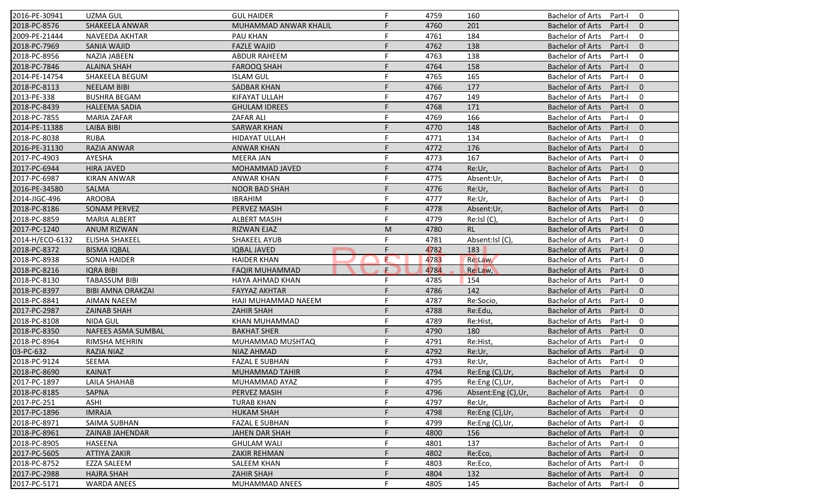| 2016-PE-30941   | <b>UZMA GUL</b>           | <b>GUL HAIDER</b>     | F  | 4759 | 160                | <b>Bachelor of Arts</b><br>$\mathbf 0$<br>Part-I    |
|-----------------|---------------------------|-----------------------|----|------|--------------------|-----------------------------------------------------|
| 2018-PC-8576    | SHAKEELA ANWAR            | MUHAMMAD ANWAR KHALIL | F  | 4760 | 201                | <b>Bachelor of Arts</b><br>Part-I<br>$\mathbf{0}$   |
| 2009-PE-21444   | NAVEEDA AKHTAR            | PAU KHAN              | F  | 4761 | 184                | <b>Bachelor of Arts</b><br>$\mathbf 0$<br>Part-I    |
| 2018-PC-7969    | <b>SANIA WAJID</b>        | <b>FAZLE WAJID</b>    | F  | 4762 | 138                | $\mathbf{0}$<br><b>Bachelor of Arts</b><br>Part-I   |
| 2018-PC-8956    | <b>NAZIA JABEEN</b>       | <b>ABDUR RAHEEM</b>   | F  | 4763 | 138                | $\mathbf 0$<br><b>Bachelor of Arts</b><br>Part-I    |
| 2018-PC-7846    | <b>ALAINA SHAH</b>        | <b>FAROOQ SHAH</b>    | F  | 4764 | 158                | $\overline{0}$<br>Bachelor of Arts<br>Part-I        |
| 2014-PE-14754   | SHAKEELA BEGUM            | <b>ISLAM GUL</b>      | F  | 4765 | 165                | $\mathbf 0$<br><b>Bachelor of Arts</b><br>Part-I    |
| 2018-PC-8113    | <b>NEELAM BIBI</b>        | <b>SADBAR KHAN</b>    | F  | 4766 | 177                | $\mathbf{0}$<br><b>Bachelor of Arts</b><br>Part-I   |
| 2013-PE-338     | <b>BUSHRA BEGAM</b>       | KIFAYAT ULLAH         | F  | 4767 | 149                | <b>Bachelor of Arts</b><br>$\mathbf 0$<br>Part-I    |
| 2018-PC-8439    | <b>HALEEMA SADIA</b>      | <b>GHULAM IDREES</b>  | F  | 4768 | 171                | <b>Bachelor of Arts</b><br>Part-I<br>$\Omega$       |
| 2018-PC-7855    | <b>MARIA ZAFAR</b>        | <b>ZAFAR ALI</b>      | F  | 4769 | 166                | <b>Bachelor of Arts</b><br>Part-I<br>$\mathbf 0$    |
| 2014-PE-11388   | <b>LAIBA BIBI</b>         | <b>SARWAR KHAN</b>    | E  | 4770 | 148                | <b>Bachelor of Arts</b><br>$\mathbf{0}$<br>Part-I   |
| 2018-PC-8038    | <b>RUBA</b>               | <b>HIDAYAT ULLAH</b>  | F  | 4771 | 134                | <b>Bachelor of Arts</b><br>$\mathbf 0$<br>Part-I    |
| 2016-PE-31130   | RAZIA ANWAR               | <b>ANWAR KHAN</b>     |    | 4772 | 176                | $\mathbf{0}$<br><b>Bachelor of Arts</b><br>Part-I   |
| 2017-PC-4903    | AYESHA                    | MEERA JAN             |    | 4773 | 167                | <b>Bachelor of Arts</b><br>Part-I<br>0              |
| 2017-PC-6944    | <b>HIRA JAVED</b>         | <b>MOHAMMAD JAVED</b> | F  | 4774 | Re:Ur,             | <b>Bachelor of Arts</b><br>Part-I<br>$\Omega$       |
| 2017-PC-6987    | <b>KIRAN ANWAR</b>        | <b>ANWAR KHAN</b>     | F  | 4775 | Absent:Ur,         | <b>Bachelor of Arts</b><br>$\mathbf 0$<br>Part-I    |
| 2016-PE-34580   | <b>SALMA</b>              | <b>NOOR BAD SHAH</b>  | F  | 4776 | Re:Ur,             | <b>Bachelor of Arts</b><br>$\mathbf{0}$<br>Part-I   |
| 2014-JIGC-496   | <b>AROOBA</b>             | <b>IBRAHIM</b>        | F  | 4777 | Re:Ur,             | <b>Bachelor of Arts</b><br>Part-I<br>0              |
| 2018-PC-8186    | <b>SONAM PERVEZ</b>       | PERVEZ MASIH          | F  | 4778 | Absent:Ur,         | <b>Bachelor of Arts</b><br>$\mathbf{0}$<br>Part-I   |
| 2018-PC-8859    | <b>MARIA ALBERT</b>       | <b>ALBERT MASIH</b>   | F  | 4779 | Re:Isl (C),        | <b>Bachelor of Arts</b><br>Part-I<br>0              |
| 2017-PC-1240    | <b>ANUM RIZWAN</b>        | <b>RIZWAN EJAZ</b>    | M  | 4780 | RL.                | <b>Bachelor of Arts</b><br>$\overline{0}$<br>Part-I |
| 2014-H/ECO-6132 | ELISHA SHAKEEL            | <b>SHAKEEL AYUB</b>   | F  | 4781 | Absent:Isl (C),    | <b>Bachelor of Arts</b><br>0<br>Part-I              |
| 2018-PC-8372    | <b>BISMA IQBAL</b>        | <b>IQBAL JAVED</b>    | F  | 4782 | 183                | $\mathbf{0}$<br><b>Bachelor of Arts</b><br>Part-I   |
| 2018-PC-8938    | <b>SONIA HAIDER</b>       | <b>HAIDER KHAN</b>    | E  | 4783 | Re:Law,            | <b>Bachelor of Arts</b><br>$\mathbf 0$<br>Part-I    |
| 2018-PC-8216    | <b>IQRA BIBI</b>          | <b>FAQIR MUHAMMAD</b> | ÷. | 4784 | Re:Law,            | <b>Bachelor of Arts</b><br>$\mathbf{0}$<br>Part-I   |
| 2018-PC-8130    | <b>TABASSUM BIBI</b>      | HAYA AHMAD KHAN       | F  | 4785 | 154                | <b>Bachelor of Arts</b><br>Part-I<br>0              |
| 2018-PC-8397    | <b>BIBI AMNA ORAKZAI</b>  | <b>FAYYAZ AKHTAR</b>  | F  | 4786 | 142                | <b>Bachelor of Arts</b><br>Part-I<br>$\mathbf{0}$   |
| 2018-PC-8841    | <b>AIMAN NAEEM</b>        | HAJI MUHAMMAD NAEEM   | F  | 4787 | Re:Socio,          | <b>Bachelor of Arts</b><br>$\mathbf 0$<br>Part-I    |
| 2017-PC-2987    | <b>ZAINAB SHAH</b>        | <b>ZAHIR SHAH</b>     | F  | 4788 | Re:Edu,            | $\mathbf{0}$<br><b>Bachelor of Arts</b><br>Part-I   |
| 2018-PC-8108    | NIDA GUL                  | KHAN MUHAMMAD         | F  | 4789 | Re:Hist,           | <b>Bachelor of Arts</b><br>0<br>Part-I              |
| 2018-PC-8350    | <b>NAFEES ASMA SUMBAL</b> | <b>BAKHAT SHER</b>    | F. | 4790 | 180                | <b>Bachelor of Arts</b><br>Part-I<br>$\Omega$       |
| 2018-PC-8964    | RIMSHA MEHRIN             | MUHAMMAD MUSHTAQ      | F  | 4791 | Re:Hist,           | <b>Bachelor of Arts</b><br>$\mathbf 0$<br>Part-I    |
| 03-PC-632       | <b>RAZIA NIAZ</b>         | <b>NIAZ AHMAD</b>     | F  | 4792 | Re:Ur,             | <b>Bachelor of Arts</b><br>$\mathbf{0}$<br>Part-I   |
| 2018-PC-9124    | SEEMA                     | <b>FAZAL E SUBHAN</b> | F  | 4793 | Re:Ur,             | <b>Bachelor of Arts</b><br>Part-I<br>0              |
| 2018-PC-8690    | KAINAT                    | MUHAMMAD TAHIR        |    | 4794 | Re:Eng (C),Ur,     | Bachelor of Arts Part-I 0                           |
| 2017-PC-1897    | LAILA SHAHAB              | MUHAMMAD AYAZ         | F. | 4795 | Re:Eng (C),Ur,     | Bachelor of Arts Part-I<br>$\mathbf 0$              |
| 2018-PC-8185    | SAPNA                     | PERVEZ MASIH          |    | 4796 | Absent:Eng (C),Ur, | <b>Bachelor of Arts</b><br>Part-I<br>$\mathbf{0}$   |
| 2017-PC-251     | ASHI                      | <b>TURAB KHAN</b>     | F  | 4797 | Re:Ur,             | Bachelor of Arts<br>Part-I<br>$\mathbf 0$           |
| 2017-PC-1896    | <b>IMRAJA</b>             | <b>HUKAM SHAH</b>     |    | 4798 | Re:Eng (C),Ur,     | <b>Bachelor of Arts</b><br>Part-I<br>$\mathbf{0}$   |
| 2018-PC-8971    | <b>SAIMA SUBHAN</b>       | <b>FAZAL E SUBHAN</b> |    | 4799 | Re:Eng (C),Ur,     | <b>Bachelor of Arts</b><br>0<br>Part-I              |
| 2018-PC-8961    | ZAINAB JAHENDAR           | JAHEN DAR SHAH        |    | 4800 | 156                | <b>Bachelor of Arts</b><br>Part-I<br>$\mathbf{0}$   |
| 2018-PC-8905    | <b>HASEENA</b>            | <b>GHULAM WALI</b>    |    | 4801 | 137                | <b>Bachelor of Arts</b><br>0<br>Part-I              |
| 2017-PC-5605    | <b>ATTIYA ZAKIR</b>       | <b>ZAKIR REHMAN</b>   |    | 4802 | Re:Eco,            | <b>Bachelor of Arts</b><br>Part-I<br>$\mathbf{0}$   |
| 2018-PC-8752    | <b>EZZA SALEEM</b>        | <b>SALEEM KHAN</b>    |    | 4803 | Re:Eco,            | <b>Bachelor of Arts</b><br>Part-I<br>0              |
| 2017-PC-2988    | <b>HAJRA SHAH</b>         | ZAHIR SHAH            |    | 4804 | 132                | <b>Bachelor of Arts</b><br>Part-I<br>$\mathbf{0}$   |
| 2017-PC-5171    | <b>WARDA ANEES</b>        | <b>MUHAMMAD ANEES</b> |    | 4805 | 145                | Bachelor of Arts<br>0<br>Part-I                     |
|                 |                           |                       |    |      |                    |                                                     |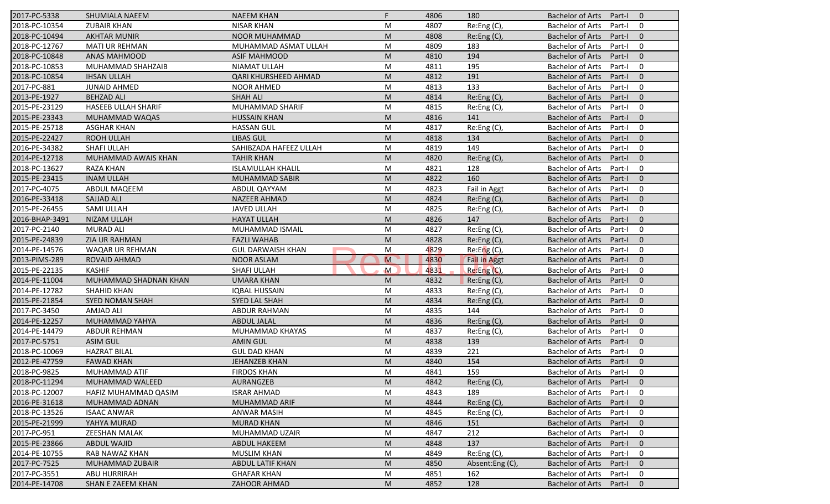| 2017-PC-5338   | SHUMIALA NAEEM           | <b>NAEEM KHAN</b>        | F.           | 4806 | 180                 | <b>Bachelor of Arts</b><br>Part-I<br>$\overline{0}$ |
|----------------|--------------------------|--------------------------|--------------|------|---------------------|-----------------------------------------------------|
| 2018-PC-10354  | <b>ZUBAIR KHAN</b>       | <b>NISAR KHAN</b>        | M            | 4807 | Re:Eng (C),         | <b>Bachelor of Arts</b><br>0<br>Part-I              |
| 2018-PC-10494  | <b>AKHTAR MUNIR</b>      | <b>NOOR MUHAMMAD</b>     | M            | 4808 | Re: Eng(C),         | <b>Bachelor of Arts</b><br>$\mathbf{0}$<br>Part-I   |
| 2018-PC-12767  | <b>MATI UR REHMAN</b>    | MUHAMMAD ASMAT ULLAH     | M            | 4809 | 183                 | <b>Bachelor of Arts</b><br>0<br>Part-I              |
| 2018-PC-10848  | <b>ANAS MAHMOOD</b>      | <b>ASIF MAHMOOD</b>      | M            | 4810 | 194                 | $\mathbf{0}$<br><b>Bachelor of Arts</b><br>Part-I   |
| 2018-PC-10853  | MUHAMMAD SHAHZAIB        | <b>NIAMAT ULLAH</b>      | M            | 4811 | 195                 | <b>Bachelor of Arts</b><br>Part-I<br>0              |
| 2018-PC-10854  | <b>IHSAN ULLAH</b>       | QARI KHURSHEED AHMAD     | M            | 4812 | 191                 | $\mathbf{0}$<br><b>Bachelor of Arts</b><br>Part-I   |
| 2017-PC-881    | <b>JUNAID AHMED</b>      | <b>NOOR AHMED</b>        | M            | 4813 | 133                 | <b>Bachelor of Arts</b><br>0<br>Part-I              |
| 2013-PE-1927   | <b>BEHZAD ALI</b>        | <b>SHAH ALI</b>          | M            | 4814 | Re:Eng (C),         | <b>Bachelor of Arts</b><br>$\mathbf{0}$<br>Part-I   |
| 2015-PE-23129  | HASEEB ULLAH SHARIF      | <b>MUHAMMAD SHARIF</b>   | M            | 4815 | Re:Eng (C),         | <b>Bachelor of Arts</b><br>Part-I<br>0              |
| 2015-PE-23343  | MUHAMMAD WAQAS           | <b>HUSSAIN KHAN</b>      | M            | 4816 | 141                 | <b>Bachelor of Arts</b><br>Part-I<br>$\mathbf{0}$   |
| 2015-PE-25718  | <b>ASGHAR KHAN</b>       | <b>HASSAN GUL</b>        | M            | 4817 | Re:Eng (C),         | <b>Bachelor of Arts</b><br>Part-I<br>0              |
| 2015-PE-22427  | ROOH ULLAH               | <b>LIBAS GUL</b>         | M            | 4818 | 134                 | <b>Bachelor of Arts</b><br>$\mathbf{0}$<br>Part-I   |
| 2016-PE-34382  | SHAFI ULLAH              | SAHIBZADA HAFEEZ ULLAH   | M            | 4819 | 149                 | <b>Bachelor of Arts</b><br>0<br>Part-I              |
| 2014-PE-12718  | MUHAMMAD AWAIS KHAN      | <b>TAHIR KHAN</b>        | M            | 4820 | Re:Eng (C),         | <b>Bachelor of Arts</b><br>Part-I<br>$\overline{0}$ |
| 2018-PC-13627  | <b>RAZA KHAN</b>         | <b>ISLAMULLAH KHALIL</b> | M            | 4821 | 128                 | <b>Bachelor of Arts</b><br>0<br>Part-I              |
| 2015-PE-23415  | <b>INAM ULLAH</b>        | MUHAMMAD SABIR           | M            | 4822 | 160                 | <b>Bachelor of Arts</b><br>Part-I<br>$\mathbf{0}$   |
| 2017-PC-4075   | ABDUL MAQEEM             | ABDUL QAYYAM             | M            | 4823 | Fail in Aggt        | <b>Bachelor of Arts</b><br>0<br>Part-I              |
| 2016-PE-33418  | <b>SAJJAD ALI</b>        | <b>NAZEER AHMAD</b>      | M            | 4824 | Re:Eng (C),         | <b>Bachelor of Arts</b><br>$\mathbf{0}$<br>Part-I   |
| 2015-PE-26455  | SAMI ULLAH               | <b>JAVED ULLAH</b>       | M            | 4825 | Re:Eng (C),         | $\mathbf 0$<br><b>Bachelor of Arts</b><br>Part-I    |
| 2016-BHAP-3491 | <b>NIZAM ULLAH</b>       | <b>HAYAT ULLAH</b>       | M            | 4826 | 147                 | $\mathbf{0}$<br><b>Bachelor of Arts</b><br>Part-I   |
| 2017-PC-2140   | <b>MURAD ALI</b>         | MUHAMMAD ISMAIL          | M            | 4827 | Re:Eng (C),         | 0<br><b>Bachelor of Arts</b><br>Part-I              |
| 2015-PE-24839  | <b>ZIA UR RAHMAN</b>     | <b>FAZLI WAHAB</b>       | M            | 4828 | Re:Eng (C),         | <b>Bachelor of Arts</b><br>$\mathbf 0$<br>Part-I    |
| 2014-PE-14576  | WAQAR UR REHMAN          | <b>GUL DARWAISH KHAN</b> | M            | 4829 | Re: Eng(C)          | <b>Bachelor of Arts</b><br>0<br>Part-I              |
| 2013-PIMS-289  | <b>ROVAID AHMAD</b>      | <b>NOOR ASLAM</b>        | M            | 4830 | <b>Fail in Aggt</b> | $\mathbf{0}$<br><b>Bachelor of Arts</b><br>Part-I   |
| 2015-PE-22135  | <b>KASHIF</b>            | SHAFI ULLAH              | $\mathsf{M}$ | 4831 | Re:Eng (C),         | <b>Bachelor of Arts</b><br>0<br>Part-I              |
| 2014-PE-11004  | MUHAMMAD SHADNAN KHAN    | <b>UMARA KHAN</b>        | M            | 4832 | Re: Eng(C),         | <b>Bachelor of Arts</b><br>$\mathbf{0}$<br>Part-I   |
| 2014-PE-12782  | SHAHID KHAN              | <b>IQBAL HUSSAIN</b>     | M            | 4833 | Re:Eng (C),         | $\mathbf 0$<br><b>Bachelor of Arts</b><br>Part-I    |
| 2015-PE-21854  | <b>SYED NOMAN SHAH</b>   | SYED LAL SHAH            | M            | 4834 | Re: Eng(C)          | <b>Bachelor of Arts</b><br>$\mathbf{0}$<br>Part-I   |
| 2017-PC-3450   | AMJAD ALI                | ABDUR RAHMAN             | M            | 4835 | 144                 | <b>Bachelor of Arts</b><br>0<br>Part-I              |
| 2014-PE-12257  | MUHAMMAD YAHYA           | <b>ABDUL JALAL</b>       | M            | 4836 | Re: Eng(C)          | <b>Bachelor of Arts</b><br>$\overline{0}$<br>Part-I |
| 2014-PE-14479  | ABDUR REHMAN             | MUHAMMAD KHAYAS          | M            | 4837 | Re:Eng (C),         | <b>Bachelor of Arts</b><br>0<br>Part-I              |
| 2017-PC-5751   | <b>ASIM GUL</b>          | <b>AMIN GUL</b>          | M            | 4838 | 139                 | <b>Bachelor of Arts</b><br>Part-I<br>$\overline{0}$ |
| 2018-PC-10069  | <b>HAZRAT BILAL</b>      | <b>GUL DAD KHAN</b>      | M            | 4839 | 221                 | <b>Bachelor of Arts</b><br>0<br>Part-I              |
| 2012-PE-47759  | <b>FAWAD KHAN</b>        | <b>JEHANZEB KHAN</b>     | M            | 4840 | 154                 | <b>Bachelor of Arts</b><br>Part-I<br>$\mathbf 0$    |
| 2018-PC-9825   | MUHAMMAD ATIF            | <b>FIRDOS KHAN</b>       | M            | 4841 | 159                 | Bachelor of Arts Part-I<br>$\mathbf 0$              |
| 2018-PC-11294  | MUHAMMAD WALEED          | AURANGZEB                | M            | 4842 | Re:Eng (C),         | Bachelor of Arts Part-I<br>$\overline{0}$           |
| 2018-PC-12007  | HAFIZ MUHAMMAD QASIM     | <b>ISRAR AHMAD</b>       | М            | 4843 | 189                 | <b>Bachelor of Arts</b><br>Part-I<br>0              |
| 2016-PE-31618  | MUHAMMAD ADNAN           | MUHAMMAD ARIF            | M            | 4844 | Re: Eng(C)          | Bachelor of Arts<br>Part-I<br>$\mathbf{0}$          |
| 2018-PC-13526  | <b>ISAAC ANWAR</b>       | <b>ANWAR MASIH</b>       | М            | 4845 | Re: Eng(C)          | <b>Bachelor of Arts</b><br>Part-I<br>0              |
| 2015-PE-21999  | YAHYA MURAD              | <b>MURAD KHAN</b>        | M            | 4846 | 151                 | <b>Bachelor of Arts</b><br>$\mathbf 0$<br>Part-I    |
| 2017-PC-951    | ZEESHAN MALAK            | MUHAMMAD UZAIR           | M            | 4847 | 212                 | <b>Bachelor of Arts</b><br>0<br>Part-I              |
| 2015-PE-23866  | <b>ABDUL WAJID</b>       | ABDUL HAKEEM             | M            | 4848 | 137                 | Bachelor of Arts<br>Part-I<br>$\mathbf 0$           |
| 2014-PE-10755  | RAB NAWAZ KHAN           | <b>MUSLIM KHAN</b>       | M            | 4849 | Re:Eng (C),         | Bachelor of Arts<br>Part-I<br>0                     |
| 2017-PC-7525   | MUHAMMAD ZUBAIR          | ABDUL LATIF KHAN         | M            | 4850 | Absent:Eng (C),     | <b>Bachelor of Arts</b><br>$\mathbf{0}$<br>Part-I   |
| 2017-PC-3551   | ABU HURRIRAH             | <b>GHAFAR KHAN</b>       | M            | 4851 | 162                 | <b>Bachelor of Arts</b><br>Part-I<br>0              |
| 2014-PE-14708  | <b>SHAN E ZAEEM KHAN</b> | <b>ZAHOOR AHMAD</b>      | M            | 4852 | 128                 | Bachelor of Arts<br>Part-I<br>$\mathbf{0}$          |
|                |                          |                          |              |      |                     |                                                     |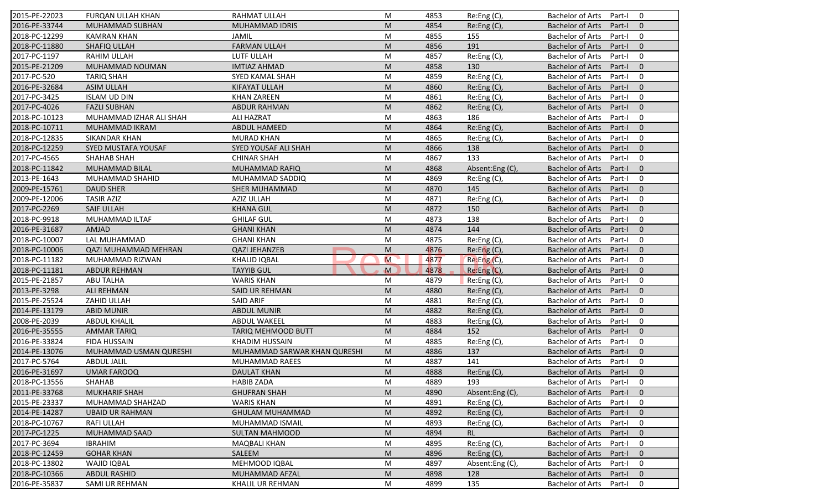| 2015-PE-22023 | FURQAN ULLAH KHAN           | RAHMAT ULLAH                 | M | 4853 | Re:Eng (C),     | <b>Bachelor of Arts</b><br>0<br>Part-I              |
|---------------|-----------------------------|------------------------------|---|------|-----------------|-----------------------------------------------------|
| 2016-PE-33744 | MUHAMMAD SUBHAN             | <b>MUHAMMAD IDRIS</b>        | M | 4854 | Re:Eng (C),     | <b>Bachelor of Arts</b><br>Part-I<br>$\mathbf{0}$   |
| 2018-PC-12299 | <b>KAMRAN KHAN</b>          | JAMIL                        | M | 4855 | 155             | <b>Bachelor of Arts</b><br>Part-I<br>0              |
| 2018-PC-11880 | SHAFIQ ULLAH                | <b>FARMAN ULLAH</b>          | M | 4856 | 191             | <b>Bachelor of Arts</b><br>$\mathbf{0}$<br>Part-I   |
| 2017-PC-1197  | RAHIM ULLAH                 | LUTF ULLAH                   | M | 4857 | Re:Eng (C),     | <b>Bachelor of Arts</b><br>$\mathbf 0$<br>Part-I    |
| 2015-PE-21209 | MUHAMMAD NOUMAN             | <b>IMTIAZ AHMAD</b>          | M | 4858 | 130             | <b>Bachelor of Arts</b><br>Part-I<br>$\overline{0}$ |
| 2017-PC-520   | <b>TARIQ SHAH</b>           | SYED KAMAL SHAH              | M | 4859 | Re:Eng (C),     | $\mathbf 0$<br><b>Bachelor of Arts</b><br>Part-I    |
| 2016-PE-32684 | <b>ASIM ULLAH</b>           | <b>KIFAYAT ULLAH</b>         | M | 4860 | Re:Eng (C),     | <b>Bachelor of Arts</b><br>$\mathbf{0}$<br>Part-I   |
| 2017-PC-3425  | <b>ISLAM UD DIN</b>         | <b>KHAN ZAREEN</b>           | M | 4861 | Re:Eng (C),     | <b>Bachelor of Arts</b><br>Part-I<br>$\mathbf 0$    |
| 2017-PC-4026  | <b>FAZLI SUBHAN</b>         | <b>ABDUR RAHMAN</b>          | M | 4862 | Re:Eng (C),     | <b>Bachelor of Arts</b><br>Part-I<br>$\Omega$       |
| 2018-PC-10123 | MUHAMMAD IZHAR ALI SHAH     | <b>ALI HAZRAT</b>            | M | 4863 | 186             | <b>Bachelor of Arts</b><br>Part-I<br>$\mathbf 0$    |
| 2018-PC-10711 | MUHAMMAD IKRAM              | ABDUL HAMEED                 | M | 4864 | Re:Eng (C),     | <b>Bachelor of Arts</b><br>Part-I<br>$\mathbf{0}$   |
| 2018-PC-12835 | <b>SIKANDAR KHAN</b>        | <b>MURAD KHAN</b>            | M | 4865 | Re:Eng (C),     | <b>Bachelor of Arts</b><br>$\mathbf 0$<br>Part-I    |
| 2018-PC-12259 | SYED MUSTAFA YOUSAF         | SYED YOUSAF ALI SHAH         | M | 4866 | 138             | <b>Bachelor of Arts</b><br>$\mathbf{0}$<br>Part-I   |
| 2017-PC-4565  | <b>SHAHAB SHAH</b>          | <b>CHINAR SHAH</b>           | M | 4867 | 133             | $\mathbf 0$<br><b>Bachelor of Arts</b><br>Part-I    |
| 2018-PC-11842 | MUHAMMAD BILAL              | MUHAMMAD RAFIQ               | M | 4868 | Absent:Eng(C),  | $\Omega$<br><b>Bachelor of Arts</b><br>Part-I       |
| 2013-PE-1643  | MUHAMMAD SHAHID             | MUHAMMAD SADDIQ              | M | 4869 | Re:Eng (C),     | <b>Bachelor of Arts</b><br>$\mathbf 0$<br>Part-I    |
| 2009-PE-15761 | <b>DAUD SHER</b>            | <b>SHER MUHAMMAD</b>         | M | 4870 | 145             | <b>Bachelor of Arts</b><br>$\mathbf{0}$<br>Part-I   |
| 2009-PE-12006 | <b>TASIR AZIZ</b>           | <b>AZIZ ULLAH</b>            | M | 4871 | Re:Eng (C),     | <b>Bachelor of Arts</b><br>Part-I<br>$\mathbf 0$    |
| 2017-PC-2269  | <b>SAIF ULLAH</b>           | <b>KHANA GUL</b>             | M | 4872 | 150             | <b>Bachelor of Arts</b><br>Part-I<br>$\mathbf{0}$   |
| 2018-PC-9918  | MUHAMMAD ILTAF              | <b>GHILAF GUL</b>            | M | 4873 | 138             | <b>Bachelor of Arts</b><br>$\mathbf 0$<br>Part-I    |
| 2016-PE-31687 | <b>AMJAD</b>                | <b>GHANI KHAN</b>            | M | 4874 | 144             | $\mathbf{0}$<br><b>Bachelor of Arts</b><br>Part-I   |
| 2018-PC-10007 | LAL MUHAMMAD                | <b>GHANI KHAN</b>            | M | 4875 | Re:Eng (C),     | <b>Bachelor of Arts</b><br>Part-I<br>0              |
| 2018-PC-10006 | <b>QAZI MUHAMMAD MEHRAN</b> | <b>QAZI JEHANZEB</b>         | M | 4876 | Re: Eng(C)      | $\mathbf{0}$<br><b>Bachelor of Arts</b><br>Part-I   |
| 2018-PC-11182 | MUHAMMAD RIZWAN             | <b>KHALID IQBAL</b>          | M | 4877 | Re: Eng(C),     | <b>Bachelor of Arts</b><br>$\mathbf 0$<br>Part-I    |
| 2018-PC-11181 | <b>ABDUR REHMAN</b>         | <b>TAYYIB GUL</b>            | M | 4878 | Re:Eng (C),     | <b>Bachelor of Arts</b><br>$\mathbf{0}$<br>Part-I   |
| 2015-PE-21857 | <b>ABU TALHA</b>            | <b>WARIS KHAN</b>            | M | 4879 | Re:Eng (C),     | <b>Bachelor of Arts</b><br>Part-I<br>$\mathbf 0$    |
| 2013-PE-3298  | <b>ALI REHMAN</b>           | <b>SAID UR REHMAN</b>        | M | 4880 | Re: Eng(C)      | <b>Bachelor of Arts</b><br>Part-I<br>$\Omega$       |
| 2015-PE-25524 | ZAHID ULLAH                 | <b>SAID ARIF</b>             | M | 4881 | Re: Eng(C)      | <b>Bachelor of Arts</b><br>$\mathbf 0$<br>Part-I    |
| 2014-PE-13179 | <b>ABID MUNIR</b>           | <b>ABDUL MUNIR</b>           | M | 4882 | Re:Eng (C),     | <b>Bachelor of Arts</b><br>$\mathbf{0}$<br>Part-I   |
| 2008-PE-2039  | <b>ABDUL KHALIL</b>         | <b>ABDUL WAKEEL</b>          | M | 4883 | Re:Eng (C),     | <b>Bachelor of Arts</b><br>Part-I<br>0              |
| 2016-PE-35555 | <b>AMMAR TARIQ</b>          | TARIQ MEHMOOD BUTT           | M | 4884 | 152             | $\Omega$<br><b>Bachelor of Arts</b><br>Part-I       |
| 2016-PE-33824 | <b>FIDA HUSSAIN</b>         | <b>KHADIM HUSSAIN</b>        | M | 4885 | Re:Eng (C),     | <b>Bachelor of Arts</b><br>$\mathbf 0$<br>Part-I    |
| 2014-PE-13076 | MUHAMMAD USMAN QURESHI      | MUHAMMAD SARWAR KHAN QURESHI | M | 4886 | 137             | <b>Bachelor of Arts</b><br>$\mathbf{0}$<br>Part-I   |
| 2017-PC-5764  | <b>ABDUL JALIL</b>          | MUHAMMAD RAEES               | M | 4887 | 141             | <b>Bachelor of Arts</b><br>Part-I<br>0              |
| 2016-PE-31697 | <b>UMAR FAROOQ</b>          | <b>DAULAT KHAN</b>           | M | 4888 | Re:Eng(C),      | Bachelor of Arts Part-I 0                           |
| 2018-PC-13556 | <b>SHAHAB</b>               | <b>HABIB ZADA</b>            | М | 4889 | 193             | Bachelor of Arts Part-I<br>$\mathbf 0$              |
| 2011-PE-33768 | <b>MUKHARIF SHAH</b>        | <b>GHUFRAN SHAH</b>          | M | 4890 | Absent:Eng (C), | <b>Bachelor of Arts</b><br>Part-I<br>$\mathbf{0}$   |
| 2015-PE-23337 | MUHAMMAD SHAHZAD            | <b>WARIS KHAN</b>            | M | 4891 | $Re: Eng(C)$ ,  | <b>Bachelor of Arts</b><br>Part-I<br>0              |
| 2014-PE-14287 | <b>UBAID UR RAHMAN</b>      | <b>GHULAM MUHAMMAD</b>       | M | 4892 | Re:Eng (C),     | <b>Bachelor of Arts</b><br>Part-I<br>$\mathbf{0}$   |
| 2018-PC-10767 | <b>RAFI ULLAH</b>           | MUHAMMAD ISMAIL              | M | 4893 | Re:Eng (C),     | <b>Bachelor of Arts</b><br>0<br>Part-I              |
| 2017-PC-1225  | MUHAMMAD SAAD               | <b>SULTAN MAHMOOD</b>        | M | 4894 | <b>RL</b>       | <b>Bachelor of Arts</b><br>$\mathbf 0$<br>Part-I    |
| 2017-PC-3694  | <b>IBRAHIM</b>              | <b>MAQBALI KHAN</b>          | M | 4895 | Re:Eng (C),     | <b>Bachelor of Arts</b><br>0<br>Part-I              |
| 2018-PC-12459 | <b>GOHAR KHAN</b>           | SALEEM                       | M | 4896 | Re:Eng (C),     | <b>Bachelor of Arts</b><br>Part-I<br>$\mathbf 0$    |
| 2018-PC-13802 | <b>WAJID IQBAL</b>          | MEHMOOD IQBAL                | M | 4897 | Absent:Eng (C), | <b>Bachelor of Arts</b><br>0<br>Part-I              |
| 2018-PC-10366 | <b>ABDUL RASHID</b>         | MUHAMMAD AFZAL               | M | 4898 | 128             | <b>Bachelor of Arts</b><br>$\mathbf 0$<br>Part-I    |
| 2016-PE-35837 | SAMI UR REHMAN              | KHALIL UR REHMAN             |   |      |                 | 0                                                   |
|               |                             |                              | M | 4899 | 135             | Bachelor of Arts<br>Part-I                          |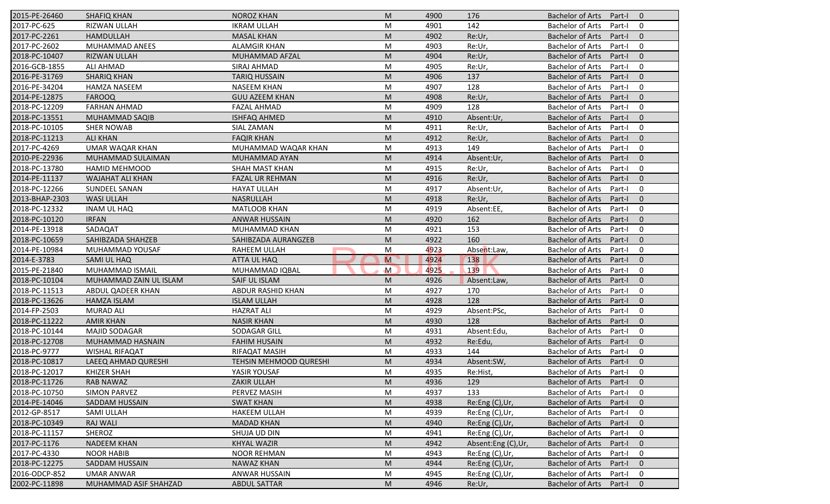| 2015-PE-26460  | SHAFIQ KHAN            | <b>NOROZ KHAN</b>      | M                                                                                                          | 4900 | 176                | Bachelor of Arts Part-I |        | - 0            |
|----------------|------------------------|------------------------|------------------------------------------------------------------------------------------------------------|------|--------------------|-------------------------|--------|----------------|
| 2017-PC-625    | <b>RIZWAN ULLAH</b>    | <b>IKRAM ULLAH</b>     | М                                                                                                          | 4901 | 142                | <b>Bachelor of Arts</b> | Part-I | 0              |
| 2017-PC-2261   | <b>HAMDULLAH</b>       | <b>MASAL KHAN</b>      | M                                                                                                          | 4902 | Re:Ur,             | <b>Bachelor of Arts</b> | Part-I | $\overline{0}$ |
| 2017-PC-2602   | MUHAMMAD ANEES         | <b>ALAMGIR KHAN</b>    | M                                                                                                          | 4903 | Re:Ur,             | <b>Bachelor of Arts</b> | Part-I | $\mathbf 0$    |
| 2018-PC-10407  | RIZWAN ULLAH           | MUHAMMAD AFZAL         | M                                                                                                          | 4904 | Re:Ur,             | <b>Bachelor of Arts</b> | Part-I | $\overline{0}$ |
| 2016-GCB-1855  | <b>ALI AHMAD</b>       | SIRAJ AHMAD            | M                                                                                                          | 4905 | Re:Ur,             | <b>Bachelor of Arts</b> | Part-I | $\mathbf 0$    |
| 2016-PE-31769  | <b>SHARIQ KHAN</b>     | <b>TARIQ HUSSAIN</b>   | M                                                                                                          | 4906 | 137                | <b>Bachelor of Arts</b> | Part-I | $\mathbf 0$    |
| 2016-PE-34204  | <b>HAMZA NASEEM</b>    | <b>NASEEM KHAN</b>     | M                                                                                                          | 4907 | 128                | <b>Bachelor of Arts</b> | Part-I | 0              |
| 2014-PE-12875  | <b>FAROOQ</b>          | <b>GUU AZEEM KHAN</b>  | M                                                                                                          | 4908 | Re:Ur,             | <b>Bachelor of Arts</b> | Part-I | $\overline{0}$ |
| 2018-PC-12209  | <b>FARHAN AHMAD</b>    | <b>FAZAL AHMAD</b>     | M                                                                                                          | 4909 | 128                | <b>Bachelor of Arts</b> | Part-I | $\mathbf 0$    |
| 2018-PC-13551  | MUHAMMAD SAQIB         | <b>ISHFAQ AHMED</b>    | M                                                                                                          | 4910 | Absent:Ur,         | Bachelor of Arts        | Part-I | $\mathbf 0$    |
| 2018-PC-10105  | <b>SHER NOWAB</b>      | SIAL ZAMAN             | М                                                                                                          | 4911 | Re:Ur,             | <b>Bachelor of Arts</b> | Part-I | 0              |
| 2018-PC-11213  | <b>ALI KHAN</b>        | <b>FAQIR KHAN</b>      | M                                                                                                          | 4912 | Re:Ur,             | <b>Bachelor of Arts</b> | Part-I | $\overline{0}$ |
| 2017-PC-4269   | <b>UMAR WAQAR KHAN</b> | MUHAMMAD WAQAR KHAN    | M                                                                                                          | 4913 | 149                | <b>Bachelor of Arts</b> | Part-I | $\mathbf 0$    |
| 2010-PE-22936  | MUHAMMAD SULAIMAN      | MUHAMMAD AYAN          | M                                                                                                          | 4914 | Absent:Ur,         | <b>Bachelor of Arts</b> | Part-I | $\overline{0}$ |
| 2018-PC-13780  | HAMID MEHMOOD          | SHAH MAST KHAN         | M                                                                                                          | 4915 | Re:Ur,             | <b>Bachelor of Arts</b> | Part-I | $\mathbf 0$    |
| 2014-PE-11137  | WAJAHAT ALI KHAN       | FAZAL UR REHMAN        | M                                                                                                          | 4916 | Re:Ur,             | <b>Bachelor of Arts</b> | Part-I | $\overline{0}$ |
| 2018-PC-12266  | SUNDEEL SANAN          | <b>HAYAT ULLAH</b>     | M                                                                                                          | 4917 | Absent:Ur,         | <b>Bachelor of Arts</b> | Part-I | $\overline{0}$ |
| 2013-BHAP-2303 | <b>WASI ULLAH</b>      | <b>NASRULLAH</b>       | M                                                                                                          | 4918 | Re:Ur,             | <b>Bachelor of Arts</b> | Part-I | $\overline{0}$ |
| 2018-PC-12332  | <b>INAM UL HAQ</b>     | <b>MATLOOB KHAN</b>    | М                                                                                                          | 4919 | Absent:EE,         | <b>Bachelor of Arts</b> | Part-I | $\mathbf 0$    |
| 2018-PC-10120  | <b>IRFAN</b>           | <b>ANWAR HUSSAIN</b>   | M                                                                                                          | 4920 | 162                | <b>Bachelor of Arts</b> | Part-I | $\mathbf{0}$   |
| 2014-PE-13918  | SADAQAT                | <b>MUHAMMAD KHAN</b>   | M                                                                                                          | 4921 | 153                | <b>Bachelor of Arts</b> | Part-I | $\mathbf 0$    |
| 2018-PC-10659  | SAHIBZADA SHAHZEB      | SAHIBZADA AURANGZEB    | M                                                                                                          | 4922 | 160                | <b>Bachelor of Arts</b> | Part-I | $\mathbf{0}$   |
| 2014-PE-10984  | MUHAMMAD YOUSAF        | RAHEEM ULLAH           | M                                                                                                          | 4923 | Absent:Law,        | <b>Bachelor of Arts</b> | Part-I | 0              |
| 2014-E-3783    | SAMI UL HAQ            | ATTA UL HAQ            | M                                                                                                          | 4924 | 138                | <b>Bachelor of Arts</b> | Part-I | $\overline{0}$ |
| 2015-PE-21840  | MUHAMMAD ISMAIL        | MUHAMMAD IQBAL         | M                                                                                                          | 4925 | 139                | <b>Bachelor of Arts</b> | Part-I | $\mathbf 0$    |
| 2018-PC-10104  | MUHAMMAD ZAIN UL ISLAM | SAIF UL ISLAM          | M                                                                                                          | 4926 | Absent:Law,        | Bachelor of Arts        | Part-I | $\mathbf{0}$   |
| 2018-PC-11513  | ABDUL QADEER KHAN      | ABDUR RASHID KHAN      | M                                                                                                          | 4927 | 170                | <b>Bachelor of Arts</b> | Part-I | 0              |
| 2018-PC-13626  | <b>HAMZA ISLAM</b>     | <b>ISLAM ULLAH</b>     | M                                                                                                          | 4928 | 128                | <b>Bachelor of Arts</b> | Part-I | $\overline{0}$ |
| 2014-FP-2503   | <b>MURAD ALI</b>       | <b>HAZRAT ALI</b>      | M                                                                                                          | 4929 | Absent:PSc,        | <b>Bachelor of Arts</b> | Part-I | $\mathbf 0$    |
| 2018-PC-11222  | <b>AMIR KHAN</b>       | <b>NASIR KHAN</b>      | M                                                                                                          | 4930 | 128                | <b>Bachelor of Arts</b> | Part-I | $\overline{0}$ |
| 2018-PC-10144  | <b>MAJID SODAGAR</b>   | SODAGAR GILL           | M                                                                                                          | 4931 | Absent:Edu,        | <b>Bachelor of Arts</b> | Part-I | 0              |
| 2018-PC-12708  | MUHAMMAD HASNAIN       | <b>FAHIM HUSAIN</b>    | $\mathsf{M}% _{T}=\mathsf{M}_{T}\!\left( a,b\right) ,\ \mathsf{M}_{T}=\mathsf{M}_{T}\!\left( a,b\right) ,$ | 4932 | Re:Edu,            | <b>Bachelor of Arts</b> | Part-I | $\overline{0}$ |
| 2018-PC-9777   | <b>WISHAL RIFAQAT</b>  | RIFAQAT MASIH          | M                                                                                                          | 4933 | 144                | <b>Bachelor of Arts</b> | Part-I | $\mathbf 0$    |
| 2018-PC-10817  | LAEEQ AHMAD QURESHI    | TEHSIN MEHMOOD QURESHI | M                                                                                                          | 4934 | Absent:SW,         | <b>Bachelor of Arts</b> | Part-I | $\overline{0}$ |
| 2018-PC-12017  | <b>KHIZER SHAH</b>     | YASIR YOUSAF           | M                                                                                                          | 4935 | Re:Hist,           | Bachelor of Arts        | Part-I | 0              |
| 2018-PC-11726  | <b>RAB NAWAZ</b>       | ZAKIR ULLAH            | M                                                                                                          | 4936 | 129                | <b>Bachelor of Arts</b> | Part-I | $\overline{0}$ |
| 2018-PC-10750  | <b>SIMON PARVEZ</b>    | PERVEZ MASIH           | M                                                                                                          | 4937 | 133                | <b>Bachelor of Arts</b> | Part-I | $\mathbf 0$    |
| 2014-PE-14046  | SADDAM HUSSAIN         | <b>SWAT KHAN</b>       | M                                                                                                          | 4938 | Re:Eng (C), Ur,    | <b>Bachelor of Arts</b> | Part-I | $\mathbf 0$    |
| 2012-GP-8517   | SAMI ULLAH             | <b>HAKEEM ULLAH</b>    | M                                                                                                          | 4939 | Re:Eng (C), Ur,    | <b>Bachelor of Arts</b> | Part-I | 0              |
| 2018-PC-10349  | <b>RAJ WALI</b>        | <b>MADAD KHAN</b>      | M                                                                                                          | 4940 | Re:Eng (C),Ur,     | <b>Bachelor of Arts</b> | Part-I | $\mathbf 0$    |
| 2018-PC-11157  | SHEROZ                 | SHUJA UD DIN           | M                                                                                                          | 4941 | Re:Eng (C),Ur,     | <b>Bachelor of Arts</b> | Part-I | 0              |
| 2017-PC-1176   | <b>NADEEM KHAN</b>     | KHYAL WAZIR            | M                                                                                                          | 4942 | Absent:Eng (C),Ur, | <b>Bachelor of Arts</b> | Part-I | $\overline{0}$ |
| 2017-PC-4330   | <b>NOOR HABIB</b>      | <b>NOOR REHMAN</b>     | М                                                                                                          | 4943 | Re:Eng (C),Ur,     | <b>Bachelor of Arts</b> | Part-I | 0              |
|                |                        |                        |                                                                                                            |      |                    | <b>Bachelor of Arts</b> | Part-I | $\overline{0}$ |
| 2018-PC-12275  | SADDAM HUSSAIN         | <b>NAWAZ KHAN</b>      | M                                                                                                          | 4944 | Re:Eng (C), Ur,    |                         |        |                |
| 2016-ODCP-852  | <b>UMAR ANWAR</b>      | <b>ANWAR HUSSAIN</b>   | M                                                                                                          | 4945 | Re:Eng (C),Ur,     | <b>Bachelor of Arts</b> | Part-I | 0              |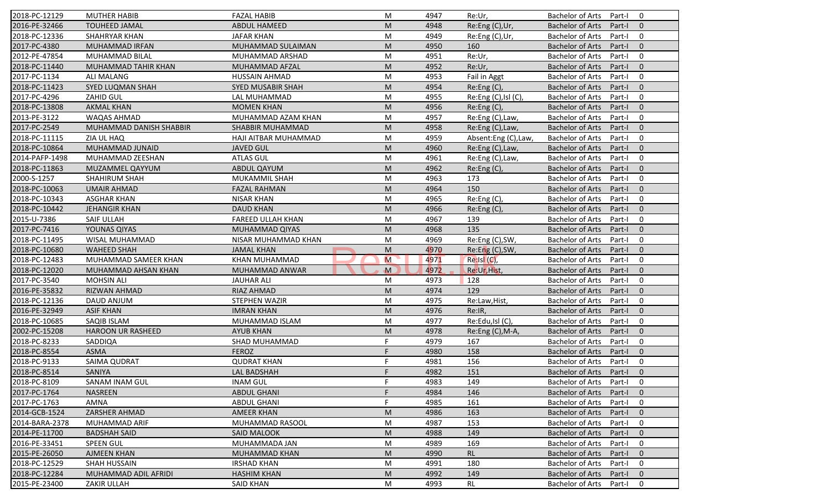| 2018-PC-12129  | <b>MUTHER HABIB</b>      | <b>FAZAL HABIB</b>       | M           | 4947 | Re:Ur,               | <b>Bachelor of Arts</b><br>$\mathbf 0$<br>Part-I  |
|----------------|--------------------------|--------------------------|-------------|------|----------------------|---------------------------------------------------|
| 2016-PE-32466  | <b>TOUHEED JAMAL</b>     | <b>ABDUL HAMEED</b>      | M           | 4948 | Re:Eng (C),Ur,       | <b>Bachelor of Arts</b><br>Part-I<br>$\mathbf{0}$ |
| 2018-PC-12336  | <b>SHAHRYAR KHAN</b>     | <b>JAFAR KHAN</b>        | M           | 4949 | Re:Eng (C),Ur,       | <b>Bachelor of Arts</b><br>$\mathbf 0$<br>Part-I  |
| 2017-PC-4380   | MUHAMMAD IRFAN           | MUHAMMAD SULAIMAN        | M           | 4950 | 160                  | $\mathbf{0}$<br><b>Bachelor of Arts</b><br>Part-I |
| 2012-PE-47854  | MUHAMMAD BILAL           | MUHAMMAD ARSHAD          | M           | 4951 | Re:Ur,               | $\mathbf 0$<br><b>Bachelor of Arts</b><br>Part-I  |
| 2018-PC-11440  | MUHAMMAD TAHIR KHAN      | MUHAMMAD AFZAL           | M           | 4952 | Re:Ur,               | $\overline{0}$<br>Bachelor of Arts<br>Part-I      |
| 2017-PC-1134   | <b>ALI MALANG</b>        | <b>HUSSAIN AHMAD</b>     | M           | 4953 | Fail in Aggt         | $\mathbf 0$<br><b>Bachelor of Arts</b><br>Part-I  |
| 2018-PC-11423  | SYED LUQMAN SHAH         | SYED MUSABIR SHAH        | M           | 4954 | Re:Eng (C),          | <b>Bachelor of Arts</b><br>$\mathbf{0}$<br>Part-I |
| 2017-PC-4296   | ZAHID GUL                | LAL MUHAMMAD             | M           | 4955 | Re:Eng (C), Isl (C), | $\mathbf 0$<br><b>Bachelor of Arts</b><br>Part-I  |
| 2018-PC-13808  | <b>AKMAL KHAN</b>        | <b>MOMEN KHAN</b>        | M           | 4956 | Re:Eng (C),          | <b>Bachelor of Arts</b><br>Part-I<br>$\mathbf{0}$ |
| 2013-PE-3122   | WAQAS AHMAD              | MUHAMMAD AZAM KHAN       | M           | 4957 | Re:Eng (C), Law,     | <b>Bachelor of Arts</b><br>Part-I<br>$\mathbf 0$  |
| 2017-PC-2549   | MUHAMMAD DANISH SHABBIR  | SHABBIR MUHAMMAD         | M           | 4958 | Re:Eng (C), Law,     | <b>Bachelor of Arts</b><br>Part-I<br>$\mathbf{0}$ |
| 2018-PC-11115  | ZIA UL HAQ               | HAJI AITBAR MUHAMMAD     | M           | 4959 | Absent:Eng (C),Law,  | <b>Bachelor of Arts</b><br>$\mathbf 0$<br>Part-I  |
| 2018-PC-10864  | MUHAMMAD JUNAID          | <b>JAVED GUL</b>         | M           | 4960 | Re:Eng (C), Law,     | $\mathbf{0}$<br><b>Bachelor of Arts</b><br>Part-I |
| 2014-PAFP-1498 | MUHAMMAD ZEESHAN         | <b>ATLAS GUL</b>         | M           | 4961 | Re:Eng (C), Law,     | $\mathbf 0$<br><b>Bachelor of Arts</b><br>Part-I  |
| 2018-PC-11863  | MUZAMMEL QAYYUM          | <b>ABDUL QAYUM</b>       | M           | 4962 | Re: Eng(C),          | $\Omega$<br><b>Bachelor of Arts</b><br>Part-I     |
| 2000-S-1257    | SHAHIRUM SHAH            | MUKAMMIL SHAH            | M           | 4963 | 173                  | <b>Bachelor of Arts</b><br>$\mathbf 0$<br>Part-I  |
| 2018-PC-10063  | <b>UMAIR AHMAD</b>       | <b>FAZAL RAHMAN</b>      | M           | 4964 | 150                  | <b>Bachelor of Arts</b><br>$\mathbf{0}$<br>Part-I |
| 2018-PC-10343  | <b>ASGHAR KHAN</b>       | <b>NISAR KHAN</b>        | M           | 4965 | Re:Eng (C),          | <b>Bachelor of Arts</b><br>0<br>Part-I            |
| 2018-PC-10442  | <b>JEHANGIR KHAN</b>     | <b>DAUD KHAN</b>         | M           | 4966 | Re:Eng (C),          | $\mathbf{0}$<br><b>Bachelor of Arts</b><br>Part-I |
| 2015-U-7386    | SAIF ULLAH               | <b>FAREED ULLAH KHAN</b> | M           | 4967 | 139                  | <b>Bachelor of Arts</b><br>$\mathbf 0$<br>Part-I  |
| 2017-PC-7416   | YOUNAS QIYAS             | MUHAMMAD QIYAS           | M           | 4968 | 135                  | $\mathbf{0}$<br><b>Bachelor of Arts</b><br>Part-I |
| 2018-PC-11495  | WISAL MUHAMMAD           | NISAR MUHAMMAD KHAN      | M           | 4969 | Re:Eng (C), SW,      | $\mathbf 0$<br><b>Bachelor of Arts</b><br>Part-I  |
| 2018-PC-10680  | <b>WAHEED SHAH</b>       | <b>JAMAL KHAN</b>        | M           | 4970 | Re:Eng (C), SW,      | $\mathbf{0}$<br><b>Bachelor of Arts</b><br>Part-I |
| 2018-PC-12483  | MUHAMMAD SAMEER KHAN     | KHAN MUHAMMAD            | M           | 4971 | Re:Isl (C),          | $\mathbf 0$<br><b>Bachelor of Arts</b><br>Part-I  |
| 2018-PC-12020  | MUHAMMAD AHSAN KHAN      | MUHAMMAD ANWAR           | $\mathbf M$ | 4972 | Re:Ur, Hist,         | <b>Bachelor of Arts</b><br>$\mathbf{0}$<br>Part-I |
| 2017-PC-3540   | <b>MOHSIN ALI</b>        | <b>JAUHAR ALI</b>        | M           | 4973 | 128                  | <b>Bachelor of Arts</b><br>Part-I<br>$\mathbf 0$  |
| 2016-PE-35832  | RIZWAN AHMAD             | RIAZ AHMAD               | M           | 4974 | 129                  | <b>Bachelor of Arts</b><br>Part-I<br>$\mathbf{0}$ |
| 2018-PC-12136  | DAUD ANJUM               | STEPHEN WAZIR            | M           | 4975 | Re:Law, Hist,        | $\mathbf 0$<br><b>Bachelor of Arts</b><br>Part-I  |
| 2016-PE-32949  | <b>ASIF KHAN</b>         | <b>IMRAN KHAN</b>        | M           | 4976 | Re:IR,               | <b>Bachelor of Arts</b><br>$\mathbf{0}$<br>Part-I |
| 2018-PC-10685  | SAQIB ISLAM              | MUHAMMAD ISLAM           | M           | 4977 | Re:Edu,Isl (C),      | $\mathbf 0$<br><b>Bachelor of Arts</b><br>Part-I  |
| 2002-PC-15208  | <b>HAROON UR RASHEED</b> | <b>AYUB KHAN</b>         | M           | 4978 | Re:Eng (C), M-A,     | $\Omega$<br><b>Bachelor of Arts</b><br>Part-I     |
| 2018-PC-8233   | SADDIQA                  | SHAD MUHAMMAD            | F.          | 4979 | 167                  | <b>Bachelor of Arts</b><br>$\mathbf 0$<br>Part-I  |
| 2018-PC-8554   | <b>ASMA</b>              | <b>FEROZ</b>             | F           | 4980 | 158                  | <b>Bachelor of Arts</b><br>$\mathbf{0}$<br>Part-I |
| 2018-PC-9133   | <b>SAIMA QUDRAT</b>      | <b>QUDRAT KHAN</b>       | F.          | 4981 | 156                  | <b>Bachelor of Arts</b><br>Part-I<br>0            |
| 2018-PC-8514   | SANIYA                   | LAL BADSHAH              | E           | 4982 | 151                  | Bachelor of Arts Part-I<br>$\overline{0}$         |
| 2018-PC-8109   | SANAM INAM GUL           | <b>INAM GUL</b>          | F.          | 4983 | 149                  | Bachelor of Arts Part-I<br>0                      |
| 2017-PC-1764   | <b>NASREEN</b>           | <b>ABDUL GHANI</b>       | F           | 4984 | 146                  | Bachelor of Arts<br>$\mathbf{0}$<br>Part-I        |
| 2017-PC-1763   | AMNA                     | <b>ABDUL GHANI</b>       | F           | 4985 | 161                  | Bachelor of Arts<br>Part-I<br>0                   |
| 2014-GCB-1524  | <b>ZARSHER AHMAD</b>     | AMEER KHAN               | M           | 4986 | 163                  | Bachelor of Arts<br>$\mathbf{0}$<br>Part-I        |
| 2014-BARA-2378 | MUHAMMAD ARIF            | MUHAMMAD RASOOL          | M           | 4987 | 153                  | <b>Bachelor of Arts</b><br>0<br>Part-I            |
| 2014-PE-11700  | <b>BADSHAH SAID</b>      | SAID MALOOK              | M           | 4988 | 149                  | <b>Bachelor of Arts</b><br>$\mathbf 0$<br>Part-I  |
| 2016-PE-33451  | <b>SPEEN GUL</b>         | MUHAMMADA JAN            | M           | 4989 | 169                  | Bachelor of Arts<br>0<br>Part-I                   |
| 2015-PE-26050  | <b>AJMEEN KHAN</b>       | MUHAMMAD KHAN            | M           | 4990 | <b>RL</b>            | <b>Bachelor of Arts</b><br>Part-I<br>$\mathbf 0$  |
| 2018-PC-12529  | <b>SHAH HUSSAIN</b>      | <b>IRSHAD KHAN</b>       | M           | 4991 | 180                  | <b>Bachelor of Arts</b><br>0<br>Part-I            |
| 2018-PC-12284  | MUHAMMAD ADIL AFRIDI     | <b>HASHIM KHAN</b>       | M           | 4992 | 149                  | <b>Bachelor of Arts</b><br>Part-I<br>$\mathbf{0}$ |
| 2015-PE-23400  | <b>ZAKIR ULLAH</b>       | <b>SAID KHAN</b>         | M           | 4993 | RL                   | Bachelor of Arts<br>Part-I<br>0                   |
|                |                          |                          |             |      |                      |                                                   |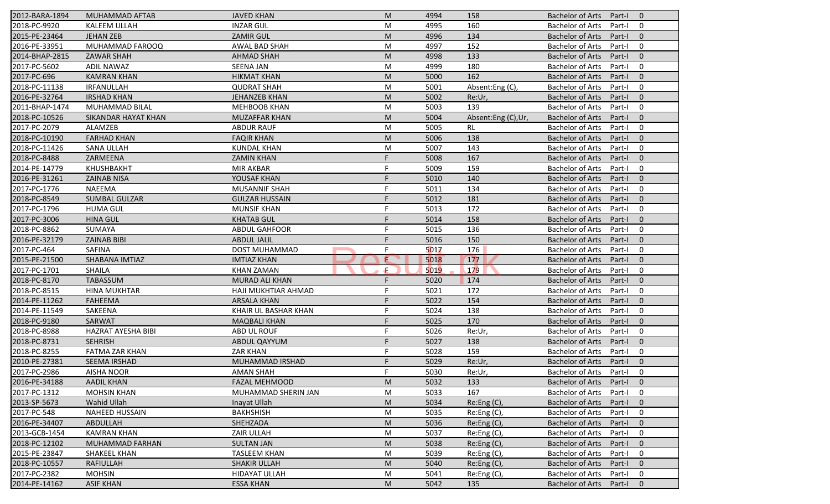| 2012-BARA-1894 | MUHAMMAD AFTAB            | <b>JAVED KHAN</b>     | M  | 4994 | 158                | <b>Bachelor of Arts</b><br>Part-I<br>$\mathbf{0}$   |
|----------------|---------------------------|-----------------------|----|------|--------------------|-----------------------------------------------------|
| 2018-PC-9920   | <b>KALEEM ULLAH</b>       | <b>INZAR GUL</b>      | M  | 4995 | 160                | <b>Bachelor of Arts</b><br>Part-I<br>0              |
| 2015-PE-23464  | <b>JEHAN ZEB</b>          | <b>ZAMIR GUL</b>      | M  | 4996 | 134                | <b>Bachelor of Arts</b><br>$\mathbf{0}$<br>Part-I   |
| 2016-PE-33951  | MUHAMMAD FAROOQ           | AWAL BAD SHAH         | M  | 4997 | 152                | <b>Bachelor of Arts</b><br>0<br>Part-I              |
| 2014-BHAP-2815 | <b>ZAWAR SHAH</b>         | <b>AHMAD SHAH</b>     | M  | 4998 | 133                | $\mathbf{0}$<br><b>Bachelor of Arts</b><br>Part-I   |
| 2017-PC-5602   | <b>ADIL NAWAZ</b>         | <b>SEENA JAN</b>      | M  | 4999 | 180                | <b>Bachelor of Arts</b><br>0<br>Part-I              |
| 2017-PC-696    | <b>KAMRAN KHAN</b>        | <b>HIKMAT KHAN</b>    | M  | 5000 | 162                | $\mathbf{0}$<br><b>Bachelor of Arts</b><br>Part-I   |
| 2018-PC-11138  | IRFANULLAH                | <b>QUDRAT SHAH</b>    | M  | 5001 | Absent:Eng (C),    | 0<br><b>Bachelor of Arts</b><br>Part-I              |
| 2016-PE-32764  | <b>IRSHAD KHAN</b>        | <b>JEHANZEB KHAN</b>  | M  | 5002 | Re:Ur,             | <b>Bachelor of Arts</b><br>$\mathbf{0}$<br>Part-I   |
| 2011-BHAP-1474 | MUHAMMAD BILAL            | <b>MEHBOOB KHAN</b>   | M  | 5003 | 139                | <b>Bachelor of Arts</b><br>Part-I<br>0              |
| 2018-PC-10526  | SIKANDAR HAYAT KHAN       | <b>MUZAFFAR KHAN</b>  | M  | 5004 | Absent:Eng (C),Ur, | <b>Bachelor of Arts</b><br>$\mathbf{0}$<br>Part-I   |
| 2017-PC-2079   | ALAMZEB                   | <b>ABDUR RAUF</b>     | M  | 5005 | <b>RL</b>          | <b>Bachelor of Arts</b><br>$\mathbf 0$<br>Part-I    |
| 2018-PC-10190  | <b>FARHAD KHAN</b>        | <b>FAQIR KHAN</b>     | M  | 5006 | 138                | <b>Bachelor of Arts</b><br>$\mathbf{0}$<br>Part-I   |
| 2018-PC-11426  | <b>SANA ULLAH</b>         | <b>KUNDAL KHAN</b>    | M  | 5007 | 143                | <b>Bachelor of Arts</b><br>$\mathbf 0$<br>Part-I    |
| 2018-PC-8488   | ZARMEENA                  | <b>ZAMIN KHAN</b>     |    | 5008 | 167                | <b>Bachelor of Arts</b><br>$\overline{0}$<br>Part-I |
| 2014-PE-14779  | <b>KHUSHBAKHT</b>         | <b>MIR AKBAR</b>      |    | 5009 | 159                | $\mathbf 0$<br><b>Bachelor of Arts</b><br>Part-I    |
| 2016-PE-31261  | <b>ZAINAB NISA</b>        | YOUSAF KHAN           |    | 5010 | 140                | <b>Bachelor of Arts</b><br>$\mathbf{0}$<br>Part-I   |
| 2017-PC-1776   | <b>NAEEMA</b>             | <b>MUSANNIF SHAH</b>  |    | 5011 | 134                | <b>Bachelor of Arts</b><br>0<br>Part-I              |
| 2018-PC-8549   | <b>SUMBAL GULZAR</b>      | <b>GULZAR HUSSAIN</b> |    | 5012 | 181                | <b>Bachelor of Arts</b><br>$\mathbf{0}$<br>Part-    |
| 2017-PC-1796   | <b>HUMA GUL</b>           | <b>MUNSIF KHAN</b>    |    | 5013 | 172                | <b>Bachelor of Arts</b><br>$\mathbf 0$<br>Part-I    |
| 2017-PC-3006   | <b>HINA GUL</b>           | <b>KHATAB GUL</b>     |    | 5014 | 158                | $\mathbf{0}$<br><b>Bachelor of Arts</b><br>Part-I   |
| 2018-PC-8862   | SUMAYA                    | <b>ABDUL GAHFOOR</b>  |    | 5015 | 136                | $\mathbf 0$<br><b>Bachelor of Arts</b><br>Part-I    |
| 2016-PE-32179  | <b>ZAINAB BIBI</b>        | <b>ABDUL JALIL</b>    |    | 5016 | 150                | $\mathbf 0$<br><b>Bachelor of Arts</b><br>Part-I    |
| 2017-PC-464    | SAFINA                    | DOST MUHAMMAD         | F  | 5017 | 176                | $\mathbf 0$<br><b>Bachelor of Arts</b><br>Part-I    |
| 2015-PE-21500  | <b>SHABANA IMTIAZ</b>     | <b>IMTIAZ KHAN</b>    | Œ  | 5018 | 177                | $\mathbf{0}$<br><b>Bachelor of Arts</b><br>Part-I   |
| 2017-PC-1701   | <b>SHAILA</b>             | <b>KHAN ZAMAN</b>     | F. | 5019 | 179                | <b>Bachelor of Arts</b><br>$\mathbf 0$<br>Part-I    |
| 2018-PC-8170   | <b>TABASSUM</b>           | MURAD ALI KHAN        | F  | 5020 | 174                | <b>Bachelor of Arts</b><br>Part-I<br>$\overline{0}$ |
| 2018-PC-8515   | <b>HINA MUKHTAR</b>       | HAJI MUKHTIAR AHMAD   |    | 5021 | 172                | $\mathbf 0$<br><b>Bachelor of Arts</b><br>Part-I    |
| 2014-PE-11262  | <b>FAHEEMA</b>            | <b>ARSALA KHAN</b>    | F  | 5022 | 154                | <b>Bachelor of Arts</b><br>$\mathbf{0}$<br>Part-I   |
| 2014-PE-11549  | SAKEENA                   | KHAIR UL BASHAR KHAN  | F  | 5024 | 138                | <b>Bachelor of Arts</b><br>$\mathbf 0$<br>Part-I    |
| 2018-PC-9180   | SARWAT                    | <b>MAQBALI KHAN</b>   |    | 5025 | 170                | <b>Bachelor of Arts</b><br>$\overline{0}$<br>Part-I |
| 2018-PC-8988   | <b>HAZRAT AYESHA BIBI</b> | ABD UL ROUF           | F  | 5026 | Re:Ur,             | <b>Bachelor of Arts</b><br>$\mathbf 0$<br>Part-I    |
| 2018-PC-8731   | <b>SEHRISH</b>            | <b>ABDUL QAYYUM</b>   | F  | 5027 | 138                | <b>Bachelor of Arts</b><br>Part-I<br>$\overline{0}$ |
| 2018-PC-8255   | FATMA ZAR KHAN            | <b>ZAR KHAN</b>       | F  | 5028 | 159                | <b>Bachelor of Arts</b><br>$\mathbf 0$<br>Part-I    |
| 2010-PE-27381  | SEEMA IRSHAD              | MUHAMMAD IRSHAD       | F  | 5029 | Re:Ur,             | <b>Bachelor of Arts</b><br>Part-I<br>$\mathbf 0$    |
| 2017-PC-2986   | <b>AISHA NOOR</b>         | AMAN SHAH             |    | 5030 | Re:Ur,             | Bachelor of Arts Part-I<br>$\mathbf 0$              |
| 2016-PE-34188  | <b>AADIL KHAN</b>         | <b>FAZAL MEHMOOD</b>  | M  | 5032 | 133                | Bachelor of Arts Part-I<br>$\overline{0}$           |
| 2017-PC-1312   | <b>MOHSIN KHAN</b>        | MUHAMMAD SHERIN JAN   | М  | 5033 | 167                | Bachelor of Arts<br>Part-I<br>0                     |
| 2013-SP-5673   | <b>Wahid Ullah</b>        | Inayat Ullah          | M  | 5034 | Re: Eng(C)         | Bachelor of Arts<br>Part-I<br>$\mathbf{0}$          |
| 2017-PC-548    | NAHEED HUSSAIN            | <b>BAKHSHISH</b>      | M  | 5035 | Re:Eng (C),        | Bachelor of Arts<br>Part-I<br>0                     |
| 2016-PE-34407  | ABDULLAH                  | SHEHZADA              | M  | 5036 | Re:Eng (C),        | <b>Bachelor of Arts</b><br>$\mathbf 0$<br>Part-I    |
| 2013-GCB-1454  | <b>KAMRAN KHAN</b>        | ZAIR ULLAH            | M  | 5037 | Re:Eng (C),        | Bachelor of Arts<br>0<br>Part-I                     |
| 2018-PC-12102  | MUHAMMAD FARHAN           | <b>SULTAN JAN</b>     | M  | 5038 | Re:Eng(C),         | <b>Bachelor of Arts</b><br>Part-I<br>$\mathbf{0}$   |
| 2015-PE-23847  | SHAKEEL KHAN              | <b>TASLEEM KHAN</b>   | M  | 5039 | Re:Eng (C),        | Bachelor of Arts<br>Part-I<br>0                     |
| 2018-PC-10557  | RAFIULLAH                 | <b>SHAKIR ULLAH</b>   | M  | 5040 | Re:Eng (C),        | <b>Bachelor of Arts</b><br>$\overline{0}$<br>Part-I |
| 2017-PC-2382   | <b>MOHSIN</b>             | <b>HIDAYAT ULLAH</b>  | M  | 5041 | Re:Eng(C),         | <b>Bachelor of Arts</b><br>Part-I<br>0              |
| 2014-PE-14162  | <b>ASIF KHAN</b>          | <b>ESSA KHAN</b>      | M  | 5042 | 135                | Bachelor of Arts<br>Part-I<br>$\mathbf{0}$          |
|                |                           |                       |    |      |                    |                                                     |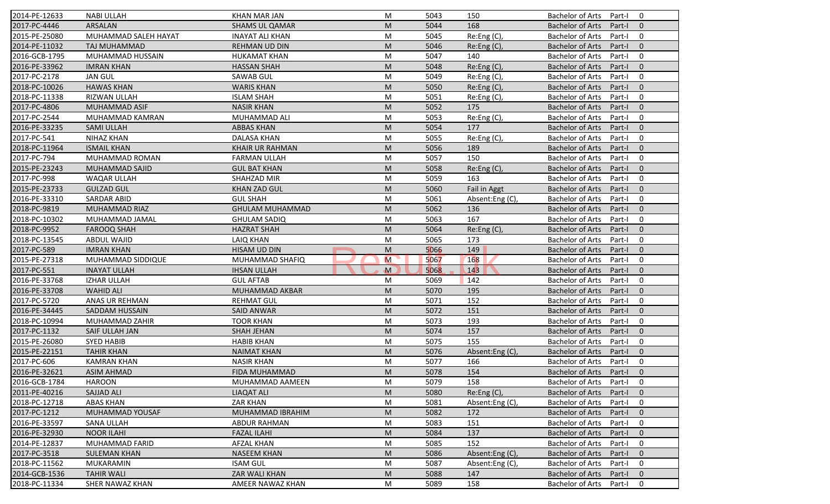| 2014-PE-12633 | <b>NABI ULLAH</b>     | <b>KHAN MAR JAN</b>    | M           | 5043 | 150             | <b>Bachelor of Arts</b><br>$\mathbf 0$<br>Part-I    |
|---------------|-----------------------|------------------------|-------------|------|-----------------|-----------------------------------------------------|
| 2017-PC-4446  | ARSALAN               | <b>SHAMS UL QAMAR</b>  | M           | 5044 | 168             | <b>Bachelor of Arts</b><br>$\mathbf{0}$<br>Part-I   |
| 2015-PE-25080 | MUHAMMAD SALEH HAYAT  | <b>INAYAT ALI KHAN</b> | M           | 5045 | Re:Eng (C),     | <b>Bachelor of Arts</b><br>Part-I<br>$\mathbf 0$    |
| 2014-PE-11032 | TAJ MUHAMMAD          | REHMAN UD DIN          | M           | 5046 | Re:Eng (C),     | <b>Bachelor of Arts</b><br>Part-I<br>$\mathbf{0}$   |
| 2016-GCB-1795 | MUHAMMAD HUSSAIN      | <b>HUKAMAT KHAN</b>    | M           | 5047 | 140             | Part-I<br>$\mathbf 0$<br><b>Bachelor of Arts</b>    |
| 2016-PE-33962 | <b>IMRAN KHAN</b>     | <b>HASSAN SHAH</b>     | M           | 5048 | Re: Eng(C)      | <b>Bachelor of Arts</b><br>Part-I<br>$\mathbf{0}$   |
| 2017-PC-2178  | <b>JAN GUL</b>        | <b>SAWAB GUL</b>       | M           | 5049 | Re:Eng (C),     | Part-I<br>$\mathbf 0$<br><b>Bachelor of Arts</b>    |
| 2018-PC-10026 | <b>HAWAS KHAN</b>     | <b>WARIS KHAN</b>      | M           | 5050 | Re:Eng (C),     | Part-I<br>$\Omega$<br><b>Bachelor of Arts</b>       |
| 2018-PC-11338 | RIZWAN ULLAH          | <b>ISLAM SHAH</b>      | M           | 5051 | Re:Eng (C),     | $\mathbf 0$<br><b>Bachelor of Arts</b><br>Part-I    |
| 2017-PC-4806  | <b>MUHAMMAD ASIF</b>  | <b>NASIR KHAN</b>      | M           | 5052 | 175             | $\mathbf{0}$<br><b>Bachelor of Arts</b><br>Part-I   |
| 2017-PC-2544  | MUHAMMAD KAMRAN       | MUHAMMAD ALI           | M           | 5053 | Re:Eng (C),     | $\mathbf 0$<br><b>Bachelor of Arts</b><br>Part-I    |
| 2016-PE-33235 | <b>SAMI ULLAH</b>     | <b>ABBAS KHAN</b>      | M           | 5054 | 177             | $\mathbf{0}$<br><b>Bachelor of Arts</b><br>Part-I   |
| 2017-PC-541   | <b>NIHAZ KHAN</b>     | <b>DALASA KHAN</b>     | M           | 5055 | Re:Eng (C),     | $\mathbf 0$<br><b>Bachelor of Arts</b><br>Part-I    |
| 2018-PC-11964 | <b>ISMAIL KHAN</b>    | <b>KHAIR UR RAHMAN</b> | M           | 5056 | 189             | $\mathbf{0}$<br><b>Bachelor of Arts</b><br>Part-I   |
| 2017-PC-794   | MUHAMMAD ROMAN        | <b>FARMAN ULLAH</b>    | M           | 5057 | 150             | 0<br><b>Bachelor of Arts</b><br>Part-I              |
| 2015-PE-23243 | MUHAMMAD SAJID        | <b>GUL BAT KHAN</b>    | M           | 5058 | Re: Eng(C)      | <b>Bachelor of Arts</b><br>$\mathbf{0}$<br>Part-I   |
| 2017-PC-998   | WAQAR ULLAH           | SHAHZAD MIR            | M           | 5059 | 163             | <b>Bachelor of Arts</b><br>0<br>Part-I              |
| 2015-PE-23733 | <b>GULZAD GUL</b>     | <b>KHAN ZAD GUL</b>    | M           | 5060 | Fail in Aggt    | <b>Bachelor of Arts</b><br>$\mathbf{0}$<br>Part-I   |
| 2016-PE-33310 | <b>SARDAR ABID</b>    | <b>GUL SHAH</b>        | M           | 5061 | Absent:Eng (C), | <b>Bachelor of Arts</b><br>Part-I<br>$\mathbf 0$    |
| 2018-PC-9819  | MUHAMMAD RIAZ         | <b>GHULAM MUHAMMAD</b> | M           | 5062 | 136             | <b>Bachelor of Arts</b><br>$\mathbf{0}$<br>Part-I   |
| 2018-PC-10302 | MUHAMMAD JAMAL        | <b>GHULAM SADIQ</b>    | M           | 5063 | 167             | <b>Bachelor of Arts</b><br>Part-I<br>0              |
| 2018-PC-9952  | <b>FAROOQ SHAH</b>    | <b>HAZRAT SHAH</b>     | M           | 5064 | Re:Eng (C),     | $\mathbf{0}$<br><b>Bachelor of Arts</b><br>Part-I   |
| 2018-PC-13545 | ABDUL WAJID           | LAIQ KHAN              | M           | 5065 | 173             | $\mathbf 0$<br><b>Bachelor of Arts</b><br>Part-I    |
| 2017-PC-589   | <b>IMRAN KHAN</b>     | HISAM UD DIN           | M           | 5066 | 149             | Part-I<br>$\overline{0}$<br><b>Bachelor of Arts</b> |
| 2015-PE-27318 | MUHAMMAD SIDDIQUE     | MUHAMMAD SHAFIQ        | M           | 5067 | 168             | <b>Bachelor of Arts</b><br>Part-I<br>$\mathbf 0$    |
| 2017-PC-551   | <b>INAYAT ULLAH</b>   | <b>IHSAN ULLAH</b>     | $\mathbf M$ | 5068 | 143             | <b>Bachelor of Arts</b><br>$\overline{0}$<br>Part-I |
| 2016-PE-33768 | <b>IZHAR ULLAH</b>    | <b>GUL AFTAB</b>       | M           | 5069 | 142             | $\mathbf 0$<br><b>Bachelor of Arts</b><br>Part-I    |
| 2016-PE-33708 | <b>WAHID ALI</b>      | MUHAMMAD AKBAR         | M           | 5070 | 195             | $\overline{0}$<br><b>Bachelor of Arts</b><br>Part-I |
| 2017-PC-5720  | ANAS UR REHMAN        | <b>REHMAT GUL</b>      | M           | 5071 | 152             | $\mathbf 0$<br><b>Bachelor of Arts</b><br>Part-I    |
| 2016-PE-34445 | <b>SADDAM HUSSAIN</b> | <b>SAID ANWAR</b>      | M           | 5072 | 151             | $\mathbf{0}$<br><b>Bachelor of Arts</b><br>Part-I   |
| 2018-PC-10994 | MUHAMMAD ZAHIR        | <b>TOOR KHAN</b>       | M           | 5073 | 193             | $\mathbf 0$<br>Bachelor of Arts<br>Part-I           |
| 2017-PC-1132  | SAIF ULLAH JAN        | <b>SHAH JEHAN</b>      | M           | 5074 | 157             | <b>Bachelor of Arts</b><br>$\overline{0}$<br>Part-I |
| 2015-PE-26080 | <b>SYED HABIB</b>     | <b>HABIB KHAN</b>      | M           | 5075 | 155             | <b>Bachelor of Arts</b><br>$\mathbf 0$<br>Part-I    |
| 2015-PE-22151 | <b>TAHIR KHAN</b>     | <b>NAIMAT KHAN</b>     | M           | 5076 | Absent:Eng (C), | <b>Bachelor of Arts</b><br>Part-I<br>$\mathbf{0}$   |
| 2017-PC-606   | <b>KAMRAN KHAN</b>    | <b>NASIR KHAN</b>      | M           | 5077 | 166             | <b>Bachelor of Arts</b><br>Part-I<br>0              |
| 2016-PE-32621 | <b>ASIM AHMAD</b>     | FIDA MUHAMMAD          | M           | 5078 | 154             | Bachelor of Arts Part-I 0                           |
| 2016-GCB-1784 | <b>HAROON</b>         | MUHAMMAD AAMEEN        | M           | 5079 | 158             | Bachelor of Arts Part-I<br>0                        |
| 2011-PE-40216 | <b>SAJJAD ALI</b>     | <b>LIAQAT ALI</b>      | M           | 5080 | Re: Eng(C)      | Bachelor of Arts<br>Part-I<br>$\mathbf{0}$          |
| 2018-PC-12718 | <b>ABAS KHAN</b>      | <b>ZAR KHAN</b>        | M           | 5081 | Absent:Eng (C)  | Bachelor of Arts<br>Part-I<br>0                     |
| 2017-PC-1212  | MUHAMMAD YOUSAF       | MUHAMMAD IBRAHIM       | M           | 5082 | 172             | <b>Bachelor of Arts</b><br>$\mathbf 0$<br>Part-I    |
| 2016-PE-33597 | SANA ULLAH            | ABDUR RAHMAN           | M           | 5083 | 151             | 0<br>Bachelor of Arts<br>Part-I                     |
| 2016-PE-32930 | <b>NOOR ILAHI</b>     | <b>FAZAL ILAHI</b>     | M           | 5084 | 137             | Bachelor of Arts<br>$\mathbf{0}$<br>Part-I          |
| 2014-PE-12837 | MUHAMMAD FARID        | <b>AFZAL KHAN</b>      | M           | 5085 | 152             | <b>Bachelor of Arts</b><br>0<br>Part-I              |
| 2017-PC-3518  | <b>SULEMAN KHAN</b>   | <b>NASEEM KHAN</b>     | M           | 5086 | Absent:Eng (C), | <b>Bachelor of Arts</b><br>$\mathbf 0$<br>Part-I    |
| 2018-PC-11562 | MUKARAMIN             | <b>ISAM GUL</b>        | M           | 5087 | Absent:Eng (C), | <b>Bachelor of Arts</b><br>0<br>Part-I              |
| 2014-GCB-1536 | <b>TAHIR WALI</b>     | ZAR WALI KHAN          | M           | 5088 | 147             | <b>Bachelor of Arts</b><br>$\mathbf 0$<br>Part-I    |
| 2018-PC-11334 | SHER NAWAZ KHAN       | AMEER NAWAZ KHAN       | M           | 5089 | 158             | 0<br>Bachelor of Arts<br>Part-I                     |
|               |                       |                        |             |      |                 |                                                     |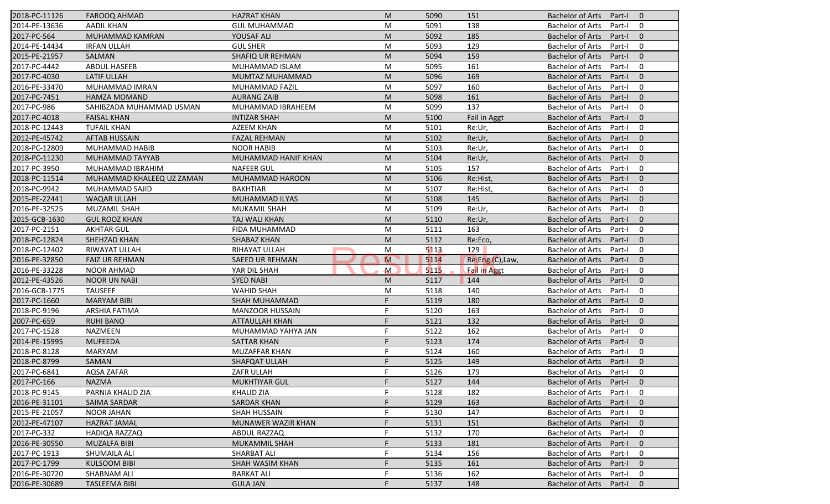| 2018-PC-11126 | <b>FAROOQ AHMAD</b>       | <b>HAZRAT KHAN</b>      | M              | 5090 | 151                 | <b>Bachelor of Arts</b><br>Part-I<br>$\overline{0}$ |
|---------------|---------------------------|-------------------------|----------------|------|---------------------|-----------------------------------------------------|
| 2014-PE-13636 | <b>AADIL KHAN</b>         | <b>GUL MUHAMMAD</b>     | M              | 5091 | 138                 | <b>Bachelor of Arts</b><br>Part-I<br>$\mathbf 0$    |
| 2017-PC-564   | MUHAMMAD KAMRAN           | YOUSAF ALI              | M              | 5092 | 185                 | <b>Bachelor of Arts</b><br>$\mathbf{0}$<br>Part-I   |
| 2014-PE-14434 | <b>IRFAN ULLAH</b>        | <b>GUL SHER</b>         | M              | 5093 | 129                 | <b>Bachelor of Arts</b><br>$\mathbf 0$<br>Part-I    |
| 2015-PE-21957 | SALMAN                    | <b>SHAFIQ UR REHMAN</b> | M              | 5094 | 159                 | $\mathbf{0}$<br><b>Bachelor of Arts</b><br>Part-I   |
| 2017-PC-4442  | <b>ABDUL HASEEB</b>       | MUHAMMAD ISLAM          | M              | 5095 | 161                 | <b>Bachelor of Arts</b><br>Part-I<br>0              |
| 2017-PC-4030  | <b>LATIF ULLAH</b>        | MUMTAZ MUHAMMAD         | M              | 5096 | 169                 | $\mathbf{0}$<br><b>Bachelor of Arts</b><br>Part-I   |
| 2016-PE-33470 | MUHAMMAD IMRAN            | MUHAMMAD FAZIL          | M              | 5097 | 160                 | <b>Bachelor of Arts</b><br>$\mathbf 0$<br>Part-I    |
| 2017-PC-7451  | <b>HAMZA MOMAND</b>       | <b>AURANG ZAIB</b>      | M              | 5098 | 161                 | <b>Bachelor of Arts</b><br>$\mathbf{0}$<br>Part-I   |
| 2017-PC-986   | SAHIBZADA MUHAMMAD USMAN  | MUHAMMAD IBRAHEEM       | M              | 5099 | 137                 | <b>Bachelor of Arts</b><br>Part-I<br>$\mathbf 0$    |
| 2017-PC-4018  | <b>FAISAL KHAN</b>        | <b>INTIZAR SHAH</b>     | M              | 5100 | <b>Fail in Aggt</b> | <b>Bachelor of Arts</b><br>Part-I<br>$\mathbf{0}$   |
| 2018-PC-12443 | <b>TUFAIL KHAN</b>        | <b>AZEEM KHAN</b>       | M              | 5101 | Re:Ur,              | <b>Bachelor of Arts</b><br>Part-I<br>$\mathbf 0$    |
| 2012-PE-45742 | <b>AFTAB HUSSAIN</b>      | <b>FAZAL REHMAN</b>     | M              | 5102 | Re:Ur,              | <b>Bachelor of Arts</b><br>$\mathbf{0}$<br>Part-I   |
| 2018-PC-12809 | MUHAMMAD HABIB            | <b>NOOR HABIB</b>       | M              | 5103 | Re:Ur,              | <b>Bachelor of Arts</b><br>$\mathbf 0$<br>Part-I    |
| 2018-PC-11230 | MUHAMMAD TAYYAB           | MUHAMMAD HANIF KHAN     | M              | 5104 | Re:Ur,              | <b>Bachelor of Arts</b><br>Part-I<br>$\overline{0}$ |
| 2017-PC-3950  | MUHAMMAD IBRAHIM          | <b>NAFEER GUL</b>       | M              | 5105 | 157                 | $\mathbf 0$<br><b>Bachelor of Arts</b><br>Part-I    |
| 2018-PC-11514 | MUHAMMAD KHALEEQ UZ ZAMAN | MUHAMMAD HAROON         | M              | 5106 | Re:Hist,            | <b>Bachelor of Arts</b><br>$\mathbf{0}$<br>Part-I   |
| 2018-PC-9942  | MUHAMMAD SAJID            | <b>BAKHTIAR</b>         | M              | 5107 | Re:Hist,            | <b>Bachelor of Arts</b><br>$\mathbf 0$<br>Part-I    |
| 2015-PE-22441 | <b>WAQAR ULLAH</b>        | MUHAMMAD ILYAS          | M              | 5108 | 145                 | <b>Bachelor of Arts</b><br>$\mathbf{0}$<br>Part-I   |
| 2016-PE-32525 | <b>MUZAMIL SHAH</b>       | MUKAMIL SHAH            | M              | 5109 | Re:Ur,              | <b>Bachelor of Arts</b><br>$\mathbf 0$<br>Part-I    |
| 2015-GCB-1630 | <b>GUL ROOZ KHAN</b>      | TAJ WALI KHAN           | M              | 5110 | Re:Ur,              | <b>Bachelor of Arts</b><br>$\mathbf{0}$<br>Part-I   |
| 2017-PC-2151  | <b>AKHTAR GUL</b>         | FIDA MUHAMMAD           | M              | 5111 | 163                 | $\mathbf 0$<br><b>Bachelor of Arts</b><br>Part-I    |
| 2018-PC-12824 | SHEHZAD KHAN              | SHABAZ KHAN             | M              | 5112 | Re:Eco,             | <b>Bachelor of Arts</b><br>$\overline{0}$<br>Part-I |
| 2018-PC-12402 | RIWAYAT ULLAH             | RIHAYAT ULLAH           | M              | 5113 | 129                 | $\mathbf 0$<br><b>Bachelor of Arts</b><br>Part-I    |
| 2016-PE-32850 | <b>FAIZ UR REHMAN</b>     | <b>SAEED UR REHMAN</b>  | $\overline{M}$ | 5114 | Re:Eng (C), Law,    | $\mathbf{0}$<br><b>Bachelor of Arts</b><br>Part-I   |
| 2016-PE-33228 | <b>NOOR AHMAD</b>         | YAR DIL SHAH            | $\mathsf{M}$   | 5115 | <b>Fail in Aggt</b> | <b>Bachelor of Arts</b><br>$\mathbf 0$<br>Part-I    |
| 2012-PE-43526 | <b>NOOR UN NABI</b>       | <b>SYED NABI</b>        | M              | 5117 | 144                 | <b>Bachelor of Arts</b><br>Part-I<br>$\overline{0}$ |
| 2016-GCB-1775 | <b>TAUSEEF</b>            | <b>WAHID SHAH</b>       | M              | 5118 | 140                 | <b>Bachelor of Arts</b><br>Part-I<br>$\mathbf 0$    |
| 2017-PC-1660  | <b>MARYAM BIBI</b>        | <b>SHAH MUHAMMAD</b>    | F              | 5119 | 180                 | <b>Bachelor of Arts</b><br>$\mathbf{0}$<br>Part-I   |
| 2018-PC-9196  | <b>ARSHIA FATIMA</b>      | <b>MANZOOR HUSSAIN</b>  | F              | 5120 | 163                 | <b>Bachelor of Arts</b><br>$\mathbf 0$<br>Part-I    |
| 2007-PC-659   | <b>RUHI BANO</b>          | <b>ATTAULLAH KHAN</b>   | F              | 5121 | 132                 | <b>Bachelor of Arts</b><br>$\overline{0}$<br>Part-I |
| 2017-PC-1528  | NAZMEEN                   | MUHAMMAD YAHYA JAN      | F              | 5122 | 162                 | <b>Bachelor of Arts</b><br>$\mathbf 0$<br>Part-I    |
| 2014-PE-15995 | <b>MUFEEDA</b>            | <b>SATTAR KHAN</b>      | F              | 5123 | 174                 | <b>Bachelor of Arts</b><br>Part-I<br>$\overline{0}$ |
| 2018-PC-8128  | <b>MARYAM</b>             | MUZAFFAR KHAN           | F              | 5124 | 160                 | <b>Bachelor of Arts</b><br>$\mathbf 0$<br>Part-I    |
| 2018-PC-8799  | <b>SAMAN</b>              | SHAFQAT ULLAH           | F              | 5125 | 149                 | <b>Bachelor of Arts</b><br>Part-I<br>$\mathbf 0$    |
| 2017-PC-6841  | AQSA ZAFAR                | ZAFR ULLAH              |                | 5126 | 179                 | Bachelor of Arts Part-I<br>$\mathbf 0$              |
| 2017-PC-166   | <b>NAZMA</b>              | <b>MUKHTIYAR GUL</b>    | F.             | 5127 | 144                 | Bachelor of Arts Part-I<br>$\overline{0}$           |
| 2018-PC-9145  | PARNIA KHALID ZIA         | KHALID ZIA              | F              | 5128 | 182                 | <b>Bachelor of Arts</b><br>Part-I<br>0              |
| 2016-PE-31101 | SAIMA SARDAR              | <b>SARDAR KHAN</b>      |                | 5129 | 163                 | <b>Bachelor of Arts</b><br>Part-I<br>$\mathbf{0}$   |
| 2015-PE-21057 | NOOR JAHAN                | SHAH HUSSAIN            |                | 5130 | 147                 | <b>Bachelor of Arts</b><br>Part-I<br>0              |
| 2012-PE-47107 | <b>HAZRAT JAMAL</b>       | MUNAWER WAZIR KHAN      |                | 5131 | 151                 | <b>Bachelor of Arts</b><br>$\mathbf 0$<br>Part-I    |
| 2017-PC-332   | HADIQA RAZZAQ             | ABDUL RAZZAQ            | F              | 5132 | 170                 | <b>Bachelor of Arts</b><br>0<br>Part-I              |
| 2016-PE-30550 | <b>MUZALFA BIBI</b>       | <b>MUKAMMIL SHAH</b>    |                | 5133 | 181                 | <b>Bachelor of Arts</b><br>Part-I<br>$\mathbf 0$    |
| 2017-PC-1913  | SHUMAILA ALI              | <b>SHARBAT ALI</b>      |                | 5134 | 156                 | <b>Bachelor of Arts</b><br>0<br>Part-I              |
| 2017-PC-1799  | <b>KULSOOM BIBI</b>       | SHAH WASIM KHAN         |                | 5135 | 161                 | <b>Bachelor of Arts</b><br>$\mathbf 0$<br>Part-I    |
| 2016-PE-30720 | SHABNAM ALI               | <b>BARKAT ALI</b>       |                | 5136 | 162                 | <b>Bachelor of Arts</b><br>0<br>Part-I              |
| 2016-PE-30689 | <b>TASLEEMA BIBI</b>      | <b>GULA JAN</b>         |                | 5137 | 148                 | Bachelor of Arts<br>Part-I<br>$\mathbf{0}$          |
|               |                           |                         |                |      |                     |                                                     |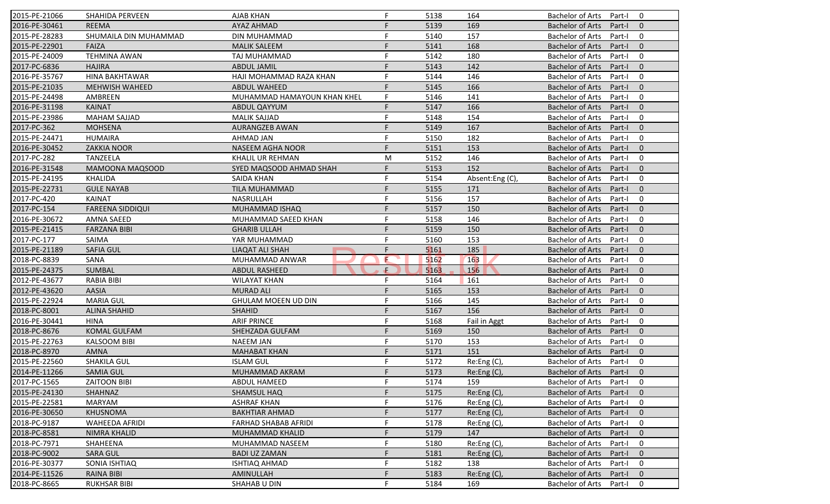| 2015-PE-21066 | SHAHIDA PERVEEN         | <b>AJAB KHAN</b>            | F. | 5138 | 164             | Bachelor of Arts        | Part-I 0 |                          |
|---------------|-------------------------|-----------------------------|----|------|-----------------|-------------------------|----------|--------------------------|
| 2016-PE-30461 | <b>REEMA</b>            | AYAZ AHMAD                  | F. | 5139 | 169             | <b>Bachelor of Arts</b> | Part-I 0 |                          |
| 2015-PE-28283 | SHUMAILA DIN MUHAMMAD   | DIN MUHAMMAD                | F  | 5140 | 157             | <b>Bachelor of Arts</b> | Part-I   | $\overline{\mathbf{0}}$  |
| 2015-PE-22901 | FAIZA                   | <b>MALIK SALEEM</b>         | F. | 5141 | 168             | <b>Bachelor of Arts</b> | Part-I   | $\overline{0}$           |
| 2015-PE-24009 | <b>TEHMINA AWAN</b>     | TAJ MUHAMMAD                | E  | 5142 | 180             | <b>Bachelor of Arts</b> | Part-I   | $\mathbf 0$              |
| 2017-PC-6836  | <b>HAJIRA</b>           | <b>ABDUL JAMIL</b>          | F  | 5143 | 142             | <b>Bachelor of Arts</b> | Part-I   | $\overline{0}$           |
| 2016-PE-35767 | HINA BAKHTAWAR          | HAJI MOHAMMAD RAZA KHAN     | F  | 5144 | 146             | <b>Bachelor of Arts</b> | Part-I   | $\overline{0}$           |
| 2015-PE-21035 | <b>MEHWISH WAHEED</b>   | ABDUL WAHEED                | F  | 5145 | 166             | Bachelor of Arts        | Part-I   | $\overline{0}$           |
| 2015-PE-24498 | AMBREEN                 | MUHAMMAD HAMAYOUN KHAN KHEL | F  | 5146 | 141             | <b>Bachelor of Arts</b> | Part-I   | $\overline{\mathbf{0}}$  |
| 2016-PE-31198 | <b>KAINAT</b>           | ABDUL QAYYUM                | F. | 5147 | 166             | <b>Bachelor of Arts</b> | Part-I   | $\overline{\phantom{0}}$ |
| 2015-PE-23986 | <b>MAHAM SAJJAD</b>     | <b>MALIK SAJJAD</b>         | F. | 5148 | 154             | <b>Bachelor of Arts</b> | Part-I   | $\overline{\phantom{0}}$ |
| 2017-PC-362   | <b>MOHSENA</b>          | <b>AURANGZEB AWAN</b>       | F. | 5149 | 167             | <b>Bachelor of Arts</b> | Part-I   | $\overline{\phantom{0}}$ |
| 2015-PE-24471 | <b>HUMAIRA</b>          | <b>AHMAD JAN</b>            | F  | 5150 | 182             | <b>Bachelor of Arts</b> | Part-I   | $\overline{0}$           |
| 2016-PE-30452 | <b>ZAKKIA NOOR</b>      | NASEEM AGHA NOOR            | F  | 5151 | 153             | <b>Bachelor of Arts</b> | Part-I   | $\overline{0}$           |
| 2017-PC-282   | TANZEELA                | KHALIL UR REHMAN            | M  | 5152 | 146             | <b>Bachelor of Arts</b> | Part-I   | $\overline{0}$           |
| 2016-PE-31548 | <b>MAMOONA MAQSOOD</b>  | SYED MAQSOOD AHMAD SHAH     | F  | 5153 | 152             | <b>Bachelor of Arts</b> | Part-I   | $\overline{0}$           |
| 2015-PE-24195 | <b>KHALIDA</b>          | <b>SAIDA KHAN</b>           | F  | 5154 | Absent:Eng (C), | Bachelor of Arts        | Part-I   | $\mathbf 0$              |
| 2015-PE-22731 | <b>GULE NAYAB</b>       | TILA MUHAMMAD               | F  | 5155 | 171             | <b>Bachelor of Arts</b> | Part-I   | $\overline{\phantom{0}}$ |
| 2017-PC-420   | <b>KAINAT</b>           | NASRULLAH                   | F  | 5156 | 157             | <b>Bachelor of Arts</b> | Part-I   | $\overline{\mathbf{0}}$  |
| 2017-PC-154   | <b>FAREENA SIDDIQUI</b> | <b>MUHAMMAD ISHAQ</b>       | F. | 5157 | 150             | <b>Bachelor of Arts</b> | Part-I   | $\overline{0}$           |
| 2016-PE-30672 | <b>AMNA SAEED</b>       | MUHAMMAD SAEED KHAN         | Е  | 5158 | 146             | <b>Bachelor of Arts</b> | Part-I   | 0                        |
| 2015-PE-21415 | <b>FARZANA BIBI</b>     | <b>GHARIB ULLAH</b>         | F  | 5159 | 150             | <b>Bachelor of Arts</b> | Part-I   | $\overline{0}$           |
| 2017-PC-177   | SAIMA                   | YAR MUHAMMAD                |    | 5160 | 153             | <b>Bachelor of Arts</b> | Part-I   | $\mathbf 0$              |
| 2015-PE-21189 | <b>SAFIA GUL</b>        | LIAQAT ALI SHAH             | F  | 5161 | 185             | <b>Bachelor of Arts</b> | Part-I   | $\overline{0}$           |
| 2018-PC-8839  | SANA                    | MUHAMMAD ANWAR              | E  | 5162 | 163             | Bachelor of Arts        | Part-I   | $\overline{\mathbf{0}}$  |
| 2015-PE-24375 | SUMBAL                  | ABDUL RASHEED               | £. | 5163 | 156             | <b>Bachelor of Arts</b> | Part-I   | $\overline{\phantom{0}}$ |
| 2012-PE-43677 | <b>RABIA BIBI</b>       | <b>WILAYAT KHAN</b>         | F  | 5164 | 161             | Bachelor of Arts        | Part-I   | $\overline{\mathbf{0}}$  |
| 2012-PE-43620 | AASIA                   | <b>MURAD ALI</b>            | F. | 5165 | 153             | <b>Bachelor of Arts</b> | Part-I   | $\overline{\phantom{0}}$ |
| 2015-PE-22924 | <b>MARIA GUL</b>        | GHULAM MOEEN UD DIN         | F  | 5166 | 145             | <b>Bachelor of Arts</b> | Part-I   | $\mathbf 0$              |
| 2018-PC-8001  | <b>ALINA SHAHID</b>     | SHAHID                      | F  | 5167 | 156             | <b>Bachelor of Arts</b> | Part-I   | $\overline{0}$           |
| 2016-PE-30441 | <b>HINA</b>             | <b>ARIF PRINCE</b>          | F  | 5168 | Fail in Aggt    | <b>Bachelor of Arts</b> | Part-I   | $\overline{0}$           |
| 2018-PC-8676  | <b>KOMAL GULFAM</b>     | SHEHZADA GULFAM             | F  | 5169 | 150             | <b>Bachelor of Arts</b> | Part-I   | $\overline{0}$           |
| 2015-PE-22763 | <b>KALSOOM BIBI</b>     | <b>NAEEM JAN</b>            |    | 5170 | 153             | <b>Bachelor of Arts</b> | Part-I   | $\overline{0}$           |
| 2018-PC-8970  | <b>AMNA</b>             | <b>MAHABAT KHAN</b>         | F  | 5171 | 151             | <b>Bachelor of Arts</b> | Part-I   | $\overline{\phantom{0}}$ |
| 2015-PE-22560 | SHAKILA GUL             | <b>ISLAM GUL</b>            | F  | 5172 | Re:Eng (C),     | <b>Bachelor of Arts</b> | Part-I   | $\overline{\mathbf{0}}$  |
| 2014-PE-11266 | <b>SAMIA GUL</b>        | MUHAMMAD AKRAM              | F. | 5173 | Re:Eng (C),     | <b>Bachelor of Arts</b> | Part-I   | $\overline{\phantom{0}}$ |
| 2017-PC-1565  | <b>ZAITOON BIBI</b>     | <b>ABDUL HAMEED</b>         | F  | 5174 | 159             | <b>Bachelor of Arts</b> | Part-I   | 0                        |
| 2015-PE-24130 | SHAHNAZ                 | SHAMSUL HAQ                 | F. | 5175 | Re:Eng (C),     | <b>Bachelor of Arts</b> | Part-I   | $\mathbf 0$              |
| 2015-PE-22581 | <b>MARYAM</b>           | <b>ASHRAF KHAN</b>          | F  | 5176 | Re:Eng (C),     | <b>Bachelor of Arts</b> | Part-I   | 0                        |
| 2016-PE-30650 | <b>KHUSNOMA</b>         | <b>BAKHTIAR AHMAD</b>       | F. | 5177 | Re:Eng (C),     | <b>Bachelor of Arts</b> | Part-I   | $\overline{\mathbf{0}}$  |
| 2018-PC-9187  | <b>WAHEEDA AFRIDI</b>   | <b>FARHAD SHABAB AFRIDI</b> | F  | 5178 | Re:Eng (C),     | <b>Bachelor of Arts</b> | Part-I   | $\overline{0}$           |
| 2018-PC-8581  | NIMRA KHALID            | <b>MUHAMMAD KHALID</b>      | F. | 5179 | 147             | <b>Bachelor of Arts</b> | Part-I   | $\overline{\phantom{0}}$ |
| 2018-PC-7971  | SHAHEENA                | MUHAMMAD NASEEM             | F  | 5180 | Re: Eng(C),     | <b>Bachelor of Arts</b> | Part-I   | $\overline{\mathbf{0}}$  |
| 2018-PC-9002  | <b>SARA GUL</b>         | <b>BADI UZ ZAMAN</b>        | F. | 5181 | Re:Eng (C),     | <b>Bachelor of Arts</b> | Part-I   | $\overline{\phantom{0}}$ |
| 2016-PE-30377 | SONIA ISHTIAQ           | <b>ISHTIAQ AHMAD</b>        | F. | 5182 | 138             | <b>Bachelor of Arts</b> | Part-I   | $\overline{\mathbf{0}}$  |
| 2014-PE-11526 | <b>RAINA BIBI</b>       | AMINULLAH                   | F  | 5183 | Re:Eng (C),     | <b>Bachelor of Arts</b> | Part-I   | $\mathbf 0$              |
| 2018-PC-8665  | <b>RUKHSAR BIBI</b>     | SHAHAB U DIN                | F  | 5184 | 169             | <b>Bachelor of Arts</b> | Part-I   | 0                        |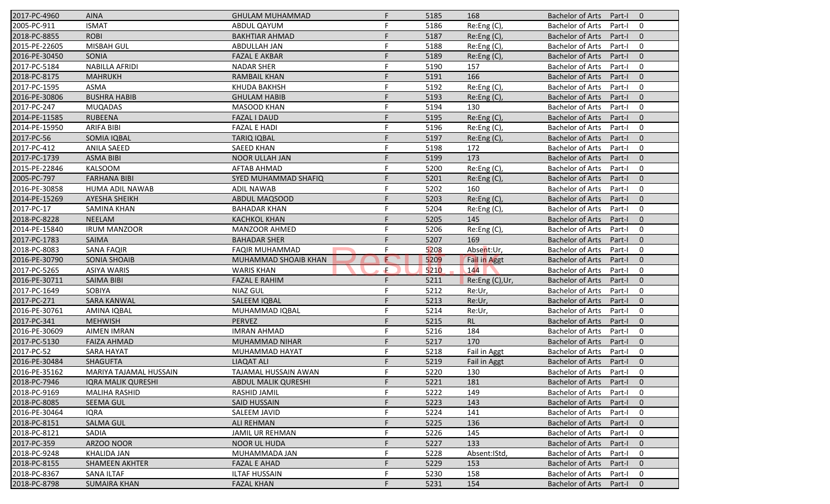| 2017-PC-4960  | <b>AINA</b>               | <b>GHULAM MUHAMMAD</b> | F                  | 5185 | 168                 | Bachelor of Arts        | Part-I 0 |                          |
|---------------|---------------------------|------------------------|--------------------|------|---------------------|-------------------------|----------|--------------------------|
| 2005-PC-911   | <b>ISMAT</b>              | ABDUL QAYUM            |                    | 5186 | Re:Eng(C),          | <b>Bachelor of Arts</b> | Part-I   | $\overline{\mathbf{0}}$  |
| 2018-PC-8855  | <b>ROBI</b>               | <b>BAKHTIAR AHMAD</b>  | F.                 | 5187 | Re:Eng (C),         | <b>Bachelor of Arts</b> | Part-I   | $\overline{\phantom{0}}$ |
| 2015-PE-22605 | MISBAH GUL                | <b>ABDULLAH JAN</b>    | F.                 | 5188 | Re:Eng (C),         | <b>Bachelor of Arts</b> | Part-I   | $\overline{\mathbf{0}}$  |
| 2016-PE-30450 | <b>SONIA</b>              | <b>FAZAL E AKBAR</b>   | F                  | 5189 | Re:Eng(C),          | <b>Bachelor of Arts</b> | Part-I   | $\overline{0}$           |
| 2017-PC-5184  | <b>NABILLA AFRIDI</b>     | <b>NADAR SHER</b>      | F                  | 5190 | 157                 | <b>Bachelor of Arts</b> | Part-I   | $\mathbf 0$              |
| 2018-PC-8175  | <b>MAHRUKH</b>            | <b>RAMBAIL KHAN</b>    | F                  | 5191 | 166                 | <b>Bachelor of Arts</b> | Part-I   | $\mathbf 0$              |
| 2017-PC-1595  | ASMA                      | <b>KHUDA BAKHSH</b>    | F                  | 5192 | Re:Eng (C),         | <b>Bachelor of Arts</b> | Part-I   | $\overline{0}$           |
| 2016-PE-30806 | <b>BUSHRA HABIB</b>       | <b>GHULAM HABIB</b>    | F                  | 5193 | Re: Eng(C),         | <b>Bachelor of Arts</b> | Part-I   | $\overline{0}$           |
| 2017-PC-247   | <b>MUQADAS</b>            | MASOOD KHAN            | F                  | 5194 | 130                 | <b>Bachelor of Arts</b> | Part-I   | $\overline{\mathbf{0}}$  |
| 2014-PE-11585 | <b>RUBEENA</b>            | <b>FAZAL I DAUD</b>    | F                  | 5195 | Re:Eng (C),         | <b>Bachelor of Arts</b> | Part-I   | $\overline{\mathbf{0}}$  |
| 2014-PE-15950 | <b>ARIFA BIBI</b>         | <b>FAZAL E HADI</b>    | F                  | 5196 | Re: Eng(C),         | <b>Bachelor of Arts</b> | Part-I   | $\overline{\mathbf{0}}$  |
| 2017-PC-56    | SOMIA IQBAL               | <b>TARIQ IQBAL</b>     | F.                 | 5197 | Re: Eng(C),         | <b>Bachelor of Arts</b> | Part-I   | $\overline{\phantom{0}}$ |
| 2017-PC-412   | <b>ANILA SAEED</b>        | <b>SAEED KHAN</b>      | F                  | 5198 | 172                 | <b>Bachelor of Arts</b> | Part-I   | $\overline{0}$           |
| 2017-PC-1739  | <b>ASMA BIBI</b>          | NOOR ULLAH JAN         | F                  | 5199 | 173                 | <b>Bachelor of Arts</b> | Part-I   | $\mathbf 0$              |
| 2015-PE-22846 | <b>KALSOOM</b>            | AFTAB AHMAD            | F                  | 5200 | Re:Eng (C),         | <b>Bachelor of Arts</b> | Part-I   | $\overline{0}$           |
| 2005-PC-797   | <b>FARHANA BIBI</b>       | SYED MUHAMMAD SHAFIQ   |                    | 5201 | Re:Eng (C),         | <b>Bachelor of Arts</b> | Part-I   | $\overline{0}$           |
| 2016-PE-30858 | <b>HUMA ADIL NAWAB</b>    | <b>ADIL NAWAB</b>      | F                  | 5202 | 160                 | <b>Bachelor of Arts</b> | Part-I   | $\overline{0}$           |
| 2014-PE-15269 | <b>AYESHA SHEIKH</b>      | ABDUL MAQSOOD          | F                  | 5203 | Re: Eng(C),         | <b>Bachelor of Arts</b> | Part-I   | $\overline{\phantom{0}}$ |
| 2017-PC-17    | <b>SAMINA KHAN</b>        | <b>BAHADAR KHAN</b>    | F                  | 5204 | Re:Eng (C),         | <b>Bachelor of Arts</b> | Part-I   | $\overline{0}$           |
| 2018-PC-8228  | <b>NEELAM</b>             | <b>KACHKOL KHAN</b>    | F                  | 5205 | 145                 | <b>Bachelor of Arts</b> | Part-I   | $\overline{0}$           |
| 2014-PE-15840 | <b>IRUM MANZOOR</b>       | <b>MANZOOR AHMED</b>   | F                  | 5206 | Re:Eng (C),         | <b>Bachelor of Arts</b> | Part-I   | $\mathbf 0$              |
| 2017-PC-1783  | SAIMA                     | <b>BAHADAR SHER</b>    | F                  | 5207 | 169                 | <b>Bachelor of Arts</b> | Part-I   | $\mathbf 0$              |
| 2018-PC-8083  | <b>SANA FAQIR</b>         | <b>FAQIR MUHAMMAD</b>  | F                  | 5208 | Absent:Ur,          | <b>Bachelor of Arts</b> | Part-I   | $\overline{0}$           |
| 2016-PE-30790 | <b>SONIA SHOAIB</b>       | MUHAMMAD SHOAIB KHAN   | $\mathbf \epsilon$ | 5209 | <b>Fail in Aggt</b> | <b>Bachelor of Arts</b> | Part-I   | $\overline{0}$           |
| 2017-PC-5265  | <b>ASIYA WARIS</b>        | <b>WARIS KHAN</b>      | £.                 | 5210 | 144                 | <b>Bachelor of Arts</b> | Part-I   | $\overline{0}$           |
| 2016-PE-30711 | SAIMA BIBI                | <b>FAZAL E RAHIM</b>   | F                  | 5211 | Re:Eng (C),Ur,      | <b>Bachelor of Arts</b> | Part-I   | $\overline{\mathbf{0}}$  |
| 2017-PC-1649  | <b>SOBIYA</b>             | <b>NIAZ GUL</b>        | F                  | 5212 | Re:Ur,              | <b>Bachelor of Arts</b> | Part-I   | $\overline{\mathbf{0}}$  |
| 2017-PC-271   | <b>SARA KANWAL</b>        | SALEEM IQBAL           | F                  | 5213 | Re:Ur,              | <b>Bachelor of Arts</b> | Part-I   | $\overline{\mathbf{0}}$  |
| 2016-PE-30761 | AMINA IQBAL               | MUHAMMAD IQBAL         | F                  | 5214 | Re:Ur,              | <b>Bachelor of Arts</b> | Part-I   | $\overline{0}$           |
| 2017-PC-341   | <b>MEHWISH</b>            | PERVEZ                 | F                  | 5215 | RL                  | <b>Bachelor of Arts</b> | Part-I   | $\mathbf 0$              |
| 2016-PE-30609 | <b>AIMEN IMRAN</b>        | <b>IMRAN AHMAD</b>     | F                  | 5216 | 184                 | <b>Bachelor of Arts</b> | Part-I   | $\mathbf 0$              |
| 2017-PC-5130  | <b>FAIZA AHMAD</b>        | MUHAMMAD NIHAR         | F                  | 5217 | 170                 | <b>Bachelor of Arts</b> | Part-I   | $\overline{0}$           |
| 2017-PC-52    | SARA HAYAT                | MUHAMMAD HAYAT         | F                  | 5218 | Fail in Aggt        | <b>Bachelor of Arts</b> | Part-I   | $\overline{0}$           |
| 2016-PE-30484 | <b>SHAGUFTA</b>           | <b>LIAQAT ALI</b>      | F                  | 5219 | Fail in Aggt        | <b>Bachelor of Arts</b> | Part-I   | $\overline{\phantom{0}}$ |
| 2016-PE-35162 | MARIYA TAJAMAL HUSSAIN    | TAJAMAL HUSSAIN AWAN   | F.                 | 5220 | 130                 | Bachelor of Arts        | Part-I 0 |                          |
| 2018-PC-7946  | <b>IQRA MALIK QURESHI</b> | ABDUL MALIK QURESHI    |                    | 5221 | 181                 | <b>Bachelor of Arts</b> | Part-I   | $\overline{0}$           |
| 2018-PC-9169  | MALIHA RASHID             | RASHID JAMIL           | F                  | 5222 | 149                 | <b>Bachelor of Arts</b> | Part-I   | $\overline{0}$           |
| 2018-PC-8085  | <b>SEEMA GUL</b>          | <b>SAID HUSSAIN</b>    | F                  | 5223 | 143                 | <b>Bachelor of Arts</b> | Part-I   | $\mathbf 0$              |
| 2016-PE-30464 | <b>IQRA</b>               | SALEEM JAVID           | F                  | 5224 | 141                 | <b>Bachelor of Arts</b> | Part-I   | 0                        |
| 2018-PC-8151  | <b>SALMA GUL</b>          | <b>ALI REHMAN</b>      | F                  | 5225 | 136                 | <b>Bachelor of Arts</b> | Part-I   | $\overline{0}$           |
| 2018-PC-8121  | SADIA                     | <b>JAMIL UR REHMAN</b> | F                  | 5226 | 145                 | <b>Bachelor of Arts</b> | Part-I   | $\overline{0}$           |
| 2017-PC-359   | ARZOO NOOR                | <b>NOOR UL HUDA</b>    | F                  | 5227 | 133                 | <b>Bachelor of Arts</b> | Part-I   | $\overline{\phantom{0}}$ |
| 2018-PC-9248  | KHALIDA JAN               | MUHAMMADA JAN          | F                  | 5228 | Absent:IStd,        | Bachelor of Arts        | Part-I   | $\overline{\mathbf{0}}$  |
| 2018-PC-8155  | <b>SHAMEEN AKHTER</b>     | <b>FAZAL E AHAD</b>    | F.                 | 5229 | 153                 | <b>Bachelor of Arts</b> | Part-I   | $\overline{\phantom{0}}$ |
| 2018-PC-8367  | <b>SANA ILTAF</b>         | <b>ILTAF HUSSAIN</b>   | F                  | 5230 | 158                 | Bachelor of Arts        | Part-I   | $\overline{\mathbf{0}}$  |
| 2018-PC-8798  | <b>SUMAIRA KHAN</b>       | <b>FAZAL KHAN</b>      | F                  | 5231 | 154                 | <b>Bachelor of Arts</b> | Part-I 0 |                          |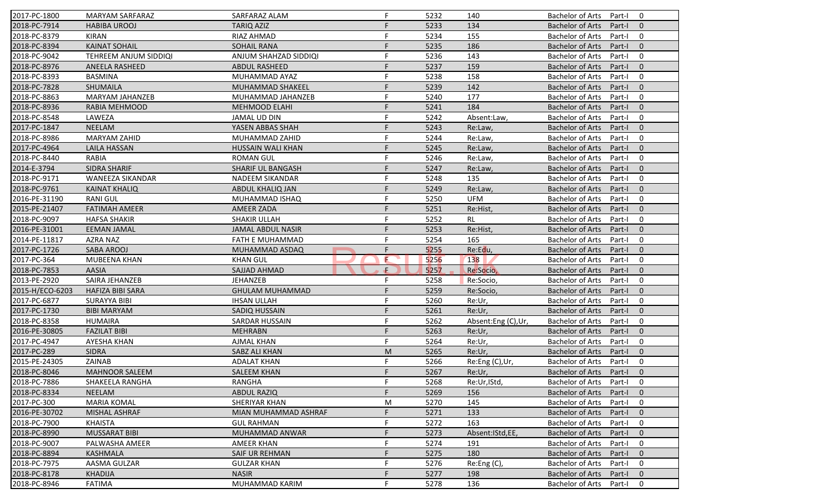| 2017-PC-1800    | <b>MARYAM SARFARAZ</b>  | SARFARAZ ALAM            | F  | 5232 | 140                | <b>Bachelor of Arts</b><br>$\mathbf 0$<br>Part-I    |
|-----------------|-------------------------|--------------------------|----|------|--------------------|-----------------------------------------------------|
| 2018-PC-7914    | <b>HABIBA UROOJ</b>     | <b>TARIQ AZIZ</b>        | F  | 5233 | 134                | <b>Bachelor of Arts</b><br>Part-I<br>$\mathbf{0}$   |
| 2018-PC-8379    | <b>KIRAN</b>            | <b>RIAZ AHMAD</b>        | F  | 5234 | 155                | <b>Bachelor of Arts</b><br>Part-I<br>$\mathbf 0$    |
| 2018-PC-8394    | <b>KAINAT SOHAIL</b>    | <b>SOHAIL RANA</b>       | F  | 5235 | 186                | $\mathbf{0}$<br><b>Bachelor of Arts</b><br>Part-I   |
| 2018-PC-9042    | TEHREEM ANJUM SIDDIQI   | ANJUM SHAHZAD SIDDIQI    | F  | 5236 | 143                | $\mathbf 0$<br><b>Bachelor of Arts</b><br>Part-I    |
| 2018-PC-8976    | ANEELA RASHEED          | <b>ABDUL RASHEED</b>     | F  | 5237 | 159                | $\overline{0}$<br><b>Bachelor of Arts</b><br>Part-I |
| 2018-PC-8393    | <b>BASMINA</b>          | MUHAMMAD AYAZ            | F  | 5238 | 158                | $\mathbf 0$<br><b>Bachelor of Arts</b><br>Part-I    |
| 2018-PC-7828    | SHUMAILA                | <b>MUHAMMAD SHAKEEL</b>  | F  | 5239 | 142                | $\mathbf{0}$<br><b>Bachelor of Arts</b><br>Part-I   |
| 2018-PC-8863    | MARYAM JAHANZEB         | MUHAMMAD JAHANZEB        | F  | 5240 | 177                | <b>Bachelor of Arts</b><br>0<br>Part-I              |
| 2018-PC-8936    | RABIA MEHMOOD           | <b>MEHMOOD ELAHI</b>     | F  | 5241 | 184                | <b>Bachelor of Arts</b><br>Part-I<br>$\mathbf{0}$   |
| 2018-PC-8548    | LAWEZA                  | JAMAL UD DIN             | F  | 5242 | Absent:Law,        | <b>Bachelor of Arts</b><br>Part-I<br>0              |
| 2017-PC-1847    | <b>NEELAM</b>           | YASEN ABBAS SHAH         | F  | 5243 | Re:Law,            | <b>Bachelor of Arts</b><br>$\mathbf{0}$<br>Part-I   |
| 2018-PC-8986    | <b>MARYAM ZAHID</b>     | MUHAMMAD ZAHID           | F  | 5244 | Re:Law,            | <b>Bachelor of Arts</b><br>0<br>Part-I              |
| 2017-PC-4964    | <b>LAILA HASSAN</b>     | <b>HUSSAIN WALI KHAN</b> |    | 5245 | Re:Law,            | $\mathbf{0}$<br><b>Bachelor of Arts</b><br>Part-I   |
| 2018-PC-8440    | <b>RABIA</b>            | <b>ROMAN GUL</b>         |    | 5246 | Re:Law,            | 0<br><b>Bachelor of Arts</b><br>Part-I              |
| 2014-E-3794     | <b>SIDRA SHARIF</b>     | <b>SHARIF UL BANGASH</b> | F  | 5247 | Re:Law,            | <b>Bachelor of Arts</b><br>Part-I<br>$\overline{0}$ |
| 2018-PC-9171    | <b>WANEEZA SIKANDAR</b> | <b>NADEEM SIKANDAR</b>   | F  | 5248 | 135                | <b>Bachelor of Arts</b><br>0<br>Part-I              |
| 2018-PC-9761    | <b>KAINAT KHALIQ</b>    | ABDUL KHALIQ JAN         | F  | 5249 | Re:Law,            | <b>Bachelor of Arts</b><br>$\mathbf{0}$<br>Part-I   |
| 2016-PE-31190   | <b>RANI GUL</b>         | MUHAMMAD ISHAQ           | F  | 5250 | <b>UFM</b>         | <b>Bachelor of Arts</b><br>0<br>Part-I              |
| 2015-PE-21407   | <b>FATIMAH AMEER</b>    | AMEER ZADA               | F  | 5251 | Re:Hist,           | <b>Bachelor of Arts</b><br>$\mathbf{0}$<br>Part-I   |
| 2018-PC-9097    | <b>HAFSA SHAKIR</b>     | SHAKIR ULLAH             | F  | 5252 | <b>RL</b>          | <b>Bachelor of Arts</b><br>0<br>Part-I              |
| 2016-PE-31001   | <b>EEMAN JAMAL</b>      | <b>JAMAL ABDUL NASIR</b> | F  | 5253 | Re:Hist,           | <b>Bachelor of Arts</b><br>$\overline{0}$<br>Part-I |
| 2014-PE-11817   | AZRA NAZ                | <b>FATH E MUHAMMAD</b>   | F  | 5254 | 165                | <b>Bachelor of Arts</b><br>0<br>Part-I              |
| 2017-PC-1726    | SABA AROOJ              | MUHAMMAD ASDAQ           | F  | 5255 | Re:Edu,            | $\mathbf{0}$<br><b>Bachelor of Arts</b><br>Part-I   |
| 2017-PC-364     | MUBEENA KHAN            | <b>KHAN GUL</b>          | E  | 5256 | 138                | <b>Bachelor of Arts</b><br>0<br>Part-I              |
| 2018-PC-7853    | <b>AASIA</b>            | SAJJAD AHMAD             | ÷. | 5257 | Re:Socio,          | <b>Bachelor of Arts</b><br>$\mathbf{0}$<br>Part-I   |
| 2013-PE-2920    | SAIRA JEHANZEB          | <b>JEHANZEB</b>          | F  | 5258 | Re:Socio,          | <b>Bachelor of Arts</b><br>Part-I<br>0              |
| 2015-H/ECO-6203 | <b>HAFIZA BIBI SARA</b> | <b>GHULAM MUHAMMAD</b>   | F  | 5259 | Re:Socio,          | <b>Bachelor of Arts</b><br>Part-I<br>$\mathbf{0}$   |
| 2017-PC-6877    | <b>SURAYYA BIBI</b>     | <b>IHSAN ULLAH</b>       | F  | 5260 | Re:Ur,             | <b>Bachelor of Arts</b><br>0<br>Part-I              |
| 2017-PC-1730    | <b>BIBI MARYAM</b>      | SADIQ HUSSAIN            | F  | 5261 | Re:Ur,             | $\mathbf{0}$<br><b>Bachelor of Arts</b><br>Part-I   |
| 2018-PC-8358    | <b>HUMAIRA</b>          | <b>SARDAR HUSSAIN</b>    | F  | 5262 | Absent:Eng (C),Ur, | <b>Bachelor of Arts</b><br>0<br>Part-I              |
| 2016-PE-30805   | <b>FAZILAT BIBI</b>     | <b>MEHRABN</b>           | F. | 5263 | Re:Ur,             | <b>Bachelor of Arts</b><br>Part-I<br>$\overline{0}$ |
| 2017-PC-4947    | AYESHA KHAN             | <b>AJMAL KHAN</b>        | F. | 5264 | Re:Ur,             | <b>Bachelor of Arts</b><br>0<br>Part-I              |
| 2017-PC-289     | <b>SIDRA</b>            | SABZ ALI KHAN            | M  | 5265 | Re:Ur,             | <b>Bachelor of Arts</b><br>$\mathbf{0}$<br>Part-I   |
| 2015-PE-24305   | ZAINAB                  | <b>ADALAT KHAN</b>       | F. | 5266 | Re:Eng (C),Ur,     | <b>Bachelor of Arts</b><br>Part-I<br>0              |
| 2018-PC-8046    | MAHNOOR SALEEM          | <b>SALEEM KHAN</b>       |    | 5267 | Re:Ur,             | Bachelor of Arts Part-I 0                           |
| 2018-PC-7886    | SHAKEELA RANGHA         | RANGHA                   | F. | 5268 | Re:Ur, IStd,       | Bachelor of Arts Part-I<br>$\bf{0}$                 |
| 2018-PC-8334    | <b>NEELAM</b>           | <b>ABDUL RAZIQ</b>       | F. | 5269 | 156                | <b>Bachelor of Arts</b><br>Part-I<br>$\mathbf{0}$   |
| 2017-PC-300     | <b>MARIA KOMAL</b>      | SHERIYAR KHAN            | M  | 5270 | 145                | Bachelor of Arts<br>Part-I<br>0                     |
| 2016-PE-30702   | MISHAL ASHRAF           | MIAN MUHAMMAD ASHRAF     |    | 5271 | 133                | Bachelor of Arts<br>Part-I<br>$\mathbf{0}$          |
| 2018-PC-7900    | KHAISTA                 | <b>GUL RAHMAN</b>        |    | 5272 | 163                | <b>Bachelor of Arts</b><br>0<br>Part-I              |
| 2018-PC-8990    | <b>MUSSARAT BIBI</b>    | MUHAMMAD ANWAR           |    | 5273 | Absent: IStd, EE,  | <b>Bachelor of Arts</b><br>$\mathbf{0}$<br>Part-I   |
| 2018-PC-9007    | PALWASHA AMEER          | <b>AMEER KHAN</b>        | F  | 5274 | 191                | Bachelor of Arts<br>0<br>Part-I                     |
| 2018-PC-8894    | KASHMALA                | SAIF UR REHMAN           |    | 5275 | 180                | <b>Bachelor of Arts</b><br>Part-I<br>$\mathbf 0$    |
| 2018-PC-7975    | AASMA GULZAR            | <b>GULZAR KHAN</b>       |    | 5276 | Re:Eng (C),        | <b>Bachelor of Arts</b><br>Part-I<br>0              |
| 2018-PC-8178    | <b>KHADIJA</b>          | <b>NASIR</b>             |    | 5277 | 198                | <b>Bachelor of Arts</b><br>Part-I<br>$\mathbf{0}$   |
| 2018-PC-8946    | <b>FATIMA</b>           | MUHAMMAD KARIM           |    |      |                    |                                                     |
|                 |                         |                          |    | 5278 | 136                | Bachelor of Arts<br>Part-I<br>0                     |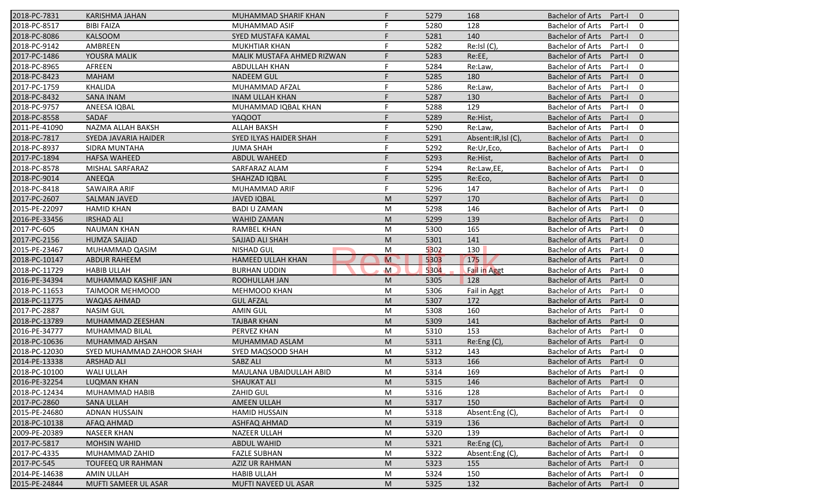| 2018-PC-7831  | KARISHMA JAHAN            | MUHAMMAD SHARIF KHAN          | F.                                                                                                         | 5279 | 168                  | Bachelor of Arts        | Part-I 0 |                          |
|---------------|---------------------------|-------------------------------|------------------------------------------------------------------------------------------------------------|------|----------------------|-------------------------|----------|--------------------------|
| 2018-PC-8517  | <b>BIBI FAIZA</b>         | MUHAMMAD ASIF                 | F                                                                                                          | 5280 | 128                  | <b>Bachelor of Arts</b> | Part-I   | $\overline{\phantom{0}}$ |
| 2018-PC-8086  | <b>KALSOOM</b>            | SYED MUSTAFA KAMAL            | F                                                                                                          | 5281 | 140                  | <b>Bachelor of Arts</b> | Part-I   | $\overline{\mathbf{0}}$  |
| 2018-PC-9142  | AMBREEN                   | <b>MUKHTIAR KHAN</b>          | F.                                                                                                         | 5282 | Re:Isl (C),          | <b>Bachelor of Arts</b> | Part-I   | $\mathbf 0$              |
| 2017-PC-1486  | YOUSRA MALIK              | MALIK MUSTAFA AHMED RIZWAN    | F                                                                                                          | 5283 | Re:EE,               | <b>Bachelor of Arts</b> | Part-I   | $\mathbf 0$              |
| 2018-PC-8965  | AFREEN                    | <b>ABDULLAH KHAN</b>          | F                                                                                                          | 5284 | Re:Law,              | <b>Bachelor of Arts</b> | Part-I   | $\mathbf 0$              |
| 2018-PC-8423  | <b>MAHAM</b>              | <b>NADEEM GUL</b>             | F.                                                                                                         | 5285 | 180                  | <b>Bachelor of Arts</b> | Part-I   | $\overline{0}$           |
| 2017-PC-1759  | <b>KHALIDA</b>            | MUHAMMAD AFZAL                | F                                                                                                          | 5286 | Re:Law,              | Bachelor of Arts        | Part-I   | $\overline{0}$           |
| 2018-PC-8432  | <b>SANA INAM</b>          | <b>INAM ULLAH KHAN</b>        | F                                                                                                          | 5287 | 130                  | <b>Bachelor of Arts</b> | Part-I   | $\overline{\mathbf{0}}$  |
| 2018-PC-9757  | ANEESA IQBAL              | MUHAMMAD IQBAL KHAN           | F                                                                                                          | 5288 | 129                  | Bachelor of Arts        | Part-I   | $\overline{\mathbf{0}}$  |
| 2018-PC-8558  | SADAF                     | <b>YAQOOT</b>                 | F.                                                                                                         | 5289 | Re:Hist,             | <b>Bachelor of Arts</b> | Part-I   | $\overline{\phantom{0}}$ |
| 2011-PE-41090 | NAZMA ALLAH BAKSH         | <b>ALLAH BAKSH</b>            | F.                                                                                                         | 5290 | Re:Law,              | <b>Bachelor of Arts</b> | Part-I   | $\overline{\mathbf{0}}$  |
| 2018-PC-7817  | SYEDA JAVARIA HAIDER      | <b>SYED ILYAS HAIDER SHAH</b> | F                                                                                                          | 5291 | Absent: IR, Isl (C), | Bachelor of Arts        | Part-I   | $\overline{0}$           |
| 2018-PC-8937  | SIDRA MUNTAHA             | <b>JUMA SHAH</b>              | F                                                                                                          | 5292 | Re:Ur,Eco,           | <b>Bachelor of Arts</b> | Part-I   | $\mathbf 0$              |
| 2017-PC-1894  | <b>HAFSA WAHEED</b>       | ABDUL WAHEED                  | F                                                                                                          | 5293 | Re:Hist,             | <b>Bachelor of Arts</b> | Part-I   | $\overline{0}$           |
| 2018-PC-8578  | MISHAL SARFARAZ           | SARFARAZ ALAM                 | F                                                                                                          | 5294 | Re:Law,EE,           | Bachelor of Arts        | Part-I   | $\mathbf 0$              |
| 2018-PC-9014  | ANEEQA                    | <b>SHAHZAD IQBAL</b>          | F                                                                                                          | 5295 | Re:Eco,              | <b>Bachelor of Arts</b> | Part-I   | $\overline{\phantom{0}}$ |
| 2018-PC-8418  | SAWAIRA ARIF              | MUHAMMAD ARIF                 | F                                                                                                          | 5296 | 147                  | <b>Bachelor of Arts</b> | Part-I   | $\overline{\mathbf{0}}$  |
| 2017-PC-2607  | <b>SALMAN JAVED</b>       | <b>JAVED IQBAL</b>            | M                                                                                                          | 5297 | 170                  | <b>Bachelor of Arts</b> | Part-I   | $\overline{\phantom{0}}$ |
| 2015-PE-22097 | <b>HAMID KHAN</b>         | <b>BADI U ZAMAN</b>           | M                                                                                                          | 5298 | 146                  | <b>Bachelor of Arts</b> | Part-I   | $\overline{0}$           |
| 2016-PE-33456 | <b>IRSHAD ALI</b>         | <b>WAHID ZAMAN</b>            | M                                                                                                          | 5299 | 139                  | <b>Bachelor of Arts</b> | Part-I   | $\overline{0}$           |
| 2017-PC-605   | <b>NAUMAN KHAN</b>        | RAMBEL KHAN                   | M                                                                                                          | 5300 | 165                  | <b>Bachelor of Arts</b> | Part-I   | $\mathbf 0$              |
| 2017-PC-2156  | <b>HUMZA SAJJAD</b>       | SAJJAD ALI SHAH               | M                                                                                                          | 5301 | 141                  | <b>Bachelor of Arts</b> | Part-I   | $\overline{0}$           |
| 2015-PE-23467 | MUHAMMAD QASIM            | NISHAD GUL                    | M                                                                                                          | 5302 | 130                  | Bachelor of Arts        | Part-I   | $\overline{0}$           |
| 2018-PC-10147 | <b>ABDUR RAHEEM</b>       | <b>HAMEED ULLAH KHAN</b>      | M                                                                                                          | 5303 | 175                  | Bachelor of Arts        | Part-I   | $\overline{\mathbf{0}}$  |
| 2018-PC-11729 | <b>HABIB ULLAH</b>        | <b>BURHAN UDDIN</b>           | $\mathsf{M}$                                                                                               | 5304 | <b>Fail in Aggt</b>  | <b>Bachelor of Arts</b> | Part-I   | $\overline{\mathbf{0}}$  |
| 2016-PE-34394 | MUHAMMAD KASHIF JAN       | ROOHULLAH JAN                 | M                                                                                                          | 5305 | 128                  | Bachelor of Arts        | Part-I   | $\overline{\phantom{0}}$ |
| 2018-PC-11653 | <b>TAIMOOR MEHMOOD</b>    | <b>MEHMOOD KHAN</b>           | M                                                                                                          | 5306 | Fail in Aggt         | Bachelor of Arts        | Part-I   | $\overline{\mathbf{0}}$  |
| 2018-PC-11775 | WAQAS AHMAD               | <b>GUL AFZAL</b>              | M                                                                                                          | 5307 | 172                  | Bachelor of Arts        | Part-I   | $\overline{\mathbf{0}}$  |
| 2017-PC-2887  | <b>NASIM GUL</b>          | <b>AMIN GUL</b>               | M                                                                                                          | 5308 | 160                  | <b>Bachelor of Arts</b> | Part-I   | $\mathbf 0$              |
| 2018-PC-13789 | MUHAMMAD ZEESHAN          | <b>TAJBAR KHAN</b>            | $\mathsf{M}% _{T}=\mathsf{M}_{T}\!\left( a,b\right) ,\ \mathsf{M}_{T}=\mathsf{M}_{T}\!\left( a,b\right) ,$ | 5309 | 141                  | <b>Bachelor of Arts</b> | Part-I   | $\overline{0}$           |
| 2016-PE-34777 | MUHAMMAD BILAL            | PERVEZ KHAN                   | M                                                                                                          | 5310 | 153                  | Bachelor of Arts        | Part-I   | $\mathbf 0$              |
| 2018-PC-10636 | MUHAMMAD AHSAN            | MUHAMMAD ASLAM                | M                                                                                                          | 5311 | Re:Eng (C),          | <b>Bachelor of Arts</b> | Part-I   | $\overline{\mathbf{0}}$  |
| 2018-PC-12030 | SYED MUHAMMAD ZAHOOR SHAH | SYED MAQSOOD SHAH             | М                                                                                                          | 5312 | 143                  | <b>Bachelor of Arts</b> | Part-I   | $\overline{\mathbf{0}}$  |
| 2014-PE-13338 | <b>ARSHAD ALI</b>         | SABZ ALI                      | M                                                                                                          | 5313 | 166                  | Bachelor of Arts        | Part-I   | $\overline{\phantom{0}}$ |
| 2018-PC-10100 | WALI ULLAH                | MAULANA UBAIDULLAH ABID       | М                                                                                                          | 5314 | 169                  | <b>Bachelor of Arts</b> | Part-I 0 |                          |
| 2016-PE-32254 | <b>LUQMAN KHAN</b>        | <b>SHAUKAT ALI</b>            | M                                                                                                          | 5315 | 146                  | <b>Bachelor of Arts</b> | Part-I   | $\overline{0}$           |
| 2018-PC-12434 | MUHAMMAD HABIB            | ZAHID GUL                     | M                                                                                                          | 5316 | 128                  | <b>Bachelor of Arts</b> | Part-I   | 0                        |
| 2017-PC-2860  | <b>SANA ULLAH</b>         | <b>AMEEN ULLAH</b>            | M                                                                                                          | 5317 | 150                  | <b>Bachelor of Arts</b> | Part-I   | $\overline{0}$           |
| 2015-PE-24680 | ADNAN HUSSAIN             | <b>HAMID HUSSAIN</b>          | M                                                                                                          | 5318 | Absent:Eng (C)       | <b>Bachelor of Arts</b> | Part-I   | $\overline{0}$           |
| 2018-PC-10138 | AFAQ AHMAD                | ASHFAQ AHMAD                  | M                                                                                                          | 5319 | 136                  | <b>Bachelor of Arts</b> | Part-I   | $\overline{0}$           |
| 2009-PE-20389 | <b>NASEER KHAN</b>        | <b>NAZEER ULLAH</b>           | М                                                                                                          | 5320 | 139                  | Bachelor of Arts        | Part-I   | $\overline{\mathbf{0}}$  |
| 2017-PC-5817  | <b>MOHSIN WAHID</b>       | ABDUL WAHID                   | M                                                                                                          | 5321 | Re:Eng (C),          | <b>Bachelor of Arts</b> | Part-I   | $\overline{\mathbf{0}}$  |
| 2017-PC-4335  | MUHAMMAD ZAHID            | <b>FAZLE SUBHAN</b>           | M                                                                                                          | 5322 | Absent:Eng (C),      | <b>Bachelor of Arts</b> | Part-I   | $\overline{\mathbf{0}}$  |
| 2017-PC-545   | <b>TOUFEEQ UR RAHMAN</b>  | AZIZ UR RAHMAN                | M                                                                                                          | 5323 | 155                  | <b>Bachelor of Arts</b> | Part-I   | $\overline{\phantom{0}}$ |
| 2014-PE-14638 | AMIN ULLAH                | <b>HABIB ULLAH</b>            | M                                                                                                          | 5324 | 150                  | <b>Bachelor of Arts</b> | Part-I   | 0                        |
| 2015-PE-24844 | MUFTI SAMEER UL ASAR      | MUFTI NAVEED UL ASAR          | ${\sf M}$                                                                                                  | 5325 | 132                  | <b>Bachelor of Arts</b> | Part-I   | $\overline{0}$           |
|               |                           |                               |                                                                                                            |      |                      |                         |          |                          |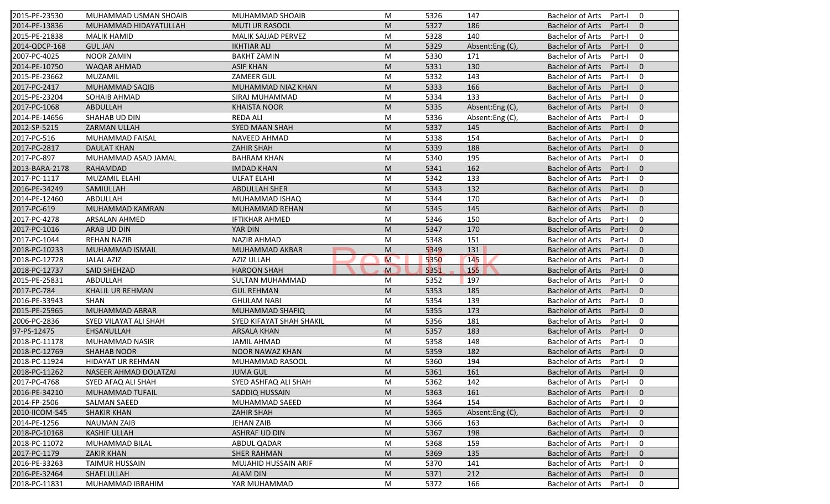| 2015-PE-23530  | MUHAMMAD USMAN SHOAIB   | MUHAMMAD SHOAIB          | M         | 5326 | 147             | <b>Bachelor of Arts</b><br>$\Omega$<br>Part-I       |
|----------------|-------------------------|--------------------------|-----------|------|-----------------|-----------------------------------------------------|
| 2014-PE-13836  | MUHAMMAD HIDAYATULLAH   | <b>MUTI UR RASOOL</b>    | M         | 5327 | 186             | <b>Bachelor of Arts</b><br>Part-I<br>$\mathbf{0}$   |
| 2015-PE-21838  | <b>MALIK HAMID</b>      | MALIK SAJJAD PERVEZ      | M         | 5328 | 140             | <b>Bachelor of Arts</b><br>Part-I<br>0              |
| 2014-QDCP-168  | <b>GUL JAN</b>          | <b>IKHTIAR ALI</b>       | M         | 5329 | Absent:Eng (C), | <b>Bachelor of Arts</b><br>$\mathbf{0}$<br>Part-I   |
| 2007-PC-4025   | <b>NOOR ZAMIN</b>       | <b>BAKHT ZAMIN</b>       | M         | 5330 | 171             | <b>Bachelor of Arts</b><br>0<br>Part-I              |
| 2014-PE-10750  | <b>WAQAR AHMAD</b>      | <b>ASIF KHAN</b>         | M         | 5331 | 130             | <b>Bachelor of Arts</b><br>$\overline{0}$<br>Part-I |
| 2015-PE-23662  | MUZAMIL                 | <b>ZAMEER GUL</b>        | M         | 5332 | 143             | 0<br><b>Bachelor of Arts</b><br>Part-I              |
| 2017-PC-2417   | MUHAMMAD SAQIB          | MUHAMMAD NIAZ KHAN       | M         | 5333 | 166             | <b>Bachelor of Arts</b><br>$\mathbf{0}$<br>Part-I   |
| 2015-PE-23204  | SOHAIB AHMAD            | SIRAJ MUHAMMAD           | M         | 5334 | 133             | $\mathbf 0$<br><b>Bachelor of Arts</b><br>Part-I    |
| 2017-PC-1068   | <b>ABDULLAH</b>         | <b>KHAISTA NOOR</b>      | M         | 5335 | Absent:Eng (C), | <b>Bachelor of Arts</b><br>Part-I<br>$\Omega$       |
| 2014-PE-14656  | SHAHAB UD DIN           | <b>REDA ALI</b>          | M         | 5336 | Absent:Eng (C), | <b>Bachelor of Arts</b><br>Part-I<br>0              |
| 2012-SP-5215   | ZARMAN ULLAH            | SYED MAAN SHAH           | M         | 5337 | 145             | <b>Bachelor of Arts</b><br>Part-I<br>$\mathbf{0}$   |
| 2017-PC-516    | MUHAMMAD FAISAL         | NAVEED AHMAD             | M         | 5338 | 154             | <b>Bachelor of Arts</b><br>0<br>Part-I              |
| 2017-PC-2817   | <b>DAULAT KHAN</b>      | <b>ZAHIR SHAH</b>        | M         | 5339 | 188             | <b>Bachelor of Arts</b><br>$\Omega$<br>Part-I       |
| 2017-PC-897    | MUHAMMAD ASAD JAMAL     | <b>BAHRAM KHAN</b>       | M         | 5340 | 195             | 0<br><b>Bachelor of Arts</b><br>Part-I              |
| 2013-BARA-2178 | RAHAMDAD                | <b>IMDAD KHAN</b>        | M         | 5341 | 162             | $\Omega$<br><b>Bachelor of Arts</b><br>Part-I       |
| 2017-PC-1117   | MUZAMIL ELAHI           | <b>ULFAT ELAHI</b>       | M         | 5342 | 133             | <b>Bachelor of Arts</b><br>0<br>Part-I              |
| 2016-PE-34249  |                         |                          | M         |      |                 | $\mathbf{0}$                                        |
|                | SAMIULLAH               | <b>ABDULLAH SHER</b>     |           | 5343 | 132             | <b>Bachelor of Arts</b><br>Part-I                   |
| 2014-PE-12460  | ABDULLAH                | MUHAMMAD ISHAQ           | M         | 5344 | 170             | <b>Bachelor of Arts</b><br>0<br>Part-I              |
| 2017-PC-619    | MUHAMMAD KAMRAN         | MUHAMMAD REHAN           | M         | 5345 | 145             | <b>Bachelor of Arts</b><br>$\mathbf{0}$<br>Part-I   |
| 2017-PC-4278   | ARSALAN AHMED           | <b>IFTIKHAR AHMED</b>    | M         | 5346 | 150             | <b>Bachelor of Arts</b><br>0<br>Part-I              |
| 2017-PC-1016   | ARAB UD DIN             | YAR DIN                  | M         | 5347 | 170             | $\mathbf{0}$<br><b>Bachelor of Arts</b><br>Part-I   |
| 2017-PC-1044   | <b>REHAN NAZIR</b>      | NAZIR AHMAD              | M         | 5348 | 151             | <b>Bachelor of Arts</b><br>Part-I<br>0              |
| 2018-PC-10233  | <b>MUHAMMAD ISMAIL</b>  | MUHAMMAD AKBAR           | M         | 5349 | 131             | $\mathbf{0}$<br><b>Bachelor of Arts</b><br>Part-I   |
| 2018-PC-12728  | <b>JALAL AZIZ</b>       | AZIZ ULLAH               | M         | 5350 | 145             | <b>Bachelor of Arts</b><br>0<br>Part-I              |
| 2018-PC-12737  | SAID SHEHZAD            | <b>HAROON SHAH</b>       | M         | 5351 | 155             | <b>Bachelor of Arts</b><br>$\mathbf{0}$<br>Part-I   |
| 2015-PE-25831  | ABDULLAH                | SULTAN MUHAMMAD          | M         | 5352 | 197             | <b>Bachelor of Arts</b><br>Part-I<br>0              |
| 2017-PC-784    | <b>KHALIL UR REHMAN</b> | <b>GUL REHMAN</b>        | M         | 5353 | 185             | <b>Bachelor of Arts</b><br>Part-I<br>$\Omega$       |
| 2016-PE-33943  | <b>SHAN</b>             | <b>GHULAM NABI</b>       | M         | 5354 | 139             | <b>Bachelor of Arts</b><br>0<br>Part-I              |
| 2015-PE-25965  | <b>MUHAMMAD ABRAR</b>   | <b>MUHAMMAD SHAFIQ</b>   | M         | 5355 | 173             | $\mathbf{0}$<br><b>Bachelor of Arts</b><br>Part-I   |
| 2006-PC-2836   | SYED VILAYAT ALI SHAH   | SYED KIFAYAT SHAH SHAKIL | M         | 5356 | 181             | <b>Bachelor of Arts</b><br>Part-I<br>0              |
| 97-PS-12475    | <b>EHSANULLAH</b>       | <b>ARSALA KHAN</b>       | M         | 5357 | 183             | $\Omega$<br><b>Bachelor of Arts</b><br>Part-I       |
| 2018-PC-11178  | MUHAMMAD NASIR          | <b>JAMIL AHMAD</b>       | M         | 5358 | 148             | <b>Bachelor of Arts</b><br>0<br>Part-I              |
| 2018-PC-12769  | <b>SHAHAB NOOR</b>      | <b>NOOR NAWAZ KHAN</b>   | M         | 5359 | 182             | <b>Bachelor of Arts</b><br>$\mathbf{0}$<br>Part-I   |
| 2018-PC-11924  | HIDAYAT UR REHMAN       | MUHAMMAD RASOOL          | M         | 5360 | 194             | <b>Bachelor of Arts</b><br>Part-I<br>0              |
| 2018-PC-11262  | NASEER AHMAD DOLATZAI   | <b>JUMA GUL</b>          | ${\sf M}$ | 5361 | 161             | Bachelor of Arts Part-I 0                           |
| 2017-PC-4768   | SYED AFAQ ALI SHAH      | SYED ASHFAQ ALI SHAH     | M         | 5362 | 142             | Bachelor of Arts Part-I<br>$\mathbf 0$              |
| 2016-PE-34210  | <b>MUHAMMAD TUFAIL</b>  | SADDIQ HUSSAIN           | M         | 5363 | 161             | <b>Bachelor of Arts</b><br>Part-I<br>$\mathbf{0}$   |
| 2014-FP-2506   | SALMAN SAEED            | MUHAMMAD SAEED           | M         | 5364 | 154             | <b>Bachelor of Arts</b><br>Part-I<br>0              |
| 2010-IICOM-545 | <b>SHAKIR KHAN</b>      | <b>ZAHIR SHAH</b>        | M         | 5365 | Absent:Eng (C), | Bachelor of Arts<br>Part-I<br>$\mathbf{0}$          |
| 2014-PE-1256   | <b>NAUMAN ZAIB</b>      | <b>JEHAN ZAIB</b>        | M         | 5366 | 163             | <b>Bachelor of Arts</b><br>0<br>Part-I              |
| 2018-PC-10168  | <b>KASHIF ULLAH</b>     | <b>ASHRAF UD DIN</b>     | M         | 5367 | 198             | <b>Bachelor of Arts</b><br>Part-I<br>$\mathbf{0}$   |
| 2018-PC-11072  | MUHAMMAD BILAL          | ABDUL QADAR              | M         | 5368 | 159             | <b>Bachelor of Arts</b><br>0<br>Part-I              |
| 2017-PC-1179   | <b>ZAKIR KHAN</b>       | <b>SHER RAHMAN</b>       | M         | 5369 | 135             | <b>Bachelor of Arts</b><br>Part-I<br>$\mathbf 0$    |
| 2016-PE-33263  | <b>TAIMUR HUSSAIN</b>   | MUJAHID HUSSAIN ARIF     | M         | 5370 | 141             | <b>Bachelor of Arts</b><br>Part-I<br>0              |
| 2016-PE-32464  | SHAFI ULLAH             | <b>ALAM DIN</b>          | M         | 5371 | 212             | <b>Bachelor of Arts</b><br>Part-I<br>$\mathbf{0}$   |
| 2018-PC-11831  | MUHAMMAD IBRAHIM        | YAR MUHAMMAD             |           | 5372 | 166             |                                                     |
|                |                         |                          | M         |      |                 | Bachelor of Arts<br>Part-I<br>0                     |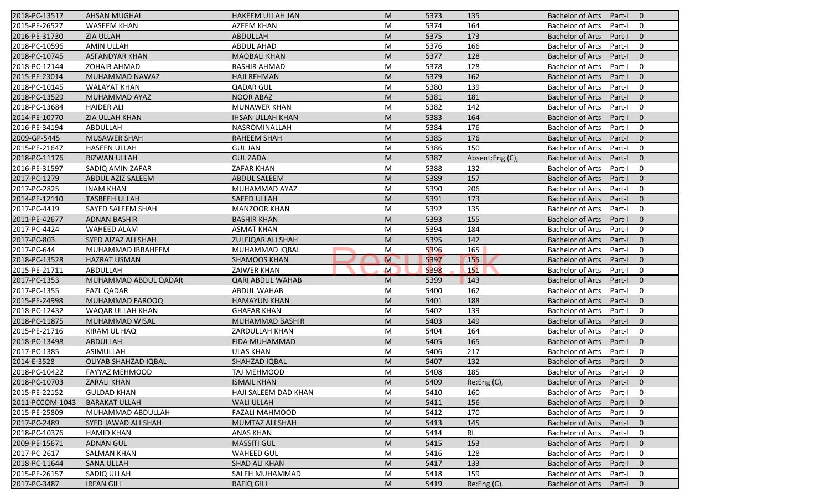| 2018-PC-13517   | <b>AHSAN MUGHAL</b>         | <b>HAKEEM ULLAH JAN</b>  | M                                                                                                          | 5373 | 135            | <b>Bachelor of Arts</b><br>$\mathbf{0}$<br>Part-I   |
|-----------------|-----------------------------|--------------------------|------------------------------------------------------------------------------------------------------------|------|----------------|-----------------------------------------------------|
| 2015-PE-26527   | <b>WASEEM KHAN</b>          | <b>AZEEM KHAN</b>        | M                                                                                                          | 5374 | 164            | <b>Bachelor of Arts</b><br>Part-I<br>0              |
| 2016-PE-31730   | <b>ZIA ULLAH</b>            | ABDULLAH                 | M                                                                                                          | 5375 | 173            | <b>Bachelor of Arts</b><br>Part-I<br>$\mathbf{0}$   |
| 2018-PC-10596   | <b>AMIN ULLAH</b>           | <b>ABDUL AHAD</b>        | M                                                                                                          | 5376 | 166            | <b>Bachelor of Arts</b><br>$\mathbf 0$<br>Part-I    |
| 2018-PC-10745   | <b>ASFANDYAR KHAN</b>       | <b>MAQBALI KHAN</b>      | M                                                                                                          | 5377 | 128            | $\mathbf{0}$<br><b>Bachelor of Arts</b><br>Part-I   |
| 2018-PC-12144   | <b>ZOHAIB AHMAD</b>         | <b>BASHIR AHMAD</b>      | M                                                                                                          | 5378 | 128            | 0<br><b>Bachelor of Arts</b><br>Part-I              |
| 2015-PE-23014   | MUHAMMAD NAWAZ              | <b>HAJI REHMAN</b>       | M                                                                                                          | 5379 | 162            | $\mathbf{0}$<br><b>Bachelor of Arts</b><br>Part-I   |
| 2018-PC-10145   | <b>WALAYAT KHAN</b>         | <b>QADAR GUL</b>         | M                                                                                                          | 5380 | 139            | <b>Bachelor of Arts</b><br>$\mathbf 0$<br>Part-I    |
| 2018-PC-13529   | MUHAMMAD AYAZ               | <b>NOOR ABAZ</b>         | M                                                                                                          | 5381 | 181            | $\mathbf{0}$<br><b>Bachelor of Arts</b><br>Part-I   |
| 2018-PC-13684   | <b>HAIDER ALI</b>           | <b>MUNAWER KHAN</b>      | M                                                                                                          | 5382 | 142            | $\mathbf 0$<br><b>Bachelor of Arts</b><br>Part-I    |
| 2014-PE-10770   | ZIA ULLAH KHAN              | <b>IHSAN ULLAH KHAN</b>  | M                                                                                                          | 5383 | 164            | <b>Bachelor of Arts</b><br>Part-I<br>$\mathbf{0}$   |
| 2016-PE-34194   | ABDULLAH                    | NASROMINALLAH            | M                                                                                                          | 5384 | 176            | $\mathbf 0$<br><b>Bachelor of Arts</b><br>Part-I    |
| 2009-GP-5445    | <b>MUSAWER SHAH</b>         | <b>RAHEEM SHAH</b>       | M                                                                                                          | 5385 | 176            | <b>Bachelor of Arts</b><br>$\mathbf{0}$<br>Part-I   |
| 2015-PE-21647   | <b>HASEEN ULLAH</b>         | <b>GUL JAN</b>           | M                                                                                                          | 5386 | 150            | $\mathbf 0$<br><b>Bachelor of Arts</b><br>Part-I    |
| 2018-PC-11176   | <b>RIZWAN ULLAH</b>         | <b>GUL ZADA</b>          | M                                                                                                          | 5387 | Absent:Eng(C), | $\mathbf{0}$<br><b>Bachelor of Arts</b><br>Part-I   |
| 2016-PE-31597   | SADIO AMIN ZAFAR            | <b>ZAFAR KHAN</b>        | M                                                                                                          | 5388 | 132            | <b>Bachelor of Arts</b><br>$\mathbf 0$<br>Part-I    |
| 2017-PC-1279    | ABDUL AZIZ SALEEM           | <b>ABDUL SALEEM</b>      | M                                                                                                          | 5389 | 157            | <b>Bachelor of Arts</b><br>$\mathbf{0}$<br>Part-I   |
| 2017-PC-2825    | <b>INAM KHAN</b>            | MUHAMMAD AYAZ            | M                                                                                                          | 5390 | 206            | <b>Bachelor of Arts</b><br>$\mathbf 0$<br>Part-I    |
| 2014-PE-12110   | <b>TASBEEH ULLAH</b>        | <b>SAEED ULLAH</b>       | M                                                                                                          | 5391 | 173            | <b>Bachelor of Arts</b><br>$\mathbf{0}$<br>Part-I   |
| 2017-PC-4419    | SAYED SALEEM SHAH           | <b>MANZOOR KHAN</b>      | M                                                                                                          | 5392 | 135            | <b>Bachelor of Arts</b><br>$\mathbf 0$<br>Part-I    |
| 2011-PE-42677   | <b>ADNAN BASHIR</b>         | <b>BASHIR KHAN</b>       | M                                                                                                          | 5393 | 155            | <b>Bachelor of Arts</b><br>$\mathbf{0}$<br>Part-I   |
| 2017-PC-4424    | <b>WAHEED ALAM</b>          | <b>ASMAT KHAN</b>        | M                                                                                                          | 5394 | 184            | <b>Bachelor of Arts</b><br>$\mathbf 0$<br>Part-I    |
| 2017-PC-803     | SYED AIZAZ ALI SHAH         | <b>ZULFIQAR ALI SHAH</b> | M                                                                                                          | 5395 | 142            | <b>Bachelor of Arts</b><br>$\mathbf 0$<br>Part-I    |
| 2017-PC-644     | MUHAMMAD IBRAHEEM           | MUHAMMAD IQBAL           | M                                                                                                          | 5396 | 165            | <b>Bachelor of Arts</b><br>$\mathbf 0$<br>Part-I    |
| 2018-PC-13528   | <b>HAZRAT USMAN</b>         | <b>SHAMOOS KHAN</b>      | $\mathsf{M}$                                                                                               | 5397 | <b>155</b>     | $\mathbf{0}$<br><b>Bachelor of Arts</b><br>Part-I   |
| 2015-PE-21711   | ABDULLAH                    | <b>ZAIWER KHAN</b>       | $\mathsf{M}$                                                                                               | 5398 | 151            | $\mathbf 0$<br><b>Bachelor of Arts</b><br>Part-I    |
| 2017-PC-1353    | MUHAMMAD ABDUL QADAR        | <b>QARI ABDUL WAHAB</b>  | M                                                                                                          | 5399 | 143            | <b>Bachelor of Arts</b><br>$\mathbf{0}$<br>Part-I   |
| 2017-PC-1355    | <b>FAZL QADAR</b>           | <b>ABDUL WAHAB</b>       | M                                                                                                          | 5400 | 162            | <b>Bachelor of Arts</b><br>$\mathbf 0$<br>Part-I    |
| 2015-PE-24998   | MUHAMMAD FAROOQ             | <b>HAMAYUN KHAN</b>      | M                                                                                                          | 5401 | 188            | <b>Bachelor of Arts</b><br>$\mathbf{0}$<br>Part-I   |
| 2018-PC-12432   | WAQAR ULLAH KHAN            | <b>GHAFAR KHAN</b>       | M                                                                                                          | 5402 | 139            | <b>Bachelor of Arts</b><br>$\mathbf 0$<br>Part-I    |
| 2018-PC-11875   | MUHAMMAD WISAL              | MUHAMMAD BASHIR          | M                                                                                                          | 5403 | 149            | <b>Bachelor of Arts</b><br>$\overline{0}$<br>Part-I |
| 2015-PE-21716   | KIRAM UL HAQ                | ZARDULLAH KHAN           | M                                                                                                          | 5404 | 164            | <b>Bachelor of Arts</b><br>$\mathbf 0$<br>Part-I    |
| 2018-PC-13498   | ABDULLAH                    | FIDA MUHAMMAD            | M                                                                                                          | 5405 | 165            | <b>Bachelor of Arts</b><br>$\mathbf{0}$<br>Part-I   |
| 2017-PC-1385    | <b>ASIMULLAH</b>            | <b>ULAS KHAN</b>         | M                                                                                                          | 5406 | 217            | <b>Bachelor of Arts</b><br>Part-I<br>$\mathbf 0$    |
| 2014-E-3528     | <b>OLIYAB SHAHZAD IQBAL</b> | <b>SHAHZAD IQBAL</b>     | M                                                                                                          | 5407 | 132            | <b>Bachelor of Arts</b><br>$\mathbf 0$<br>Part-I    |
| 2018-PC-10422   | FAYYAZ MEHMOOD              | TAJ MEHMOOD              | M                                                                                                          | 5408 | 185            | Bachelor of Arts Part-I<br>$\mathbf 0$              |
| 2018-PC-10703   | <b>ZARALI KHAN</b>          | <b>ISMAIL KHAN</b>       | M                                                                                                          | 5409 | Re: Eng(C)     | Bachelor of Arts Part-I<br>$\overline{0}$           |
| 2015-PE-22152   | <b>GULDAD KHAN</b>          | HAJI SALEEM DAD KHAN     | M                                                                                                          | 5410 | 160            | <b>Bachelor of Arts</b><br>Part-I<br>0              |
| 2011-PCCOM-1043 | <b>BARAKAT ULLAH</b>        | <b>WALI ULLAH</b>        | M                                                                                                          | 5411 | 156            | <b>Bachelor of Arts</b><br>Part-I<br>$\mathbf{0}$   |
| 2015-PE-25809   | MUHAMMAD ABDULLAH           | <b>FAZALI MAHMOOD</b>    | M                                                                                                          | 5412 | 170            | <b>Bachelor of Arts</b><br>0<br>Part-I              |
| 2017-PC-2489    | SYED JAWAD ALI SHAH         | MUMTAZ ALI SHAH          | M                                                                                                          | 5413 | 145            | <b>Bachelor of Arts</b><br>$\mathbf 0$<br>Part-I    |
| 2018-PC-10376   | <b>HAMID KHAN</b>           | ANAS KHAN                | M                                                                                                          | 5414 | <b>RL</b>      | <b>Bachelor of Arts</b><br>0<br>Part-I              |
| 2009-PE-15671   | <b>ADNAN GUL</b>            | <b>MASSITI GUL</b>       | M                                                                                                          | 5415 | 153            | <b>Bachelor of Arts</b><br>$\mathbf 0$<br>Part-I    |
| 2017-PC-2617    | SALMAN KHAN                 | <b>WAHEED GUL</b>        | M                                                                                                          | 5416 | 128            | <b>Bachelor of Arts</b><br>Part-I<br>0              |
| 2018-PC-11644   | <b>SANA ULLAH</b>           | <b>SHAD ALI KHAN</b>     | $\mathsf{M}% _{T}=\mathsf{M}_{T}\!\left( a,b\right) ,\ \mathsf{M}_{T}=\mathsf{M}_{T}\!\left( a,b\right) ,$ | 5417 | 133            | <b>Bachelor of Arts</b><br>Part-I<br>$\mathbf 0$    |
| 2015-PE-26157   | SADIQ ULLAH                 | SALEH MUHAMMAD           | M                                                                                                          | 5418 | 159            | <b>Bachelor of Arts</b><br>0<br>Part-I              |
| 2017-PC-3487    | <b>IRFAN GILL</b>           | <b>RAFIQ GILL</b>        | M                                                                                                          | 5419 | Re:Eng (C),    | Bachelor of Arts<br>$\mathbf 0$<br>Part-I           |
|                 |                             |                          |                                                                                                            |      |                |                                                     |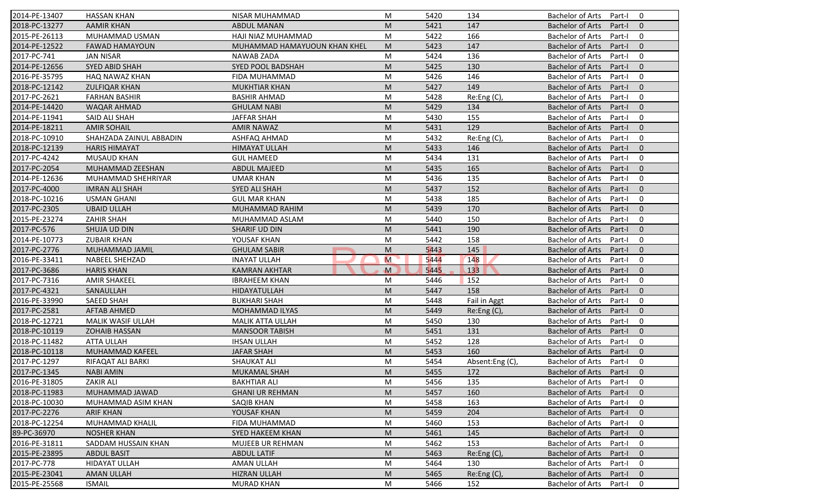| 2014-PE-13407 | <b>HASSAN KHAN</b>       | NISAR MUHAMMAD               | M           | 5420 | 134            | <b>Bachelor of Arts</b><br>0<br>Part-I              |
|---------------|--------------------------|------------------------------|-------------|------|----------------|-----------------------------------------------------|
| 2018-PC-13277 | <b>AAMIR KHAN</b>        | <b>ABDUL MANAN</b>           | M           | 5421 | 147            | <b>Bachelor of Arts</b><br>Part-I<br>$\mathbf{0}$   |
| 2015-PE-26113 | MUHAMMAD USMAN           | HAJI NIAZ MUHAMMAD           | M           | 5422 | 166            | <b>Bachelor of Arts</b><br>Part-I<br>0              |
| 2014-PE-12522 | <b>FAWAD HAMAYOUN</b>    | MUHAMMAD HAMAYUOUN KHAN KHEL | M           | 5423 | 147            | $\mathbf{0}$<br><b>Bachelor of Arts</b><br>Part-I   |
| 2017-PC-741   | <b>JAN NISAR</b>         | <b>NAWAB ZADA</b>            | M           | 5424 | 136            | 0<br><b>Bachelor of Arts</b><br>Part-I              |
| 2014-PE-12656 | <b>SYED ABID SHAH</b>    | <b>SYED POOL BADSHAH</b>     | M           | 5425 | 130            | <b>Bachelor of Arts</b><br>$\overline{0}$<br>Part-I |
| 2016-PE-35795 | HAQ NAWAZ KHAN           | FIDA MUHAMMAD                | M           | 5426 | 146            | 0<br><b>Bachelor of Arts</b><br>Part-I              |
| 2018-PC-12142 | <b>ZULFIQAR KHAN</b>     | <b>MUKHTIAR KHAN</b>         | M           | 5427 | 149            | $\mathbf{0}$<br><b>Bachelor of Arts</b><br>Part-I   |
| 2017-PC-2621  | <b>FARHAN BASHIR</b>     | <b>BASHIR AHMAD</b>          | M           | 5428 | Re:Eng (C),    | <b>Bachelor of Arts</b><br>0<br>Part-I              |
| 2014-PE-14420 | WAQAR AHMAD              | <b>GHULAM NABI</b>           | M           | 5429 | 134            | <b>Bachelor of Arts</b><br>Part-I<br>$\mathbf{0}$   |
| 2014-PE-11941 | SAID ALI SHAH            | <b>JAFFAR SHAH</b>           | M           | 5430 | 155            | <b>Bachelor of Arts</b><br>Part-I<br>0              |
| 2014-PE-18211 | <b>AMIR SOHAIL</b>       | <b>AMIR NAWAZ</b>            | M           | 5431 | 129            | <b>Bachelor of Arts</b><br>Part-I<br>$\mathbf{0}$   |
| 2018-PC-10910 | SHAHZADA ZAINUL ABBADIN  | ASHFAQ AHMAD                 | M           | 5432 | Re:Eng (C),    | <b>Bachelor of Arts</b><br>0<br>Part-I              |
| 2018-PC-12139 | <b>HARIS HIMAYAT</b>     | <b>HIMAYAT ULLAH</b>         | M           | 5433 | 146            | <b>Bachelor of Arts</b><br>$\mathbf{0}$<br>Part-I   |
| 2017-PC-4242  | <b>MUSAUD KHAN</b>       | <b>GUL HAMEED</b>            | M           | 5434 | 131            | 0<br><b>Bachelor of Arts</b><br>Part-I              |
| 2017-PC-2054  | MUHAMMAD ZEESHAN         | <b>ABDUL MAJEED</b>          | M           | 5435 | 165            | <b>Bachelor of Arts</b><br>Part-I<br>$\overline{0}$ |
| 2014-PE-12636 | MUHAMMAD SHEHRIYAR       | <b>UMAR KHAN</b>             | M           | 5436 | 135            | <b>Bachelor of Arts</b><br>0<br>Part-I              |
| 2017-PC-4000  | <b>IMRAN ALI SHAH</b>    | <b>SYED ALI SHAH</b>         | M           | 5437 | 152            | <b>Bachelor of Arts</b><br>$\mathbf{0}$<br>Part-I   |
| 2018-PC-10216 | <b>USMAN GHANI</b>       | <b>GUL MAR KHAN</b>          | M           | 5438 | 185            | <b>Bachelor of Arts</b><br>0<br>Part-I              |
| 2017-PC-2305  | <b>UBAID ULLAH</b>       | MUHAMMAD RAHIM               | M           | 5439 | 170            | <b>Bachelor of Arts</b><br>$\mathbf{0}$<br>Part-I   |
| 2015-PE-23274 | <b>ZAHIR SHAH</b>        | MUHAMMAD ASLAM               | M           | 5440 | 150            | <b>Bachelor of Arts</b><br>0<br>Part-I              |
| 2017-PC-576   | SHUJA UD DIN             | SHARIF UD DIN                | M           | 5441 | 190            | $\mathbf{0}$<br><b>Bachelor of Arts</b><br>Part-I   |
| 2014-PE-10773 | <b>ZUBAIR KHAN</b>       | YOUSAF KHAN                  | M           | 5442 | 158            | <b>Bachelor of Arts</b><br>0<br>Part-I              |
| 2017-PC-2776  | MUHAMMAD JAMIL           | <b>GHULAM SABIR</b>          | M           | 5443 | 145            | $\mathbf{0}$<br><b>Bachelor of Arts</b><br>Part-I   |
| 2016-PE-33411 | NABEEL SHEHZAD           | <b>INAYAT ULLAH</b>          | M           | 5444 | 148            | <b>Bachelor of Arts</b><br>0<br>Part-I              |
| 2017-PC-3686  | <b>HARIS KHAN</b>        | <b>KAMRAN AKHTAR</b>         | $\mathbf M$ | 5445 | 133            | <b>Bachelor of Arts</b><br>$\mathbf{0}$<br>Part-I   |
| 2017-PC-7316  | <b>AMIR SHAKEEL</b>      | <b>IBRAHEEM KHAN</b>         | M           | 5446 | 152            | <b>Bachelor of Arts</b><br>Part-I<br>0              |
| 2017-PC-4321  | SANAULLAH                | HIDAYATULLAH                 | M           | 5447 | 158            | <b>Bachelor of Arts</b><br>Part-I<br>$\mathbf{0}$   |
| 2016-PE-33990 | <b>SAEED SHAH</b>        | <b>BUKHARI SHAH</b>          | M           | 5448 | Fail in Aggt   | <b>Bachelor of Arts</b><br>0<br>Part-I              |
| 2017-PC-2581  | <b>AFTAB AHMED</b>       | <b>MOHAMMAD ILYAS</b>        | M           | 5449 | Re:Eng(C)      | $\mathbf{0}$<br><b>Bachelor of Arts</b><br>Part-I   |
| 2018-PC-12721 | <b>MALIK WASIF ULLAH</b> | MALIK ATTA ULLAH             | M           | 5450 | 130            | <b>Bachelor of Arts</b><br>0<br>Part-I              |
| 2018-PC-10119 | <b>ZOHAIB HASSAN</b>     | <b>MANSOOR TABISH</b>        | M           | 5451 | 131            | <b>Bachelor of Arts</b><br>Part-I<br>$\overline{0}$ |
| 2018-PC-11482 | <b>ATTA ULLAH</b>        | <b>IHSAN ULLAH</b>           | M           | 5452 | 128            | <b>Bachelor of Arts</b><br>0<br>Part-I              |
| 2018-PC-10118 | MUHAMMAD KAFEEL          | <b>JAFAR SHAH</b>            | M           | 5453 | 160            | <b>Bachelor of Arts</b><br>$\mathbf{0}$<br>Part-I   |
| 2017-PC-1297  | RIFAQAT ALI BARKI        | <b>SHAUKAT ALI</b>           | M           | 5454 | Absent:Eng (C) | <b>Bachelor of Arts</b><br>Part-I<br>0              |
| 2017-PC-1345  | <b>NABI AMIN</b>         | MUKAMAL SHAH                 | M           | 5455 | 172            | Bachelor of Arts Part-I 0                           |
| 2016-PE-31805 | <b>ZAKIR ALI</b>         | <b>BAKHTIAR ALI</b>          | M           | 5456 | 135            | Bachelor of Arts Part-I<br>$\mathbf 0$              |
| 2018-PC-11983 | MUHAMMAD JAWAD           | <b>GHANI UR REHMAN</b>       | M           | 5457 | 160            | <b>Bachelor of Arts</b><br>Part-I<br>$\mathbf{0}$   |
| 2018-PC-10030 | MUHAMMAD ASIM KHAN       | <b>SAQIB KHAN</b>            | M           | 5458 | 163            | <b>Bachelor of Arts</b><br>Part-I<br>0              |
| 2017-PC-2276  | <b>ARIF KHAN</b>         | YOUSAF KHAN                  | M           | 5459 | 204            | <b>Bachelor of Arts</b><br>Part-I<br>$\mathbf{0}$   |
| 2018-PC-12254 | MUHAMMAD KHALIL          | FIDA MUHAMMAD                | M           | 5460 | 153            | <b>Bachelor of Arts</b><br>0<br>Part-I              |
| 89-PC-36970   | <b>NOSHER KHAN</b>       | SYED HAKEEM KHAN             | M           | 5461 | 145            | <b>Bachelor of Arts</b><br>Part-I<br>$\mathbf{0}$   |
| 2016-PE-31811 | SADDAM HUSSAIN KHAN      | <b>MUJEEB UR REHMAN</b>      | M           | 5462 | 153            | <b>Bachelor of Arts</b><br>0<br>Part-I              |
| 2015-PE-23895 | <b>ABDUL BASIT</b>       | <b>ABDUL LATIF</b>           | M           | 5463 | Re:Eng (C),    | <b>Bachelor of Arts</b><br>Part-I<br>$\mathbf 0$    |
| 2017-PC-778   | <b>HIDAYAT ULLAH</b>     | <b>AMAN ULLAH</b>            | M           | 5464 | 130            | <b>Bachelor of Arts</b><br>Part-I<br>0              |
| 2015-PE-23041 | <b>AMAN ULLAH</b>        | <b>HIZRAN ULLAH</b>          | M           | 5465 | Re:Eng (C),    | <b>Bachelor of Arts</b><br>Part-I<br>$\mathbf{0}$   |
| 2015-PE-25568 | <b>ISMAIL</b>            | <b>MURAD KHAN</b>            | M           | 5466 | 152            | Bachelor of Arts<br>0<br>Part-I                     |
|               |                          |                              |             |      |                |                                                     |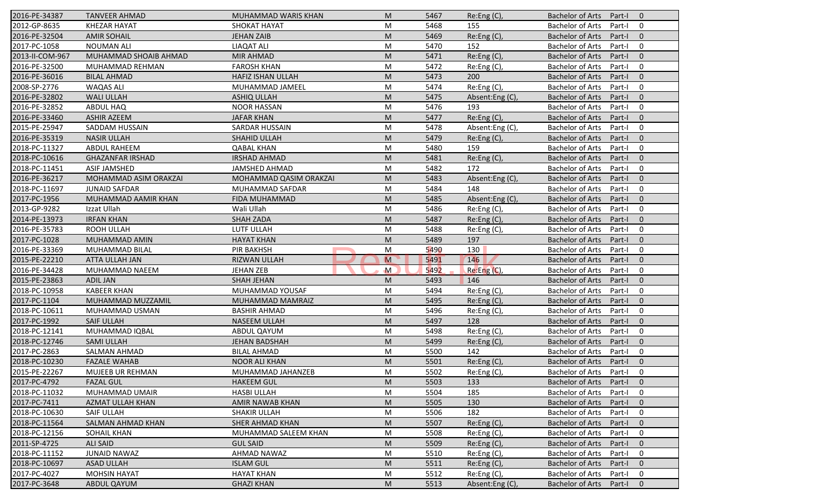| 2016-PE-34387   | <b>TANVEER AHMAD</b>    | MUHAMMAD WARIS KHAN      | M              | 5467 | Re: Eng(C)      | <b>Bachelor of Arts</b><br>Part-I<br>$\overline{0}$ |
|-----------------|-------------------------|--------------------------|----------------|------|-----------------|-----------------------------------------------------|
| 2012-GP-8635    | <b>KHEZAR HAYAT</b>     | <b>SHOKAT HAYAT</b>      | M              | 5468 | 155             | <b>Bachelor of Arts</b><br>Part-I<br>$\mathbf 0$    |
| 2016-PE-32504   | <b>AMIR SOHAIL</b>      | <b>JEHAN ZAIB</b>        | M              | 5469 | Re:Eng (C),     | <b>Bachelor of Arts</b><br>Part-I<br>$\mathbf{0}$   |
| 2017-PC-1058    | <b>NOUMAN ALI</b>       | <b>LIAQAT ALI</b>        | M              | 5470 | 152             | <b>Bachelor of Arts</b><br>Part-I<br>$\mathbf 0$    |
| 2013-II-COM-967 | MUHAMMAD SHOAIB AHMAD   | <b>MIR AHMAD</b>         | M              | 5471 | Re:Eng (C),     | $\mathbf{0}$<br><b>Bachelor of Arts</b><br>Part-I   |
| 2016-PE-32500   | MUHAMMAD REHMAN         | <b>FAROSH KHAN</b>       | M              | 5472 | Re:Eng (C),     | <b>Bachelor of Arts</b><br>Part-I<br>0              |
| 2016-PE-36016   | <b>BILAL AHMAD</b>      | <b>HAFIZ ISHAN ULLAH</b> | M              | 5473 | 200             | $\mathbf{0}$<br><b>Bachelor of Arts</b><br>Part-I   |
| 2008-SP-2776    | <b>WAQAS ALI</b>        | MUHAMMAD JAMEEL          | M              | 5474 | Re:Eng (C),     | <b>Bachelor of Arts</b><br>$\mathbf 0$<br>Part-I    |
| 2016-PE-32802   | <b>WALI ULLAH</b>       | <b>ASHIQ ULLAH</b>       | M              | 5475 | Absent:Eng(C),  | <b>Bachelor of Arts</b><br>Part-I<br>$\mathbf{0}$   |
| 2016-PE-32852   | ABDUL HAQ               | <b>NOOR HASSAN</b>       | M              | 5476 | 193             | <b>Bachelor of Arts</b><br>Part-I<br>0              |
| 2016-PE-33460   | <b>ASHIR AZEEM</b>      | <b>JAFAR KHAN</b>        | M              | 5477 | Re:Eng (C),     | <b>Bachelor of Arts</b><br>Part-I<br>$\mathbf{0}$   |
| 2015-PE-25947   | SADDAM HUSSAIN          | SARDAR HUSSAIN           | M              | 5478 | Absent:Eng (C), | $\mathbf 0$<br><b>Bachelor of Arts</b><br>Part-I    |
| 2016-PE-35319   | <b>NASIR ULLAH</b>      | SHAHID ULLAH             | M              | 5479 | Re: Eng(C),     | <b>Bachelor of Arts</b><br>$\mathbf{0}$<br>Part-I   |
| 2018-PC-11327   | <b>ABDUL RAHEEM</b>     | <b>QABAL KHAN</b>        | M              | 5480 | 159             | <b>Bachelor of Arts</b><br>0<br>Part-I              |
| 2018-PC-10616   | <b>GHAZANFAR IRSHAD</b> | <b>IRSHAD AHMAD</b>      | M              | 5481 | Re:Eng (C),     | <b>Bachelor of Arts</b><br>Part-I<br>$\overline{0}$ |
| 2018-PC-11451   | <b>ASIF JAMSHED</b>     | <b>JAMSHED AHMAD</b>     | M              | 5482 | 172             | <b>Bachelor of Arts</b><br>0<br>Part-I              |
| 2016-PE-36217   | MOHAMMAD ASIM ORAKZAI   | MOHAMMAD QASIM ORAKZAI   | M              | 5483 | Absent:Eng (C), | <b>Bachelor of Arts</b><br>$\mathbf{0}$<br>Part-I   |
| 2018-PC-11697   | <b>JUNAID SAFDAR</b>    | MUHAMMAD SAFDAR          | M              | 5484 | 148             | <b>Bachelor of Arts</b><br>Part-I<br>0              |
| 2017-PC-1956    | MUHAMMAD AAMIR KHAN     | FIDA MUHAMMAD            | M              | 5485 | Absent:Eng (C), | <b>Bachelor of Arts</b><br>$\mathbf{0}$<br>Part-I   |
| 2013-GP-9282    | Izzat Ullah             | Wali Ullah               | M              | 5486 | Re:Eng (C),     | <b>Bachelor of Arts</b><br>Part-I<br>0              |
| 2014-PE-13973   | <b>IRFAN KHAN</b>       | <b>SHAH ZADA</b>         | M              | 5487 | Re: Eng(C),     | <b>Bachelor of Arts</b><br>$\mathbf{0}$<br>Part-I   |
| 2016-PE-35783   | ROOH ULLAH              | LUTF ULLAH               | M              | 5488 | Re:Eng (C),     | <b>Bachelor of Arts</b><br>0<br>Part-I              |
| 2017-PC-1028    | MUHAMMAD AMIN           | <b>HAYAT KHAN</b>        | M              | 5489 | 197             | <b>Bachelor of Arts</b><br>Part-I<br>$\overline{0}$ |
| 2016-PE-33369   | MUHAMMAD BILAL          | <b>PIR BAKHSH</b>        | M              | 5490 | 130             | <b>Bachelor of Arts</b><br>0<br>Part-I              |
| 2015-PE-22210   | ATTA ULLAH JAN          | <b>RIZWAN ULLAH</b>      | $\overline{M}$ | 5491 | 146             | <b>Bachelor of Arts</b><br>$\mathbf{0}$<br>Part-I   |
| 2016-PE-34428   | MUHAMMAD NAEEM          | <b>JEHAN ZEB</b>         | $\mathsf{M}$   | 5492 | Re:Eng (C),     | <b>Bachelor of Arts</b><br>Part-I<br>0              |
| 2015-PE-23863   | <b>ADIL JAN</b>         | <b>SHAH JEHAN</b>        | M              | 5493 | 146             | <b>Bachelor of Arts</b><br>Part-I<br>$\mathbf{0}$   |
| 2018-PC-10958   | <b>KABEER KHAN</b>      | MUHAMMAD YOUSAF          | M              | 5494 | Re:Eng (C),     | <b>Bachelor of Arts</b><br>Part-I<br>0              |
| 2017-PC-1104    | MUHAMMAD MUZZAMIL       | MUHAMMAD MAMRAIZ         | M              | 5495 | Re: Eng(C)      | <b>Bachelor of Arts</b><br>$\mathbf{0}$<br>Part-I   |
| 2018-PC-10611   | MUHAMMAD USMAN          | <b>BASHIR AHMAD</b>      | M              | 5496 | Re:Eng (C),     | <b>Bachelor of Arts</b><br>0<br>Part-I              |
| 2017-PC-1992    | <b>SAIF ULLAH</b>       | <b>NASEEM ULLAH</b>      | M              | 5497 | 128             | <b>Bachelor of Arts</b><br>Part-I<br>$\overline{0}$ |
| 2018-PC-12141   | MUHAMMAD IQBAL          | ABDUL QAYUM              | M              | 5498 | Re:Eng (C),     | <b>Bachelor of Arts</b><br>0<br>Part-I              |
| 2018-PC-12746   | <b>SAMI ULLAH</b>       | <b>JEHAN BADSHAH</b>     | M              | 5499 | Re:Eng (C),     | <b>Bachelor of Arts</b><br>Part-I<br>$\overline{0}$ |
| 2017-PC-2863    | SALMAN AHMAD            | <b>BILAL AHMAD</b>       | M              | 5500 | 142             | <b>Bachelor of Arts</b><br>Part-I<br>0              |
| 2018-PC-10230   | <b>FAZALE WAHAB</b>     | <b>NOOR ALI KHAN</b>     | M              | 5501 | Re:Eng (C),     | <b>Bachelor of Arts</b><br>Part-I<br>$\mathbf 0$    |
| 2015-PE-22267   | MUJEEB UR REHMAN        | MUHAMMAD JAHANZEB        | M              | 5502 | Re:Eng(C),      | Bachelor of Arts Part-I<br>$\mathbf 0$              |
| 2017-PC-4792    | <b>FAZAL GUL</b>        | <b>HAKEEM GUL</b>        | M              | 5503 | 133             | Bachelor of Arts Part-I<br>$\overline{0}$           |
| 2018-PC-11032   | MUHAMMAD UMAIR          | HASBI ULLAH              | M              | 5504 | 185             | <b>Bachelor of Arts</b><br>Part-I<br>0              |
| 2017-PC-7411    | AZMAT ULLAH KHAN        | AMIR NAWAB KHAN          | M              | 5505 | 130             | <b>Bachelor of Arts</b><br>Part-I<br>$\mathbf{0}$   |
| 2018-PC-10630   | SAIF ULLAH              | SHAKIR ULLAH             | M              | 5506 | 182             | <b>Bachelor of Arts</b><br>0<br>Part-I              |
| 2018-PC-11564   | SALMAN AHMAD KHAN       | <b>SHER AHMAD KHAN</b>   | M              | 5507 | Re: Eng(C)      | <b>Bachelor of Arts</b><br>$\mathbf 0$<br>Part-I    |
| 2018-PC-12156   | <b>SOHAIL KHAN</b>      | MUHAMMAD SALEEM KHAN     | M              | 5508 | Re:Eng (C),     | <b>Bachelor of Arts</b><br>0<br>Part-I              |
| 2011-SP-4725    | <b>ALI SAID</b>         | <b>GUL SAID</b>          | M              | 5509 | Re:Eng (C),     | <b>Bachelor of Arts</b><br>$\mathbf 0$<br>Part-I    |
| 2018-PC-11152   | JUNAID NAWAZ            | AHMAD NAWAZ              | M              | 5510 | Re:Eng (C),     | <b>Bachelor of Arts</b><br>Part-I<br>0              |
| 2018-PC-10697   | <b>ASAD ULLAH</b>       | <b>ISLAM GUL</b>         | M              | 5511 | Re:Eng (C),     | <b>Bachelor of Arts</b><br>Part-I<br>$\mathbf 0$    |
| 2017-PC-4027    | <b>MOHSIN HAYAT</b>     | <b>HAYAT KHAN</b>        | M              | 5512 | Re:Eng (C),     | Bachelor of Arts<br>0<br>Part-I                     |
| 2017-PC-3648    | ABDUL QAYUM             | <b>GHAZI KHAN</b>        | M              | 5513 | Absent:Eng (C), | Bachelor of Arts<br>$\mathbf 0$<br>Part-I           |
|                 |                         |                          |                |      |                 |                                                     |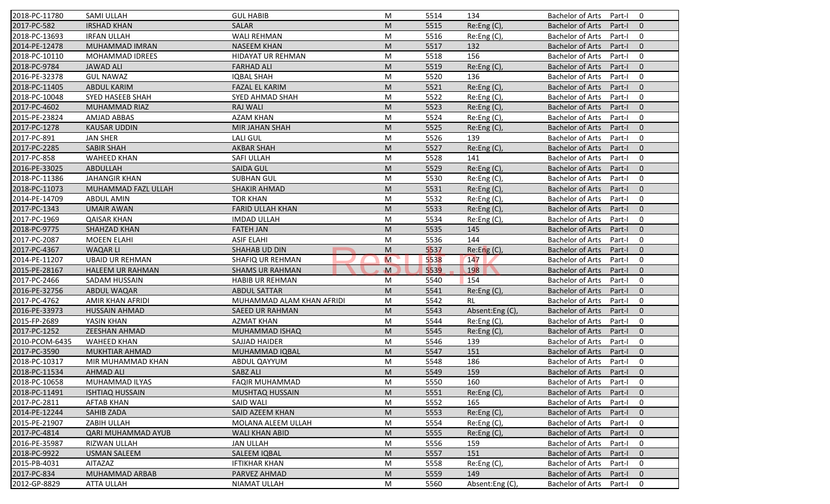| 2018-PC-11780  | <b>SAMI ULLAH</b>       | <b>GUL HABIB</b>          | M | 5514 | 134             | <b>Bachelor of Arts</b><br>0<br>Part-I              |
|----------------|-------------------------|---------------------------|---|------|-----------------|-----------------------------------------------------|
| 2017-PC-582    | <b>IRSHAD KHAN</b>      | <b>SALAR</b>              | M | 5515 | Re:Eng (C),     | <b>Bachelor of Arts</b><br>Part-I<br>$\mathbf{0}$   |
| 2018-PC-13693  | <b>IRFAN ULLAH</b>      | <b>WALI REHMAN</b>        | M | 5516 | Re:Eng (C),     | <b>Bachelor of Arts</b><br>Part-I<br>0              |
| 2014-PE-12478  | MUHAMMAD IMRAN          | <b>NASEEM KHAN</b>        | M | 5517 | 132             | <b>Bachelor of Arts</b><br>$\mathbf{0}$<br>Part-I   |
| 2018-PC-10110  | MOHAMMAD IDREES         | <b>HIDAYAT UR REHMAN</b>  | M | 5518 | 156             | <b>Bachelor of Arts</b><br>0<br>Part-I              |
| 2018-PC-9784   | <b>JAWAD ALI</b>        | <b>FARHAD ALI</b>         | M | 5519 | Re:Eng (C),     | <b>Bachelor of Arts</b><br>$\overline{0}$<br>Part-I |
| 2016-PE-32378  | <b>GUL NAWAZ</b>        | <b>IQBAL SHAH</b>         | M | 5520 | 136             | 0<br><b>Bachelor of Arts</b><br>Part-I              |
| 2018-PC-11405  | <b>ABDUL KARIM</b>      | <b>FAZAL EL KARIM</b>     | M | 5521 | Re:Eng (C),     | <b>Bachelor of Arts</b><br>$\mathbf{0}$<br>Part-I   |
| 2018-PC-10048  | <b>SYED HASEEB SHAH</b> | SYED AHMAD SHAH           | M | 5522 | Re:Eng (C),     | <b>Bachelor of Arts</b><br>Part-I<br>0              |
| 2017-PC-4602   | MUHAMMAD RIAZ           | <b>RAJ WALI</b>           | M | 5523 | Re:Eng (C),     | <b>Bachelor of Arts</b><br>Part-I<br>$\mathbf{0}$   |
| 2015-PE-23824  | <b>AMJAD ABBAS</b>      | <b>AZAM KHAN</b>          | M | 5524 | Re:Eng (C),     | <b>Bachelor of Arts</b><br>Part-I<br>0              |
| 2017-PC-1278   | <b>KAUSAR UDDIN</b>     | MIR JAHAN SHAH            | M | 5525 | Re:Eng (C),     | <b>Bachelor of Arts</b><br>Part-I<br>$\mathbf{0}$   |
| 2017-PC-891    | <b>JAN SHER</b>         | <b>LALI GUL</b>           | M | 5526 | 139             | <b>Bachelor of Arts</b><br>0<br>Part-I              |
| 2017-PC-2285   | <b>SABIR SHAH</b>       | <b>AKBAR SHAH</b>         | M | 5527 | Re:Eng(C),      | <b>Bachelor of Arts</b><br>$\mathbf{0}$<br>Part-I   |
| 2017-PC-858    | <b>WAHEED KHAN</b>      | SAFI ULLAH                | M | 5528 | 141             | 0<br><b>Bachelor of Arts</b><br>Part-I              |
| 2016-PE-33025  | ABDULLAH                | <b>SAIDA GUL</b>          | M | 5529 | Re:Eng (C),     | $\mathbf{0}$<br><b>Bachelor of Arts</b><br>Part-I   |
| 2018-PC-11386  | <b>JAHANGIR KHAN</b>    | <b>SUBHAN GUL</b>         | M | 5530 | Re:Eng (C),     | <b>Bachelor of Arts</b><br>0<br>Part-I              |
| 2018-PC-11073  | MUHAMMAD FAZL ULLAH     | <b>SHAKIR AHMAD</b>       | M | 5531 | Re:Eng (C),     | <b>Bachelor of Arts</b><br>$\mathbf{0}$<br>Part-I   |
| 2014-PE-14709  | <b>ABDUL AMIN</b>       | <b>TOR KHAN</b>           | M | 5532 | Re:Eng(C),      | <b>Bachelor of Arts</b><br>Part-I<br>0              |
| 2017-PC-1343   | <b>UMAIR AWAN</b>       | <b>FARID ULLAH KHAN</b>   | M | 5533 |                 | <b>Bachelor of Arts</b><br>$\mathbf{0}$<br>Part-I   |
| 2017-PC-1969   | <b>QAISAR KHAN</b>      | <b>IMDAD ULLAH</b>        |   | 5534 | Re:Eng (C),     | <b>Bachelor of Arts</b><br>0<br>Part-I              |
|                |                         |                           | M |      | Re:Eng(C),      |                                                     |
| 2018-PC-9775   | SHAHZAD KHAN            | <b>FATEH JAN</b>          | M | 5535 | 145             | $\mathbf{0}$<br><b>Bachelor of Arts</b><br>Part-I   |
| 2017-PC-2087   | <b>MOEEN ELAHI</b>      | <b>ASIF ELAHI</b>         | M | 5536 | 144             | <b>Bachelor of Arts</b><br>Part-I<br>0              |
| 2017-PC-4367   | <b>WAQARLI</b>          | SHAHAB UD DIN             | M | 5537 | Re: Eng(C)      | $\mathbf{0}$<br><b>Bachelor of Arts</b><br>Part-I   |
| 2014-PE-11207  | <b>UBAID UR REHMAN</b>  | SHAFIQ UR REHMAN          | M | 5538 | 147             | <b>Bachelor of Arts</b><br>0<br>Part-I              |
| 2015-PE-28167  | <b>HALEEM UR RAHMAN</b> | <b>SHAMS UR RAHMAN</b>    | M | 5539 | 198             | <b>Bachelor of Arts</b><br>$\mathbf{0}$<br>Part-I   |
| 2017-PC-2466   | SADAM HUSSAIN           | <b>HABIB UR REHMAN</b>    | M | 5540 | 154             | <b>Bachelor of Arts</b><br>Part-I<br>0              |
| 2016-PE-32756  | ABDUL WAQAR             | <b>ABDUL SATTAR</b>       | M | 5541 | Re:Eng (C),     | <b>Bachelor of Arts</b><br>Part-I<br>$\mathbf{0}$   |
| 2017-PC-4762   | AMIR KHAN AFRIDI        | MUHAMMAD ALAM KHAN AFRIDI | M | 5542 | RL              | <b>Bachelor of Arts</b><br>0<br>Part-I              |
| 2016-PE-33973  | <b>HUSSAIN AHMAD</b>    | <b>SAEED UR RAHMAN</b>    | M | 5543 | Absent:Eng (C), | <b>Bachelor of Arts</b><br>$\mathbf{0}$<br>Part-I   |
| 2015-FP-2689   | YASIN KHAN              | AZMAT KHAN                | M | 5544 | Re:Eng (C),     | Bachelor of Arts<br>Part-I<br>0                     |
| 2017-PC-1252   | <b>ZEESHAN AHMAD</b>    | MUHAMMAD ISHAQ            | M | 5545 | Re:Eng (C),     | <b>Bachelor of Arts</b><br>Part-I<br>$\overline{0}$ |
| 2010-PCOM-6435 | <b>WAHEED KHAN</b>      | SAJJAD HAIDER             | M | 5546 | 139             | <b>Bachelor of Arts</b><br>0<br>Part-I              |
| 2017-PC-3590   | <b>MUKHTIAR AHMAD</b>   | MUHAMMAD IQBAL            | M | 5547 | 151             | <b>Bachelor of Arts</b><br>$\mathbf{0}$<br>Part-I   |
| 2018-PC-10317  | MIR MUHAMMAD KHAN       | ABDUL QAYYUM              | M | 5548 | 186             | <b>Bachelor of Arts</b><br>Part-I<br>0              |
| 2018-PC-11534  | AHMAD ALI               | SABZ ALI                  | M | 5549 | 159             | Bachelor of Arts Part-I 0                           |
| 2018-PC-10658  | MUHAMMAD ILYAS          | <b>FAQIR MUHAMMAD</b>     | M | 5550 | 160             | Bachelor of Arts Part-I<br>$\mathbf 0$              |
| 2018-PC-11491  | <b>ISHTIAQ HUSSAIN</b>  | <b>MUSHTAQ HUSSAIN</b>    | M | 5551 | Re:Eng (C),     | <b>Bachelor of Arts</b><br>Part-I<br>$\mathbf{0}$   |
| 2017-PC-2811   | <b>AFTAB KHAN</b>       | SAID WALI                 | M | 5552 | 165             | Bachelor of Arts<br>Part-I<br>$\mathbf 0$           |
| 2014-PE-12244  | SAHIB ZADA              | SAID AZEEM KHAN           | M | 5553 | Re: Eng(C)      | Bachelor of Arts<br>Part-I<br>$\mathbf{0}$          |
| 2015-PE-21907  | ZABIH ULLAH             | MOLANA ALEEM ULLAH        | M | 5554 | Re:Eng (C),     | Bachelor of Arts<br>0<br>Part-I                     |
| 2017-PC-4814   | QARI MUHAMMAD AYUB      | WALI KHAN ABID            | M | 5555 | Re: Eng(C)      | Bachelor of Arts<br>Part-I<br>$\mathbf{0}$          |
| 2016-PE-35987  | RIZWAN ULLAH            | <b>JAN ULLAH</b>          | M | 5556 | 159             | Bachelor of Arts<br>0<br>Part-I                     |
| 2018-PC-9922   | <b>USMAN SALEEM</b>     | SALEEM IQBAL              | M | 5557 | 151             | <b>Bachelor of Arts</b><br>Part-I<br>$\mathbf{0}$   |
| 2015-PB-4031   | <b>AITAZAZ</b>          | <b>IFTIKHAR KHAN</b>      | M | 5558 | Re:Eng (C),     | <b>Bachelor of Arts</b><br>Part-I<br>0              |
| 2017-PC-834    | MUHAMMAD ARBAB          | PARVEZ AHMAD              | M | 5559 | 149             | <b>Bachelor of Arts</b><br>Part-I<br>$\mathbf{0}$   |
| 2012-GP-8829   | <b>ATTA ULLAH</b>       | <b>NIAMAT ULLAH</b>       | M | 5560 | Absent:Eng (C), | Bachelor of Arts<br>Part-I<br>0                     |
|                |                         |                           |   |      |                 |                                                     |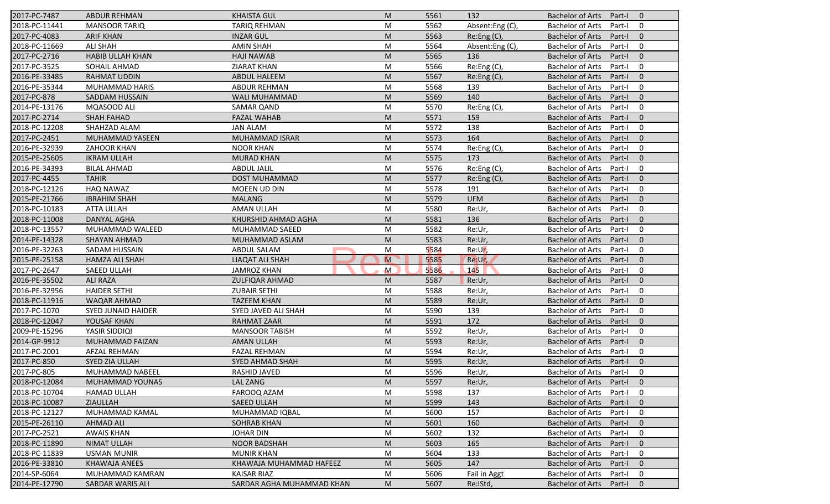| 2017-PC-7487  | <b>ABDUR REHMAN</b>       | <b>KHAISTA GUL</b>        | M            | 5561 | 132             | <b>Bachelor of Arts</b><br>Part-I<br>$\overline{0}$ |
|---------------|---------------------------|---------------------------|--------------|------|-----------------|-----------------------------------------------------|
| 2018-PC-11441 | <b>MANSOOR TARIQ</b>      | <b>TARIQ REHMAN</b>       | M            | 5562 | Absent:Eng (C), | <b>Bachelor of Arts</b><br>Part-I<br>0              |
| 2017-PC-4083  | <b>ARIF KHAN</b>          | <b>INZAR GUL</b>          | M            | 5563 | Re:Eng (C),     | <b>Bachelor of Arts</b><br>Part-I<br>$\mathbf{0}$   |
| 2018-PC-11669 | <b>ALI SHAH</b>           | <b>AMIN SHAH</b>          | M            | 5564 | Absent:Eng (C), | <b>Bachelor of Arts</b><br>0<br>Part-I              |
| 2017-PC-2716  | <b>HABIB ULLAH KHAN</b>   | <b>HAJI NAWAB</b>         | M            | 5565 | 136             | $\mathbf{0}$<br><b>Bachelor of Arts</b><br>Part-I   |
| 2017-PC-3525  | SOHAIL AHMAD              | <b>ZIARAT KHAN</b>        | M            | 5566 | Re:Eng (C),     | <b>Bachelor of Arts</b><br>Part-I<br>0              |
| 2016-PE-33485 | <b>RAHMAT UDDIN</b>       | <b>ABDUL HALEEM</b>       | M            | 5567 | Re:Eng (C),     | $\mathbf{0}$<br><b>Bachelor of Arts</b><br>Part-I   |
| 2016-PE-35344 | <b>MUHAMMAD HARIS</b>     | <b>ABDUR REHMAN</b>       | M            | 5568 | 139             | <b>Bachelor of Arts</b><br>0<br>Part-I              |
| 2017-PC-878   | <b>SADDAM HUSSAIN</b>     | <b>WALI MUHAMMAD</b>      | M            | 5569 | 140             | <b>Bachelor of Arts</b><br>$\mathbf{0}$<br>Part-I   |
| 2014-PE-13176 | MQASOOD ALI               | <b>SAMAR QAND</b>         | M            | 5570 | Re:Eng (C),     | <b>Bachelor of Arts</b><br>Part-I<br>0              |
| 2017-PC-2714  | <b>SHAH FAHAD</b>         | <b>FAZAL WAHAB</b>        | M            | 5571 | 159             | <b>Bachelor of Arts</b><br>Part-I<br>$\mathbf{0}$   |
| 2018-PC-12208 | SHAHZAD ALAM              | <b>JAN ALAM</b>           | M            | 5572 | 138             | <b>Bachelor of Arts</b><br>Part-I<br>0              |
| 2017-PC-2451  | <b>MUHAMMAD YASEEN</b>    | MUHAMMAD ISRAR            | M            | 5573 | 164             | <b>Bachelor of Arts</b><br>$\mathbf{0}$<br>Part-I   |
| 2016-PE-32939 | ZAHOOR KHAN               | <b>NOOR KHAN</b>          | M            | 5574 | Re:Eng (C),     | <b>Bachelor of Arts</b><br>0<br>Part-I              |
|               | <b>IKRAM ULLAH</b>        | <b>MURAD KHAN</b>         |              |      | 173             | Part-I<br>$\overline{0}$                            |
| 2015-PE-25605 |                           | <b>ABDUL JALIL</b>        | M            | 5575 | Re:Eng (C),     | <b>Bachelor of Arts</b><br>0                        |
| 2016-PE-34393 | <b>BILAL AHMAD</b>        |                           | M            | 5576 |                 | <b>Bachelor of Arts</b><br>Part-I                   |
| 2017-PC-4455  | <b>TAHIR</b>              | <b>DOST MUHAMMAD</b>      | M            | 5577 | Re:Eng (C),     | $\mathbf{0}$<br><b>Bachelor of Arts</b><br>Part-I   |
| 2018-PC-12126 | <b>HAQ NAWAZ</b>          | MOEEN UD DIN              | M            | 5578 | 191             | <b>Bachelor of Arts</b><br>0<br>Part-I              |
| 2015-PE-21766 | <b>IBRAHIM SHAH</b>       | <b>MALANG</b>             | M            | 5579 | <b>UFM</b>      | <b>Bachelor of Arts</b><br>$\mathbf{0}$<br>Part-I   |
| 2018-PC-10183 | <b>ATTA ULLAH</b>         | AMAN ULLAH                | M            | 5580 | Re:Ur,          | $\mathbf 0$<br><b>Bachelor of Arts</b><br>Part-I    |
| 2018-PC-11008 | <b>DANYAL AGHA</b>        | KHURSHID AHMAD AGHA       | M            | 5581 | 136             | $\mathbf{0}$<br><b>Bachelor of Arts</b><br>Part-I   |
| 2018-PC-13557 | MUHAMMAD WALEED           | MUHAMMAD SAEED            | M            | 5582 | Re:Ur,          | $\mathbf 0$<br><b>Bachelor of Arts</b><br>Part-I    |
| 2014-PE-14328 | SHAYAN AHMAD              | MUHAMMAD ASLAM            | M            | 5583 | Re:Ur,          | <b>Bachelor of Arts</b><br>$\mathbf 0$<br>Part-I    |
| 2016-PE-32263 | SADAM HUSSAIN             | <b>ABDUL SALAM</b>        | M            | 5584 | Re:Ur,          | <b>Bachelor of Arts</b><br>0<br>Part-I              |
| 2015-PE-25158 | <b>HAMZA ALI SHAH</b>     | LIAQAT ALI SHAH           | M            | 5585 | Re:Ur,          | $\mathbf{0}$<br><b>Bachelor of Arts</b><br>Part-I   |
| 2017-PC-2647  | SAEED ULLAH               | <b>JAMROZ KHAN</b>        | $\mathsf{M}$ | 5586 | 145             | <b>Bachelor of Arts</b><br>0<br>Part-I              |
| 2016-PE-35502 | <b>ALI RAZA</b>           | <b>ZULFIQAR AHMAD</b>     | M            | 5587 | Re:Ur,          | <b>Bachelor of Arts</b><br>$\mathbf{0}$<br>Part-I   |
| 2016-PE-32956 | <b>HAIDER SETHI</b>       | <b>ZUBAIR SETHI</b>       | M            | 5588 | Re:Ur,          | <b>Bachelor of Arts</b><br>$\mathbf 0$<br>Part-I    |
| 2018-PC-11916 | WAQAR AHMAD               | <b>TAZEEM KHAN</b>        | M            | 5589 | Re:Ur,          | <b>Bachelor of Arts</b><br>$\mathbf{0}$<br>Part-I   |
| 2017-PC-1070  | <b>SYED JUNAID HAIDER</b> | SYED JAVED ALI SHAH       | M            | 5590 | 139             | $\mathbf 0$<br><b>Bachelor of Arts</b><br>Part-I    |
| 2018-PC-12047 | YOUSAF KHAN               | RAHMAT ZAAR               | M            | 5591 | 172             | <b>Bachelor of Arts</b><br>$\overline{0}$<br>Part-I |
| 2009-PE-15296 | YASIR SIDDIQI             | <b>MANSOOR TABISH</b>     | M            | 5592 | Re:Ur,          | <b>Bachelor of Arts</b><br>0<br>Part-I              |
| 2014-GP-9912  | MUHAMMAD FAIZAN           | <b>AMAN ULLAH</b>         | M            | 5593 | Re:Ur,          | <b>Bachelor of Arts</b><br>$\mathbf{0}$<br>Part-I   |
| 2017-PC-2001  | <b>AFZAL REHMAN</b>       | <b>FAZAL REHMAN</b>       | M            | 5594 | Re:Ur,          | <b>Bachelor of Arts</b><br>Part-I<br>0              |
| 2017-PC-850   | <b>SYED ZIA ULLAH</b>     | SYED AHMAD SHAH           | M            | 5595 | Re:Ur,          | <b>Bachelor of Arts</b><br>Part-I<br>$\mathbf 0$    |
| 2017-PC-805   | MUHAMMAD NABEEL           | RASHID JAVED              | M            | 5596 | Re:Ur,          | Bachelor of Arts Part-I<br>$\mathbf 0$              |
| 2018-PC-12084 | MUHAMMAD YOUNAS           | LAL ZANG                  | M            | 5597 | Re:Ur,          | Bachelor of Arts Part-I<br>$\overline{0}$           |
| 2018-PC-10704 | <b>HAMAD ULLAH</b>        | FAROOQ AZAM               | М            | 5598 | 137             | <b>Bachelor of Arts</b><br>Part-I<br>0              |
| 2018-PC-10087 | ZIAULLAH                  | SAEED ULLAH               | M            | 5599 | 143             | <b>Bachelor of Arts</b><br>Part-I<br>$\mathbf{0}$   |
| 2018-PC-12127 | MUHAMMAD KAMAL            | MUHAMMAD IQBAL            | М            | 5600 | 157             | <b>Bachelor of Arts</b><br>Part-I<br>0              |
| 2015-PE-26110 | <b>AHMAD ALI</b>          | <b>SOHRAB KHAN</b>        | M            | 5601 | 160             | <b>Bachelor of Arts</b><br>$\mathbf 0$<br>Part-I    |
| 2017-PC-2521  | <b>AWAIS KHAN</b>         | <b>JOHAR DIN</b>          | M            | 5602 | 132             | <b>Bachelor of Arts</b><br>0<br>Part-I              |
| 2018-PC-11890 | <b>NIMAT ULLAH</b>        | <b>NOOR BADSHAH</b>       | M            | 5603 | 165             | <b>Bachelor of Arts</b><br>Part-I<br>$\mathbf 0$    |
| 2018-PC-11839 | <b>USMAN MUNIR</b>        | <b>MUNIR KHAN</b>         | M            | 5604 | 133             | <b>Bachelor of Arts</b><br>Part-I<br>0              |
| 2016-PE-33810 | KHAWAJA ANEES             | KHAWAJA MUHAMMAD HAFEEZ   | M            | 5605 | 147             | <b>Bachelor of Arts</b><br>$\mathbf{0}$<br>Part-I   |
| 2014-SP-6064  | MUHAMMAD KAMRAN           | <b>KAISAR RIAZ</b>        | M            | 5606 | Fail in Aggt    | <b>Bachelor of Arts</b><br>0<br>Part-I              |
| 2014-PE-12790 | SARDAR WARIS ALI          | SARDAR AGHA MUHAMMAD KHAN | M            | 5607 | Re:IStd,        | Bachelor of Arts<br>Part-I<br>$\mathbf{0}$          |
|               |                           |                           |              |      |                 |                                                     |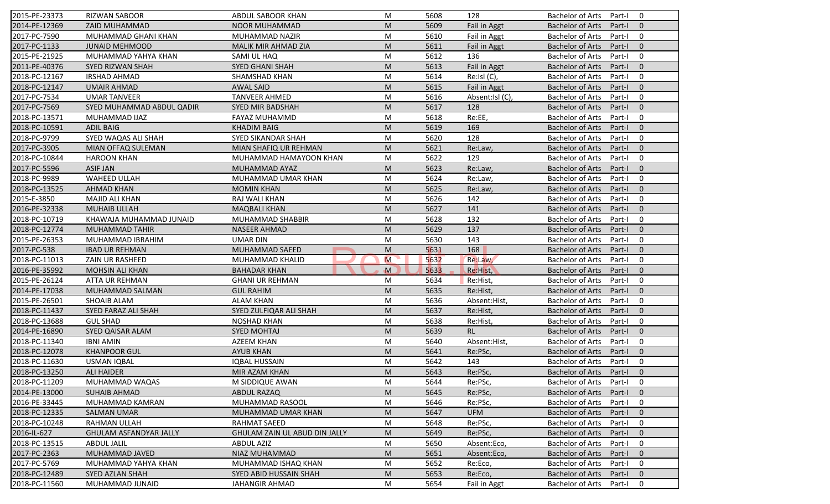| 2015-PE-23373 | <b>RIZWAN SABOOR</b>          | ABDUL SABOOR KHAN             | М                                                                                                          | 5608 | 128             | Bachelor of Arts Part-I 0 |          |                          |
|---------------|-------------------------------|-------------------------------|------------------------------------------------------------------------------------------------------------|------|-----------------|---------------------------|----------|--------------------------|
| 2014-PE-12369 | <b>ZAID MUHAMMAD</b>          | <b>NOOR MUHAMMAD</b>          | M                                                                                                          | 5609 | Fail in Aggt    | <b>Bachelor of Arts</b>   | Part-I 0 |                          |
| 2017-PC-7590  | MUHAMMAD GHANI KHAN           | MUHAMMAD NAZIR                | M                                                                                                          | 5610 | Fail in Aggt    | <b>Bachelor of Arts</b>   | Part-I   | $\overline{\mathbf{0}}$  |
| 2017-PC-1133  | <b>JUNAID MEHMOOD</b>         | MALIK MIR AHMAD ZIA           | M                                                                                                          | 5611 | Fail in Aggt    | <b>Bachelor of Arts</b>   | Part-I   | $\overline{\phantom{0}}$ |
| 2015-PE-21925 | MUHAMMAD YAHYA KHAN           | SAMI UL HAQ                   | M                                                                                                          | 5612 | 136             | <b>Bachelor of Arts</b>   | Part-I   | $\overline{0}$           |
| 2011-PE-40376 | SYED RIZWAN SHAH              | SYED GHANI SHAH               | M                                                                                                          | 5613 | Fail in Aggt    | <b>Bachelor of Arts</b>   | Part-I   | $\mathbf{0}$             |
| 2018-PC-12167 | <b>IRSHAD AHMAD</b>           | SHAMSHAD KHAN                 | M                                                                                                          | 5614 | Re:Isl (C),     | <b>Bachelor of Arts</b>   | Part-I   | $\mathbf 0$              |
| 2018-PC-12147 | <b>UMAIR AHMAD</b>            | <b>AWAL SAID</b>              | M                                                                                                          | 5615 | Fail in Aggt    | <b>Bachelor of Arts</b>   | Part-I   | $\overline{0}$           |
| 2017-PC-7534  | <b>UMAR TANVEER</b>           | <b>TANVEER AHMED</b>          | М                                                                                                          | 5616 | Absent:Isl (C), | <b>Bachelor of Arts</b>   | Part-I   | $\overline{0}$           |
| 2017-PC-7569  | SYED MUHAMMAD ABDUL QADIR     | <b>SYED MIR BADSHAH</b>       | M                                                                                                          | 5617 | 128             | Bachelor of Arts          | Part-I   | $\overline{\phantom{0}}$ |
| 2018-PC-13571 | MUHAMMAD IJAZ                 | FAYAZ MUHAMMD                 | M                                                                                                          | 5618 | Re:EE,          | <b>Bachelor of Arts</b>   | Part-I   | $\overline{\mathbf{0}}$  |
| 2018-PC-10591 | <b>ADIL BAIG</b>              | <b>KHADIM BAIG</b>            | M                                                                                                          | 5619 | 169             | <b>Bachelor of Arts</b>   | Part-I   | $\overline{\phantom{0}}$ |
| 2018-PC-9799  | SYED WAQAS ALI SHAH           | SYED SIKANDAR SHAH            | M                                                                                                          | 5620 | 128             | <b>Bachelor of Arts</b>   | Part-I   | $\overline{\mathbf{0}}$  |
| 2017-PC-3905  | MIAN OFFAQ SULEMAN            | MIAN SHAFIQ UR REHMAN         | M                                                                                                          | 5621 | Re:Law,         | <b>Bachelor of Arts</b>   | Part-I   | $\overline{0}$           |
| 2018-PC-10844 | <b>HAROON KHAN</b>            | MUHAMMAD HAMAYOON KHAN        | M                                                                                                          | 5622 | 129             | <b>Bachelor of Arts</b>   | Part-I   | $\overline{0}$           |
| 2017-PC-5596  | <b>ASIF JAN</b>               | MUHAMMAD AYAZ                 | M                                                                                                          | 5623 | Re:Law,         | <b>Bachelor of Arts</b>   | Part-I   | $\overline{0}$           |
| 2018-PC-9989  | <b>WAHEED ULLAH</b>           | MUHAMMAD UMAR KHAN            | M                                                                                                          | 5624 | Re:Law,         | <b>Bachelor of Arts</b>   | Part-I   | $\mathbf 0$              |
| 2018-PC-13525 | <b>AHMAD KHAN</b>             | <b>MOMIN KHAN</b>             | M                                                                                                          | 5625 | Re:Law,         | <b>Bachelor of Arts</b>   | Part-I   | $\overline{\phantom{0}}$ |
| 2015-E-3850   | <b>MAJID ALI KHAN</b>         | RAJ WALI KHAN                 | M                                                                                                          | 5626 | 142             | <b>Bachelor of Arts</b>   | Part-I   | $\overline{\mathbf{0}}$  |
| 2016-PE-32338 | <b>MUHAIB ULLAH</b>           | <b>MAQBALI KHAN</b>           | M                                                                                                          | 5627 | 141             | <b>Bachelor of Arts</b>   | Part-I   | $\overline{0}$           |
| 2018-PC-10719 | KHAWAJA MUHAMMAD JUNAID       | MUHAMMAD SHABBIR              | M                                                                                                          | 5628 | 132             | <b>Bachelor of Arts</b>   | Part-I   | $\mathbf 0$              |
| 2018-PC-12774 | <b>MUHAMMAD TAHIR</b>         | <b>NASEER AHMAD</b>           | M                                                                                                          | 5629 | 137             | <b>Bachelor of Arts</b>   | Part-I   | $\overline{0}$           |
| 2015-PE-26353 | MUHAMMAD IBRAHIM              | <b>UMAR DIN</b>               | M                                                                                                          | 5630 | 143             | <b>Bachelor of Arts</b>   | Part-I   | $\mathbf 0$              |
| 2017-PC-538   | <b>IBAD UR REHMAN</b>         | MUHAMMAD SAEED                | ${\sf M}$                                                                                                  | 5631 | 168             | <b>Bachelor of Arts</b>   | Part-I   | $\overline{0}$           |
| 2018-PC-11013 | ZAIN UR RASHEED               | MUHAMMAD KHALID               | M                                                                                                          | 5632 | Re:Law,         | <b>Bachelor of Arts</b>   | Part-I   | $\overline{0}$           |
| 2016-PE-35992 | <b>MOHSIN ALI KHAN</b>        | <b>BAHADAR KHAN</b>           | $\mathbf{M}$                                                                                               | 5633 | Re:Hist,        | Bachelor of Arts          | Part-I   | $\overline{\mathbf{0}}$  |
| 2015-PE-26124 | ATTA UR REHMAN                | <b>GHANI UR REHMAN</b>        | M                                                                                                          | 5634 | Re:Hist,        | <b>Bachelor of Arts</b>   | Part-I   | $\overline{\mathbf{0}}$  |
| 2014-PE-17038 | MUHAMMAD SALMAN               | <b>GUL RAHIM</b>              | M                                                                                                          | 5635 | Re:Hist,        | Bachelor of Arts          | Part-I   | $\overline{\phantom{0}}$ |
| 2015-PE-26501 | <b>SHOAIB ALAM</b>            | <b>ALAM KHAN</b>              | M                                                                                                          | 5636 | Absent:Hist,    | Bachelor of Arts          | Part-I   | $\overline{\mathbf{0}}$  |
| 2018-PC-11437 | SYED FARAZ ALI SHAH           | SYED ZULFIQAR ALI SHAH        | M                                                                                                          | 5637 | Re:Hist,        | <b>Bachelor of Arts</b>   | Part-I   | $\overline{\mathbf{0}}$  |
| 2018-PC-13688 | <b>GUL SHAD</b>               | <b>NOSHAD KHAN</b>            | M                                                                                                          | 5638 | Re:Hist,        | <b>Bachelor of Arts</b>   | Part-I   | $\overline{0}$           |
| 2014-PE-16890 | SYED QAISAR ALAM              | <b>SYED MOHTAJ</b>            | $\mathsf{M}% _{T}=\mathsf{M}_{T}\!\left( a,b\right) ,\ \mathsf{M}_{T}=\mathsf{M}_{T}\!\left( a,b\right) ,$ | 5639 | RL              | <b>Bachelor of Arts</b>   | Part-I   | $\overline{0}$           |
| 2018-PC-11340 | <b>IBNI AMIN</b>              | AZEEM KHAN                    | M                                                                                                          | 5640 | Absent:Hist,    | <b>Bachelor of Arts</b>   | Part-I   | $\overline{0}$           |
| 2018-PC-12078 | <b>KHANPOOR GUL</b>           | <b>AYUB KHAN</b>              | M                                                                                                          | 5641 | Re:PSc,         | <b>Bachelor of Arts</b>   | Part-I   | $\overline{\phantom{0}}$ |
| 2018-PC-11630 | <b>USMAN IQBAL</b>            | <b>IQBAL HUSSAIN</b>          | М                                                                                                          | 5642 | 143             | Bachelor of Arts          | Part-I   | $\overline{\mathbf{0}}$  |
| 2018-PC-13250 | <b>ALI HAIDER</b>             | MIR AZAM KHAN                 | M                                                                                                          | 5643 | Re:PSc,         | Bachelor of Arts          | Part-I 0 |                          |
| 2018-PC-11209 | MUHAMMAD WAQAS                | M SIDDIQUE AWAN               | M                                                                                                          | 5644 | Re:PSc,         | <b>Bachelor of Arts</b>   | Part-I   | $\overline{0}$           |
| 2014-PE-13000 | <b>SUHAIB AHMAD</b>           | <b>ABDUL RAZAQ</b>            | M                                                                                                          | 5645 | Re:PSc,         | <b>Bachelor of Arts</b>   | Part-I   | $\mathbf{0}$             |
| 2016-PE-33445 | MUHAMMAD KAMRAN               | MUHAMMAD RASOOL               | M                                                                                                          | 5646 | Re:PSc,         | <b>Bachelor of Arts</b>   | Part-I   | 0                        |
| 2018-PC-12335 | <b>SALMAN UMAR</b>            | MUHAMMAD UMAR KHAN            | M                                                                                                          | 5647 | <b>UFM</b>      | <b>Bachelor of Arts</b>   | Part-I   | $\mathbf 0$              |
| 2018-PC-10248 | RAHMAN ULLAH                  | RAHMAT SAEED                  | M                                                                                                          | 5648 | Re:PSc,         | <b>Bachelor of Arts</b>   | Part-I   | $\mathbf 0$              |
| 2016-IL-627   | <b>GHULAM ASFANDYAR JALLY</b> | GHULAM ZAIN UL ABUD DIN JALLY | M                                                                                                          | 5649 | Re:PSc,         | <b>Bachelor of Arts</b>   | Part-I   | $\overline{0}$           |
| 2018-PC-13515 | <b>ABDUL JALIL</b>            | <b>ABDUL AZIZ</b>             | M                                                                                                          | 5650 | Absent:Eco,     | <b>Bachelor of Arts</b>   | Part-I   | $\overline{0}$           |
| 2017-PC-2363  | MUHAMMAD JAVED                | NIAZ MUHAMMAD                 | M                                                                                                          | 5651 | Absent:Eco,     | <b>Bachelor of Arts</b>   | Part-I   | $\overline{\mathbf{0}}$  |
| 2017-PC-5769  | MUHAMMAD YAHYA KHAN           | MUHAMMAD ISHAQ KHAN           | M                                                                                                          | 5652 | Re:Eco,         | <b>Bachelor of Arts</b>   | Part-I   | $\overline{\mathbf{0}}$  |
| 2018-PC-12489 | SYED AZLAN SHAH               | SYED ABID HUSSAIN SHAH        | M                                                                                                          | 5653 | Re:Eco,         | <b>Bachelor of Arts</b>   | Part-I   | $\overline{0}$           |
| 2018-PC-11560 | MUHAMMAD JUNAID               | <b>JAHANGIR AHMAD</b>         | M                                                                                                          | 5654 | Fail in Aggt    | <b>Bachelor of Arts</b>   | Part-I   | $\overline{\mathbf{0}}$  |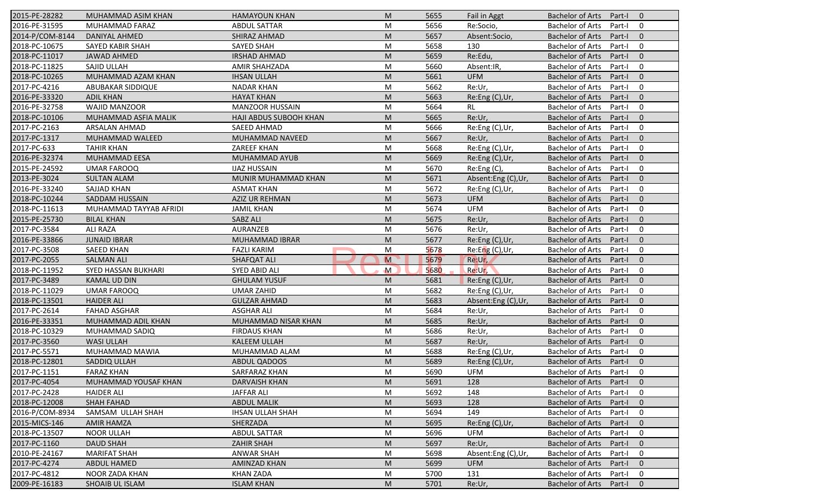| 2015-PE-28282                 | MUHAMMAD ASIM KHAN     | <b>HAMAYOUN KHAN</b>       | M                                                                                                          | 5655 | Fail in Aggt       | Bachelor of Arts Part-I |        | $\overline{0}$ |
|-------------------------------|------------------------|----------------------------|------------------------------------------------------------------------------------------------------------|------|--------------------|-------------------------|--------|----------------|
| 2016-PE-31595                 | MUHAMMAD FARAZ         | ABDUL SATTAR               | M                                                                                                          | 5656 | Re:Socio,          | <b>Bachelor of Arts</b> | Part-I | 0              |
| 2014-P/COM-8144               | DANIYAL AHMED          | SHIRAZ AHMAD               | M                                                                                                          | 5657 | Absent:Socio,      | <b>Bachelor of Arts</b> | Part-I | $\overline{0}$ |
| 2018-PC-10675                 | SAYED KABIR SHAH       | SAYED SHAH                 | M                                                                                                          | 5658 | 130                | Bachelor of Arts        | Part-I | $\mathbf 0$    |
| 2018-PC-11017                 | <b>JAWAD AHMED</b>     | <b>IRSHAD AHMAD</b>        | M                                                                                                          | 5659 | Re:Edu,            | <b>Bachelor of Arts</b> | Part-I | $\overline{0}$ |
| 2018-PC-11825                 | SAJID ULLAH            | AMIR SHAHZADA              | M                                                                                                          | 5660 | Absent:IR,         | <b>Bachelor of Arts</b> | Part-I | $\mathbf 0$    |
| 2018-PC-10265                 | MUHAMMAD AZAM KHAN     | <b>IHSAN ULLAH</b>         | M                                                                                                          | 5661 | <b>UFM</b>         | <b>Bachelor of Arts</b> | Part-I | $\overline{0}$ |
| 2017-PC-4216                  | ABUBAKAR SIDDIQUE      | <b>NADAR KHAN</b>          | M                                                                                                          | 5662 | Re:Ur,             | <b>Bachelor of Arts</b> | Part-I | $\mathbf 0$    |
| 2016-PE-33320                 | <b>ADIL KHAN</b>       | <b>HAYAT KHAN</b>          | M                                                                                                          | 5663 | Re:Eng (C), Ur,    | <b>Bachelor of Arts</b> | Part-I | $\mathbf{0}$   |
| 2016-PE-32758                 | WAJID MANZOOR          | <b>MANZOOR HUSSAIN</b>     | M                                                                                                          | 5664 | <b>RL</b>          | <b>Bachelor of Arts</b> | Part-I | 0              |
| 2018-PC-10106                 | MUHAMMAD ASFIA MALIK   | HAJI ABDUS SUBOOH KHAN     | M                                                                                                          | 5665 | Re:Ur,             | <b>Bachelor of Arts</b> | Part-I | $\mathbf 0$    |
| 2017-PC-2163                  | ARSALAN AHMAD          | SAEED AHMAD                | M                                                                                                          | 5666 | Re:Eng (C), Ur,    | Bachelor of Arts        | Part-I | 0              |
| 2017-PC-1317                  | MUHAMMAD WALEED        | MUHAMMAD NAVEED            | M                                                                                                          | 5667 | Re:Ur,             | <b>Bachelor of Arts</b> | Part-I | $\mathbf 0$    |
| 2017-PC-633                   | <b>TAHIR KHAN</b>      | ZAREEF KHAN                | M                                                                                                          | 5668 | Re:Eng (C),Ur,     | <b>Bachelor of Arts</b> | Part-I | $\overline{0}$ |
| 2016-PE-32374                 | MUHAMMAD EESA          | MUHAMMAD AYUB              | M                                                                                                          | 5669 | Re:Eng (C),Ur,     | <b>Bachelor of Arts</b> | Part-I | $\mathbf{0}$   |
| 2015-PE-24592                 | <b>UMAR FAROOQ</b>     | <b>IJAZ HUSSAIN</b>        | M                                                                                                          | 5670 | Re:Eng (C),        | <b>Bachelor of Arts</b> | Part-I | 0              |
| 2013-PE-3024                  | <b>SULTAN ALAM</b>     | <b>MUNIR MUHAMMAD KHAN</b> | M                                                                                                          | 5671 | Absent:Eng (C),Ur, | <b>Bachelor of Arts</b> | Part-I | $\overline{0}$ |
| 2016-PE-33240                 | SAJJAD KHAN            | <b>ASMAT KHAN</b>          | M                                                                                                          | 5672 | Re:Eng (C),Ur,     | <b>Bachelor of Arts</b> | Part-I | $\mathbf 0$    |
| 2018-PC-10244                 | SADDAM HUSSAIN         | <b>AZIZ UR REHMAN</b>      | M                                                                                                          | 5673 | <b>UFM</b>         | <b>Bachelor of Arts</b> | Part-I | $\overline{0}$ |
| 2018-PC-11613                 | MUHAMMAD TAYYAB AFRIDI | <b>JAMIL KHAN</b>          | M                                                                                                          | 5674 | UFM                | <b>Bachelor of Arts</b> | Part-I | $\mathbf 0$    |
| 2015-PE-25730                 | <b>BILAL KHAN</b>      | SABZ ALI                   | M                                                                                                          | 5675 | Re:Ur,             | <b>Bachelor of Arts</b> | Part-I | $\overline{0}$ |
| 2017-PC-3584                  | <b>ALI RAZA</b>        | AURANZEB                   | M                                                                                                          | 5676 | Re:Ur,             | Bachelor of Arts        | Part-I | $\overline{0}$ |
| 2016-PE-33866                 | <b>JUNAID IBRAR</b>    | <b>MUHAMMAD IBRAR</b>      | $\mathsf{M}% _{T}=\mathsf{M}_{T}\!\left( a,b\right) ,\ \mathsf{M}_{T}=\mathsf{M}_{T}\!\left( a,b\right) ,$ | 5677 | Re:Eng (C), Ur,    | <b>Bachelor of Arts</b> | Part-I | $\overline{0}$ |
| 2017-PC-3508                  | <b>SAEED KHAN</b>      | <b>FAZLI KARIM</b>         | M                                                                                                          | 5678 | Re:Eng (C),Ur,     | <b>Bachelor of Arts</b> | Part-I | $\mathbf 0$    |
| 2017-PC-2055                  | <b>SALMAN ALI</b>      | SHAFQAT ALI                | M                                                                                                          | 5679 | Re:Ur,             | <b>Bachelor of Arts</b> | Part-I | $\mathbf{0}$   |
| 2018-PC-11952                 | SYED HASSAN BUKHARI    | SYED ABID ALI              | M                                                                                                          | 5680 | Re:Ur,             | <b>Bachelor of Arts</b> | Part-I | $\mathbf 0$    |
| 2017-PC-3489                  | <b>KAMAL UD DIN</b>    | <b>GHULAM YUSUF</b>        | M                                                                                                          | 5681 | Re:Eng (C), Ur,    | <b>Bachelor of Arts</b> | Part-I | $\mathbf{0}$   |
| 2018-PC-11029                 | <b>UMAR FAROOQ</b>     | <b>UMAR ZAHID</b>          | M                                                                                                          | 5682 | Re:Eng (C),Ur,     | Bachelor of Arts        | Part-I | $\mathbf 0$    |
| 2018-PC-13501                 | <b>HAIDER ALI</b>      | <b>GULZAR AHMAD</b>        | M                                                                                                          | 5683 | Absent:Eng (C),Ur, | <b>Bachelor of Arts</b> | Part-I | $\mathbf 0$    |
| 2017-PC-2614                  | <b>FAHAD ASGHAR</b>    | <b>ASGHAR ALI</b>          | M                                                                                                          | 5684 | Re:Ur,             | Bachelor of Arts        | Part-I | $\mathbf 0$    |
| 2016-PE-33351                 | MUHAMMAD ADIL KHAN     | MUHAMMAD NISAR KHAN        | M                                                                                                          | 5685 | Re:Ur,             | <b>Bachelor of Arts</b> | Part-I | $\overline{0}$ |
| 2018-PC-10329                 | MUHAMMAD SADIQ         | <b>FIRDAUS KHAN</b>        | M                                                                                                          | 5686 | Re:Ur,             | <b>Bachelor of Arts</b> | Part-I | $\mathbf 0$    |
| 2017-PC-3560                  | <b>WASI ULLAH</b>      | <b>KALEEM ULLAH</b>        | M                                                                                                          | 5687 | Re:Ur,             | <b>Bachelor of Arts</b> | Part-I | $\overline{0}$ |
| 2017-PC-5571                  | MUHAMMAD MAWIA         | MUHAMMAD ALAM              | M                                                                                                          | 5688 | Re:Eng (C),Ur,     | <b>Bachelor of Arts</b> | Part-I | 0              |
| 2018-PC-12801                 | SADDIQ ULLAH           | ABDUL QADOOS               | M                                                                                                          | 5689 | Re:Eng (C),Ur,     | <b>Bachelor of Arts</b> | Part-I | $\overline{0}$ |
| 2017-PC-1151                  | <b>FARAZ KHAN</b>      | <b>SARFARAZ KHAN</b>       | M                                                                                                          | 5690 | UFM                | Bachelor of Arts Part-I |        | 0              |
| 2017-PC-4054                  | MUHAMMAD YOUSAF KHAN   | <b>DARVAISH KHAN</b>       | M                                                                                                          | 5691 | 128                | Bachelor of Arts        | Part-I | $\bf{0}$       |
| 2017-PC-2428                  | <b>HAIDER ALI</b>      | <b>JAFFAR ALI</b>          | M                                                                                                          | 5692 | 148                | <b>Bachelor of Arts</b> | Part-I | $\mathbf 0$    |
| 2018-PC-12008                 | <b>SHAH FAHAD</b>      | <b>ABDUL MALIK</b>         | M                                                                                                          | 5693 | 128                | <b>Bachelor of Arts</b> | Part-I | $\mathbf{0}$   |
| 2016-P/COM-8934               | SAMSAM ULLAH SHAH      | <b>IHSAN ULLAH SHAH</b>    | М                                                                                                          | 5694 | 149                | <b>Bachelor of Arts</b> | Part-I | 0              |
| 2015-MICS-146                 | AMIR HAMZA             | SHERZADA                   | M                                                                                                          | 5695 | Re:Eng (C),Ur,     | <b>Bachelor of Arts</b> | Part-I | $\mathbf 0$    |
| 2018-PC-13507                 | <b>NOOR ULLAH</b>      | <b>ABDUL SATTAR</b>        | M                                                                                                          | 5696 | <b>UFM</b>         | <b>Bachelor of Arts</b> | Part-I | 0              |
| 2017-PC-1160                  | <b>DAUD SHAH</b>       | <b>ZAHIR SHAH</b>          | M                                                                                                          | 5697 | Re:Ur,             | <b>Bachelor of Arts</b> | Part-I | $\mathbf 0$    |
|                               |                        |                            |                                                                                                            |      |                    |                         |        |                |
|                               | <b>MARIFAT SHAH</b>    | <b>ANWAR SHAH</b>          | М                                                                                                          | 5698 | Absent:Eng (C),Ur, | <b>Bachelor of Arts</b> | Part-I | 0              |
| 2010-PE-24167<br>2017-PC-4274 | <b>ABDUL HAMED</b>     | AMINZAD KHAN               | M                                                                                                          | 5699 | <b>UFM</b>         | <b>Bachelor of Arts</b> | Part-I | $\mathbf 0$    |
| 2017-PC-4812                  | <b>NOOR ZADA KHAN</b>  | <b>KHAN ZADA</b>           | M                                                                                                          | 5700 | 131                | <b>Bachelor of Arts</b> | Part-I | 0              |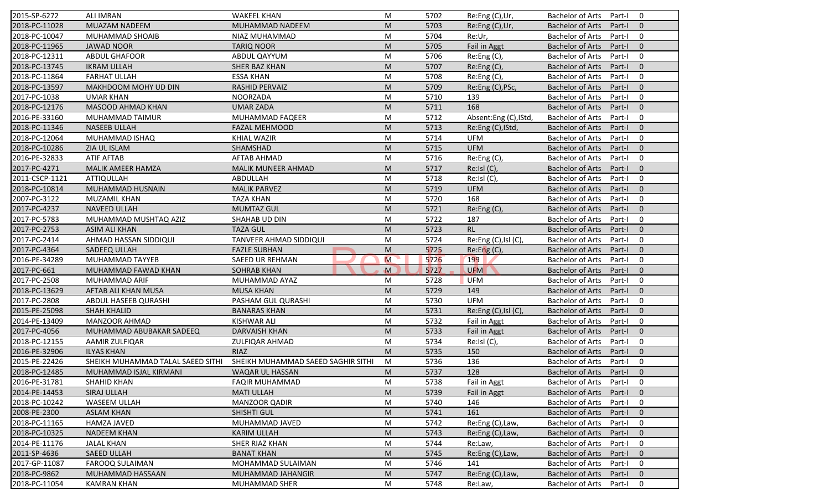| 2015-SP-6272   | <b>ALI IMRAN</b>                  | <b>WAKEEL KHAN</b>                 | M            | 5702         | Re:Eng (C),Ur,             | <b>Bachelor of Arts</b><br>Part-I<br>0              |
|----------------|-----------------------------------|------------------------------------|--------------|--------------|----------------------------|-----------------------------------------------------|
| 2018-PC-11028  | MUAZAM NADEEM                     | MUHAMMAD NADEEM                    | M            | 5703         | Re:Eng (C),Ur,             | <b>Bachelor of Arts</b><br>Part-I<br>$\mathbf{0}$   |
| 2018-PC-10047  | MUHAMMAD SHOAIB                   | NIAZ MUHAMMAD                      | M            | 5704         | Re:Ur,                     | <b>Bachelor of Arts</b><br>Part-I<br>0              |
| 2018-PC-11965  | <b>JAWAD NOOR</b>                 | <b>TARIQ NOOR</b>                  | M            | 5705         | Fail in Aggt               | <b>Bachelor of Arts</b><br>$\mathbf{0}$<br>Part-I   |
| 2018-PC-12311  | <b>ABDUL GHAFOOR</b>              | ABDUL QAYYUM                       | M            | 5706         | Re:Eng (C),                | <b>Bachelor of Arts</b><br>0<br>Part-I              |
| 2018-PC-13745  | <b>IKRAM ULLAH</b>                | SHER BAZ KHAN                      | M            | 5707         | Re:Eng (C),                | <b>Bachelor of Arts</b><br>Part-I<br>$\overline{0}$ |
| 2018-PC-11864  | <b>FARHAT ULLAH</b>               | <b>ESSA KHAN</b>                   | M            | 5708         | Re:Eng (C),                | <b>Bachelor of Arts</b><br>0<br>Part-I              |
| 2018-PC-13597  | MAKHDOOM MOHY UD DIN              | <b>RASHID PERVAIZ</b>              | M            | 5709         | Re:Eng (C), PSc,           | <b>Bachelor of Arts</b><br>$\mathbf{0}$<br>Part-I   |
| 2017-PC-1038   | <b>UMAR KHAN</b>                  | <b>NOORZADA</b>                    | M            | 5710         | 139                        | $\mathbf 0$<br><b>Bachelor of Arts</b><br>Part-I    |
| 2018-PC-12176  | MASOOD AHMAD KHAN                 | <b>UMAR ZADA</b>                   | M            | 5711         | 168                        | <b>Bachelor of Arts</b><br>Part-I<br>$\mathbf{0}$   |
| 2016-PE-33160  | MUHAMMAD TAIMUR                   | MUHAMMAD FAQEER                    | M            | 5712         | Absent:Eng (C), IStd,      | <b>Bachelor of Arts</b><br>Part-I<br>0              |
| 2018-PC-11346  | <b>NASEEB ULLAH</b>               | FAZAL MEHMOOD                      | M            | 5713         | Re:Eng (C), IStd,          | <b>Bachelor of Arts</b><br>Part-I<br>$\mathbf{0}$   |
| 2018-PC-12064  | MUHAMMAD ISHAQ                    | <b>KHIAL WAZIR</b>                 | M            | 5714         | <b>UFM</b>                 | <b>Bachelor of Arts</b><br>0<br>Part-I              |
| 2018-PC-10286  | ZIA UL ISLAM                      | SHAMSHAD                           | M            | 5715         | <b>UFM</b>                 | <b>Bachelor of Arts</b><br>$\mathbf{0}$<br>Part-I   |
| 2016-PE-32833  | <b>ATIF AFTAB</b>                 | AFTAB AHMAD                        | M            |              |                            | 0<br>Part-I                                         |
| 2017-PC-4271   | MALIK AMEER HAMZA                 |                                    |              | 5716<br>5717 | Re:Eng(C),<br>Re:IsI(C),   | Bachelor of Arts<br>$\Omega$<br>Part-I              |
|                |                                   | MALIK MUNEER AHMAD                 | M            |              |                            | <b>Bachelor of Arts</b>                             |
| 2011-CSCP-1121 | <b>ATTIQULLAH</b>                 | ABDULLAH                           | M            | 5718         | Re:Isl (C),                | <b>Bachelor of Arts</b><br>0<br>Part-I              |
| 2018-PC-10814  | MUHAMMAD HUSNAIN                  | <b>MALIK PARVEZ</b>                | M            | 5719         | <b>UFM</b>                 | <b>Bachelor of Arts</b><br>Part-I<br>$\mathbf{0}$   |
| 2007-PC-3122   | MUZAMIL KHAN                      | <b>TAZA KHAN</b>                   | M            | 5720         | 168                        | <b>Bachelor of Arts</b><br>Part-I<br>0              |
| 2017-PC-4237   | <b>NAVEED ULLAH</b>               | <b>MUMTAZ GUL</b>                  | M            | 5721         | Re:Eng (C),                | <b>Bachelor of Arts</b><br>Part-I<br>$\mathbf{0}$   |
| 2017-PC-5783   | MUHAMMAD MUSHTAQ AZIZ             | SHAHAB UD DIN                      | M            | 5722         | 187                        | <b>Bachelor of Arts</b><br>0<br>Part-I              |
| 2017-PC-2753   | <b>ASIM ALI KHAN</b>              | <b>TAZA GUL</b>                    | M            | 5723         | <b>RL</b>                  | $\mathbf{0}$<br><b>Bachelor of Arts</b><br>Part-I   |
| 2017-PC-2414   | AHMAD HASSAN SIDDIQUI             | TANVEER AHMAD SIDDIQUI             | M            | 5724         | Re:Eng (C), Isl (C),       | <b>Bachelor of Arts</b><br>Part-I<br>0              |
| 2017-PC-4364   | SADEEQ ULLAH                      | <b>FAZLE SUBHAN</b>                | M            | 5725         | Re: Eng(C)                 | $\mathbf{0}$<br><b>Bachelor of Arts</b><br>Part-I   |
| 2016-PE-34289  | MUHAMMAD TAYYEB                   | <b>SAEED UR REHMAN</b>             | M            | 5726         | 199                        | <b>Bachelor of Arts</b><br>0<br>Part-I              |
| 2017-PC-661    | MUHAMMAD FAWAD KHAN               | <b>SOHRAB KHAN</b>                 | $\mathbf{M}$ | 5727         | <b>UFM</b>                 | <b>Bachelor of Arts</b><br>$\mathbf{0}$<br>Part-I   |
| 2017-PC-2508   | MUHAMMAD ARIF                     | MUHAMMAD AYAZ                      | M            | 5728         | <b>UFM</b>                 | <b>Bachelor of Arts</b><br>Part-I<br>0              |
| 2018-PC-13629  | AFTAB ALI KHAN MUSA               | <b>MUSA KHAN</b>                   | M            | 5729         | 149                        | <b>Bachelor of Arts</b><br>Part-I<br>$\mathbf{0}$   |
| 2017-PC-2808   | ABDUL HASEEB QURASHI              | PASHAM GUL QURASHI                 | M            | 5730         | <b>UFM</b>                 | <b>Bachelor of Arts</b><br>Part-I<br>0              |
| 2015-PE-25098  | <b>SHAH KHALID</b>                | <b>BANARAS KHAN</b>                | M            | 5731         | Re:Eng $(C)$ , Isl $(C)$ , | <b>Bachelor of Arts</b><br>$\mathbf{0}$<br>Part-I   |
| 2014-PE-13409  | <b>MANZOOR AHMAD</b>              | <b>KISHWAR ALI</b>                 | M            | 5732         | Fail in Aggt               | 0<br><b>Bachelor of Arts</b><br>Part-I              |
| 2017-PC-4056   | MUHAMMAD ABUBAKAR SADEEQ          | DARVAISH KHAN                      | M            | 5733         | Fail in Aggt               | <b>Bachelor of Arts</b><br>$\Omega$<br>Part-I       |
| 2018-PC-12155  | AAMIR ZULFIQAR                    | ZULFIQAR AHMAD                     | M            | 5734         | Re:Isl (C),                | <b>Bachelor of Arts</b><br>0<br>Part-I              |
| 2016-PE-32906  | <b>ILYAS KHAN</b>                 | <b>RIAZ</b>                        | M            | 5735         | 150                        | <b>Bachelor of Arts</b><br>Part-I<br>$\mathbf{0}$   |
| 2015-PE-22426  | SHEIKH MUHAMMAD TALAL SAEED SITHI | SHEIKH MUHAMMAD SAEED SAGHIR SITHI | M            | 5736         | 136                        | <b>Bachelor of Arts</b><br>Part-I<br>0              |
| 2018-PC-12485  | MUHAMMAD ISJAL KIRMANI            | WAQAR UL HASSAN                    | ${\sf M}$    | 5737         | 128                        | Bachelor of Arts Part-I 0                           |
| 2016-PE-31781  | SHAHID KHAN                       | <b>FAQIR MUHAMMAD</b>              | M            | 5738         | Fail in Aggt               | Bachelor of Arts Part-I<br>$\mathbf 0$              |
| 2014-PE-14453  | SIRAJ ULLAH                       | <b>MATI ULLAH</b>                  | M            | 5739         | Fail in Aggt               | <b>Bachelor of Arts</b><br>Part-I<br>$\mathbf{0}$   |
| 2018-PC-10242  | WASEEM ULLAH                      | <b>MANZOOR QADIR</b>               | M            | 5740         | 146                        | <b>Bachelor of Arts</b><br>Part-I<br>0              |
| 2008-PE-2300   | <b>ASLAM KHAN</b>                 | SHISHTI GUL                        | M            | 5741         | 161                        | <b>Bachelor of Arts</b><br>Part-I<br>$\mathbf{0}$   |
| 2018-PC-11165  | HAMZA JAVED                       | MUHAMMAD JAVED                     | M            | 5742         | Re:Eng (C), Law,           | <b>Bachelor of Arts</b><br>0<br>Part-I              |
| 2018-PC-10325  | <b>NADEEM KHAN</b>                | <b>KARIM ULLAH</b>                 | M            | 5743         | Re:Eng (C), Law,           | <b>Bachelor of Arts</b><br>Part-I<br>$\mathbf{0}$   |
| 2014-PE-11176  | <b>JALAL KHAN</b>                 | SHER RIAZ KHAN                     |              | 5744         |                            | <b>Bachelor of Arts</b>                             |
|                |                                   |                                    | M            |              | Re:Law,                    | 0<br>Part-I                                         |
| 2011-SP-4636   | SAEED ULLAH                       | <b>BANAT KHAN</b>                  | M            | 5745         | Re:Eng (C), Law,           | <b>Bachelor of Arts</b><br>Part-I<br>$\mathbf 0$    |
| 2017-GP-11087  | FAROOQ SULAIMAN                   | MOHAMMAD SULAIMAN                  | M            | 5746         | 141                        | <b>Bachelor of Arts</b><br>0<br>Part-I              |
| 2018-PC-9862   | MUHAMMAD HASSAAN                  | MUHAMMAD JAHANGIR                  | M            | 5747         | Re:Eng (C), Law,           | <b>Bachelor of Arts</b><br>$\mathbf 0$<br>Part-I    |
| 2018-PC-11054  | <b>KAMRAN KHAN</b>                | MUHAMMAD SHER                      | M            | 5748         | Re:Law,                    | Bachelor of Arts<br>0<br>Part-I                     |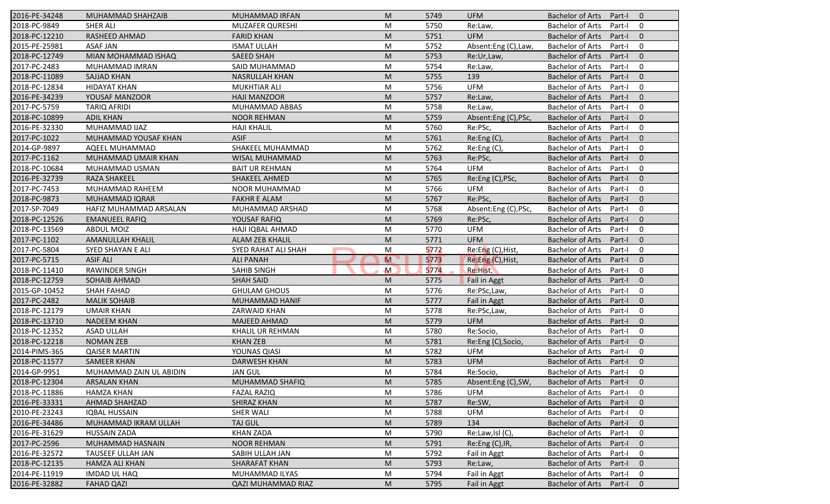| 2016-PE-34248 | MUHAMMAD SHAHZAIB       | <b>MUHAMMAD IRFAN</b>     | M              | 5749 | <b>UFM</b>           | <b>Bachelor of Arts</b><br>Part-I<br>$\overline{0}$ |
|---------------|-------------------------|---------------------------|----------------|------|----------------------|-----------------------------------------------------|
| 2018-PC-9849  | <b>SHER ALI</b>         | <b>MUZAFER QURESHI</b>    | M              | 5750 | Re:Law,              | <b>Bachelor of Arts</b><br>Part-I<br>0              |
| 2018-PC-12210 | <b>RASHEED AHMAD</b>    | <b>FARID KHAN</b>         | M              | 5751 | <b>UFM</b>           | <b>Bachelor of Arts</b><br>Part-I<br>$\mathbf{0}$   |
| 2015-PE-25981 | <b>ASAF JAN</b>         | <b>ISMAT ULLAH</b>        | M              | 5752 | Absent:Eng (C),Law,  | <b>Bachelor of Arts</b><br>Part-I<br>0              |
| 2018-PC-12749 | MIAN MOHAMMAD ISHAQ     | <b>SAEED SHAH</b>         | M              | 5753 | Re:Ur,Law,           | $\mathbf{0}$<br><b>Bachelor of Arts</b><br>Part-I   |
| 2017-PC-2483  | MUHAMMAD IMRAN          | SAID MUHAMMAD             | M              | 5754 | Re:Law,              | <b>Bachelor of Arts</b><br>Part-I<br>0              |
| 2018-PC-11089 | <b>SAJJAD KHAN</b>      | <b>NASRULLAH KHAN</b>     | M              | 5755 | 139                  | $\mathbf{0}$<br><b>Bachelor of Arts</b><br>Part-I   |
| 2018-PC-12834 | <b>HIDAYAT KHAN</b>     | <b>MUKHTIAR ALI</b>       | M              | 5756 | <b>UFM</b>           | <b>Bachelor of Arts</b><br>Part-I<br>0              |
| 2016-PE-34239 | YOUSAF MANZOOR          | <b>HAJI MANZOOR</b>       | M              | 5757 | Re:Law,              | <b>Bachelor of Arts</b><br>Part-I<br>$\mathbf{0}$   |
| 2017-PC-5759  | <b>TARIQ AFRIDI</b>     | MUHAMMAD ABBAS            | M              | 5758 | Re:Law,              | <b>Bachelor of Arts</b><br>Part-I<br>0              |
| 2018-PC-10899 | <b>ADIL KHAN</b>        | <b>NOOR REHMAN</b>        | M              | 5759 | Absent:Eng (C), PSc, | <b>Bachelor of Arts</b><br>Part-I<br>$\mathbf{0}$   |
| 2016-PE-32330 | MUHAMMAD IJAZ           | <b>HAJI KHALIL</b>        | M              | 5760 | Re:PSc,              | $\mathbf 0$<br><b>Bachelor of Arts</b><br>Part-I    |
| 2017-PC-1022  | MUHAMMAD YOUSAF KHAN    | <b>ASIF</b>               | M              | 5761 | Re:Eng (C),          | <b>Bachelor of Arts</b><br>$\mathbf{0}$<br>Part-I   |
| 2014-GP-9897  | AQEEL MUHAMMAD          | SHAKEEL MUHAMMAD          | M              | 5762 | Re: Eng(C),          | $\mathbf 0$<br><b>Bachelor of Arts</b><br>Part-I    |
| 2017-PC-1162  | MUHAMMAD UMAIR KHAN     | WISAL MUHAMMAD            | M              | 5763 | Re:PSc,              | $\mathbf{0}$<br><b>Bachelor of Arts</b><br>Part-I   |
| 2018-PC-10684 | MUHAMMAD USMAN          | <b>BAIT UR REHMAN</b>     | M              | 5764 | <b>UFM</b>           | <b>Bachelor of Arts</b><br>0<br>Part-I              |
| 2016-PE-32739 | <b>RAZA SHAKEEL</b>     | SHAKEEL AHMED             | M              | 5765 | Re:Eng (C), PSc,     | <b>Bachelor of Arts</b><br>$\mathbf{0}$<br>Part-I   |
| 2017-PC-7453  | MUHAMMAD RAHEEM         | NOOR MUHAMMAD             | M              | 5766 | <b>UFM</b>           | <b>Bachelor of Arts</b><br>Part-I<br>0              |
| 2018-PC-9873  | MUHAMMAD IQRAR          | <b>FAKHR E ALAM</b>       | M              | 5767 | Re:PSc,              | <b>Bachelor of Arts</b><br>$\mathbf{0}$<br>Part-I   |
| 2017-SP-7049  | HAFIZ MUHAMMAD ARSALAN  | MUHAMMAD ARSHAD           | M              | 5768 | Absent:Eng (C), PSc, | <b>Bachelor of Arts</b><br>$\mathbf 0$<br>Part-I    |
| 2018-PC-12526 | <b>EMANUEEL RAFIQ</b>   | YOUSAF RAFIQ              | M              | 5769 | Re:PSc,              | <b>Bachelor of Arts</b><br>$\mathbf{0}$<br>Part-I   |
| 2018-PC-13569 | <b>ABDUL MOIZ</b>       | HAJI IQBAL AHMAD          | M              | 5770 | <b>UFM</b>           | <b>Bachelor of Arts</b><br>0<br>Part-I              |
| 2017-PC-1102  | <b>AMANULLAH KHALIL</b> | <b>ALAM ZEB KHALIL</b>    | M              | 5771 | <b>UFM</b>           | <b>Bachelor of Arts</b><br>Part-I<br>$\overline{0}$ |
| 2017-PC-5804  | SYED SHAYAN E ALI       | SYED RAHAT ALI SHAH       | M              | 5772 | Re:Eng (C), Hist,    | <b>Bachelor of Arts</b><br>$\mathbf 0$<br>Part-I    |
| 2017-PC-5715  | <b>ASIF ALI</b>         | <b>ALI PANAH</b>          | $\overline{M}$ | 5773 | Re:Eng (C), Hist,    | $\mathbf{0}$<br><b>Bachelor of Arts</b><br>Part-I   |
| 2018-PC-11410 | <b>RAWINDER SINGH</b>   | <b>SAHIB SINGH</b>        | $\mathsf{M}$   | 5774 | Re:Hist,             | $\mathbf 0$<br><b>Bachelor of Arts</b><br>Part-I    |
| 2018-PC-12759 | SOHAIB AHMAD            | <b>SHAH SAID</b>          | M              | 5775 | Fail in Aggt         | <b>Bachelor of Arts</b><br>Part-I<br>$\mathbf{0}$   |
| 2015-GP-10452 | <b>SHAH FAHAD</b>       | <b>GHULAM GHOUS</b>       | M              | 5776 | Re:PSc,Law,          | <b>Bachelor of Arts</b><br>$\mathbf 0$<br>Part-I    |
| 2017-PC-2482  | <b>MALIK SOHAIB</b>     | MUHAMMAD HANIF            | M              | 5777 | <b>Fail in Aggt</b>  | <b>Bachelor of Arts</b><br>Part-I<br>$\mathbf{0}$   |
| 2018-PC-12179 | <b>UMAIR KHAN</b>       | <b>ZARWAID KHAN</b>       | M              | 5778 | Re:PSc,Law,          | $\mathbf 0$<br><b>Bachelor of Arts</b><br>Part-I    |
| 2018-PC-13710 | <b>NADEEM KHAN</b>      | <b>MAJEED AHMAD</b>       | M              | 5779 | <b>UFM</b>           | <b>Bachelor of Arts</b><br>Part-I<br>$\overline{0}$ |
| 2018-PC-12352 | <b>ASAD ULLAH</b>       | KHALIL UR REHMAN          | M              | 5780 | Re:Socio,            | <b>Bachelor of Arts</b><br>0<br>Part-I              |
| 2018-PC-12218 | <b>NOMAN ZEB</b>        | <b>KHAN ZEB</b>           | M              | 5781 | Re:Eng (C), Socio,   | <b>Bachelor of Arts</b><br>$\mathbf{0}$<br>Part-I   |
| 2014-PIMS-365 | <b>QAISER MARTIN</b>    | YOUNAS QIASI              | M              | 5782 | <b>UFM</b>           | <b>Bachelor of Arts</b><br>Part-I<br>0              |
| 2018-PC-11577 | <b>SAMEER KHAN</b>      | <b>DARWESH KHAN</b>       | M              | 5783 | <b>UFM</b>           | <b>Bachelor of Arts</b><br>Part-I<br>$\mathbf 0$    |
| 2014-GP-9951  | MUHAMMAD ZAIN UL ABIDIN | <b>JAN GUL</b>            | M              | 5784 | Re:Socio,            | Bachelor of Arts Part-I<br>$\mathbf 0$              |
| 2018-PC-12304 | <b>ARSALAN KHAN</b>     | MUHAMMAD SHAFIQ           | M              | 5785 | Absent:Eng (C),SW,   | Bachelor of Arts Part-I<br>$\overline{0}$           |
| 2018-PC-11886 | HAMZA KHAN              | <b>FAZAL RAZIQ</b>        | M              | 5786 | UFM                  | <b>Bachelor of Arts</b><br>Part-I<br>0              |
| 2016-PE-33331 | AHMAD SHAHZAD           | SHIRAZ KHAN               | M              | 5787 | Re:SW,               | <b>Bachelor of Arts</b><br>Part-I<br>$\mathbf{0}$   |
| 2010-PE-23243 | <b>IQBAL HUSSAIN</b>    | <b>SHER WALI</b>          | M              | 5788 | UFM                  | <b>Bachelor of Arts</b><br>Part-I<br>0              |
| 2016-PE-34486 | MUHAMMAD IKRAM ULLAH    | TAJ GUL                   | M              | 5789 | 134                  | <b>Bachelor of Arts</b><br>$\mathbf 0$<br>Part-I    |
| 2016-PE-31629 | <b>HUSSAIN ZADA</b>     | <b>KHAN ZADA</b>          | M              | 5790 | Re:Law,Isl (C),      | Bachelor of Arts<br>0<br>Part-I                     |
| 2017-PC-2596  | MUHAMMAD HASNAIN        | <b>NOOR REHMAN</b>        | M              | 5791 | Re:Eng (C), IR,      | <b>Bachelor of Arts</b><br>Part-I<br>$\mathbf 0$    |
| 2016-PE-32572 | TAUSEEF ULLAH JAN       | SABIH ULLAH JAN           | M              | 5792 | Fail in Aggt         | <b>Bachelor of Arts</b><br>Part-I<br>0              |
| 2018-PC-12135 | HAMZA ALI KHAN          | SHARAFAT KHAN             | M              | 5793 | Re:Law,              | <b>Bachelor of Arts</b><br>$\mathbf 0$<br>Part-I    |
| 2014-PE-11919 | <b>IMDAD UL HAQ</b>     | MUHAMMAD ILYAS            | M              | 5794 | Fail in Aggt         | <b>Bachelor of Arts</b><br>Part-I<br>0              |
| 2016-PE-32882 | <b>FAHAD QAZI</b>       | <b>QAZI MUHAMMAD RIAZ</b> | M              | 5795 | Fail in Aggt         | Bachelor of Arts<br>Part-I<br>$\mathbf{0}$          |
|               |                         |                           |                |      |                      |                                                     |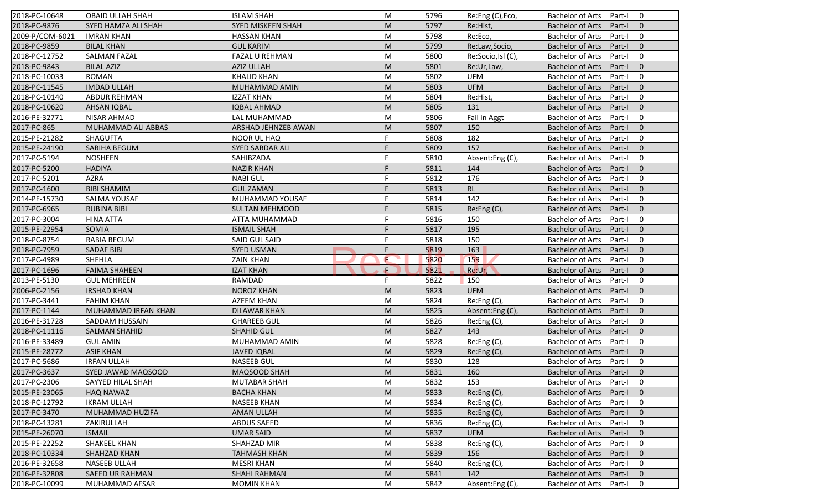| 2018-PC-10648   | <b>OBAID ULLAH SHAH</b> | <b>ISLAM SHAH</b>        | M  | 5796 | Re:Eng (C), Eco,  | <b>Bachelor of Arts</b><br>Part-I<br>$\mathbf 0$    |
|-----------------|-------------------------|--------------------------|----|------|-------------------|-----------------------------------------------------|
| 2018-PC-9876    | SYED HAMZA ALI SHAH     | <b>SYED MISKEEN SHAH</b> | M  | 5797 | Re:Hist,          | <b>Bachelor of Arts</b><br>Part-I<br>$\mathbf{0}$   |
| 2009-P/COM-6021 | <b>IMRAN KHAN</b>       | <b>HASSAN KHAN</b>       | M  | 5798 | Re:Eco,           | <b>Bachelor of Arts</b><br>Part-I<br>$\mathbf 0$    |
| 2018-PC-9859    | <b>BILAL KHAN</b>       | <b>GUL KARIM</b>         | M  | 5799 | Re:Law,Socio,     | $\mathbf{0}$<br><b>Bachelor of Arts</b><br>Part-I   |
| 2018-PC-12752   | <b>SALMAN FAZAL</b>     | <b>FAZAL U REHMAN</b>    | M  | 5800 | Re:Socio,Isl (C), | <b>Bachelor of Arts</b><br>$\mathbf 0$<br>Part-I    |
| 2018-PC-9843    | <b>BILAL AZIZ</b>       | <b>AZIZ ULLAH</b>        | M  | 5801 | Re:Ur,Law,        | <b>Bachelor of Arts</b><br>Part-I<br>$\overline{0}$ |
| 2018-PC-10033   | <b>ROMAN</b>            | <b>KHALID KHAN</b>       | M  | 5802 | <b>UFM</b>        | $\mathbf 0$<br><b>Bachelor of Arts</b><br>Part-I    |
| 2018-PC-11545   | <b>IMDAD ULLAH</b>      | MUHAMMAD AMIN            | M  | 5803 | <b>UFM</b>        | <b>Bachelor of Arts</b><br>$\mathbf{0}$<br>Part-I   |
| 2018-PC-10140   | <b>ABDUR REHMAN</b>     | <b>IZZAT KHAN</b>        | M  | 5804 | Re:Hist,          | $\mathbf 0$<br><b>Bachelor of Arts</b><br>Part-I    |
| 2018-PC-10620   | <b>AHSAN IQBAL</b>      | <b>IQBAL AHMAD</b>       | M  | 5805 | 131               | <b>Bachelor of Arts</b><br>Part-I<br>$\mathbf{0}$   |
| 2016-PE-32771   | NISAR AHMAD             | LAL MUHAMMAD             | M  | 5806 | Fail in Aggt      | <b>Bachelor of Arts</b><br>Part-I<br>$\mathbf 0$    |
| 2017-PC-865     | MUHAMMAD ALI ABBAS      | ARSHAD JEHNZEB AWAN      | M  | 5807 | 150               | <b>Bachelor of Arts</b><br>Part-I<br>$\mathbf{0}$   |
| 2015-PE-21282   | <b>SHAGUFTA</b>         | <b>NOOR UL HAQ</b>       | F  | 5808 | 182               | <b>Bachelor of Arts</b><br>$\mathbf 0$<br>Part-I    |
| 2015-PE-24190   | SABIHA BEGUM            | <b>SYED SARDAR ALI</b>   | F  | 5809 | 157               | <b>Bachelor of Arts</b><br>$\mathbf{0}$<br>Part-I   |
| 2017-PC-5194    | <b>NOSHEEN</b>          | SAHIBZADA                |    | 5810 | Absent:Eng(C),    | $\mathbf 0$<br><b>Bachelor of Arts</b><br>Part-I    |
| 2017-PC-5200    | <b>HADIYA</b>           | <b>NAZIR KHAN</b>        | F  | 5811 | 144               | $\Omega$<br><b>Bachelor of Arts</b><br>Part-I       |
| 2017-PC-5201    | <b>AZRA</b>             | <b>NABI GUL</b>          | F  | 5812 | 176               | <b>Bachelor of Arts</b><br>$\mathbf 0$<br>Part-I    |
| 2017-PC-1600    | <b>BIBI SHAMIM</b>      | <b>GUL ZAMAN</b>         | F  | 5813 | RL                | <b>Bachelor of Arts</b><br>$\mathbf{0}$<br>Part-I   |
| 2014-PE-15730   | SALMA YOUSAF            | MUHAMMAD YOUSAF          | F  | 5814 | 142               | <b>Bachelor of Arts</b><br>Part-I<br>$\mathbf 0$    |
| 2017-PC-6965    | <b>RUBINA BIBI</b>      | <b>SULTAN MEHMOOD</b>    | F  | 5815 | Re:Eng (C),       | <b>Bachelor of Arts</b><br>Part-I<br>$\mathbf{0}$   |
| 2017-PC-3004    | <b>HINA ATTA</b>        | ATTA MUHAMMAD            | F  | 5816 | 150               | <b>Bachelor of Arts</b><br>$\mathbf 0$<br>Part-I    |
| 2015-PE-22954   | SOMIA                   | <b>ISMAIL SHAH</b>       | F  | 5817 | 195               | $\mathbf{0}$<br><b>Bachelor of Arts</b><br>Part-I   |
| 2018-PC-8754    | <b>RABIA BEGUM</b>      | <b>SAID GUL SAID</b>     | F  | 5818 | 150               | <b>Bachelor of Arts</b><br>Part-I<br>0              |
| 2018-PC-7959    | <b>SADAF BIBI</b>       | <b>SYED USMAN</b>        | F. | 5819 | 163               | $\mathbf{0}$<br><b>Bachelor of Arts</b><br>Part-I   |
| 2017-PC-4989    | SHEHLA                  | <b>ZAIN KHAN</b>         | E  | 5820 | 159               | <b>Bachelor of Arts</b><br>$\mathbf 0$<br>Part-I    |
| 2017-PC-1696    | <b>FAIMA SHAHEEN</b>    | <b>IZAT KHAN</b>         | ÷. | 5821 | Re:Ur,            | <b>Bachelor of Arts</b><br>$\mathbf{0}$<br>Part-I   |
| 2013-PE-5130    | <b>GUL MEHREEN</b>      | RAMDAD                   | F. | 5822 | 150               | <b>Bachelor of Arts</b><br>Part-I<br>$\mathbf 0$    |
| 2006-PC-2156    | <b>IRSHAD KHAN</b>      | <b>NOROZ KHAN</b>        | M  | 5823 | <b>UFM</b>        | <b>Bachelor of Arts</b><br>Part-I<br>$\mathbf{0}$   |
| 2017-PC-3441    | <b>FAHIM KHAN</b>       | <b>AZEEM KHAN</b>        | M  | 5824 | Re:Eng (C),       | <b>Bachelor of Arts</b><br>$\mathbf 0$<br>Part-I    |
| 2017-PC-1144    | MUHAMMAD IRFAN KHAN     | <b>DILAWAR KHAN</b>      | M  | 5825 | Absent:Eng(C),    | <b>Bachelor of Arts</b><br>$\mathbf{0}$<br>Part-I   |
| 2016-PE-31728   | SADDAM HUSSAIN          | <b>GHAREEB GUL</b>       | M  | 5826 | Re:Eng(C)         | Bachelor of Arts<br>Part-I<br>0                     |
| 2018-PC-11116   | <b>SALMAN SHAHID</b>    | <b>SHAHID GUL</b>        | M  | 5827 | 143               | $\Omega$<br><b>Bachelor of Arts</b><br>Part-I       |
| 2016-PE-33489   | <b>GUL AMIN</b>         | MUHAMMAD AMIN            | M  | 5828 | Re:Eng (C),       | <b>Bachelor of Arts</b><br>0<br>Part-I              |
| 2015-PE-28772   | <b>ASIF KHAN</b>        | <b>JAVED IQBAL</b>       | M  | 5829 | Re:Eng (C),       | <b>Bachelor of Arts</b><br>$\mathbf{0}$<br>Part-I   |
| 2017-PC-5686    | <b>IRFAN ULLAH</b>      | <b>NASEEB GUL</b>        | M  | 5830 | 128               | <b>Bachelor of Arts</b><br>Part-I<br>0              |
| 2017-PC-3637    | SYED JAWAD MAQSOOD      | MAQSOOD SHAH             | M  | 5831 | 160               | Bachelor of Arts Part-I 0                           |
| 2017-PC-2306    | SAYYED HILAL SHAH       | <b>MUTABAR SHAH</b>      | M  | 5832 | 153               | Bachelor of Arts Part-I<br>$\mathbf 0$              |
| 2015-PE-23065   | <b>HAQ NAWAZ</b>        | <b>BACHA KHAN</b>        | M  | 5833 | Re: Eng(C)        | <b>Bachelor of Arts</b><br>Part-I<br>$\mathbf{0}$   |
| 2018-PC-12792   | <b>IKRAM ULLAH</b>      | <b>NASEEB KHAN</b>       | M  | 5834 | Re:Eng (C),       | <b>Bachelor of Arts</b><br>Part-I<br>$\mathbf 0$    |
| 2017-PC-3470    | MUHAMMAD HUZIFA         | AMAN ULLAH               | M  | 5835 | Re: Eng(C)        | <b>Bachelor of Arts</b><br>Part-I<br>$\mathbf{0}$   |
| 2018-PC-13281   | ZAKIRULLAH              | <b>ABDUS SAEED</b>       | M  | 5836 | Re:Eng (C),       | <b>Bachelor of Arts</b><br>0<br>Part-I              |
| 2015-PE-26070   | <b>ISMAIL</b>           | <b>UMAR SAID</b>         | M  | 5837 | <b>UFM</b>        | <b>Bachelor of Arts</b><br>$\mathbf 0$<br>Part-I    |
| 2015-PE-22252   | SHAKEEL KHAN            | SHAHZAD MIR              | M  | 5838 | Re:Eng (C),       | <b>Bachelor of Arts</b><br>0<br>Part-I              |
| 2018-PC-10334   | SHAHZAD KHAN            | <b>TAHMASH KHAN</b>      | M  | 5839 | 156               | <b>Bachelor of Arts</b><br>Part-I<br>$\mathbf 0$    |
| 2016-PE-32658   | <b>NASEEB ULLAH</b>     | <b>MESRI KHAN</b>        | M  | 5840 | Re:Eng (C),       | <b>Bachelor of Arts</b><br>0<br>Part-I              |
| 2016-PE-32808   | <b>SAEED UR RAHMAN</b>  | <b>SHAHI RAHMAN</b>      | M  | 5841 | 142               | <b>Bachelor of Arts</b><br>$\mathbf 0$<br>Part-I    |
| 2018-PC-10099   | MUHAMMAD AFSAR          | <b>MOMIN KHAN</b>        | M  | 5842 | Absent:Eng (C),   | Bachelor of Arts<br>0<br>Part-I                     |
|                 |                         |                          |    |      |                   |                                                     |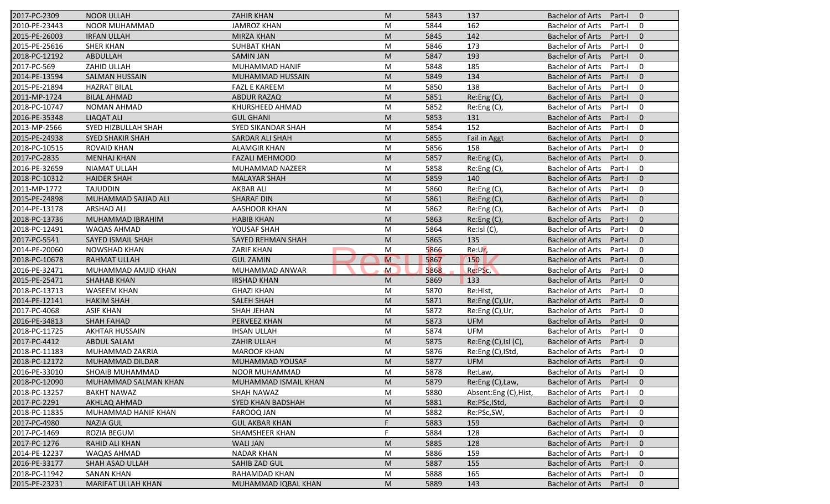| 2017-PC-2309  | <b>NOOR ULLAH</b>         | <b>ZAHIR KHAN</b>        | M              | 5843 | 137                   | <b>Bachelor of Arts</b><br>Part-I<br>$\overline{0}$ |
|---------------|---------------------------|--------------------------|----------------|------|-----------------------|-----------------------------------------------------|
| 2010-PE-23443 | NOOR MUHAMMAD             | <b>JAMROZ KHAN</b>       | M              | 5844 | 162                   | <b>Bachelor of Arts</b><br>Part-I<br>0              |
| 2015-PE-26003 | <b>IRFAN ULLAH</b>        | <b>MIRZA KHAN</b>        | M              | 5845 | 142                   | <b>Bachelor of Arts</b><br>$\mathbf{0}$<br>Part-I   |
| 2015-PE-25616 | <b>SHER KHAN</b>          | <b>SUHBAT KHAN</b>       | M              | 5846 | 173                   | <b>Bachelor of Arts</b><br>0<br>Part-I              |
| 2018-PC-12192 | <b>ABDULLAH</b>           | <b>SAMIN JAN</b>         | M              | 5847 | 193                   | $\mathbf{0}$<br><b>Bachelor of Arts</b><br>Part-I   |
| 2017-PC-569   | ZAHID ULLAH               | MUHAMMAD HANIF           | M              | 5848 | 185                   | <b>Bachelor of Arts</b><br>Part-I<br>0              |
| 2014-PE-13594 | <b>SALMAN HUSSAIN</b>     | MUHAMMAD HUSSAIN         | M              | 5849 | 134                   | $\mathbf{0}$<br><b>Bachelor of Arts</b><br>Part-I   |
| 2015-PE-21894 | <b>HAZRAT BILAL</b>       | <b>FAZL E KAREEM</b>     | M              | 5850 | 138                   | <b>Bachelor of Arts</b><br>0<br>Part-I              |
| 2011-MP-1724  | <b>BILAL AHMAD</b>        | <b>ABDUR RAZAQ</b>       | M              | 5851 | Re:Eng (C),           | <b>Bachelor of Arts</b><br>$\mathbf{0}$<br>Part-I   |
| 2018-PC-10747 | <b>NOMAN AHMAD</b>        | KHURSHEED AHMAD          | M              | 5852 | Re:Eng (C),           | <b>Bachelor of Arts</b><br>Part-I<br>0              |
| 2016-PE-35348 | <b>LIAQAT ALI</b>         | <b>GUL GHANI</b>         | M              | 5853 | 131                   | <b>Bachelor of Arts</b><br>Part-I<br>$\mathbf{0}$   |
| 2013-MP-2566  | SYED HIZBULLAH SHAH       | SYED SIKANDAR SHAH       | M              | 5854 | 152                   | $\mathbf 0$<br><b>Bachelor of Arts</b><br>Part-I    |
| 2015-PE-24938 | <b>SYED SHAKIR SHAH</b>   | SARDAR ALI SHAH          | M              | 5855 | Fail in Aggt          | <b>Bachelor of Arts</b><br>$\mathbf{0}$<br>Part-I   |
| 2018-PC-10515 | <b>ROVAID KHAN</b>        | <b>ALAMGIR KHAN</b>      | M              | 5856 | 158                   | <b>Bachelor of Arts</b><br>0<br>Part-I              |
| 2017-PC-2835  | <b>MENHAJ KHAN</b>        | <b>FAZALI MEHMOOD</b>    | M              | 5857 | Re: Eng(C)            | <b>Bachelor of Arts</b><br>Part-I<br>$\overline{0}$ |
| 2016-PE-32659 | <b>NIAMAT ULLAH</b>       | MUHAMMAD NAZEER          | M              | 5858 | Re:Eng (C),           | <b>Bachelor of Arts</b><br>0<br>Part-I              |
| 2018-PC-10312 | <b>HAIDER SHAH</b>        | <b>MALAYAR SHAH</b>      | M              | 5859 | 140                   | <b>Bachelor of Arts</b><br>$\mathbf{0}$<br>Part-I   |
| 2011-MP-1772  | <b>TAJUDDIN</b>           | <b>AKBAR ALI</b>         | M              | 5860 | Re:Eng (C),           | <b>Bachelor of Arts</b><br>0<br>Part-I              |
| 2015-PE-24898 | MUHAMMAD SAJJAD ALI       | <b>SHARAF DIN</b>        | M              | 5861 | Re:Eng (C),           | <b>Bachelor of Arts</b><br>$\mathbf{0}$<br>Part-I   |
| 2014-PE-13178 | <b>ARSHAD ALI</b>         | <b>AASHOOR KHAN</b>      | M              | 5862 | Re:Eng (C),           | <b>Bachelor of Arts</b><br>Part-I<br>0              |
| 2018-PC-13736 | MUHAMMAD IBRAHIM          | <b>HABIB KHAN</b>        | M              | 5863 | Re:Eng (C),           | <b>Bachelor of Arts</b><br>$\mathbf{0}$<br>Part-I   |
| 2018-PC-12491 | <b>WAQAS AHMAD</b>        | YOUSAF SHAH              | M              | 5864 | Re:IsI(C)             | <b>Bachelor of Arts</b><br>0<br>Part-I              |
| 2017-PC-5541  | <b>SAYED ISMAIL SHAH</b>  | <b>SAYED REHMAN SHAH</b> | M              | 5865 | 135                   | <b>Bachelor of Arts</b><br>$\overline{0}$<br>Part-I |
| 2014-PE-20060 | <b>NOWSHAD KHAN</b>       | <b>ZARIF KHAN</b>        | M              | 5866 | Re:Ur,                | <b>Bachelor of Arts</b><br>0<br>Part-I              |
| 2018-PC-10678 | <b>RAHMAT ULLAH</b>       | <b>GUL ZAMIN</b>         | $\overline{M}$ | 5867 | 150                   | $\mathbf{0}$<br><b>Bachelor of Arts</b><br>Part-I   |
| 2016-PE-32471 | MUHAMMAD AMJID KHAN       | MUHAMMAD ANWAR           | $\mathsf{M}$   | 5868 | Re:PSc,               | <b>Bachelor of Arts</b><br>0<br>Part-I              |
| 2015-PE-25471 | <b>SHAHAB KHAN</b>        | <b>IRSHAD KHAN</b>       | M              | 5869 | 133                   | <b>Bachelor of Arts</b><br>$\mathbf{0}$<br>Part-I   |
| 2018-PC-13713 | <b>WASEEM KHAN</b>        | <b>GHAZI KHAN</b>        | M              | 5870 | Re:Hist,              | <b>Bachelor of Arts</b><br>Part-I<br>0              |
| 2014-PE-12141 | <b>HAKIM SHAH</b>         | <b>SALEH SHAH</b>        | M              | 5871 | Re:Eng (C),Ur,        | <b>Bachelor of Arts</b><br>$\mathbf{0}$<br>Part-I   |
| 2017-PC-4068  | <b>ASIF KHAN</b>          | <b>SHAH JEHAN</b>        | M              | 5872 | Re:Eng (C),Ur,        | <b>Bachelor of Arts</b><br>0<br>Part-I              |
| 2016-PE-34813 | <b>SHAH FAHAD</b>         | PERVEEZ KHAN             | M              | 5873 | <b>UFM</b>            | <b>Bachelor of Arts</b><br>$\overline{0}$<br>Part-I |
| 2018-PC-11725 | <b>AKHTAR HUSSAIN</b>     | <b>IHSAN ULLAH</b>       | M              | 5874 | <b>UFM</b>            | <b>Bachelor of Arts</b><br>0<br>Part-I              |
| 2017-PC-4412  | <b>ABDUL SALAM</b>        | <b>ZAHIR ULLAH</b>       | M              | 5875 | Re:Eng (C), Isl (C),  | <b>Bachelor of Arts</b><br>$\mathbf{0}$<br>Part-I   |
| 2018-PC-11183 | MUHAMMAD ZAKRIA           | <b>MAROOF KHAN</b>       | M              | 5876 | Re:Eng (C), IStd,     | <b>Bachelor of Arts</b><br>Part-I<br>0              |
| 2018-PC-12172 | MUHAMMAD DILDAR           | MUHAMMAD YOUSAF          | M              | 5877 | <b>UFM</b>            | <b>Bachelor of Arts</b><br>Part-I<br>$\mathbf 0$    |
| 2016-PE-33010 | SHOAIB MUHAMMAD           | NOOR MUHAMMAD            | M              | 5878 | Re:Law,               | Bachelor of Arts Part-I<br>$\mathbf 0$              |
| 2018-PC-12090 | MUHAMMAD SALMAN KHAN      | MUHAMMAD ISMAIL KHAN     | M              | 5879 | Re:Eng (C), Law,      | Bachelor of Arts Part-I<br>$\overline{0}$           |
| 2018-PC-13257 | <b>BAKHT NAWAZ</b>        | SHAH NAWAZ               | M              | 5880 | Absent:Eng (C), Hist, | <b>Bachelor of Arts</b><br>Part-I<br>0              |
| 2017-PC-2291  | AKHLAQ AHMAD              | <b>SYED KHAN BADSHAH</b> | M              | 5881 | Re:PSc, IStd,         | <b>Bachelor of Arts</b><br>Part-I<br>$\mathbf{0}$   |
| 2018-PC-11835 | MUHAMMAD HANIF KHAN       | FAROOQ JAN               | M              | 5882 | Re:PSc,SW,            | <b>Bachelor of Arts</b><br>Part-I<br>0              |
| 2017-PC-4980  | <b>NAZIA GUL</b>          | <b>GUL AKBAR KHAN</b>    | F              | 5883 | 159                   | <b>Bachelor of Arts</b><br>$\mathbf 0$<br>Part-I    |
| 2017-PC-1469  | ROZIA BEGUM               | SHAMSHEER KHAN           | F              | 5884 | 128                   | <b>Bachelor of Arts</b><br>0<br>Part-I              |
| 2017-PC-1276  | RAHID ALI KHAN            | <b>WALI JAN</b>          | M              | 5885 | 128                   | <b>Bachelor of Arts</b><br>Part-I<br>$\mathbf 0$    |
| 2014-PE-12237 | WAQAS AHMAD               | <b>NADAR KHAN</b>        | M              | 5886 | 159                   | <b>Bachelor of Arts</b><br>Part-I<br>0              |
| 2016-PE-33177 | SHAH ASAD ULLAH           | <b>SAHIB ZAD GUL</b>     | M              | 5887 | 155                   | <b>Bachelor of Arts</b><br>$\mathbf 0$<br>Part-I    |
| 2018-PC-11942 | <b>SANAN KHAN</b>         | RAHAMDAD KHAN            | M              | 5888 | 165                   | Bachelor of Arts<br>Part-I<br>0                     |
| 2015-PE-23231 | <b>MARIFAT ULLAH KHAN</b> | MUHAMMAD IQBAL KHAN      | M              | 5889 | 143                   | Bachelor of Arts Part-I<br>$\mathbf{0}$             |
|               |                           |                          |                |      |                       |                                                     |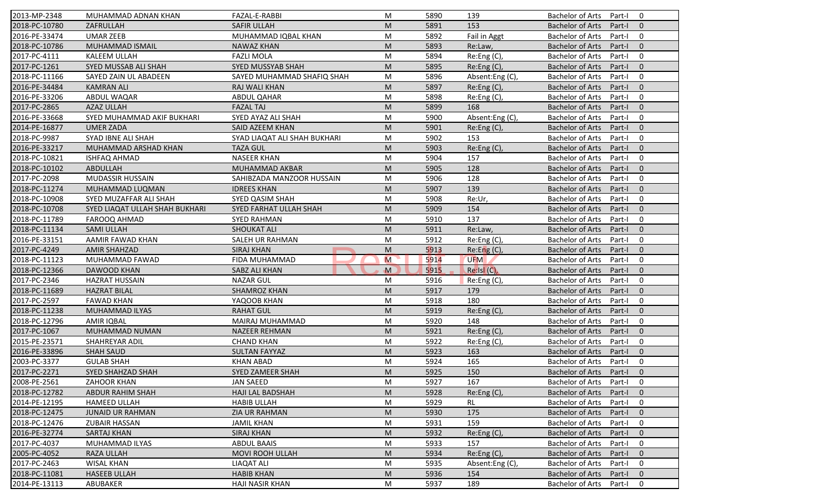| 2013-MP-2348  | MUHAMMAD ADNAN KHAN            | FAZAL-E-RABBI                | M       | 5890 | 139               | <b>Bachelor of Arts</b><br>$\Omega$<br>Part-I       |
|---------------|--------------------------------|------------------------------|---------|------|-------------------|-----------------------------------------------------|
| 2018-PC-10780 | ZAFRULLAH                      | <b>SAFIR ULLAH</b>           | M       | 5891 | 153               | <b>Bachelor of Arts</b><br>Part-I<br>$\mathbf{0}$   |
| 2016-PE-33474 | <b>UMAR ZEEB</b>               | MUHAMMAD IQBAL KHAN          | M       | 5892 | Fail in Aggt      | <b>Bachelor of Arts</b><br>Part-I<br>$\mathbf 0$    |
| 2018-PC-10786 | MUHAMMAD ISMAIL                | <b>NAWAZ KHAN</b>            | M       | 5893 | Re:Law,           | $\mathbf{0}$<br><b>Bachelor of Arts</b><br>Part-I   |
| 2017-PC-4111  | KALEEM ULLAH                   | <b>FAZLI MOLA</b>            | M       | 5894 | Re:Eng (C),       | $\mathbf 0$<br><b>Bachelor of Arts</b><br>Part-I    |
| 2017-PC-1261  | SYED MUSSAB ALI SHAH           | <b>SYED MUSSYAB SHAH</b>     | M       | 5895 | Re:Eng (C),       | <b>Bachelor of Arts</b><br>Part-I<br>$\overline{0}$ |
| 2018-PC-11166 | SAYED ZAIN UL ABADEEN          | SAYED MUHAMMAD SHAFIQ SHAH   | M       | 5896 | Absent:Eng (C),   | $\mathbf 0$<br><b>Bachelor of Arts</b><br>Part-I    |
| 2016-PE-34484 | <b>KAMRAN ALI</b>              | RAJ WALI KHAN                | M       | 5897 | Re:Eng (C),       | $\mathbf{0}$<br><b>Bachelor of Arts</b><br>Part-I   |
| 2016-PE-33206 | ABDUL WAQAR                    | <b>ABDUL QAHAR</b>           | M       | 5898 | Re:Eng (C),       | <b>Bachelor of Arts</b><br>Part-I<br>$\mathbf 0$    |
| 2017-PC-2865  | <b>AZAZ ULLAH</b>              | <b>FAZAL TAJ</b>             | M       | 5899 | 168               | <b>Bachelor of Arts</b><br>Part-I<br>$\Omega$       |
| 2016-PE-33668 | SYED MUHAMMAD AKIF BUKHARI     | SYED AYAZ ALI SHAH           | M       | 5900 | Absent:Eng(C),    | <b>Bachelor of Arts</b><br>Part-I<br>$\mathbf 0$    |
| 2014-PE-16877 | <b>UMER ZADA</b>               | SAID AZEEM KHAN              | M       | 5901 | Re: Eng(C),       | <b>Bachelor of Arts</b><br>Part-I<br>$\Omega$       |
| 2018-PC-9987  | SYAD IBNE ALI SHAH             | SYAD LIAQAT ALI SHAH BUKHARI | M       | 5902 | 153               | <b>Bachelor of Arts</b><br>$\mathbf 0$<br>Part-I    |
| 2016-PE-33217 | MUHAMMAD ARSHAD KHAN           | <b>TAZA GUL</b>              | M       | 5903 | Re:Eng (C),       | $\Omega$<br><b>Bachelor of Arts</b><br>Part-I       |
| 2018-PC-10821 | ISHFAQ AHMAD                   | <b>NASEER KHAN</b>           | M       | 5904 | 157               | $\mathbf 0$<br><b>Bachelor of Arts</b><br>Part-I    |
| 2018-PC-10102 | ABDULLAH                       | MUHAMMAD AKBAR               | M       | 5905 | 128               | $\Omega$<br><b>Bachelor of Arts</b><br>Part-I       |
| 2017-PC-2098  | MUDASSIR HUSSAIN               | SAHIBZADA MANZOOR HUSSAIN    | M       | 5906 | 128               | <b>Bachelor of Arts</b><br>$\mathbf 0$<br>Part-I    |
| 2018-PC-11274 | MUHAMMAD LUQMAN                | <b>IDREES KHAN</b>           | M       | 5907 | 139               | <b>Bachelor of Arts</b><br>$\mathbf{0}$<br>Part-I   |
| 2018-PC-10908 | SYED MUZAFFAR ALI SHAH         | SYED QASIM SHAH              | M       | 5908 | Re:Ur,            | <b>Bachelor of Arts</b><br>Part-I<br>$\mathbf 0$    |
| 2018-PC-10708 | SYED LIAQAT ULLAH SHAH BUKHARI | SYED FARHAT ULLAH SHAH       | M       | 5909 | 154               | <b>Bachelor of Arts</b><br>Part-I<br>$\mathbf{0}$   |
| 2018-PC-11789 | FAROOQ AHMAD                   | <b>SYED RAHMAN</b>           | M       | 5910 | 137               | <b>Bachelor of Arts</b><br>$\mathbf 0$<br>Part-I    |
| 2018-PC-11134 | <b>SAMI ULLAH</b>              | <b>SHOUKAT ALI</b>           | M       | 5911 | Re:Law,           | $\mathbf{0}$<br><b>Bachelor of Arts</b><br>Part-I   |
| 2016-PE-33151 | AAMIR FAWAD KHAN               | SALEH UR RAHMAN              | M       | 5912 | Re:Eng (C),       | <b>Bachelor of Arts</b><br>Part-I<br>0              |
| 2017-PC-4249  | <b>AMIR SHAHZAD</b>            | <b>SIRAJ KHAN</b>            | M       | 5913 | Re: Eng(C)        | $\mathbf{0}$<br><b>Bachelor of Arts</b><br>Part-I   |
| 2018-PC-11123 | MUHAMMAD FAWAD                 | FIDA MUHAMMAD                | M       | 5914 | <b>UFM</b>        | <b>Bachelor of Arts</b><br>$\mathbf 0$<br>Part-I    |
| 2018-PC-12366 | <b>DAWOOD KHAN</b>             | SABZ ALI KHAN                | M       | 5915 | $Re:$ Isl $(C)$ , | <b>Bachelor of Arts</b><br>$\mathbf{0}$<br>Part-I   |
| 2017-PC-2346  | <b>HAZRAT HUSSAIN</b>          | <b>NAZAR GUL</b>             | M       | 5916 | Re:Eng (C),       | <b>Bachelor of Arts</b><br>Part-I<br>$\mathbf 0$    |
| 2018-PC-11689 | <b>HAZRAT BILAL</b>            | <b>SHAMROZ KHAN</b>          | M       | 5917 | 179               | <b>Bachelor of Arts</b><br>Part-I<br>$\Omega$       |
| 2017-PC-2597  | <b>FAWAD KHAN</b>              | YAQOOB KHAN                  | M       | 5918 | 180               | <b>Bachelor of Arts</b><br>$\mathbf 0$<br>Part-I    |
| 2018-PC-11238 | <b>MUHAMMAD ILYAS</b>          | <b>RAHAT GUL</b>             | M       | 5919 | Re:Eng (C),       | $\mathbf{0}$<br><b>Bachelor of Arts</b><br>Part-I   |
| 2018-PC-12796 | <b>AMIR IQBAL</b>              | MAIRAJ MUHAMMAD              | M       | 5920 | 148               | <b>Bachelor of Arts</b><br>Part-I<br>0              |
| 2017-PC-1067  | MUHAMMAD NUMAN                 | <b>NAZEER REHMAN</b>         | M       | 5921 | Re:Eng (C),       | $\Omega$<br><b>Bachelor of Arts</b><br>Part-I       |
| 2015-PE-23571 | SHAHREYAR ADIL                 | <b>CHAND KHAN</b>            | M       | 5922 | Re:Eng (C),       | <b>Bachelor of Arts</b><br>$\mathbf 0$<br>Part-I    |
| 2016-PE-33896 | <b>SHAH SAUD</b>               | <b>SULTAN FAYYAZ</b>         | M       | 5923 | 163               | <b>Bachelor of Arts</b><br>$\mathbf{0}$<br>Part-I   |
| 2003-PC-3377  | <b>GULAB SHAH</b>              | <b>KHAN ABAD</b>             | M       | 5924 | 165               | <b>Bachelor of Arts</b><br>Part-I<br>0              |
| 2017-PC-2271  | SYED SHAHZAD SHAH              | SYED ZAMEER SHAH             | $\sf M$ | 5925 | 150               | Bachelor of Arts Part-I 0                           |
| 2008-PE-2561  | ZAHOOR KHAN                    | JAN SAEED                    | M       | 5927 | 167               | Bachelor of Arts Part-I<br>$\mathbf 0$              |
| 2018-PC-12782 | <b>ABDUR RAHIM SHAH</b>        | <b>HAJI LAL BADSHAH</b>      | M       | 5928 | Re:Eng (C),       | <b>Bachelor of Arts</b><br>Part-I<br>$\mathbf{0}$   |
| 2014-PE-12195 | <b>HAMEED ULLAH</b>            | <b>HABIB ULLAH</b>           | M       | 5929 | RL                | <b>Bachelor of Arts</b><br>Part-I<br>$\mathbf 0$    |
| 2018-PC-12475 | <b>JUNAID UR RAHMAN</b>        | ZIA UR RAHMAN                | M       | 5930 | 175               | <b>Bachelor of Arts</b><br>$\mathbf 0$<br>Part-I    |
| 2018-PC-12476 | <b>ZUBAIR HASSAN</b>           | <b>JAMIL KHAN</b>            | M       | 5931 | 159               | <b>Bachelor of Arts</b><br>0<br>Part-I              |
| 2016-PE-32774 | SARTAJ KHAN                    | <b>SIRAJ KHAN</b>            | M       | 5932 | Re: Eng(C)        | <b>Bachelor of Arts</b><br>$\mathbf 0$<br>Part-I    |
|               | MUHAMMAD ILYAS                 |                              |         |      | 157               |                                                     |
| 2017-PC-4037  |                                | <b>ABDUL BAAIS</b>           | M       | 5933 |                   | <b>Bachelor of Arts</b><br>0<br>Part-I              |
| 2005-PC-4052  | RAZA ULLAH                     | MOVI ROOH ULLAH              | M       | 5934 | Re:Eng (C),       | <b>Bachelor of Arts</b><br>Part-I<br>$\mathbf 0$    |
| 2017-PC-2463  | <b>WISAL KHAN</b>              | <b>LIAQAT ALI</b>            | M       | 5935 | Absent:Eng (C),   | <b>Bachelor of Arts</b><br>0<br>Part-I              |
| 2018-PC-11081 | <b>HASEEB ULLAH</b>            | <b>HABIB KHAN</b>            | M       | 5936 | 154               | <b>Bachelor of Arts</b><br>$\mathbf 0$<br>Part-I    |
| 2014-PE-13113 | ABUBAKER                       | <b>HAJI NASIR KHAN</b>       | M       | 5937 | 189               | Bachelor of Arts<br>0<br>Part-I                     |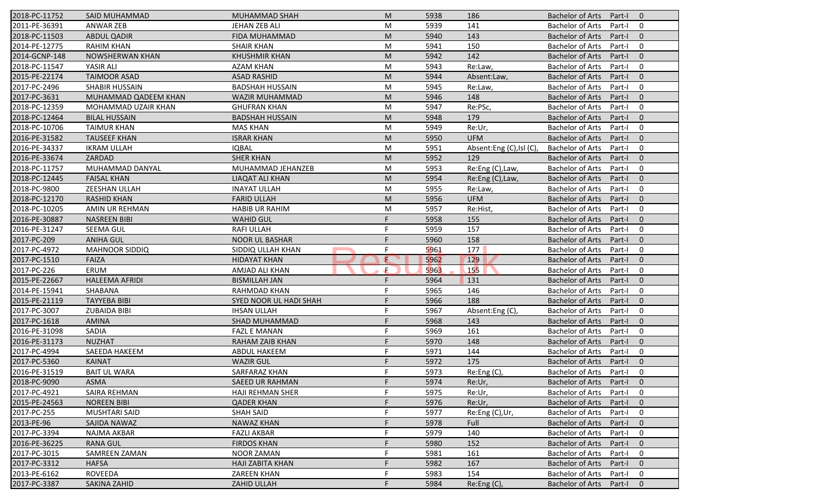| 2018-PC-11752 | <b>SAID MUHAMMAD</b>   | <b>MUHAMMAD SHAH</b>    | M  | 5938 | 186                     | <b>Bachelor of Arts</b><br>Part-I<br>$\overline{0}$ |
|---------------|------------------------|-------------------------|----|------|-------------------------|-----------------------------------------------------|
| 2011-PE-36391 | <b>ANWAR ZEB</b>       | JEHAN ZEB ALI           | M  | 5939 | 141                     | <b>Bachelor of Arts</b><br>Part-I<br>$\mathbf 0$    |
| 2018-PC-11503 | <b>ABDUL QADIR</b>     | FIDA MUHAMMAD           | M  | 5940 | 143                     | <b>Bachelor of Arts</b><br>Part-I<br>$\mathbf{0}$   |
| 2014-PE-12775 | <b>RAHIM KHAN</b>      | <b>SHAIR KHAN</b>       | M  | 5941 | 150                     | <b>Bachelor of Arts</b><br>$\mathbf 0$<br>Part-I    |
| 2014-GCNP-148 | <b>NOWSHERWAN KHAN</b> | <b>KHUSHMIR KHAN</b>    | M  | 5942 | 142                     | $\mathbf{0}$<br><b>Bachelor of Arts</b><br>Part-I   |
| 2018-PC-11547 | YASIR ALI              | <b>AZAM KHAN</b>        | M  | 5943 | Re:Law,                 | <b>Bachelor of Arts</b><br>Part-I<br>0              |
| 2015-PE-22174 | <b>TAIMOOR ASAD</b>    | <b>ASAD RASHID</b>      | M  | 5944 | Absent:Law,             | $\mathbf{0}$<br><b>Bachelor of Arts</b><br>Part-I   |
| 2017-PC-2496  | SHABIR HUSSAIN         | <b>BADSHAH HUSSAIN</b>  | M  | 5945 | Re:Law,                 | <b>Bachelor of Arts</b><br>0<br>Part-I              |
| 2017-PC-3631  | MUHAMMAD QADEEM KHAN   | WAZIR MUHAMMAD          | M  | 5946 | 148                     | <b>Bachelor of Arts</b><br>Part-I<br>$\mathbf{0}$   |
| 2018-PC-12359 | MOHAMMAD UZAIR KHAN    | <b>GHUFRAN KHAN</b>     | M  | 5947 | Re:PSc,                 | <b>Bachelor of Arts</b><br>Part-I<br>0              |
| 2018-PC-12464 | <b>BILAL HUSSAIN</b>   | <b>BADSHAH HUSSAIN</b>  | M  | 5948 | 179                     | <b>Bachelor of Arts</b><br>Part-I<br>$\mathbf{0}$   |
| 2018-PC-10706 | <b>TAIMUR KHAN</b>     | <b>MAS KHAN</b>         | M  | 5949 | Re:Ur,                  | $\mathbf 0$<br><b>Bachelor of Arts</b><br>Part-I    |
| 2016-PE-31582 | <b>TAUSEEF KHAN</b>    | <b>ISRAR KHAN</b>       | M  | 5950 | <b>UFM</b>              | <b>Bachelor of Arts</b><br>$\mathbf{0}$<br>Part-I   |
| 2016-PE-34337 | <b>IKRAM ULLAH</b>     | <b>IQBAL</b>            | M  | 5951 | Absent:Eng (C),Isl (C), | <b>Bachelor of Arts</b><br>0<br>Part-I              |
| 2016-PE-33674 | ZARDAD                 | <b>SHER KHAN</b>        | M  | 5952 | 129                     | <b>Bachelor of Arts</b><br>Part-I<br>$\overline{0}$ |
| 2018-PC-11757 | MUHAMMAD DANYAL        | MUHAMMAD JEHANZEB       | M  | 5953 | Re:Eng (C), Law,        | <b>Bachelor of Arts</b><br>0<br>Part-I              |
| 2018-PC-12445 | <b>FAISAL KHAN</b>     | LIAQAT ALI KHAN         | M  | 5954 | Re:Eng (C), Law,        | <b>Bachelor of Arts</b><br>$\mathbf{0}$<br>Part-I   |
| 2018-PC-9800  | ZEESHAN ULLAH          | <b>INAYAT ULLAH</b>     | M  | 5955 | Re:Law,                 | <b>Bachelor of Arts</b><br>0<br>Part-I              |
| 2018-PC-12170 | <b>RASHID KHAN</b>     | <b>FARID ULLAH</b>      | M  | 5956 | <b>UFM</b>              | <b>Bachelor of Arts</b><br>$\mathbf{0}$<br>Part-I   |
| 2018-PC-10205 | AMIN UR REHMAN         | <b>HABIB UR RAHIM</b>   | M  | 5957 | Re:Hist,                | <b>Bachelor of Arts</b><br>Part-I<br>0              |
| 2016-PE-30887 | <b>NASREEN BIBI</b>    | <b>WAHID GUL</b>        | F  | 5958 | 155                     | <b>Bachelor of Arts</b><br>$\mathbf{0}$<br>Part-I   |
| 2016-PE-31247 | SEEMA GUL              | <b>RAFI ULLAH</b>       | F  | 5959 | 157                     | <b>Bachelor of Arts</b><br>0<br>Part-I              |
| 2017-PC-209   | <b>ANIHA GUL</b>       | <b>NOOR UL BASHAR</b>   | F  | 5960 | 158                     | <b>Bachelor of Arts</b><br>Part-I<br>$\overline{0}$ |
| 2017-PC-4972  | <b>MAHNOOR SIDDIQ</b>  | SIDDIQ ULLAH KHAN       | F  | 5961 | 177                     | <b>Bachelor of Arts</b><br>0<br>Part-I              |
| 2017-PC-1510  | <b>FAIZA</b>           | <b>HIDAYAT KHAN</b>     | E  | 5962 | 129                     | $\mathbf{0}$<br><b>Bachelor of Arts</b><br>Part-I   |
| 2017-PC-226   | ERUM                   | AMJAD ALI KHAN          | Æ  | 5963 | 155                     | <b>Bachelor of Arts</b><br>0<br>Part-I              |
| 2015-PE-22667 | <b>HALEEMA AFRIDI</b>  | <b>BISMILLAH JAN</b>    | F  | 5964 | 131                     | <b>Bachelor of Arts</b><br>$\mathbf{0}$<br>Part-I   |
| 2014-PE-15941 | SHABANA                | RAHMDAD KHAN            | F  | 5965 | 146                     | <b>Bachelor of Arts</b><br>$\mathbf 0$<br>Part-I    |
| 2015-PE-21119 | <b>TAYYEBA BIBI</b>    | SYED NOOR UL HADI SHAH  | F  | 5966 | 188                     | <b>Bachelor of Arts</b><br>$\mathbf{0}$<br>Part-I   |
| 2017-PC-3007  | <b>ZUBAIDA BIBI</b>    | <b>IHSAN ULLAH</b>      | F  | 5967 | Absent:Eng (C)          | <b>Bachelor of Arts</b><br>0<br>Part-I              |
| 2017-PC-1618  | <b>AMINA</b>           | <b>SHAD MUHAMMAD</b>    |    | 5968 | 143                     | <b>Bachelor of Arts</b><br>$\overline{0}$<br>Part-I |
| 2016-PE-31098 | SADIA                  | <b>FAZL E MANAN</b>     | F  | 5969 | 161                     | <b>Bachelor of Arts</b><br>0<br>Part-I              |
| 2016-PE-31173 | <b>NUZHAT</b>          | RAHAM ZAIB KHAN         | F  | 5970 | 148                     | <b>Bachelor of Arts</b><br>$\Omega$<br>Part-I       |
| 2017-PC-4994  | SAEEDA HAKEEM          | <b>ABDUL HAKEEM</b>     | F  | 5971 | 144                     | <b>Bachelor of Arts</b><br>Part-I<br>0              |
| 2017-PC-5360  | <b>KAINAT</b>          | <b>WAZIR GUL</b>        | F  | 5972 | 175                     | <b>Bachelor of Arts</b><br>Part-I<br>$\mathbf 0$    |
| 2016-PE-31519 | <b>BAIT UL WARA</b>    | SARFARAZ KHAN           |    | 5973 | Re:Eng(C),              | Bachelor of Arts Part-I<br>$\mathbf 0$              |
| 2018-PC-9090  | <b>ASMA</b>            | <b>SAEED UR RAHMAN</b>  | F. | 5974 | Re:Ur,                  | Bachelor of Arts Part-I<br>$\overline{0}$           |
| 2017-PC-4921  | SAIRA REHMAN           | <b>HAJI REHMAN SHER</b> | F  | 5975 | Re:Ur,                  | <b>Bachelor of Arts</b><br>Part-I<br>0              |
| 2015-PE-24563 | <b>NOREEN BIBI</b>     | <b>QADER KHAN</b>       |    | 5976 | Re:Ur,                  | <b>Bachelor of Arts</b><br>Part-I<br>$\mathbf{0}$   |
| 2017-PC-255   | MUSHTARI SAID          | <b>SHAH SAID</b>        |    | 5977 | Re:Eng (C),Ur,          | <b>Bachelor of Arts</b><br>0<br>Part-I              |
| 2013-PE-96    | SAJIDA NAWAZ           | NAWAZ KHAN              |    | 5978 | Full                    | <b>Bachelor of Arts</b><br>$\mathbf 0$<br>Part-I    |
| 2017-PC-3394  | NAJMA AKBAR            | <b>FAZLI AKBAR</b>      | F  | 5979 | 140                     | <b>Bachelor of Arts</b><br>0<br>Part-I              |
| 2016-PE-36225 | <b>RANA GUL</b>        | <b>FIRDOS KHAN</b>      |    | 5980 | 152                     | <b>Bachelor of Arts</b><br>$\mathbf 0$<br>Part-I    |
| 2017-PC-3015  | SAMREEN ZAMAN          | NOOR ZAMAN              |    | 5981 | 161                     | <b>Bachelor of Arts</b><br>0<br>Part-I              |
| 2017-PC-3312  | <b>HAFSA</b>           | HAJI ZABITA KHAN        |    | 5982 | 167                     | <b>Bachelor of Arts</b><br>$\mathbf 0$<br>Part-I    |
| 2013-PE-6162  | ROVEEDA                | <b>ZAREEN KHAN</b>      |    | 5983 | 154                     | <b>Bachelor of Arts</b><br>0<br>Part-I              |
| 2017-PC-3387  | SAKINA ZAHID           | ZAHID ULLAH             |    | 5984 | Re:Eng(C),              | Bachelor of Arts<br>$\mathbf 0$<br>Part-I           |
|               |                        |                         |    |      |                         |                                                     |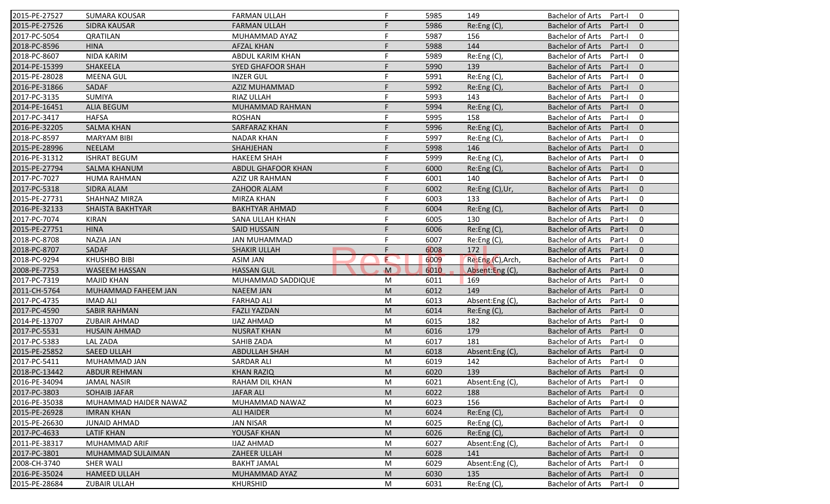| 2015-PE-27527 | <b>SUMARA KOUSAR</b>    | <b>FARMAN ULLAH</b>      | F            | 5985 | 149               | <b>Bachelor of Arts</b><br>Part-I<br>0              |
|---------------|-------------------------|--------------------------|--------------|------|-------------------|-----------------------------------------------------|
| 2015-PE-27526 | <b>SIDRA KAUSAR</b>     | <b>FARMAN ULLAH</b>      | F            | 5986 | Re:Eng (C),       | <b>Bachelor of Arts</b><br>Part-I<br>$\mathbf{0}$   |
| 2017-PC-5054  | <b>QRATILAN</b>         | MUHAMMAD AYAZ            | F            | 5987 | 156               | <b>Bachelor of Arts</b><br>Part-I<br>0              |
| 2018-PC-8596  | <b>HINA</b>             | <b>AFZAL KHAN</b>        | F            | 5988 | 144               | <b>Bachelor of Arts</b><br>$\mathbf{0}$<br>Part-I   |
| 2018-PC-8607  | <b>NIDA KARIM</b>       | ABDUL KARIM KHAN         | F            | 5989 | Re:Eng (C),       | <b>Bachelor of Arts</b><br>0<br>Part-I              |
| 2014-PE-15399 | SHAKEELA                | <b>SYED GHAFOOR SHAH</b> | F            | 5990 | 139               | <b>Bachelor of Arts</b><br>Part-I<br>$\overline{0}$ |
| 2015-PE-28028 | <b>MEENA GUL</b>        | <b>INZER GUL</b>         | F            | 5991 | Re:Eng (C),       | <b>Bachelor of Arts</b><br>0<br>Part-I              |
| 2016-PE-31866 | SADAF                   | AZIZ MUHAMMAD            | F            | 5992 | Re:Eng (C),       | <b>Bachelor of Arts</b><br>$\mathbf{0}$<br>Part-I   |
| 2017-PC-3135  | <b>SUMIYA</b>           | RIAZ ULLAH               | F            | 5993 | 143               | $\mathbf 0$<br><b>Bachelor of Arts</b><br>Part-I    |
| 2014-PE-16451 | <b>ALIA BEGUM</b>       | MUHAMMAD RAHMAN          | F            | 5994 | Re:Eng (C),       | <b>Bachelor of Arts</b><br>Part-I<br>$\mathbf{0}$   |
| 2017-PC-3417  | <b>HAFSA</b>            | <b>ROSHAN</b>            | F            | 5995 | 158               | <b>Bachelor of Arts</b><br>Part-I<br>$\mathbf 0$    |
| 2016-PE-32205 | <b>SALMA KHAN</b>       | SARFARAZ KHAN            | F            | 5996 | Re:Eng (C),       | <b>Bachelor of Arts</b><br>Part-I<br>$\mathbf{0}$   |
| 2018-PC-8597  | <b>MARYAM BIBI</b>      | <b>NADAR KHAN</b>        | F            | 5997 | Re:Eng (C),       | $\mathbf 0$<br><b>Bachelor of Arts</b><br>Part-I    |
| 2015-PE-28996 | <b>NEELAM</b>           | SHAHJEHAN                | F            | 5998 | 146               | <b>Bachelor of Arts</b><br>$\mathbf{0}$<br>Part-I   |
| 2016-PE-31312 | <b>ISHRAT BEGUM</b>     | <b>HAKEEM SHAH</b>       |              | 5999 | Re:Eng(C),        | <b>Bachelor of Arts</b><br>$\mathbf 0$<br>Part-I    |
| 2015-PE-27794 | <b>SALMA KHANUM</b>     | ABDUL GHAFOOR KHAN       | F            | 6000 | Re:Eng (C),       | <b>Bachelor of Arts</b><br>$\mathbf{0}$<br>Part-I   |
| 2017-PC-7027  | <b>HUMA RAHMAN</b>      | AZIZ UR RAHMAN           | F            | 6001 | 140               | <b>Bachelor of Arts</b><br>$\mathbf 0$<br>Part-I    |
| 2017-PC-5318  | <b>SIDRA ALAM</b>       | ZAHOOR ALAM              | F            | 6002 | Re:Eng (C), Ur,   | <b>Bachelor of Arts</b><br>Part-I<br>$\mathbf{0}$   |
| 2015-PE-27731 | SHAHNAZ MIRZA           | MIRZA KHAN               | F            | 6003 | 133               | <b>Bachelor of Arts</b><br>Part-I<br>$\mathbf 0$    |
| 2016-PE-32133 | <b>SHAISTA BAKHTYAR</b> | <b>BAKHTYAR AHMAD</b>    | F            | 6004 | Re:Eng (C),       | <b>Bachelor of Arts</b><br>Part-I<br>$\mathbf{0}$   |
| 2017-PC-7074  | <b>KIRAN</b>            | SANA ULLAH KHAN          | F            | 6005 | 130               | <b>Bachelor of Arts</b><br>$\mathbf 0$<br>Part-I    |
| 2015-PE-27751 | <b>HINA</b>             | <b>SAID HUSSAIN</b>      | F            | 6006 | Re:Eng (C),       | $\mathbf{0}$<br><b>Bachelor of Arts</b><br>Part-I   |
| 2018-PC-8708  | <b>NAZIA JAN</b>        | <b>JAN MUHAMMAD</b>      | F            | 6007 | Re:Eng (C),       | 0<br><b>Bachelor of Arts</b><br>Part-I              |
| 2018-PC-8707  | SADAF                   | <b>SHAKIR ULLAH</b>      | F.           | 6008 | 172               | $\mathbf{0}$<br><b>Bachelor of Arts</b><br>Part-I   |
| 2018-PC-9294  | <b>KHUSHBO BIBI</b>     | <b>ASIM JAN</b>          | E            | 6009 | Re:Eng (C), Arch, | <b>Bachelor of Arts</b><br>$\mathbf 0$<br>Part-I    |
| 2008-PE-7753  | <b>WASEEM HASSAN</b>    | <b>HASSAN GUL</b>        | $\mathbf{M}$ | 6010 | Absent:Eng (C),   | <b>Bachelor of Arts</b><br>$\mathbf{0}$<br>Part-I   |
| 2017-PC-7319  | <b>MAJID KHAN</b>       | MUHAMMAD SADDIQUE        | M            | 6011 | 169               | <b>Bachelor of Arts</b><br>Part-I<br>$\mathbf 0$    |
| 2011-CH-5764  | MUHAMMAD FAHEEM JAN     | <b>NAEEM JAN</b>         | M            | 6012 | 149               | <b>Bachelor of Arts</b><br>Part-I<br>$\mathbf{0}$   |
| 2017-PC-4735  | <b>IMAD ALI</b>         | <b>FARHAD ALI</b>        | M            | 6013 | Absent:Eng (C),   | <b>Bachelor of Arts</b><br>Part-I<br>$\mathbf 0$    |
| 2017-PC-4590  | <b>SABIR RAHMAN</b>     | <b>FAZLI YAZDAN</b>      | M            | 6014 | Re:Eng (C),       | <b>Bachelor of Arts</b><br>$\mathbf{0}$<br>Part-I   |
| 2014-PE-13707 | <b>ZUBAIR AHMAD</b>     | <b>IJAZ AHMAD</b>        | M            | 6015 | 182               | $\mathbf 0$<br><b>Bachelor of Arts</b><br>Part-I    |
| 2017-PC-5531  | <b>HUSAIN AHMAD</b>     | <b>NUSRAT KHAN</b>       | M            | 6016 | 179               | <b>Bachelor of Arts</b><br>$\mathbf{0}$<br>Part-I   |
| 2017-PC-5383  | <b>LAL ZADA</b>         | SAHIB ZADA               | M            | 6017 | 181               | <b>Bachelor of Arts</b><br>$\mathbf 0$<br>Part-I    |
| 2015-PE-25852 | <b>SAEED ULLAH</b>      | <b>ABDULLAH SHAH</b>     | M            | 6018 | Absent:Eng (C),   | <b>Bachelor of Arts</b><br>Part-I<br>$\mathbf{0}$   |
| 2017-PC-5411  | MUHAMMAD JAN            | <b>SARDAR ALI</b>        | M            | 6019 | 142               | <b>Bachelor of Arts</b><br>Part-I<br>0              |
| 2018-PC-13442 | ABDUR REHMAN            | <b>KHAN RAZIQ</b>        | M            | 6020 | 139               | Bachelor of Arts Part-I 0                           |
| 2016-PE-34094 | <b>JAMAL NASIR</b>      | RAHAM DIL KHAN           | М            | 6021 | Absent:Eng(C),    | Bachelor of Arts Part-I<br>$\mathbf 0$              |
| 2017-PC-3803  | <b>SOHAIB JAFAR</b>     | <b>JAFAR ALI</b>         | M            | 6022 | 188               | <b>Bachelor of Arts</b><br>Part-I<br>$\mathbf{0}$   |
| 2016-PE-35038 | MUHAMMAD HAIDER NAWAZ   | MUHAMMAD NAWAZ           | M            | 6023 | 156               | Bachelor of Arts<br>Part-I<br>$\mathbf 0$           |
| 2015-PE-26928 | <b>IMRAN KHAN</b>       | ALI HAIDER               | M            | 6024 | Re: Eng(C),       | Bachelor of Arts<br>Part-I<br>$\mathbf{0}$          |
| 2015-PE-26630 | <b>JUNAID AHMAD</b>     | <b>JAN NISAR</b>         | M            | 6025 | Re:Eng (C),       | Bachelor of Arts<br>0<br>Part-I                     |
| 2017-PC-4633  | <b>LATIF KHAN</b>       | YOUSAF KHAN              | M            | 6026 | Re:Eng (C),       | Bachelor of Arts<br>Part-I<br>$\mathbf{0}$          |
| 2011-PE-38317 | MUHAMMAD ARIF           | <b>IJAZ AHMAD</b>        | M            | 6027 | Absent:Eng (C),   | Bachelor of Arts<br>0<br>Part-I                     |
| 2017-PC-3801  | MUHAMMAD SULAIMAN       | ZAHEER ULLAH             | M            | 6028 | 141               | <b>Bachelor of Arts</b><br>Part-I<br>$\mathbf{0}$   |
| 2008-CH-3740  | <b>SHER WALI</b>        | <b>BAKHT JAMAL</b>       | M            | 6029 | Absent:Eng (C),   | <b>Bachelor of Arts</b><br>Part-I<br>0              |
| 2016-PE-35024 | <b>HAMEED ULLAH</b>     | MUHAMMAD AYAZ            | M            | 6030 | 135               | <b>Bachelor of Arts</b><br>Part-I<br>$\mathbf{0}$   |
| 2015-PE-28684 | <b>ZUBAIR ULLAH</b>     | <b>KHURSHID</b>          | M            | 6031 | Re:Eng(C),        | Bachelor of Arts<br>0<br>Part-I                     |
|               |                         |                          |              |      |                   |                                                     |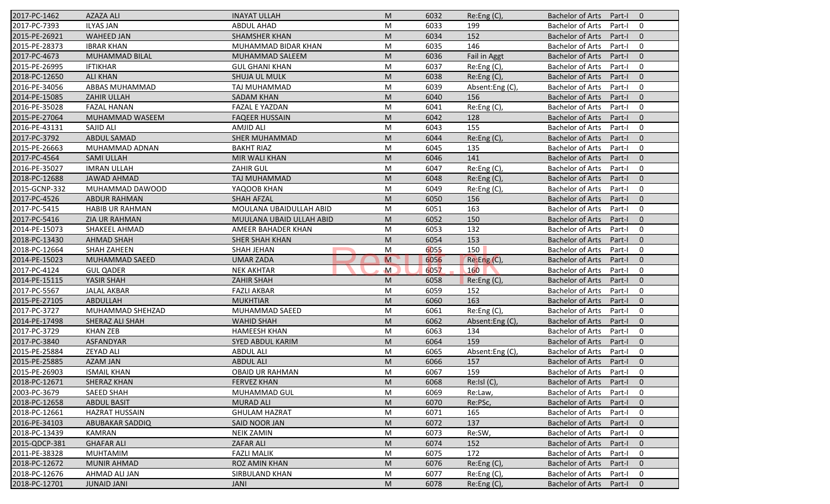| 2017-PC-1462  | <b>AZAZA ALI</b>       | <b>INAYAT ULLAH</b>      | M              | 6032 | Re: Eng(C)      | <b>Bachelor of Arts</b><br>Part-I<br>$\overline{0}$ |
|---------------|------------------------|--------------------------|----------------|------|-----------------|-----------------------------------------------------|
| 2017-PC-7393  | <b>ILYAS JAN</b>       | <b>ABDUL AHAD</b>        | M              | 6033 | 199             | <b>Bachelor of Arts</b><br>Part-I<br>$\mathbf 0$    |
| 2015-PE-26921 | <b>WAHEED JAN</b>      | <b>SHAMSHER KHAN</b>     | M              | 6034 | 152             | <b>Bachelor of Arts</b><br>Part-I<br>$\mathbf{0}$   |
| 2015-PE-28373 | <b>IBRAR KHAN</b>      | MUHAMMAD BIDAR KHAN      | M              | 6035 | 146             | <b>Bachelor of Arts</b><br>$\mathbf 0$<br>Part-I    |
| 2017-PC-4673  | <b>MUHAMMAD BILAL</b>  | MUHAMMAD SALEEM          | M              | 6036 | Fail in Aggt    | $\mathbf{0}$<br><b>Bachelor of Arts</b><br>Part-I   |
| 2015-PE-26995 | <b>IFTIKHAR</b>        | <b>GUL GHANI KHAN</b>    | M              | 6037 | Re:Eng (C),     | <b>Bachelor of Arts</b><br>Part-I<br>0              |
| 2018-PC-12650 | <b>ALI KHAN</b>        | SHUJA UL MULK            | M              | 6038 | Re: Eng(C)      | $\mathbf{0}$<br><b>Bachelor of Arts</b><br>Part-I   |
| 2016-PE-34056 | ABBAS MUHAMMAD         | TAJ MUHAMMAD             | M              | 6039 | Absent:Eng (C), | <b>Bachelor of Arts</b><br>$\mathbf 0$<br>Part-I    |
| 2014-PE-15085 | ZAHIR ULLAH            | <b>SADAM KHAN</b>        | M              | 6040 | 156             | <b>Bachelor of Arts</b><br>Part-I<br>$\mathbf{0}$   |
| 2016-PE-35028 | <b>FAZAL HANAN</b>     | <b>FAZAL E YAZDAN</b>    | M              | 6041 | Re:Eng (C),     | <b>Bachelor of Arts</b><br>Part-I<br>$\mathbf 0$    |
| 2015-PE-27064 | MUHAMMAD WASEEM        | <b>FAQEER HUSSAIN</b>    | M              | 6042 | 128             | <b>Bachelor of Arts</b><br>Part-I<br>$\mathbf{0}$   |
| 2016-PE-43131 | SAJID ALI              | <b>AMJID ALI</b>         | M              | 6043 | 155             | $\mathbf 0$<br><b>Bachelor of Arts</b><br>Part-I    |
| 2017-PC-3792  | <b>ABDUL SAMAD</b>     | <b>SHER MUHAMMAD</b>     | M              | 6044 | Re:Eng (C),     | <b>Bachelor of Arts</b><br>$\mathbf{0}$<br>Part-I   |
| 2015-PE-26663 | MUHAMMAD ADNAN         | <b>BAKHT RIAZ</b>        | M              | 6045 | 135             | <b>Bachelor of Arts</b><br>$\mathbf 0$<br>Part-I    |
| 2017-PC-4564  | <b>SAMI ULLAH</b>      | <b>MIR WALI KHAN</b>     | M              | 6046 | 141             | <b>Bachelor of Arts</b><br>Part-I<br>$\overline{0}$ |
| 2016-PE-35027 | <b>IMRAN ULLAH</b>     | <b>ZAHIR GUL</b>         | M              | 6047 | Re:Eng (C),     | <b>Bachelor of Arts</b><br>$\mathbf 0$<br>Part-I    |
| 2018-PC-12688 | <b>JAWAD AHMAD</b>     | TAJ MUHAMMAD             | M              | 6048 | Re:Eng (C),     | <b>Bachelor of Arts</b><br>$\mathbf{0}$<br>Part-I   |
| 2015-GCNP-332 | MUHAMMAD DAWOOD        | YAQOOB KHAN              | M              | 6049 | Re:Eng(C),      | <b>Bachelor of Arts</b><br>Part-I<br>$\mathbf 0$    |
| 2017-PC-4526  | <b>ABDUR RAHMAN</b>    | <b>SHAH AFZAL</b>        | M              | 6050 | 156             | <b>Bachelor of Arts</b><br>$\mathbf{0}$<br>Part-I   |
| 2017-PC-5415  | <b>HABIB UR RAHMAN</b> | MOULANA UBAIDULLAH ABID  | M              | 6051 | 163             | <b>Bachelor of Arts</b><br>Part-I<br>$\mathbf 0$    |
| 2017-PC-5416  | ZIA UR RAHMAN          | MUULANA UBAID ULLAH ABID | M              | 6052 | 150             | <b>Bachelor of Arts</b><br>$\mathbf{0}$<br>Part-I   |
| 2014-PE-15073 | SHAKEEL AHMAD          | AMEER BAHADER KHAN       | M              | 6053 | 132             | <b>Bachelor of Arts</b><br>$\mathbf 0$<br>Part-I    |
| 2018-PC-13430 | <b>AHMAD SHAH</b>      | <b>SHER SHAH KHAN</b>    | M              | 6054 | 153             | <b>Bachelor of Arts</b><br>Part-I<br>$\overline{0}$ |
| 2018-PC-12664 | <b>SHAH ZAHEEN</b>     | <b>SHAH JEHAN</b>        | M              | 6055 | 150             | <b>Bachelor of Arts</b><br>$\mathbf 0$<br>Part-I    |
| 2014-PE-15023 | <b>MUHAMMAD SAEED</b>  | <b>UMAR ZADA</b>         | $\overline{M}$ | 6056 | Re:Eng(C),      | <b>Bachelor of Arts</b><br>$\mathbf{0}$<br>Part-I   |
| 2017-PC-4124  | <b>GUL QADER</b>       | <b>NEK AKHTAR</b>        | $\mathsf{M}$   | 6057 | 160             | <b>Bachelor of Arts</b><br>Part-I<br>$\mathbf 0$    |
| 2014-PE-15115 | YASIR SHAH             | <b>ZAHIR SHAH</b>        | M              | 6058 | Re:Eng (C),     | <b>Bachelor of Arts</b><br>$\mathbf{0}$<br>Part-I   |
| 2017-PC-5567  | <b>JALAL AKBAR</b>     | <b>FAZLI AKBAR</b>       | M              | 6059 | 152             | <b>Bachelor of Arts</b><br>$\mathbf 0$<br>Part-I    |
| 2015-PE-27105 | ABDULLAH               | <b>MUKHTIAR</b>          | M              | 6060 | 163             | <b>Bachelor of Arts</b><br>$\mathbf{0}$<br>Part-I   |
| 2017-PC-3727  | MUHAMMAD SHEHZAD       | MUHAMMAD SAEED           | M              | 6061 | Re:Eng (C),     | <b>Bachelor of Arts</b><br>$\mathbf 0$<br>Part-I    |
| 2014-PE-17498 | SHERAZ ALI SHAH        | <b>WAHID SHAH</b>        | M              | 6062 | Absent:Eng (C), | <b>Bachelor of Arts</b><br>Part-I<br>$\overline{0}$ |
| 2017-PC-3729  | <b>KHAN ZEB</b>        | <b>HAMEESH KHAN</b>      | M              | 6063 | 134             | <b>Bachelor of Arts</b><br>$\mathbf 0$<br>Part-I    |
| 2017-PC-3840  | ASFANDYAR              | SYED ABDUL KARIM         | M              | 6064 | 159             | <b>Bachelor of Arts</b><br>$\mathbf{0}$<br>Part-I   |
| 2015-PE-25884 | <b>ZEYAD ALI</b>       | <b>ABDUL ALI</b>         | M              | 6065 | Absent:Eng (C)  | <b>Bachelor of Arts</b><br>Part-I<br>$\mathbf 0$    |
| 2015-PE-25885 | <b>AZAM JAN</b>        | <b>ABDUL ALI</b>         | M              | 6066 | 157             | <b>Bachelor of Arts</b><br>Part-I<br>$\mathbf 0$    |
| 2015-PE-26903 | <b>ISMAIL KHAN</b>     | OBAID UR RAHMAN          | M              | 6067 | 159             | Bachelor of Arts Part-I<br>$\mathbf 0$              |
| 2018-PC-12671 | SHERAZ KHAN            | <b>FERVEZ KHAN</b>       | M              | 6068 | Re:Isl(C),      | Bachelor of Arts Part-I<br>$\overline{0}$           |
| 2003-PC-3679  | SAEED SHAH             | MUHAMMAD GUL             | M              | 6069 | Re:Law,         | <b>Bachelor of Arts</b><br>Part-I<br>0              |
| 2018-PC-12658 | <b>ABDUL BASIT</b>     | <b>MURAD ALI</b>         | M              | 6070 | Re:PSc,         | <b>Bachelor of Arts</b><br>Part-I<br>$\mathbf{0}$   |
| 2018-PC-12661 | <b>HAZRAT HUSSAIN</b>  | <b>GHULAM HAZRAT</b>     | M              | 6071 | 165             | <b>Bachelor of Arts</b><br>Part-I<br>0              |
| 2016-PE-34103 | ABUBAKAR SADDIQ        | SAID NOOR JAN            | M              | 6072 | 137             | <b>Bachelor of Arts</b><br>$\mathbf 0$<br>Part-I    |
| 2018-PC-13439 | KAMRAN                 | <b>NEIK ZAMIN</b>        | M              | 6073 | Re:SW,          | <b>Bachelor of Arts</b><br>0<br>Part-I              |
| 2015-QDCP-381 | <b>GHAFAR ALI</b>      | ZAFAR ALI                | M              | 6074 | 152             | <b>Bachelor of Arts</b><br>Part-I<br>$\mathbf 0$    |
| 2011-PE-38328 | <b>MUHTAMIM</b>        | <b>FAZLI MALIK</b>       | M              | 6075 | 172             | <b>Bachelor of Arts</b><br>0<br>Part-I              |
| 2018-PC-12672 | <b>MUNIR AHMAD</b>     | ROZ AMIN KHAN            | M              | 6076 | Re: Eng(C)      | <b>Bachelor of Arts</b><br>$\mathbf 0$<br>Part-I    |
| 2018-PC-12676 | AHMAD ALI JAN          | <b>SIRBULAND KHAN</b>    | M              | 6077 | Re:Eng (C),     | Bachelor of Arts<br>0<br>Part-I                     |
| 2018-PC-12701 | <b>JUNAID JANI</b>     | JANI                     | M              | 6078 | Re:Eng (C),     | Bachelor of Arts<br>Part-I<br>$\mathbf{0}$          |
|               |                        |                          |                |      |                 |                                                     |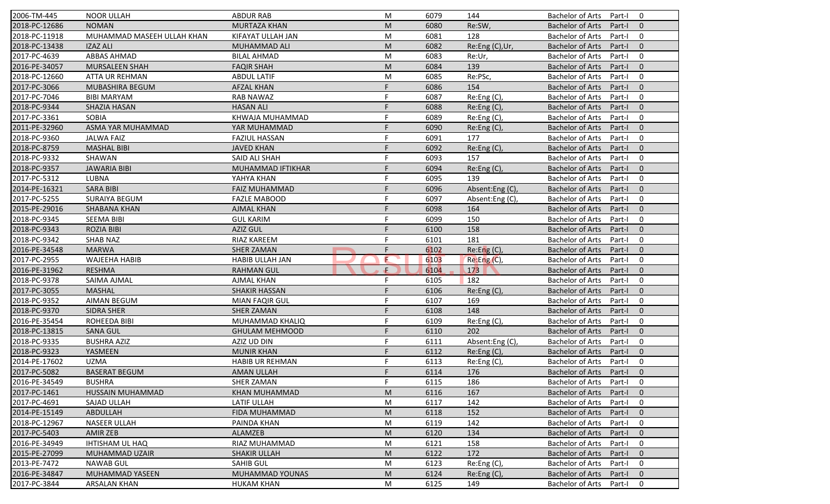| 2006-TM-445   | <b>NOOR ULLAH</b>          | <b>ABDUR RAB</b>       | M  | 6079 | 144             | <b>Bachelor of Arts</b><br>$\mathbf 0$<br>Part-I    |
|---------------|----------------------------|------------------------|----|------|-----------------|-----------------------------------------------------|
| 2018-PC-12686 | <b>NOMAN</b>               | <b>MURTAZA KHAN</b>    | M  | 6080 | Re:SW,          | <b>Bachelor of Arts</b><br>Part-I<br>$\mathbf{0}$   |
| 2018-PC-11918 | MUHAMMAD MASEEH ULLAH KHAN | KIFAYAT ULLAH JAN      | M  | 6081 | 128             | <b>Bachelor of Arts</b><br>Part-I<br>$\mathbf 0$    |
| 2018-PC-13438 | <b>IZAZ ALI</b>            | MUHAMMAD ALI           | M  | 6082 | Re:Eng (C), Ur, | <b>Bachelor of Arts</b><br>$\mathbf{0}$<br>Part-I   |
| 2017-PC-4639  | <b>ABBAS AHMAD</b>         | <b>BILAL AHMAD</b>     | M  | 6083 | Re:Ur,          | <b>Bachelor of Arts</b><br>$\mathbf 0$<br>Part-I    |
| 2016-PE-34057 | <b>MURSALEEN SHAH</b>      | <b>FAQIR SHAH</b>      | M  | 6084 | 139             | <b>Bachelor of Arts</b><br>Part-I<br>$\overline{0}$ |
| 2018-PC-12660 | ATTA UR REHMAN             | <b>ABDUL LATIF</b>     | M  | 6085 | Re:PSc,         | <b>Bachelor of Arts</b><br>$\mathbf 0$<br>Part-I    |
| 2017-PC-3066  | <b>MUBASHIRA BEGUM</b>     | <b>AFZAL KHAN</b>      | F  | 6086 | 154             | <b>Bachelor of Arts</b><br>$\mathbf{0}$<br>Part-I   |
| 2017-PC-7046  | <b>BIBI MARYAM</b>         | <b>RAB NAWAZ</b>       | F  | 6087 | Re:Eng (C),     | <b>Bachelor of Arts</b><br>Part-I<br>$\mathbf 0$    |
| 2018-PC-9344  | SHAZIA HASAN               | <b>HASAN ALI</b>       | F  | 6088 | Re:Eng (C),     | <b>Bachelor of Arts</b><br>Part-I<br>$\mathbf{0}$   |
| 2017-PC-3361  | SOBIA                      | KHWAJA MUHAMMAD        | F  | 6089 | Re:Eng(C),      | <b>Bachelor of Arts</b><br>Part-I<br>$\mathbf 0$    |
| 2011-PE-32960 | ASMA YAR MUHAMMAD          | YAR MUHAMMAD           | E  | 6090 | Re:Eng (C),     | <b>Bachelor of Arts</b><br>Part-I<br>$\mathbf{0}$   |
| 2018-PC-9360  | <b>JALWA FAIZ</b>          | <b>FAZIUL HASSAN</b>   | F  | 6091 | 177             | <b>Bachelor of Arts</b><br>$\mathbf 0$<br>Part-I    |
| 2018-PC-8759  | <b>MASHAL BIBI</b>         | <b>JAVED KHAN</b>      |    | 6092 | Re:Eng (C),     | <b>Bachelor of Arts</b><br>$\mathbf{0}$<br>Part-I   |
| 2018-PC-9332  | SHAWAN                     | SAID ALI SHAH          |    | 6093 | 157             | $\mathbf 0$<br><b>Bachelor of Arts</b><br>Part-I    |
| 2018-PC-9357  | <b>JAWARIA BIBI</b>        | MUHAMMAD IFTIKHAR      | F  | 6094 |                 | $\mathbf{0}$<br>Part-I                              |
|               |                            |                        | F  |      | Re:Eng (C),     | <b>Bachelor of Arts</b>                             |
| 2017-PC-5312  | LUBNA                      | YAHYA KHAN             |    | 6095 | 139             | <b>Bachelor of Arts</b><br>$\mathbf 0$<br>Part-I    |
| 2014-PE-16321 | <b>SARA BIBI</b>           | <b>FAIZ MUHAMMAD</b>   | F  | 6096 | Absent:Eng(C),  | <b>Bachelor of Arts</b><br>$\mathbf{0}$<br>Part-I   |
| 2017-PC-5255  | <b>SURAIYA BEGUM</b>       | <b>FAZLE MABOOD</b>    | F  | 6097 | Absent:Eng (C), | <b>Bachelor of Arts</b><br>Part-I<br>$\mathbf 0$    |
| 2015-PE-29016 | SHABANA KHAN               | <b>AJMAL KHAN</b>      | E  | 6098 | 164             | <b>Bachelor of Arts</b><br>$\mathbf{0}$<br>Part-I   |
| 2018-PC-9345  | <b>SEEMA BIBI</b>          | <b>GUL KARIM</b>       | F  | 6099 | 150             | <b>Bachelor of Arts</b><br>$\mathbf 0$<br>Part-I    |
| 2018-PC-9343  | <b>ROZIA BIBI</b>          | <b>AZIZ GUL</b>        |    | 6100 | 158             | $\mathbf{0}$<br><b>Bachelor of Arts</b><br>Part-I   |
| 2018-PC-9342  | <b>SHAB NAZ</b>            | RIAZ KAREEM            |    | 6101 | 181             | <b>Bachelor of Arts</b><br>Part-I<br>0              |
| 2016-PE-34548 | <b>MARWA</b>               | <b>SHER ZAMAN</b>      | F  | 6102 | Re: Eng(C)      | $\mathbf{0}$<br><b>Bachelor of Arts</b><br>Part-I   |
| 2017-PC-2955  | <b>WAJEEHA HABIB</b>       | HABIB ULLAH JAN        | E  | 6103 | Re: Eng(C)      | <b>Bachelor of Arts</b><br>$\mathbf 0$<br>Part-I    |
| 2016-PE-31962 | <b>RESHMA</b>              | <b>RAHMAN GUL</b>      | ÷. | 6104 | 173             | <b>Bachelor of Arts</b><br>$\mathbf{0}$<br>Part-I   |
| 2018-PC-9378  | SAIMA AJMAL                | <b>AJMAL KHAN</b>      | F  | 6105 | 182             | <b>Bachelor of Arts</b><br>Part-I<br>$\mathbf 0$    |
| 2017-PC-3055  | <b>MASHAL</b>              | <b>SHAKIR HASSAN</b>   | F  | 6106 | Re:Eng (C),     | <b>Bachelor of Arts</b><br>Part-I<br>$\mathbf{0}$   |
| 2018-PC-9352  | <b>AIMAN BEGUM</b>         | <b>MIAN FAQIR GUL</b>  | F  | 6107 | 169             | <b>Bachelor of Arts</b><br>$\mathbf 0$<br>Part-I    |
| 2018-PC-9370  | <b>SIDRA SHER</b>          | <b>SHER ZAMAN</b>      | F  | 6108 | 148             | <b>Bachelor of Arts</b><br>$\mathbf{0}$<br>Part-I   |
| 2016-PE-35454 | ROHEEDA BIBI               | MUHAMMAD KHALIQ        | F  | 6109 | Re:Eng (C),     | <b>Bachelor of Arts</b><br>Part-I<br>0              |
| 2018-PC-13815 | <b>SANA GUL</b>            | <b>GHULAM MEHMOOD</b>  | F  | 6110 | 202             | <b>Bachelor of Arts</b><br>Part-I<br>$\overline{0}$ |
| 2018-PC-9335  | <b>BUSHRA AZIZ</b>         | AZIZ UD DIN            | F  | 6111 | Absent:Eng (C), | <b>Bachelor of Arts</b><br>0<br>Part-I              |
| 2018-PC-9323  | YASMEEN                    | <b>MUNIR KHAN</b>      | F  | 6112 | Re:Eng (C),     | <b>Bachelor of Arts</b><br>$\mathbf{0}$<br>Part-I   |
| 2014-PE-17602 | <b>UZMA</b>                | <b>HABIB UR REHMAN</b> | F  | 6113 | Re:Eng (C),     | <b>Bachelor of Arts</b><br>Part-I<br>0              |
| 2017-PC-5082  | <b>BASERAT BEGUM</b>       | AMAN ULLAH             |    | 6114 | 176             | Bachelor of Arts Part-I 0                           |
| 2016-PE-34549 | <b>BUSHRA</b>              | SHER ZAMAN             | F. | 6115 | 186             | Bachelor of Arts Part-I<br>$\mathbf 0$              |
| 2017-PC-1461  | HUSSAIN MUHAMMAD           | <b>KHAN MUHAMMAD</b>   | M  | 6116 | 167             | <b>Bachelor of Arts</b><br>Part-I<br>$\mathbf{0}$   |
| 2017-PC-4691  | SAJAD ULLAH                | LATIF ULLAH            | M  | 6117 | 142             | <b>Bachelor of Arts</b><br>Part-I<br>0              |
| 2014-PE-15149 | ABDULLAH                   | <b>FIDA MUHAMMAD</b>   | M  | 6118 | 152             | <b>Bachelor of Arts</b><br>Part-I<br>$\mathbf{0}$   |
| 2018-PC-12967 | NASEER ULLAH               | PAINDA KHAN            | M  | 6119 | 142             | <b>Bachelor of Arts</b><br>0<br>Part-I              |
| 2017-PC-5403  | AMIR ZEB                   | ALAMZEB                | M  | 6120 | 134             | <b>Bachelor of Arts</b><br>Part-I<br>$\mathbf{0}$   |
| 2016-PE-34949 | <b>IHTISHAM UL HAQ</b>     | RIAZ MUHAMMAD          | M  | 6121 | 158             | <b>Bachelor of Arts</b><br>0<br>Part-I              |
|               |                            |                        |    |      |                 |                                                     |
| 2015-PE-27099 | MUHAMMAD UZAIR             | <b>SHAKIR ULLAH</b>    | M  | 6122 | 172             | <b>Bachelor of Arts</b><br>Part-I<br>$\mathbf 0$    |
| 2013-PE-7472  | <b>NAWAB GUL</b>           | <b>SAHIB GUL</b>       | M  | 6123 | Re:Eng (C),     | <b>Bachelor of Arts</b><br>Part-I<br>0              |
| 2016-PE-34847 | MUHAMMAD YASEEN            | MUHAMMAD YOUNAS        | M  | 6124 | $Re: Eng(C)$ ,  | <b>Bachelor of Arts</b><br>Part-I<br>$\mathbf{0}$   |
| 2017-PC-3844  | <b>ARSALAN KHAN</b>        | <b>HUKAM KHAN</b>      | M  | 6125 | 149             | Bachelor of Arts<br>0<br>Part-I                     |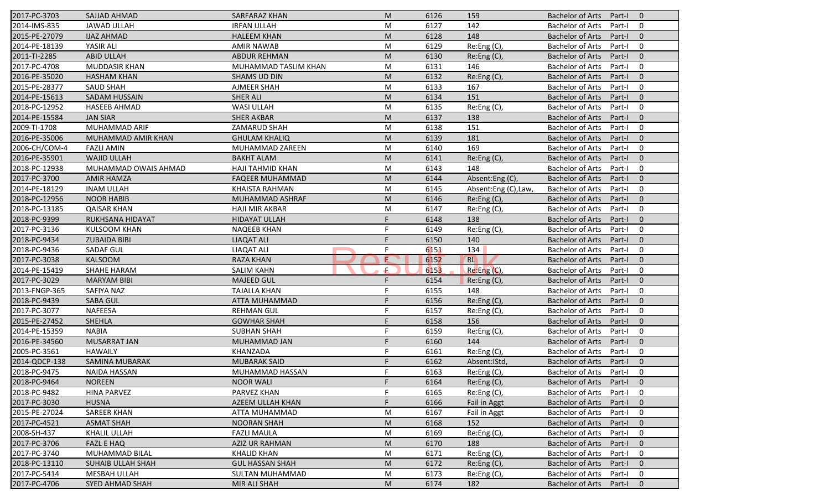| 2017-PC-3703  | SAJJAD AHMAD           | SARFARAZ KHAN          | M  | 6126 | 159                 | <b>Bachelor of Arts</b><br>Part-I<br>$\overline{0}$ |
|---------------|------------------------|------------------------|----|------|---------------------|-----------------------------------------------------|
| 2014-IMS-835  | <b>JAWAD ULLAH</b>     | <b>IRFAN ULLAH</b>     | M  | 6127 | 142                 | <b>Bachelor of Arts</b><br>Part-I<br>$\mathbf 0$    |
| 2015-PE-27079 | <b>IJAZ AHMAD</b>      | <b>HALEEM KHAN</b>     | M  | 6128 | 148                 | <b>Bachelor of Arts</b><br>Part-I<br>$\mathbf{0}$   |
| 2014-PE-18139 | YASIR ALI              | <b>AMIR NAWAB</b>      | M  | 6129 | Re:Eng (C),         | <b>Bachelor of Arts</b><br>$\mathbf 0$<br>Part-I    |
| 2011-TI-2285  | <b>ABID ULLAH</b>      | <b>ABDUR REHMAN</b>    | M  | 6130 | Re: Eng(C)          | $\mathbf{0}$<br><b>Bachelor of Arts</b><br>Part-I   |
| 2017-PC-4708  | <b>MUDDASIR KHAN</b>   | MUHAMMAD TASLIM KHAN   | M  | 6131 | 146                 | <b>Bachelor of Arts</b><br>Part-I<br>0              |
| 2016-PE-35020 | <b>HASHAM KHAN</b>     | <b>SHAMS UD DIN</b>    | M  | 6132 | Re:Eng (C),         | $\mathbf{0}$<br><b>Bachelor of Arts</b><br>Part-I   |
| 2015-PE-28377 | <b>SAUD SHAH</b>       | <b>AJMEER SHAH</b>     | M  | 6133 | 167                 | <b>Bachelor of Arts</b><br>$\mathbf 0$<br>Part-I    |
| 2014-PE-15613 | <b>SADAM HUSSAIN</b>   | <b>SHER ALI</b>        | M  | 6134 | 151                 | <b>Bachelor of Arts</b><br>Part-I<br>$\mathbf{0}$   |
| 2018-PC-12952 | <b>HASEEB AHMAD</b>    | <b>WASI ULLAH</b>      | M  | 6135 | Re:Eng (C),         | <b>Bachelor of Arts</b><br>Part-I<br>$\mathbf 0$    |
| 2014-PE-15584 | <b>JAN SIAR</b>        | <b>SHER AKBAR</b>      | M  | 6137 | 138                 | <b>Bachelor of Arts</b><br>Part-I<br>$\mathbf{0}$   |
| 2009-TI-1708  | MUHAMMAD ARIF          | ZAMARUD SHAH           | M  | 6138 | 151                 | $\mathbf 0$<br><b>Bachelor of Arts</b><br>Part-I    |
| 2016-PE-35006 | MUHAMMAD AMIR KHAN     | <b>GHULAM KHALIQ</b>   | M  | 6139 | 181                 | <b>Bachelor of Arts</b><br>$\mathbf{0}$<br>Part-I   |
| 2006-CH/COM-4 | <b>FAZLI AMIN</b>      | MUHAMMAD ZAREEN        | M  | 6140 | 169                 | <b>Bachelor of Arts</b><br>$\mathbf 0$<br>Part-I    |
| 2016-PE-35901 | <b>WAJID ULLAH</b>     | <b>BAKHT ALAM</b>      | M  | 6141 | Re:Eng (C),         | <b>Bachelor of Arts</b><br>Part-I<br>$\overline{0}$ |
| 2018-PC-12938 | MUHAMMAD OWAIS AHMAD   | HAJI TAHMID KHAN       | M  | 6143 | 148                 | <b>Bachelor of Arts</b><br>$\mathbf 0$<br>Part-I    |
| 2017-PC-3700  | <b>AMIR HAMZA</b>      | <b>FAQEER MUHAMMAD</b> | M  | 6144 | Absent:Eng(C),      | <b>Bachelor of Arts</b><br>$\mathbf{0}$<br>Part-I   |
| 2014-PE-18129 | <b>INAM ULLAH</b>      | <b>KHAISTA RAHMAN</b>  | M  | 6145 | Absent:Eng (C),Law, | <b>Bachelor of Arts</b><br>$\mathbf 0$<br>Part-I    |
| 2018-PC-12956 | <b>NOOR HABIB</b>      | MUHAMMAD ASHRAF        | M  | 6146 | Re:Eng(C),          | <b>Bachelor of Arts</b><br>$\mathbf{0}$<br>Part-I   |
| 2018-PC-13185 | <b>QAISAR KHAN</b>     | <b>HAJI MIR AKBAR</b>  | M  | 6147 | Re:Eng(C),          | <b>Bachelor of Arts</b><br>Part-I<br>$\mathbf 0$    |
| 2018-PC-9399  | RUKHSANA HIDAYAT       | <b>HIDAYAT ULLAH</b>   | F  | 6148 | 138                 | <b>Bachelor of Arts</b><br>$\mathbf{0}$<br>Part-I   |
| 2017-PC-3136  | <b>KULSOOM KHAN</b>    | <b>NAQEEB KHAN</b>     | F  | 6149 | Re:Eng (C),         | <b>Bachelor of Arts</b><br>$\mathbf 0$<br>Part-I    |
| 2018-PC-9434  | <b>ZUBAIDA BIBI</b>    | <b>LIAQAT ALI</b>      |    | 6150 | 140                 | <b>Bachelor of Arts</b><br>$\mathbf 0$<br>Part-I    |
| 2018-PC-9436  | <b>SADAF GUL</b>       | <b>LIAQAT ALI</b>      | F  | 6151 | 134                 | <b>Bachelor of Arts</b><br>$\mathbf 0$<br>Part-I    |
| 2017-PC-3038  | <b>KALSOOM</b>         | <b>RAZA KHAN</b>       | E  | 6152 | <b>RL</b>           | <b>Bachelor of Arts</b><br>$\mathbf{0}$<br>Part-I   |
| 2014-PE-15419 | <b>SHAHE HARAM</b>     | <b>SALIM KAHN</b>      | Æ  | 6153 | Re:Eng (C),         | <b>Bachelor of Arts</b><br>$\mathbf 0$<br>Part-I    |
| 2017-PC-3029  | <b>MARYAM BIBI</b>     | <b>MAJEED GUL</b>      | F  | 6154 | Re:Eng (C),         | <b>Bachelor of Arts</b><br>$\mathbf{0}$<br>Part-I   |
| 2013-FNGP-365 | SAFIYA NAZ             | <b>TAJALLA KHAN</b>    | F  | 6155 | 148                 | <b>Bachelor of Arts</b><br>$\mathbf 0$<br>Part-I    |
| 2018-PC-9439  | <b>SABA GUL</b>        | <b>ATTA MUHAMMAD</b>   | F  | 6156 | Re:Eng (C),         | <b>Bachelor of Arts</b><br>$\mathbf{0}$<br>Part-I   |
| 2017-PC-3077  | <b>NAFEESA</b>         | <b>REHMAN GUL</b>      | F  | 6157 | Re:Eng (C),         | <b>Bachelor of Arts</b><br>$\mathbf 0$<br>Part-I    |
| 2015-PE-27452 | <b>SHEHLA</b>          | <b>GOWHAR SHAH</b>     |    | 6158 | 156                 | <b>Bachelor of Arts</b><br>$\overline{0}$<br>Part-I |
| 2014-PE-15359 | <b>NABIA</b>           | <b>SUBHAN SHAH</b>     | F  | 6159 | Re:Eng (C),         | <b>Bachelor of Arts</b><br>$\mathbf 0$<br>Part-I    |
| 2016-PE-34560 | <b>MUSARRAT JAN</b>    | MUHAMMAD JAN           | F  | 6160 | 144                 | <b>Bachelor of Arts</b><br>$\mathbf{0}$<br>Part-I   |
| 2005-PC-3561  | <b>HAWAILY</b>         | KHANZADA               | F  | 6161 | Re:Eng (C),         | <b>Bachelor of Arts</b><br>Part-I<br>$\mathbf 0$    |
| 2014-QDCP-138 | <b>SAMINA MUBARAK</b>  | <b>MUBARAK SAID</b>    | F  | 6162 | Absent: IStd,       | <b>Bachelor of Arts</b><br>Part-I<br>$\mathbf 0$    |
| 2018-PC-9475  | NAIDA HASSAN           | MUHAMMAD HASSAN        |    | 6163 | Re:Eng(C),          | Bachelor of Arts Part-I<br>$\mathbf 0$              |
| 2018-PC-9464  | <b>NOREEN</b>          | <b>NOOR WALI</b>       | F. | 6164 | $Re:Eng(C)$ ,       | Bachelor of Arts Part-I<br>$\overline{0}$           |
| 2018-PC-9482  | <b>HINA PARVEZ</b>     | PARVEZ KHAN            | F  | 6165 | Re:Eng (C),         | <b>Bachelor of Arts</b><br>Part-I<br>0              |
| 2017-PC-3030  | <b>HUSNA</b>           | AZEEM ULLAH KHAN       | F. | 6166 | Fail in Aggt        | <b>Bachelor of Arts</b><br>Part-I<br>$\mathbf{0}$   |
| 2015-PE-27024 | <b>SAREER KHAN</b>     | ATTA MUHAMMAD          | M  | 6167 | Fail in Aggt        | <b>Bachelor of Arts</b><br>0<br>Part-I              |
| 2017-PC-4521  | <b>ASMAT SHAH</b>      | <b>NOORAN SHAH</b>     | M  | 6168 | 152                 | <b>Bachelor of Arts</b><br>$\mathbf 0$<br>Part-I    |
| 2008-SH-437   | KHALIL ULLAH           | <b>FAZLI MAULA</b>     | M  | 6169 | Re: Eng(C)          | <b>Bachelor of Arts</b><br>0<br>Part-I              |
| 2017-PC-3706  | <b>FAZL E HAQ</b>      | <b>AZIZ UR RAHMAN</b>  | M  | 6170 | 188                 | <b>Bachelor of Arts</b><br>$\mathbf 0$<br>Part-I    |
| 2017-PC-3740  | MUHAMMAD BILAL         | <b>KHALID KHAN</b>     | M  | 6171 | Re:Eng (C),         | <b>Bachelor of Arts</b><br>Part-I<br>0              |
| 2018-PC-13110 | SUHAIB ULLAH SHAH      | <b>GUL HASSAN SHAH</b> | M  | 6172 | Re:Eng (C),         | <b>Bachelor of Arts</b><br>Part-I<br>$\mathbf 0$    |
| 2017-PC-5414  | MESBAH ULLAH           | SULTAN MUHAMMAD        | M  | 6173 | Re:Eng (C),         | Bachelor of Arts<br>0<br>Part-I                     |
| 2017-PC-4706  | <b>SYED AHMAD SHAH</b> | MIR ALI SHAH           | M  | 6174 | 182                 | Bachelor of Arts<br>$\mathbf 0$<br>Part-I           |
|               |                        |                        |    |      |                     |                                                     |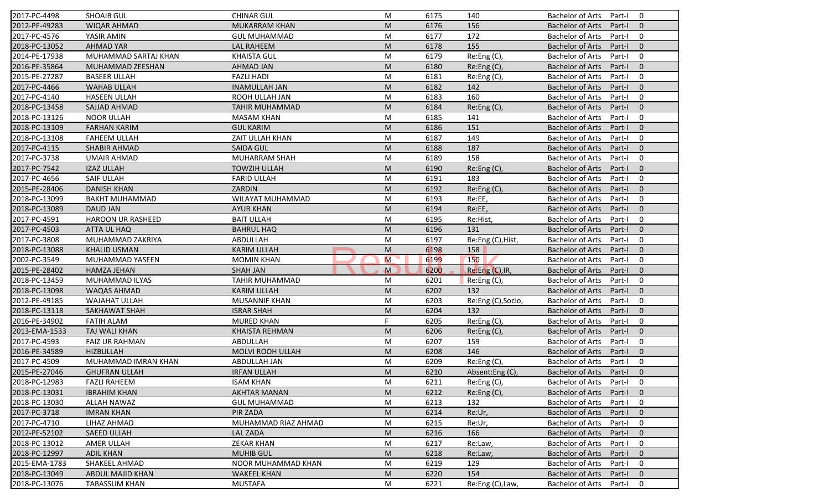| 2017-PC-4498  | <b>SHOAIB GUL</b>        | <b>CHINAR GUL</b>     | M  | 6175 | 140                | <b>Bachelor of Arts</b><br>$\mathbf 0$<br>Part-I    |
|---------------|--------------------------|-----------------------|----|------|--------------------|-----------------------------------------------------|
| 2012-PE-49283 | <b>WIQAR AHMAD</b>       | <b>MUKARRAM KHAN</b>  | M  | 6176 | 156                | <b>Bachelor of Arts</b><br>Part-I<br>$\mathbf{0}$   |
| 2017-PC-4576  | YASIR AMIN               | <b>GUL MUHAMMAD</b>   | M  | 6177 | 172                | <b>Bachelor of Arts</b><br>Part-I<br>$\mathbf 0$    |
| 2018-PC-13052 | <b>AHMAD YAR</b>         | <b>LAL RAHEEM</b>     | M  | 6178 | 155                | <b>Bachelor of Arts</b><br>$\mathbf{0}$<br>Part-I   |
| 2014-PE-17938 | MUHAMMAD SARTAJ KHAN     | <b>KHAISTA GUL</b>    | M  | 6179 | Re:Eng (C),        | <b>Bachelor of Arts</b><br>$\mathbf 0$<br>Part-I    |
| 2016-PE-35864 | MUHAMMAD ZEESHAN         | <b>AHMAD JAN</b>      | M  | 6180 | Re:Eng (C),        | <b>Bachelor of Arts</b><br>Part-I<br>$\overline{0}$ |
| 2015-PE-27287 | <b>BASEER ULLAH</b>      | <b>FAZLI HADI</b>     | M  | 6181 | Re:Eng (C),        | <b>Bachelor of Arts</b><br>$\mathbf 0$<br>Part-I    |
| 2017-PC-4466  | <b>WAHAB ULLAH</b>       | <b>INAMULLAH JAN</b>  | M  | 6182 | 142                | <b>Bachelor of Arts</b><br>$\mathbf{0}$<br>Part-I   |
| 2017-PC-4140  | <b>HASEEN ULLAH</b>      | ROOH ULLAH JAN        | M  | 6183 | 160                | $\mathbf 0$<br><b>Bachelor of Arts</b><br>Part-I    |
| 2018-PC-13458 | SAJJAD AHMAD             | <b>TAHIR MUHAMMAD</b> | M  | 6184 | Re:Eng (C),        | <b>Bachelor of Arts</b><br>Part-I<br>$\mathbf{0}$   |
| 2018-PC-13126 | <b>NOOR ULLAH</b>        | <b>MASAM KHAN</b>     | M  | 6185 | 141                | <b>Bachelor of Arts</b><br>Part-I<br>$\mathbf 0$    |
| 2018-PC-13109 | <b>FARHAN KARIM</b>      | <b>GUL KARIM</b>      | M  | 6186 | 151                | <b>Bachelor of Arts</b><br>Part-I<br>$\mathbf{0}$   |
| 2018-PC-13108 | <b>FAHEEM ULLAH</b>      | ZAIT ULLAH KHAN       | M  | 6187 | 149                | <b>Bachelor of Arts</b><br>$\mathbf 0$<br>Part-I    |
| 2017-PC-4115  | <b>SHABIR AHMAD</b>      | <b>SAIDA GUL</b>      | M  | 6188 | 187                | <b>Bachelor of Arts</b><br>$\mathbf{0}$<br>Part-I   |
| 2017-PC-3738  | <b>UMAIR AHMAD</b>       | MUHARRAM SHAH         | M  | 6189 | 158                | $\mathbf 0$<br><b>Bachelor of Arts</b><br>Part-I    |
| 2017-PC-7542  | <b>IZAZ ULLAH</b>        | <b>TOWZIH ULLAH</b>   | M  | 6190 | Re:Eng(C),         | $\mathbf{0}$<br><b>Bachelor of Arts</b><br>Part-I   |
| 2017-PC-4656  | <b>SAIF ULLAH</b>        | <b>FARID ULLAH</b>    | M  | 6191 | 183                | <b>Bachelor of Arts</b><br>$\mathbf 0$<br>Part-I    |
| 2015-PE-28406 | <b>DANISH KHAN</b>       | ZARDIN                | M  | 6192 | Re:Eng (C),        | <b>Bachelor of Arts</b><br>$\mathbf{0}$<br>Part-I   |
| 2018-PC-13099 | <b>BAKHT MUHAMMAD</b>    | WILAYAT MUHAMMAD      | M  | 6193 | Re:EE,             | <b>Bachelor of Arts</b><br>Part-I<br>$\mathbf 0$    |
| 2018-PC-13089 | <b>DAUD JAN</b>          | <b>AYUB KHAN</b>      | M  | 6194 | Re:EE,             | <b>Bachelor of Arts</b><br>$\mathbf{0}$<br>Part-I   |
| 2017-PC-4591  | <b>HAROON UR RASHEED</b> | <b>BAIT ULLAH</b>     | M  | 6195 | Re:Hist,           | <b>Bachelor of Arts</b><br>$\mathbf 0$<br>Part-I    |
| 2017-PC-4503  | ATTA UL HAQ              | <b>BAHRUL HAQ</b>     | M  | 6196 | 131                | $\mathbf{0}$<br><b>Bachelor of Arts</b><br>Part-I   |
| 2017-PC-3808  | MUHAMMAD ZAKRIYA         | ABDULLAH              | M  | 6197 | Re:Eng (C), Hist,  | <b>Bachelor of Arts</b><br>Part-I<br>0              |
| 2018-PC-13088 | <b>KHALID USMAN</b>      | <b>KARIM ULLAH</b>    | M  | 6198 | 158                | $\mathbf{0}$<br><b>Bachelor of Arts</b><br>Part-I   |
| 2002-PC-3549  | MUHAMMAD YASEEN          | <b>MOMIN KHAN</b>     | M  | 6199 | 150                | <b>Bachelor of Arts</b><br>$\mathbf 0$<br>Part-I    |
| 2015-PE-28402 | <b>HAMZA JEHAN</b>       | <b>SHAH JAN</b>       | M  | 6200 | Re:Eng (C), IR,    | <b>Bachelor of Arts</b><br>$\mathbf{0}$<br>Part-I   |
| 2018-PC-13459 | MUHAMMAD ILYAS           | TAHIR MUHAMMAD        | M  | 6201 | Re:Eng (C),        | <b>Bachelor of Arts</b><br>Part-I<br>$\mathbf 0$    |
| 2018-PC-13098 | <b>WAQAS AHMAD</b>       | <b>KARIM ULLAH</b>    | M  | 6202 | 132                | <b>Bachelor of Arts</b><br>Part-I<br>$\mathbf{0}$   |
| 2012-PE-49185 | <b>WAJAHAT ULLAH</b>     | MUSANNIF KHAN         | M  | 6203 | Re:Eng (C), Socio, | <b>Bachelor of Arts</b><br>$\mathbf 0$<br>Part-I    |
| 2018-PC-13118 | SAKHAWAT SHAH            | <b>ISRAR SHAH</b>     | M  | 6204 | 132                | <b>Bachelor of Arts</b><br>$\mathbf{0}$<br>Part-I   |
| 2016-PE-34902 | <b>FATIH ALAM</b>        | <b>MURED KHAN</b>     | F. | 6205 | Re:Eng (C),        | Bachelor of Arts<br>Part-I<br>0                     |
| 2013-EMA-1533 | TAJ WALI KHAN            | <b>KHAISTA REHMAN</b> | M  | 6206 | Re:Eng (C),        | $\mathbf{0}$<br><b>Bachelor of Arts</b><br>Part-I   |
| 2017-PC-4593  | <b>FAIZ UR RAHMAN</b>    | ABDULLAH              | M  | 6207 | 159                | <b>Bachelor of Arts</b><br>$\mathbf 0$<br>Part-I    |
| 2016-PE-34589 | <b>HIZBULLAH</b>         | MOLVI ROOH ULLAH      | M  | 6208 | 146                | <b>Bachelor of Arts</b><br>$\mathbf{0}$<br>Part-I   |
| 2017-PC-4509  | MUHAMMAD IMRAN KHAN      | ABDULLAH JAN          | M  | 6209 | Re:Eng (C),        | <b>Bachelor of Arts</b><br>Part-I<br>0              |
| 2015-PE-27046 | <b>GHUFRAN ULLAH</b>     | <b>IRFAN ULLAH</b>    | M  | 6210 | Absent:Eng(C),     | Bachelor of Arts Part-I 0                           |
| 2018-PC-12983 | <b>FAZLI RAHEEM</b>      | <b>ISAM KHAN</b>      | М  | 6211 | $Re: Eng(C)$ ,     | Bachelor of Arts Part-I<br>$\mathbf 0$              |
| 2018-PC-13031 | <b>IBRAHIM KHAN</b>      | <b>AKHTAR MANAN</b>   | M  | 6212 | Re:Eng (C),        | <b>Bachelor of Arts</b><br>Part-I<br>$\mathbf{0}$   |
| 2018-PC-13030 | <b>ALLAH NAWAZ</b>       | <b>GUL MUHAMMAD</b>   | M  | 6213 | 132                | <b>Bachelor of Arts</b><br>Part-I<br>0              |
| 2017-PC-3718  | <b>IMRAN KHAN</b>        | PIR ZADA              | M  | 6214 | Re:Ur,             | <b>Bachelor of Arts</b><br>$\mathbf 0$<br>Part-I    |
| 2017-PC-4710  | LIHAZ AHMAD              | MUHAMMAD RIAZ AHMAD   | M  | 6215 | Re:Ur,             | <b>Bachelor of Arts</b><br>0<br>Part-I              |
| 2012-PE-52102 | <b>SAEED ULLAH</b>       | LAL ZADA              | M  | 6216 | 166                | <b>Bachelor of Arts</b><br>$\mathbf 0$<br>Part-I    |
| 2018-PC-13012 | AMER ULLAH               | <b>ZEKAR KHAN</b>     | M  | 6217 | Re:Law,            | <b>Bachelor of Arts</b><br>0<br>Part-I              |
| 2018-PC-12997 | <b>ADIL KHAN</b>         | <b>MUHIB GUL</b>      | M  | 6218 | Re:Law,            | <b>Bachelor of Arts</b><br>Part-I<br>$\mathbf 0$    |
| 2015-EMA-1783 | SHAKEEL AHMAD            | NOOR MUHAMMAD KHAN    | M  | 6219 | 129                | <b>Bachelor of Arts</b><br>0<br>Part-I              |
| 2018-PC-13049 | ABDUL MAJID KHAN         | <b>WAKEEL KHAN</b>    | M  | 6220 | 154                | <b>Bachelor of Arts</b><br>$\mathbf 0$<br>Part-I    |
| 2018-PC-13076 | <b>TABASSUM KHAN</b>     | <b>MUSTAFA</b>        | M  | 6221 | Re:Eng (C), Law,   | Bachelor of Arts<br>0<br>Part-I                     |
|               |                          |                       |    |      |                    |                                                     |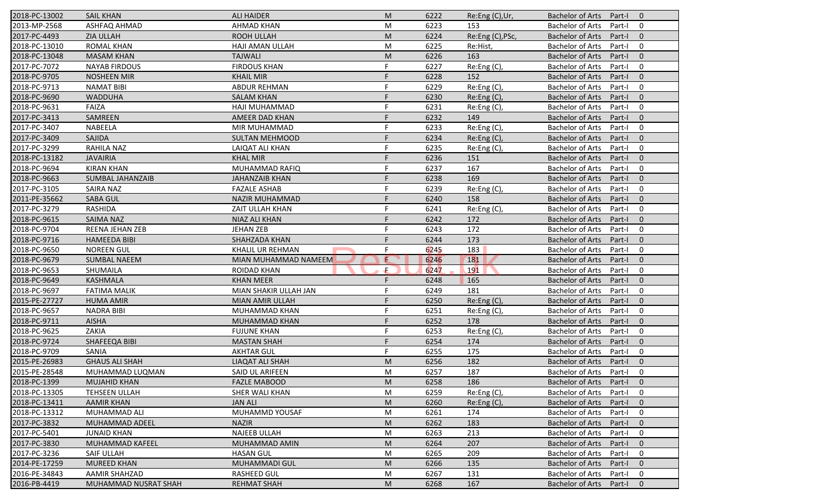| 2018-PC-13002 | <b>SAIL KHAN</b>        | <b>ALI HAIDER</b>      | M | 6222 | Re:Eng (C),Ur,   | <b>Bachelor of Arts</b><br>Part-I<br>$\overline{0}$ |
|---------------|-------------------------|------------------------|---|------|------------------|-----------------------------------------------------|
| 2013-MP-2568  | ASHFAQ AHMAD            | <b>AHMAD KHAN</b>      | M | 6223 | 153              | <b>Bachelor of Arts</b><br>Part-I<br>0              |
| 2017-PC-4493  | <b>ZIA ULLAH</b>        | <b>ROOH ULLAH</b>      | M | 6224 | Re:Eng (C), PSc, | <b>Bachelor of Arts</b><br>Part-I<br>$\mathbf{0}$   |
| 2018-PC-13010 | <b>ROMAL KHAN</b>       | HAJI AMAN ULLAH        | M | 6225 | Re:Hist,         | <b>Bachelor of Arts</b><br>0<br>Part-I              |
| 2018-PC-13048 | <b>MASAM KHAN</b>       | <b>TAJWALI</b>         | M | 6226 | 163              | $\mathbf{0}$<br><b>Bachelor of Arts</b><br>Part-I   |
| 2017-PC-7072  | <b>NAYAB FIRDOUS</b>    | <b>FIRDOUS KHAN</b>    | F | 6227 | Re:Eng (C),      | <b>Bachelor of Arts</b><br>Part-I<br>0              |
| 2018-PC-9705  | <b>NOSHEEN MIR</b>      | <b>KHAIL MIR</b>       | F | 6228 | 152              | $\mathbf{0}$<br><b>Bachelor of Arts</b><br>Part-I   |
| 2018-PC-9713  | <b>NAMAT BIBI</b>       | <b>ABDUR REHMAN</b>    | F | 6229 | Re:Eng (C),      | <b>Bachelor of Arts</b><br>0<br>Part-I              |
| 2018-PC-9690  | <b>WADDUHA</b>          | <b>SALAM KHAN</b>      | F | 6230 | Re:Eng (C),      | <b>Bachelor of Arts</b><br>$\mathbf{0}$<br>Part-I   |
| 2018-PC-9631  | <b>FAIZA</b>            | HAJI MUHAMMAD          | F | 6231 | Re:Eng (C),      | <b>Bachelor of Arts</b><br>Part-I<br>0              |
| 2017-PC-3413  | SAMREEN                 | AMEER DAD KHAN         |   | 6232 | 149              | <b>Bachelor of Arts</b><br>Part-I<br>$\mathbf{0}$   |
| 2017-PC-3407  | NABEELA                 | MIR MUHAMMAD           | F | 6233 | Re:Eng (C),      | <b>Bachelor of Arts</b><br>Part-I<br>0              |
| 2017-PC-3409  | SAJIDA                  | <b>SULTAN MEHMOOD</b>  |   | 6234 | Re:Eng (C),      | <b>Bachelor of Arts</b><br>$\mathbf{0}$<br>Part-I   |
| 2017-PC-3299  | RAHILA NAZ              | <b>LAIQAT ALI KHAN</b> | F | 6235 | $Re: Eng(C)$ ,   | <b>Bachelor of Arts</b><br>0<br>Part-I              |
| 2018-PC-13182 | <b>JAVAIRIA</b>         | <b>KHAL MIR</b>        |   | 6236 | 151              | <b>Bachelor of Arts</b><br>Part-I<br>$\overline{0}$ |
| 2018-PC-9694  | <b>KIRAN KHAN</b>       | MUHAMMAD RAFIQ         | F | 6237 | 167              | <b>Bachelor of Arts</b><br>0<br>Part-I              |
| 2018-PC-9663  | <b>SUMBAL JAHANZAIB</b> | <b>JAHANZAIB KHAN</b>  | F | 6238 | 169              | <b>Bachelor of Arts</b><br>$\mathbf{0}$<br>Part-I   |
| 2017-PC-3105  | <b>SAIRA NAZ</b>        | <b>FAZALE ASHAB</b>    | F | 6239 | Re:Eng(C),       | <b>Bachelor of Arts</b><br>0<br>Part-I              |
| 2011-PE-35662 | <b>SABA GUL</b>         | <b>NAZIR MUHAMMAD</b>  |   | 6240 | 158              | <b>Bachelor of Arts</b><br>$\mathbf{0}$<br>Part-I   |
| 2017-PC-3279  | <b>RASHIDA</b>          | ZAIT ULLAH KHAN        | F | 6241 | Re:Eng (C),      | <b>Bachelor of Arts</b><br>0<br>Part-I              |
| 2018-PC-9615  | <b>SAIMA NAZ</b>        | NIAZ ALI KHAN          | F | 6242 | 172              | <b>Bachelor of Arts</b><br>$\mathbf{0}$<br>Part-I   |
| 2018-PC-9704  | REENA JEHAN ZEB         | <b>JEHAN ZEB</b>       | F | 6243 | 172              | <b>Bachelor of Arts</b><br>0<br>Part-I              |
| 2018-PC-9716  | <b>HAMEEDA BIBI</b>     | SHAHZADA KHAN          |   | 6244 | 173              | <b>Bachelor of Arts</b><br>$\overline{0}$<br>Part-I |
| 2018-PC-9650  | <b>NOREEN GUL</b>       | KHALIL UR REHMAN       | F | 6245 | 183              | <b>Bachelor of Arts</b><br>0<br>Part-I              |
| 2018-PC-9679  | <b>SUMBAL NAEEM</b>     | MIAN MUHAMMAD NAMEEM   | Œ | 6246 | 181              | $\mathbf{0}$<br><b>Bachelor of Arts</b><br>Part-I   |
| 2018-PC-9653  | SHUMAILA                | <b>ROIDAD KHAN</b>     | Æ | 6247 | 191              | <b>Bachelor of Arts</b><br>0<br>Part-I              |
| 2018-PC-9649  | KASHMALA                | <b>KHAN MEER</b>       | F | 6248 | 165              | <b>Bachelor of Arts</b><br>Part-I<br>$\overline{0}$ |
| 2018-PC-9697  | <b>FATIMA MALIK</b>     | MIAN SHAKIR ULLAH JAN  | F | 6249 | 181              | <b>Bachelor of Arts</b><br>Part-I<br>0              |
| 2015-PE-27727 | <b>HUMA AMIR</b>        | MIAN AMIR ULLAH        | F | 6250 | Re: Eng(C)       | <b>Bachelor of Arts</b><br>$\mathbf{0}$<br>Part-I   |
| 2018-PC-9657  | <b>NADRA BIBI</b>       | MUHAMMAD KHAN          | F | 6251 | Re:Eng (C),      | <b>Bachelor of Arts</b><br>0<br>Part-I              |
| 2018-PC-9711  | <b>AISHA</b>            | <b>MUHAMMAD KHAN</b>   |   | 6252 | 178              | <b>Bachelor of Arts</b><br>$\overline{0}$<br>Part-I |
| 2018-PC-9625  | ZAKIA                   | <b>FUJUNE KHAN</b>     | F | 6253 | Re:Eng (C),      | <b>Bachelor of Arts</b><br>0<br>Part-I              |
| 2018-PC-9724  | SHAFEEQA BIBI           | <b>MASTAN SHAH</b>     | F | 6254 | 174              | <b>Bachelor of Arts</b><br>Part-I<br>$\overline{0}$ |
| 2018-PC-9709  | <b>SANIA</b>            | <b>AKHTAR GUL</b>      | F | 6255 | 175              | <b>Bachelor of Arts</b><br>Part-I<br>0              |
| 2015-PE-26983 | <b>GHAUS ALI SHAH</b>   | LIAQAT ALI SHAH        | M | 6256 | 182              | <b>Bachelor of Arts</b><br>Part-I<br>$\mathbf 0$    |
| 2015-PE-28548 | MUHAMMAD LUQMAN         | SAID UL ARIFEEN        | M | 6257 | 187              | Bachelor of Arts Part-I<br>$\mathbf 0$              |
| 2018-PC-1399  | <b>MUJAHID KHAN</b>     | <b>FAZLE MABOOD</b>    | M | 6258 | 186              | Bachelor of Arts Part-I<br>$\overline{0}$           |
| 2018-PC-13305 | TEHSEEN ULLAH           | SHER WALI KHAN         | M | 6259 | Re:Eng (C),      | <b>Bachelor of Arts</b><br>Part-I<br>0              |
| 2018-PC-13411 | <b>AAMIR KHAN</b>       | <b>JAN ALI</b>         | M | 6260 | Re:Eng(C)        | <b>Bachelor of Arts</b><br>Part-I<br>$\mathbf{0}$   |
| 2018-PC-13312 | MUHAMMAD ALI            | MUHAMMD YOUSAF         | M | 6261 | 174              | <b>Bachelor of Arts</b><br>Part-I<br>0              |
| 2017-PC-3832  | MUHAMMAD ADEEL          | <b>NAZIR</b>           | M | 6262 | 183              | <b>Bachelor of Arts</b><br>$\mathbf 0$<br>Part-I    |
| 2017-PC-5401  | <b>JUNAID KHAN</b>      | <b>NAJEEB ULLAH</b>    | M | 6263 | 213              | <b>Bachelor of Arts</b><br>0<br>Part-I              |
| 2017-PC-3830  | <b>MUHAMMAD KAFEEL</b>  | MUHAMMAD AMIN          | M | 6264 | 207              | <b>Bachelor of Arts</b><br>Part-I<br>$\mathbf 0$    |
| 2017-PC-3236  | SAIF ULLAH              | <b>HASAN GUL</b>       | M | 6265 | 209              | <b>Bachelor of Arts</b><br>0<br>Part-I              |
| 2014-PE-17259 | <b>MUREED KHAN</b>      | MUHAMMADI GUL          | M | 6266 | 135              | <b>Bachelor of Arts</b><br>$\mathbf 0$<br>Part-I    |
| 2016-PE-34843 | AAMIR SHAHZAD           | <b>RASHEED GUL</b>     | M | 6267 | 131              | Bachelor of Arts<br>0<br>Part-I                     |
| 2016-PB-4419  | MUHAMMAD NUSRAT SHAH    | <b>REHMAT SHAH</b>     | M | 6268 | 167              | Bachelor of Arts<br>Part-I<br>$\mathbf{0}$          |
|               |                         |                        |   |      |                  |                                                     |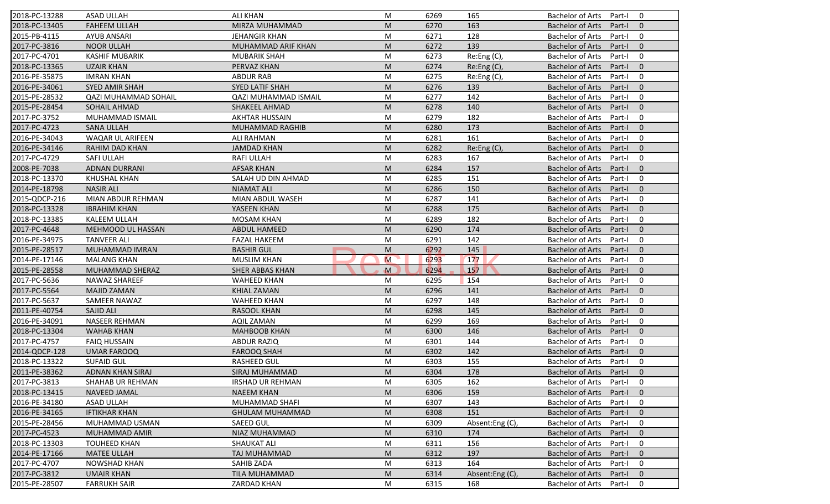| 2018-PC-13288 | <b>ASAD ULLAH</b>           | <b>ALI KHAN</b>             | M            | 6269 | 165             | <b>Bachelor of Arts</b><br>$\mathbf 0$<br>Part-I    |
|---------------|-----------------------------|-----------------------------|--------------|------|-----------------|-----------------------------------------------------|
| 2018-PC-13405 | <b>FAHEEM ULLAH</b>         | MIRZA MUHAMMAD              | M            | 6270 | 163             | <b>Bachelor of Arts</b><br>Part-I<br>$\mathbf{0}$   |
| 2015-PB-4115  | <b>AYUB ANSARI</b>          | <b>JEHANGIR KHAN</b>        | M            | 6271 | 128             | <b>Bachelor of Arts</b><br>$\mathbf 0$<br>Part-I    |
| 2017-PC-3816  | <b>NOOR ULLAH</b>           | MUHAMMAD ARIF KHAN          | M            | 6272 | 139             | $\mathbf{0}$<br><b>Bachelor of Arts</b><br>Part-I   |
| 2017-PC-4701  | <b>KASHIF MUBARIK</b>       | <b>MUBARIK SHAH</b>         | M            | 6273 | Re:Eng (C),     | $\mathbf 0$<br><b>Bachelor of Arts</b><br>Part-I    |
| 2018-PC-13365 | <b>UZAIR KHAN</b>           | PERVAZ KHAN                 | M            | 6274 | Re:Eng (C),     | $\overline{0}$<br><b>Bachelor of Arts</b><br>Part-I |
| 2016-PE-35875 | <b>IMRAN KHAN</b>           | <b>ABDUR RAB</b>            | M            | 6275 | Re:Eng (C),     | $\mathbf 0$<br><b>Bachelor of Arts</b><br>Part-I    |
| 2016-PE-34061 | <b>SYED AMIR SHAH</b>       | SYED LATIF SHAH             | M            | 6276 | 139             | $\mathbf{0}$<br><b>Bachelor of Arts</b><br>Part-I   |
| 2015-PE-28532 | <b>QAZI MUHAMMAD SOHAIL</b> | <b>QAZI MUHAMMAD ISMAIL</b> | M            | 6277 | 142             | <b>Bachelor of Arts</b><br>$\mathbf 0$<br>Part-I    |
| 2015-PE-28454 | SOHAIL AHMAD                | SHAKEEL AHMAD               | M            | 6278 | 140             | <b>Bachelor of Arts</b><br>$\mathbf{0}$<br>Part-I   |
| 2017-PC-3752  | MUHAMMAD ISMAIL             | <b>AKHTAR HUSSAIN</b>       | M            | 6279 | 182             | <b>Bachelor of Arts</b><br>Part-I<br>$\mathbf 0$    |
| 2017-PC-4723  | <b>SANA ULLAH</b>           | <b>MUHAMMAD RAGHIB</b>      | M            | 6280 | 173             | <b>Bachelor of Arts</b><br>Part-I<br>$\mathbf{0}$   |
| 2016-PE-34043 | WAQAR UL ARIFEEN            | <b>ALI RAHMAN</b>           | M            | 6281 | 161             | <b>Bachelor of Arts</b><br>$\mathbf 0$<br>Part-I    |
| 2016-PE-34146 | <b>RAHIM DAD KHAN</b>       | <b>JAMDAD KHAN</b>          | M            | 6282 | Re:Eng (C),     | $\mathbf{0}$<br><b>Bachelor of Arts</b><br>Part-I   |
| 2017-PC-4729  | <b>SAFI ULLAH</b>           | <b>RAFI ULLAH</b>           | M            | 6283 | 167             | $\mathbf 0$<br><b>Bachelor of Arts</b><br>Part-I    |
| 2008-PE-7038  | <b>ADNAN DURRANI</b>        | <b>AFSAR KHAN</b>           | M            | 6284 | 157             | $\Omega$<br><b>Bachelor of Arts</b><br>Part-I       |
| 2018-PC-13370 | <b>KHUSHAL KHAN</b>         | SALAH UD DIN AHMAD          | M            | 6285 | 151             | <b>Bachelor of Arts</b><br>$\mathbf 0$<br>Part-I    |
| 2014-PE-18798 | <b>NASIR ALI</b>            | <b>NIAMAT ALI</b>           | M            | 6286 | 150             | <b>Bachelor of Arts</b><br>$\mathbf{0}$<br>Part-I   |
| 2015-QDCP-216 | MIAN ABDUR REHMAN           | MIAN ABDUL WASEH            | M            | 6287 | 141             | <b>Bachelor of Arts</b><br>0<br>Part-I              |
| 2018-PC-13328 | <b>IBRAHIM KHAN</b>         | YASEEN KHAN                 | M            | 6288 | 175             | <b>Bachelor of Arts</b><br>$\mathbf{0}$<br>Part-I   |
| 2018-PC-13385 | <b>KALEEM ULLAH</b>         | <b>MOSAM KHAN</b>           | M            | 6289 | 182             | $\mathbf 0$<br><b>Bachelor of Arts</b><br>Part-I    |
| 2017-PC-4648  | MEHMOOD UL HASSAN           | <b>ABDUL HAMEED</b>         | M            | 6290 | 174             | $\mathbf{0}$<br><b>Bachelor of Arts</b><br>Part-I   |
| 2016-PE-34975 | <b>TANVEER ALI</b>          | <b>FAZAL HAKEEM</b>         | M            | 6291 | 142             | <b>Bachelor of Arts</b><br>0<br>Part-I              |
| 2015-PE-28517 | MUHAMMAD IMRAN              | <b>BASHIR GUL</b>           | M            | 6292 | 145             | $\mathbf{0}$<br><b>Bachelor of Arts</b><br>Part-I   |
| 2014-PE-17146 | <b>MALANG KHAN</b>          | <b>MUSLIM KHAN</b>          | M            | 6293 | 177             | <b>Bachelor of Arts</b><br>$\mathbf 0$<br>Part-I    |
| 2015-PE-28558 | MUHAMMAD SHERAZ             | <b>SHER ABBAS KHAN</b>      | $\mathbf{M}$ | 6294 | 157             | <b>Bachelor of Arts</b><br>$\mathbf{0}$<br>Part-I   |
| 2017-PC-5636  | NAWAZ SHAREEF               | <b>WAHEED KHAN</b>          | M            | 6295 | 154             | <b>Bachelor of Arts</b><br>$\mathbf 0$<br>Part-I    |
| 2017-PC-5564  | <b>MAJID ZAMAN</b>          | KHIAL ZAMAN                 | M            | 6296 | 141             | <b>Bachelor of Arts</b><br>$\mathbf{0}$<br>Part-I   |
| 2017-PC-5637  | SAMEER NAWAZ                | <b>WAHEED KHAN</b>          | M            | 6297 | 148             | <b>Bachelor of Arts</b><br>$\mathbf 0$<br>Part-I    |
| 2011-PE-40754 | SAJID ALI                   | <b>RASOOL KHAN</b>          | M            | 6298 | 145             | $\mathbf{0}$<br><b>Bachelor of Arts</b><br>Part-I   |
| 2016-PE-34091 | <b>NASEER REHMAN</b>        | AQIL ZAMAN                  | M            | 6299 | 169             | <b>Bachelor of Arts</b><br>0<br>Part-I              |
| 2018-PC-13304 | <b>WAHAB KHAN</b>           | <b>MAHBOOB KHAN</b>         | M            | 6300 | 146             | <b>Bachelor of Arts</b><br>Part-I<br>$\Omega$       |
| 2017-PC-4757  | <b>FAIQ HUSSAIN</b>         | <b>ABDUR RAZIQ</b>          | M            | 6301 | 144             | <b>Bachelor of Arts</b><br>$\mathbf 0$<br>Part-I    |
| 2014-QDCP-128 | <b>UMAR FAROOQ</b>          | <b>FAROOQ SHAH</b>          | M            | 6302 | 142             | <b>Bachelor of Arts</b><br>$\mathbf{0}$<br>Part-I   |
| 2018-PC-13322 | <b>SUFAID GUL</b>           | <b>RASHEED GUL</b>          | M            | 6303 | 155             | <b>Bachelor of Arts</b><br>Part-I<br>0              |
| 2011-PE-38362 | ADNAN KHAN SIRAJ            | SIRAJ MUHAMMAD              | ${\sf M}$    | 6304 | 178             | Bachelor of Arts Part-I 0                           |
| 2017-PC-3813  | SHAHAB UR REHMAN            | <b>IRSHAD UR REHMAN</b>     | M            | 6305 | 162             | Bachelor of Arts Part-I<br>$\mathbf 0$              |
| 2018-PC-13415 | <b>NAVEED JAMAL</b>         | <b>NAEEM KHAN</b>           | M            | 6306 | 159             | <b>Bachelor of Arts</b><br>Part-I<br>$\mathbf{0}$   |
| 2016-PE-34180 | ASAD ULLAH                  | MUHAMMAD SHAFI              | M            | 6307 | 143             | Bachelor of Arts<br>Part-I<br>0                     |
| 2016-PE-34165 | <b>IFTIKHAR KHAN</b>        | <b>GHULAM MUHAMMAD</b>      | M            | 6308 | 151             | Bachelor of Arts<br>Part-I<br>$\mathbf{0}$          |
| 2015-PE-28456 | MUHAMMAD USMAN              | <b>SAEED GUL</b>            | M            | 6309 | Absent:Eng (C), | <b>Bachelor of Arts</b><br>0<br>Part-I              |
| 2017-PC-4523  | MUHAMMAD AMIR               | NIAZ MUHAMMAD               | M            | 6310 | 174             | <b>Bachelor of Arts</b><br>$\mathbf 0$<br>Part-I    |
| 2018-PC-13303 | <b>TOUHEED KHAN</b>         | SHAUKAT ALI                 | M            | 6311 | 156             | <b>Bachelor of Arts</b><br>0<br>Part-I              |
| 2014-PE-17166 | <b>MATEE ULLAH</b>          | TAJ MUHAMMAD                | M            | 6312 | 197             | <b>Bachelor of Arts</b><br>Part-I<br>$\mathbf 0$    |
| 2017-PC-4707  | <b>NOWSHAD KHAN</b>         | SAHIB ZADA                  | M            | 6313 | 164             | <b>Bachelor of Arts</b><br>Part-I<br>0              |
| 2017-PC-3812  | <b>UMAIR KHAN</b>           | <b>TILA MUHAMMAD</b>        | M            | 6314 | Absent:Eng (C), | <b>Bachelor of Arts</b><br>$\mathbf 0$<br>Part-I    |
| 2015-PE-28507 | <b>FARRUKH SAIR</b>         | <b>ZARDAD KHAN</b>          | M            | 6315 | 168             | Bachelor of Arts<br>0<br>Part-I                     |
|               |                             |                             |              |      |                 |                                                     |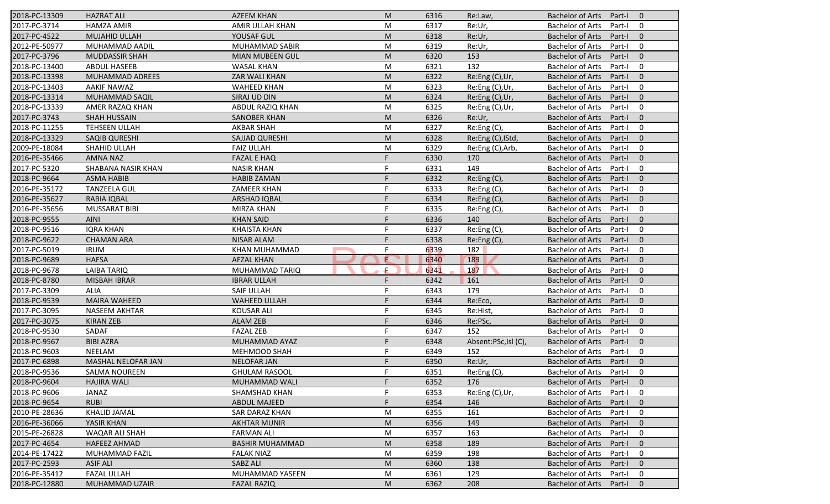| 2018-PC-13309 | <b>HAZRAT ALI</b>     | <b>AZEEM KHAN</b>      | M  | 6316 | Re:Law,             | <b>Bachelor of Arts</b><br>Part-I<br>$\overline{0}$ |
|---------------|-----------------------|------------------------|----|------|---------------------|-----------------------------------------------------|
| 2017-PC-3714  | <b>HAMZA AMIR</b>     | AMIR ULLAH KHAN        | M  | 6317 | Re:Ur,              | <b>Bachelor of Arts</b><br>Part-I<br>0              |
| 2017-PC-4522  | <b>MUJAHID ULLAH</b>  | YOUSAF GUL             | M  | 6318 | Re:Ur,              | <b>Bachelor of Arts</b><br>$\mathbf{0}$<br>Part-I   |
| 2012-PE-50977 | MUHAMMAD AADIL        | <b>MUHAMMAD SABIR</b>  | M  | 6319 | Re:Ur,              | <b>Bachelor of Arts</b><br>$\mathbf 0$<br>Part-I    |
| 2017-PC-3796  | <b>MUDDASSIR SHAH</b> | <b>MIAN MUBEEN GUL</b> | M  | 6320 | 153                 | $\mathbf{0}$<br><b>Bachelor of Arts</b><br>Part-I   |
| 2018-PC-13400 | <b>ABDUL HASEEB</b>   | <b>WASAL KHAN</b>      | M  | 6321 | 132                 | <b>Bachelor of Arts</b><br>Part-I<br>0              |
| 2018-PC-13398 | MUHAMMAD ADREES       | <b>ZAR WALI KHAN</b>   | M  | 6322 | Re:Eng (C), Ur,     | $\mathbf{0}$<br><b>Bachelor of Arts</b><br>Part-I   |
| 2018-PC-13403 | <b>AAKIF NAWAZ</b>    | <b>WAHEED KHAN</b>     | M  | 6323 | Re:Eng (C),Ur,      | <b>Bachelor of Arts</b><br>$\mathbf 0$<br>Part-I    |
| 2018-PC-13314 | MUHAMMAD SAQIL        | SIRAJ UD DIN           | M  | 6324 | Re:Eng (C),Ur,      | <b>Bachelor of Arts</b><br>$\mathbf{0}$<br>Part-I   |
| 2018-PC-13339 | AMER RAZAQ KHAN       | ABDUL RAZIQ KHAN       | M  | 6325 | Re:Eng (C),Ur,      | <b>Bachelor of Arts</b><br>Part-I<br>$\mathbf 0$    |
| 2017-PC-3743  | <b>SHAH HUSSAIN</b>   | <b>SANOBER KHAN</b>    | M  | 6326 | Re:Ur,              | <b>Bachelor of Arts</b><br>Part-I<br>$\mathbf{0}$   |
| 2018-PC-11255 | <b>TEHSEEN ULLAH</b>  | <b>AKBAR SHAH</b>      | M  | 6327 | Re:Eng (C),         | <b>Bachelor of Arts</b><br>Part-I<br>$\mathbf 0$    |
| 2018-PC-13329 | <b>SAQIB QURESHI</b>  | <b>SAJJAD QURESHI</b>  | M  | 6328 | Re:Eng (C), IStd,   | <b>Bachelor of Arts</b><br>$\mathbf{0}$<br>Part-I   |
| 2009-PE-18084 | SHAHID ULLAH          | <b>FAIZ ULLAH</b>      | M  | 6329 | Re:Eng (C), Arb,    | <b>Bachelor of Arts</b><br>$\mathbf 0$<br>Part-I    |
| 2016-PE-35466 | <b>AMNA NAZ</b>       | <b>FAZAL E HAQ</b>     |    | 6330 | 170                 | <b>Bachelor of Arts</b><br>$\overline{0}$<br>Part-I |
| 2017-PC-5320  | SHABANA NASIR KHAN    | <b>NASIR KHAN</b>      |    | 6331 | 149                 | <b>Bachelor of Arts</b><br>$\mathbf 0$<br>Part-I    |
| 2018-PC-9664  | <b>ASMA HABIB</b>     | <b>HABIB ZAMAN</b>     |    | 6332 | Re:Eng (C),         | <b>Bachelor of Arts</b><br>Part-I<br>$\mathbf{0}$   |
| 2016-PE-35172 | <b>TANZEELA GUL</b>   | <b>ZAMEER KHAN</b>     |    | 6333 | Re:Eng (C),         | <b>Bachelor of Arts</b><br>0<br>Part-I              |
| 2016-PE-35627 | RABIA IQBAL           | <b>ARSHAD IQBAL</b>    |    | 6334 | Re: Eng(C),         | <b>Bachelor of Arts</b><br>$\mathbf{0}$<br>Part-I   |
| 2016-PE-35656 | <b>MUSSARAT BIBI</b>  | <b>MIRZA KHAN</b>      |    | 6335 | Re:Eng (C),         | $\mathbf 0$<br><b>Bachelor of Arts</b><br>Part-I    |
| 2018-PC-9555  | <b>AINI</b>           | <b>KHAN SAID</b>       |    | 6336 | 140                 | $\mathbf{0}$<br><b>Bachelor of Arts</b><br>Part-I   |
| 2018-PC-9516  | <b>IQRA KHAN</b>      | <b>KHAISTA KHAN</b>    |    | 6337 | Re:Eng (C),         | $\mathbf 0$<br><b>Bachelor of Arts</b><br>Part-I    |
| 2018-PC-9622  | <b>CHAMAN ARA</b>     | <b>NISAR ALAM</b>      |    | 6338 | Re:Eng(C)           | <b>Bachelor of Arts</b><br>$\mathbf 0$<br>Part-I    |
| 2017-PC-5019  | <b>IRUM</b>           | <b>KHAN MUHAMMAD</b>   | F  | 6339 | 182                 | <b>Bachelor of Arts</b><br>$\mathbf 0$<br>Part-I    |
| 2018-PC-9689  | <b>HAFSA</b>          | <b>AFZAL KHAN</b>      | E  | 6340 | 189                 | $\mathbf{0}$<br><b>Bachelor of Arts</b><br>Part-I   |
| 2018-PC-9678  | <b>LAIBA TARIQ</b>    | MUHAMMAD TARIQ         | F. | 6341 | 187                 | <b>Bachelor of Arts</b><br>$\mathbf 0$<br>Part-I    |
| 2018-PC-8780  | <b>MISBAH IBRAR</b>   | <b>IBRAR ULLAH</b>     | F  | 6342 | 161                 | <b>Bachelor of Arts</b><br>Part-I<br>$\overline{0}$ |
| 2017-PC-3309  | <b>ALIA</b>           | <b>SAIF ULLAH</b>      |    | 6343 | 179                 | $\mathbf 0$<br><b>Bachelor of Arts</b><br>Part-I    |
| 2018-PC-9539  | <b>MAIRA WAHEED</b>   | <b>WAHEED ULLAH</b>    |    | 6344 | Re:Eco,             | <b>Bachelor of Arts</b><br>$\mathbf{0}$<br>Part-I   |
| 2017-PC-3095  | <b>NASEEM AKHTAR</b>  | <b>KOUSAR ALI</b>      | F  | 6345 | Re:Hist,            | <b>Bachelor of Arts</b><br>$\mathbf 0$<br>Part-I    |
| 2017-PC-3075  | <b>KIRAN ZEB</b>      | <b>ALAM ZEB</b>        |    | 6346 | Re:PSc,             | <b>Bachelor of Arts</b><br>$\overline{0}$<br>Part-I |
| 2018-PC-9530  | <b>SADAF</b>          | <b>FAZAL ZEB</b>       | F  | 6347 | 152                 | <b>Bachelor of Arts</b><br>$\mathbf 0$<br>Part-I    |
| 2018-PC-9567  | <b>BIBI AZRA</b>      | MUHAMMAD AYAZ          | F  | 6348 | Absent:PSc,Isl (C), | <b>Bachelor of Arts</b><br>Part-I<br>$\overline{0}$ |
| 2018-PC-9603  | <b>NEELAM</b>         | <b>MEHMOOD SHAH</b>    | F  | 6349 | 152                 | <b>Bachelor of Arts</b><br>0<br>Part-I              |
| 2017-PC-6898  | MASHAL NELOFAR JAN    | <b>NELOFAR JAN</b>     | F  | 6350 | Re:Ur,              | <b>Bachelor of Arts</b><br>Part-I<br>$\mathbf 0$    |
| 2018-PC-9536  | SALMA NOUREEN         | <b>GHULAM RASOOL</b>   |    | 6351 | Re:Eng(C),          | Bachelor of Arts Part-I<br>$\mathbf 0$              |
| 2018-PC-9604  | <b>HAJIRA WALI</b>    | MUHAMMAD WALI          | F. | 6352 | 176                 | Bachelor of Arts Part-I<br>$\overline{0}$           |
| 2018-PC-9606  | JANAZ                 | SHAMSHAD KHAN          | F  | 6353 | Re:Eng (C),Ur,      | Bachelor of Arts<br>Part-I<br>0                     |
| 2018-PC-9654  | <b>RUBI</b>           | <b>ABDUL MAJEED</b>    | F. | 6354 | 146                 | Bachelor of Arts<br>Part-I<br>$\mathbf{0}$          |
| 2010-PE-28636 | KHALID JAMAL          | SAR DARAZ KHAN         | M  | 6355 | 161                 | Bachelor of Arts<br>Part-I<br>0                     |
| 2016-PE-36066 | YASIR KHAN            | <b>AKHTAR MUNIR</b>    | M  | 6356 | 149                 | <b>Bachelor of Arts</b><br>$\mathbf 0$<br>Part-I    |
| 2015-PE-26828 | WAQAR ALI SHAH        | <b>FARMAN ALI</b>      | M  | 6357 | 163                 | <b>Bachelor of Arts</b><br>0<br>Part-I              |
| 2017-PC-4654  | <b>HAFEEZ AHMAD</b>   | <b>BASHIR MUHAMMAD</b> | M  | 6358 | 189                 | <b>Bachelor of Arts</b><br>Part-I<br>$\mathbf{0}$   |
| 2014-PE-17422 | MUHAMMAD FAZIL        | <b>FALAK NIAZ</b>      | M  | 6359 | 198                 | Bachelor of Arts<br>Part-I<br>0                     |
| 2017-PC-2593  | <b>ASIF ALI</b>       | <b>SABZ ALI</b>        | M  | 6360 | 138                 | <b>Bachelor of Arts</b><br>$\mathbf{0}$<br>Part-I   |
| 2016-PE-35412 | <b>FAZAL ULLAH</b>    | MUHAMMAD YASEEN        | M  | 6361 | 129                 | <b>Bachelor of Arts</b><br>Part-I<br>0              |
| 2018-PC-12880 | MUHAMMAD UZAIR        | <b>FAZAL RAZIQ</b>     | M  | 6362 | 208                 | Bachelor of Arts<br>Part-I<br>$\mathbf{0}$          |
|               |                       |                        |    |      |                     |                                                     |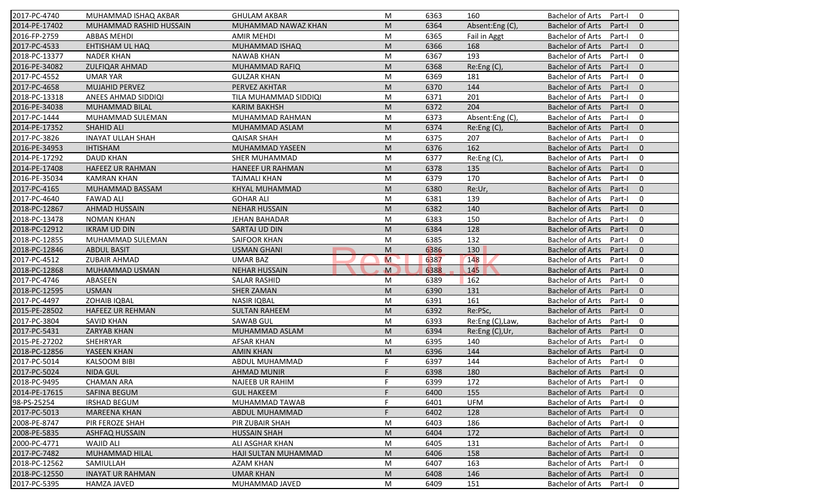| 2017-PC-4740  | MUHAMMAD ISHAQ AKBAR     | <b>GHULAM AKBAR</b>     | M            | 6363 | 160              | <b>Bachelor of Arts</b><br>0<br>Part-I            |
|---------------|--------------------------|-------------------------|--------------|------|------------------|---------------------------------------------------|
| 2014-PE-17402 | MUHAMMAD RASHID HUSSAIN  | MUHAMMAD NAWAZ KHAN     | M            | 6364 | Absent:Eng (C),  | <b>Bachelor of Arts</b><br>Part-I<br>$\mathbf{0}$ |
| 2016-FP-2759  | <b>ABBAS MEHDI</b>       | <b>AMIR MEHDI</b>       | M            | 6365 | Fail in Aggt     | <b>Bachelor of Arts</b><br>Part-I<br>0            |
| 2017-PC-4533  | <b>EHTISHAM UL HAQ</b>   | MUHAMMAD ISHAQ          | M            | 6366 | 168              | $\mathbf{0}$<br><b>Bachelor of Arts</b><br>Part-I |
| 2018-PC-13377 | <b>NADER KHAN</b>        | <b>NAWAB KHAN</b>       | M            | 6367 | 193              | 0<br><b>Bachelor of Arts</b><br>Part-I            |
| 2016-PE-34082 | ZULFIQAR AHMAD           | <b>MUHAMMAD RAFIQ</b>   | M            | 6368 | Re:Eng (C),      | $\overline{0}$<br>Bachelor of Arts<br>Part-I      |
| 2017-PC-4552  | <b>UMAR YAR</b>          | <b>GULZAR KHAN</b>      | M            | 6369 | 181              | 0<br><b>Bachelor of Arts</b><br>Part-I            |
| 2017-PC-4658  | <b>MUJAHID PERVEZ</b>    | PERVEZ AKHTAR           | M            | 6370 | 144              | $\mathbf{0}$<br><b>Bachelor of Arts</b><br>Part-I |
| 2018-PC-13318 | ANEES AHMAD SIDDIQI      | TILA MUHAMMAD SIDDIQI   | M            | 6371 | 201              | <b>Bachelor of Arts</b><br>0<br>Part-I            |
| 2016-PE-34038 | MUHAMMAD BILAL           | <b>KARIM BAKHSH</b>     | M            | 6372 | 204              | <b>Bachelor of Arts</b><br>Part-I<br>$\mathbf{0}$ |
| 2017-PC-1444  | MUHAMMAD SULEMAN         | MUHAMMAD RAHMAN         | M            | 6373 | Absent:Eng (C),  | <b>Bachelor of Arts</b><br>Part-I<br>0            |
| 2014-PE-17352 | <b>SHAHID ALI</b>        | MUHAMMAD ASLAM          | M            | 6374 | Re: Eng(C),      | <b>Bachelor of Arts</b><br>Part-I<br>$\mathbf{0}$ |
| 2017-PC-3826  | <b>INAYAT ULLAH SHAH</b> | <b>QAISAR SHAH</b>      | M            | 6375 | 207              | <b>Bachelor of Arts</b><br>0<br>Part-I            |
| 2016-PE-34953 | <b>IHTISHAM</b>          | MUHAMMAD YASEEN         | M            | 6376 | 162              | $\mathbf{0}$<br><b>Bachelor of Arts</b><br>Part-I |
| 2014-PE-17292 | <b>DAUD KHAN</b>         | <b>SHER MUHAMMAD</b>    | M            | 6377 | Re:Eng (C),      | 0<br><b>Bachelor of Arts</b><br>Part-I            |
| 2014-PE-17408 | <b>HAFEEZ UR RAHMAN</b>  | <b>HANEEF UR RAHMAN</b> | M            | 6378 | 135              | $\Omega$<br><b>Bachelor of Arts</b><br>Part-I     |
| 2016-PE-35034 | <b>KAMRAN KHAN</b>       | <b>TAJMALI KHAN</b>     | M            | 6379 | 170              | <b>Bachelor of Arts</b><br>0<br>Part-I            |
| 2017-PC-4165  | MUHAMMAD BASSAM          | KHYAL MUHAMMAD          | M            | 6380 | Re:Ur,           | <b>Bachelor of Arts</b><br>$\mathbf{0}$<br>Part-I |
| 2017-PC-4640  | <b>FAWAD ALI</b>         | <b>GOHAR ALI</b>        | M            | 6381 | 139              | <b>Bachelor of Arts</b><br>0<br>Part-I            |
| 2018-PC-12867 | <b>AHMAD HUSSAIN</b>     | <b>NEHAR HUSSAIN</b>    | M            | 6382 | 140              | <b>Bachelor of Arts</b><br>$\mathbf{0}$<br>Part-I |
| 2018-PC-13478 | <b>NOMAN KHAN</b>        | <b>JEHAN BAHADAR</b>    | M            | 6383 | 150              | 0<br><b>Bachelor of Arts</b><br>Part-I            |
| 2018-PC-12912 | <b>IKRAM UD DIN</b>      | SARTAJ UD DIN           | M            | 6384 | 128              | $\mathbf{0}$<br><b>Bachelor of Arts</b><br>Part-I |
| 2018-PC-12855 | MUHAMMAD SULEMAN         | <b>SAIFOOR KHAN</b>     | M            | 6385 | 132              | <b>Bachelor of Arts</b><br>0<br>Part-I            |
| 2018-PC-12846 | <b>ABDUL BASIT</b>       | <b>USMAN GHANI</b>      | M            | 6386 | 130              | $\mathbf{0}$<br><b>Bachelor of Arts</b><br>Part-I |
| 2017-PC-4512  | <b>ZUBAIR AHMAD</b>      | <b>UMAR BAZ</b>         | M            | 6387 | 148              | <b>Bachelor of Arts</b><br>0<br>Part-I            |
| 2018-PC-12868 | MUHAMMAD USMAN           | <b>NEHAR HUSSAIN</b>    | $\mathbf{M}$ | 6388 | 145              | <b>Bachelor of Arts</b><br>$\mathbf{0}$<br>Part-I |
| 2017-PC-4746  | ABASEEN                  | <b>SALAR RASHID</b>     | M            | 6389 | 162              | <b>Bachelor of Arts</b><br>Part-I<br>0            |
| 2018-PC-12595 | <b>USMAN</b>             | <b>SHER ZAMAN</b>       | M            | 6390 | 131              | <b>Bachelor of Arts</b><br>Part-I<br>$\mathbf{0}$ |
| 2017-PC-4497  | <b>ZOHAIB IQBAL</b>      | <b>NASIR IQBAL</b>      | M            | 6391 | 161              | $\mathbf 0$<br><b>Bachelor of Arts</b><br>Part-I  |
| 2015-PE-28502 | <b>HAFEEZ UR REHMAN</b>  | <b>SULTAN RAHEEM</b>    | M            | 6392 | Re:PSc,          | <b>Bachelor of Arts</b><br>$\mathbf{0}$<br>Part-I |
| 2017-PC-3804  | <b>SAVID KHAN</b>        | <b>SAWAB GUL</b>        | M            | 6393 | Re:Eng (C), Law, | 0<br>Bachelor of Arts<br>Part-I                   |
| 2017-PC-5431  | <b>ZARYAB KHAN</b>       | MUHAMMAD ASLAM          | M            | 6394 | Re:Eng (C),Ur,   | $\Omega$<br><b>Bachelor of Arts</b><br>Part-I     |
| 2015-PE-27202 | SHEHRYAR                 | <b>AFSAR KHAN</b>       | M            | 6395 | 140              | <b>Bachelor of Arts</b><br>0<br>Part-I            |
| 2018-PC-12856 | YASEEN KHAN              | <b>AMIN KHAN</b>        | M            | 6396 | 144              | <b>Bachelor of Arts</b><br>$\mathbf{0}$<br>Part-I |
| 2017-PC-5014  | <b>KALSOOM BIBI</b>      | ABDUL MUHAMMAD          | F.           | 6397 | 144              | <b>Bachelor of Arts</b><br>Part-I<br>0            |
| 2017-PC-5024  | NIDA GUL                 | <b>AHMAD MUNIR</b>      | E.           | 6398 | 180              | Bachelor of Arts Part-I 0                         |
| 2018-PC-9495  | <b>CHAMAN ARA</b>        | <b>NAJEEB UR RAHIM</b>  | F.           | 6399 | 172              | Bachelor of Arts Part-I<br>$\mathbf 0$            |
| 2014-PE-17615 | <b>SAFINA BEGUM</b>      | <b>GUL HAKEEM</b>       | F            | 6400 | 155              | Bachelor of Arts<br>$\mathbf{0}$<br>Part-I        |
| 98-PS-25254   | <b>IRSHAD BEGUM</b>      | MUHAMMAD TAWAB          |              | 6401 | <b>UFM</b>       | Bachelor of Arts<br>Part-I<br>0                   |
| 2017-PC-5013  | <b>MAREENA KHAN</b>      | ABDUL MUHAMMAD          | F            | 6402 | 128              | Bachelor of Arts<br>$\mathbf{0}$<br>Part-I        |
| 2008-PE-8747  | PIR FEROZE SHAH          | PIR ZUBAIR SHAH         | M            | 6403 | 186              | Bachelor of Arts<br>0<br>Part-I                   |
| 2008-PE-5835  | <b>ASHFAQ HUSSAIN</b>    | <b>HUSSAIN SHAH</b>     | M            | 6404 | 172              | <b>Bachelor of Arts</b><br>$\mathbf{0}$<br>Part-I |
| 2000-PC-4771  | WAJID ALI                | ALI ASGHAR KHAN         | M            | 6405 | 131              | Bachelor of Arts<br>0<br>Part-I                   |
| 2017-PC-7482  | <b>MUHAMMAD HILAL</b>    | HAJI SULTAN MUHAMMAD    | M            | 6406 | 158              | <b>Bachelor of Arts</b><br>Part-I<br>$\mathbf 0$  |
| 2018-PC-12562 | SAMIULLAH                | <b>AZAM KHAN</b>        | M            | 6407 | 163              | Bachelor of Arts<br>0<br>Part-I                   |
| 2018-PC-12550 | <b>INAYAT UR RAHMAN</b>  | <b>UMAR KHAN</b>        | M            | 6408 | 146              | <b>Bachelor of Arts</b><br>Part-I<br>$\mathbf{0}$ |
| 2017-PC-5395  | <b>HAMZA JAVED</b>       | MUHAMMAD JAVED          | M            | 6409 | 151              | Bachelor of Arts<br>Part-I<br>0                   |
|               |                          |                         |              |      |                  |                                                   |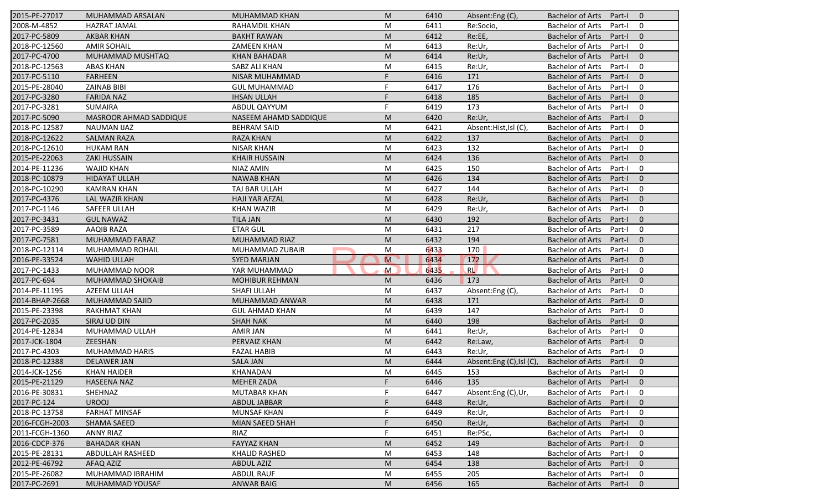| 2015-PE-27017  | MUHAMMAD ARSALAN       | <b>MUHAMMAD KHAN</b>   | M              | 6410 | Absent:Eng (C),         | <b>Bachelor of Arts</b><br>Part-I<br>$\overline{0}$ |
|----------------|------------------------|------------------------|----------------|------|-------------------------|-----------------------------------------------------|
| 2008-M-4852    | <b>HAZRAT JAMAL</b>    | RAHAMDIL KHAN          | M              | 6411 | Re:Socio,               | <b>Bachelor of Arts</b><br>Part-I<br>$\mathbf 0$    |
| 2017-PC-5809   | <b>AKBAR KHAN</b>      | <b>BAKHT RAWAN</b>     | M              | 6412 | Re:EE,                  | <b>Bachelor of Arts</b><br>Part-I<br>$\mathbf{0}$   |
| 2018-PC-12560  | <b>AMIR SOHAIL</b>     | <b>ZAMEEN KHAN</b>     | M              | 6413 | Re:Ur,                  | <b>Bachelor of Arts</b><br>$\mathbf 0$<br>Part-I    |
| 2017-PC-4700   | MUHAMMAD MUSHTAQ       | <b>KHAN BAHADAR</b>    | M              | 6414 | Re:Ur,                  | $\mathbf{0}$<br><b>Bachelor of Arts</b><br>Part-I   |
| 2018-PC-12563  | <b>ABAS KHAN</b>       | SABZ ALI KHAN          | M              | 6415 | Re:Ur,                  | <b>Bachelor of Arts</b><br>Part-I<br>0              |
| 2017-PC-5110   | <b>FARHEEN</b>         | NISAR MUHAMMAD         | F.             | 6416 | 171                     | $\mathbf{0}$<br><b>Bachelor of Arts</b><br>Part-I   |
| 2015-PE-28040  | <b>ZAINAB BIBI</b>     | <b>GUL MUHAMMAD</b>    | F              | 6417 | 176                     | <b>Bachelor of Arts</b><br>$\mathbf 0$<br>Part-I    |
| 2017-PC-3280   | <b>FARIDA NAZ</b>      | <b>IHSAN ULLAH</b>     | F              | 6418 | 185                     | <b>Bachelor of Arts</b><br>$\mathbf{0}$<br>Part-I   |
| 2017-PC-3281   | <b>SUMAIRA</b>         | ABDUL QAYYUM           | F              | 6419 | 173                     | <b>Bachelor of Arts</b><br>Part-I<br>$\mathbf 0$    |
| 2017-PC-5090   | MASROOR AHMAD SADDIQUE | NASEEM AHAMD SADDIQUE  | M              | 6420 | Re:Ur,                  | <b>Bachelor of Arts</b><br>Part-I<br>$\mathbf{0}$   |
| 2018-PC-12587  | <b>NAUMAN IJAZ</b>     | <b>BEHRAM SAID</b>     | M              | 6421 | Absent:Hist,Isl (C),    | <b>Bachelor of Arts</b><br>Part-I<br>$\mathbf 0$    |
| 2018-PC-12622  | <b>SALMAN RAZA</b>     | <b>RAZA KHAN</b>       | M              | 6422 | 137                     | <b>Bachelor of Arts</b><br>$\mathbf{0}$<br>Part-I   |
| 2018-PC-12610  | <b>HUKAM RAN</b>       | <b>NISAR KHAN</b>      | M              | 6423 | 132                     | <b>Bachelor of Arts</b><br>$\mathbf 0$<br>Part-I    |
| 2015-PE-22063  | <b>ZAKI HUSSAIN</b>    | <b>KHAIR HUSSAIN</b>   | M              | 6424 | 136                     | <b>Bachelor of Arts</b><br>Part-I<br>$\overline{0}$ |
| 2014-PE-11236  | <b>WAJID KHAN</b>      | NIAZ AMIN              | M              | 6425 | 150                     | $\mathbf 0$<br><b>Bachelor of Arts</b><br>Part-I    |
| 2018-PC-10879  | <b>HIDAYAT ULLAH</b>   | <b>NAWAB KHAN</b>      | M              | 6426 | 134                     | <b>Bachelor of Arts</b><br>$\mathbf{0}$<br>Part-I   |
| 2018-PC-10290  | <b>KAMRAN KHAN</b>     | TAJ BAR ULLAH          | M              | 6427 | 144                     | <b>Bachelor of Arts</b><br>$\mathbf 0$<br>Part-I    |
| 2017-PC-4376   | <b>LAL WAZIR KHAN</b>  | <b>HAJI YAR AFZAL</b>  | M              | 6428 | Re:Ur,                  | <b>Bachelor of Arts</b><br>$\mathbf{0}$<br>Part-I   |
| 2017-PC-1146   | SAFEER ULLAH           | <b>KHAN WAZIR</b>      | M              | 6429 | Re:Ur,                  | <b>Bachelor of Arts</b><br>$\mathbf 0$<br>Part-I    |
| 2017-PC-3431   | <b>GUL NAWAZ</b>       | <b>TILA JAN</b>        | M              | 6430 | 192                     | <b>Bachelor of Arts</b><br>$\mathbf{0}$<br>Part-I   |
| 2017-PC-3589   | <b>AAQIB RAZA</b>      | <b>ETAR GUL</b>        | M              | 6431 | 217                     | $\mathbf 0$<br><b>Bachelor of Arts</b><br>Part-I    |
| 2017-PC-7581   | <b>MUHAMMAD FARAZ</b>  | MUHAMMAD RIAZ          | M              | 6432 | 194                     | <b>Bachelor of Arts</b><br>$\overline{0}$<br>Part-I |
| 2018-PC-12114  | MUHAMMAD ROHAIL        | MUHAMMAD ZUBAIR        | M              | 6433 | 170                     | <b>Bachelor of Arts</b><br>$\mathbf 0$<br>Part-I    |
| 2016-PE-33524  | <b>WAHID ULLAH</b>     | <b>SYED MARJAN</b>     | $\overline{M}$ | 6434 | 172                     | $\mathbf{0}$<br><b>Bachelor of Arts</b><br>Part-I   |
| 2017-PC-1433   | MUHAMMAD NOOR          | YAR MUHAMMAD           | $\mathsf{M}$   | 6435 | RL                      | <b>Bachelor of Arts</b><br>$\mathbf 0$<br>Part-I    |
| 2017-PC-694    | MUHAMMAD SHOKAIB       | <b>MOHIBUR REHMAN</b>  | M              | 6436 | 173                     | <b>Bachelor of Arts</b><br>$\mathbf{0}$<br>Part-I   |
| 2014-PE-11195  | AZEEM ULLAH            | SHAFI ULLAH            | M              | 6437 | Absent:Eng (C),         | <b>Bachelor of Arts</b><br>Part-I<br>0              |
| 2014-BHAP-2668 | MUHAMMAD SAJID         | MUHAMMAD ANWAR         | M              | 6438 | 171                     | <b>Bachelor of Arts</b><br>$\mathbf{0}$<br>Part-I   |
| 2015-PE-23398  | <b>RAKHMAT KHAN</b>    | <b>GUL AHMAD KHAN</b>  | M              | 6439 | 147                     | <b>Bachelor of Arts</b><br>0<br>Part-I              |
| 2017-PC-2035   | SIRAJ UD DIN           | <b>SHAH NAK</b>        | M              | 6440 | 198                     | <b>Bachelor of Arts</b><br>$\overline{0}$<br>Part-I |
| 2014-PE-12834  | MUHAMMAD ULLAH         | <b>AMIR JAN</b>        | M              | 6441 | Re:Ur,                  | <b>Bachelor of Arts</b><br>0<br>Part-I              |
| 2017-JCK-1804  | ZEESHAN                | PERVAIZ KHAN           | M              | 6442 | Re:Law,                 | <b>Bachelor of Arts</b><br>Part-I<br>$\overline{0}$ |
| 2017-PC-4303   | <b>MUHAMMAD HARIS</b>  | <b>FAZAL HABIB</b>     | M              | 6443 | Re:Ur.                  | <b>Bachelor of Arts</b><br>Part-I<br>0              |
| 2018-PC-12388  | <b>DELAWER JAN</b>     | <b>SALA JAN</b>        | M              | 6444 | Absent:Eng (C),Isl (C), | <b>Bachelor of Arts</b><br>Part-I<br>$\mathbf 0$    |
| 2014-JCK-1256  | <b>KHAN HAIDER</b>     | KHANADAN               | M              | 6445 | 153                     | Bachelor of Arts Part-I<br>$\mathbf 0$              |
| 2015-PE-21129  | <b>HASEENA NAZ</b>     | <b>MEHER ZADA</b>      | F.             | 6446 | 135                     | Bachelor of Arts Part-I<br>$\overline{0}$           |
| 2016-PE-30831  | SHEHNAZ                | <b>MUTABAR KHAN</b>    | F              | 6447 | Absent:Eng (C),Ur,      | <b>Bachelor of Arts</b><br>Part-I<br>0              |
| 2017-PC-124    | <b>UROOJ</b>           | ABDUL JABBAR           |                | 6448 | Re:Ur,                  | <b>Bachelor of Arts</b><br>Part-I<br>$\mathbf{0}$   |
| 2018-PC-13758  | <b>FARHAT MINSAF</b>   | <b>MUNSAF KHAN</b>     |                | 6449 | Re:Ur,                  | <b>Bachelor of Arts</b><br>0<br>Part-I              |
| 2016-FCGH-2003 | <b>SHAMA SAEED</b>     | <b>MIAN SAEED SHAH</b> | F              | 6450 | Re:Ur,                  | <b>Bachelor of Arts</b><br>$\mathbf 0$<br>Part-I    |
| 2011-FCGH-1360 | <b>ANNY RIAZ</b>       | RIAZ                   | F              | 6451 | Re:PSc,                 | <b>Bachelor of Arts</b><br>0<br>Part-I              |
| 2016-CDCP-376  | <b>BAHADAR KHAN</b>    | <b>FAYYAZ KHAN</b>     | M              | 6452 | 149                     | <b>Bachelor of Arts</b><br>$\mathbf 0$<br>Part-I    |
| 2015-PE-28131  | ABDULLAH RASHEED       | KHALID RASHED          | M              | 6453 | 148                     | <b>Bachelor of Arts</b><br>0<br>Part-I              |
| 2012-PE-46792  | AFAQ AZIZ              | <b>ABDUL AZIZ</b>      | M              | 6454 | 138                     | <b>Bachelor of Arts</b><br>$\mathbf 0$<br>Part-I    |
| 2015-PE-26082  | MUHAMMAD IBRAHIM       | <b>ABDUL RAUF</b>      | M              | 6455 | 205                     | Bachelor of Arts<br>0<br>Part-I                     |
| 2017-PC-2691   | MUHAMMAD YOUSAF        | <b>ANWAR BAIG</b>      | M              | 6456 | 165                     | Bachelor of Arts<br>$\mathbf 0$<br>Part-I           |
|                |                        |                        |                |      |                         |                                                     |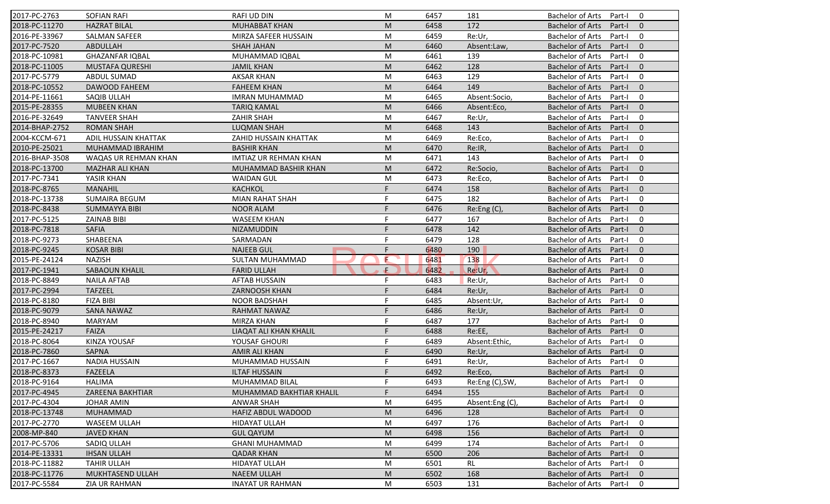| 2017-PC-2763   | <b>SOFIAN RAFI</b>     | <b>RAFI UD DIN</b>            | M  | 6457 | 181             | <b>Bachelor of Arts</b><br>0<br>Part-I              |
|----------------|------------------------|-------------------------------|----|------|-----------------|-----------------------------------------------------|
| 2018-PC-11270  | <b>HAZRAT BILAL</b>    | <b>MUHABBAT KHAN</b>          | M  | 6458 | 172             | <b>Bachelor of Arts</b><br>Part-I<br>$\mathbf{0}$   |
| 2016-PE-33967  | <b>SALMAN SAFEER</b>   | MIRZA SAFEER HUSSAIN          | M  | 6459 | Re:Ur,          | <b>Bachelor of Arts</b><br>0<br>Part-I              |
| 2017-PC-7520   | ABDULLAH               | <b>SHAH JAHAN</b>             | M  | 6460 | Absent:Law,     | $\mathbf{0}$<br><b>Bachelor of Arts</b><br>Part-I   |
| 2018-PC-10981  | <b>GHAZANFAR IQBAL</b> | MUHAMMAD IQBAL                | M  | 6461 | 139             | 0<br><b>Bachelor of Arts</b><br>Part-I              |
| 2018-PC-11005  | MUSTAFA QURESHI        | JAMIL KHAN                    | M  | 6462 | 128             | $\overline{0}$<br><b>Bachelor of Arts</b><br>Part-I |
| 2017-PC-5779   | ABDUL SUMAD            | <b>AKSAR KHAN</b>             | M  | 6463 | 129             | 0<br><b>Bachelor of Arts</b><br>Part-I              |
| 2018-PC-10552  | DAWOOD FAHEEM          | <b>FAHEEM KHAN</b>            | M  | 6464 | 149             | $\mathbf{0}$<br><b>Bachelor of Arts</b><br>Part-I   |
| 2014-PE-11661  | SAQIB ULLAH            | <b>IMRAN MUHAMMAD</b>         | M  | 6465 | Absent:Socio,   | <b>Bachelor of Arts</b><br>0<br>Part-I              |
| 2015-PE-28355  | <b>MUBEEN KHAN</b>     | <b>TARIQ KAMAL</b>            | M  | 6466 | Absent:Eco,     | <b>Bachelor of Arts</b><br>Part-I<br>$\overline{0}$ |
| 2016-PE-32649  | <b>TANVEER SHAH</b>    | <b>ZAHIR SHAH</b>             | M  | 6467 | Re:Ur,          | <b>Bachelor of Arts</b><br>Part-I<br>0              |
| 2014-BHAP-2752 | <b>ROMAN SHAH</b>      | <b>LUQMAN SHAH</b>            | M  | 6468 | 143             | <b>Bachelor of Arts</b><br>$\mathbf{0}$<br>Part-I   |
| 2004-KCCM-671  | ADIL HUSSAIN KHATTAK   | ZAHID HUSSAIN KHATTAK         | M  | 6469 | Re:Eco,         | <b>Bachelor of Arts</b><br>0<br>Part-I              |
| 2010-PE-25021  | MUHAMMAD IBRAHIM       | <b>BASHIR KHAN</b>            | M  | 6470 | Re:IR,          | $\mathbf{0}$<br><b>Bachelor of Arts</b><br>Part-I   |
| 2016-BHAP-3508 | WAQAS UR REHMAN KHAN   | <b>IMTIAZ UR REHMAN KHAN</b>  | M  | 6471 | 143             | <b>Bachelor of Arts</b><br>Part-I<br>0              |
| 2018-PC-13700  | <b>MAZHAR ALI KHAN</b> | <b>MUHAMMAD BASHIR KHAN</b>   | M  | 6472 | Re:Socio,       | $\Omega$<br><b>Bachelor of Arts</b><br>Part-I       |
| 2017-PC-7341   | YASIR KHAN             | <b>WAIDAN GUL</b>             | M  | 6473 | Re:Eco,         | <b>Bachelor of Arts</b><br>0<br>Part-I              |
| 2018-PC-8765   | <b>MANAHIL</b>         | <b>KACHKOL</b>                | F. | 6474 | 158             | $\mathbf{0}$<br><b>Bachelor of Arts</b><br>Part-I   |
| 2018-PC-13738  | <b>SUMAIRA BEGUM</b>   | <b>MIAN RAHAT SHAH</b>        |    | 6475 | 182             | <b>Bachelor of Arts</b><br>0<br>Part-I              |
| 2018-PC-8438   | <b>SUMMAYYA BIBI</b>   | <b>NOOR ALAM</b>              |    | 6476 | Re:Eng (C),     | <b>Bachelor of Arts</b><br>$\mathbf{0}$<br>Part-I   |
| 2017-PC-5125   | <b>ZAINAB BIBI</b>     | <b>WASEEM KHAN</b>            |    | 6477 | 167             | 0<br><b>Bachelor of Arts</b><br>Part-I              |
| 2018-PC-7818   | <b>SAFIA</b>           | <b>NIZAMUDDIN</b>             |    | 6478 | 142             | $\mathbf{0}$<br><b>Bachelor of Arts</b><br>Part-I   |
| 2018-PC-9273   | SHABEENA               | SARMADAN                      |    | 6479 | 128             | <b>Bachelor of Arts</b><br>0<br>Part-I              |
| 2018-PC-9245   | <b>KOSAR BIBI</b>      | <b>NAJEEB GUL</b>             | F  | 6480 | 190             | $\mathbf{0}$<br><b>Bachelor of Arts</b><br>Part-I   |
| 2015-PE-24124  | <b>NAZISH</b>          | SULTAN MUHAMMAD               | E  | 6481 | 138             | <b>Bachelor of Arts</b><br>0<br>Part-I              |
| 2017-PC-1941   | <b>SABAOUN KHALIL</b>  | <b>FARID ULLAH</b>            | Æ. | 6482 | Re:Ur,          | <b>Bachelor of Arts</b><br>$\mathbf{0}$<br>Part-I   |
| 2018-PC-8849   | <b>NAILA AFTAB</b>     | <b>AFTAB HUSSAIN</b>          | F  | 6483 | Re:Ur,          | <b>Bachelor of Arts</b><br>0<br>Part-I              |
| 2017-PC-2994   | <b>TAFZEEL</b>         | ZARNOOSH KHAN                 |    | 6484 | Re:Ur,          | <b>Bachelor of Arts</b><br>$\mathbf{0}$<br>Part-I   |
| 2018-PC-8180   | <b>FIZA BIBI</b>       | <b>NOOR BADSHAH</b>           | F  | 6485 | Absent:Ur,      | <b>Bachelor of Arts</b><br>0<br>Part-I              |
| 2018-PC-9079   | <b>SANA NAWAZ</b>      | <b>RAHMAT NAWAZ</b>           | F  | 6486 | Re:Ur,          | $\mathbf{0}$<br><b>Bachelor of Arts</b><br>Part-I   |
| 2018-PC-8940   | <b>MARYAM</b>          | MIRZA KHAN                    |    | 6487 | 177             | <b>Bachelor of Arts</b><br>0<br>Part-I              |
| 2015-PE-24217  | FAIZA                  | <b>LIAQAT ALI KHAN KHALIL</b> | F  | 6488 | Re:EE,          | <b>Bachelor of Arts</b><br>Part-I<br>$\Omega$       |
| 2018-PC-8064   | KINZA YOUSAF           | YOUSAF GHOURI                 | F  | 6489 | Absent:Ethic,   | <b>Bachelor of Arts</b><br>Part-I<br>0              |
| 2018-PC-7860   | <b>SAPNA</b>           | <b>AMIR ALI KHAN</b>          | F  | 6490 | Re:Ur,          | <b>Bachelor of Arts</b><br>$\mathbf{0}$<br>Part-I   |
| 2017-PC-1667   | <b>NADIA HUSSAIN</b>   | MUHAMMAD HUSSAIN              | F  | 6491 | Re:Ur,          | <b>Bachelor of Arts</b><br>Part-I<br>0              |
| 2018-PC-8373   | FAZEELA                | ILTAF HUSSAIN                 |    | 6492 | Re:Eco,         | Bachelor of Arts Part-I 0                           |
| 2018-PC-9164   | HALIMA                 | MUHAMMAD BILAL                | F. | 6493 | Re:Eng (C), SW, | Bachelor of Arts Part-I<br>$\mathbf 0$              |
| 2017-PC-4945   | ZAREENA BAKHTIAR       | MUHAMMAD BAKHTIAR KHALIL      | F. | 6494 | 155             | Bachelor of Arts<br>Part-I<br>$\mathbf{0}$          |
| 2017-PC-4304   | <b>JOHAR AMIN</b>      | ANWAR SHAH                    | М  | 6495 | Absent:Eng (C)  | Bachelor of Arts<br>Part-I<br>0                     |
| 2018-PC-13748  | <b>MUHAMMAD</b>        | <b>HAFIZ ABDUL WADOOD</b>     | M  | 6496 | 128             | Bachelor of Arts<br>Part-I<br>$\mathbf{0}$          |
| 2017-PC-2770   | WASEEM ULLAH           | HIDAYAT ULLAH                 | M  | 6497 | 176             | Bachelor of Arts<br>0<br>Part-I                     |
| 2008-MP-840    | <b>JAVED KHAN</b>      | <b>GUL QAYUM</b>              | M  | 6498 | 156             | <b>Bachelor of Arts</b><br>$\mathbf{0}$<br>Part-I   |
| 2017-PC-5706   | SADIQ ULLAH            | <b>GHANI MUHAMMAD</b>         | M  | 6499 | 174             | Bachelor of Arts<br>0<br>Part-I                     |
| 2014-PE-13331  | <b>IHSAN ULLAH</b>     | <b>QADAR KHAN</b>             | M  | 6500 | 206             | <b>Bachelor of Arts</b><br>Part-I<br>$\mathbf{0}$   |
| 2018-PC-11882  | <b>TAHIR ULLAH</b>     | <b>HIDAYAT ULLAH</b>          | M  | 6501 | <b>RL</b>       | <b>Bachelor of Arts</b><br>0<br>Part-I              |
| 2018-PC-11776  | MUKHTASEND ULLAH       | <b>NAEEM ULLAH</b>            | M  | 6502 | 168             | <b>Bachelor of Arts</b><br>Part-I<br>$\mathbf{0}$   |
| 2017-PC-5584   | <b>ZIA UR RAHMAN</b>   | <b>INAYAT UR RAHMAN</b>       |    | 6503 |                 |                                                     |
|                |                        |                               | M  |      | 131             | Bachelor of Arts<br>Part-I<br>0                     |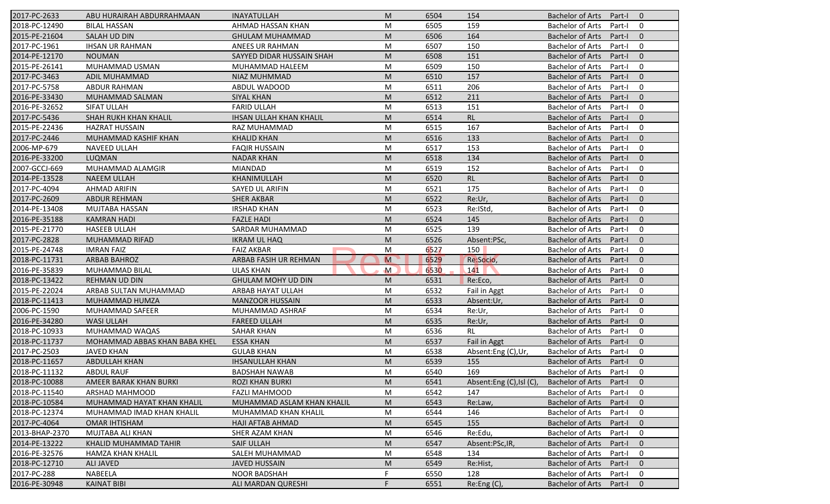| 2017-PC-2633   | ABU HURAIRAH ABDURRAHMAAN     | <b>INAYATULLAH</b>             | M              | 6504 | 154                     | <b>Bachelor of Arts</b><br>Part-I<br>$\mathbf{0}$   |
|----------------|-------------------------------|--------------------------------|----------------|------|-------------------------|-----------------------------------------------------|
| 2018-PC-12490  | <b>BILAL HASSAN</b>           | AHMAD HASSAN KHAN              | M              | 6505 | 159                     | <b>Bachelor of Arts</b><br>Part-I<br>0              |
| 2015-PE-21604  | SALAH UD DIN                  | <b>GHULAM MUHAMMAD</b>         | M              | 6506 | 164                     | <b>Bachelor of Arts</b><br>Part-I<br>$\mathbf{0}$   |
| 2017-PC-1961   | <b>IHSAN UR RAHMAN</b>        | <b>ANEES UR RAHMAN</b>         | M              | 6507 | 150                     | <b>Bachelor of Arts</b><br>0<br>Part-I              |
| 2014-PE-12170  | <b>NOUMAN</b>                 | SAYYED DIDAR HUSSAIN SHAH      | M              | 6508 | 151                     | $\mathbf{0}$<br><b>Bachelor of Arts</b><br>Part-I   |
| 2015-PE-26141  | MUHAMMAD USMAN                | MUHAMMAD HALEEM                | M              | 6509 | 150                     | <b>Bachelor of Arts</b><br>Part-I<br>0              |
| 2017-PC-3463   | ADIL MUHAMMAD                 | NIAZ MUHMMAD                   | M              | 6510 | 157                     | $\mathbf{0}$<br><b>Bachelor of Arts</b><br>Part-I   |
| 2017-PC-5758   | <b>ABDUR RAHMAN</b>           | ABDUL WADOOD                   | M              | 6511 | 206                     | <b>Bachelor of Arts</b><br>0<br>Part-I              |
| 2016-PE-33430  | <b>MUHAMMAD SALMAN</b>        | <b>SIYAL KHAN</b>              | M              | 6512 | 211                     | <b>Bachelor of Arts</b><br>$\mathbf{0}$<br>Part-I   |
| 2016-PE-32652  | <b>SIFAT ULLAH</b>            | <b>FARID ULLAH</b>             | M              | 6513 | 151                     | <b>Bachelor of Arts</b><br>Part-I<br>0              |
| 2017-PC-5436   | SHAH RUKH KHAN KHALIL         | <b>IHSAN ULLAH KHAN KHALIL</b> | M              | 6514 | $\mathsf{RL}$           | <b>Bachelor of Arts</b><br>Part-I<br>$\mathbf{0}$   |
| 2015-PE-22436  | <b>HAZRAT HUSSAIN</b>         | RAZ MUHAMMAD                   | M              | 6515 | 167                     | $\mathbf 0$<br><b>Bachelor of Arts</b><br>Part-I    |
| 2017-PC-2446   | MUHAMMAD KASHIF KHAN          | <b>KHALID KHAN</b>             | M              | 6516 | 133                     | <b>Bachelor of Arts</b><br>$\mathbf{0}$<br>Part-I   |
| 2006-MP-679    | <b>NAVEED ULLAH</b>           | <b>FAQIR HUSSAIN</b>           | M              | 6517 | 153                     | <b>Bachelor of Arts</b><br>0<br>Part-I              |
| 2016-PE-33200  | <b>LUQMAN</b>                 | <b>NADAR KHAN</b>              | M              | 6518 | 134                     | <b>Bachelor of Arts</b><br>Part-I<br>$\overline{0}$ |
| 2007-GCCJ-669  | MUHAMMAD ALAMGIR              | <b>MIANDAD</b>                 | M              | 6519 | 152                     | <b>Bachelor of Arts</b><br>$\Omega$<br>Part-I       |
| 2014-PE-13528  | <b>NAEEM ULLAH</b>            | KHANIMULLAH                    | M              | 6520 | RL                      | <b>Bachelor of Arts</b><br>$\mathbf{0}$<br>Part-I   |
| 2017-PC-4094   | <b>AHMAD ARIFIN</b>           | SAYED UL ARIFIN                | M              | 6521 | 175                     | <b>Bachelor of Arts</b><br>0<br>Part-I              |
| 2017-PC-2609   | <b>ABDUR REHMAN</b>           | <b>SHER AKBAR</b>              | M              | 6522 | Re:Ur,                  | <b>Bachelor of Arts</b><br>$\mathbf{0}$<br>Part-I   |
| 2014-PE-13408  | MUJTABA HASSAN                | <b>IRSHAD KHAN</b>             | M              | 6523 | Re:IStd,                | <b>Bachelor of Arts</b><br>Part-I<br>0              |
| 2016-PE-35188  | <b>KAMRAN HADI</b>            | <b>FAZLE HADI</b>              | M              | 6524 | 145                     | <b>Bachelor of Arts</b><br>$\mathbf{0}$<br>Part-I   |
| 2015-PE-21770  | <b>HASEEB ULLAH</b>           | SARDAR MUHAMMAD                | M              | 6525 | 139                     | <b>Bachelor of Arts</b><br>0<br>Part-I              |
| 2017-PC-2828   | <b>MUHAMMAD RIFAD</b>         | <b>IKRAM UL HAQ</b>            | M              | 6526 | Absent:PSc,             | <b>Bachelor of Arts</b><br>$\overline{0}$<br>Part-I |
| 2015-PE-24748  | <b>IMRAN FAIZ</b>             | <b>FAIZ AKBAR</b>              | M              | 6527 | 150                     | <b>Bachelor of Arts</b><br>0<br>Part-I              |
| 2018-PC-11731  | <b>ARBAB BAHROZ</b>           | ARBAB FASIH UR REHMAN          | $\overline{M}$ | 6529 | Re:Socio,               | $\mathbf{0}$<br><b>Bachelor of Arts</b><br>Part-I   |
| 2016-PE-35839  | <b>MUHAMMAD BILAL</b>         | <b>ULAS KHAN</b>               | $\mathsf{M}$   | 6530 | 141                     | <b>Bachelor of Arts</b><br>0<br>Part-I              |
| 2018-PC-13422  | <b>REHMAN UD DIN</b>          | <b>GHULAM MOHY UD DIN</b>      | M              | 6531 | Re:Eco,                 | <b>Bachelor of Arts</b><br>$\mathbf{0}$<br>Part-I   |
| 2015-PE-22024  | ARBAB SULTAN MUHAMMAD         | ARBAB HAYAT ULLAH              | M              | 6532 | Fail in Aggt            | $\mathbf 0$<br><b>Bachelor of Arts</b><br>Part-I    |
| 2018-PC-11413  | MUHAMMAD HUMZA                | <b>MANZOOR HUSSAIN</b>         | M              | 6533 | Absent:Ur,              | <b>Bachelor of Arts</b><br>$\mathbf{0}$<br>Part-I   |
| 2006-PC-1590   | <b>MUHAMMAD SAFEER</b>        | MUHAMMAD ASHRAF                | M              | 6534 | Re:Ur,                  | $\mathbf 0$<br><b>Bachelor of Arts</b><br>Part-I    |
| 2016-PE-34280  | <b>WASI ULLAH</b>             | <b>FAREED ULLAH</b>            | M              | 6535 | Re:Ur,                  | <b>Bachelor of Arts</b><br>$\overline{0}$<br>Part-I |
| 2018-PC-10933  | MUHAMMAD WAQAS                | <b>SAHAR KHAN</b>              | M              | 6536 | RL                      | <b>Bachelor of Arts</b><br>0<br>Part-I              |
| 2018-PC-11737  | MOHAMMAD ABBAS KHAN BABA KHEL | <b>ESSA KHAN</b>               | M              | 6537 | Fail in Aggt            | <b>Bachelor of Arts</b><br>$\Omega$<br>Part-I       |
| 2017-PC-2503   | <b>JAVED KHAN</b>             | <b>GULAB KHAN</b>              | M              | 6538 | Absent:Eng (C),Ur,      | <b>Bachelor of Arts</b><br>Part-I<br>0              |
| 2018-PC-11657  | <b>ABDULLAH KHAN</b>          | <b>IHSANULLAH KHAN</b>         | M              | 6539 | 155                     | <b>Bachelor of Arts</b><br>$\mathbf 0$<br>Part-I    |
| 2018-PC-11132  | <b>ABDUL RAUF</b>             | <b>BADSHAH NAWAB</b>           | M              | 6540 | 169                     | Bachelor of Arts Part-I<br>$\mathbf 0$              |
| 2018-PC-10088  | AMEER BARAK KHAN BURKI        | <b>ROZI KHAN BURKI</b>         | M              | 6541 | Absent:Eng (C),Isl (C), | Bachelor of Arts Part-I<br>$\overline{0}$           |
| 2018-PC-11540  | ARSHAD MAHMOOD                | <b>FAZLI MAHMOOD</b>           | M              | 6542 | 147                     | <b>Bachelor of Arts</b><br>Part-I<br>0              |
| 2018-PC-10584  | MUHAMMAD HAYAT KHAN KHALIL    | MUHAMMAD ASLAM KHAN KHALIL     | M              | 6543 | Re:Law,                 | <b>Bachelor of Arts</b><br>Part-I<br>$\mathbf{0}$   |
| 2018-PC-12374  | MUHAMMAD IMAD KHAN KHALIL     | MUHAMMAD KHAN KHALIL           | M              | 6544 | 146                     | <b>Bachelor of Arts</b><br>Part-I<br>0              |
| 2017-PC-4064   | <b>OMAR IHTISHAM</b>          | HAJI AFTAB AHMAD               | M              | 6545 | 155                     | <b>Bachelor of Arts</b><br>$\mathbf 0$<br>Part-I    |
| 2013-BHAP-2370 | MUJTABA ALI KHAN              | SHER AZAM KHAN                 | M              | 6546 | Re:Edu,                 | <b>Bachelor of Arts</b><br>0<br>Part-I              |
|                |                               | <b>SAIF ULLAH</b>              |                |      |                         |                                                     |
| 2014-PE-13222  | KHALID MUHAMMAD TAHIR         |                                | M              | 6547 | Absent:PSc,IR,          | <b>Bachelor of Arts</b><br>Part-I<br>$\mathbf 0$    |
| 2016-PE-32576  | HAMZA KHAN KHALIL             | SALEH MUHAMMAD                 | M              | 6548 | 134                     | <b>Bachelor of Arts</b><br>Part-I<br>0              |
| 2018-PC-12710  | <b>ALI JAVED</b>              | <b>JAVED HUSSAIN</b>           | M              | 6549 | Re:Hist,                | <b>Bachelor of Arts</b><br>$\mathbf 0$<br>Part-I    |
| 2017-PC-288    | NABEELA                       | <b>NOOR BADSHAH</b>            | F              | 6550 | 128                     | <b>Bachelor of Arts</b><br>Part-I<br>0              |
| 2016-PE-30948  | <b>KAINAT BIBI</b>            | ALI MARDAN QURESHI             |                | 6551 | Re:Eng (C),             | Bachelor of Arts Part-I<br>$\mathbf{0}$             |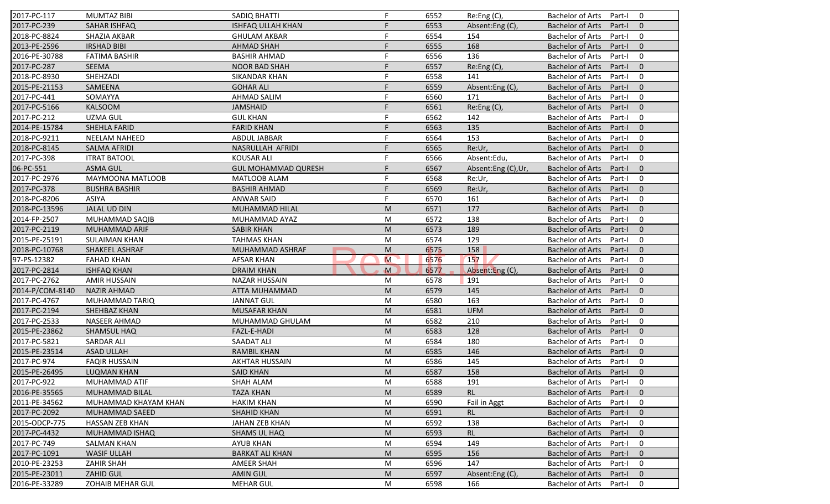| 2017-PC-117     | <b>MUMTAZ BIBI</b>      | <b>SADIQ BHATTI</b>        | F.           | 6552 | Re:Eng (C),        | <b>Bachelor of Arts</b><br>0<br>Part-I              |
|-----------------|-------------------------|----------------------------|--------------|------|--------------------|-----------------------------------------------------|
| 2017-PC-239     | <b>SAHAR ISHFAQ</b>     | <b>ISHFAQ ULLAH KHAN</b>   | F            | 6553 | Absent:Eng (C),    | <b>Bachelor of Arts</b><br>Part-I<br>$\mathbf{0}$   |
| 2018-PC-8824    | SHAZIA AKBAR            | <b>GHULAM AKBAR</b>        |              | 6554 | 154                | <b>Bachelor of Arts</b><br>$\mathbf 0$<br>Part-I    |
| 2013-PE-2596    | <b>IRSHAD BIBI</b>      | <b>AHMAD SHAH</b>          | F            | 6555 | 168                | $\mathbf{0}$<br><b>Bachelor of Arts</b><br>Part-I   |
| 2016-PE-30788   | <b>FATIMA BASHIR</b>    | <b>BASHIR AHMAD</b>        | F            | 6556 | 136                | $\mathbf 0$<br><b>Bachelor of Arts</b><br>Part-I    |
| 2017-PC-287     | SEEMA                   | <b>NOOR BAD SHAH</b>       | F            | 6557 | Re:Eng (C),        | <b>Bachelor of Arts</b><br>$\overline{0}$<br>Part-I |
| 2018-PC-8930    | SHEHZADI                | <b>SIKANDAR KHAN</b>       |              | 6558 | 141                | 0<br><b>Bachelor of Arts</b><br>Part-I              |
| 2015-PE-21153   | SAMEENA                 | <b>GOHAR ALI</b>           | F            | 6559 | Absent:Eng (C),    | <b>Bachelor of Arts</b><br>$\mathbf{0}$<br>Part-I   |
| 2017-PC-441     | SOMAYYA                 | <b>AHMAD SALIM</b>         | F            | 6560 | 171                | $\mathbf 0$<br><b>Bachelor of Arts</b><br>Part-I    |
| 2017-PC-5166    | <b>KALSOOM</b>          | <b>JAMSHAID</b>            | F            | 6561 | Re:Eng (C),        | <b>Bachelor of Arts</b><br>Part-I<br>$\mathbf{0}$   |
| 2017-PC-212     | <b>UZMA GUL</b>         | <b>GUL KHAN</b>            | F            | 6562 | 142                | <b>Bachelor of Arts</b><br>Part-I<br>0              |
| 2014-PE-15784   | SHEHLA FARID            | <b>FARID KHAN</b>          | F            | 6563 | 135                | <b>Bachelor of Arts</b><br>Part-I<br>$\mathbf{0}$   |
| 2018-PC-9211    | <b>NEELAM NAHEED</b>    | ABDUL JABBAR               | F.           | 6564 | 153                | <b>Bachelor of Arts</b><br>$\mathbf 0$<br>Part-I    |
| 2018-PC-8145    | <b>SALMA AFRIDI</b>     | NASRULLAH AFRIDI           | F            | 6565 | Re:Ur,             | $\mathbf{0}$<br><b>Bachelor of Arts</b><br>Part-I   |
| 2017-PC-398     | <b>ITRAT BATOOL</b>     | <b>KOUSAR ALI</b>          |              | 6566 | Absent:Edu,        | $\mathbf 0$<br><b>Bachelor of Arts</b><br>Part-I    |
| 06-PC-551       | <b>ASMA GUL</b>         | <b>GUL MOHAMMAD QURESH</b> | F            | 6567 | Absent:Eng (C),Ur, | $\Omega$<br><b>Bachelor of Arts</b><br>Part-I       |
| 2017-PC-2976    | MAYMOONA MATLOOB        | <b>MATLOOB ALAM</b>        | F            | 6568 | Re:Ur,             | <b>Bachelor of Arts</b><br>$\mathbf 0$<br>Part-I    |
| 2017-PC-378     | <b>BUSHRA BASHIR</b>    | <b>BASHIR AHMAD</b>        | F            | 6569 | Re:Ur,             | <b>Bachelor of Arts</b><br>$\mathbf{0}$<br>Part-I   |
| 2018-PC-8206    | <b>ASIYA</b>            | <b>ANWAR SAID</b>          | F            | 6570 | 161                | <b>Bachelor of Arts</b><br>0<br>Part-I              |
| 2018-PC-13596   | <b>JALAL UD DIN</b>     | MUHAMMAD HILAL             | M            | 6571 | 177                | <b>Bachelor of Arts</b><br>$\mathbf{0}$<br>Part-I   |
| 2014-FP-2507    | MUHAMMAD SAQIB          | MUHAMMAD AYAZ              | M            | 6572 | 138                | $\mathbf 0$<br><b>Bachelor of Arts</b><br>Part-I    |
| 2017-PC-2119    | MUHAMMAD ARIF           | <b>SABIR KHAN</b>          | M            | 6573 | 189                | $\mathbf{0}$<br><b>Bachelor of Arts</b><br>Part-I   |
| 2015-PE-25191   | <b>SULAIMAN KHAN</b>    | <b>TAHMAS KHAN</b>         | M            | 6574 | 129                | 0<br><b>Bachelor of Arts</b><br>Part-I              |
| 2018-PC-10768   | SHAKEEL ASHRAF          | MUHAMMAD ASHRAF            | M            | 6575 | 158                | $\mathbf{0}$<br><b>Bachelor of Arts</b><br>Part-I   |
| 97-PS-12382     | <b>FAHAD KHAN</b>       | <b>AFSAR KHAN</b>          | M            | 6576 | 157                | <b>Bachelor of Arts</b><br>$\mathbf 0$<br>Part-I    |
| 2017-PC-2814    | <b>ISHFAQ KHAN</b>      | <b>DRAIM KHAN</b>          | $\mathbf{M}$ | 6577 | Absent:Eng (C),    | <b>Bachelor of Arts</b><br>$\mathbf{0}$<br>Part-I   |
| 2017-PC-2762    | <b>AMIR HUSSAIN</b>     | <b>NAZAR HUSSAIN</b>       | M            | 6578 | 191                | <b>Bachelor of Arts</b><br>Part-I<br>$\mathbf 0$    |
| 2014-P/COM-8140 | <b>NAZIR AHMAD</b>      | ATTA MUHAMMAD              | M            | 6579 | 145                | <b>Bachelor of Arts</b><br>Part-I<br>$\mathbf{0}$   |
| 2017-PC-4767    | MUHAMMAD TARIQ          | <b>JANNAT GUL</b>          | M            | 6580 | 163                | $\mathbf 0$<br><b>Bachelor of Arts</b><br>Part-I    |
| 2017-PC-2194    | SHEHBAZ KHAN            | <b>MUSAFAR KHAN</b>        | M            | 6581 | <b>UFM</b>         | <b>Bachelor of Arts</b><br>$\mathbf{0}$<br>Part-I   |
| 2017-PC-2533    | <b>NASEER AHMAD</b>     | MUHAMMAD GHULAM            | M            | 6582 | 210                | $\mathbf 0$<br><b>Bachelor of Arts</b><br>Part-I    |
| 2015-PE-23862   | SHAMSUL HAQ             | FAZL-E-HADI                | M            | 6583 | 128                | $\mathbf{0}$<br><b>Bachelor of Arts</b><br>Part-I   |
| 2017-PC-5821    | <b>SARDAR ALI</b>       | SAADAT ALI                 | M            | 6584 | 180                | <b>Bachelor of Arts</b><br>$\mathbf 0$<br>Part-I    |
| 2015-PE-23514   | <b>ASAD ULLAH</b>       | <b>RAMBIL KHAN</b>         | M            | 6585 | 146                | <b>Bachelor of Arts</b><br>$\mathbf{0}$<br>Part-I   |
| 2017-PC-974     | <b>FAQIR HUSSAIN</b>    | AKHTAR HUSSAIN             | M            | 6586 | 145                | <b>Bachelor of Arts</b><br>Part-I<br>0              |
| 2015-PE-26495   | LUQMAN KHAN             | <b>SAID KHAN</b>           | ${\sf M}$    | 6587 | 158                | Bachelor of Arts Part-I 0                           |
| 2017-PC-922     | MUHAMMAD ATIF           | SHAH ALAM                  | M            | 6588 | 191                | Bachelor of Arts Part-I<br>0                        |
| 2016-PE-35565   | <b>MUHAMMAD BILAL</b>   | <b>TAZA KHAN</b>           | M            | 6589 | <b>RL</b>          | Bachelor of Arts<br>$\mathbf{0}$<br>Part-I          |
| 2011-PE-34562   | MUHAMMAD KHAYAM KHAN    | <b>HAKIM KHAN</b>          | M            | 6590 | Fail in Aggt       | Bachelor of Arts<br>Part-I<br>0                     |
| 2017-PC-2092    | MUHAMMAD SAEED          | <b>SHAHID KHAN</b>         | M            | 6591 | <b>RL</b>          | Bachelor of Arts<br>$\mathbf{0}$<br>Part-I          |
| 2015-ODCP-775   | HASSAN ZEB KHAN         | JAHAN ZEB KHAN             | M            | 6592 | 138                | Bachelor of Arts<br>0<br>Part-I                     |
| 2017-PC-4432    | MUHAMMAD ISHAQ          | <b>SHAMS UL HAQ</b>        | M            | 6593 | <b>RL</b>          | Bachelor of Arts<br>$\mathbf{0}$<br>Part-I          |
| 2017-PC-749     | <b>SALMAN KHAN</b>      | <b>AYUB KHAN</b>           | M            | 6594 | 149                | Bachelor of Arts<br>0<br>Part-I                     |
| 2017-PC-1091    | <b>WASIF ULLAH</b>      | <b>BARKAT ALI KHAN</b>     | M            | 6595 | 156                | <b>Bachelor of Arts</b><br>Part-I<br>$\mathbf 0$    |
| 2010-PE-23253   | <b>ZAHIR SHAH</b>       | <b>AMEER SHAH</b>          | M            | 6596 | 147                | <b>Bachelor of Arts</b><br>0<br>Part-I              |
| 2015-PE-23011   | <b>ZAHID GUL</b>        | <b>AMIN GUL</b>            | M            | 6597 | Absent:Eng (C),    | <b>Bachelor of Arts</b><br>Part-I<br>$\mathbf{0}$   |
| 2016-PE-33289   | <b>ZOHAIB MEHAR GUL</b> | <b>MEHAR GUL</b>           | M            | 6598 | 166                | Bachelor of Arts<br>Part-I<br>0                     |
|                 |                         |                            |              |      |                    |                                                     |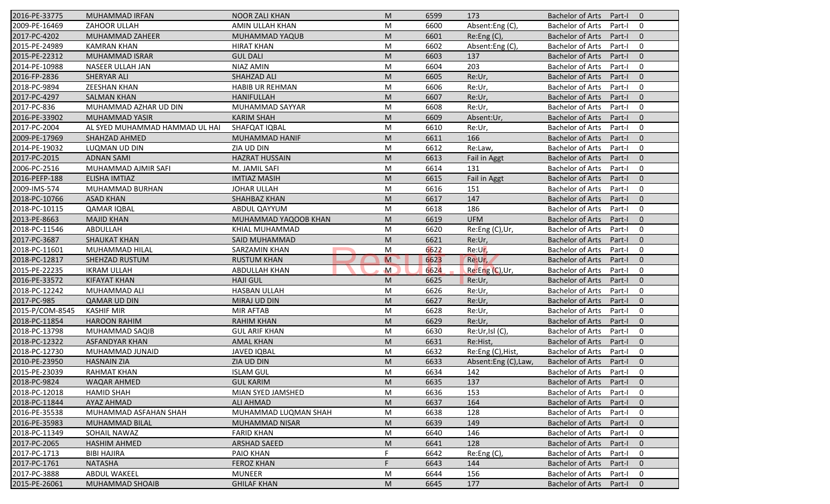| 2016-PE-33775   | MUHAMMAD IRFAN                 | <b>NOOR ZALI KHAN</b>  | M                       | 6599 | 173                 | <b>Bachelor of Arts</b><br>Part-I<br>$\overline{0}$ |
|-----------------|--------------------------------|------------------------|-------------------------|------|---------------------|-----------------------------------------------------|
| 2009-PE-16469   | ZAHOOR ULLAH                   | AMIN ULLAH KHAN        | M                       | 6600 | Absent:Eng (C),     | <b>Bachelor of Arts</b><br>Part-I<br>0              |
| 2017-PC-4202    | MUHAMMAD ZAHEER                | MUHAMMAD YAQUB         | M                       | 6601 | Re:Eng (C),         | <b>Bachelor of Arts</b><br>Part-I<br>$\mathbf{0}$   |
| 2015-PE-24989   | <b>KAMRAN KHAN</b>             | <b>HIRAT KHAN</b>      | M                       | 6602 | Absent:Eng (C),     | <b>Bachelor of Arts</b><br>$\mathbf 0$<br>Part-I    |
| 2015-PE-22312   | <b>MUHAMMAD ISRAR</b>          | <b>GUL DALI</b>        | M                       | 6603 | 137                 | $\mathbf{0}$<br><b>Bachelor of Arts</b><br>Part-I   |
| 2014-PE-10988   | NASEER ULLAH JAN               | NIAZ AMIN              | M                       | 6604 | 203                 | 0<br><b>Bachelor of Arts</b><br>Part-I              |
| 2016-FP-2836    | SHERYAR ALI                    | SHAHZAD ALI            | M                       | 6605 | Re:Ur,              | $\mathbf{0}$<br><b>Bachelor of Arts</b><br>Part-I   |
| 2018-PC-9894    | <b>ZEESHAN KHAN</b>            | <b>HABIB UR REHMAN</b> | M                       | 6606 | Re:Ur,              | <b>Bachelor of Arts</b><br>$\mathbf 0$<br>Part-I    |
| 2017-PC-4297    | <b>SALMAN KHAN</b>             | <b>HANIFULLAH</b>      | M                       | 6607 | Re:Ur,              | <b>Bachelor of Arts</b><br>$\mathbf{0}$<br>Part-I   |
| 2017-PC-836     | MUHAMMAD AZHAR UD DIN          | MUHAMMAD SAYYAR        | M                       | 6608 | Re:Ur,              | <b>Bachelor of Arts</b><br>Part-I<br>$\mathbf 0$    |
| 2016-PE-33902   | MUHAMMAD YASIR                 | <b>KARIM SHAH</b>      | M                       | 6609 | Absent:Ur,          | <b>Bachelor of Arts</b><br>Part-I<br>$\mathbf{0}$   |
| 2017-PC-2004    | AL SYED MUHAMMAD HAMMAD UL HAI | SHAFQAT IQBAL          | M                       | 6610 | Re:Ur,              | $\mathbf 0$<br><b>Bachelor of Arts</b><br>Part-I    |
| 2009-PE-17969   | SHAHZAD AHMED                  | <b>MUHAMMAD HANIF</b>  | M                       | 6611 | 166                 | <b>Bachelor of Arts</b><br>$\mathbf{0}$<br>Part-I   |
| 2014-PE-19032   | LUQMAN UD DIN                  | ZIA UD DIN             | M                       | 6612 | Re:Law,             | $\mathbf 0$<br><b>Bachelor of Arts</b><br>Part-I    |
| 2017-PC-2015    | <b>ADNAN SAMI</b>              | <b>HAZRAT HUSSAIN</b>  | M                       | 6613 | Fail in Aggt        | <b>Bachelor of Arts</b><br>Part-I<br>$\overline{0}$ |
| 2006-PC-2516    | MUHAMMAD AJMIR SAFI            | M. JAMIL SAFI          | M                       | 6614 | 131                 | <b>Bachelor of Arts</b><br>$\mathbf 0$<br>Part-I    |
| 2016-PEFP-188   | <b>ELISHA IMTIAZ</b>           | <b>IMTIAZ MASIH</b>    | M                       | 6615 | Fail in Aggt        | $\mathbf{0}$<br><b>Bachelor of Arts</b><br>Part-I   |
| 2009-IMS-574    | MUHAMMAD BURHAN                | <b>JOHAR ULLAH</b>     | M                       | 6616 | 151                 | <b>Bachelor of Arts</b><br>$\mathbf 0$<br>Part-I    |
| 2018-PC-10766   | <b>ASAD KHAN</b>               | SHAHBAZ KHAN           | M                       | 6617 | 147                 | <b>Bachelor of Arts</b><br>$\mathbf{0}$<br>Part-I   |
| 2018-PC-10115   | <b>QAMAR IQBAL</b>             | ABDUL QAYYUM           | M                       | 6618 | 186                 | $\mathbf 0$<br><b>Bachelor of Arts</b><br>Part-I    |
| 2013-PE-8663    | <b>MAJID KHAN</b>              | MUHAMMAD YAQOOB KHAN   | M                       | 6619 | <b>UFM</b>          | $\mathbf{0}$<br><b>Bachelor of Arts</b><br>Part-I   |
| 2018-PC-11546   | ABDULLAH                       | KHIAL MUHAMMAD         | M                       | 6620 | Re:Eng (C),Ur,      | $\mathbf 0$<br><b>Bachelor of Arts</b><br>Part-I    |
| 2017-PC-3687    | <b>SHAUKAT KHAN</b>            | SAID MUHAMMAD          | M                       | 6621 | Re:Ur,              | <b>Bachelor of Arts</b><br>$\overline{0}$<br>Part-I |
| 2018-PC-11601   | MUHAMMAD HILAL                 | <b>SARZAMIN KHAN</b>   | M                       | 6622 | Re:Ur,              | <b>Bachelor of Arts</b><br>0<br>Part-I              |
| 2018-PC-12817   | <b>SHEHZAD RUSTUM</b>          | <b>RUSTUM KHAN</b>     | $\overline{\mathsf{M}}$ | 6623 | Re:Ur,              | $\mathbf{0}$<br><b>Bachelor of Arts</b><br>Part-I   |
| 2015-PE-22235   | <b>IKRAM ULLAH</b>             | <b>ABDULLAH KHAN</b>   | $\mathsf{M}$            | 6624 | Re:Eng (C), Ur,     | $\mathbf 0$<br><b>Bachelor of Arts</b><br>Part-I    |
| 2016-PE-33572   | <b>KIFAYAT KHAN</b>            | <b>HAJI GUL</b>        | M                       | 6625 | Re:Ur,              | <b>Bachelor of Arts</b><br>$\mathbf{0}$<br>Part-I   |
| 2018-PC-12242   | MUHAMMAD ALI                   | <b>HASBAN ULLAH</b>    | M                       | 6626 | Re:Ur,              | <b>Bachelor of Arts</b><br>$\mathbf 0$<br>Part-I    |
| 2017-PC-985     | <b>QAMAR UD DIN</b>            | MIRAJ UD DIN           | M                       | 6627 | Re:Ur,              | <b>Bachelor of Arts</b><br>$\mathbf{0}$<br>Part-I   |
| 2015-P/COM-8545 | <b>KASHIF MIR</b>              | <b>MIR AFTAB</b>       | M                       | 6628 | Re:Ur,              | $\mathbf 0$<br><b>Bachelor of Arts</b><br>Part-I    |
| 2018-PC-11854   | <b>HAROON RAHIM</b>            | <b>RAHIM KHAN</b>      | M                       | 6629 | Re:Ur,              | <b>Bachelor of Arts</b><br>$\overline{0}$<br>Part-I |
| 2018-PC-13798   | MUHAMMAD SAQIB                 | <b>GUL ARIF KHAN</b>   | M                       | 6630 | Re:Ur,Isl (C),      | <b>Bachelor of Arts</b><br>0<br>Part-I              |
| 2018-PC-12322   | <b>ASFANDYAR KHAN</b>          | <b>AMAL KHAN</b>       | M                       | 6631 | Re:Hist,            | <b>Bachelor of Arts</b><br>$\mathbf{0}$<br>Part-I   |
| 2018-PC-12730   | MUHAMMAD JUNAID                | <b>JAVED IQBAL</b>     | M                       | 6632 | Re:Eng (C), Hist,   | <b>Bachelor of Arts</b><br>Part-I<br>0              |
| 2010-PE-23950   | <b>HASNAIN ZIA</b>             | ZIA UD DIN             | M                       | 6633 | Absent:Eng (C),Law, | <b>Bachelor of Arts</b><br>$\mathbf 0$<br>Part-I    |
| 2015-PE-23039   | RAHMAT KHAN                    | <b>ISLAM GUL</b>       | M                       | 6634 | 142                 | Bachelor of Arts Part-I<br>0                        |
| 2018-PC-9824    | WAQAR AHMED                    | <b>GUL KARIM</b>       | M                       | 6635 | 137                 | Bachelor of Arts Part-I<br>$\overline{0}$           |
| 2018-PC-12018   | <b>HAMID SHAH</b>              | MIAN SYED JAMSHED      | M                       | 6636 | 153                 | <b>Bachelor of Arts</b><br>Part-I<br>0              |
| 2018-PC-11844   | AYAZ AHMAD                     | ALI AHMAD              | M                       | 6637 | 164                 | Bachelor of Arts<br>Part-I<br>$\mathbf{0}$          |
| 2016-PE-35538   | MUHAMMAD ASFAHAN SHAH          | MUHAMMAD LUQMAN SHAH   | M                       | 6638 | 128                 | <b>Bachelor of Arts</b><br>Part-I<br>0              |
| 2016-PE-35983   | MUHAMMAD BILAL                 | <b>MUHAMMAD NISAR</b>  | M                       | 6639 | 149                 | <b>Bachelor of Arts</b><br>$\mathbf 0$<br>Part-I    |
| 2018-PC-11349   | SOHAIL NAWAZ                   | <b>FARID KHAN</b>      | M                       | 6640 | 146                 | <b>Bachelor of Arts</b><br>0<br>Part-I              |
| 2017-PC-2065    | <b>HASHIM AHMED</b>            | <b>ARSHAD SAEED</b>    | M                       | 6641 | 128                 | Bachelor of Arts<br>$\mathbf 0$<br>Part-I           |
| 2017-PC-1713    | <b>BIBI HAJIRA</b>             | PAIO KHAN              | F                       | 6642 | Re:Eng (C),         | <b>Bachelor of Arts</b><br>Part-I<br>0              |
| 2017-PC-1761    | <b>NATASHA</b>                 | <b>FEROZ KHAN</b>      | F                       | 6643 | 144                 | <b>Bachelor of Arts</b><br>$\mathbf{0}$<br>Part-I   |
| 2017-PC-3888    | <b>ABDUL WAKEEL</b>            | <b>MUNEER</b>          | M                       | 6644 | 156                 | <b>Bachelor of Arts</b><br>0<br>Part-I              |
| 2015-PE-26061   | <b>MUHAMMAD SHOAIB</b>         | <b>GHILAF KHAN</b>     | M                       | 6645 | 177                 | Bachelor of Arts<br>Part-I<br>$\mathbf{0}$          |
|                 |                                |                        |                         |      |                     |                                                     |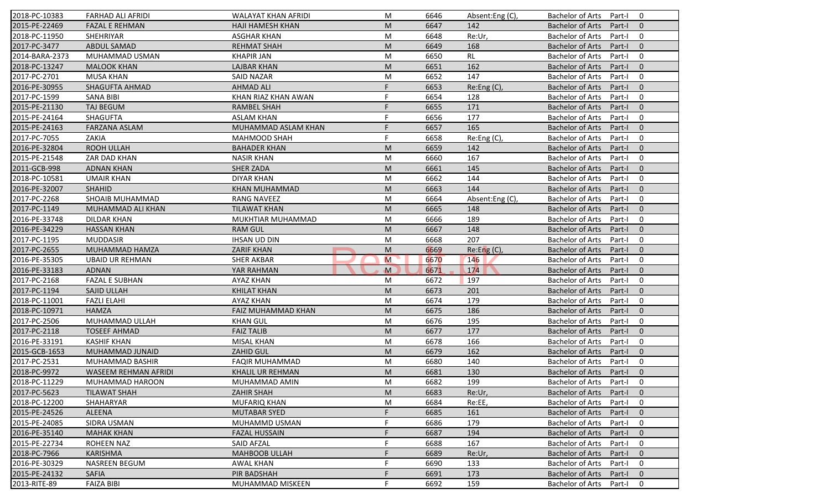| 2018-PC-10383  | <b>FARHAD ALI AFRIDI</b> | <b>WALAYAT KHAN AFRIDI</b> | M  | 6646 | Absent:Eng (C) | <b>Bachelor of Arts</b><br>Part-I<br>$\Omega$       |
|----------------|--------------------------|----------------------------|----|------|----------------|-----------------------------------------------------|
| 2015-PE-22469  | <b>FAZAL E REHMAN</b>    | HAJI HAMESH KHAN           | M  | 6647 | 142            | <b>Bachelor of Arts</b><br>Part-I<br>$\mathbf{0}$   |
| 2018-PC-11950  | SHEHRIYAR                | <b>ASGHAR KHAN</b>         | M  | 6648 | Re:Ur,         | <b>Bachelor of Arts</b><br>Part-I<br>0              |
| 2017-PC-3477   | <b>ABDUL SAMAD</b>       | <b>REHMAT SHAH</b>         | M  | 6649 | 168            | <b>Bachelor of Arts</b><br>$\mathbf{0}$<br>Part-I   |
| 2014-BARA-2373 | MUHAMMAD USMAN           | <b>KHAPIR JAN</b>          | M  | 6650 | RL             | <b>Bachelor of Arts</b><br>0<br>Part-I              |
| 2018-PC-13247  | <b>MALOOK KHAN</b>       | <b>LAJBAR KHAN</b>         | M  | 6651 | 162            | <b>Bachelor of Arts</b><br>Part-I<br>$\overline{0}$ |
| 2017-PC-2701   | <b>MUSA KHAN</b>         | <b>SAID NAZAR</b>          | M  | 6652 | 147            | <b>Bachelor of Arts</b><br>0<br>Part-I              |
| 2016-PE-30955  | SHAGUFTA AHMAD           | <b>AHMAD ALI</b>           | F  | 6653 | Re:Eng (C),    | <b>Bachelor of Arts</b><br>$\mathbf{0}$<br>Part-I   |
| 2017-PC-1599   | <b>SANA BIBI</b>         | KHAN RIAZ KHAN AWAN        | F  | 6654 | 128            | $\mathbf 0$<br><b>Bachelor of Arts</b><br>Part-I    |
| 2015-PE-21130  | <b>TAJ BEGUM</b>         | <b>RAMBEL SHAH</b>         | F  | 6655 | 171            | <b>Bachelor of Arts</b><br>Part-I<br>$\Omega$       |
| 2015-PE-24164  | <b>SHAGUFTA</b>          | <b>ASLAM KHAN</b>          | F  | 6656 | 177            | <b>Bachelor of Arts</b><br>Part-I<br>0              |
| 2015-PE-24163  | FARZANA ASLAM            | MUHAMMAD ASLAM KHAN        | F  | 6657 | 165            | <b>Bachelor of Arts</b><br>Part-I<br>$\mathbf{0}$   |
| 2017-PC-7055   | ZAKIA                    | <b>MAHMOOD SHAH</b>        | F. | 6658 | Re:Eng (C),    | <b>Bachelor of Arts</b><br>0<br>Part-I              |
| 2016-PE-32804  | <b>ROOH ULLAH</b>        | <b>BAHADER KHAN</b>        | M  | 6659 | 142            | <b>Bachelor of Arts</b><br>$\Omega$<br>Part-I       |
| 2015-PE-21548  | ZAR DAD KHAN             | <b>NASIR KHAN</b>          | M  | 6660 | 167            | 0<br><b>Bachelor of Arts</b><br>Part-I              |
| 2011-GCB-998   | <b>ADNAN KHAN</b>        | <b>SHER ZADA</b>           | M  | 6661 | 145            | $\Omega$<br><b>Bachelor of Arts</b><br>Part-I       |
| 2018-PC-10581  | <b>UMAIR KHAN</b>        | <b>DIYAR KHAN</b>          | M  | 6662 | 144            | <b>Bachelor of Arts</b><br>0<br>Part-I              |
| 2016-PE-32007  | <b>SHAHID</b>            | <b>KHAN MUHAMMAD</b>       | M  | 6663 | 144            | <b>Bachelor of Arts</b><br>$\mathbf{0}$<br>Part-I   |
| 2017-PC-2268   | SHOAIB MUHAMMAD          | <b>RANG NAVEEZ</b>         | M  | 6664 | Absent:Eng(C), | <b>Bachelor of Arts</b><br>Part-I<br>0              |
| 2017-PC-1149   | MUHAMMAD ALI KHAN        | <b>TILAWAT KHAN</b>        | M  | 6665 | 148            | <b>Bachelor of Arts</b><br>Part-I<br>$\mathbf{0}$   |
| 2016-PE-33748  | <b>DILDAR KHAN</b>       | MUKHTIAR MUHAMMAD          | M  | 6666 | 189            | <b>Bachelor of Arts</b><br>0<br>Part-I              |
| 2016-PE-34229  | <b>HASSAN KHAN</b>       | <b>RAM GUL</b>             | M  | 6667 | 148            | $\mathbf{0}$<br><b>Bachelor of Arts</b><br>Part-I   |
| 2017-PC-1195   | <b>MUDDASIR</b>          | <b>IHSAN UD DIN</b>        | M  | 6668 | 207            | <b>Bachelor of Arts</b><br>Part-I<br>0              |
| 2017-PC-2655   | MUHAMMAD HAMZA           | <b>ZARIF KHAN</b>          | M  | 6669 | Re: Eng(C)     | $\mathbf{0}$<br><b>Bachelor of Arts</b><br>Part-I   |
| 2016-PE-35305  | <b>UBAID UR REHMAN</b>   | <b>SHER AKBAR</b>          | M  | 6670 | 146            | <b>Bachelor of Arts</b><br>0<br>Part-I              |
| 2016-PE-33183  | <b>ADNAN</b>             | YAR RAHMAN                 | M  | 6671 | 174            | <b>Bachelor of Arts</b><br>$\mathbf{0}$<br>Part-I   |
| 2017-PC-2168   | <b>FAZAL E SUBHAN</b>    | AYAZ KHAN                  | M  | 6672 | 197            | <b>Bachelor of Arts</b><br>Part-I<br>$\mathbf 0$    |
| 2017-PC-1194   | SAJID ULLAH              | <b>KHILAT KHAN</b>         | M  | 6673 | 201            | <b>Bachelor of Arts</b><br>Part-I<br>$\Omega$       |
| 2018-PC-11001  | <b>FAZLI ELAHI</b>       | AYAZ KHAN                  | M  | 6674 | 179            | <b>Bachelor of Arts</b><br>$\mathbf 0$<br>Part-I    |
| 2018-PC-10971  | <b>HAMZA</b>             | <b>FAIZ MUHAMMAD KHAN</b>  | M  | 6675 | 186            | <b>Bachelor of Arts</b><br>$\mathbf{0}$<br>Part-I   |
| 2017-PC-2506   | MUHAMMAD ULLAH           | <b>KHAN GUL</b>            | M  | 6676 | 195            | <b>Bachelor of Arts</b><br>Part-I<br>0              |
| 2017-PC-2118   | <b>TOSEEF AHMAD</b>      | <b>FAIZ TALIB</b>          | M  | 6677 | 177            | $\Omega$<br><b>Bachelor of Arts</b><br>Part-I       |
| 2016-PE-33191  | <b>KASHIF KHAN</b>       | <b>MISAL KHAN</b>          | M  | 6678 | 166            | <b>Bachelor of Arts</b><br>$\mathbf 0$<br>Part-I    |
| 2015-GCB-1653  | MUHAMMAD JUNAID          | <b>ZAHID GUL</b>           | M  | 6679 | 162            | <b>Bachelor of Arts</b><br>$\mathbf{0}$<br>Part-I   |
| 2017-PC-2531   | MUHAMMAD BASHIR          | <b>FAQIR MUHAMMAD</b>      | M  | 6680 | 140            | <b>Bachelor of Arts</b><br>Part-I<br>0              |
| 2018-PC-9972   | WASEEM REHMAN AFRIDI     | KHALIL UR REHMAN           | M  | 6681 | 130            | Bachelor of Arts Part-I 0                           |
| 2018-PC-11229  | MUHAMMAD HAROON          | MUHAMMAD AMIN              | M  | 6682 | 199            | Bachelor of Arts Part-I<br>$\mathbf 0$              |
| 2017-PC-5623   | <b>TILAWAT SHAH</b>      | <b>ZAHIR SHAH</b>          | M  | 6683 | Re:Ur,         | <b>Bachelor of Arts</b><br>Part-I<br>$\mathbf{0}$   |
| 2018-PC-12200  | SHAHARYAR                | MUFARIQ KHAN               | M  | 6684 | Re:EE,         | <b>Bachelor of Arts</b><br>Part-I<br>0              |
| 2015-PE-24526  | <b>ALEENA</b>            | <b>MUTABAR SYED</b>        |    | 6685 | 161            | Bachelor of Arts<br>Part-I<br>$\mathbf{0}$          |
| 2015-PE-24085  | SIDRA USMAN              | MUHAMMD USMAN              |    | 6686 | 179            | <b>Bachelor of Arts</b><br>0<br>Part-I              |
| 2016-PE-35140  | <b>MAHAK KHAN</b>        | <b>FAZAL HUSSAIN</b>       |    | 6687 | 194            | <b>Bachelor of Arts</b><br>Part-I<br>$\mathbf{0}$   |
| 2015-PE-22734  | <b>ROHEEN NAZ</b>        | <b>SAID AFZAL</b>          |    | 6688 | 167            | <b>Bachelor of Arts</b><br>0<br>Part-I              |
| 2018-PC-7966   | <b>KARISHMA</b>          | <b>MAHBOOB ULLAH</b>       |    | 6689 | Re:Ur,         | <b>Bachelor of Arts</b><br>Part-I<br>$\mathbf 0$    |
| 2016-PE-30329  | <b>NASREEN BEGUM</b>     | <b>AWAL KHAN</b>           |    | 6690 | 133            | 0<br><b>Bachelor of Arts</b><br>Part-I              |
| 2015-PE-24132  | <b>SAFIA</b>             | PIR BADSHAH                |    | 6691 | 173            | <b>Bachelor of Arts</b><br>$\mathbf 0$<br>Part-I    |
| 2013-RITE-89   | <b>FAIZA BIBI</b>        | MUHAMMAD MISKEEN           |    | 6692 | 159            | Bachelor of Arts<br>0<br>Part-I                     |
|                |                          |                            |    |      |                |                                                     |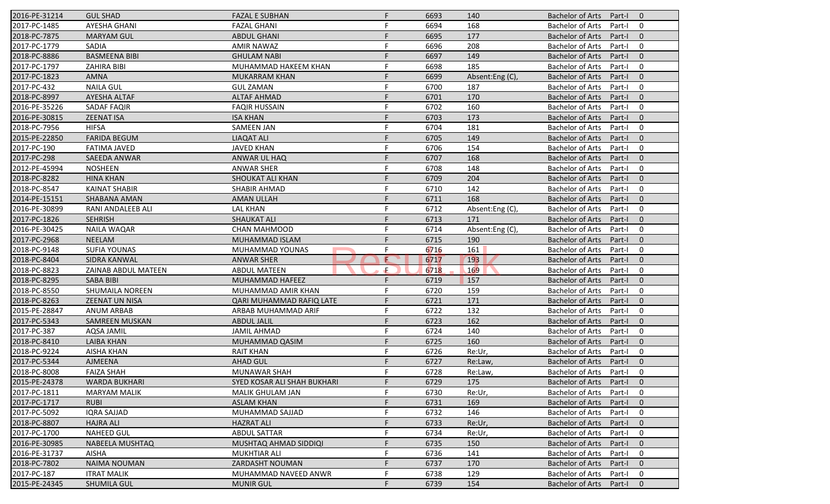| 2016-PE-31214 | <b>GUL SHAD</b>        | <b>FAZAL E SUBHAN</b>       | F. | 6693 | 140            | <b>Bachelor of Arts</b><br>Part-I<br>$\overline{0}$ |
|---------------|------------------------|-----------------------------|----|------|----------------|-----------------------------------------------------|
| 2017-PC-1485  | <b>AYESHA GHANI</b>    | <b>FAZAL GHANI</b>          | F  | 6694 | 168            | <b>Bachelor of Arts</b><br>Part-I<br>$\mathbf 0$    |
| 2018-PC-7875  | <b>MARYAM GUL</b>      | <b>ABDUL GHANI</b>          | F  | 6695 | 177            | <b>Bachelor of Arts</b><br>Part-I<br>$\mathbf{0}$   |
| 2017-PC-1779  | SADIA                  | <b>AMIR NAWAZ</b>           | F  | 6696 | 208            | <b>Bachelor of Arts</b><br>$\mathbf 0$<br>Part-I    |
| 2018-PC-8886  | <b>BASMEENA BIBI</b>   | <b>GHULAM NABI</b>          | F  | 6697 | 149            | $\mathbf{0}$<br><b>Bachelor of Arts</b><br>Part-I   |
| 2017-PC-1797  | <b>ZAHIRA BIBI</b>     | MUHAMMAD HAKEEM KHAN        | F  | 6698 | 185            | <b>Bachelor of Arts</b><br>Part-I<br>0              |
| 2017-PC-1823  | <b>AMNA</b>            | <b>MUKARRAM KHAN</b>        | F. | 6699 | Absent:Eng (C) | $\mathbf{0}$<br><b>Bachelor of Arts</b><br>Part-I   |
| 2017-PC-432   | <b>NAILA GUL</b>       | <b>GUL ZAMAN</b>            | F  | 6700 | 187            | <b>Bachelor of Arts</b><br>$\mathbf 0$<br>Part-I    |
| 2018-PC-8997  | AYESHA ALTAF           | <b>ALTAF AHMAD</b>          | F  | 6701 | 170            | <b>Bachelor of Arts</b><br>Part-I<br>$\mathbf{0}$   |
| 2016-PE-35226 | <b>SADAF FAQIR</b>     | <b>FAQIR HUSSAIN</b>        | F  | 6702 | 160            | <b>Bachelor of Arts</b><br>Part-I<br>$\mathbf 0$    |
| 2016-PE-30815 | <b>ZEENAT ISA</b>      | <b>ISA KHAN</b>             |    | 6703 | 173            | <b>Bachelor of Arts</b><br>Part-I<br>$\mathbf{0}$   |
| 2018-PC-7956  | <b>HIFSA</b>           | <b>SAMEEN JAN</b>           | F  | 6704 | 181            | $\mathbf 0$<br><b>Bachelor of Arts</b><br>Part-I    |
| 2015-PE-22850 | <b>FARIDA BEGUM</b>    | <b>LIAQAT ALI</b>           | F  | 6705 | 149            | <b>Bachelor of Arts</b><br>$\mathbf{0}$<br>Part-I   |
| 2017-PC-190   | <b>FATIMA JAVED</b>    | <b>JAVED KHAN</b>           | F  | 6706 | 154            | <b>Bachelor of Arts</b><br>$\mathbf 0$<br>Part-I    |
| 2017-PC-298   | <b>SAEEDA ANWAR</b>    | ANWAR UL HAQ                |    | 6707 | 168            | <b>Bachelor of Arts</b><br>Part-I<br>$\overline{0}$ |
| 2012-PE-45994 | <b>NOSHEEN</b>         | <b>ANWAR SHER</b>           | F  | 6708 | 148            | <b>Bachelor of Arts</b><br>$\mathbf 0$<br>Part-I    |
| 2018-PC-8282  | <b>HINA KHAN</b>       | SHOUKAT ALI KHAN            | F  | 6709 | 204            | <b>Bachelor of Arts</b><br>$\mathbf{0}$<br>Part-I   |
| 2018-PC-8547  | <b>KAINAT SHABIR</b>   | <b>SHABIR AHMAD</b>         | F  | 6710 | 142            | <b>Bachelor of Arts</b><br>$\mathbf 0$<br>Part-I    |
| 2014-PE-15151 | <b>SHABANA AMAN</b>    | <b>AMAN ULLAH</b>           |    | 6711 | 168            | <b>Bachelor of Arts</b><br>$\mathbf{0}$<br>Part-I   |
| 2016-PE-30899 | RANI ANDALEEB ALI      | <b>LAL KHAN</b>             | F  | 6712 | Absent:Eng(C), | <b>Bachelor of Arts</b><br>Part-I<br>$\mathbf 0$    |
| 2017-PC-1826  | <b>SEHRISH</b>         | <b>SHAUKAT ALI</b>          | F  | 6713 | 171            | <b>Bachelor of Arts</b><br>$\mathbf{0}$<br>Part-I   |
| 2016-PE-30425 | <b>NAILA WAQAR</b>     | <b>CHAN MAHMOOD</b>         | F  | 6714 | Absent:Eng (C) | <b>Bachelor of Arts</b><br>$\mathbf 0$<br>Part-I    |
| 2017-PC-2968  | <b>NEELAM</b>          | <b>MUHAMMAD ISLAM</b>       |    | 6715 | 190            | <b>Bachelor of Arts</b><br>Part-I<br>$\overline{0}$ |
| 2018-PC-9148  | <b>SUFIA YOUNAS</b>    | MUHAMMAD YOUNAS             | F  | 6716 | 161            | <b>Bachelor of Arts</b><br>$\mathbf 0$<br>Part-I    |
| 2018-PC-8404  | SIDRA KANWAL           | <b>ANWAR SHER</b>           | E  | 6717 | 193            | <b>Bachelor of Arts</b><br>$\mathbf{0}$<br>Part-I   |
| 2018-PC-8823  | ZAINAB ABDUL MATEEN    | <b>ABDUL MATEEN</b>         | Æ  | 6718 | 169            | <b>Bachelor of Arts</b><br>$\mathbf 0$<br>Part-I    |
| 2018-PC-8295  | <b>SABA BIBI</b>       | MUHAMMAD HAFEEZ             | F  | 6719 | 157            | <b>Bachelor of Arts</b><br>$\mathbf{0}$<br>Part-I   |
| 2018-PC-8550  | <b>SHUMAILA NOREEN</b> | MUHAMMAD AMIR KHAN          | F  | 6720 | 159            | <b>Bachelor of Arts</b><br>$\mathbf 0$<br>Part-I    |
| 2018-PC-8263  | <b>ZEENAT UN NISA</b>  | QARI MUHAMMAD RAFIQ LATE    | F  | 6721 | 171            | <b>Bachelor of Arts</b><br>$\mathbf{0}$<br>Part-I   |
| 2015-PE-28847 | <b>ANUM ARBAB</b>      | ARBAB MUHAMMAD ARIF         | F  | 6722 | 132            | <b>Bachelor of Arts</b><br>$\mathbf 0$<br>Part-I    |
| 2017-PC-5343  | <b>SAMREEN MUSKAN</b>  | <b>ABDUL JALIL</b>          |    | 6723 | 162            | <b>Bachelor of Arts</b><br>$\overline{0}$<br>Part-I |
| 2017-PC-387   | AQSA JAMIL             | <b>JAMIL AHMAD</b>          | F  | 6724 | 140            | <b>Bachelor of Arts</b><br>$\mathbf 0$<br>Part-I    |
| 2018-PC-8410  | <b>LAIBA KHAN</b>      | MUHAMMAD QASIM              | F  | 6725 | 160            | <b>Bachelor of Arts</b><br>$\mathbf{0}$<br>Part-I   |
| 2018-PC-9224  | <b>AISHA KHAN</b>      | <b>RAIT KHAN</b>            | F  | 6726 | Re:Ur,         | <b>Bachelor of Arts</b><br>Part-I<br>$\mathbf 0$    |
| 2017-PC-5344  | <b>AJMEENA</b>         | <b>AHAD GUL</b>             | F  | 6727 | Re:Law,        | <b>Bachelor of Arts</b><br>Part-I<br>$\mathbf 0$    |
| 2018-PC-8008  | <b>FAIZA SHAH</b>      | MUNAWAR SHAH                |    | 6728 | Re:Law,        | Bachelor of Arts Part-I<br>$\mathbf 0$              |
| 2015-PE-24378 | <b>WARDA BUKHARI</b>   | SYED KOSAR ALI SHAH BUKHARI | F. | 6729 | 175            | Bachelor of Arts Part-I<br>$\overline{0}$           |
| 2017-PC-1811  | <b>MARYAM MALIK</b>    | MALIK GHULAM JAN            |    | 6730 | Re:Ur,         | <b>Bachelor of Arts</b><br>Part-I<br>0              |
| 2017-PC-1717  | <b>RUBI</b>            | <b>ASLAM KHAN</b>           |    | 6731 | 169            | <b>Bachelor of Arts</b><br>Part-I<br>$\mathbf{0}$   |
| 2017-PC-5092  | <b>IQRA SAJJAD</b>     | MUHAMMAD SAJJAD             |    | 6732 | 146            | <b>Bachelor of Arts</b><br>Part-I<br>0              |
| 2018-PC-8807  | <b>HAJRA ALI</b>       | <b>HAZRAT ALI</b>           |    | 6733 | Re:Ur,         | <b>Bachelor of Arts</b><br>$\mathbf 0$<br>Part-I    |
| 2017-PC-1700  | <b>NAHEED GUL</b>      | <b>ABDUL SATTAR</b>         |    | 6734 | Re:Ur,         | <b>Bachelor of Arts</b><br>0<br>Part-I              |
| 2016-PE-30985 | <b>NABEELA MUSHTAQ</b> | MUSHTAQ AHMAD SIDDIQI       |    | 6735 | 150            | <b>Bachelor of Arts</b><br>Part-I<br>$\mathbf 0$    |
| 2016-PE-31737 | AISHA                  | <b>MUKHTIAR ALI</b>         |    | 6736 | 141            | <b>Bachelor of Arts</b><br>Part-I<br>0              |
| 2018-PC-7802  | <b>NAIMA NOUMAN</b>    | ZARDASHT NOUMAN             |    | 6737 | 170            | <b>Bachelor of Arts</b><br>$\mathbf 0$<br>Part-I    |
| 2017-PC-187   | <b>ITRAT MALIK</b>     | MUHAMMAD NAVEED ANWR        |    | 6738 | 129            | <b>Bachelor of Arts</b><br>Part-I<br>0              |
| 2015-PE-24345 | <b>SHUMILA GUL</b>     | <b>MUNIR GUL</b>            |    | 6739 | 154            | Bachelor of Arts<br>Part-I<br>$\mathbf{0}$          |
|               |                        |                             |    |      |                |                                                     |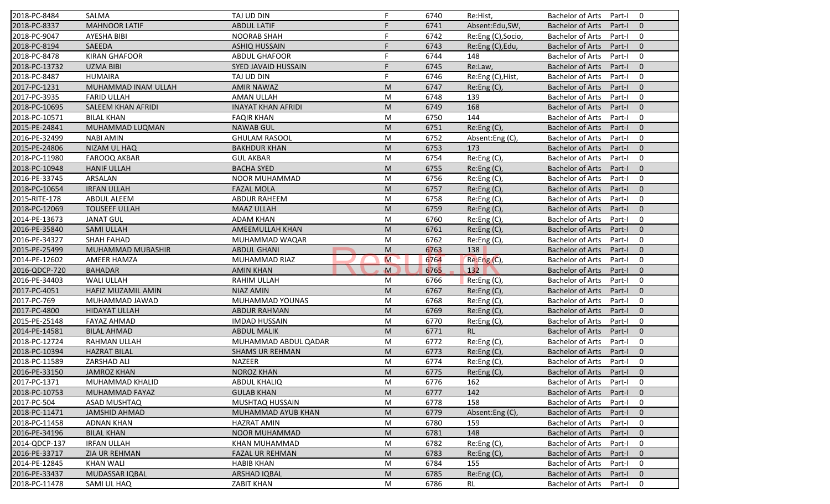| 2018-PC-8484  | <b>SALMA</b>         | TAJ UD DIN                 | F            | 6740 | Re:Hist,           | <b>Bachelor of Arts</b><br>$\mathbf 0$<br>Part-I    |
|---------------|----------------------|----------------------------|--------------|------|--------------------|-----------------------------------------------------|
| 2018-PC-8337  | <b>MAHNOOR LATIF</b> | <b>ABDUL LATIF</b>         | F            | 6741 | Absent:Edu,SW,     | <b>Bachelor of Arts</b><br>Part-I<br>$\mathbf{0}$   |
| 2018-PC-9047  | AYESHA BIBI          | <b>NOORAB SHAH</b>         | F            | 6742 | Re:Eng (C), Socio, | <b>Bachelor of Arts</b><br>Part-I<br>$\mathbf 0$    |
| 2018-PC-8194  | SAEEDA               | <b>ASHIQ HUSSAIN</b>       | F            | 6743 | Re:Eng (C), Edu,   | <b>Bachelor of Arts</b><br>$\mathbf{0}$<br>Part-I   |
| 2018-PC-8478  | <b>KIRAN GHAFOOR</b> | <b>ABDUL GHAFOOR</b>       | F            | 6744 | 148                | <b>Bachelor of Arts</b><br>$\mathbf 0$<br>Part-I    |
| 2018-PC-13732 | <b>UZMA BIBI</b>     | <b>SYED JAVAID HUSSAIN</b> | F            | 6745 | Re:Law,            | <b>Bachelor of Arts</b><br>Part-I<br>$\overline{0}$ |
| 2018-PC-8487  | <b>HUMAIRA</b>       | TAJ UD DIN                 | F            | 6746 | Re:Eng (C), Hist,  | $\mathbf 0$<br><b>Bachelor of Arts</b><br>Part-I    |
| 2017-PC-1231  | MUHAMMAD INAM ULLAH  | <b>AMIR NAWAZ</b>          | M            | 6747 | Re:Eng (C),        | <b>Bachelor of Arts</b><br>$\mathbf{0}$<br>Part-I   |
| 2017-PC-3935  | <b>FARID ULLAH</b>   | AMAN ULLAH                 | M            | 6748 | 139                | <b>Bachelor of Arts</b><br>Part-I<br>$\mathbf 0$    |
| 2018-PC-10695 | SALEEM KHAN AFRIDI   | <b>INAYAT KHAN AFRIDI</b>  | M            | 6749 | 168                | <b>Bachelor of Arts</b><br>Part-I<br>$\mathbf{0}$   |
| 2018-PC-10571 | <b>BILAL KHAN</b>    | <b>FAQIR KHAN</b>          | M            | 6750 | 144                | <b>Bachelor of Arts</b><br>Part-I<br>$\mathbf 0$    |
| 2015-PE-24841 | MUHAMMAD LUQMAN      | <b>NAWAB GUL</b>           | M            | 6751 | Re:Eng (C),        | <b>Bachelor of Arts</b><br>Part-I<br>$\mathbf{0}$   |
| 2016-PE-32499 | <b>NABI AMIN</b>     | <b>GHULAM RASOOL</b>       | M            | 6752 | Absent:Eng(C),     | <b>Bachelor of Arts</b><br>$\mathbf 0$<br>Part-I    |
| 2015-PE-24806 | NIZAM UL HAQ         | <b>BAKHDUR KHAN</b>        | M            | 6753 | 173                | <b>Bachelor of Arts</b><br>$\mathbf{0}$<br>Part-I   |
| 2018-PC-11980 | <b>FAROOQ AKBAR</b>  | <b>GUL AKBAR</b>           | M            | 6754 | Re:Eng(C),         | $\mathbf 0$<br>Bachelor of Arts<br>Part-I           |
| 2018-PC-10948 | <b>HANIF ULLAH</b>   | <b>BACHA SYED</b>          | M            | 6755 | Re:Eng (C),        | $\mathbf{0}$<br><b>Bachelor of Arts</b><br>Part-I   |
| 2016-PE-33745 | ARSALAN              | NOOR MUHAMMAD              | M            | 6756 | Re:Eng (C),        | <b>Bachelor of Arts</b><br>$\mathbf 0$<br>Part-I    |
| 2018-PC-10654 | <b>IRFAN ULLAH</b>   | <b>FAZAL MOLA</b>          | M            | 6757 | Re:Eng (C),        | <b>Bachelor of Arts</b><br>$\mathbf{0}$<br>Part-I   |
| 2015-RITE-178 | <b>ABDUL ALEEM</b>   | <b>ABDUR RAHEEM</b>        | M            | 6758 | Re:Eng(C),         | <b>Bachelor of Arts</b><br>Part-I<br>$\mathbf 0$    |
| 2018-PC-12069 | <b>TOUSEEF ULLAH</b> | <b>MAAZ ULLAH</b>          | M            | 6759 | Re:Eng (C),        | <b>Bachelor of Arts</b><br>Part-I<br>$\mathbf{0}$   |
| 2014-PE-13673 | <b>JANAT GUL</b>     | <b>ADAM KHAN</b>           | M            | 6760 | Re:Eng (C),        | <b>Bachelor of Arts</b><br>$\mathbf 0$<br>Part-I    |
| 2016-PE-35840 | <b>SAMI ULLAH</b>    | AMEEMULLAH KHAN            | M            | 6761 | Re:Eng (C),        | $\mathbf{0}$<br><b>Bachelor of Arts</b><br>Part-I   |
| 2016-PE-34327 | <b>SHAH FAHAD</b>    | MUHAMMAD WAQAR             | M            | 6762 | Re:Eng (C),        | <b>Bachelor of Arts</b><br>Part-I<br>0              |
| 2015-PE-25499 | MUHAMMAD MUBASHIR    | <b>ABDUL GHANI</b>         | M            | 6763 | 138                | $\mathbf{0}$<br><b>Bachelor of Arts</b><br>Part-I   |
| 2014-PE-12602 | AMEER HAMZA          | MUHAMMAD RIAZ              | M            | 6764 | Re: Eng(C)         | <b>Bachelor of Arts</b><br>$\mathbf 0$<br>Part-I    |
| 2016-QDCP-720 | <b>BAHADAR</b>       | <b>AMIN KHAN</b>           | $\mathbf{M}$ | 6765 | 132                | <b>Bachelor of Arts</b><br>$\mathbf{0}$<br>Part-I   |
| 2016-PE-34403 | <b>WALI ULLAH</b>    | RAHIM ULLAH                | M            | 6766 | Re:Eng (C),        | <b>Bachelor of Arts</b><br>Part-I<br>0              |
| 2017-PC-4051  | HAFIZ MUZAMIL AMIN   | <b>NIAZ AMIN</b>           | M            | 6767 | Re: Eng(C)         | <b>Bachelor of Arts</b><br>Part-I<br>$\mathbf{0}$   |
| 2017-PC-769   | MUHAMMAD JAWAD       | MUHAMMAD YOUNAS            | M            | 6768 | Re: Eng(C)         | <b>Bachelor of Arts</b><br>$\mathbf 0$<br>Part-I    |
| 2017-PC-4800  | <b>HIDAYAT ULLAH</b> | <b>ABDUR RAHMAN</b>        | M            | 6769 | Re:Eng (C),        | <b>Bachelor of Arts</b><br>$\mathbf{0}$<br>Part-I   |
| 2015-PE-25148 | <b>FAYAZ AHMAD</b>   | <b>IMDAD HUSSAIN</b>       | M            | 6770 | Re:Eng (C),        | <b>Bachelor of Arts</b><br>Part-I<br>0              |
| 2014-PE-14581 | <b>BILAL AHMAD</b>   | <b>ABDUL MALIK</b>         | M            | 6771 | <b>RL</b>          | <b>Bachelor of Arts</b><br>Part-I<br>$\overline{0}$ |
| 2018-PC-12724 | RAHMAN ULLAH         | MUHAMMAD ABDUL QADAR       | M            | 6772 | Re:Eng (C),        | <b>Bachelor of Arts</b><br>$\mathbf 0$<br>Part-I    |
| 2018-PC-10394 | <b>HAZRAT BILAL</b>  | <b>SHAMS UR REHMAN</b>     | M            | 6773 | Re:Eng (C),        | <b>Bachelor of Arts</b><br>$\mathbf{0}$<br>Part-I   |
| 2018-PC-11589 | ZARSHAD ALI          | <b>NAZEER</b>              | M            | 6774 | Re:Eng (C),        | <b>Bachelor of Arts</b><br>Part-I<br>0              |
| 2016-PE-33150 | <b>JAMROZ KHAN</b>   | NOROZ KHAN                 | M            | 6775 | Re:Eng(C),         | Bachelor of Arts Part-I 0                           |
| 2017-PC-1371  | MUHAMMAD KHALID      | <b>ABDUL KHALIQ</b>        | M            | 6776 | 162                | Bachelor of Arts Part-I<br>$\mathbf 0$              |
| 2018-PC-10753 | MUHAMMAD FAYAZ       | <b>GULAB KHAN</b>          | M            | 6777 | 142                | <b>Bachelor of Arts</b><br>Part-I<br>$\mathbf{0}$   |
| 2017-PC-504   | ASAD MUSHTAQ         | MUSHTAQ HUSSAIN            | M            | 6778 | 158                | Bachelor of Arts<br>Part-I<br>$\mathbf 0$           |
| 2018-PC-11471 | <b>JAMSHID AHMAD</b> | MUHAMMAD AYUB KHAN         | M            | 6779 | Absent:Eng (C),    | <b>Bachelor of Arts</b><br>Part-I<br>$\mathbf{0}$   |
| 2018-PC-11458 | <b>ADNAN KHAN</b>    | <b>HAZRAT AMIN</b>         | M            | 6780 | 159                | <b>Bachelor of Arts</b><br>0<br>Part-I              |
| 2016-PE-34196 | <b>BILAL KHAN</b>    | NOOR MUHAMMAD              | M            | 6781 | 148                | <b>Bachelor of Arts</b><br>Part-I<br>$\mathbf{0}$   |
| 2014-QDCP-137 | <b>IRFAN ULLAH</b>   | KHAN MUHAMMAD              | M            | 6782 | Re:Eng (C),        | <b>Bachelor of Arts</b><br>0<br>Part-I              |
| 2016-PE-33717 | ZIA UR REHMAN        | <b>FAZAL UR REHMAN</b>     | M            | 6783 | Re:Eng (C),        | <b>Bachelor of Arts</b><br>Part-I<br>$\mathbf{0}$   |
| 2014-PE-12845 | <b>KHAN WALI</b>     | <b>HABIB KHAN</b>          | M            | 6784 | 155                | <b>Bachelor of Arts</b><br>Part-I<br>0              |
| 2016-PE-33437 | MUDASSAR IQBAL       | <b>ARSHAD IQBAL</b>        | M            | 6785 | Re:Eng (C),        | <b>Bachelor of Arts</b><br>Part-I<br>$\mathbf{0}$   |
| 2018-PC-11478 | SAMI UL HAQ          | ZABIT KHAN                 | M            | 6786 | RL                 | Bachelor of Arts<br>0<br>Part-I                     |
|               |                      |                            |              |      |                    |                                                     |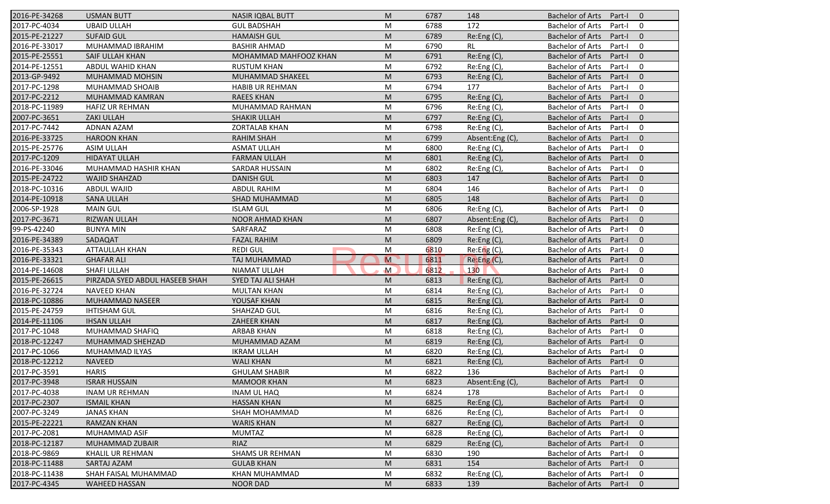| 2016-PE-34268 | <b>USMAN BUTT</b>              | <b>NASIR IQBAL BUTT</b> | M              | 6787 | 148              | <b>Bachelor of Arts</b><br>Part-I<br>$\overline{0}$ |
|---------------|--------------------------------|-------------------------|----------------|------|------------------|-----------------------------------------------------|
| 2017-PC-4034  | <b>UBAID ULLAH</b>             | <b>GUL BADSHAH</b>      | M              | 6788 | 172              | <b>Bachelor of Arts</b><br>Part-I<br>0              |
| 2015-PE-21227 | <b>SUFAID GUL</b>              | <b>HAMAISH GUL</b>      | M              | 6789 | Re:Eng (C),      | <b>Bachelor of Arts</b><br>Part-I<br>$\mathbf{0}$   |
| 2016-PE-33017 | MUHAMMAD IBRAHIM               | <b>BASHIR AHMAD</b>     | M              | 6790 | <b>RL</b>        | <b>Bachelor of Arts</b><br>0<br>Part-I              |
| 2015-PE-25551 | <b>SAIF ULLAH KHAN</b>         | MOHAMMAD MAHFOOZ KHAN   | M              | 6791 | Re:Eng (C),      | $\mathbf{0}$<br><b>Bachelor of Arts</b><br>Part-I   |
| 2014-PE-12551 | ABDUL WAHID KHAN               | <b>RUSTUM KHAN</b>      | M              | 6792 | Re:Eng (C),      | <b>Bachelor of Arts</b><br>Part-I<br>0              |
| 2013-GP-9492  | MUHAMMAD MOHSIN                | MUHAMMAD SHAKEEL        | M              | 6793 | Re: Eng(C)       | $\mathbf{0}$<br><b>Bachelor of Arts</b><br>Part-I   |
| 2017-PC-1298  | MUHAMMAD SHOAIB                | <b>HABIB UR REHMAN</b>  | M              | 6794 | 177              | <b>Bachelor of Arts</b><br>0<br>Part-I              |
| 2017-PC-2212  | MUHAMMAD KAMRAN                | <b>RAEES KHAN</b>       | M              | 6795 | Re:Eng (C),      | <b>Bachelor of Arts</b><br>Part-I<br>$\mathbf{0}$   |
| 2018-PC-11989 | <b>HAFIZ UR REHMAN</b>         | MUHAMMAD RAHMAN         | M              | 6796 | Re:Eng (C),      | <b>Bachelor of Arts</b><br>Part-I<br>0              |
| 2007-PC-3651  | <b>ZAKI ULLAH</b>              | <b>SHAKIR ULLAH</b>     | M              | 6797 | Re:Eng (C),      | <b>Bachelor of Arts</b><br>Part-I<br>$\mathbf{0}$   |
| 2017-PC-7442  | <b>ADNAN AZAM</b>              | <b>ZORTALAB KHAN</b>    | M              | 6798 | Re:Eng (C),      | $\mathbf 0$<br><b>Bachelor of Arts</b><br>Part-I    |
| 2016-PE-33725 | <b>HAROON KHAN</b>             | <b>RAHIM SHAH</b>       | M              | 6799 | Absent:Eng(C),   | <b>Bachelor of Arts</b><br>$\mathbf{0}$<br>Part-I   |
| 2015-PE-25776 | <b>ASIM ULLAH</b>              | <b>ASMAT ULLAH</b>      | M              | 6800 | Re:Eng (C),      | <b>Bachelor of Arts</b><br>0<br>Part-I              |
| 2017-PC-1209  | <b>HIDAYAT ULLAH</b>           | <b>FARMAN ULLAH</b>     | M              | 6801 | Re:Eng (C),      | <b>Bachelor of Arts</b><br>Part-I<br>$\overline{0}$ |
| 2016-PE-33046 | MUHAMMAD HASHIR KHAN           | <b>SARDAR HUSSAIN</b>   | M              | 6802 | Re:Eng(C),       | <b>Bachelor of Arts</b><br>0<br>Part-I              |
| 2015-PE-24722 | <b>WAJID SHAHZAD</b>           | <b>DANISH GUL</b>       | M              | 6803 | 147              | <b>Bachelor of Arts</b><br>$\mathbf{0}$<br>Part-I   |
| 2018-PC-10316 | <b>ABDUL WAJID</b>             | <b>ABDUL RAHIM</b>      | M              | 6804 | 146              | <b>Bachelor of Arts</b><br>Part-I<br>0              |
| 2014-PE-10918 | <b>SANA ULLAH</b>              | SHAD MUHAMMAD           | M              | 6805 | 148              | <b>Bachelor of Arts</b><br>$\mathbf{0}$<br>Part-I   |
| 2006-SP-1928  | <b>MAIN GUL</b>                | <b>ISLAM GUL</b>        | M              | 6806 | Re:Eng (C),      | <b>Bachelor of Arts</b><br>Part-I<br>$\mathbf 0$    |
| 2017-PC-3671  | RIZWAN ULLAH                   | <b>NOOR AHMAD KHAN</b>  | M              | 6807 | Absent:Eng (C),  | <b>Bachelor of Arts</b><br>$\mathbf{0}$<br>Part-I   |
| 99-PS-42240   | <b>BUNYA MIN</b>               | SARFARAZ                | M              | 6808 | Re:Eng (C),      | <b>Bachelor of Arts</b><br>$\mathbf 0$<br>Part-I    |
| 2016-PE-34389 | SADAQAT                        | <b>FAZAL RAHIM</b>      | M              | 6809 | Re:Eng (C),      | <b>Bachelor of Arts</b><br>Part-I<br>$\overline{0}$ |
| 2016-PE-35343 | ATTAULLAH KHAN                 | <b>REDI GUL</b>         | M              | 6810 | Re: Eng(C),      | <b>Bachelor of Arts</b><br>$\mathbf 0$<br>Part-I    |
| 2016-PE-33321 | <b>GHAFAR ALI</b>              | TAJ MUHAMMAD            | $\overline{M}$ | 6811 | Re:Eng(C),       | <b>Bachelor of Arts</b><br>$\mathbf{0}$<br>Part-I   |
| 2014-PE-14608 | <b>SHAFI ULLAH</b>             | <b>NIAMAT ULLAH</b>     | $\mathsf{M}$   | 6812 | 130 <sub>2</sub> | <b>Bachelor of Arts</b><br>Part-I<br>$\mathbf 0$    |
| 2015-PE-26615 | PIRZADA SYED ABDUL HASEEB SHAH | SYED TAJ ALI SHAH       | M              | 6813 | Re:Eng (C),      | <b>Bachelor of Arts</b><br>$\mathbf{0}$<br>Part-I   |
| 2016-PE-32724 | <b>NAVEED KHAN</b>             | <b>MULTAN KHAN</b>      | M              | 6814 | Re:Eng (C),      | <b>Bachelor of Arts</b><br>Part-I<br>$\mathbf 0$    |
| 2018-PC-10886 | MUHAMMAD NASEER                | YOUSAF KHAN             | M              | 6815 | Re: Eng(C)       | <b>Bachelor of Arts</b><br>$\mathbf{0}$<br>Part-I   |
| 2015-PE-24759 | <b>IHTISHAM GUL</b>            | SHAHZAD GUL             | M              | 6816 | Re:Eng (C),      | <b>Bachelor of Arts</b><br>$\mathbf 0$<br>Part-I    |
| 2014-PE-11106 | <b>IHSAN ULLAH</b>             | <b>ZAHEER KHAN</b>      | M              | 6817 | Re:Eng(C)        | <b>Bachelor of Arts</b><br>Part-I<br>$\overline{0}$ |
| 2017-PC-1048  | MUHAMMAD SHAFIQ                | <b>ARBAB KHAN</b>       | M              | 6818 | Re:Eng (C),      | <b>Bachelor of Arts</b><br>$\mathbf 0$<br>Part-I    |
| 2018-PC-12247 | MUHAMMAD SHEHZAD               | MUHAMMAD AZAM           | M              | 6819 | Re: Eng(C)       | <b>Bachelor of Arts</b><br>Part-I<br>$\overline{0}$ |
| 2017-PC-1066  | MUHAMMAD ILYAS                 | <b>IKRAM ULLAH</b>      | M              | 6820 | Re:Eng (C),      | <b>Bachelor of Arts</b><br>Part-I<br>$\mathbf 0$    |
| 2018-PC-12212 | <b>NAVEED</b>                  | <b>WALI KHAN</b>        | M              | 6821 | Re: Eng(C)       | <b>Bachelor of Arts</b><br>Part-I<br>$\mathbf 0$    |
| 2017-PC-3591  | <b>HARIS</b>                   | <b>GHULAM SHABIR</b>    | M              | 6822 | 136              | Bachelor of Arts Part-I<br>$\mathbf 0$              |
| 2017-PC-3948  | <b>ISRAR HUSSAIN</b>           | <b>MAMOOR KHAN</b>      | M              | 6823 | Absent:Eng(C),   | Bachelor of Arts Part-I<br>$\overline{0}$           |
| 2017-PC-4038  | <b>INAM UR REHMAN</b>          | INAM UL HAQ             | M              | 6824 | 178              | <b>Bachelor of Arts</b><br>Part-I<br>0              |
| 2017-PC-2307  | <b>ISMAIL KHAN</b>             | <b>HASSAN KHAN</b>      | M              | 6825 | Re: Eng(C)       | <b>Bachelor of Arts</b><br>Part-I<br>$\mathbf{0}$   |
| 2007-PC-3249  | JANAS KHAN                     | SHAH MOHAMMAD           | M              | 6826 | Re:Eng (C),      | <b>Bachelor of Arts</b><br>Part-I<br>0              |
| 2015-PE-22221 | RAMZAN KHAN                    | <b>WARIS KHAN</b>       | M              | 6827 | Re:Eng (C),      | <b>Bachelor of Arts</b><br>$\mathbf 0$<br>Part-I    |
| 2017-PC-2081  | MUHAMMAD ASIF                  | <b>MUMTAZ</b>           | M              | 6828 | Re:Eng (C),      | <b>Bachelor of Arts</b><br>0<br>Part-I              |
| 2018-PC-12187 | <b>MUHAMMAD ZUBAIR</b>         | RIAZ                    | M              | 6829 | Re:Eng (C),      | <b>Bachelor of Arts</b><br>Part-I<br>$\mathbf 0$    |
| 2018-PC-9869  | KHALIL UR REHMAN               | <b>SHAMS UR REHMAN</b>  | M              | 6830 | 190              | <b>Bachelor of Arts</b><br>Part-I<br>0              |
| 2018-PC-11488 | SARTAJ AZAM                    | <b>GULAB KHAN</b>       | M              | 6831 | 154              | <b>Bachelor of Arts</b><br>$\mathbf 0$<br>Part-I    |
| 2018-PC-11438 | SHAH FAISAL MUHAMMAD           | KHAN MUHAMMAD           | M              | 6832 | Re:Eng (C),      | Bachelor of Arts<br>Part-I<br>0                     |
| 2017-PC-4345  | <b>WAHEED HASSAN</b>           | <b>NOOR DAD</b>         | M              | 6833 | 139              | Bachelor of Arts Part-I<br>$\mathbf{0}$             |
|               |                                |                         |                |      |                  |                                                     |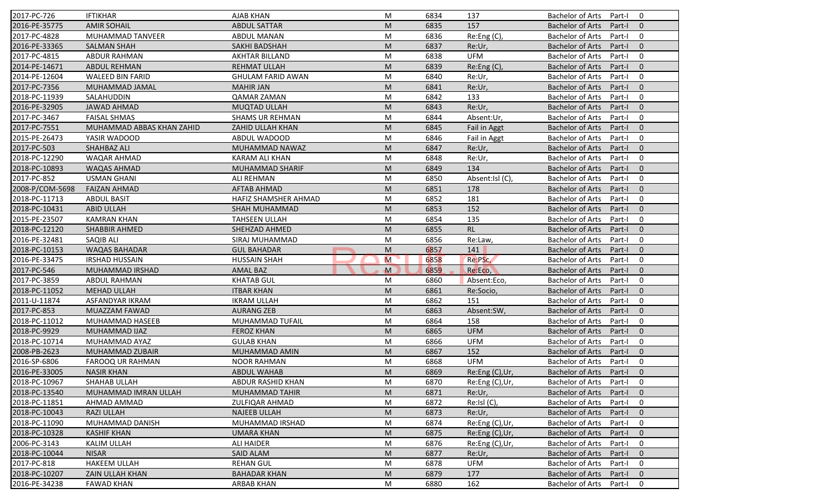| 2017-PC-726     | <b>IFTIKHAR</b>           | <b>AJAB KHAN</b>            | M | 6834 | 137             | <b>Bachelor of Arts</b><br>$\mathbf 0$<br>Part-I    |
|-----------------|---------------------------|-----------------------------|---|------|-----------------|-----------------------------------------------------|
| 2016-PE-35775   | <b>AMIR SOHAIL</b>        | <b>ABDUL SATTAR</b>         | M | 6835 | 157             | <b>Bachelor of Arts</b><br>Part-I<br>$\mathbf{0}$   |
| 2017-PC-4828    | MUHAMMAD TANVEER          | <b>ABDUL MANAN</b>          | M | 6836 | Re:Eng (C),     | <b>Bachelor of Arts</b><br>Part-I<br>$\mathbf 0$    |
| 2016-PE-33365   | <b>SALMAN SHAH</b>        | SAKHI BADSHAH               | M | 6837 | Re:Ur,          | $\mathbf{0}$<br><b>Bachelor of Arts</b><br>Part-I   |
| 2017-PC-4815    | <b>ABDUR RAHMAN</b>       | <b>AKHTAR BILLAND</b>       | M | 6838 | <b>UFM</b>      | $\mathbf 0$<br><b>Bachelor of Arts</b><br>Part-I    |
| 2014-PE-14671   | <b>ABDUL REHMAN</b>       | <b>REHMAT ULLAH</b>         | M | 6839 | Re: Eng(C)      | $\overline{0}$<br><b>Bachelor of Arts</b><br>Part-I |
| 2014-PE-12604   | <b>WALEED BIN FARID</b>   | <b>GHULAM FARID AWAN</b>    | M | 6840 | Re:Ur,          | $\mathbf 0$<br><b>Bachelor of Arts</b><br>Part-I    |
| 2017-PC-7356    | MUHAMMAD JAMAL            | <b>MAHIR JAN</b>            | M | 6841 | Re:Ur,          | $\mathbf{0}$<br><b>Bachelor of Arts</b><br>Part-I   |
| 2018-PC-11939   | SALAHUDDIN                | <b>QAMAR ZAMAN</b>          | M | 6842 | 133             | <b>Bachelor of Arts</b><br>$\mathbf 0$<br>Part-I    |
| 2016-PE-32905   | <b>JAWAD AHMAD</b>        | <b>MUQTAD ULLAH</b>         | M | 6843 | Re:Ur,          | <b>Bachelor of Arts</b><br>Part-I<br>$\Omega$       |
| 2017-PC-3467    | <b>FAISAL SHMAS</b>       | <b>SHAMS UR REHMAN</b>      | M | 6844 | Absent:Ur,      | <b>Bachelor of Arts</b><br>Part-I<br>$\mathbf 0$    |
| 2017-PC-7551    | MUHAMMAD ABBAS KHAN ZAHID | ZAHID ULLAH KHAN            | M | 6845 | Fail in Aggt    | <b>Bachelor of Arts</b><br>$\mathbf{0}$<br>Part-I   |
| 2015-PE-26473   | YASIR WADOOD              | ABDUL WADOOD                | M | 6846 | Fail in Aggt    | <b>Bachelor of Arts</b><br>$\mathbf 0$<br>Part-I    |
| 2017-PC-503     | SHAHBAZ ALI               | MUHAMMAD NAWAZ              | M | 6847 | Re:Ur,          | $\mathbf{0}$<br><b>Bachelor of Arts</b><br>Part-I   |
| 2018-PC-12290   | <b>WAQAR AHMAD</b>        | KARAM ALI KHAN              | M | 6848 | Re:Ur,          | $\mathbf 0$<br><b>Bachelor of Arts</b><br>Part-I    |
| 2018-PC-10893   | <b>WAQAS AHMAD</b>        | MUHAMMAD SHARIF             | M | 6849 | 134             | <b>Bachelor of Arts</b><br>Part-I<br>$\Omega$       |
| 2017-PC-852     | <b>USMAN GHANI</b>        | <b>ALI REHMAN</b>           | M | 6850 | Absent:Isl (C), | <b>Bachelor of Arts</b><br>$\mathbf 0$<br>Part-I    |
| 2008-P/COM-5698 | <b>FAIZAN AHMAD</b>       | <b>AFTAB AHMAD</b>          | M | 6851 | 178             | <b>Bachelor of Arts</b><br>$\mathbf{0}$<br>Part-I   |
| 2018-PC-11713   | <b>ABDUL BASIT</b>        | <b>HAFIZ SHAMSHER AHMAD</b> | M | 6852 | 181             | <b>Bachelor of Arts</b><br>$\mathbf 0$<br>Part-I    |
| 2018-PC-10431   | <b>ABID ULLAH</b>         | SHAH MUHAMMAD               | M | 6853 | 152             | <b>Bachelor of Arts</b><br>$\mathbf{0}$<br>Part-I   |
| 2015-PE-23507   | <b>KAMRAN KHAN</b>        | <b>TAHSEEN ULLAH</b>        | M | 6854 | 135             | <b>Bachelor of Arts</b><br>$\mathbf 0$<br>Part-I    |
| 2018-PC-12120   | <b>SHABBIR AHMED</b>      | SHEHZAD AHMED               | M | 6855 | <b>RL</b>       | <b>Bachelor of Arts</b><br>$\overline{0}$<br>Part-I |
| 2016-PE-32481   | SAQIB ALI                 | SIRAJ MUHAMMAD              | M | 6856 | Re:Law,         | <b>Bachelor of Arts</b><br>0<br>Part-I              |
| 2018-PC-10153   | <b>WAQAS BAHADAR</b>      | <b>GUL BAHADAR</b>          | M | 6857 | 141             | $\mathbf{0}$<br><b>Bachelor of Arts</b><br>Part-I   |
| 2016-PE-33475   | <b>IRSHAD HUSSAIN</b>     | <b>HUSSAIN SHAH</b>         | M | 6858 | Re:PSc,         | <b>Bachelor of Arts</b><br>$\mathbf 0$<br>Part-I    |
| 2017-PC-546     | MUHAMMAD IRSHAD           | <b>AMAL BAZ</b>             | M | 6859 | Re:Eco,         | <b>Bachelor of Arts</b><br>$\mathbf{0}$<br>Part-I   |
| 2017-PC-3859    | <b>ABDUL RAHMAN</b>       | <b>KHATAB GUL</b>           | M | 6860 | Absent:Eco,     | <b>Bachelor of Arts</b><br>Part-I<br>0              |
| 2018-PC-11052   | <b>MEHAD ULLAH</b>        | <b>ITBAR KHAN</b>           | M | 6861 | Re:Socio,       | <b>Bachelor of Arts</b><br>Part-I<br>$\mathbf{0}$   |
| 2011-U-11874    | ASFANDYAR IKRAM           | <b>IKRAM ULLAH</b>          | M | 6862 | 151             | <b>Bachelor of Arts</b><br>0<br>Part-I              |
| 2017-PC-853     | <b>MUAZZAM FAWAD</b>      | <b>AURANG ZEB</b>           | M | 6863 | Absent:SW,      | $\mathbf{0}$<br><b>Bachelor of Arts</b><br>Part-I   |
| 2018-PC-11012   | MUHAMMAD HASEEB           | MUHAMMAD TUFAIL             | M | 6864 | 158             | <b>Bachelor of Arts</b><br>0<br>Part-I              |
| 2018-PC-9929    | MUHAMMAD IJAZ             | <b>FEROZ KHAN</b>           | M | 6865 | <b>UFM</b>      | <b>Bachelor of Arts</b><br>Part-I<br>$\Omega$       |
| 2018-PC-10714   | MUHAMMAD AYAZ             | <b>GULAB KHAN</b>           | M | 6866 | <b>UFM</b>      | <b>Bachelor of Arts</b><br>0<br>Part-I              |
| 2008-PB-2623    | MUHAMMAD ZUBAIR           | <b>MUHAMMAD AMIN</b>        | M | 6867 | 152             | <b>Bachelor of Arts</b><br>$\mathbf{0}$<br>Part-I   |
| 2016-SP-6806    | FAROOQ UR RAHMAN          | <b>NOOR RAHMAN</b>          | M | 6868 | <b>UFM</b>      | <b>Bachelor of Arts</b><br>Part-I<br>0              |
| 2016-PE-33005   | <b>NASIR KHAN</b>         | ABDUL WAHAB                 | M | 6869 | Re:Eng (C), Ur, | Bachelor of Arts Part-I 0                           |
| 2018-PC-10967   | SHAHAB ULLAH              | ABDUR RASHID KHAN           | M | 6870 | Re:Eng (C),Ur,  | Bachelor of Arts Part-I<br>$\mathbf 0$              |
| 2018-PC-13540   | MUHAMMAD IMRAN ULLAH      | MUHAMMAD TAHIR              | M | 6871 | Re:Ur,          | <b>Bachelor of Arts</b><br>Part-I<br>$\mathbf{0}$   |
| 2018-PC-11851   | AHMAD AMMAD               | <b>ZULFIQAR AHMAD</b>       | M | 6872 | Re:Isl (C),     | Bachelor of Arts<br>Part-I<br>$\mathbf 0$           |
| 2018-PC-10043   | <b>RAZI ULLAH</b>         | <b>NAJEEB ULLAH</b>         | M | 6873 | Re:Ur,          | Bachelor of Arts<br>Part-I<br>$\mathbf{0}$          |
| 2018-PC-11090   | MUHAMMAD DANISH           | MUHAMMAD IRSHAD             | M | 6874 | Re:Eng (C),Ur,  | <b>Bachelor of Arts</b><br>0<br>Part-I              |
| 2018-PC-10328   | <b>KASHIF KHAN</b>        | <b>UMARA KHAN</b>           | M | 6875 | Re:Eng (C),Ur,  | <b>Bachelor of Arts</b><br>Part-I<br>$\mathbf{0}$   |
| 2006-PC-3143    | <b>KALIM ULLAH</b>        | <b>ALI HAIDER</b>           | M | 6876 | Re:Eng(C),Ur,   | Bachelor of Arts<br>0<br>Part-I                     |
| 2018-PC-10044   | <b>NISAR</b>              | <b>SAID ALAM</b>            | M | 6877 | Re:Ur,          | <b>Bachelor of Arts</b><br>Part-I<br>$\mathbf{0}$   |
| 2017-PC-818     | <b>HAKEEM ULLAH</b>       | <b>REHAN GUL</b>            | M | 6878 | <b>UFM</b>      | <b>Bachelor of Arts</b><br>Part-I<br>0              |
| 2018-PC-10207   | ZAIN ULLAH KHAN           | <b>BAHADAR KHAN</b>         | M | 6879 | 177             | <b>Bachelor of Arts</b><br>Part-I<br>$\mathbf{0}$   |
| 2016-PE-34238   | <b>FAWAD KHAN</b>         | ARBAB KHAN                  | M | 6880 | 162             | Bachelor of Arts<br>Part-I<br>0                     |
|                 |                           |                             |   |      |                 |                                                     |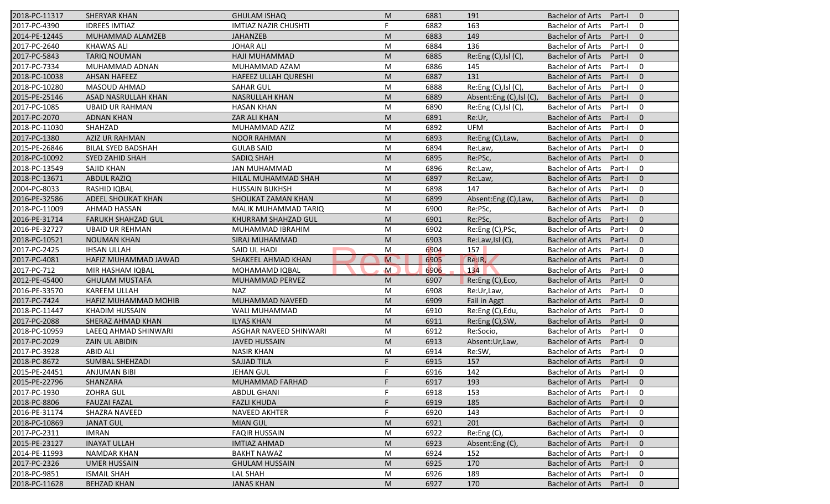| 2018-PC-11317 | <b>SHERYAR KHAN</b>       | <b>GHULAM ISHAQ</b>         | M  | 6881 | 191                     | <b>Bachelor of Arts</b><br>Part-I<br>$\overline{0}$ |  |
|---------------|---------------------------|-----------------------------|----|------|-------------------------|-----------------------------------------------------|--|
| 2017-PC-4390  | <b>IDREES IMTIAZ</b>      | <b>IMTIAZ NAZIR CHUSHTI</b> | F. | 6882 | 163                     | <b>Bachelor of Arts</b><br>Part-I<br>$\mathbf 0$    |  |
| 2014-PE-12445 | MUHAMMAD ALAMZEB          | <b>JAHANZEB</b>             | M  | 6883 | 149                     | <b>Bachelor of Arts</b><br>Part-I<br>$\mathbf{0}$   |  |
| 2017-PC-2640  | <b>KHAWAS ALI</b>         | <b>JOHAR ALI</b>            | M  | 6884 | 136                     | <b>Bachelor of Arts</b><br>Part-I<br>$\mathbf 0$    |  |
| 2017-PC-5843  | <b>TARIQ NOUMAN</b>       | HAJI MUHAMMAD               | M  | 6885 | Re:Eng (C), Isl (C)     | $\mathbf{0}$<br><b>Bachelor of Arts</b><br>Part-I   |  |
| 2017-PC-7334  | MUHAMMAD ADNAN            | MUHAMMAD AZAM               | M  | 6886 | 145                     | <b>Bachelor of Arts</b><br>Part-I<br>0              |  |
| 2018-PC-10038 | <b>AHSAN HAFEEZ</b>       | <b>HAFEEZ ULLAH QURESHI</b> | M  | 6887 | 131                     | Part-I<br>$\overline{0}$<br><b>Bachelor of Arts</b> |  |
| 2018-PC-10280 | <b>MASOUD AHMAD</b>       | <b>SAHAR GUL</b>            | M  | 6888 | Re:Eng (C), Isl (C)     | $\Omega$<br><b>Bachelor of Arts</b><br>Part-I       |  |
| 2015-PE-25146 | ASAD NASRULLAH KHAN       | <b>NASRULLAH KHAN</b>       | M  | 6889 | Absent:Eng (C),Isl (C), | <b>Bachelor of Arts</b><br>$\overline{0}$<br>Part-I |  |
| 2017-PC-1085  | <b>UBAID UR RAHMAN</b>    | <b>HASAN KHAN</b>           | M  | 6890 | Re: Eng(C), IsIC(C)     | <b>Bachelor of Arts</b><br>Part-I<br>$\Omega$       |  |
| 2017-PC-2070  | <b>ADNAN KHAN</b>         | ZAR ALI KHAN                | M  | 6891 | Re:Ur,                  | <b>Bachelor of Arts</b><br>$\mathbf{0}$<br>Part-I   |  |
| 2018-PC-11030 | SHAHZAD                   | MUHAMMAD AZIZ               | M  | 6892 | <b>UFM</b>              | $\mathbf 0$<br><b>Bachelor of Arts</b><br>Part-I    |  |
| 2017-PC-1380  | <b>AZIZ UR RAHMAN</b>     | <b>NOOR RAHMAN</b>          | M  | 6893 | Re:Eng (C), Law,        | $\mathbf{0}$<br><b>Bachelor of Arts</b><br>Part-I   |  |
| 2015-PE-26846 | <b>BILAL SYED BADSHAH</b> | <b>GULAB SAID</b>           | M  | 6894 | Re:Law,                 | $\Omega$<br><b>Bachelor of Arts</b><br>Part-I       |  |
| 2018-PC-10092 | <b>SYED ZAHID SHAH</b>    | SADIQ SHAH                  | M  | 6895 | Re:PSc,                 | $\mathbf{0}$<br><b>Bachelor of Arts</b><br>Part-I   |  |
| 2018-PC-13549 | <b>SAJID KHAN</b>         | <b>JAN MUHAMMAD</b>         | M  | 6896 | Re:Law,                 | Part-I<br>$\Omega$<br><b>Bachelor of Arts</b>       |  |
| 2018-PC-13671 | <b>ABDUL RAZIQ</b>        | HILAL MUHAMMAD SHAH         | M  | 6897 | Re:Law,                 | $\Omega$<br><b>Bachelor of Arts</b><br>Part-I       |  |
| 2004-PC-8033  | RASHID IQBAL              | <b>HUSSAIN BUKHSH</b>       | M  | 6898 | 147                     | $\Omega$<br><b>Bachelor of Arts</b><br>Part-I       |  |
| 2016-PE-32586 | <b>ADEEL SHOUKAT KHAN</b> | SHOUKAT ZAMAN KHAN          | M  | 6899 | Absent:Eng (C),Law,     | <b>Bachelor of Arts</b><br>$\mathbf{0}$<br>Part-I   |  |
| 2018-PC-11009 | AHMAD HASSAN              | MALIK MUHAMMAD TARIQ        | M  | 6900 | Re:PSc,                 | <b>Bachelor of Arts</b><br>$\mathbf 0$<br>Part-I    |  |
| 2016-PE-31714 | <b>FARUKH SHAHZAD GUL</b> | KHURRAM SHAHZAD GUL         | M  | 6901 | Re:PSc,                 | $\mathbf{0}$<br><b>Bachelor of Arts</b><br>Part-I   |  |
| 2016-PE-32727 | <b>UBAID UR REHMAN</b>    | MUHAMMAD IBRAHIM            | M  | 6902 | Re:Eng (C), PSc,        | $\mathbf 0$<br>Part-I<br><b>Bachelor of Arts</b>    |  |
| 2018-PC-10521 | <b>NOUMAN KHAN</b>        | SIRAJ MUHAMMAD              | M  | 6903 | Re:Law,Isl (C),         | Part-I<br>$\overline{0}$<br>Bachelor of Arts        |  |
| 2017-PC-2425  | <b>IHSAN ULLAH</b>        | SAID UL HADI                | M  | 6904 | 157                     | Part-I<br>$\overline{0}$<br><b>Bachelor of Arts</b> |  |
| 2017-PC-4081  | HAFIZ MUHAMMAD JAWAD      | SHAKEEL AHMAD KHAN          | M  | 6905 | Re:IR,                  | $\overline{0}$<br><b>Bachelor of Arts</b><br>Part-I |  |
| 2017-PC-712   | MIR HASHAM IQBAL          | MOHAMAMD IQBAL              | M  | 6906 | 134                     | $\mathbf 0$<br><b>Bachelor of Arts</b><br>Part-I    |  |
| 2012-PE-45400 | <b>GHULAM MUSTAFA</b>     | MUHAMMAD PERVEZ             | M  | 6907 | Re:Eng (C), Eco,        | <b>Bachelor of Arts</b><br>$\overline{0}$<br>Part-I |  |
| 2016-PE-33570 | <b>KAREEM ULLAH</b>       | <b>NAZ</b>                  | M  | 6908 | Re:Ur,Law,              | <b>Bachelor of Arts</b><br>$\mathbf 0$<br>Part-I    |  |
| 2017-PC-7424  | HAFIZ MUHAMMAD MOHIB      | MUHAMMAD NAVEED             | M  | 6909 | Fail in Aggt            | $\overline{0}$<br><b>Bachelor of Arts</b><br>Part-I |  |
| 2018-PC-11447 | <b>KHADIM HUSSAIN</b>     | WALI MUHAMMAD               | M  | 6910 | Re:Eng (C), Edu,        | $\Omega$<br><b>Bachelor of Arts</b><br>Part-I       |  |
| 2017-PC-2088  | SHERAZ AHMAD KHAN         | <b>ILYAS KHAN</b>           | M  | 6911 | Re:Eng (C), SW,         | Bachelor of Arts<br>Part-I<br>$\overline{0}$        |  |
| 2018-PC-10959 | LAEEQ AHMAD SHINWARI      | ASGHAR NAVEED SHINWARI      | M  | 6912 | Re:Socio,               | <b>Bachelor of Arts</b><br>Part-I<br>$\mathbf 0$    |  |
| 2017-PC-2029  | ZAIN UL ABIDIN            | <b>JAVED HUSSAIN</b>        | M  | 6913 | Absent:Ur,Law,          | <b>Bachelor of Arts</b><br>$\overline{0}$<br>Part-I |  |
| 2017-PC-3928  | <b>ABID ALI</b>           | <b>NASIR KHAN</b>           | M  | 6914 | Re:SW,                  | <b>Bachelor of Arts</b><br>Part-I<br>$\mathbf 0$    |  |
| 2018-PC-8672  | <b>SUMBAL SHEHZADI</b>    | <b>SAJJAD TILA</b>          | F. | 6915 | 157                     | <b>Bachelor of Arts</b><br>$\mathbf 0$<br>Part-I    |  |
| 2015-PE-24451 | ANJUMAN BIBI              | JEHAN GUL                   | E  | 6916 | 142                     | Bachelor of Arts Part-I<br>$\overline{0}$           |  |
| 2015-PE-22796 | SHANZARA                  | MUHAMMAD FARHAD             | F. | 6917 | 193                     | Bachelor of Arts Part-I<br>$\overline{0}$           |  |
| 2017-PC-1930  | <b>ZOHRA GUL</b>          | <b>ABDUL GHANI</b>          | F  | 6918 | 153                     | <b>Bachelor of Arts</b><br>Part-I<br>0              |  |
| 2018-PC-8806  | <b>FAUZAI FAZAL</b>       | <b>FAZLI KHUDA</b>          |    | 6919 | 185                     | Bachelor of Arts<br>Part-I<br>$\mathbf{0}$          |  |
| 2016-PE-31174 | SHAZRA NAVEED             | NAVEED AKHTER               |    | 6920 | 143                     | Bachelor of Arts<br>0<br>Part-I                     |  |
| 2018-PC-10869 | <b>JANAT GUL</b>          | <b>MIAN GUL</b>             | M  | 6921 | 201                     | <b>Bachelor of Arts</b><br>$\mathbf 0$<br>Part-I    |  |
| 2017-PC-2311  | <b>IMRAN</b>              | <b>FAQIR HUSSAIN</b>        | M  | 6922 | Re:Eng (C),             | Bachelor of Arts<br>0<br>Part-I                     |  |
| 2015-PE-23127 | <b>INAYAT ULLAH</b>       | <b>IMTIAZ AHMAD</b>         | M  | 6923 | Absent:Eng (C)          | Bachelor of Arts<br>$\mathbf 0$<br>Part-I           |  |
| 2014-PE-11993 | <b>NAMDAR KHAN</b>        | <b>BAKHT NAWAZ</b>          | M  | 6924 | 152                     | <b>Bachelor of Arts</b><br>0<br>Part-I              |  |
| 2017-PC-2326  | <b>UMER HUSSAIN</b>       | <b>GHULAM HUSSAIN</b>       | M  | 6925 | 170                     | <b>Bachelor of Arts</b><br>$\mathbf 0$<br>Part-I    |  |
| 2018-PC-9851  | <b>ISMAIL SHAH</b>        | LAL SHAH                    | M  | 6926 | 189                     | Bachelor of Arts<br>0<br>Part-I                     |  |
| 2018-PC-11628 | <b>BEHZAD KHAN</b>        | <b>JANAS KHAN</b>           | M  | 6927 | 170                     | Bachelor of Arts<br>$\overline{0}$<br>Part-I        |  |
|               |                           |                             |    |      |                         |                                                     |  |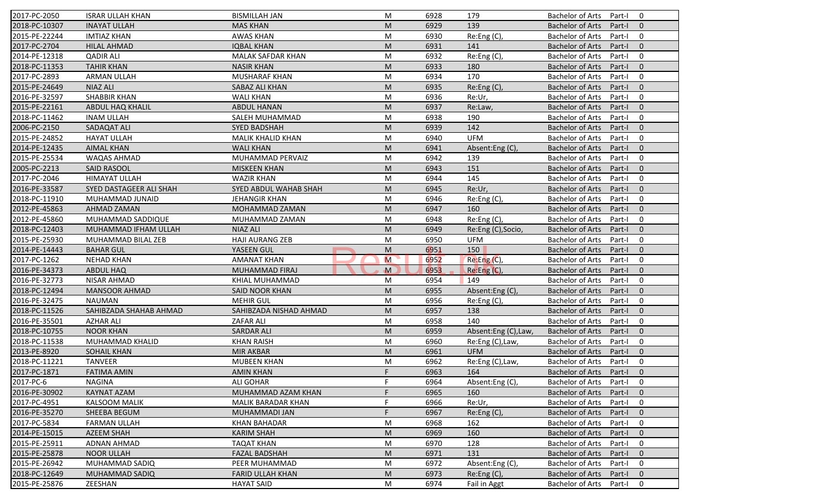| 2017-PC-2050  | <b>ISRAR ULLAH KHAN</b> | <b>BISMILLAH JAN</b>     | M      | 6928         | 179                 | <b>Bachelor of Arts</b><br>Part-I<br>$\mathbf 0$                            |
|---------------|-------------------------|--------------------------|--------|--------------|---------------------|-----------------------------------------------------------------------------|
| 2018-PC-10307 | <b>INAYAT ULLAH</b>     | <b>MAS KHAN</b>          | M      | 6929         | 139                 | <b>Bachelor of Arts</b><br>Part-I<br>$\mathbf{0}$                           |
| 2015-PE-22244 | <b>IMTIAZ KHAN</b>      | <b>AWAS KHAN</b>         | M      | 6930         | Re:Eng (C),         | <b>Bachelor of Arts</b><br>Part-I<br>$\mathbf 0$                            |
| 2017-PC-2704  | <b>HILAL AHMAD</b>      | <b>IQBAL KHAN</b>        | M      | 6931         | 141                 | <b>Bachelor of Arts</b><br>$\mathbf{0}$<br>Part-I                           |
| 2014-PE-12318 | <b>QADIR ALI</b>        | <b>MALAK SAFDAR KHAN</b> | M      | 6932         | Re:Eng (C),         | <b>Bachelor of Arts</b><br>$\mathbf 0$<br>Part-I                            |
| 2018-PC-11353 | <b>TAHIR KHAN</b>       | <b>NASIR KHAN</b>        | M      | 6933         | 180                 | <b>Bachelor of Arts</b><br>Part-I<br>$\overline{0}$                         |
| 2017-PC-2893  | ARMAN ULLAH             | <b>MUSHARAF KHAN</b>     | M      | 6934         | 170                 | <b>Bachelor of Arts</b><br>$\mathbf 0$<br>Part-I                            |
| 2015-PE-24649 | <b>NIAZ ALI</b>         | SABAZ ALI KHAN           | M      | 6935         | Re:Eng (C),         | <b>Bachelor of Arts</b><br>$\mathbf{0}$<br>Part-I                           |
| 2016-PE-32597 | <b>SHABBIR KHAN</b>     | <b>WALI KHAN</b>         | M      | 6936         | Re:Ur,              | $\mathbf 0$<br><b>Bachelor of Arts</b><br>Part-I                            |
| 2015-PE-22161 | <b>ABDUL HAQ KHALIL</b> | <b>ABDUL HANAN</b>       | M      | 6937         | Re:Law,             | <b>Bachelor of Arts</b><br>Part-I<br>$\mathbf{0}$                           |
| 2018-PC-11462 | <b>INAM ULLAH</b>       | SALEH MUHAMMAD           | M      | 6938         | 190                 | <b>Bachelor of Arts</b><br>Part-I<br>$\mathbf 0$                            |
| 2006-PC-2150  | SADAQAT ALI             | <b>SYED BADSHAH</b>      | M      | 6939         | 142                 | <b>Bachelor of Arts</b><br>Part-I<br>$\mathbf{0}$                           |
| 2015-PE-24852 | <b>HAYAT ULLAH</b>      | MALIK KHALID KHAN        | M      | 6940         | <b>UFM</b>          | <b>Bachelor of Arts</b><br>$\mathbf 0$<br>Part-I                            |
| 2014-PE-12435 | <b>AIMAL KHAN</b>       | <b>WALI KHAN</b>         | M      | 6941         | Absent:Eng (C),     | <b>Bachelor of Arts</b><br>$\mathbf{0}$<br>Part-I                           |
| 2015-PE-25534 | <b>WAQAS AHMAD</b>      | MUHAMMAD PERVAIZ         | M      | 6942         | 139                 | $\mathbf 0$<br><b>Bachelor of Arts</b><br>Part-I                            |
| 2005-PC-2213  | <b>SAID RASOOL</b>      | <b>MISKEEN KHAN</b>      | M      | 6943         | 151                 | $\Omega$<br><b>Bachelor of Arts</b><br>Part-I                               |
| 2017-PC-2046  | <b>HIMAYAT ULLAH</b>    | <b>WAZIR KHAN</b>        | M      | 6944         | 145                 | <b>Bachelor of Arts</b><br>$\mathbf 0$<br>Part-I                            |
| 2016-PE-33587 | SYED DASTAGEER ALI SHAH | SYED ABDUL WAHAB SHAH    | M      | 6945         | Re:Ur,              | <b>Bachelor of Arts</b><br>$\mathbf{0}$<br>Part-I                           |
| 2018-PC-11910 | MUHAMMAD JUNAID         | <b>JEHANGIR KHAN</b>     | M      | 6946         | Re:Eng (C),         | <b>Bachelor of Arts</b><br>Part-I<br>$\mathbf 0$                            |
| 2012-PE-45863 | AHMAD ZAMAN             | MOHAMMAD ZAMAN           | M      | 6947         | 160                 | <b>Bachelor of Arts</b><br>Part-I<br>$\mathbf{0}$                           |
| 2012-PE-45860 | MUHAMMAD SADDIQUE       | MUHAMMAD ZAMAN           | M      | 6948         | Re:Eng (C),         | <b>Bachelor of Arts</b><br>$\mathbf 0$<br>Part-I                            |
| 2018-PC-12403 | MUHAMMAD IFHAM ULLAH    | <b>NIAZ ALI</b>          | M      | 6949         | Re:Eng (C), Socio,  | $\mathbf{0}$<br><b>Bachelor of Arts</b><br>Part-I                           |
| 2015-PE-25930 | MUHAMMAD BILAL ZEB      | <b>HAJI AURANG ZEB</b>   | M      |              | <b>UFM</b>          | <b>Bachelor of Arts</b><br>Part-I                                           |
|               |                         |                          |        | 6950         |                     | 0<br>$\mathbf{0}$                                                           |
| 2014-PE-14443 | <b>BAHAR GUL</b>        | YASEEN GUL               | M<br>M | 6951         | 150                 | <b>Bachelor of Arts</b><br>Part-I<br>$\mathbf 0$                            |
| 2017-PC-1262  | <b>NEHAD KHAN</b>       | <b>AMANAT KHAN</b>       | M      | 6952<br>6953 | Re:Eng(C),          | <b>Bachelor of Arts</b><br>Part-I<br>$\mathbf{0}$                           |
| 2016-PE-34373 | <b>ABDUL HAQ</b>        | <b>MUHAMMAD FIRAJ</b>    |        |              | Re:Eng (C),<br>149  | <b>Bachelor of Arts</b><br>Part-I<br><b>Bachelor of Arts</b><br>$\mathbf 0$ |
| 2016-PE-32773 | NISAR AHMAD             | KHIAL MUHAMMAD           | M      | 6954         |                     | Part-I                                                                      |
| 2018-PC-12494 | <b>MANSOOR AHMAD</b>    | SAID NOOR KHAN           | M      | 6955         | Absent:Eng(C),      | <b>Bachelor of Arts</b><br>Part-I<br>$\mathbf{0}$                           |
| 2016-PE-32475 | <b>NAUMAN</b>           | <b>MEHIR GUL</b>         | M      | 6956         | Re:Eng (C),         | <b>Bachelor of Arts</b><br>$\mathbf 0$<br>Part-I                            |
| 2018-PC-11526 | SAHIBZADA SHAHAB AHMAD  | SAHIBZADA NISHAD AHMAD   | M      | 6957         | 138                 | <b>Bachelor of Arts</b><br>$\mathbf{0}$<br>Part-I                           |
| 2016-PE-35501 | <b>AZHAR ALI</b>        | <b>ZAFAR ALI</b>         | M      | 6958         | 140                 | $\mathbf 0$<br><b>Bachelor of Arts</b><br>Part-I                            |
| 2018-PC-10755 | <b>NOOR KHAN</b>        | <b>SARDAR ALI</b>        | M      | 6959         | Absent:Eng (C),Law, | $\Omega$<br><b>Bachelor of Arts</b><br>Part-I                               |
| 2018-PC-11538 | MUHAMMAD KHALID         | <b>KHAN RAISH</b>        | M      | 6960         | Re:Eng (C), Law,    | <b>Bachelor of Arts</b><br>$\mathbf 0$<br>Part-I                            |
| 2013-PE-8920  | <b>SOHAIL KHAN</b>      | <b>MIR AKBAR</b>         | M      | 6961         | <b>UFM</b>          | <b>Bachelor of Arts</b><br>Part-I<br>$\mathbf{0}$                           |
| 2018-PC-11221 | <b>TANVEER</b>          | <b>MUBEEN KHAN</b>       | M      | 6962         | Re:Eng (C), Law,    | <b>Bachelor of Arts</b><br>Part-I<br>0                                      |
| 2017-PC-1871  | <b>FATIMA AMIN</b>      | <b>AMIN KHAN</b>         | F.     | 6963         | 164                 | Bachelor of Arts Part-I 0                                                   |
| 2017-PC-6     | NAGINA                  | ALI GOHAR                | F.     | 6964         | Absent:Eng (C),     | Bachelor of Arts Part-I<br>$\mathbf 0$                                      |
| 2016-PE-30902 | <b>KAYNAT AZAM</b>      | MUHAMMAD AZAM KHAN       |        | 6965         | 160                 | <b>Bachelor of Arts</b><br>Part-I<br>$\mathbf{0}$                           |
| 2017-PC-4951  | <b>KALSOOM MALIK</b>    | MALIK BARADAR KHAN       |        | 6966         | Re:Ur,              | <b>Bachelor of Arts</b><br>Part-I<br>$\mathbf 0$                            |
| 2016-PE-35270 | SHEEBA BEGUM            | MUHAMMADI JAN            | F      | 6967         | Re: Eng(C)          | <b>Bachelor of Arts</b><br>Part-I<br>$\mathbf{0}$                           |
| 2017-PC-5834  | <b>FARMAN ULLAH</b>     | <b>KHAN BAHADAR</b>      | M      | 6968         | 162                 | <b>Bachelor of Arts</b><br>0<br>Part-I                                      |
| 2014-PE-15015 | AZEEM SHAH              | <b>KARIM SHAH</b>        | M      | 6969         | 160                 | <b>Bachelor of Arts</b><br>Part-I<br>$\mathbf{0}$                           |
| 2015-PE-25911 | <b>ADNAN AHMAD</b>      | <b>TAQAT KHAN</b>        | M      | 6970         | 128                 | <b>Bachelor of Arts</b><br>0<br>Part-I                                      |
| 2015-PE-25878 | <b>NOOR ULLAH</b>       | <b>FAZAL BADSHAH</b>     | M      | 6971         | 131                 | <b>Bachelor of Arts</b><br>Part-I<br>$\mathbf 0$                            |
| 2015-PE-26942 | MUHAMMAD SADIQ          | PEER MUHAMMAD            | M      | 6972         | Absent:Eng (C),     | <b>Bachelor of Arts</b><br>Part-I<br>0                                      |
| 2018-PC-12649 | MUHAMMAD SADIQ          | <b>FARID ULLAH KHAN</b>  | M      | 6973         | Re:Eng (C),         | <b>Bachelor of Arts</b><br>$\mathbf 0$<br>Part-I                            |
| 2015-PE-25876 | ZEESHAN                 | <b>HAYAT SAID</b>        | M      | 6974         | Fail in Aggt        | Bachelor of Arts<br>0<br>Part-I                                             |
|               |                         |                          |        |              |                     |                                                                             |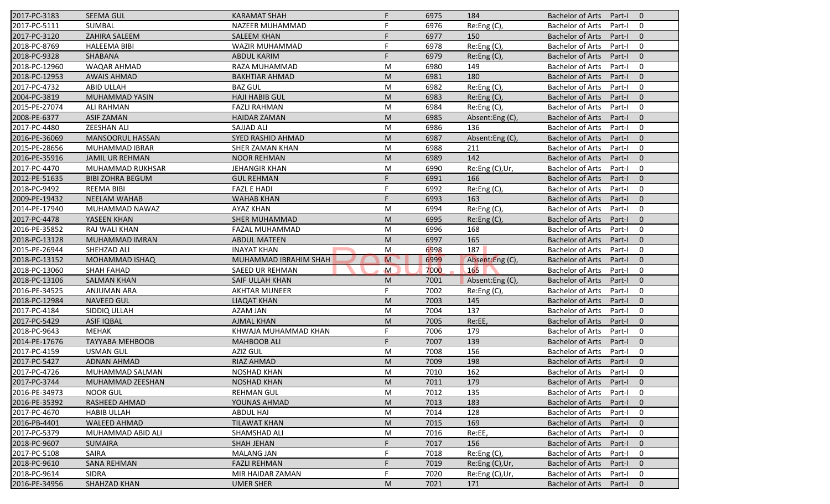| 2017-PC-3183  | <b>SEEMA GUL</b>        | <b>KARAMAT SHAH</b>    | F.                      | 6975 | 184             | <b>Bachelor of Arts</b><br>Part-I<br>$\overline{0}$ |
|---------------|-------------------------|------------------------|-------------------------|------|-----------------|-----------------------------------------------------|
| 2017-PC-5111  | <b>SUMBAL</b>           | NAZEER MUHAMMAD        | F                       | 6976 | Re:Eng (C),     | <b>Bachelor of Arts</b><br>Part-I<br>0              |
| 2017-PC-3120  | ZAHIRA SALEEM           | <b>SALEEM KHAN</b>     | F                       | 6977 | 150             | <b>Bachelor of Arts</b><br>Part-I<br>$\mathbf{0}$   |
| 2018-PC-8769  | <b>HALEEMA BIBI</b>     | WAZIR MUHAMMAD         | F                       | 6978 | Re:Eng (C),     | <b>Bachelor of Arts</b><br>0<br>Part-I              |
| 2018-PC-9328  | SHABANA                 | <b>ABDUL KARIM</b>     | F                       | 6979 | Re: Eng(C)      | $\mathbf{0}$<br><b>Bachelor of Arts</b><br>Part-I   |
| 2018-PC-12960 | <b>WAQAR AHMAD</b>      | RAZA MUHAMMAD          | M                       | 6980 | 149             | <b>Bachelor of Arts</b><br>Part-I<br>0              |
| 2018-PC-12953 | <b>AWAIS AHMAD</b>      | <b>BAKHTIAR AHMAD</b>  | M                       | 6981 | 180             | $\mathbf{0}$<br><b>Bachelor of Arts</b><br>Part-I   |
| 2017-PC-4732  | <b>ABID ULLAH</b>       | <b>BAZ GUL</b>         | M                       | 6982 | Re:Eng (C),     | <b>Bachelor of Arts</b><br>0<br>Part-I              |
| 2004-PC-3819  | MUHAMMAD YASIN          | <b>HAJI HABIB GUL</b>  | M                       | 6983 | Re:Eng (C),     | <b>Bachelor of Arts</b><br>Part-I<br>$\mathbf{0}$   |
| 2015-PE-27074 | <b>ALI RAHMAN</b>       | <b>FAZLI RAHMAN</b>    | M                       | 6984 | Re:Eng (C),     | <b>Bachelor of Arts</b><br>Part-I<br>0              |
| 2008-PE-6377  | <b>ASIF ZAMAN</b>       | <b>HAIDAR ZAMAN</b>    | M                       | 6985 | Absent:Eng(C),  | <b>Bachelor of Arts</b><br>Part-I<br>$\mathbf{0}$   |
| 2017-PC-4480  | <b>ZEESHAN ALI</b>      | <b>SAJJAD ALI</b>      | M                       | 6986 | 136             | $\mathbf 0$<br><b>Bachelor of Arts</b><br>Part-I    |
| 2016-PE-36069 | MANSOORUL HASSAN        | SYED RASHID AHMAD      | M                       | 6987 | Absent:Eng(C),  | <b>Bachelor of Arts</b><br>$\mathbf{0}$<br>Part-I   |
| 2015-PE-28656 | MUHAMMAD IBRAR          | SHER ZAMAN KHAN        | M                       | 6988 | 211             | <b>Bachelor of Arts</b><br>0<br>Part-I              |
| 2016-PE-35916 | <b>JAMIL UR REHMAN</b>  | <b>NOOR REHMAN</b>     | M                       | 6989 | 142             | <b>Bachelor of Arts</b><br>Part-I<br>$\overline{0}$ |
| 2017-PC-4470  | MUHAMMAD RUKHSAR        | <b>JEHANGIR KHAN</b>   | M                       | 6990 | Re:Eng (C),Ur,  | <b>Bachelor of Arts</b><br>0<br>Part-I              |
| 2012-PE-51635 | <b>BIBI ZOHRA BEGUM</b> | <b>GUL REHMAN</b>      | F                       | 6991 | 166             | <b>Bachelor of Arts</b><br>$\mathbf{0}$<br>Part-I   |
| 2018-PC-9492  | <b>REEMA BIBI</b>       | <b>FAZL E HADI</b>     | F                       | 6992 | Re:Eng (C),     | <b>Bachelor of Arts</b><br>Part-I<br>0              |
| 2009-PE-19432 | <b>NEELAM WAHAB</b>     | <b>WAHAB KHAN</b>      | F                       | 6993 | 163             | <b>Bachelor of Arts</b><br>$\mathbf{0}$<br>Part-I   |
| 2014-PE-17940 | MUHAMMAD NAWAZ          | <b>AYAZ KHAN</b>       | M                       | 6994 | Re:Eng (C),     | <b>Bachelor of Arts</b><br>$\mathbf 0$<br>Part-I    |
| 2017-PC-4478  | YASEEN KHAN             | <b>SHER MUHAMMAD</b>   | M                       | 6995 | Re:Eng (C),     | <b>Bachelor of Arts</b><br>$\mathbf{0}$<br>Part-I   |
| 2016-PE-35852 | RAJ WALI KHAN           | FAZAL MUHAMMAD         | M                       | 6996 | 168             | <b>Bachelor of Arts</b><br>0<br>Part-I              |
| 2018-PC-13128 | <b>MUHAMMAD IMRAN</b>   | <b>ABDUL MATEEN</b>    | M                       | 6997 | 165             | <b>Bachelor of Arts</b><br>Part-I<br>$\overline{0}$ |
| 2015-PE-26944 | SHEHZAD ALI             | <b>INAYAT KHAN</b>     | M                       | 6998 | 187             | <b>Bachelor of Arts</b><br>0<br>Part-I              |
| 2018-PC-13152 | <b>MOHAMMAD ISHAQ</b>   | MUHAMMAD IBRAHIM SHAH  | $\overline{\mathsf{M}}$ | 6999 | Absent:Eng (C), | $\mathbf{0}$<br><b>Bachelor of Arts</b><br>Part-I   |
| 2018-PC-13060 | <b>SHAH FAHAD</b>       | <b>SAEED UR REHMAN</b> | $\mathsf{M}$            | 7000 | 165             | <b>Bachelor of Arts</b><br>Part-I<br>0              |
| 2018-PC-13106 | <b>SALMAN KHAN</b>      | SAIF ULLAH KHAN        | M                       | 7001 | Absent:Eng (C), | <b>Bachelor of Arts</b><br>$\mathbf{0}$<br>Part-I   |
| 2016-PE-34525 | <b>ANJUMAN ARA</b>      | <b>AKHTAR MUNEER</b>   | F                       | 7002 | Re:Eng (C),     | <b>Bachelor of Arts</b><br>$\mathbf 0$<br>Part-I    |
| 2018-PC-12984 | <b>NAVEED GUL</b>       | <b>LIAQAT KHAN</b>     | M                       | 7003 | 145             | <b>Bachelor of Arts</b><br>$\mathbf{0}$<br>Part-I   |
| 2017-PC-4184  | SIDDIQ ULLAH            | AZAM JAN               | M                       | 7004 | 137             | <b>Bachelor of Arts</b><br>0<br>Part-I              |
| 2017-PC-5429  | <b>ASIF IQBAL</b>       | <b>AJMAL KHAN</b>      | M                       | 7005 | Re:EE,          | <b>Bachelor of Arts</b><br>$\overline{0}$<br>Part-I |
| 2018-PC-9643  | <b>MEHAK</b>            | KHWAJA MUHAMMAD KHAN   | F                       | 7006 | 179             | <b>Bachelor of Arts</b><br>0<br>Part-I              |
| 2014-PE-17676 | <b>TAYYABA MEHBOOB</b>  | <b>MAHBOOB ALI</b>     | F.                      | 7007 | 139             | <b>Bachelor of Arts</b><br>$\mathbf{0}$<br>Part-I   |
| 2017-PC-4159  | <b>USMAN GUL</b>        | <b>AZIZ GUL</b>        | M                       | 7008 | 156             | <b>Bachelor of Arts</b><br>Part-I<br>$\mathbf 0$    |
| 2017-PC-5427  | <b>ADNAN AHMAD</b>      | RIAZ AHMAD             | M                       | 7009 | 198             | <b>Bachelor of Arts</b><br>$\mathbf 0$<br>Part-I    |
| 2017-PC-4726  | MUHAMMAD SALMAN         | <b>NOSHAD KHAN</b>     | M                       | 7010 | 162             | Bachelor of Arts Part-I<br>$\mathbf 0$              |
| 2017-PC-3744  | MUHAMMAD ZEESHAN        | <b>NOSHAD KHAN</b>     | M                       | 7011 | 179             | Bachelor of Arts Part-I<br>$\overline{0}$           |
| 2016-PE-34973 | <b>NOOR GUL</b>         | <b>REHMAN GUL</b>      | M                       | 7012 | 135             | <b>Bachelor of Arts</b><br>Part-I<br>0              |
| 2016-PE-35392 | RASHEED AHMAD           | YOUNAS AHMAD           | M                       | 7013 | 183             | <b>Bachelor of Arts</b><br>Part-I<br>$\mathbf{0}$   |
| 2017-PC-4670  | <b>HABIB ULLAH</b>      | <b>ABDUL HAI</b>       | M                       | 7014 | 128             | <b>Bachelor of Arts</b><br>0<br>Part-I              |
| 2016-PB-4401  | <b>WALEED AHMAD</b>     | <b>TILAWAT KHAN</b>    | M                       | 7015 | 169             | <b>Bachelor of Arts</b><br>$\mathbf 0$<br>Part-I    |
| 2017-PC-5379  | MUHAMMAD ABID ALI       | SHAMSHAD ALI           | M                       | 7016 |                 | 0                                                   |
|               |                         |                        |                         |      | Re:EE,          | <b>Bachelor of Arts</b><br>Part-I                   |
| 2018-PC-9607  | <b>SUMAIRA</b>          | <b>SHAH JEHAN</b>      |                         | 7017 | 156             | <b>Bachelor of Arts</b><br>$\mathbf 0$<br>Part-I    |
| 2017-PC-5108  | SAIRA                   | <b>MALANG JAN</b>      |                         | 7018 | Re: Eng(C),     | <b>Bachelor of Arts</b><br>0<br>Part-I              |
| 2018-PC-9610  | <b>SANA REHMAN</b>      | <b>FAZLI REHMAN</b>    |                         | 7019 | Re:Eng (C),Ur,  | <b>Bachelor of Arts</b><br>Part-I<br>$\mathbf 0$    |
| 2018-PC-9614  | <b>SIDRA</b>            | MIR HAIDAR ZAMAN       | F                       | 7020 | Re:Eng (C),Ur,  | <b>Bachelor of Arts</b><br>0<br>Part-I              |
| 2016-PE-34956 | <b>SHAHZAD KHAN</b>     | <b>UMER SHER</b>       | M                       | 7021 | 171             | <b>Bachelor of Arts</b><br>$\mathbf 0$<br>Part-I    |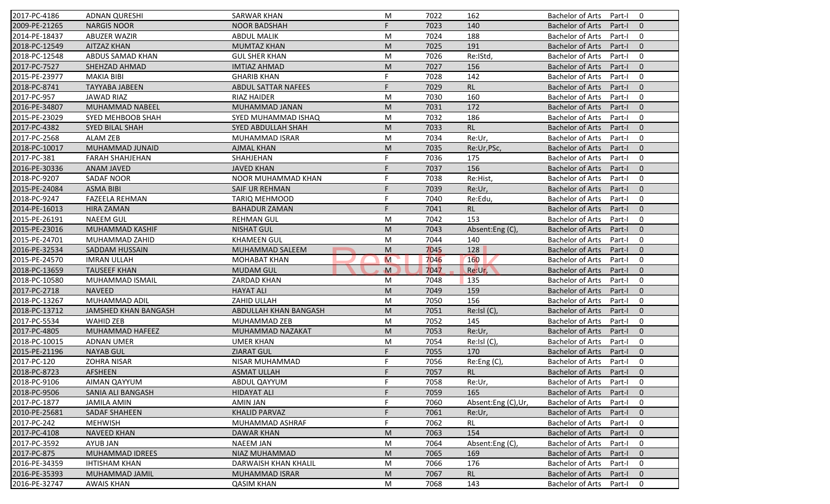| 2017-PC-4186  | <b>ADNAN QURESHI</b>        | <b>SARWAR KHAN</b>         | M            | 7022 | 162                | <b>Bachelor of Arts</b><br>$\Omega$<br>Part-I       |
|---------------|-----------------------------|----------------------------|--------------|------|--------------------|-----------------------------------------------------|
| 2009-PE-21265 | <b>NARGIS NOOR</b>          | <b>NOOR BADSHAH</b>        | F.           | 7023 | 140                | <b>Bachelor of Arts</b><br>Part-I<br>$\mathbf{0}$   |
| 2014-PE-18437 | <b>ABUZER WAZIR</b>         | <b>ABDUL MALIK</b>         | M            | 7024 | 188                | <b>Bachelor of Arts</b><br>$\mathbf 0$<br>Part-I    |
| 2018-PC-12549 | <b>AITZAZ KHAN</b>          | <b>MUMTAZ KHAN</b>         | M            | 7025 | 191                | $\mathbf{0}$<br><b>Bachelor of Arts</b><br>Part-I   |
| 2018-PC-12548 | ABDUS SAMAD KHAN            | <b>GUL SHER KHAN</b>       | M            | 7026 | Re:IStd,           | 0<br><b>Bachelor of Arts</b><br>Part-I              |
| 2017-PC-7527  | SHEHZAD AHMAD               | <b>IMTIAZ AHMAD</b>        | M            | 7027 | 156                | $\overline{0}$<br><b>Bachelor of Arts</b><br>Part-I |
| 2015-PE-23977 | <b>MAKIA BIBI</b>           | <b>GHARIB KHAN</b>         | F            | 7028 | 142                | 0<br><b>Bachelor of Arts</b><br>Part-I              |
| 2018-PC-8741  | <b>TAYYABA JABEEN</b>       | <b>ABDUL SATTAR NAFEES</b> | F.           | 7029 | RL                 | $\mathbf{0}$<br><b>Bachelor of Arts</b><br>Part-I   |
| 2017-PC-957   | <b>JAWAD RIAZ</b>           | <b>RIAZ HAIDER</b>         | M            | 7030 | 160                | <b>Bachelor of Arts</b><br>0<br>Part-I              |
| 2016-PE-34807 | MUHAMMAD NABEEL             | MUHAMMAD JANAN             | M            | 7031 | 172                | <b>Bachelor of Arts</b><br>$\mathbf{0}$<br>Part-I   |
| 2015-PE-23029 | SYED MEHBOOB SHAH           | SYED MUHAMMAD ISHAQ        | M            | 7032 | 186                | <b>Bachelor of Arts</b><br>Part-I<br>0              |
| 2017-PC-4382  | <b>SYED BILAL SHAH</b>      | SYED ABDULLAH SHAH         | M            | 7033 | RL                 | <b>Bachelor of Arts</b><br>Part-I<br>$\Omega$       |
| 2017-PC-2568  | <b>ALAM ZEB</b>             | MUHAMMAD ISRAR             | M            | 7034 | Re:Ur,             | <b>Bachelor of Arts</b><br>0<br>Part-I              |
| 2018-PC-10017 | MUHAMMAD JUNAID             | <b>AJMAL KHAN</b>          | M            | 7035 | Re:Ur,PSc,         | $\Omega$<br><b>Bachelor of Arts</b><br>Part-I       |
| 2017-PC-381   | <b>FARAH SHAHJEHAN</b>      | SHAHJEHAN                  |              | 7036 | 175                | <b>Bachelor of Arts</b><br>Part-I<br>0              |
| 2016-PE-30336 | <b>ANAM JAVED</b>           | <b>JAVED KHAN</b>          | F.           | 7037 | 156                | $\Omega$<br><b>Bachelor of Arts</b><br>Part-I       |
| 2018-PC-9207  | <b>SADAF NOOR</b>           | NOOR MUHAMMAD KHAN         | F            | 7038 | Re:Hist,           | <b>Bachelor of Arts</b><br>0<br>Part-I              |
| 2015-PE-24084 | <b>ASMA BIBI</b>            | SAIF UR REHMAN             | F            | 7039 | Re:Ur,             | <b>Bachelor of Arts</b><br>$\mathbf{0}$<br>Part-I   |
| 2018-PC-9247  | <b>FAZEELA REHMAN</b>       | <b>TARIQ MEHMOOD</b>       |              | 7040 | Re:Edu,            | <b>Bachelor of Arts</b><br>0<br>Part-I              |
| 2014-PE-16013 | <b>HIRA ZAMAN</b>           | <b>BAHADUR ZAMAN</b>       | F.           | 7041 | <b>RL</b>          | <b>Bachelor of Arts</b><br>$\mathbf{0}$<br>Part-I   |
| 2015-PE-26191 | <b>NAEEM GUL</b>            | <b>REHMAN GUL</b>          | M            | 7042 | 153                | 0<br><b>Bachelor of Arts</b><br>Part-I              |
| 2015-PE-23016 | <b>MUHAMMAD KASHIF</b>      | <b>NISHAT GUL</b>          | M            | 7043 | Absent:Eng (C)     | $\mathbf{0}$<br><b>Bachelor of Arts</b><br>Part-I   |
| 2015-PE-24701 | MUHAMMAD ZAHID              | <b>KHAMEEN GUL</b>         | M            | 7044 | 140                | <b>Bachelor of Arts</b><br>0<br>Part-I              |
| 2016-PE-32534 | <b>SADDAM HUSSAIN</b>       | MUHAMMAD SALEEM            | M            | 7045 | 128                | $\mathbf{0}$<br><b>Bachelor of Arts</b><br>Part-I   |
| 2015-PE-24570 | <b>IMRAN ULLAH</b>          | <b>MOHABAT KHAN</b>        | M            | 7046 | 160                | <b>Bachelor of Arts</b><br>0<br>Part-I              |
| 2018-PC-13659 | <b>TAUSEEF KHAN</b>         | <b>MUDAM GUL</b>           | $\mathbf{M}$ | 7047 | Re:Ur              | <b>Bachelor of Arts</b><br>$\mathbf{0}$<br>Part-I   |
| 2018-PC-10580 | MUHAMMAD ISMAIL             | ZARDAD KHAN                | M            | 7048 | 135                | <b>Bachelor of Arts</b><br>0<br>Part-I              |
| 2017-PC-2718  | <b>NAVEED</b>               | <b>HAYAT ALI</b>           | M            | 7049 | 159                | <b>Bachelor of Arts</b><br>Part-I<br>$\mathbf{0}$   |
| 2018-PC-13267 | MUHAMMAD ADIL               | ZAHID ULLAH                | M            | 7050 | 156                | <b>Bachelor of Arts</b><br>0<br>Part-I              |
| 2018-PC-13712 | <b>JAMSHED KHAN BANGASH</b> | ABDULLAH KHAN BANGASH      | M            | 7051 | $Re:IsI(C)$ ,      | $\mathbf{0}$<br><b>Bachelor of Arts</b><br>Part-I   |
| 2017-PC-5534  | <b>WAHID ZEB</b>            | MUHAMMAD ZEB               | M            | 7052 | 145                | <b>Bachelor of Arts</b><br>0<br>Part-I              |
| 2017-PC-4805  | MUHAMMAD HAFEEZ             | MUHAMMAD NAZAKAT           | M            | 7053 | Re:Ur,             | <b>Bachelor of Arts</b><br>Part-I<br>$\Omega$       |
| 2018-PC-10015 | <b>ADNAN UMER</b>           | <b>UMER KHAN</b>           | M            | 7054 | Re:Isl (C),        | <b>Bachelor of Arts</b><br>0<br>Part-I              |
| 2015-PE-21196 | <b>NAYAB GUL</b>            | <b>ZIARAT GUL</b>          | F.           | 7055 | 170                | <b>Bachelor of Arts</b><br>$\mathbf{0}$<br>Part-I   |
| 2017-PC-120   | <b>ZOHRA NISAR</b>          | <b>NISAR MUHAMMAD</b>      | F            | 7056 | Re:Eng (C),        | <b>Bachelor of Arts</b><br>Part-I<br>0              |
| 2018-PC-8723  | AFSHEEN                     | <b>ASMAT ULLAH</b>         |              | 7057 | RL                 | Bachelor of Arts Part-I 0                           |
| 2018-PC-9106  | <b>AIMAN QAYYUM</b>         | ABDUL QAYYUM               | F.           | 7058 | Re:Ur,             | Bachelor of Arts Part-I<br>$\mathbf 0$              |
| 2018-PC-9506  | SANIA ALI BANGASH           | <b>HIDAYAT ALI</b>         | F            | 7059 | 165                | Bachelor of Arts<br>Part-I<br>$\mathbf{0}$          |
| 2017-PC-1877  | <b>JAMILA AMIN</b>          | AMIN JAN                   |              | 7060 | Absent:Eng (C),Ur, | Bachelor of Arts<br>Part-I<br>0                     |
| 2010-PE-25681 | SADAF SHAHEEN               | <b>KHALID PARVAZ</b>       |              | 7061 | Re:Ur,             | Bachelor of Arts<br>Part-I<br>$\mathbf{0}$          |
| 2017-PC-242   | <b>MEHWISH</b>              | MUHAMMAD ASHRAF            | F            | 7062 | <b>RL</b>          | Bachelor of Arts<br>0<br>Part-I                     |
| 2017-PC-4108  | <b>NAVEED KHAN</b>          | DAWAR KHAN                 | M            | 7063 | 154                | Bachelor of Arts<br>Part-I<br>$\mathbf{0}$          |
| 2017-PC-3592  | AYUB JAN                    | <b>NAEEM JAN</b>           | M            | 7064 | Absent:Eng(C),     | Bachelor of Arts<br>0<br>Part-I                     |
| 2017-PC-875   | MUHAMMAD IDREES             | NIAZ MUHAMMAD              | M            | 7065 | 169                | <b>Bachelor of Arts</b><br>Part-I<br>$\mathbf{0}$   |
| 2016-PE-34359 | <b>IHTISHAM KHAN</b>        | DARWAISH KHAN KHALIL       | M            | 7066 | 176                | <b>Bachelor of Arts</b><br>Part-I<br>0              |
| 2016-PE-35393 | MUHAMMAD JAMIL              | <b>MUHAMMAD ISRAR</b>      | M            | 7067 | RL                 | <b>Bachelor of Arts</b><br>$\mathbf 0$<br>Part-I    |
| 2016-PE-32747 | <b>AWAIS KHAN</b>           | <b>QASIM KHAN</b>          | M            | 7068 | 143                | Bachelor of Arts<br>0<br>Part-I                     |
|               |                             |                            |              |      |                    |                                                     |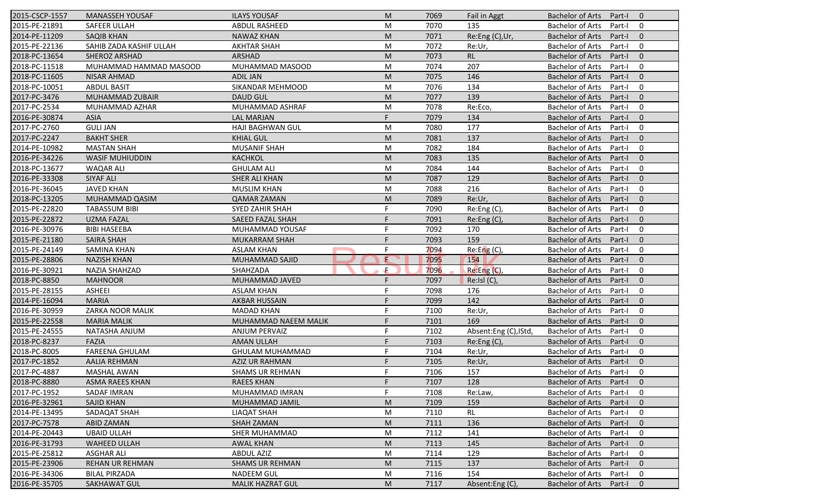| 2015-CSCP-1557 | <b>MANASSEH YOUSAF</b>  | <b>ILAYS YOUSAF</b>     | M  | 7069 | Fail in Aggt          | <b>Bachelor of Arts</b><br>Part-I<br>$\Omega$       |
|----------------|-------------------------|-------------------------|----|------|-----------------------|-----------------------------------------------------|
| 2015-PE-21891  | SAFEER ULLAH            | <b>ABDUL RASHEED</b>    | M  | 7070 | 135                   | <b>Bachelor of Arts</b><br>Part-I<br>0              |
| 2014-PE-11209  | <b>SAQIB KHAN</b>       | <b>NAWAZ KHAN</b>       | M  | 7071 | Re:Eng (C), Ur,       | <b>Bachelor of Arts</b><br>Part-I<br>$\mathbf{0}$   |
| 2015-PE-22136  | SAHIB ZADA KASHIF ULLAH | <b>AKHTAR SHAH</b>      | M  | 7072 | Re:Ur,                | <b>Bachelor of Arts</b><br>0<br>Part-I              |
| 2018-PC-13654  | SHEROZ ARSHAD           | ARSHAD                  | M  | 7073 | RL                    | $\mathbf{0}$<br><b>Bachelor of Arts</b><br>Part-I   |
| 2018-PC-11518  | MUHAMMAD HAMMAD MASOOD  | MUHAMMAD MASOOD         | M  | 7074 | 207                   | <b>Bachelor of Arts</b><br>Part-I<br>0              |
| 2018-PC-11605  | <b>NISAR AHMAD</b>      | <b>ADIL JAN</b>         | M  | 7075 | 146                   | $\mathbf{0}$<br><b>Bachelor of Arts</b><br>Part-I   |
| 2018-PC-10051  | <b>ABDUL BASIT</b>      | SIKANDAR MEHMOOD        | M  | 7076 | 134                   | <b>Bachelor of Arts</b><br>0<br>Part-I              |
| 2017-PC-3476   | MUHAMMAD ZUBAIR         | <b>DAUD GUL</b>         | M  | 7077 | 139                   | <b>Bachelor of Arts</b><br>Part-I<br>$\mathbf{0}$   |
| 2017-PC-2534   | MUHAMMAD AZHAR          | MUHAMMAD ASHRAF         | M  | 7078 | Re:Eco,               | <b>Bachelor of Arts</b><br>Part-I<br>0              |
| 2016-PE-30874  | <b>ASIA</b>             | <b>LAL MARJAN</b>       | F. | 7079 | 134                   | <b>Bachelor of Arts</b><br>Part-I<br>$\mathbf{0}$   |
| 2017-PC-2760   | <b>GULI JAN</b>         | <b>HAJI BAGHWAN GUL</b> | M  | 7080 | 177                   | <b>Bachelor of Arts</b><br>Part-I<br>0              |
| 2017-PC-2247   | <b>BAKHT SHER</b>       | <b>KHIAL GUL</b>        | M  | 7081 | 137                   | <b>Bachelor of Arts</b><br>$\mathbf{0}$<br>Part-I   |
| 2014-PE-10982  | <b>MASTAN SHAH</b>      | <b>MUSANIF SHAH</b>     | M  | 7082 | 184                   | <b>Bachelor of Arts</b><br>0<br>Part-I              |
| 2016-PE-34226  | <b>WASIF MUHIUDDIN</b>  | <b>KACHKOL</b>          | M  | 7083 | 135                   | <b>Bachelor of Arts</b><br>Part-I<br>$\overline{0}$ |
| 2018-PC-13677  | <b>WAQAR ALI</b>        | <b>GHULAM ALI</b>       | M  | 7084 | 144                   | <b>Bachelor of Arts</b><br>0<br>Part-I              |
| 2016-PE-33308  | SIYAF ALI               | <b>SHER ALI KHAN</b>    | M  | 7087 | 129                   | <b>Bachelor of Arts</b><br>$\mathbf{0}$<br>Part-I   |
| 2016-PE-36045  | <b>JAVED KHAN</b>       | <b>MUSLIM KHAN</b>      | M  | 7088 | 216                   | <b>Bachelor of Arts</b><br>0<br>Part-I              |
| 2018-PC-13205  | MUHAMMAD QASIM          | <b>QAMAR ZAMAN</b>      | M  | 7089 | Re:Ur,                | <b>Bachelor of Arts</b><br>$\mathbf{0}$<br>Part-I   |
| 2015-PE-22820  | <b>TABASSUM BIBI</b>    | <b>SYED ZAHIR SHAH</b>  | F  | 7090 | Re:Eng (C),           | <b>Bachelor of Arts</b><br>Part-I<br>0              |
| 2015-PE-22872  | <b>UZMA FAZAL</b>       | SAEED FAZAL SHAH        | F  | 7091 | Re:Eng (C),           | <b>Bachelor of Arts</b><br>$\mathbf{0}$<br>Part-I   |
| 2016-PE-30976  | <b>BIBI HASEEBA</b>     | MUHAMMAD YOUSAF         | F  | 7092 | 170                   | <b>Bachelor of Arts</b><br>0<br>Part-I              |
| 2015-PE-21180  | <b>SAIRA SHAH</b>       | <b>MUKARRAM SHAH</b>    | F  | 7093 | 159                   | <b>Bachelor of Arts</b><br>Part-I<br>$\overline{0}$ |
| 2015-PE-24149  | <b>SAMINA KHAN</b>      | <b>ASLAM KHAN</b>       | F  | 7094 | Re: Eng(C)            | <b>Bachelor of Arts</b><br>0<br>Part-I              |
| 2015-PE-28806  | <b>NAZISH KHAN</b>      | MUHAMMAD SAJID          | E  | 7095 | 154                   | $\mathbf{0}$<br><b>Bachelor of Arts</b><br>Part-I   |
| 2016-PE-30921  | <b>NAZIA SHAHZAD</b>    | SHAHZADA                | Æ  | 7096 | Re:Eng (C),           | <b>Bachelor of Arts</b><br>0<br>Part-I              |
| 2018-PC-8850   | <b>MAHNOOR</b>          | MUHAMMAD JAVED          | F  | 7097 | Re:IsI(C),            | <b>Bachelor of Arts</b><br>$\mathbf{0}$<br>Part-I   |
| 2015-PE-28155  | <b>ASHEEI</b>           | <b>ASLAM KHAN</b>       | F  | 7098 | 176                   | <b>Bachelor of Arts</b><br>Part-I<br>0              |
| 2014-PE-16094  | <b>MARIA</b>            | <b>AKBAR HUSSAIN</b>    | F  | 7099 | 142                   | <b>Bachelor of Arts</b><br>$\mathbf{0}$<br>Part-I   |
| 2016-PE-30959  | <b>ZARKA NOOR MALIK</b> | <b>MADAD KHAN</b>       | F  | 7100 | Re:Ur,                | <b>Bachelor of Arts</b><br>0<br>Part-I              |
| 2015-PE-22558  | <b>MARIA MALIK</b>      | MUHAMMAD NAEEM MALIK    |    | 7101 | 169                   | <b>Bachelor of Arts</b><br>Part-I<br>$\overline{0}$ |
| 2015-PE-24555  | NATASHA ANJUM           | <b>ANJUM PERVAIZ</b>    | F  | 7102 | Absent:Eng (C), IStd, | <b>Bachelor of Arts</b><br>0<br>Part-I              |
| 2018-PC-8237   | <b>FAZIA</b>            | <b>AMAN ULLAH</b>       | F  | 7103 | Re: Eng(C),           | <b>Bachelor of Arts</b><br>$\Omega$<br>Part-I       |
| 2018-PC-8005   | <b>FAREENA GHULAM</b>   | <b>GHULAM MUHAMMAD</b>  | F  | 7104 | Re:Ur,                | <b>Bachelor of Arts</b><br>Part-I<br>0              |
| 2017-PC-1852   | <b>AALIA REHMAN</b>     | AZIZ UR RAHMAN          | F  | 7105 | Re:Ur,                | <b>Bachelor of Arts</b><br>Part-I<br>$\mathbf 0$    |
| 2017-PC-4887   | <b>MASHAL AWAN</b>      | <b>SHAMS UR REHMAN</b>  |    | 7106 | 157                   | Bachelor of Arts Part-I<br>$\mathbf 0$              |
| 2018-PC-8880   | <b>ASMA RAEES KHAN</b>  | <b>RAEES KHAN</b>       | F. | 7107 | 128                   | Bachelor of Arts Part-I<br>$\overline{0}$           |
| 2017-PC-1952   | SADAF IMRAN             | MUHAMMAD IMRAN          | F  | 7108 | Re:Law,               | <b>Bachelor of Arts</b><br>Part-I<br>0              |
| 2016-PE-32961  | SAJID KHAN              | MUHAMMAD JAMIL          | M  | 7109 | 159                   | <b>Bachelor of Arts</b><br>Part-I<br>$\mathbf{0}$   |
| 2014-PE-13495  | SADAQAT SHAH            | LIAQAT SHAH             | M  | 7110 | RL                    | <b>Bachelor of Arts</b><br>0<br>Part-I              |
| 2017-PC-7578   | <b>ABID ZAMAN</b>       | <b>SHAH ZAMAN</b>       | M  | 7111 | 136                   | <b>Bachelor of Arts</b><br>$\mathbf 0$<br>Part-I    |
| 2014-PE-20443  | <b>UBAID ULLAH</b>      | SHER MUHAMMAD           | M  | 7112 | 141                   | <b>Bachelor of Arts</b><br>0<br>Part-I              |
| 2016-PE-31793  | <b>WAHEED ULLAH</b>     | <b>AWAL KHAN</b>        | M  | 7113 | 145                   | <b>Bachelor of Arts</b><br>$\mathbf 0$<br>Part-I    |
| 2015-PE-25812  | <b>ASGHAR ALI</b>       | <b>ABDUL AZIZ</b>       | M  | 7114 | 129                   | <b>Bachelor of Arts</b><br>0<br>Part-I              |
| 2015-PE-23906  | REHAN UR REHMAN         | <b>SHAMS UR REHMAN</b>  | M  | 7115 | 137                   | <b>Bachelor of Arts</b><br>$\mathbf 0$<br>Part-I    |
| 2016-PE-34306  | <b>BILAL PIRZADA</b>    | <b>NADEEM GUL</b>       | M  | 7116 | 154                   | Bachelor of Arts<br>0<br>Part-I                     |
| 2016-PE-35705  | <b>SAKHAWAT GUL</b>     | <b>MALIK HAZRAT GUL</b> | M  | 7117 | Absent:Eng (C),       | Bachelor of Arts<br>$\mathbf 0$<br>Part-I           |
|                |                         |                         |    |      |                       |                                                     |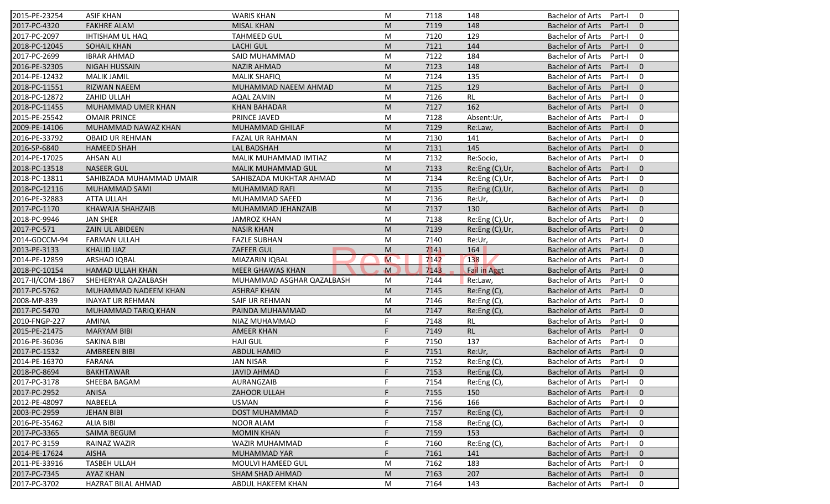| 2015-PE-23254    | <b>ASIF KHAN</b>         | <b>WARIS KHAN</b>         | M            | 7118 | 148                 | <b>Bachelor of Arts</b><br>Part-I<br>0              |
|------------------|--------------------------|---------------------------|--------------|------|---------------------|-----------------------------------------------------|
| 2017-PC-4320     | <b>FAKHRE ALAM</b>       | <b>MISAL KHAN</b>         | M            | 7119 | 148                 | <b>Bachelor of Arts</b><br>Part-I<br>$\mathbf{0}$   |
| 2017-PC-2097     | <b>IHTISHAM UL HAQ</b>   | <b>TAHMEED GUL</b>        | M            | 7120 | 129                 | <b>Bachelor of Arts</b><br>Part-I<br>0              |
| 2018-PC-12045    | <b>SOHAIL KHAN</b>       | <b>LACHI GUL</b>          | M            | 7121 | 144                 | $\mathbf{0}$<br><b>Bachelor of Arts</b><br>Part-I   |
| 2017-PC-2699     | <b>IBRAR AHMAD</b>       | SAID MUHAMMAD             | M            | 7122 | 184                 | <b>Bachelor of Arts</b><br>0<br>Part-I              |
| 2016-PE-32305    | <b>NIGAH HUSSAIN</b>     | <b>NAZIR AHMAD</b>        | M            | 7123 | 148                 | <b>Bachelor of Arts</b><br>Part-I<br>$\overline{0}$ |
| 2014-PE-12432    | <b>MALIK JAMIL</b>       | <b>MALIK SHAFIQ</b>       | M            | 7124 | 135                 | 0<br><b>Bachelor of Arts</b><br>Part-I              |
| 2018-PC-11551    | <b>RIZWAN NAEEM</b>      | MUHAMMAD NAEEM AHMAD      | M            | 7125 | 129                 | <b>Bachelor of Arts</b><br>$\mathbf{0}$<br>Part-I   |
| 2018-PC-12872    | ZAHID ULLAH              | <b>AQAL ZAMIN</b>         | M            | 7126 | RL                  | <b>Bachelor of Arts</b><br>Part-I<br>0              |
| 2018-PC-11455    | MUHAMMAD UMER KHAN       | <b>KHAN BAHADAR</b>       | M            | 7127 | 162                 | <b>Bachelor of Arts</b><br>Part-I<br>$\Omega$       |
| 2015-PE-25542    | <b>OMAIR PRINCE</b>      | PRINCE JAVED              | M            | 7128 | Absent:Ur,          | <b>Bachelor of Arts</b><br>Part-I<br>0              |
| 2009-PE-14106    | MUHAMMAD NAWAZ KHAN      | MUHAMMAD GHILAF           | M            | 7129 | Re:Law,             | <b>Bachelor of Arts</b><br>Part-I<br>$\mathbf{0}$   |
| 2016-PE-33792    | <b>OBAID UR REHMAN</b>   | <b>FAZAL UR RAHMAN</b>    | M            | 7130 | 141                 | <b>Bachelor of Arts</b><br>0<br>Part-I              |
| 2016-SP-6840     | <b>HAMEED SHAH</b>       | <b>LAL BADSHAH</b>        | M            | 7131 | 145                 | <b>Bachelor of Arts</b><br>$\Omega$<br>Part-I       |
| 2014-PE-17025    | <b>AHSAN ALI</b>         | MALIK MUHAMMAD IMTIAZ     | M            | 7132 | Re:Socio,           | 0<br>Bachelor of Arts<br>Part-I                     |
| 2018-PC-13518    | <b>NASEER GUL</b>        | <b>MALIK MUHAMMAD GUL</b> | M            | 7133 | Re:Eng (C), Ur,     | $\Omega$<br><b>Bachelor of Arts</b><br>Part-I       |
| 2018-PC-13811    | SAHIBZADA MUHAMMAD UMAIR | SAHIBZADA MUKHTAR AHMAD   | M            | 7134 | Re:Eng (C),Ur,      | <b>Bachelor of Arts</b><br>0<br>Part-I              |
| 2018-PC-12116    | MUHAMMAD SAMI            | <b>MUHAMMAD RAFI</b>      | M            | 7135 | Re:Eng (C),Ur,      | <b>Bachelor of Arts</b><br>$\mathbf{0}$<br>Part-I   |
| 2016-PE-32883    | <b>ATTA ULLAH</b>        | MUHAMMAD SAEED            | M            | 7136 | Re:Ur,              | <b>Bachelor of Arts</b><br>Part-I<br>0              |
| 2017-PC-1170     | KHAWAJA SHAHZAIB         | MUHAMMAD JEHANZAIB        | M            | 7137 | 130                 | <b>Bachelor of Arts</b><br>Part-I<br>$\mathbf{0}$   |
| 2018-PC-9946     | <b>JAN SHER</b>          | <b>JAMROZ KHAN</b>        | M            | 7138 | Re:Eng (C),Ur,      | <b>Bachelor of Arts</b><br>0<br>Part-I              |
| 2017-PC-571      | ZAIN UL ABIDEEN          | <b>NASIR KHAN</b>         | M            | 7139 | Re:Eng (C),Ur,      | $\mathbf{0}$<br><b>Bachelor of Arts</b><br>Part-I   |
| 2014-GDCCM-94    | <b>FARMAN ULLAH</b>      | <b>FAZLE SUBHAN</b>       | M            | 7140 | Re:Ur,              | <b>Bachelor of Arts</b><br>Part-I<br>0              |
| 2013-PE-3133     | <b>KHALID IJAZ</b>       | <b>ZAFEER GUL</b>         | M            | 7141 | 164                 | $\mathbf{0}$<br><b>Bachelor of Arts</b><br>Part-I   |
| 2014-PE-12859    | ARSHAD IQBAL             | MIAZARIN IQBAL            | M            | 7142 | 138                 | <b>Bachelor of Arts</b><br>0<br>Part-I              |
| 2018-PC-10154    | <b>HAMAD ULLAH KHAN</b>  | <b>MEER GHAWAS KHAN</b>   | $\mathbf{M}$ | 7143 | <b>Fail in Aggt</b> | <b>Bachelor of Arts</b><br>$\mathbf{0}$<br>Part-I   |
| 2017-II/COM-1867 | SHEHERYAR QAZALBASH      | MUHAMMAD ASGHAR QAZALBASH | M            | 7144 | Re:Law,             | <b>Bachelor of Arts</b><br>Part-I<br>0              |
| 2017-PC-5762     | MUHAMMAD NADEEM KHAN     | <b>ASHRAF KHAN</b>        | M            | 7145 | Re:Eng (C),         | <b>Bachelor of Arts</b><br>Part-I<br>$\Omega$       |
| 2008-MP-839      | <b>INAYAT UR REHMAN</b>  | SAIF UR REHMAN            | M            | 7146 | Re:Eng (C),         | <b>Bachelor of Arts</b><br>0<br>Part-I              |
| 2017-PC-5470     | MUHAMMAD TARIQ KHAN      | PAINDA MUHAMMAD           | M            | 7147 | $Re:Eng(C)$ ,       | $\mathbf{0}$<br><b>Bachelor of Arts</b><br>Part-I   |
| 2010-FNGP-227    | <b>AMINA</b>             | NIAZ MUHAMMAD             | F.           | 7148 | RL                  | <b>Bachelor of Arts</b><br>Part-I<br>0              |
| 2015-PE-21475    | <b>MARYAM BIBI</b>       | <b>AMEER KHAN</b>         | F.           | 7149 | RL                  | $\Omega$<br><b>Bachelor of Arts</b><br>Part-I       |
| 2016-PE-36036    | <b>SAKINA BIBI</b>       | <b>HAJI GUL</b>           | F            | 7150 | 137                 | <b>Bachelor of Arts</b><br>0<br>Part-I              |
| 2017-PC-1532     | <b>AMBREEN BIBI</b>      | <b>ABDUL HAMID</b>        | F            | 7151 | Re:Ur,              | <b>Bachelor of Arts</b><br>$\mathbf{0}$<br>Part-I   |
| 2014-PE-16370    | <b>FARANA</b>            | <b>JAN NISAR</b>          | F            | 7152 | Re:Eng (C),         | <b>Bachelor of Arts</b><br>Part-I<br>0              |
| 2018-PC-8694     | BAKHTAWAR                | <b>JAVID AHMAD</b>        |              | 7153 | Re:Eng(C),          | Bachelor of Arts Part-I 0                           |
| 2017-PC-3178     | SHEEBA BAGAM             | AURANGZAIB                | F.           | 7154 | Re:Eng (C),         | Bachelor of Arts Part-I<br>$\mathbf 0$              |
| 2017-PC-2952     | ANISA                    | ZAHOOR ULLAH              |              | 7155 | 150                 | <b>Bachelor of Arts</b><br>Part-I<br>$\mathbf{0}$   |
| 2012-PE-48097    | NABEELA                  | USMAN                     | F            | 7156 | 166                 | Bachelor of Arts<br>Part-I<br>$\mathbf 0$           |
| 2003-PC-2959     | <b>JEHAN BIBI</b>        | DOST MUHAMMAD             |              | 7157 | Re: Eng(C)          | Bachelor of Arts<br>Part-I<br>$\mathbf{0}$          |
| 2016-PE-35462    | <b>ALIA BIBI</b>         | <b>NOOR ALAM</b>          |              | 7158 | Re:Eng (C),         | <b>Bachelor of Arts</b><br>0<br>Part-I              |
| 2017-PC-3365     | <b>SAIMA BEGUM</b>       | <b>MOMIN KHAN</b>         |              | 7159 | 153                 | <b>Bachelor of Arts</b><br>Part-I<br>$\overline{0}$ |
| 2017-PC-3159     | RAINAZ WAZIR             | WAZIR MUHAMMAD            | F            | 7160 | Re:Eng (C),         | Bachelor of Arts<br>0<br>Part-I                     |
| 2014-PE-17624    | <b>AISHA</b>             | MUHAMMAD YAR              |              | 7161 | 141                 | <b>Bachelor of Arts</b><br>Part-I<br>$\mathbf{0}$   |
| 2011-PE-33916    | <b>TASBEH ULLAH</b>      | MOULVI HAMEED GUL         | M            | 7162 | 183                 | <b>Bachelor of Arts</b><br>Part-I<br>0              |
| 2017-PC-7345     | <b>AYAZ KHAN</b>         | <b>SHAM SHAD AHMAD</b>    | M            | 7163 | 207                 | <b>Bachelor of Arts</b><br>$\mathbf 0$<br>Part-I    |
| 2017-PC-3702     | HAZRAT BILAL AHMAD       | ABDUL HAKEEM KHAN         | M            | 7164 | 143                 | Bachelor of Arts<br>0<br>Part-I                     |
|                  |                          |                           |              |      |                     |                                                     |